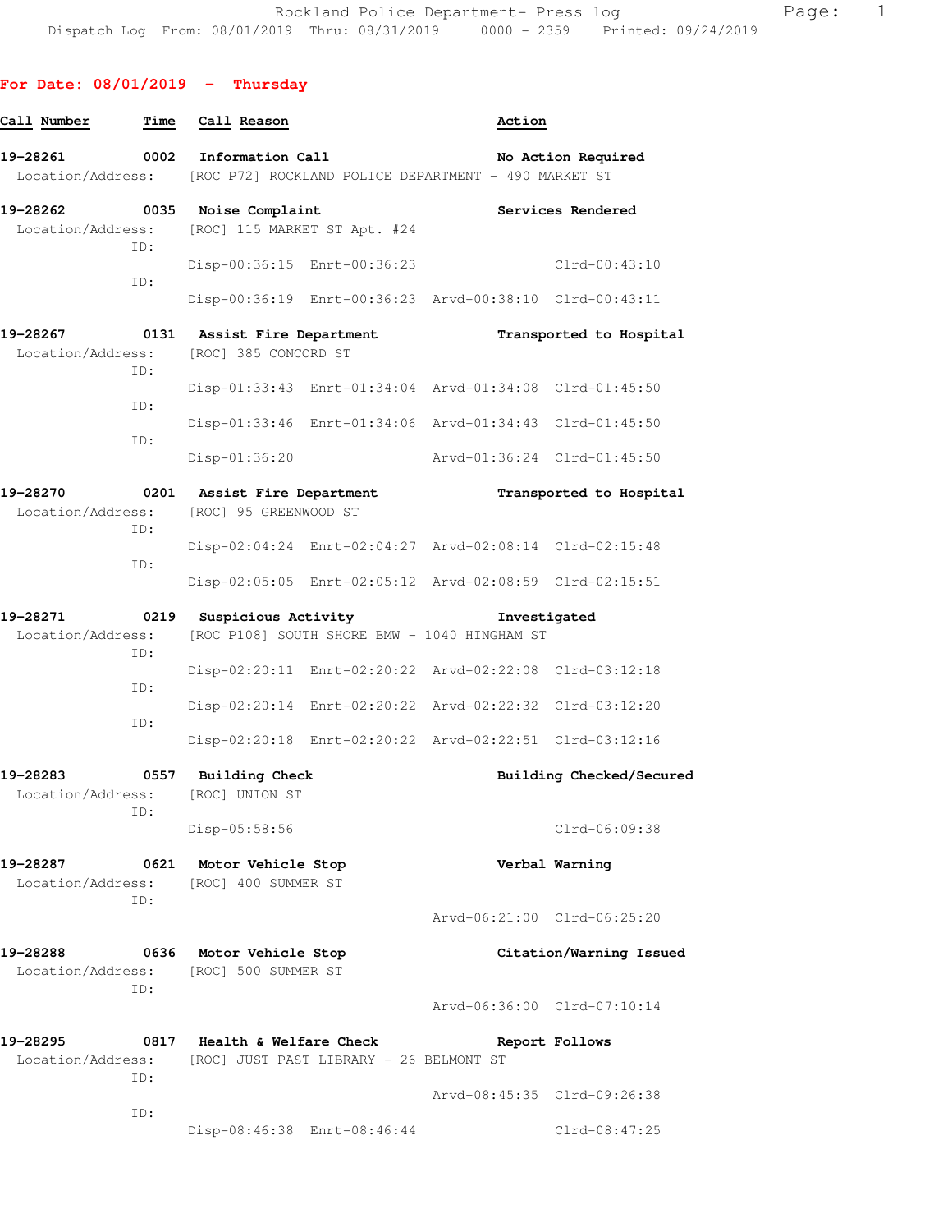# **For Date: 08/01/2019 - Thursday**

| Call Number                   | Time        | Call Reason                                     |                                         | Action                                                  |                          |
|-------------------------------|-------------|-------------------------------------------------|-----------------------------------------|---------------------------------------------------------|--------------------------|
| 19-28261<br>Location/Address: | 0002        | Information Call                                |                                         | [ROC P72] ROCKLAND POLICE DEPARTMENT - 490 MARKET ST    | No Action Required       |
|                               |             |                                                 |                                         |                                                         |                          |
| 19-28262<br>Location/Address: | 0035        | Noise Complaint                                 | [ROC] 115 MARKET ST Apt. #24            |                                                         | Services Rendered        |
|                               | ID:<br>ID:  |                                                 | Disp-00:36:15 Enrt-00:36:23             |                                                         | $Clrd-00:43:10$          |
|                               |             |                                                 |                                         | Disp-00:36:19 Enrt-00:36:23 Arvd-00:38:10 Clrd-00:43:11 |                          |
| 19-28267                      | 0131        | Assist Fire Department                          |                                         |                                                         | Transported to Hospital  |
| Location/Address:             | ID:         | [ROC] 385 CONCORD ST                            |                                         |                                                         |                          |
|                               | ID:         |                                                 |                                         | Disp-01:33:43 Enrt-01:34:04 Arvd-01:34:08 Clrd-01:45:50 |                          |
|                               | ID:         |                                                 |                                         | Disp-01:33:46 Enrt-01:34:06 Arvd-01:34:43 Clrd-01:45:50 |                          |
|                               |             | Disp-01:36:20                                   |                                         | Arvd-01:36:24 Clrd-01:45:50                             |                          |
| 19-28270<br>Location/Address: | 0201<br>ID: | Assist Fire Department<br>[ROC] 95 GREENWOOD ST |                                         |                                                         | Transported to Hospital  |
|                               | ID:         |                                                 |                                         | Disp-02:04:24 Enrt-02:04:27 Arvd-02:08:14 Clrd-02:15:48 |                          |
|                               |             |                                                 |                                         | Disp-02:05:05 Enrt-02:05:12 Arvd-02:08:59 Clrd-02:15:51 |                          |
| 19-28271                      | 0219        | Suspicious Activity                             |                                         | Investigated                                            |                          |
| Location/Address:             | ID:         |                                                 |                                         | [ROC P108] SOUTH SHORE BMW - 1040 HINGHAM ST            |                          |
|                               | ID:         |                                                 |                                         | Disp-02:20:11 Enrt-02:20:22 Arvd-02:22:08 Clrd-03:12:18 |                          |
|                               | ID:         |                                                 |                                         | Disp-02:20:14 Enrt-02:20:22 Arvd-02:22:32 Clrd-03:12:20 |                          |
|                               |             |                                                 |                                         | Disp-02:20:18 Enrt-02:20:22 Arvd-02:22:51 Clrd-03:12:16 |                          |
| 19-28283<br>Location/Address: | 0557<br>ID: | <b>Building Check</b><br>[ROC] UNION ST         |                                         |                                                         | Building Checked/Secured |
|                               |             | Disp-05:58:56                                   |                                         |                                                         | Clrd-06:09:38            |
| 19-28287<br>Location/Address: | 0621<br>ID: | Motor Vehicle Stop<br>[ROC] 400 SUMMER ST       |                                         |                                                         | Verbal Warning           |
|                               |             |                                                 |                                         | Arvd-06:21:00 Clrd-06:25:20                             |                          |
| 19-28288<br>Location/Address: | ID:         | 0636 Motor Vehicle Stop<br>[ROC] 500 SUMMER ST  |                                         |                                                         | Citation/Warning Issued  |
|                               |             |                                                 |                                         | Arvd-06:36:00 Clrd-07:10:14                             |                          |
| 19–28295<br>Location/Address: | 0817<br>ID: | Health & Welfare Check                          | [ROC] JUST PAST LIBRARY - 26 BELMONT ST |                                                         | Report Follows           |
|                               | ID:         |                                                 |                                         | Arvd-08:45:35 Clrd-09:26:38                             |                          |
|                               |             |                                                 | Disp-08:46:38 Enrt-08:46:44             |                                                         | Clrd-08:47:25            |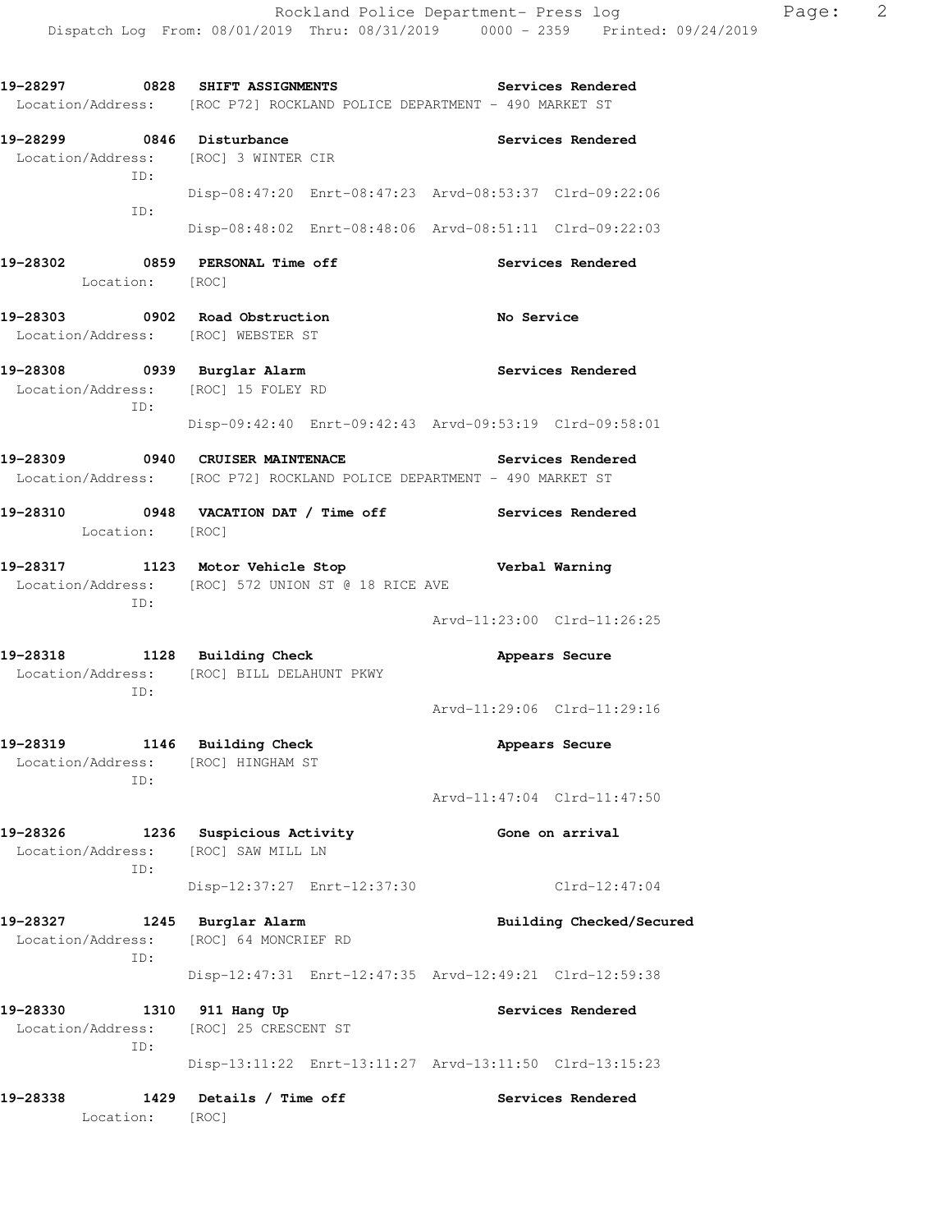**19-28297 0828 SHIFT ASSIGNMENTS Services Rendered**  Location/Address: [ROC P72] ROCKLAND POLICE DEPARTMENT - 490 MARKET ST **19-28299 0846 Disturbance Services Rendered**  Location/Address: [ROC] 3 WINTER CIR ID: Disp-08:47:20 Enrt-08:47:23 Arvd-08:53:37 Clrd-09:22:06 ID: Disp-08:48:02 Enrt-08:48:06 Arvd-08:51:11 Clrd-09:22:03 **19-28302 0859 PERSONAL Time off Services Rendered**  Location: [ROC] **19-28303 0902 Road Obstruction No Service**  Location/Address: [ROC] WEBSTER ST **19-28308 0939 Burglar Alarm Services Rendered**  Location/Address: [ROC] 15 FOLEY RD ID: Disp-09:42:40 Enrt-09:42:43 Arvd-09:53:19 Clrd-09:58:01 **19-28309 0940 CRUISER MAINTENACE Services Rendered**  Location/Address: [ROC P72] ROCKLAND POLICE DEPARTMENT - 490 MARKET ST **19-28310 0948 VACATION DAT / Time off Services Rendered**  Location: [ROC] **19-28317 1123 Motor Vehicle Stop Verbal Warning**  Location/Address: [ROC] 572 UNION ST @ 18 RICE AVE ID: Arvd-11:23:00 Clrd-11:26:25 **19-28318 1128 Building Check Appears Secure**  Location/Address: [ROC] BILL DELAHUNT PKWY ID: Arvd-11:29:06 Clrd-11:29:16 **19-28319 1146 Building Check Appears Secure**  Location/Address: [ROC] HINGHAM ST ID: Arvd-11:47:04 Clrd-11:47:50 **19-28326 1236 Suspicious Activity Gone on arrival**  Location/Address: [ROC] SAW MILL LN ID: Disp-12:37:27 Enrt-12:37:30 Clrd-12:47:04 **19-28327 1245 Burglar Alarm Building Checked/Secured**  Location/Address: [ROC] 64 MONCRIEF RD ID: Disp-12:47:31 Enrt-12:47:35 Arvd-12:49:21 Clrd-12:59:38 **19-28330 1310 911 Hang Up Services Rendered**  Location/Address: [ROC] 25 CRESCENT ST ID: Disp-13:11:22 Enrt-13:11:27 Arvd-13:11:50 Clrd-13:15:23 **19-28338 1429 Details / Time off Services Rendered**  Location: [ROC]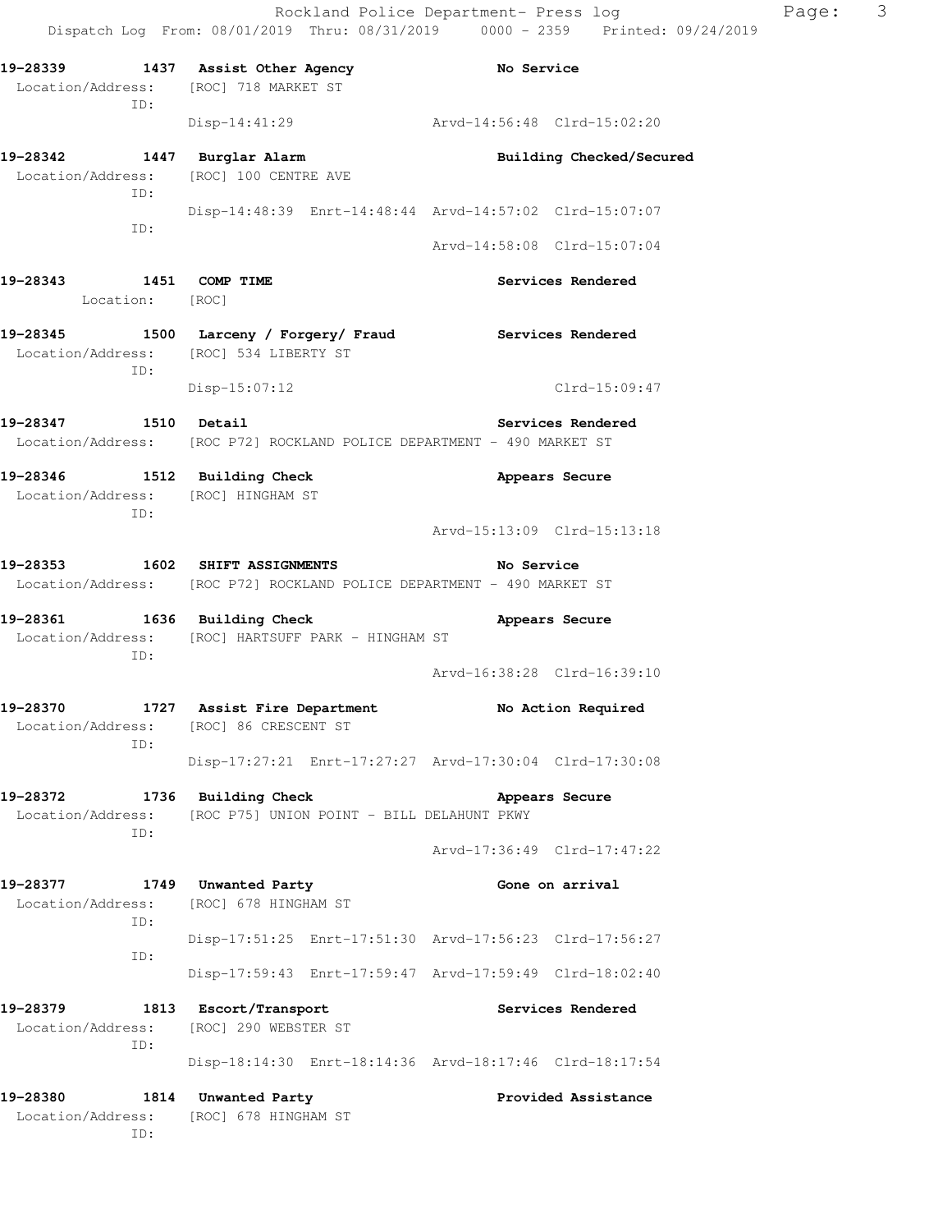Dispatch Log From: 08/01/2019 Thru: 08/31/2019 0000 - 2359 Printed: 09/24/2019 **19-28339 1437 Assist Other Agency No Service**  Location/Address: [ROC] 718 MARKET ST ID: Disp-14:41:29 Arvd-14:56:48 Clrd-15:02:20 **19-28342 1447 Burglar Alarm Building Checked/Secured**  Location/Address: [ROC] 100 CENTRE AVE ID: Disp-14:48:39 Enrt-14:48:44 Arvd-14:57:02 Clrd-15:07:07 ID: Arvd-14:58:08 Clrd-15:07:04 **19-28343 1451 COMP TIME Services Rendered**  Location: [ROC] **19-28345 1500 Larceny / Forgery/ Fraud Services Rendered**  Location/Address: [ROC] 534 LIBERTY ST ID: Disp-15:07:12 Clrd-15:09:47 **19-28347 1510 Detail Services Rendered**  Location/Address: [ROC P72] ROCKLAND POLICE DEPARTMENT - 490 MARKET ST **19-28346 1512 Building Check Appears Secure**  Location/Address: [ROC] HINGHAM ST ID: Arvd-15:13:09 Clrd-15:13:18 **19-28353 1602 SHIFT ASSIGNMENTS No Service**  Location/Address: [ROC P72] ROCKLAND POLICE DEPARTMENT - 490 MARKET ST 19-28361 1636 Building Check **Appears Secure** Location/Address: [ROC] HARTSUFF PARK - HINGHAM ST ID: Arvd-16:38:28 Clrd-16:39:10 19-28370 1727 Assist Fire Department **No Action Required**  Location/Address: [ROC] 86 CRESCENT ST ID: Disp-17:27:21 Enrt-17:27:27 Arvd-17:30:04 Clrd-17:30:08 19-28372 1736 Building Check **Appears Secure**  Location/Address: [ROC P75] UNION POINT - BILL DELAHUNT PKWY ID: Arvd-17:36:49 Clrd-17:47:22 **19-28377 1749 Unwanted Party Gone on arrival**  Location/Address: [ROC] 678 HINGHAM ST ID: Disp-17:51:25 Enrt-17:51:30 Arvd-17:56:23 Clrd-17:56:27 ID: Disp-17:59:43 Enrt-17:59:47 Arvd-17:59:49 Clrd-18:02:40 **19-28379 1813 Escort/Transport Services Rendered**  Location/Address: [ROC] 290 WEBSTER ST ID: Disp-18:14:30 Enrt-18:14:36 Arvd-18:17:46 Clrd-18:17:54 **19-28380 1814 Unwanted Party Provided Assistance**  Location/Address: [ROC] 678 HINGHAM ST

ID:

Rockland Police Department- Press log Page: 3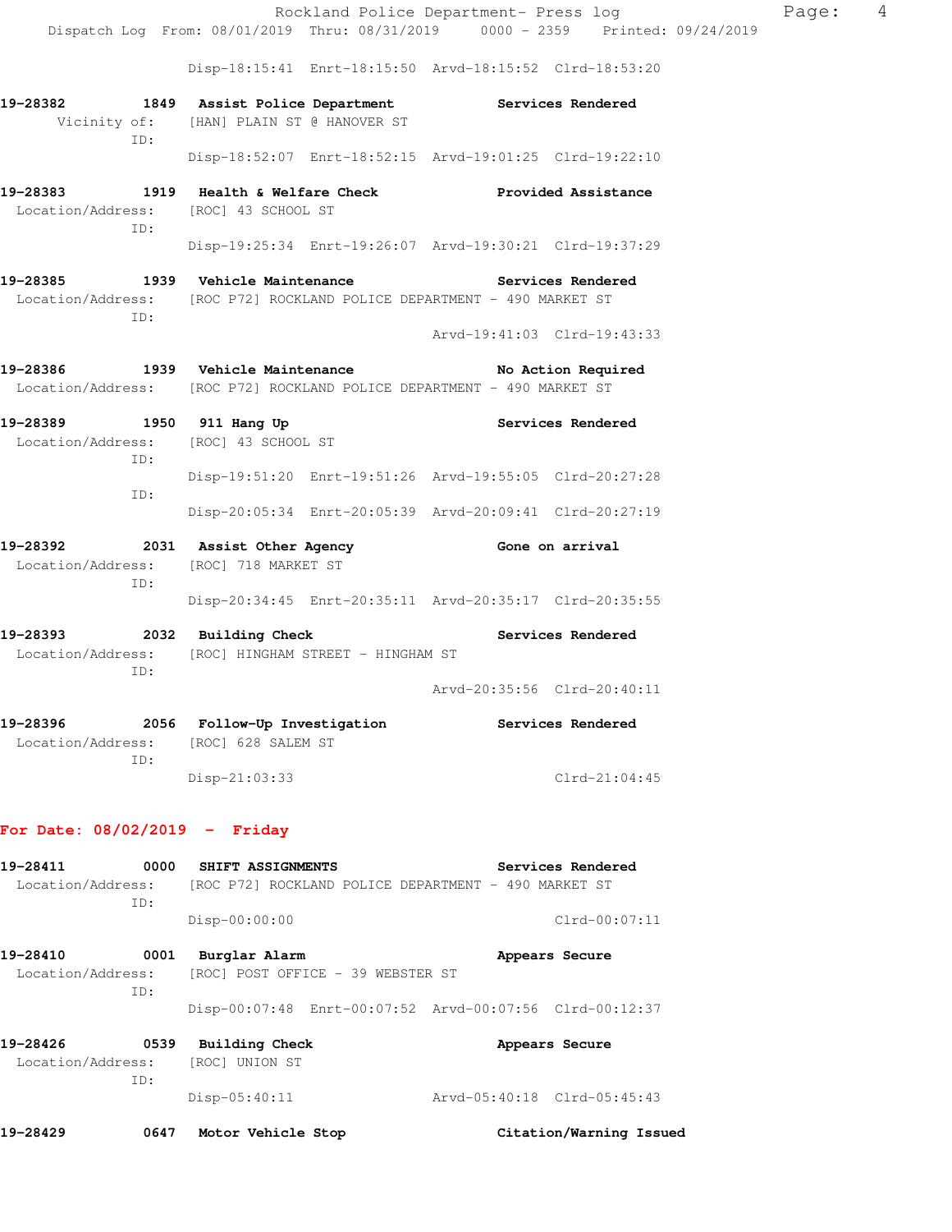Disp-18:15:41 Enrt-18:15:50 Arvd-18:15:52 Clrd-18:53:20

|                                             |                                                                                                             | 111.4442.101.000                                                                                                   |
|---------------------------------------------|-------------------------------------------------------------------------------------------------------------|--------------------------------------------------------------------------------------------------------------------|
| 19-28382<br>ID:                             | 1849 Assist Police Department Services Rendered<br>Vicinity of: [HAN] PLAIN ST @ HANOVER ST                 |                                                                                                                    |
|                                             |                                                                                                             | Disp-18:52:07 Enrt-18:52:15 Arvd-19:01:25 Clrd-19:22:10                                                            |
| 19-28383<br>ID:                             | 1919 Health & Welfare Check<br>Location/Address: [ROC] 43 SCHOOL ST                                         | Provided Assistance                                                                                                |
|                                             |                                                                                                             | Disp-19:25:34 Enrt-19:26:07 Arvd-19:30:21 Clrd-19:37:29                                                            |
| ID:                                         | 19-28385 1939 Vehicle Maintenance<br>Location/Address: [ROC P72] ROCKLAND POLICE DEPARTMENT - 490 MARKET ST | Services Rendered                                                                                                  |
|                                             |                                                                                                             | Arvd-19:41:03 Clrd-19:43:33                                                                                        |
| 19-28386                                    | 1939 Vehicle Maintenance<br>Location/Address: [ROC P72] ROCKLAND POLICE DEPARTMENT - 490 MARKET ST          | No Action Required                                                                                                 |
| 19-28389 1950 911 Hang Up<br>TD:            | Location/Address: [ROC] 43 SCHOOL ST                                                                        | <b>Services Rendered</b>                                                                                           |
| ID:                                         |                                                                                                             | Disp-19:51:20 Enrt-19:51:26 Arvd-19:55:05 Clrd-20:27:28<br>Disp-20:05:34 Enrt-20:05:39 Arvd-20:09:41 Clrd-20:27:19 |
| ID:                                         | 19-28392 2031 Assist Other Agency<br>Location/Address: [ROC] 718 MARKET ST                                  | Gone on arrival                                                                                                    |
|                                             |                                                                                                             | Disp-20:34:45 Enrt-20:35:11 Arvd-20:35:17 Clrd-20:35:55                                                            |
| 19-28393<br>TD:                             | 2032 Building Check<br>Location/Address: [ROC] HINGHAM STREET - HINGHAM ST                                  | Services Rendered                                                                                                  |
|                                             |                                                                                                             | Arvd-20:35:56 Clrd-20:40:11                                                                                        |
| 19-28396                                    | 2056 Follow-Up Investigation                                                                                | <b>Services Rendered</b>                                                                                           |
| Location/Address: [ROC] 628 SALEM ST<br>ID: |                                                                                                             |                                                                                                                    |

| 19-28411<br>Location/Address:                | 0000<br>TD: | SHIFT ASSIGNMENTS                                  | [ROC P72] ROCKLAND POLICE DEPARTMENT - 490 MARKET ST    | Services Rendered       |
|----------------------------------------------|-------------|----------------------------------------------------|---------------------------------------------------------|-------------------------|
|                                              |             | $Disp-00:00:00$                                    |                                                         | $Clrd-00:07:11$         |
| 19-28410<br>Location/Address:                | 0001<br>TD: | Burglar Alarm<br>[ROC] POST OFFICE - 39 WEBSTER ST |                                                         | Appears Secure          |
|                                              |             |                                                    | Disp-00:07:48 Enrt-00:07:52 Arvd-00:07:56 Clrd-00:12:37 |                         |
| 0539<br>19-28426<br>Location/Address:<br>ID: |             | <b>Building Check</b><br>[ROC] UNION ST            |                                                         | Appears Secure          |
|                                              |             | $Disp-05:40:11$                                    | Arvd-05:40:18 Clrd-05:45:43                             |                         |
| 19-28429                                     | 0647        | Motor Vehicle Stop                                 |                                                         | Citation/Warning Issued |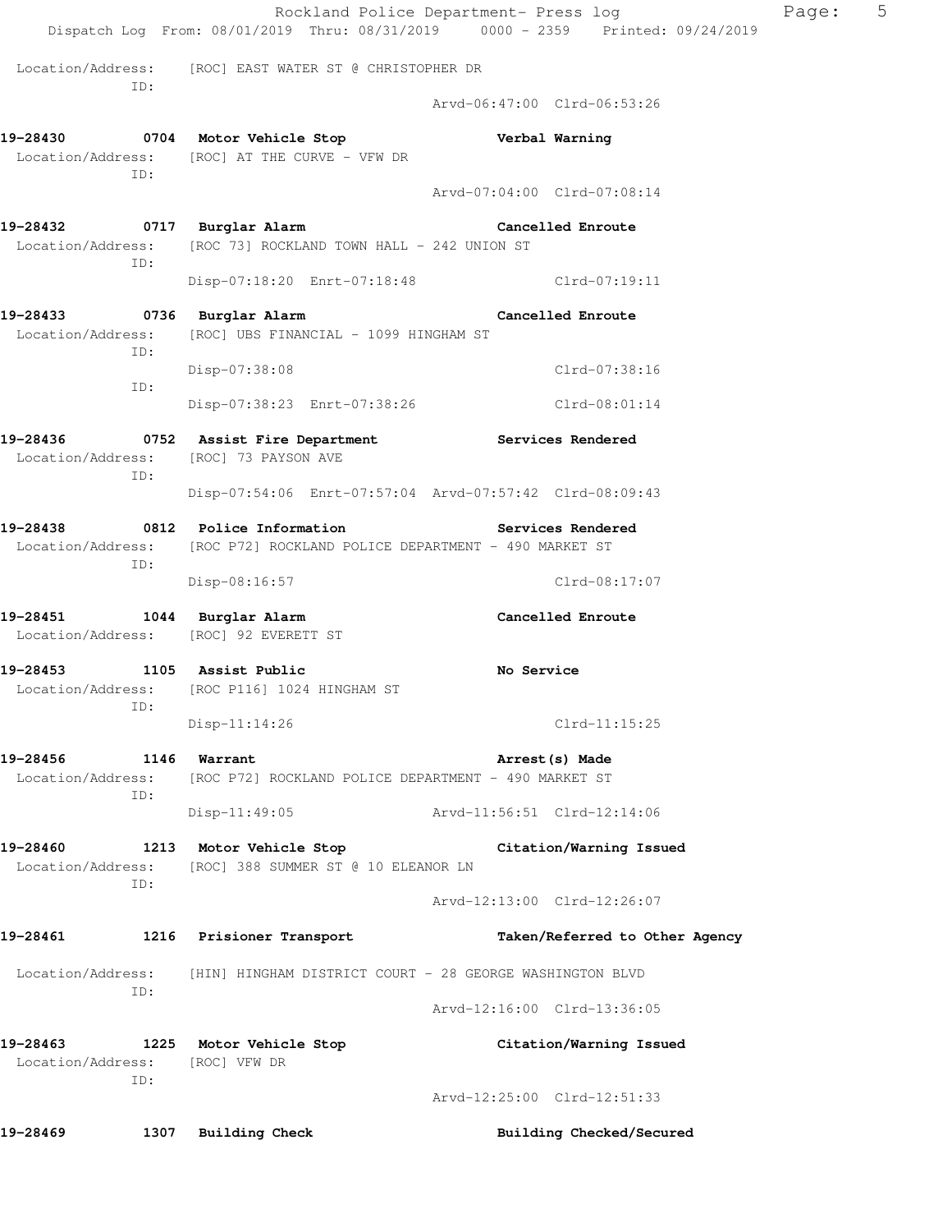|                                                         |                                                                                                       | Rockland Police Department- Press log                                          | Page: | 5 |
|---------------------------------------------------------|-------------------------------------------------------------------------------------------------------|--------------------------------------------------------------------------------|-------|---|
|                                                         |                                                                                                       | Dispatch Log From: 08/01/2019 Thru: 08/31/2019 0000 - 2359 Printed: 09/24/2019 |       |   |
| ID:                                                     | Location/Address: [ROC] EAST WATER ST @ CHRISTOPHER DR                                                |                                                                                |       |   |
|                                                         |                                                                                                       | Arvd-06:47:00 Clrd-06:53:26                                                    |       |   |
| ID:                                                     | 19-28430 0704 Motor Vehicle Stop<br>Location/Address: [ROC] AT THE CURVE - VFW DR                     | Verbal Warning                                                                 |       |   |
|                                                         |                                                                                                       | Arvd-07:04:00 Clrd-07:08:14                                                    |       |   |
| 19-28432 0717 Burglar Alarm<br>ID:                      | Location/Address: [ROC 73] ROCKLAND TOWN HALL - 242 UNION ST                                          | Cancelled Enroute                                                              |       |   |
|                                                         | Disp-07:18:20 Enrt-07:18:48                                                                           | $Clrd-07:19:11$                                                                |       |   |
| 19-28433 0736 Burglar Alarm<br>Location/Address:<br>ID: | [ROC] UBS FINANCIAL - 1099 HINGHAM ST                                                                 | Cancelled Enroute                                                              |       |   |
| ID:                                                     | Disp-07:38:08                                                                                         | Clrd-07:38:16                                                                  |       |   |
|                                                         | Disp-07:38:23 Enrt-07:38:26                                                                           | $Clrd-08:01:14$                                                                |       |   |
| ID:                                                     | 19-28436 		 0752 Assist Fire Department 		 Services Rendered<br>Location/Address: [ROC] 73 PAYSON AVE |                                                                                |       |   |
|                                                         |                                                                                                       | Disp-07:54:06 Enrt-07:57:04 Arvd-07:57:42 Clrd-08:09:43                        |       |   |
| Location/Address:<br>ID:                                | 19-28438 0812 Police Information<br>[ROC P72] ROCKLAND POLICE DEPARTMENT - 490 MARKET ST              | <b>Services Rendered</b>                                                       |       |   |
|                                                         | Disp-08:16:57                                                                                         | Clrd-08:17:07                                                                  |       |   |
|                                                         | 19-28451 1044 Burglar Alarm<br>Location/Address: [ROC] 92 EVERETT ST                                  | Cancelled Enroute                                                              |       |   |
| 19-28453 1105 Assist Public<br>ID:                      | Location/Address: [ROC P116] 1024 HINGHAM ST                                                          | No Service                                                                     |       |   |
|                                                         | $Disp-11:14:26$                                                                                       | $Clrd-11:15:25$                                                                |       |   |
| 19-28456<br>Location/Address:                           | 1146 Warrant<br>[ROC P72] ROCKLAND POLICE DEPARTMENT - 490 MARKET ST                                  | Arrest(s) Made                                                                 |       |   |
| ID:                                                     | Disp-11:49:05                                                                                         |                                                                                |       |   |
| 19-28460<br>Location/Address:                           | 1213 Motor Vehicle Stop<br>[ROC] 388 SUMMER ST @ 10 ELEANOR LN                                        | Citation/Warning Issued                                                        |       |   |
| ID:                                                     |                                                                                                       | Arvd-12:13:00 Clrd-12:26:07                                                    |       |   |
| 19-28461                                                | 1216 Prisioner Transport                                                                              | Taken/Referred to Other Agency                                                 |       |   |
| Location/Address:<br>ID:                                |                                                                                                       | [HIN] HINGHAM DISTRICT COURT - 28 GEORGE WASHINGTON BLVD                       |       |   |
|                                                         |                                                                                                       | Arvd-12:16:00 Clrd-13:36:05                                                    |       |   |
| 19-28463<br>Location/Address:<br>ID:                    | 1225 Motor Vehicle Stop<br>[ROC] VFW DR                                                               | Citation/Warning Issued                                                        |       |   |
|                                                         |                                                                                                       | Arvd-12:25:00 Clrd-12:51:33                                                    |       |   |
| 19–28469<br>1307                                        | <b>Building Check</b>                                                                                 | Building Checked/Secured                                                       |       |   |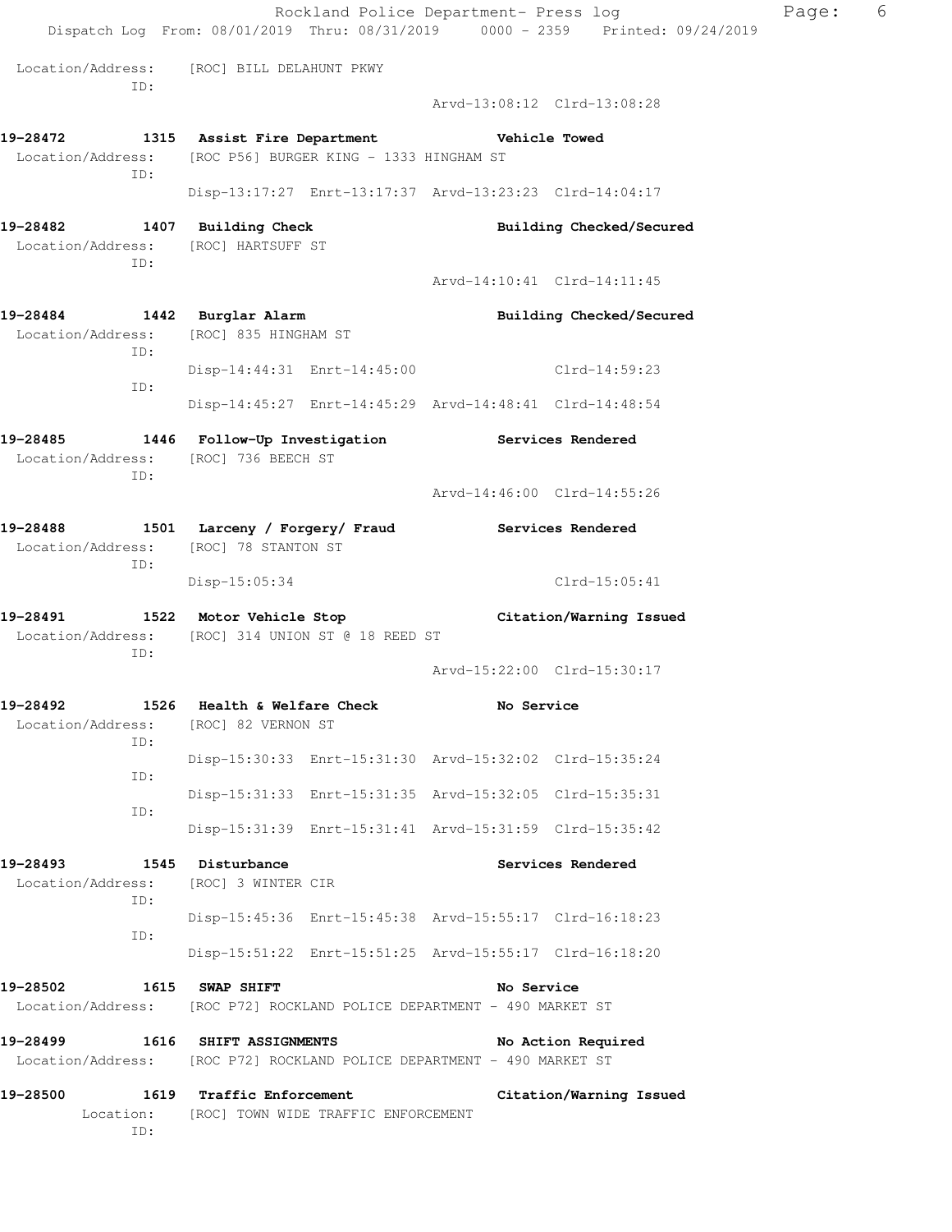Rockland Police Department- Press log Fage: 6 Dispatch Log From: 08/01/2019 Thru: 08/31/2019 0000 - 2359 Printed: 09/24/2019 Location/Address: [ROC] BILL DELAHUNT PKWY ID: Arvd-13:08:12 Clrd-13:08:28 **19-28472 1315 Assist Fire Department Vehicle Towed**  Location/Address: [ROC P56] BURGER KING - 1333 HINGHAM ST ID: Disp-13:17:27 Enrt-13:17:37 Arvd-13:23:23 Clrd-14:04:17 **19-28482 1407 Building Check Building Checked/Secured**  Location/Address: [ROC] HARTSUFF ST ID: Arvd-14:10:41 Clrd-14:11:45 **19-28484 1442 Burglar Alarm Building Checked/Secured**  Location/Address: [ROC] 835 HINGHAM ST ID: Disp-14:44:31 Enrt-14:45:00 Clrd-14:59:23 ID: Disp-14:45:27 Enrt-14:45:29 Arvd-14:48:41 Clrd-14:48:54 **19-28485 1446 Follow-Up Investigation Services Rendered**  Location/Address: [ROC] 736 BEECH ST ID: Arvd-14:46:00 Clrd-14:55:26 **19-28488 1501 Larceny / Forgery/ Fraud Services Rendered**  Location/Address: [ROC] 78 STANTON ST ID: Disp-15:05:34 Clrd-15:05:41 **19-28491 1522 Motor Vehicle Stop Citation/Warning Issued**  Location/Address: [ROC] 314 UNION ST @ 18 REED ST ID: Arvd-15:22:00 Clrd-15:30:17 **19-28492 1526 Health & Welfare Check No Service**  Location/Address: [ROC] 82 VERNON ST ID: Disp-15:30:33 Enrt-15:31:30 Arvd-15:32:02 Clrd-15:35:24 ID: Disp-15:31:33 Enrt-15:31:35 Arvd-15:32:05 Clrd-15:35:31 ID: Disp-15:31:39 Enrt-15:31:41 Arvd-15:31:59 Clrd-15:35:42 19-28493 1545 Disturbance **19-28493** Services Rendered Location/Address: [ROC] 3 WINTER CIR ID: Disp-15:45:36 Enrt-15:45:38 Arvd-15:55:17 Clrd-16:18:23 ID: Disp-15:51:22 Enrt-15:51:25 Arvd-15:55:17 Clrd-16:18:20 19-28502 1615 SWAP SHIFT **No Service** and No Service Location/Address: [ROC P72] ROCKLAND POLICE DEPARTMENT - 490 MARKET ST **19-28499 1616 SHIFT ASSIGNMENTS No Action Required**  Location/Address: [ROC P72] ROCKLAND POLICE DEPARTMENT - 490 MARKET ST **19-28500 1619 Traffic Enforcement Citation/Warning Issued**  Location: [ROC] TOWN WIDE TRAFFIC ENFORCEMENT ID: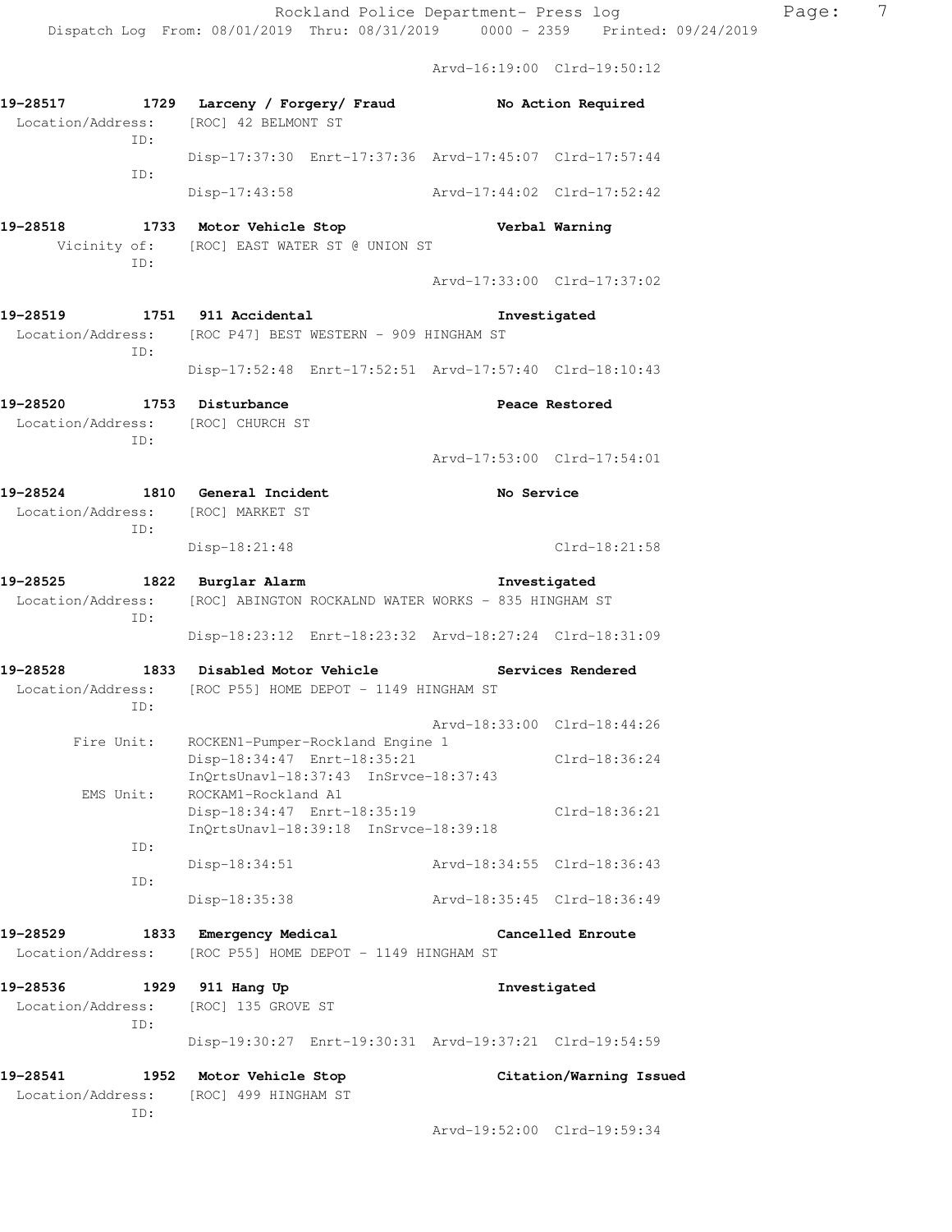Arvd-16:19:00 Clrd-19:50:12 **19-28517 1729 Larceny / Forgery/ Fraud No Action Required**  Location/Address: [ROC] 42 BELMONT ST ID: Disp-17:37:30 Enrt-17:37:36 Arvd-17:45:07 Clrd-17:57:44 ID: Disp-17:43:58 Arvd-17:44:02 Clrd-17:52:42 **19-28518 1733 Motor Vehicle Stop Verbal Warning**  Vicinity of: [ROC] EAST WATER ST @ UNION ST ID: Arvd-17:33:00 Clrd-17:37:02 **19-28519 1751 911 Accidental Investigated**  Location/Address: [ROC P47] BEST WESTERN - 909 HINGHAM ST ID: Disp-17:52:48 Enrt-17:52:51 Arvd-17:57:40 Clrd-18:10:43 19-28520 1753 Disturbance **19-28520** Peace Restored Location/Address: [ROC] CHURCH ST ID: Arvd-17:53:00 Clrd-17:54:01 **19-28524 1810 General Incident No Service**  Location/Address: [ROC] MARKET ST ID: Disp-18:21:48 Clrd-18:21:58 **19-28525 1822 Burglar Alarm Investigated**  Location/Address: [ROC] ABINGTON ROCKALND WATER WORKS - 835 HINGHAM ST ID: Disp-18:23:12 Enrt-18:23:32 Arvd-18:27:24 Clrd-18:31:09 **19-28528 1833 Disabled Motor Vehicle Services Rendered**  Location/Address: [ROC P55] HOME DEPOT - 1149 HINGHAM ST ID: Arvd-18:33:00 Clrd-18:44:26 Fire Unit: ROCKEN1-Pumper-Rockland Engine 1 Disp-18:34:47 Enrt-18:35:21 Clrd-18:36:24 InQrtsUnavl-18:37:43 InSrvce-18:37:43 EMS Unit: ROCKAM1-Rockland A1 Disp-18:34:47 Enrt-18:35:19 Clrd-18:36:21 InQrtsUnavl-18:39:18 InSrvce-18:39:18 ID: Disp-18:34:51 Arvd-18:34:55 Clrd-18:36:43 ID: Disp-18:35:38 Arvd-18:35:45 Clrd-18:36:49 **19-28529 1833 Emergency Medical Cancelled Enroute**  Location/Address: [ROC P55] HOME DEPOT - 1149 HINGHAM ST **19-28536 1929 911 Hang Up Investigated**  Location/Address: [ROC] 135 GROVE ST ID: Disp-19:30:27 Enrt-19:30:31 Arvd-19:37:21 Clrd-19:54:59 **19-28541 1952 Motor Vehicle Stop Citation/Warning Issued**  Location/Address: [ROC] 499 HINGHAM ST ID:

Arvd-19:52:00 Clrd-19:59:34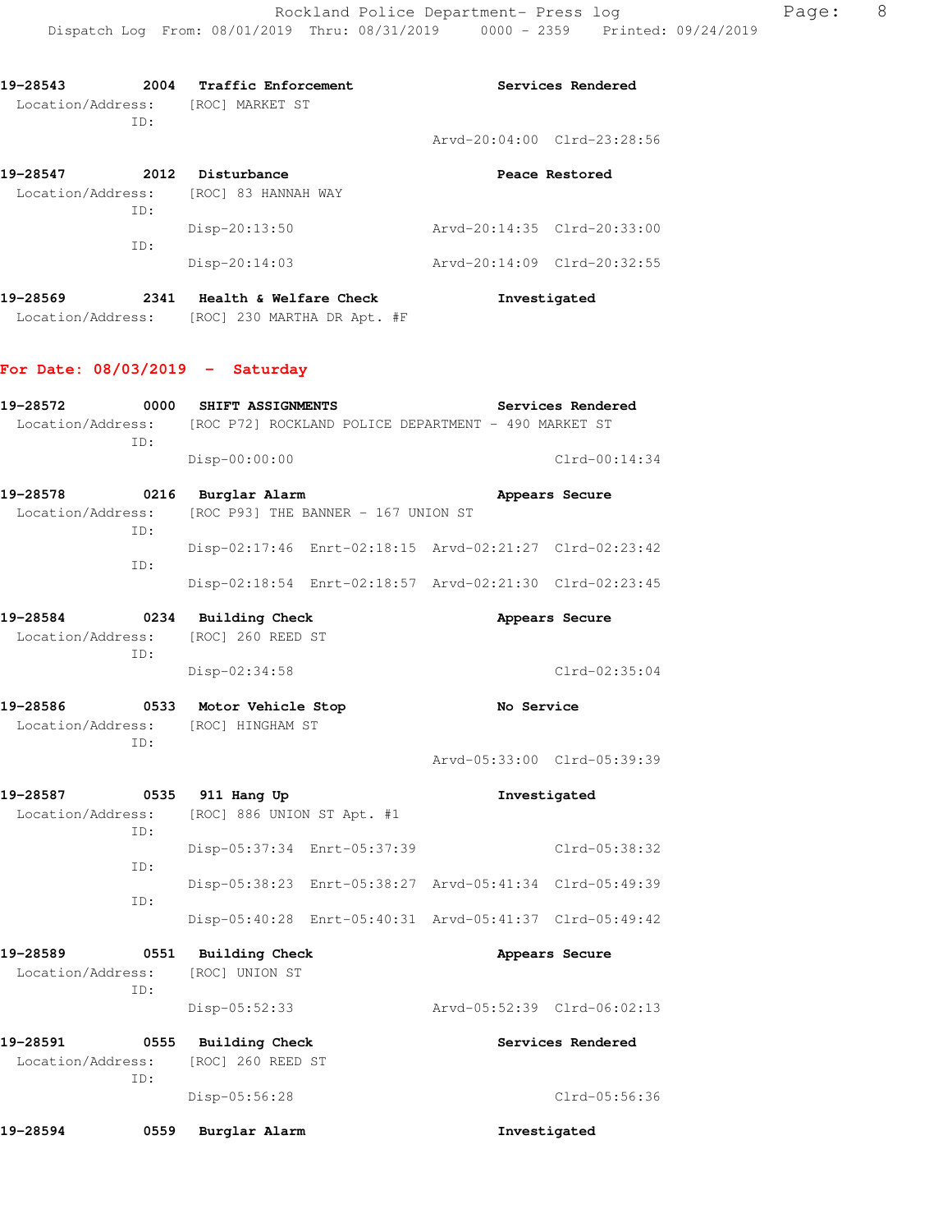| 19–28547<br>2012  |     | Disturbance         |                             | Peace Restored |  |  |
|-------------------|-----|---------------------|-----------------------------|----------------|--|--|
| Location/Address: |     | [ROC] 83 HANNAH WAY |                             |                |  |  |
|                   | TD: |                     |                             |                |  |  |
|                   |     | $Disp-20:13:50$     | Arvd-20:14:35 Clrd-20:33:00 |                |  |  |
|                   | TD: |                     |                             |                |  |  |
|                   |     | $Disp-20:14:03$     | Arvd-20:14:09 Clrd-20:32:55 |                |  |  |
|                   |     |                     |                             |                |  |  |

**19-28569 2341 Health & Welfare Check Investigated**  Location/Address: [ROC] 230 MARTHA DR Apt. #F

#### **For Date: 08/03/2019 - Saturday**

| 19-28572                                       | ID:  | 0000 SHIFT ASSIGNMENTS<br>Location/Address: [ROC P72] ROCKLAND POLICE DEPARTMENT - 490 MARKET ST |                                                         | Services Rendered |
|------------------------------------------------|------|--------------------------------------------------------------------------------------------------|---------------------------------------------------------|-------------------|
|                                                |      | $Disp-00:00:00$                                                                                  |                                                         | $Clrd-00:14:34$   |
| 19-28578                                       | TD:  | 0216 Burglar Alarm<br>Location/Address: [ROC P93] THE BANNER - 167 UNION ST                      |                                                         | Appears Secure    |
|                                                |      |                                                                                                  | Disp-02:17:46 Enrt-02:18:15 Arvd-02:21:27 Clrd-02:23:42 |                   |
|                                                | ID:  |                                                                                                  | Disp-02:18:54 Enrt-02:18:57 Arvd-02:21:30 Clrd-02:23:45 |                   |
|                                                | ID:  | 19-28584 0234 Building Check<br>Location/Address: [ROC] 260 REED ST                              |                                                         | Appears Secure    |
|                                                |      | Disp-02:34:58                                                                                    |                                                         | Clrd-02:35:04     |
|                                                | ID:  | 19-28586 0533 Motor Vehicle Stop<br>Location/Address: [ROC] HINGHAM ST                           | No Service                                              |                   |
|                                                |      |                                                                                                  | Arvd-05:33:00 Clrd-05:39:39                             |                   |
| 19-28587 0535 911 Hang Up<br>Location/Address: | ID:  | [ROC] 886 UNION ST Apt. #1                                                                       |                                                         | Investigated      |
|                                                | ID:  | Disp-05:37:34 Enrt-05:37:39                                                                      |                                                         | Clrd-05:38:32     |
|                                                |      |                                                                                                  | Disp-05:38:23 Enrt-05:38:27 Arvd-05:41:34 Clrd-05:49:39 |                   |
|                                                | ID:  |                                                                                                  | Disp-05:40:28 Enrt-05:40:31 Arvd-05:41:37 Clrd-05:49:42 |                   |
| 19-28589                                       | ID:  | 0551 Building Check<br>Location/Address: [ROC] UNION ST                                          |                                                         | Appears Secure    |
|                                                |      | $Disp-05:52:33$                                                                                  | Arvd-05:52:39 Clrd-06:02:13                             |                   |
| 19-28591<br>Location/Address:                  | ID:  | 0555 Building Check<br>[ROC] 260 REED ST                                                         |                                                         | Services Rendered |
|                                                |      | Disp-05:56:28                                                                                    |                                                         | Clrd-05:56:36     |
| 19-28594                                       | 0559 | Burglar Alarm                                                                                    |                                                         | Investigated      |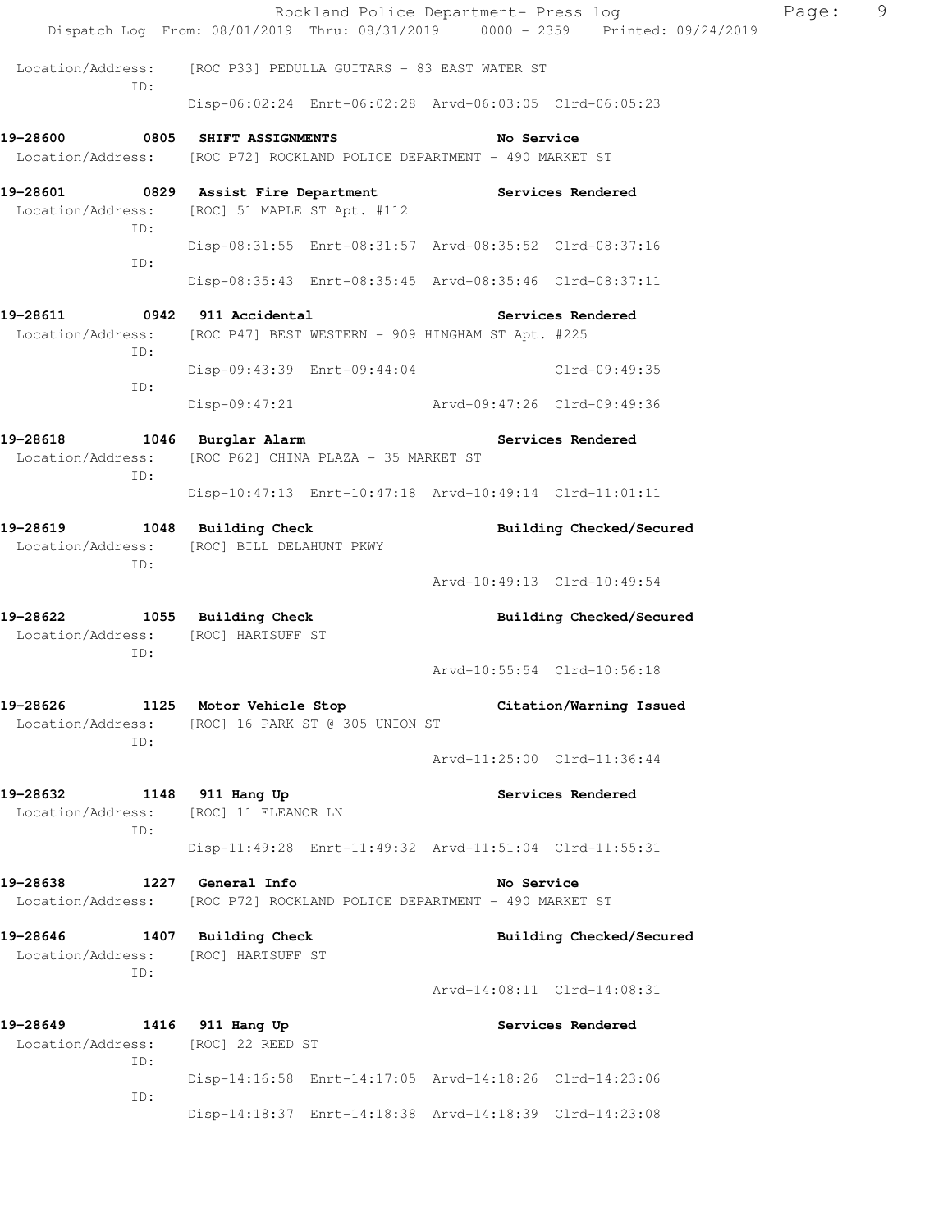|                                                                     | Rockland Police Department- Press log                                                          |                             |                             | Page: | 9 |
|---------------------------------------------------------------------|------------------------------------------------------------------------------------------------|-----------------------------|-----------------------------|-------|---|
|                                                                     | Dispatch Log From: 08/01/2019 Thru: 08/31/2019 0000 - 2359 Printed: 09/24/2019                 |                             |                             |       |   |
| Location/Address:<br>ID:                                            | [ROC P33] PEDULLA GUITARS - 83 EAST WATER ST                                                   |                             |                             |       |   |
|                                                                     | Disp-06:02:24 Enrt-06:02:28 Arvd-06:03:05 Clrd-06:05:23                                        |                             |                             |       |   |
| 19-28600                                                            | 0805 SHIFT ASSIGNMENTS                                                                         | No Service                  |                             |       |   |
|                                                                     | Location/Address: [ROC P72] ROCKLAND POLICE DEPARTMENT - 490 MARKET ST                         |                             |                             |       |   |
| Location/Address:<br>ID:                                            | 19-28601 6829 Assist Fire Department 19-28601 Services Rendered<br>[ROC] 51 MAPLE ST Apt. #112 |                             |                             |       |   |
| ID:                                                                 | Disp-08:31:55 Enrt-08:31:57 Arvd-08:35:52 Clrd-08:37:16                                        |                             |                             |       |   |
|                                                                     | Disp-08:35:43 Enrt-08:35:45 Arvd-08:35:46 Clrd-08:37:11                                        |                             |                             |       |   |
| 19-28611                                                            | 0942 911 Accidental                                                                            |                             | Services Rendered           |       |   |
| Location/Address:<br>ID:                                            | [ROC P47] BEST WESTERN - 909 HINGHAM ST Apt. #225                                              |                             |                             |       |   |
| ID:                                                                 | Disp-09:43:39 Enrt-09:44:04                                                                    |                             | Clrd-09:49:35               |       |   |
|                                                                     | $Disp-09:47:21$                                                                                | Arvd-09:47:26 Clrd-09:49:36 |                             |       |   |
| 19-28618<br>Location/Address:<br>ID:                                | 1046 Burglar Alarm<br>[ROC P62] CHINA PLAZA - 35 MARKET ST                                     |                             | Services Rendered           |       |   |
|                                                                     | Disp-10:47:13 Enrt-10:47:18 Arvd-10:49:14 Clrd-11:01:11                                        |                             |                             |       |   |
| 19-28619<br>Location/Address:<br>ID:                                | 1048 Building Check<br>[ROC] BILL DELAHUNT PKWY                                                |                             | Building Checked/Secured    |       |   |
|                                                                     |                                                                                                |                             | Arvd-10:49:13 Clrd-10:49:54 |       |   |
| 19-28622 1055 Building Check<br>Location/Address: [ROC] HARTSUFF ST |                                                                                                |                             | Building Checked/Secured    |       |   |
| ID:                                                                 |                                                                                                |                             | Arvd-10:55:54 Clrd-10:56:18 |       |   |
| 19-28626                                                            | 1125 Motor Vehicle Stop                                                                        |                             | Citation/Warning Issued     |       |   |
| Location/Address:<br>ID:                                            | [ROC] 16 PARK ST @ 305 UNION ST                                                                |                             |                             |       |   |
|                                                                     |                                                                                                |                             | Arvd-11:25:00 Clrd-11:36:44 |       |   |
| 19–28632<br>Location/Address:<br>ID:                                | 1148 911 Hang Up<br>[ROC] 11 ELEANOR LN                                                        |                             | Services Rendered           |       |   |
|                                                                     | Disp-11:49:28 Enrt-11:49:32 Arvd-11:51:04 Clrd-11:55:31                                        |                             |                             |       |   |
| 19-28638<br>Location/Address:                                       | 1227 General Info<br>[ROC P72] ROCKLAND POLICE DEPARTMENT - 490 MARKET ST                      | No Service                  |                             |       |   |
| 19-28646<br>Location/Address:<br>ID:                                | 1407 Building Check<br>[ROC] HARTSUFF ST                                                       |                             | Building Checked/Secured    |       |   |
|                                                                     |                                                                                                |                             | Arvd-14:08:11 Clrd-14:08:31 |       |   |
| 19-28649<br>Location/Address:<br>ID:                                | 1416 911 Hang Up<br>[ROC] 22 REED ST                                                           |                             | Services Rendered           |       |   |
|                                                                     | Disp-14:16:58 Enrt-14:17:05 Arvd-14:18:26 Clrd-14:23:06                                        |                             |                             |       |   |
| ID:                                                                 | Disp-14:18:37 Enrt-14:18:38 Arvd-14:18:39 Clrd-14:23:08                                        |                             |                             |       |   |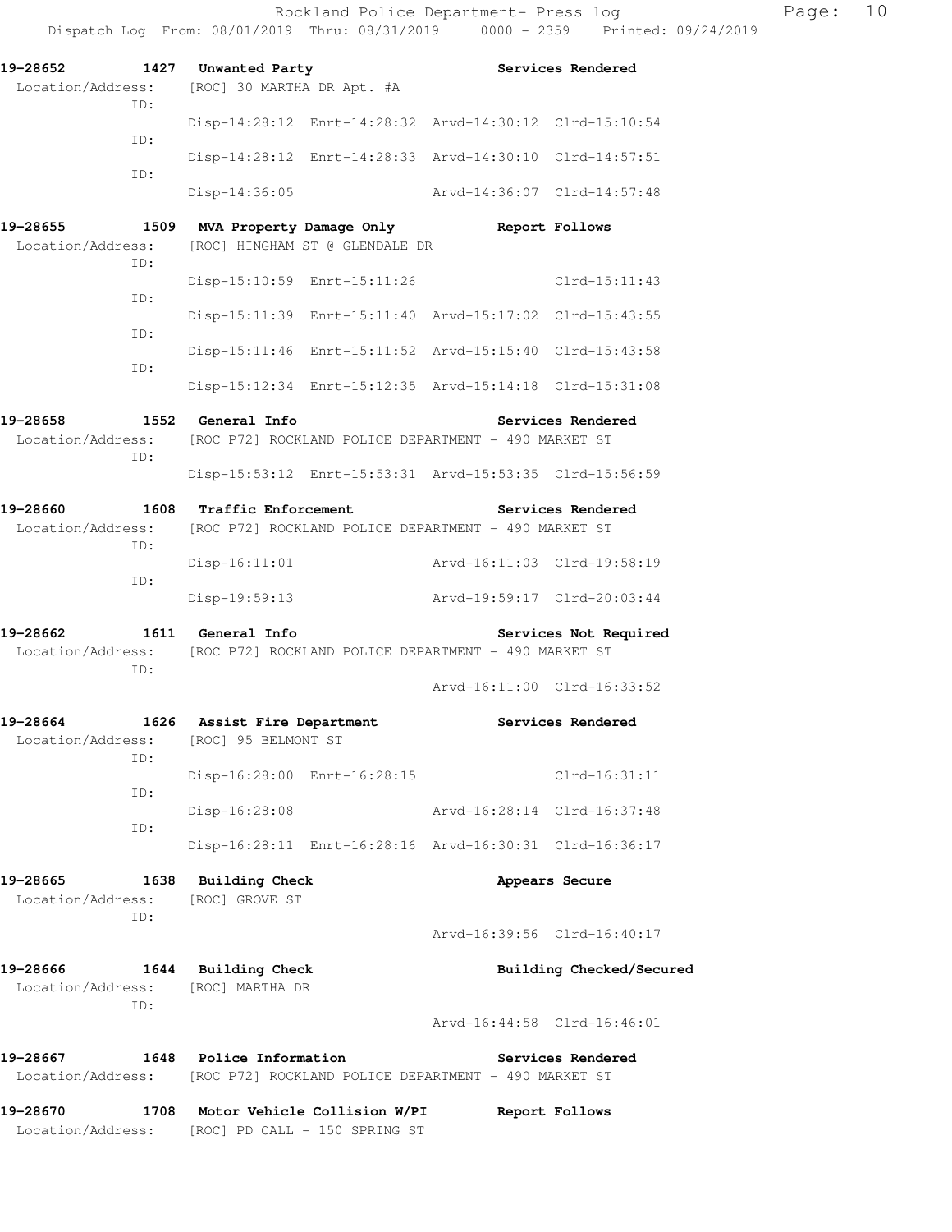| 19-28652          | 1427       | Unwanted Party                                  |                                |                                                                        | Services Rendered        |
|-------------------|------------|-------------------------------------------------|--------------------------------|------------------------------------------------------------------------|--------------------------|
| Location/Address: |            | [ROC] 30 MARTHA DR Apt. #A                      |                                |                                                                        |                          |
|                   | ID:<br>ID: |                                                 |                                | Disp-14:28:12 Enrt-14:28:32 Arvd-14:30:12 Clrd-15:10:54                |                          |
|                   | ID:        |                                                 |                                | Disp-14:28:12 Enrt-14:28:33 Arvd-14:30:10 Clrd-14:57:51                |                          |
|                   |            | Disp-14:36:05                                   |                                | Arvd-14:36:07 Clrd-14:57:48                                            |                          |
| 19-28655          | 1509       | MVA Property Damage Only                        |                                |                                                                        | Report Follows           |
| Location/Address: |            |                                                 | [ROC] HINGHAM ST @ GLENDALE DR |                                                                        |                          |
|                   | ID:        | Disp-15:10:59 Enrt-15:11:26                     |                                |                                                                        | $Clrd-15:11:43$          |
|                   | ID:        |                                                 |                                |                                                                        |                          |
|                   | ID:        |                                                 |                                | Disp-15:11:39 Enrt-15:11:40 Arvd-15:17:02 Clrd-15:43:55                |                          |
|                   |            |                                                 |                                | Disp-15:11:46 Enrt-15:11:52 Arvd-15:15:40 Clrd-15:43:58                |                          |
|                   | ID:        |                                                 |                                |                                                                        |                          |
|                   |            |                                                 |                                | Disp-15:12:34 Enrt-15:12:35 Arvd-15:14:18 Clrd-15:31:08                |                          |
| 19-28658          |            | 1552 General Info                               |                                |                                                                        | Services Rendered        |
| Location/Address: | ID:        |                                                 |                                | [ROC P72] ROCKLAND POLICE DEPARTMENT - 490 MARKET ST                   |                          |
|                   |            |                                                 |                                | Disp-15:53:12 Enrt-15:53:31 Arvd-15:53:35 Clrd-15:56:59                |                          |
| 19-28660          |            | 1608 Traffic Enforcement                        |                                |                                                                        | Services Rendered        |
| Location/Address: | ID:        |                                                 |                                | [ROC P72] ROCKLAND POLICE DEPARTMENT - 490 MARKET ST                   |                          |
|                   | ID:        | $Disp-16:11:01$                                 |                                | Arvd-16:11:03 Clrd-19:58:19                                            |                          |
|                   |            | Disp-19:59:13                                   |                                | Arvd-19:59:17 Clrd-20:03:44                                            |                          |
| 19–28662          |            | 1611 General Info                               |                                |                                                                        | Services Not Required    |
| Location/Address: | ID:        |                                                 |                                | [ROC P72] ROCKLAND POLICE DEPARTMENT - 490 MARKET ST                   |                          |
|                   |            |                                                 |                                | Arvd-16:11:00 Clrd-16:33:52                                            |                          |
| 19-28664          |            | 1626 Assist Fire Department                     |                                |                                                                        | Services Rendered        |
| Location/Address: |            | [ROC] 95 BELMONT ST                             |                                |                                                                        |                          |
|                   | ID:        | Disp-16:28:00 Enrt-16:28:15                     |                                |                                                                        | $Clrd-16:31:11$          |
|                   | ID:        |                                                 |                                |                                                                        |                          |
|                   | ID:        | $Disp-16:28:08$                                 |                                | Arvd-16:28:14 Clrd-16:37:48                                            |                          |
|                   |            |                                                 |                                | Disp-16:28:11 Enrt-16:28:16 Arvd-16:30:31 Clrd-16:36:17                |                          |
| 19-28665          | 1638       | <b>Building Check</b>                           |                                |                                                                        | Appears Secure           |
| Location/Address: |            | [ROC] GROVE ST                                  |                                |                                                                        |                          |
|                   | ID:        |                                                 |                                | Arvd-16:39:56 Clrd-16:40:17                                            |                          |
| 19-28666          |            | 1644 Building Check                             |                                |                                                                        | Building Checked/Secured |
|                   |            | Location/Address: [ROC] MARTHA DR               |                                |                                                                        |                          |
|                   | ID:        |                                                 |                                | Arvd-16:44:58 Clrd-16:46:01                                            |                          |
| 19-28667          |            | 1648 Police Information                         |                                |                                                                        | Services Rendered        |
|                   |            |                                                 |                                | Location/Address: [ROC P72] ROCKLAND POLICE DEPARTMENT - 490 MARKET ST |                          |
| 19-28670          |            | 1708 Motor Vehicle Collision W/PI               |                                |                                                                        | Report Follows           |
|                   |            | Location/Address: [ROC] PD CALL - 150 SPRING ST |                                |                                                                        |                          |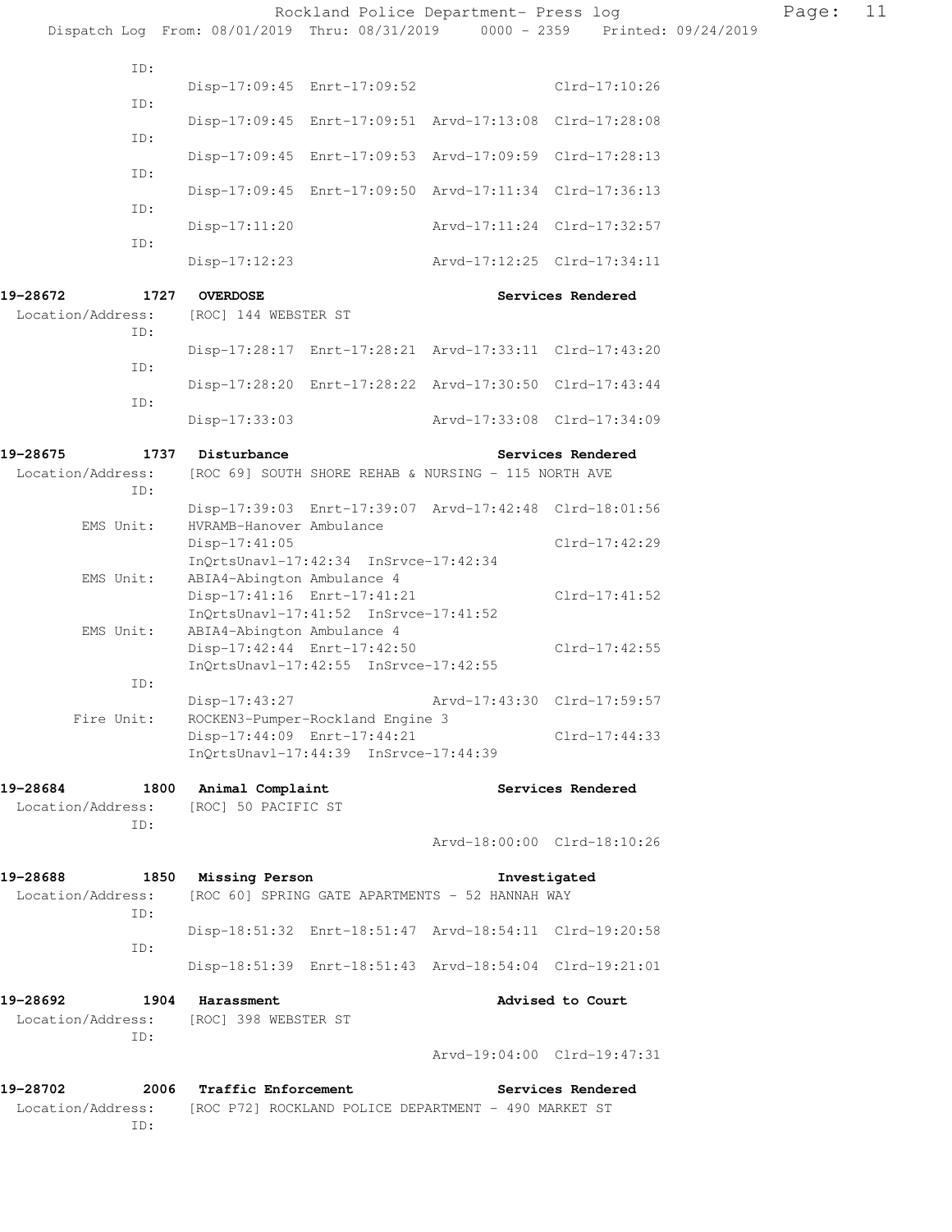|                                                                                |                                                                                                    | Rockland Police Department- Press log |                             | Page: | 11 |
|--------------------------------------------------------------------------------|----------------------------------------------------------------------------------------------------|---------------------------------------|-----------------------------|-------|----|
| Dispatch Log From: 08/01/2019 Thru: 08/31/2019 0000 - 2359 Printed: 09/24/2019 |                                                                                                    |                                       |                             |       |    |
| ID:                                                                            |                                                                                                    |                                       |                             |       |    |
| ID:                                                                            | Disp-17:09:45 Enrt-17:09:52                                                                        |                                       | $Clrd-17:10:26$             |       |    |
|                                                                                | Disp-17:09:45 Enrt-17:09:51 Arvd-17:13:08 Clrd-17:28:08                                            |                                       |                             |       |    |
| ID:                                                                            | Disp-17:09:45 Enrt-17:09:53 Arvd-17:09:59 Clrd-17:28:13                                            |                                       |                             |       |    |
| ID:                                                                            | Disp-17:09:45 Enrt-17:09:50 Arvd-17:11:34 Clrd-17:36:13                                            |                                       |                             |       |    |
| ID:                                                                            | $Disp-17:11:20$                                                                                    | Arvd-17:11:24 Clrd-17:32:57           |                             |       |    |
| ID:                                                                            |                                                                                                    | Arvd-17:12:25 Clrd-17:34:11           |                             |       |    |
|                                                                                | Disp-17:12:23                                                                                      |                                       |                             |       |    |
| 19-28672<br>Location/Address:<br>ID:                                           | 1727 OVERDOSE<br>[ROC] 144 WEBSTER ST                                                              |                                       | Services Rendered           |       |    |
| ID:                                                                            | Disp-17:28:17 Enrt-17:28:21 Arvd-17:33:11 Clrd-17:43:20                                            |                                       |                             |       |    |
| ID:                                                                            | Disp-17:28:20 Enrt-17:28:22 Arvd-17:30:50 Clrd-17:43:44                                            |                                       |                             |       |    |
|                                                                                | Disp-17:33:03                                                                                      | Arvd-17:33:08 Clrd-17:34:09           |                             |       |    |
| 19-28675                                                                       | 1737 Disturbance                                                                                   |                                       | Services Rendered           |       |    |
| Location/Address:                                                              | [ROC 69] SOUTH SHORE REHAB & NURSING - 115 NORTH AVE                                               |                                       |                             |       |    |
| ID:                                                                            | Disp-17:39:03 Enrt-17:39:07 Arvd-17:42:48 Clrd-18:01:56                                            |                                       |                             |       |    |
| EMS Unit:                                                                      | HVRAMB-Hanover Ambulance<br>Disp-17:41:05                                                          |                                       | Clrd-17:42:29               |       |    |
| EMS Unit:                                                                      | InQrtsUnavl-17:42:34 InSrvce-17:42:34<br>ABIA4-Abington Ambulance 4                                |                                       |                             |       |    |
|                                                                                | Disp-17:41:16 Enrt-17:41:21<br>$InQrtsUnav1-17:41:52 InSrvce-17:41:52$                             |                                       | Clrd-17:41:52               |       |    |
| EMS Unit:                                                                      | ABIA4-Abington Ambulance 4<br>Disp-17:42:44 Enrt-17:42:50<br>InQrtsUnavl-17:42:55 InSrvce-17:42:55 |                                       | $Clrd-17:42:55$             |       |    |
| ID:                                                                            |                                                                                                    |                                       |                             |       |    |
| Fire Unit:                                                                     | Disp-17:43:27<br>ROCKEN3-Pumper-Rockland Engine 3                                                  | Arvd-17:43:30 Clrd-17:59:57           |                             |       |    |
|                                                                                | Disp-17:44:09 Enrt-17:44:21<br>InOrtsUnavl-17:44:39 InSrvce-17:44:39                               |                                       | $Clrd-17:44:33$             |       |    |
| 19-28684                                                                       | 1800 Animal Complaint                                                                              |                                       | Services Rendered           |       |    |
| Location/Address:<br>ID:                                                       | [ROC] 50 PACIFIC ST                                                                                |                                       |                             |       |    |
|                                                                                |                                                                                                    |                                       | Arvd-18:00:00 Clrd-18:10:26 |       |    |
| 19-28688                                                                       | 1850 Missing Person                                                                                |                                       | Investigated                |       |    |
| Location/Address:<br>ID:                                                       | [ROC 60] SPRING GATE APARTMENTS - 52 HANNAH WAY                                                    |                                       |                             |       |    |
| ID:                                                                            | Disp-18:51:32 Enrt-18:51:47 Arvd-18:54:11 Clrd-19:20:58                                            |                                       |                             |       |    |
|                                                                                | Disp-18:51:39 Enrt-18:51:43 Arvd-18:54:04 Clrd-19:21:01                                            |                                       |                             |       |    |
| 19–28692                                                                       | 1904 Harassment                                                                                    |                                       | Advised to Court            |       |    |
| Location/Address: [ROC] 398 WEBSTER ST<br>ID:                                  |                                                                                                    |                                       |                             |       |    |
|                                                                                |                                                                                                    |                                       | Arvd-19:04:00 Clrd-19:47:31 |       |    |
| 19-28702                                                                       | 2006 Traffic Enforcement                                                                           |                                       | Services Rendered           |       |    |
| Location/Address: [ROC P72] ROCKLAND POLICE DEPARTMENT - 490 MARKET ST         |                                                                                                    |                                       |                             |       |    |

ID: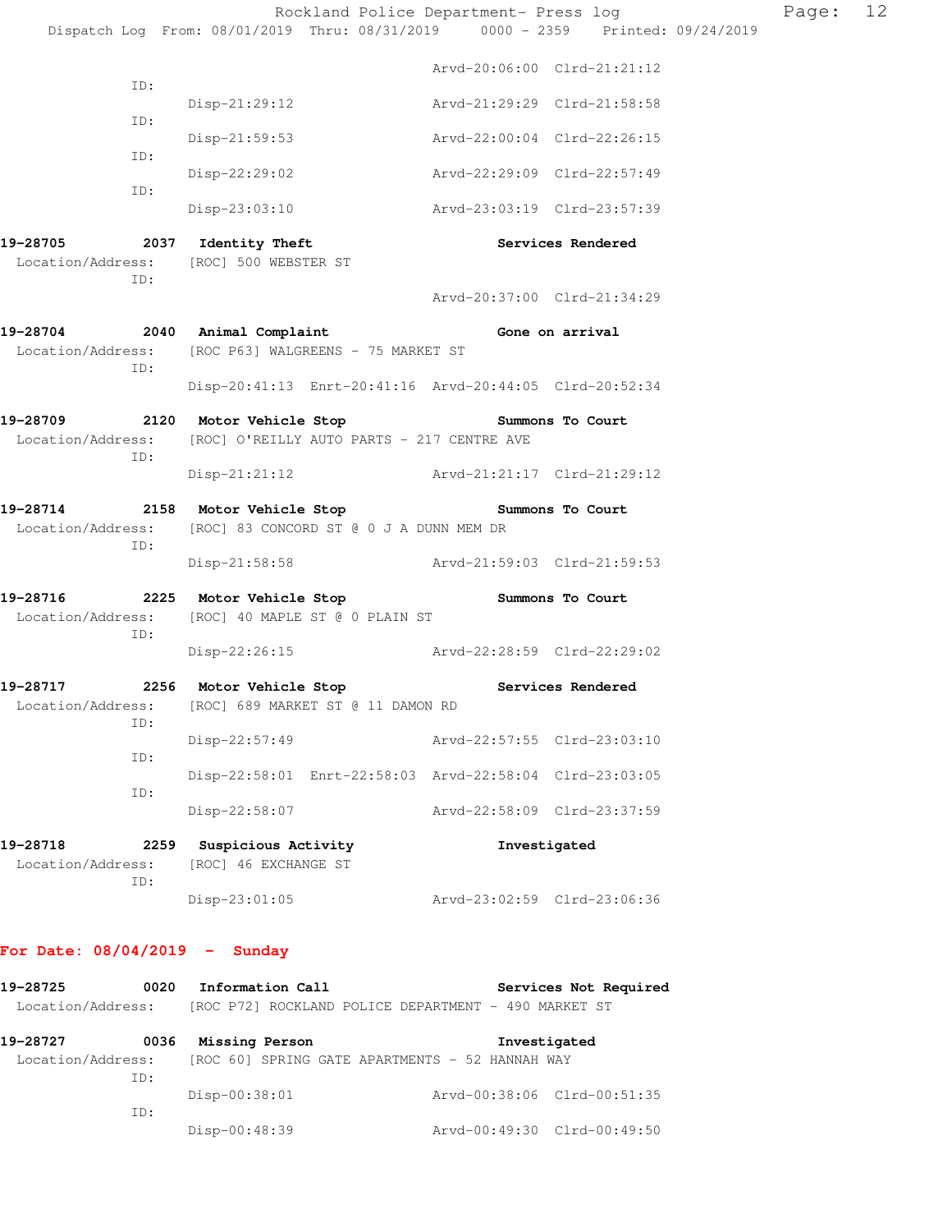|                               |                                                                                                                  |                             | Rockland Police Department- Press log | 12<br>Page: |  |
|-------------------------------|------------------------------------------------------------------------------------------------------------------|-----------------------------|---------------------------------------|-------------|--|
|                               | Dispatch Log From: 08/01/2019 Thru: 08/31/2019 0000 - 2359 Printed: 09/24/2019                                   |                             |                                       |             |  |
|                               |                                                                                                                  | Arvd-20:06:00 Clrd-21:21:12 |                                       |             |  |
| ID:                           | Disp-21:29:12                                                                                                    | Arvd-21:29:29 Clrd-21:58:58 |                                       |             |  |
| ID:                           | Disp-21:59:53                                                                                                    | Arvd-22:00:04 Clrd-22:26:15 |                                       |             |  |
| ID:                           | $Disp-22:29:02$                                                                                                  | Arvd-22:29:09 Clrd-22:57:49 |                                       |             |  |
| ID:                           | $Disp-23:03:10$ $Arvd-23:03:19$ $Clrd-23:57:39$                                                                  |                             |                                       |             |  |
|                               | 19-28705 2037 Identity Theft                                                                                     |                             | Services Rendered                     |             |  |
| ID:                           | Location/Address: [ROC] 500 WEBSTER ST                                                                           |                             |                                       |             |  |
|                               |                                                                                                                  | Arvd-20:37:00 Clrd-21:34:29 |                                       |             |  |
| ID:                           | 19-28704 2040 Animal Complaint Component Cone on arrival<br>Location/Address: [ROC P63] WALGREENS - 75 MARKET ST |                             |                                       |             |  |
|                               | Disp-20:41:13 Enrt-20:41:16 Arvd-20:44:05 Clrd-20:52:34                                                          |                             |                                       |             |  |
| Location/Address:<br>ID:      | 19-28709 2120 Motor Vehicle Stop<br>[ROC] O'REILLY AUTO PARTS - 217 CENTRE AVE                                   | Summons To Court            |                                       |             |  |
|                               | Disp-21:21:12 Arvd-21:21:17 Clrd-21:29:12                                                                        |                             |                                       |             |  |
| Location/Address:<br>ID:      | 19-28714 2158 Motor Vehicle Stop Summons To Court<br>[ROC] 83 CONCORD ST @ 0 J A DUNN MEM DR                     |                             |                                       |             |  |
|                               | Disp-21:58:58 Arvd-21:59:03 Clrd-21:59:53                                                                        |                             |                                       |             |  |
| ID:                           | 19-28716 2225 Motor Vehicle Stop Summons To Court<br>Location/Address: [ROC] 40 MAPLE ST @ 0 PLAIN ST            |                             |                                       |             |  |
|                               | Disp-22:26:15 Arvd-22:28:59 Clrd-22:29:02                                                                        |                             |                                       |             |  |
| 19-28717<br>Location/Address: | 2256 Motor Vehicle Stop<br>[ROC] 689 MARKET ST @ 11 DAMON RD                                                     |                             | Services Rendered                     |             |  |
| ID:                           | Disp-22:57:49                                                                                                    | Arvd-22:57:55 Clrd-23:03:10 |                                       |             |  |
| ID:                           | Disp-22:58:01 Enrt-22:58:03 Arvd-22:58:04 Clrd-23:03:05                                                          |                             |                                       |             |  |
| ID:                           | Disp-22:58:07                                                                                                    | Arvd-22:58:09 Clrd-23:37:59 |                                       |             |  |
| 19-28718                      | 2259 Suspicious Activity                                                                                         | Investigated                |                                       |             |  |
| Location/Address:<br>ID:      | [ROC] 46 EXCHANGE ST<br>Disp-23:01:05                                                                            | Arvd-23:02:59 Clrd-23:06:36 |                                       |             |  |
|                               |                                                                                                                  |                             |                                       |             |  |

# **For Date: 08/04/2019 - Sunday**

| 19-28725          | 0020 | Information Call                                     | Services Not Required       |
|-------------------|------|------------------------------------------------------|-----------------------------|
| Location/Address: |      | [ROC P72] ROCKLAND POLICE DEPARTMENT - 490 MARKET ST |                             |
| 19-28727          | 0036 | Missing Person                                       | Investigated                |
| Location/Address: |      | [ROC 60] SPRING GATE APARTMENTS - 52 HANNAH WAY      |                             |
|                   | TD:  |                                                      |                             |
|                   |      | $Disp-00:38:01$                                      | Arvd-00:38:06 Clrd-00:51:35 |
|                   | TD:  |                                                      |                             |
|                   |      | Disp-00:48:39                                        | Arvd-00:49:30 Clrd-00:49:50 |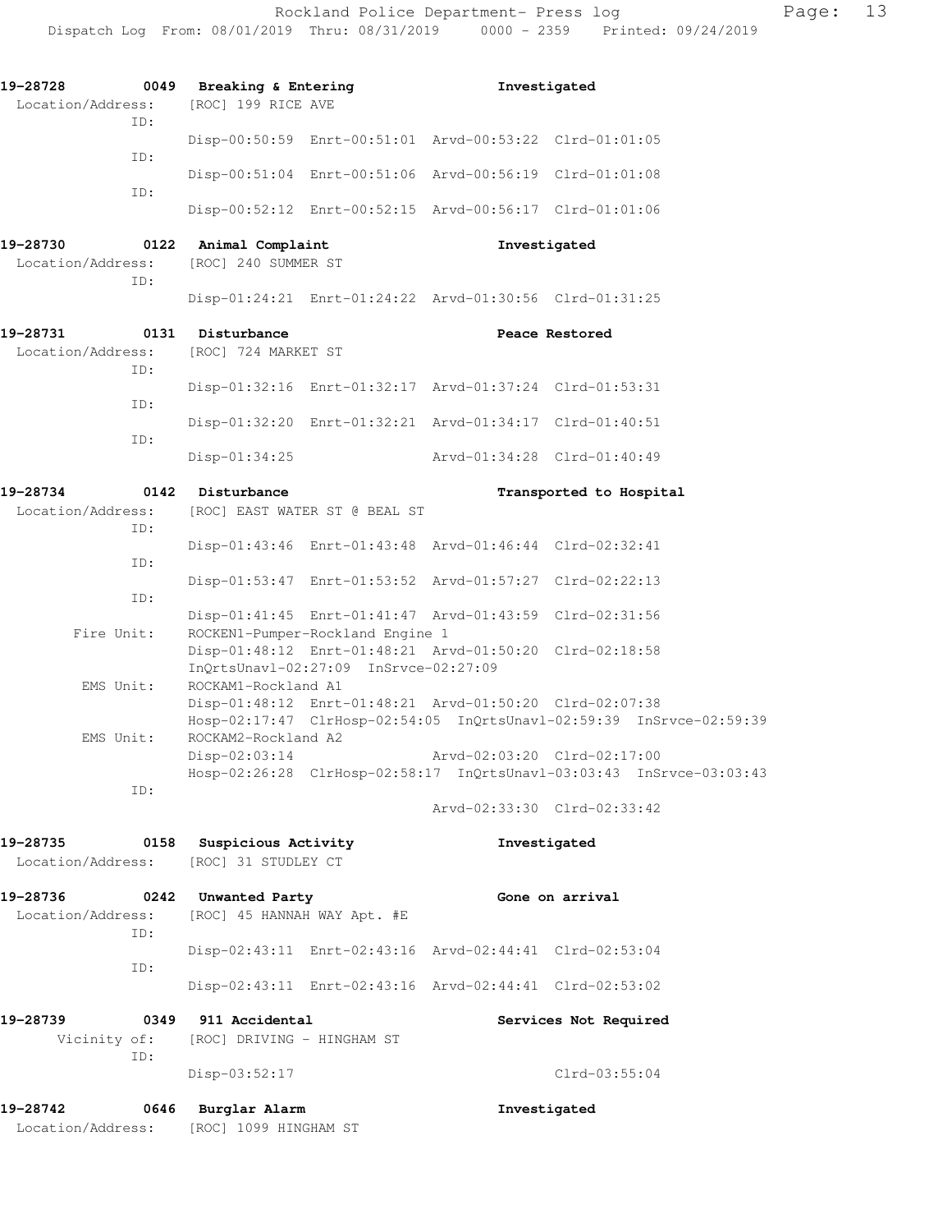| 19-28728<br>Location/Address:<br>ID:         | 0049 Breaking & Entering<br>[ROC] 199 RICE AVE     |                                                                                                  | Investigated                                                                                        |
|----------------------------------------------|----------------------------------------------------|--------------------------------------------------------------------------------------------------|-----------------------------------------------------------------------------------------------------|
|                                              |                                                    | Disp-00:50:59 Enrt-00:51:01 Arvd-00:53:22 Clrd-01:01:05                                          |                                                                                                     |
| ID:<br>ID:                                   |                                                    | Disp-00:51:04 Enrt-00:51:06 Arvd-00:56:19 Clrd-01:01:08                                          |                                                                                                     |
|                                              |                                                    | Disp-00:52:12 Enrt-00:52:15 Arvd-00:56:17 Clrd-01:01:06                                          |                                                                                                     |
| 19-28730<br>0122<br>Location/Address:<br>ID: | Animal Complaint<br>[ROC] 240 SUMMER ST            |                                                                                                  | Investigated                                                                                        |
|                                              |                                                    | Disp-01:24:21 Enrt-01:24:22 Arvd-01:30:56 Clrd-01:31:25                                          |                                                                                                     |
| 19-28731<br>0131<br>Location/Address:        | Disturbance<br>[ROC] 724 MARKET ST                 |                                                                                                  | Peace Restored                                                                                      |
| ID:                                          |                                                    | Disp-01:32:16 Enrt-01:32:17 Arvd-01:37:24 Clrd-01:53:31                                          |                                                                                                     |
| ID:                                          |                                                    | Disp-01:32:20 Enrt-01:32:21 Arvd-01:34:17 Clrd-01:40:51                                          |                                                                                                     |
| ID:                                          | Disp-01:34:25                                      |                                                                                                  | Arvd-01:34:28 Clrd-01:40:49                                                                         |
| 19-28734<br>0142                             | Disturbance                                        |                                                                                                  | Transported to Hospital                                                                             |
| Location/Address:<br>ID:                     |                                                    | [ROC] EAST WATER ST @ BEAL ST                                                                    |                                                                                                     |
| ID:                                          |                                                    | Disp-01:43:46 Enrt-01:43:48 Arvd-01:46:44 Clrd-02:32:41                                          |                                                                                                     |
| ID:                                          |                                                    | Disp-01:53:47 Enrt-01:53:52 Arvd-01:57:27 Clrd-02:22:13                                          |                                                                                                     |
| Fire Unit:                                   |                                                    | Disp-01:41:45 Enrt-01:41:47 Arvd-01:43:59 Clrd-02:31:56<br>ROCKEN1-Pumper-Rockland Engine 1      |                                                                                                     |
|                                              |                                                    | Disp-01:48:12 Enrt-01:48:21 Arvd-01:50:20 Clrd-02:18:58<br>InQrtsUnavl-02:27:09 InSrvce-02:27:09 |                                                                                                     |
| EMS Unit:                                    | ROCKAM1-Rockland A1                                | Disp-01:48:12 Enrt-01:48:21 Arvd-01:50:20 Clrd-02:07:38                                          | Hosp-02:17:47 ClrHosp-02:54:05 InQrtsUnavl-02:59:39 InSrvce-02:59:39                                |
| EMS Unit:                                    | ROCKAM2-Rockland A2<br>Disp-02:03:14               |                                                                                                  | Arvd-02:03:20 Clrd-02:17:00<br>Hosp-02:26:28 ClrHosp-02:58:17 InQrtsUnavl-03:03:43 InSrvce-03:03:43 |
| ID:                                          |                                                    |                                                                                                  | Arvd-02:33:30 Clrd-02:33:42                                                                         |
|                                              |                                                    |                                                                                                  |                                                                                                     |
| 19-28735<br>Location/Address:                | 0158 Suspicious Activity<br>[ROC] 31 STUDLEY CT    |                                                                                                  | Investigated                                                                                        |
| 19-28736<br>Location/Address:<br>ID:         | 0242 Unwanted Party<br>[ROC] 45 HANNAH WAY Apt. #E |                                                                                                  | Gone on arrival                                                                                     |
| ID:                                          |                                                    | Disp-02:43:11 Enrt-02:43:16 Arvd-02:44:41 Clrd-02:53:04                                          |                                                                                                     |
|                                              |                                                    | Disp-02:43:11 Enrt-02:43:16 Arvd-02:44:41 Clrd-02:53:02                                          |                                                                                                     |
| 0349<br>19-28739<br>Vicinity of:<br>ID:      | 911 Accidental<br>[ROC] DRIVING - HINGHAM ST       |                                                                                                  | Services Not Required                                                                               |
|                                              | Disp-03:52:17                                      |                                                                                                  | $Clrd-03:55:04$                                                                                     |
| 19-28742<br>0646<br>Location/Address:        | Burglar Alarm<br>[ROC] 1099 HINGHAM ST             |                                                                                                  | Investigated                                                                                        |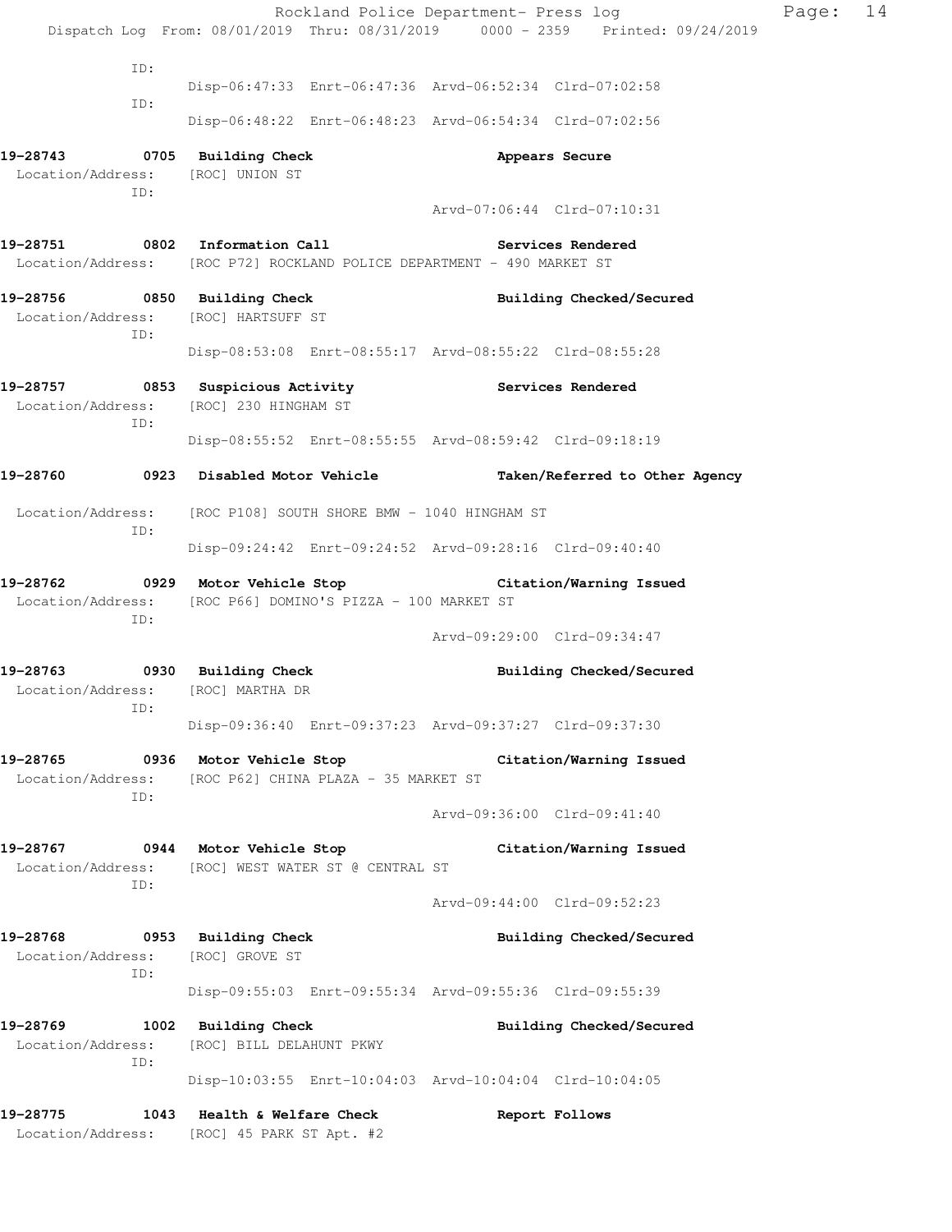|                                                                           | Dispatch Log From: 08/01/2019 Thru: 08/31/2019   0000 - 2359   Printed: 09/24/2019                                                                                         |                                                                                                                                                                                                                                                                                                                                                                                                                                                                                                                                                                                                                                                                                                                                                                                                                                                                                                                                                                                                                                                                                                                                                                                        |  |
|---------------------------------------------------------------------------|----------------------------------------------------------------------------------------------------------------------------------------------------------------------------|----------------------------------------------------------------------------------------------------------------------------------------------------------------------------------------------------------------------------------------------------------------------------------------------------------------------------------------------------------------------------------------------------------------------------------------------------------------------------------------------------------------------------------------------------------------------------------------------------------------------------------------------------------------------------------------------------------------------------------------------------------------------------------------------------------------------------------------------------------------------------------------------------------------------------------------------------------------------------------------------------------------------------------------------------------------------------------------------------------------------------------------------------------------------------------------|--|
|                                                                           |                                                                                                                                                                            |                                                                                                                                                                                                                                                                                                                                                                                                                                                                                                                                                                                                                                                                                                                                                                                                                                                                                                                                                                                                                                                                                                                                                                                        |  |
|                                                                           |                                                                                                                                                                            |                                                                                                                                                                                                                                                                                                                                                                                                                                                                                                                                                                                                                                                                                                                                                                                                                                                                                                                                                                                                                                                                                                                                                                                        |  |
|                                                                           |                                                                                                                                                                            |                                                                                                                                                                                                                                                                                                                                                                                                                                                                                                                                                                                                                                                                                                                                                                                                                                                                                                                                                                                                                                                                                                                                                                                        |  |
|                                                                           |                                                                                                                                                                            |                                                                                                                                                                                                                                                                                                                                                                                                                                                                                                                                                                                                                                                                                                                                                                                                                                                                                                                                                                                                                                                                                                                                                                                        |  |
| 19-28743 0705 Building Check<br>Location/Address: [ROC] UNION ST          |                                                                                                                                                                            |                                                                                                                                                                                                                                                                                                                                                                                                                                                                                                                                                                                                                                                                                                                                                                                                                                                                                                                                                                                                                                                                                                                                                                                        |  |
|                                                                           |                                                                                                                                                                            |                                                                                                                                                                                                                                                                                                                                                                                                                                                                                                                                                                                                                                                                                                                                                                                                                                                                                                                                                                                                                                                                                                                                                                                        |  |
| 19-28751 0802 Information Call                                            |                                                                                                                                                                            |                                                                                                                                                                                                                                                                                                                                                                                                                                                                                                                                                                                                                                                                                                                                                                                                                                                                                                                                                                                                                                                                                                                                                                                        |  |
|                                                                           |                                                                                                                                                                            |                                                                                                                                                                                                                                                                                                                                                                                                                                                                                                                                                                                                                                                                                                                                                                                                                                                                                                                                                                                                                                                                                                                                                                                        |  |
| 19-28756 0850 Building Check<br>Location/Address: [ROC] HARTSUFF ST       |                                                                                                                                                                            |                                                                                                                                                                                                                                                                                                                                                                                                                                                                                                                                                                                                                                                                                                                                                                                                                                                                                                                                                                                                                                                                                                                                                                                        |  |
|                                                                           |                                                                                                                                                                            |                                                                                                                                                                                                                                                                                                                                                                                                                                                                                                                                                                                                                                                                                                                                                                                                                                                                                                                                                                                                                                                                                                                                                                                        |  |
| Location/Address: [ROC] 230 HINGHAM ST                                    |                                                                                                                                                                            |                                                                                                                                                                                                                                                                                                                                                                                                                                                                                                                                                                                                                                                                                                                                                                                                                                                                                                                                                                                                                                                                                                                                                                                        |  |
|                                                                           |                                                                                                                                                                            |                                                                                                                                                                                                                                                                                                                                                                                                                                                                                                                                                                                                                                                                                                                                                                                                                                                                                                                                                                                                                                                                                                                                                                                        |  |
|                                                                           |                                                                                                                                                                            |                                                                                                                                                                                                                                                                                                                                                                                                                                                                                                                                                                                                                                                                                                                                                                                                                                                                                                                                                                                                                                                                                                                                                                                        |  |
|                                                                           |                                                                                                                                                                            |                                                                                                                                                                                                                                                                                                                                                                                                                                                                                                                                                                                                                                                                                                                                                                                                                                                                                                                                                                                                                                                                                                                                                                                        |  |
|                                                                           |                                                                                                                                                                            |                                                                                                                                                                                                                                                                                                                                                                                                                                                                                                                                                                                                                                                                                                                                                                                                                                                                                                                                                                                                                                                                                                                                                                                        |  |
|                                                                           |                                                                                                                                                                            |                                                                                                                                                                                                                                                                                                                                                                                                                                                                                                                                                                                                                                                                                                                                                                                                                                                                                                                                                                                                                                                                                                                                                                                        |  |
|                                                                           |                                                                                                                                                                            |                                                                                                                                                                                                                                                                                                                                                                                                                                                                                                                                                                                                                                                                                                                                                                                                                                                                                                                                                                                                                                                                                                                                                                                        |  |
| 19-28763 0930 Building Check<br>Location/Address: [ROC] MARTHA DR         |                                                                                                                                                                            |                                                                                                                                                                                                                                                                                                                                                                                                                                                                                                                                                                                                                                                                                                                                                                                                                                                                                                                                                                                                                                                                                                                                                                                        |  |
|                                                                           |                                                                                                                                                                            |                                                                                                                                                                                                                                                                                                                                                                                                                                                                                                                                                                                                                                                                                                                                                                                                                                                                                                                                                                                                                                                                                                                                                                                        |  |
| 0936 Motor Vehicle Stop                                                   |                                                                                                                                                                            |                                                                                                                                                                                                                                                                                                                                                                                                                                                                                                                                                                                                                                                                                                                                                                                                                                                                                                                                                                                                                                                                                                                                                                                        |  |
|                                                                           |                                                                                                                                                                            |                                                                                                                                                                                                                                                                                                                                                                                                                                                                                                                                                                                                                                                                                                                                                                                                                                                                                                                                                                                                                                                                                                                                                                                        |  |
| 19-28767 0944 Motor Vehicle Stop                                          |                                                                                                                                                                            |                                                                                                                                                                                                                                                                                                                                                                                                                                                                                                                                                                                                                                                                                                                                                                                                                                                                                                                                                                                                                                                                                                                                                                                        |  |
|                                                                           |                                                                                                                                                                            |                                                                                                                                                                                                                                                                                                                                                                                                                                                                                                                                                                                                                                                                                                                                                                                                                                                                                                                                                                                                                                                                                                                                                                                        |  |
| 0953 Building Check<br>[ROC] GROVE ST                                     |                                                                                                                                                                            |                                                                                                                                                                                                                                                                                                                                                                                                                                                                                                                                                                                                                                                                                                                                                                                                                                                                                                                                                                                                                                                                                                                                                                                        |  |
|                                                                           |                                                                                                                                                                            |                                                                                                                                                                                                                                                                                                                                                                                                                                                                                                                                                                                                                                                                                                                                                                                                                                                                                                                                                                                                                                                                                                                                                                                        |  |
| 1002 Building Check<br>[ROC] BILL DELAHUNT PKWY                           |                                                                                                                                                                            |                                                                                                                                                                                                                                                                                                                                                                                                                                                                                                                                                                                                                                                                                                                                                                                                                                                                                                                                                                                                                                                                                                                                                                                        |  |
|                                                                           |                                                                                                                                                                            |                                                                                                                                                                                                                                                                                                                                                                                                                                                                                                                                                                                                                                                                                                                                                                                                                                                                                                                                                                                                                                                                                                                                                                                        |  |
| 1043 Health & Welfare Check<br>Location/Address: [ROC] 45 PARK ST Apt. #2 |                                                                                                                                                                            |                                                                                                                                                                                                                                                                                                                                                                                                                                                                                                                                                                                                                                                                                                                                                                                                                                                                                                                                                                                                                                                                                                                                                                                        |  |
|                                                                           | Location/Address: [ROC P66] DOMINO'S PIZZA - 100 MARKET ST<br>Location/Address: [ROC P62] CHINA PLAZA - 35 MARKET ST<br>Location/Address: [ROC] WEST WATER ST @ CENTRAL ST | Disp-06:47:33 Enrt-06:47:36 Arvd-06:52:34 Clrd-07:02:58<br>Disp-06:48:22 Enrt-06:48:23 Arvd-06:54:34 Clrd-07:02:56<br>Appears Secure<br>Arvd-07:06:44 Clrd-07:10:31<br>Services Rendered<br>Location/Address: [ROC P72] ROCKLAND POLICE DEPARTMENT - 490 MARKET ST<br>Building Checked/Secured<br>Disp-08:53:08 Enrt-08:55:17 Arvd-08:55:22 Clrd-08:55:28<br>19-28757 0853 Suspicious Activity The Services Rendered<br>Disp-08:55:52 Enrt-08:55:55 Arvd-08:59:42 Clrd-09:18:19<br>0923 Disabled Motor Vehicle Taken/Referred to Other Agency<br>Location/Address: [ROC P108] SOUTH SHORE BMW - 1040 HINGHAM ST<br>Disp-09:24:42 Enrt-09:24:52 Arvd-09:28:16 Clrd-09:40:40<br>19-28762 		 0929 Motor Vehicle Stop 		 Citation/Warning Issued<br>Arvd-09:29:00 Clrd-09:34:47<br>Building Checked/Secured<br>Disp-09:36:40 Enrt-09:37:23 Arvd-09:37:27 Clrd-09:37:30<br>Citation/Warning Issued<br>Arvd-09:36:00 Clrd-09:41:40<br>Citation/Warning Issued<br>Arvd-09:44:00 Clrd-09:52:23<br>Building Checked/Secured<br>Disp-09:55:03 Enrt-09:55:34 Arvd-09:55:36 Clrd-09:55:39<br>Building Checked/Secured<br>Disp-10:03:55 Enrt-10:04:03 Arvd-10:04:04 Clrd-10:04:05<br>Report Follows |  |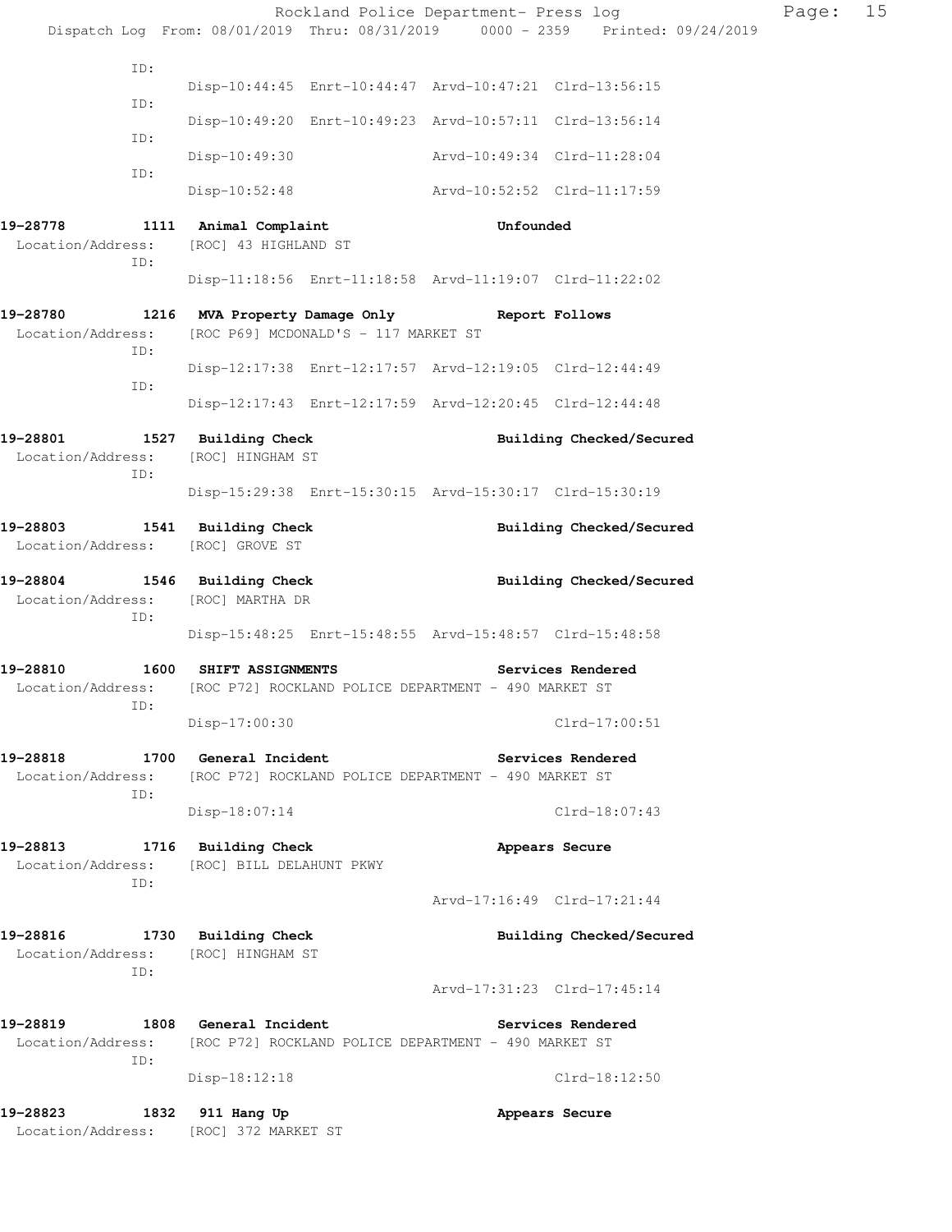|                                                                               |                                              | Rockland Police Department- Press log                   |                                                                                | Page: | 15 |
|-------------------------------------------------------------------------------|----------------------------------------------|---------------------------------------------------------|--------------------------------------------------------------------------------|-------|----|
|                                                                               |                                              |                                                         | Dispatch Log From: 08/01/2019 Thru: 08/31/2019 0000 - 2359 Printed: 09/24/2019 |       |    |
| ID:                                                                           |                                              | Disp-10:44:45 Enrt-10:44:47 Arvd-10:47:21 Clrd-13:56:15 |                                                                                |       |    |
| ID:                                                                           |                                              |                                                         |                                                                                |       |    |
| ID:                                                                           |                                              | Disp-10:49:20 Enrt-10:49:23 Arvd-10:57:11 Clrd-13:56:14 |                                                                                |       |    |
| ID:                                                                           |                                              | Disp-10:49:30 Arvd-10:49:34 Clrd-11:28:04               |                                                                                |       |    |
|                                                                               |                                              | Disp-10:52:48 Arvd-10:52:52 Clrd-11:17:59               |                                                                                |       |    |
| 19-28778 1111 Animal Complaint                                                |                                              | Unfounded                                               |                                                                                |       |    |
| Location/Address: [ROC] 43 HIGHLAND ST<br>ID:                                 |                                              |                                                         |                                                                                |       |    |
|                                                                               |                                              | Disp-11:18:56 Enrt-11:18:58 Arvd-11:19:07 Clrd-11:22:02 |                                                                                |       |    |
| 19-28780                                                                      | 1216 MVA Property Damage Only Seport Follows |                                                         |                                                                                |       |    |
| Location/Address: [ROC P69] MCDONALD'S - 117 MARKET ST<br>ID:                 |                                              |                                                         |                                                                                |       |    |
| ID:                                                                           |                                              | Disp-12:17:38 Enrt-12:17:57 Arvd-12:19:05 Clrd-12:44:49 |                                                                                |       |    |
|                                                                               |                                              | Disp-12:17:43 Enrt-12:17:59 Arvd-12:20:45 Clrd-12:44:48 |                                                                                |       |    |
| 19-28801 1527 Building Check                                                  |                                              |                                                         | Building Checked/Secured                                                       |       |    |
| Location/Address: [ROC] HINGHAM ST                                            |                                              |                                                         |                                                                                |       |    |
| ID:                                                                           |                                              | Disp-15:29:38 Enrt-15:30:15 Arvd-15:30:17 Clrd-15:30:19 |                                                                                |       |    |
| 19-28803                                                                      | 1541 Building Check                          |                                                         | Building Checked/Secured                                                       |       |    |
| Location/Address: [ROC] GROVE ST                                              |                                              |                                                         |                                                                                |       |    |
| 19-28804 1546 Building Check                                                  |                                              |                                                         | Building Checked/Secured                                                       |       |    |
| Location/Address: [ROC] MARTHA DR                                             |                                              |                                                         |                                                                                |       |    |
| ID:                                                                           |                                              | Disp-15:48:25 Enrt-15:48:55 Arvd-15:48:57 Clrd-15:48:58 |                                                                                |       |    |
| 19-28810                                                                      | 1600 SHIFT ASSIGNMENTS                       |                                                         | Services Rendered                                                              |       |    |
| Location/Address: [ROC P72] ROCKLAND POLICE DEPARTMENT - 490 MARKET ST        |                                              |                                                         |                                                                                |       |    |
| ID:                                                                           | $Disp-17:00:30$                              |                                                         | $Clrd-17:00:51$                                                                |       |    |
| 19-28818                                                                      | 1700 General Incident                        |                                                         | Services Rendered                                                              |       |    |
| Location/Address: [ROC P72] ROCKLAND POLICE DEPARTMENT - 490 MARKET ST<br>ID: |                                              |                                                         |                                                                                |       |    |
|                                                                               | Disp-18:07:14                                |                                                         | $Clrd-18:07:43$                                                                |       |    |
| 19-28813                                                                      | 1716 Building Check                          |                                                         | Appears Secure                                                                 |       |    |
| Location/Address: [ROC] BILL DELAHUNT PKWY                                    |                                              |                                                         |                                                                                |       |    |
| ID:                                                                           |                                              | Arvd-17:16:49 Clrd-17:21:44                             |                                                                                |       |    |
| 19-28816                                                                      | 1730 Building Check                          |                                                         | Building Checked/Secured                                                       |       |    |
| Location/Address: [ROC] HINGHAM ST                                            |                                              |                                                         |                                                                                |       |    |
| ID:                                                                           |                                              | Arvd-17:31:23 Clrd-17:45:14                             |                                                                                |       |    |
| 19-28819                                                                      | 1808 General Incident                        |                                                         | Services Rendered                                                              |       |    |
| Location/Address: [ROC P72] ROCKLAND POLICE DEPARTMENT - 490 MARKET ST<br>ID: |                                              |                                                         |                                                                                |       |    |
|                                                                               | $Disp-18:12:18$                              |                                                         | Clrd-18:12:50                                                                  |       |    |
| 19-28823                                                                      | 1832 911 Hang Up                             |                                                         | Appears Secure                                                                 |       |    |
| Location/Address: [ROC] 372 MARKET ST                                         |                                              |                                                         |                                                                                |       |    |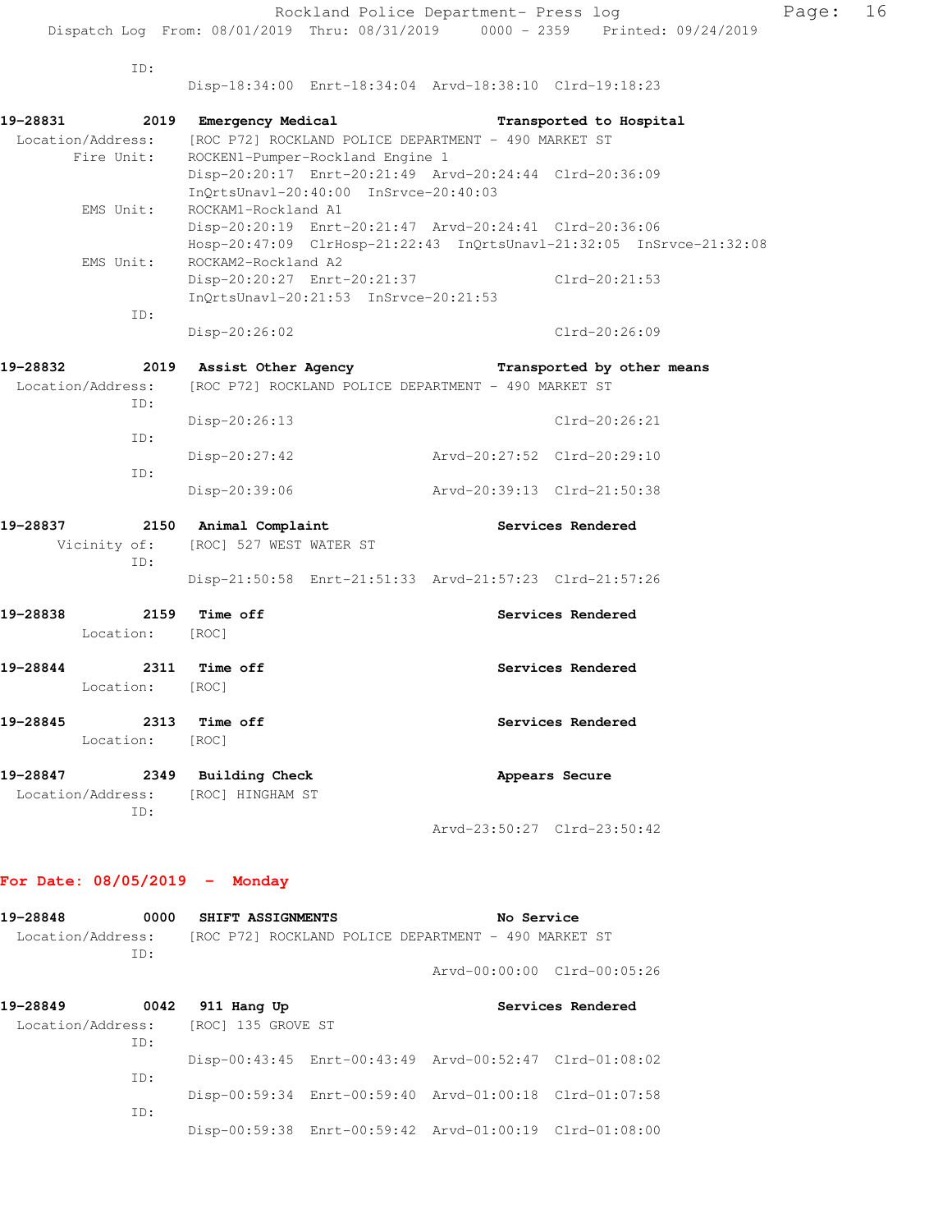ID:

Disp-18:34:00 Enrt-18:34:04 Arvd-18:38:10 Clrd-19:18:23

| 19-28831 |                                 | 2019 Emergency Medical                                                    |                                                                                                                 | Transported to Hospital                                              |
|----------|---------------------------------|---------------------------------------------------------------------------|-----------------------------------------------------------------------------------------------------------------|----------------------------------------------------------------------|
|          | Location/Address:<br>Fire Unit: | ROCKEN1-Pumper-Rockland Engine 1<br>InQrtsUnavl-20:40:00 InSrvce-20:40:03 | [ROC P72] ROCKLAND POLICE DEPARTMENT - 490 MARKET ST<br>Disp-20:20:17 Enrt-20:21:49 Arvd-20:24:44 Clrd-20:36:09 |                                                                      |
|          | EMS Unit:                       | ROCKAM1-Rockland A1                                                       | Disp-20:20:19 Enrt-20:21:47 Arvd-20:24:41 Clrd-20:36:06                                                         | Hosp-20:47:09 ClrHosp-21:22:43 InQrtsUnavl-21:32:05 InSrvce-21:32:08 |
|          | EMS Unit:                       | ROCKAM2-Rockland A2<br>Disp-20:20:27 Enrt-20:21:37                        |                                                                                                                 | $Clrd-20:21:53$                                                      |
|          | ID:                             | $InQrtsUnav1-20:21:53$ $InSrvce-20:21:53$                                 |                                                                                                                 |                                                                      |
|          |                                 | $Disp-20:26:02$                                                           |                                                                                                                 | $Clrd-20:26:09$                                                      |
| 19-28832 | Location/Address:<br>TD:        | 2019 Assist Other Agency                                                  | [ROC P72] ROCKLAND POLICE DEPARTMENT - 490 MARKET ST                                                            | Transported by other means                                           |
|          | ID:                             | Disp-20:26:13                                                             |                                                                                                                 | Clrd-20:26:21                                                        |
|          | ID:                             | $Disp-20:27:42$                                                           |                                                                                                                 | Arvd-20:27:52 Clrd-20:29:10                                          |
|          |                                 | Disp-20:39:06                                                             |                                                                                                                 | Arvd-20:39:13 Clrd-21:50:38                                          |
| 19-28837 | Vicinity of:<br>ID:             | 2150 Animal Complaint<br>[ROC] 527 WEST WATER ST                          |                                                                                                                 | Services Rendered                                                    |
|          |                                 |                                                                           | Disp-21:50:58 Enrt-21:51:33 Arvd-21:57:23 Clrd-21:57:26                                                         |                                                                      |
| 19-28838 | Location: [ROC]                 | 2159 Time off                                                             |                                                                                                                 | Services Rendered                                                    |
| 19-28844 | Location: [ROC]                 | 2311 Time off                                                             |                                                                                                                 | Services Rendered                                                    |
| 19-28845 | Location: [ROC]                 | 2313 Time off                                                             |                                                                                                                 | Services Rendered                                                    |
| 19-28847 | Location/Address:<br>TD:        | 2349 Building Check<br>[ROC] HINGHAM ST                                   |                                                                                                                 | Appears Secure                                                       |
|          |                                 |                                                                           |                                                                                                                 | Arvd-23:50:27 Clrd-23:50:42                                          |

### **For Date: 08/05/2019 - Monday**

| 19-28848          | 0000 | SHIFT ASSIGNMENTS  | No Service                                              |                   |
|-------------------|------|--------------------|---------------------------------------------------------|-------------------|
| Location/Address: | ID:  |                    | [ROC P72] ROCKLAND POLICE DEPARTMENT – 490 MARKET ST    |                   |
|                   |      |                    | Arvd-00:00:00 Clrd-00:05:26                             |                   |
| 19–28849          | 0042 | 911 Hang Up        |                                                         | Services Rendered |
| Location/Address: |      | [ROC] 135 GROVE ST |                                                         |                   |
|                   | ID:  |                    |                                                         |                   |
|                   |      |                    | Disp-00:43:45 Enrt-00:43:49 Arvd-00:52:47 Clrd-01:08:02 |                   |
|                   | ID:  |                    |                                                         |                   |
|                   |      |                    | Disp-00:59:34 Enrt-00:59:40 Arvd-01:00:18 Clrd-01:07:58 |                   |
|                   | ID:  |                    |                                                         |                   |
|                   |      |                    | Disp-00:59:38 Enrt-00:59:42 Arvd-01:00:19 Clrd-01:08:00 |                   |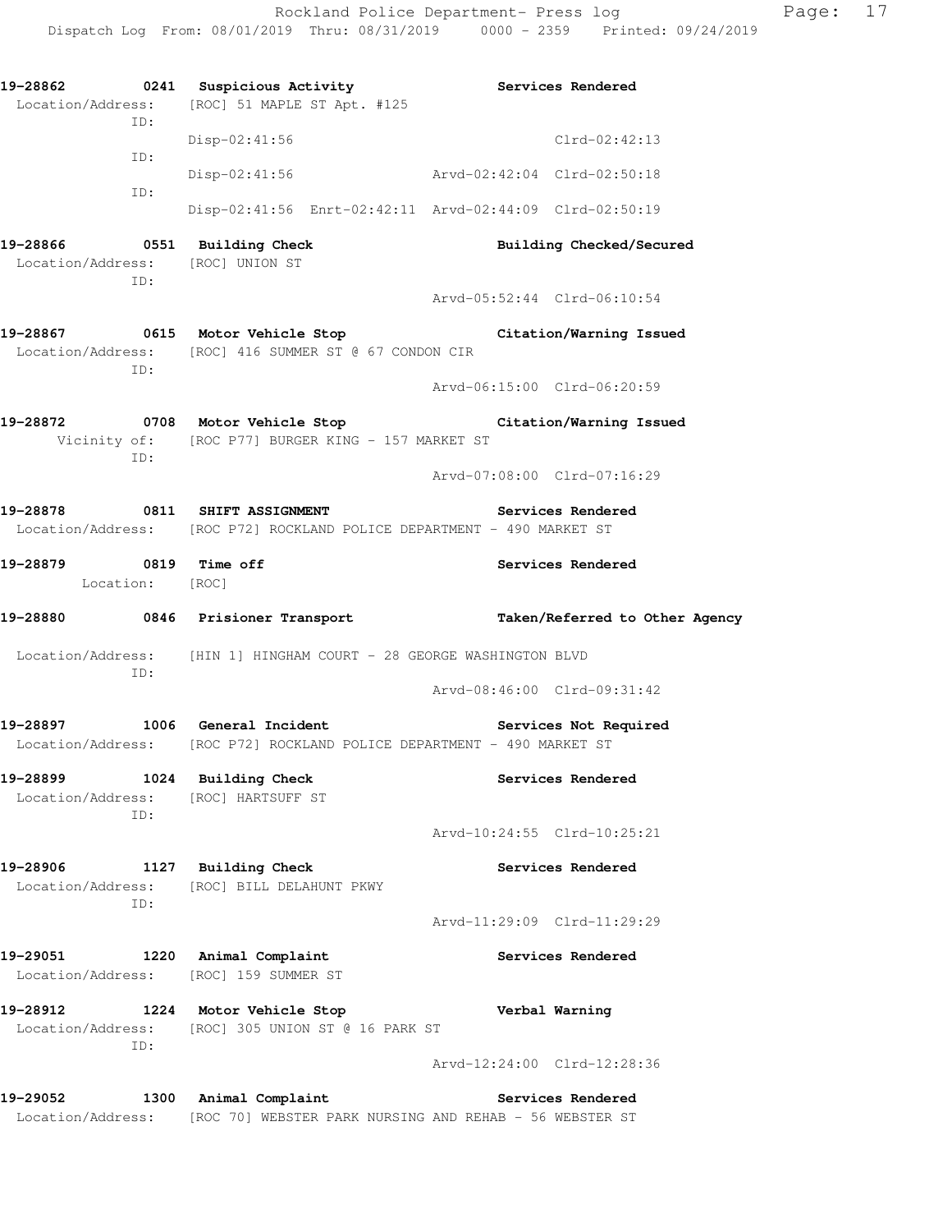**19-28862 0241 Suspicious Activity Services Rendered**  Location/Address: [ROC] 51 MAPLE ST Apt. #125 ID: Disp-02:41:56 Clrd-02:42:13 ID: Disp-02:41:56 Arvd-02:42:04 Clrd-02:50:18 ID: Disp-02:41:56 Enrt-02:42:11 Arvd-02:44:09 Clrd-02:50:19 **19-28866 0551 Building Check Building Checked/Secured**  Location/Address: [ROC] UNION ST ID: Arvd-05:52:44 Clrd-06:10:54 **19-28867 0615 Motor Vehicle Stop Citation/Warning Issued**  Location/Address: [ROC] 416 SUMMER ST @ 67 CONDON CIR ID: Arvd-06:15:00 Clrd-06:20:59 **19-28872 0708 Motor Vehicle Stop Citation/Warning Issued**  Vicinity of: [ROC P77] BURGER KING - 157 MARKET ST ID: Arvd-07:08:00 Clrd-07:16:29 **19-28878 0811 SHIFT ASSIGNMENT Services Rendered**  Location/Address: [ROC P72] ROCKLAND POLICE DEPARTMENT - 490 MARKET ST **19-28879 0819 Time off Services Rendered**  Location: [ROC] **19-28880 0846 Prisioner Transport Taken/Referred to Other Agency**  Location/Address: [HIN 1] HINGHAM COURT - 28 GEORGE WASHINGTON BLVD ID: Arvd-08:46:00 Clrd-09:31:42 **19-28897 1006 General Incident Services Not Required**  Location/Address: [ROC P72] ROCKLAND POLICE DEPARTMENT - 490 MARKET ST **19-28899 1024 Building Check Services Rendered**  Location/Address: [ROC] HARTSUFF ST ID: Arvd-10:24:55 Clrd-10:25:21 **19-28906 1127 Building Check Services Rendered**  Location/Address: [ROC] BILL DELAHUNT PKWY ID: Arvd-11:29:09 Clrd-11:29:29 **19-29051 1220 Animal Complaint Services Rendered**  Location/Address: [ROC] 159 SUMMER ST **19-28912 1224 Motor Vehicle Stop Verbal Warning**  Location/Address: [ROC] 305 UNION ST @ 16 PARK ST ID: Arvd-12:24:00 Clrd-12:28:36 **19-29052 1300 Animal Complaint Services Rendered** 

Location/Address: [ROC 70] WEBSTER PARK NURSING AND REHAB - 56 WEBSTER ST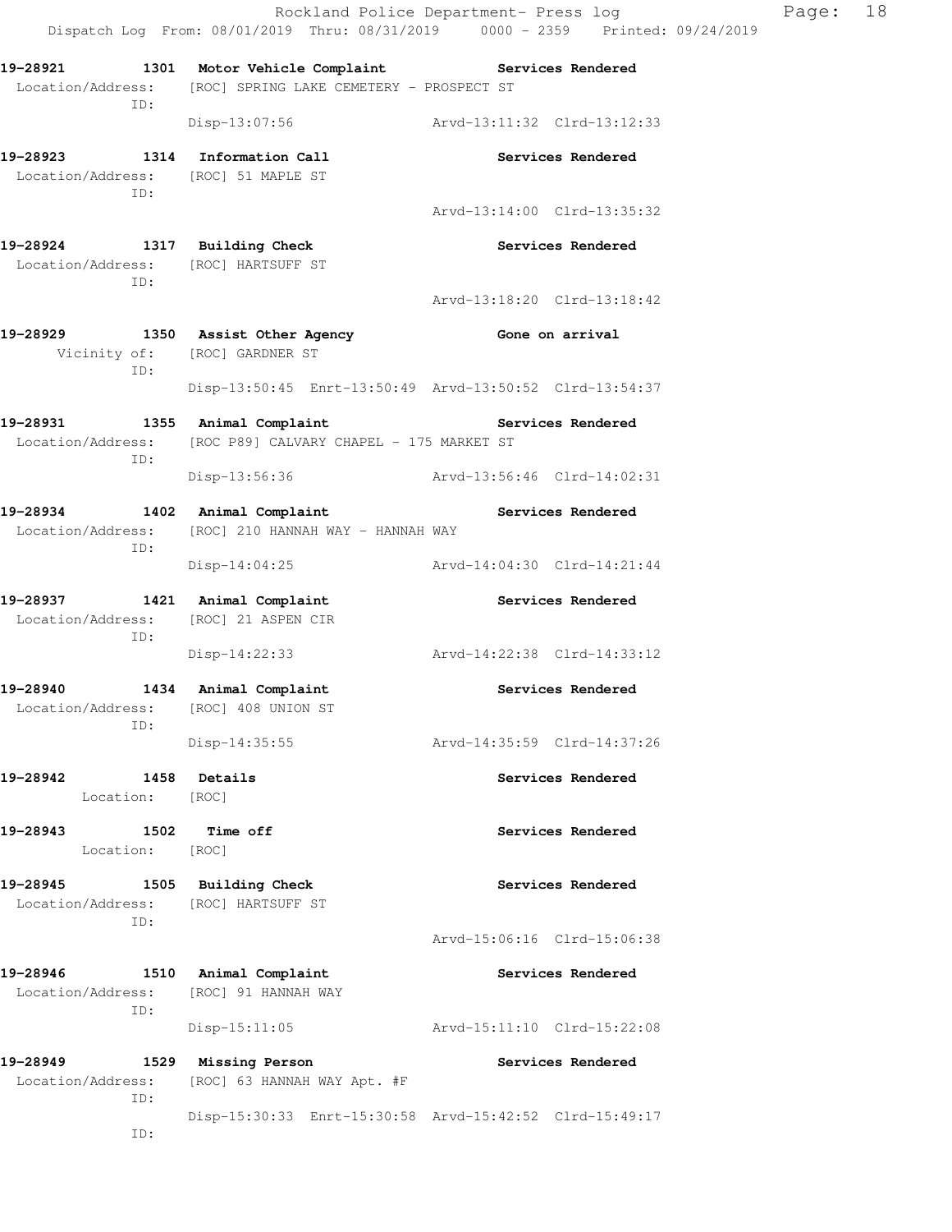Rockland Police Department- Press log Rage: 18 Dispatch Log From: 08/01/2019 Thru: 08/31/2019 0000 - 2359 Printed: 09/24/2019 **19-28921 1301 Motor Vehicle Complaint Services Rendered**  Location/Address: [ROC] SPRING LAKE CEMETERY - PROSPECT ST ID: Disp-13:07:56 Arvd-13:11:32 Clrd-13:12:33 19-28923 1314 Information Call **Services Rendered**  Location/Address: [ROC] 51 MAPLE ST ID: Arvd-13:14:00 Clrd-13:35:32 **19-28924 1317 Building Check Services Rendered**  Location/Address: [ROC] HARTSUFF ST ID: Arvd-13:18:20 Clrd-13:18:42 **19-28929 1350 Assist Other Agency Gone on arrival**  Vicinity of: [ROC] GARDNER ST ID: Disp-13:50:45 Enrt-13:50:49 Arvd-13:50:52 Clrd-13:54:37 **19-28931 1355 Animal Complaint Services Rendered**  Location/Address: [ROC P89] CALVARY CHAPEL - 175 MARKET ST ID: Disp-13:56:36 Arvd-13:56:46 Clrd-14:02:31 **19-28934 1402 Animal Complaint Services Rendered**  Location/Address: [ROC] 210 HANNAH WAY - HANNAH WAY ID: Disp-14:04:25 Arvd-14:04:30 Clrd-14:21:44 **19-28937 1421 Animal Complaint Services Rendered**  Location/Address: [ROC] 21 ASPEN CIR ID: Disp-14:22:33 Arvd-14:22:38 Clrd-14:33:12 **19-28940 1434 Animal Complaint Services Rendered**  Location/Address: [ROC] 408 UNION ST ID: Disp-14:35:55 Arvd-14:35:59 Clrd-14:37:26 **19-28942 1458 Details Services Rendered**  Location: [ROC] **19-28943 1502 Time off Services Rendered**  Location: [ROC] **19-28945 1505 Building Check Services Rendered**  Location/Address: [ROC] HARTSUFF ST ID: Arvd-15:06:16 Clrd-15:06:38 **19-28946 1510 Animal Complaint Services Rendered**  Location/Address: [ROC] 91 HANNAH WAY ID: Disp-15:11:05 Arvd-15:11:10 Clrd-15:22:08 **19-28949 1529 Missing Person Services Rendered**  Location/Address: [ROC] 63 HANNAH WAY Apt. #F ID: Disp-15:30:33 Enrt-15:30:58 Arvd-15:42:52 Clrd-15:49:17 ID: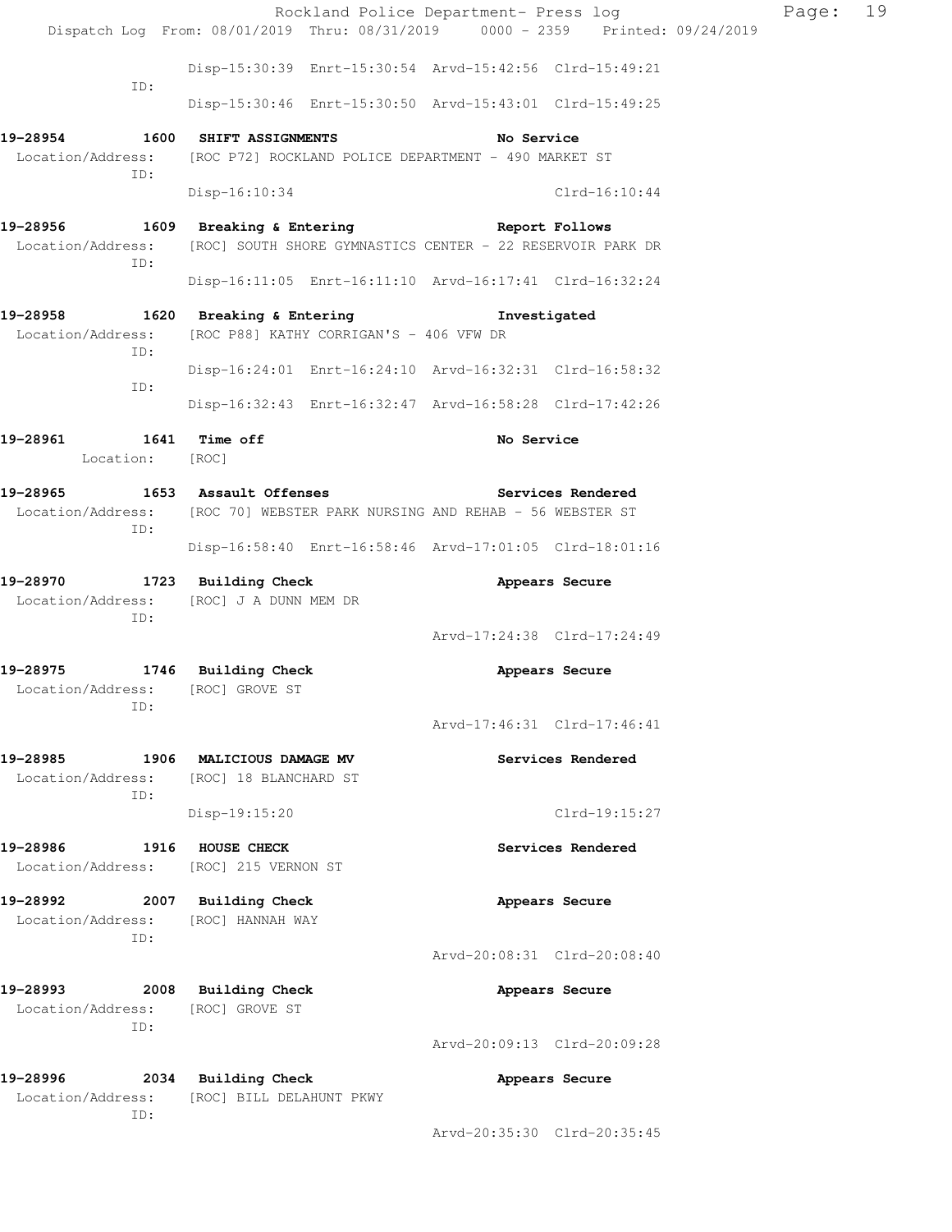|                                         |                                                                        | Rockland Police Department- Press log                                          | Page: 19 |
|-----------------------------------------|------------------------------------------------------------------------|--------------------------------------------------------------------------------|----------|
|                                         |                                                                        | Dispatch Log From: 08/01/2019 Thru: 08/31/2019 0000 - 2359 Printed: 09/24/2019 |          |
| ID:                                     |                                                                        | Disp-15:30:39 Enrt-15:30:54 Arvd-15:42:56 Clrd-15:49:21                        |          |
|                                         |                                                                        | Disp-15:30:46 Enrt-15:30:50 Arvd-15:43:01 Clrd-15:49:25                        |          |
| 19-28954 1600 SHIFT ASSIGNMENTS         |                                                                        | No Service                                                                     |          |
| ID:                                     | Location/Address: [ROC P72] ROCKLAND POLICE DEPARTMENT - 490 MARKET ST |                                                                                |          |
|                                         | Disp-16:10:34                                                          | $Clrd-16:10:44$                                                                |          |
|                                         | 19-28956 1609 Breaking & Entering 19-28956 Report Follows              |                                                                                |          |
| ID:                                     |                                                                        | Location/Address: [ROC] SOUTH SHORE GYMNASTICS CENTER - 22 RESERVOIR PARK DR   |          |
|                                         |                                                                        | Disp-16:11:05 Enrt-16:11:10 Arvd-16:17:41 Clrd-16:32:24                        |          |
|                                         | 19-28958 1620 Breaking & Entering Thyestigated                         |                                                                                |          |
| ID:                                     | Location/Address: [ROC P88] KATHY CORRIGAN'S - 406 VFW DR              |                                                                                |          |
| ID:                                     |                                                                        | Disp-16:24:01 Enrt-16:24:10 Arvd-16:32:31 Clrd-16:58:32                        |          |
|                                         |                                                                        | Disp-16:32:43 Enrt-16:32:47 Arvd-16:58:28 Clrd-17:42:26                        |          |
| 19-28961                                | 1641 Time off                                                          | No Service                                                                     |          |
| Location: [ROC]                         |                                                                        |                                                                                |          |
|                                         |                                                                        | 19-28965 1653 Assault Offenses 1997 Services Rendered                          |          |
| ID:                                     |                                                                        | Location/Address: [ROC 70] WEBSTER PARK NURSING AND REHAB - 56 WEBSTER ST      |          |
|                                         |                                                                        | Disp-16:58:40 Enrt-16:58:46 Arvd-17:01:05 Clrd-18:01:16                        |          |
|                                         | 19-28970 1723 Building Check                                           | Appears Secure                                                                 |          |
| ID:                                     | Location/Address: [ROC] J A DUNN MEM DR                                |                                                                                |          |
|                                         |                                                                        | Arvd-17:24:38 Clrd-17:24:49                                                    |          |
| 19-28975 1746 Building Check            |                                                                        | Appears Secure                                                                 |          |
| Location/Address: [ROC] GROVE ST<br>ID: |                                                                        |                                                                                |          |
|                                         |                                                                        | Arvd-17:46:31 Clrd-17:46:41                                                    |          |
| 19-28985                                | 1906 MALICIOUS DAMAGE MV                                               | Services Rendered                                                              |          |
| Location/Address:<br>ID:                | [ROC] 18 BLANCHARD ST                                                  |                                                                                |          |
|                                         | Disp-19:15:20                                                          | Clrd-19:15:27                                                                  |          |
| 19-28986                                | 1916 HOUSE CHECK                                                       | Services Rendered                                                              |          |
| Location/Address: [ROC] 215 VERNON ST   |                                                                        |                                                                                |          |
| 19–28992<br>Location/Address:           | 2007 Building Check<br>[ROC] HANNAH WAY                                | Appears Secure                                                                 |          |
| ID:                                     |                                                                        |                                                                                |          |
|                                         |                                                                        | Arvd-20:08:31 Clrd-20:08:40                                                    |          |
| 19-28993<br>2008                        | <b>Building Check</b>                                                  | Appears Secure                                                                 |          |
| Location/Address:<br>ID:                | [ROC] GROVE ST                                                         |                                                                                |          |
|                                         |                                                                        | Arvd-20:09:13 Clrd-20:09:28                                                    |          |
| 19-28996                                | 2034 Building Check                                                    | Appears Secure                                                                 |          |
| Location/Address:<br>ID:                | [ROC] BILL DELAHUNT PKWY                                               |                                                                                |          |
|                                         |                                                                        | Arvd-20:35:30 Clrd-20:35:45                                                    |          |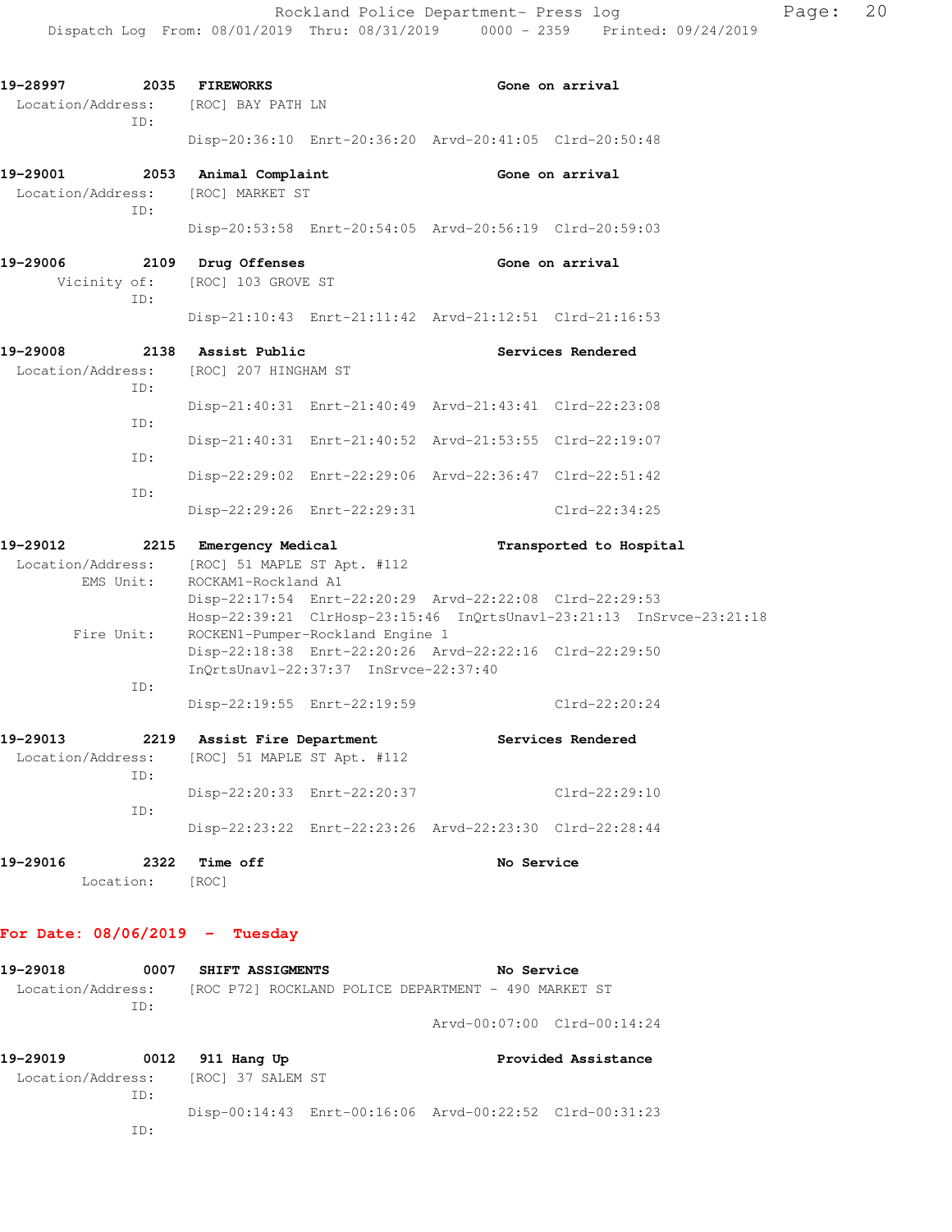| 19-28997<br>Location/Address: [ROC] BAY PATH LN | 2035 FIREWORKS                                        |                                       |                                                                                                                                 | Gone on arrival          |  |
|-------------------------------------------------|-------------------------------------------------------|---------------------------------------|---------------------------------------------------------------------------------------------------------------------------------|--------------------------|--|
| ID:                                             |                                                       |                                       | Disp-20:36:10 Enrt-20:36:20 Arvd-20:41:05 Clrd-20:50:48                                                                         |                          |  |
| 19-29001<br>Location/Address:<br>ID:            | 2053 Animal Complaint<br>[ROC] MARKET ST              |                                       | Gone on arrival                                                                                                                 |                          |  |
|                                                 |                                                       |                                       | Disp-20:53:58 Enrt-20:54:05 Arvd-20:56:19 Clrd-20:59:03                                                                         |                          |  |
| 19-29006                                        | 2109 Drug Offenses<br>Vicinity of: [ROC] 103 GROVE ST |                                       |                                                                                                                                 | Gone on arrival          |  |
| ID:                                             |                                                       |                                       | Disp-21:10:43 Enrt-21:11:42 Arvd-21:12:51 Clrd-21:16:53                                                                         |                          |  |
| 19-29008<br>Location/Address:<br>ID:            | 2138 Assist Public<br>[ROC] 207 HINGHAM ST            |                                       |                                                                                                                                 | Services Rendered        |  |
| ID:                                             |                                                       |                                       | Disp-21:40:31 Enrt-21:40:49 Arvd-21:43:41 Clrd-22:23:08                                                                         |                          |  |
| ID:                                             |                                                       |                                       | Disp-21:40:31 Enrt-21:40:52 Arvd-21:53:55 Clrd-22:19:07                                                                         |                          |  |
|                                                 |                                                       |                                       | Disp-22:29:02 Enrt-22:29:06 Arvd-22:36:47 Clrd-22:51:42                                                                         |                          |  |
| ID:                                             |                                                       | Disp-22:29:26 Enrt-22:29:31           |                                                                                                                                 | Clrd-22:34:25            |  |
| 19-29012                                        | 2215 Emergency Medical                                |                                       |                                                                                                                                 | Transported to Hospital  |  |
| Location/Address:                               | [ROC] 51 MAPLE ST Apt. #112<br>ROCKAM1-Rockland A1    |                                       |                                                                                                                                 |                          |  |
| EMS Unit:                                       |                                                       |                                       | Disp-22:17:54 Enrt-22:20:29 Arvd-22:22:08 Clrd-22:29:53<br>Hosp-22:39:21 ClrHosp-23:15:46 InQrtsUnavl-23:21:13 InSrvce-23:21:18 |                          |  |
| Fire Unit:                                      |                                                       | ROCKEN1-Pumper-Rockland Engine 1      | Disp-22:18:38 Enrt-22:20:26 Arvd-22:22:16 Clrd-22:29:50                                                                         |                          |  |
| ID:                                             |                                                       | InQrtsUnavl-22:37:37 InSrvce-22:37:40 |                                                                                                                                 |                          |  |
|                                                 |                                                       | Disp-22:19:55 Enrt-22:19:59           |                                                                                                                                 | Clrd-22:20:24            |  |
| 19-29013                                        | 2219 Assist Fire Department                           |                                       |                                                                                                                                 | <b>Services Rendered</b> |  |
| Location/Address:<br>ID:                        | [ROC] 51 MAPLE ST Apt. #112                           |                                       |                                                                                                                                 |                          |  |
| ID:                                             |                                                       | Disp-22:20:33 Enrt-22:20:37           |                                                                                                                                 | Clrd-22:29:10            |  |
|                                                 |                                                       |                                       | Disp-22:23:22 Enrt-22:23:26 Arvd-22:23:30 Clrd-22:28:44                                                                         |                          |  |
| 19-29016<br>2322<br>Location:                   | Time off<br>[ROC]                                     |                                       | No Service                                                                                                                      |                          |  |
|                                                 |                                                       |                                       |                                                                                                                                 |                          |  |

## **For Date: 08/06/2019 - Tuesday**

| 19-29018          | 0007 | SHIFT ASSIGMENTS  |  |                                                      | No Service |                                                         |
|-------------------|------|-------------------|--|------------------------------------------------------|------------|---------------------------------------------------------|
| Location/Address: | TD:  |                   |  | [ROC P72] ROCKLAND POLICE DEPARTMENT - 490 MARKET ST |            |                                                         |
|                   |      |                   |  |                                                      |            | Arvd-00:07:00 Clrd-00:14:24                             |
| 19-29019          | 0012 | 911 Hang Up       |  |                                                      |            | Provided Assistance                                     |
| Location/Address: |      | [ROC] 37 SALEM ST |  |                                                      |            |                                                         |
|                   | TD:  |                   |  |                                                      |            |                                                         |
|                   |      |                   |  |                                                      |            | Disp-00:14:43 Enrt-00:16:06 Arvd-00:22:52 Clrd-00:31:23 |
|                   | TD:  |                   |  |                                                      |            |                                                         |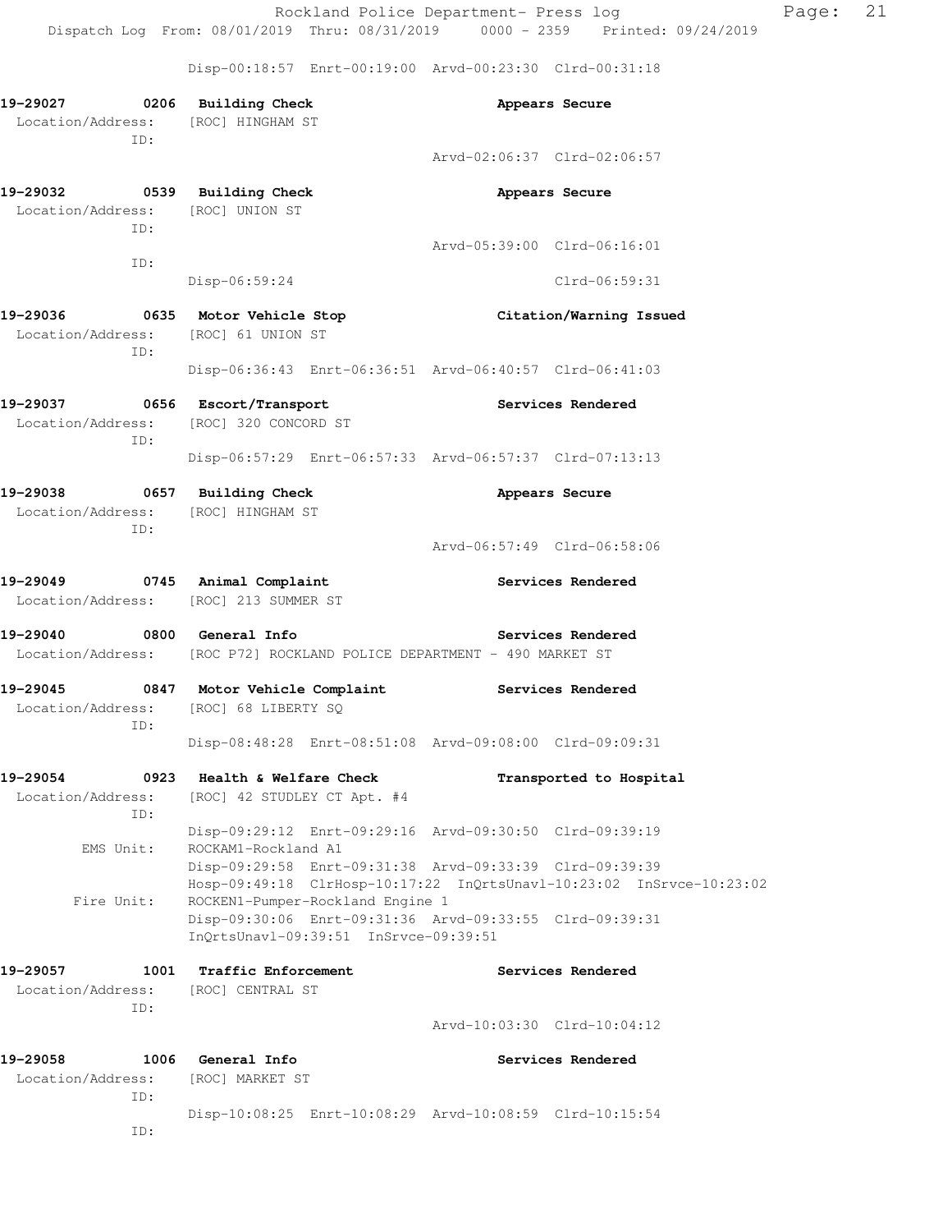Disp-00:18:57 Enrt-00:19:00 Arvd-00:23:30 Clrd-00:31:18

| 19-29027 0206 Building Check<br>Location/Address: [ROC] HINGHAM ST<br>ID: |                                                                           | Appears Secure                                                                                                                  |
|---------------------------------------------------------------------------|---------------------------------------------------------------------------|---------------------------------------------------------------------------------------------------------------------------------|
|                                                                           |                                                                           | Arvd-02:06:37 Clrd-02:06:57                                                                                                     |
| 19-29032                                                                  | 0539 Building Check                                                       | Appears Secure                                                                                                                  |
| Location/Address: [ROC] UNION ST<br>ID:                                   |                                                                           |                                                                                                                                 |
| ID:                                                                       |                                                                           | Arvd-05:39:00 Clrd-06:16:01                                                                                                     |
|                                                                           | Disp-06:59:24                                                             | Clrd-06:59:31                                                                                                                   |
| 19-29036 0635 Motor Vehicle Stop                                          |                                                                           | Citation/Warning Issued                                                                                                         |
| Location/Address: [ROC] 61 UNION ST<br>ID:                                |                                                                           |                                                                                                                                 |
|                                                                           |                                                                           | Disp-06:36:43 Enrt-06:36:51 Arvd-06:40:57 Clrd-06:41:03                                                                         |
| 19-29037 0656 Escort/Transport<br>ID:                                     | Location/Address: [ROC] 320 CONCORD ST                                    | Services Rendered                                                                                                               |
|                                                                           |                                                                           | Disp-06:57:29 Enrt-06:57:33 Arvd-06:57:37 Clrd-07:13:13                                                                         |
| 19-29038 0657 Building Check<br>Location/Address: [ROC] HINGHAM ST<br>ID: |                                                                           | Appears Secure                                                                                                                  |
|                                                                           |                                                                           | Arvd-06:57:49 Clrd-06:58:06                                                                                                     |
| 19-29049 0745 Animal Complaint<br>Location/Address: [ROC] 213 SUMMER ST   |                                                                           | Services Rendered                                                                                                               |
| 19-29040 0800 General Info                                                | Location/Address: [ROC P72] ROCKLAND POLICE DEPARTMENT - 490 MARKET ST    | Services Rendered                                                                                                               |
|                                                                           | 19-29045 0847 Motor Vehicle Complaint                                     | Services Rendered                                                                                                               |
| Location/Address:<br>ID:                                                  | [ROC] 68 LIBERTY SQ                                                       |                                                                                                                                 |
|                                                                           |                                                                           | Disp-08:48:28 Enrt-08:51:08 Arvd-09:08:00 Clrd-09:09:31                                                                         |
| 0923<br>19–29054<br>Location/Address:<br>ID:                              | Health & Welfare Check<br>[ROC] 42 STUDLEY CT Apt. #4                     | Transported to Hospital                                                                                                         |
| EMS Unit:                                                                 | ROCKAM1-Rockland A1                                                       | Disp-09:29:12 Enrt-09:29:16 Arvd-09:30:50 Clrd-09:39:19                                                                         |
|                                                                           |                                                                           | Disp-09:29:58 Enrt-09:31:38 Arvd-09:33:39 Clrd-09:39:39<br>Hosp-09:49:18 ClrHosp-10:17:22 InQrtsUnavl-10:23:02 InSrvce-10:23:02 |
| Fire Unit:                                                                | ROCKEN1-Pumper-Rockland Engine 1<br>InQrtsUnavl-09:39:51 InSrvce-09:39:51 | Disp-09:30:06 Enrt-09:31:36 Arvd-09:33:55 Clrd-09:39:31                                                                         |
| 19-29057<br>1001                                                          | Traffic Enforcement                                                       | Services Rendered                                                                                                               |
| Location/Address:<br>ID:                                                  | [ROC] CENTRAL ST                                                          |                                                                                                                                 |
|                                                                           |                                                                           | Arvd-10:03:30 Clrd-10:04:12                                                                                                     |
| 19-29058                                                                  | 1006 General Info                                                         | Services Rendered                                                                                                               |
| Location/Address:<br>ID:                                                  | [ROC] MARKET ST                                                           |                                                                                                                                 |
| ID:                                                                       |                                                                           | Disp-10:08:25 Enrt-10:08:29 Arvd-10:08:59 Clrd-10:15:54                                                                         |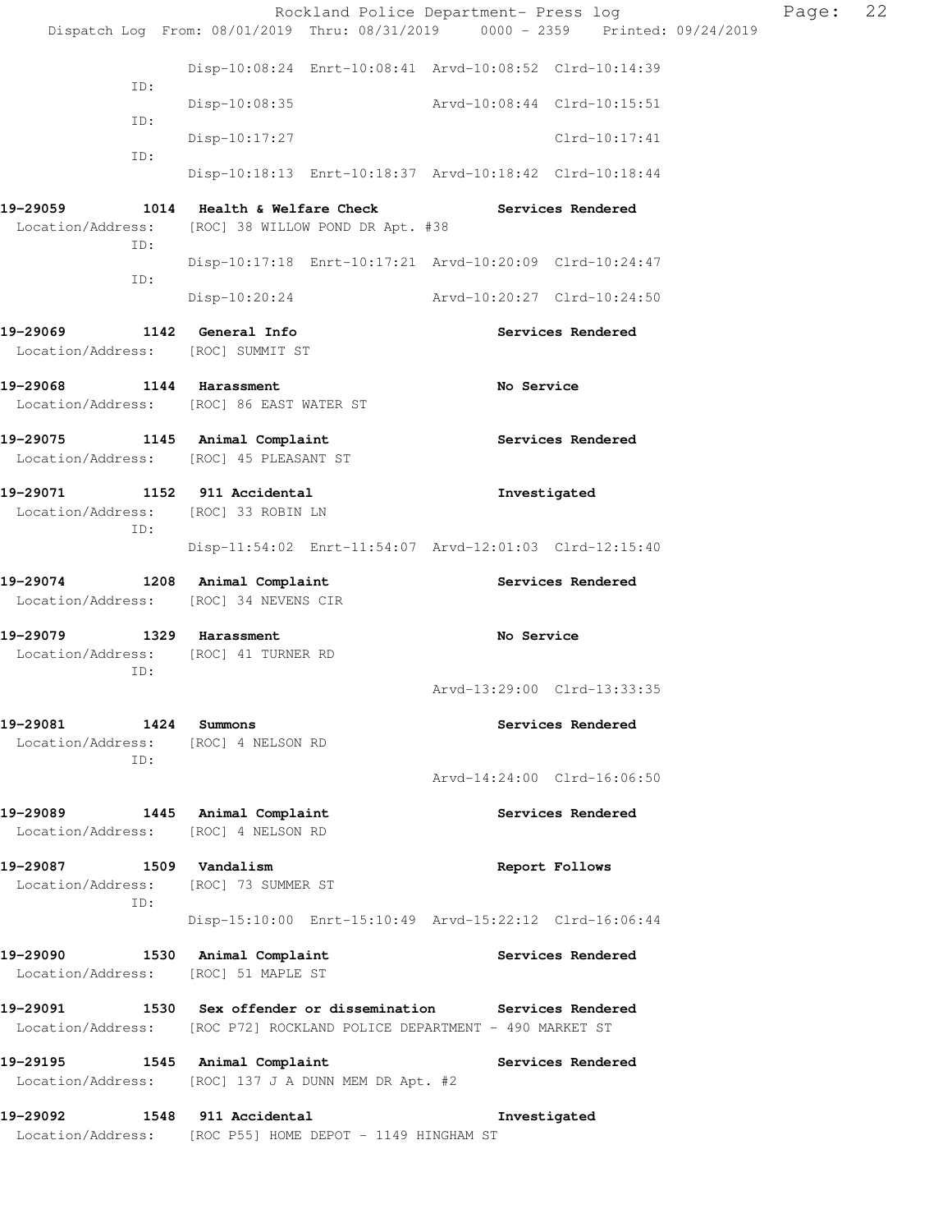|                                                                            |                                                                                                                                         | Rockland Police Department- Press log                                          | Page: | 22 |
|----------------------------------------------------------------------------|-----------------------------------------------------------------------------------------------------------------------------------------|--------------------------------------------------------------------------------|-------|----|
|                                                                            |                                                                                                                                         | Dispatch Log From: 08/01/2019 Thru: 08/31/2019 0000 - 2359 Printed: 09/24/2019 |       |    |
| ID:                                                                        | Disp-10:08:24 Enrt-10:08:41 Arvd-10:08:52 Clrd-10:14:39                                                                                 |                                                                                |       |    |
| ID:                                                                        | Disp-10:08:35                                                                                                                           | Arvd-10:08:44 Clrd-10:15:51                                                    |       |    |
| ID:                                                                        | Disp-10:17:27                                                                                                                           | $Clrd-10:17:41$                                                                |       |    |
|                                                                            | Disp-10:18:13 Enrt-10:18:37 Arvd-10:18:42 Clrd-10:18:44                                                                                 |                                                                                |       |    |
| 19-29059<br>Location/Address:<br>ID:                                       | 1014 Health & Welfare Check<br>[ROC] 38 WILLOW POND DR Apt. #38                                                                         | Services Rendered                                                              |       |    |
| ID:                                                                        | Disp-10:17:18 Enrt-10:17:21 Arvd-10:20:09 Clrd-10:24:47                                                                                 |                                                                                |       |    |
|                                                                            | Disp-10:20:24                                                                                                                           | Arvd-10:20:27 Clrd-10:24:50                                                    |       |    |
| 19-29069<br>Location/Address: [ROC] SUMMIT ST                              | 1142 General Info                                                                                                                       | Services Rendered                                                              |       |    |
| 19-29068<br>1144 Harassment                                                | Location/Address: [ROC] 86 EAST WATER ST                                                                                                | No Service                                                                     |       |    |
| 19-29075<br>Location/Address: [ROC] 45 PLEASANT ST                         | 1145 Animal Complaint                                                                                                                   | Services Rendered                                                              |       |    |
| 19-29071<br>Location/Address: [ROC] 33 ROBIN LN<br>ID:                     | 1152 911 Accidental                                                                                                                     | Investigated                                                                   |       |    |
|                                                                            | Disp-11:54:02 Enrt-11:54:07 Arvd-12:01:03 Clrd-12:15:40                                                                                 |                                                                                |       |    |
| 19-29074<br>Location/Address: [ROC] 34 NEVENS CIR                          | 1208 Animal Complaint                                                                                                                   | Services Rendered                                                              |       |    |
| 19-29079<br>1329 Harassment<br>Location/Address: [ROC] 41 TURNER RD<br>ID: |                                                                                                                                         | No Service                                                                     |       |    |
|                                                                            |                                                                                                                                         | Arvd-13:29:00 Clrd-13:33:35                                                    |       |    |
| 19-29081<br>Location/Address: [ROC] 4 NELSON RD                            | 1424 Summons                                                                                                                            | Services Rendered                                                              |       |    |
| ID:                                                                        |                                                                                                                                         | Arvd-14:24:00 Clrd-16:06:50                                                    |       |    |
| 19-29089 1445 Animal Complaint<br>Location/Address: [ROC] 4 NELSON RD      |                                                                                                                                         | Services Rendered                                                              |       |    |
| 19-29087 1509 Vandalism<br>Location/Address: [ROC] 73 SUMMER ST<br>ID:     |                                                                                                                                         | Report Follows                                                                 |       |    |
|                                                                            | Disp-15:10:00 Enrt-15:10:49 Arvd-15:22:12 Clrd-16:06:44                                                                                 |                                                                                |       |    |
| 19-29090<br>Location/Address: [ROC] 51 MAPLE ST                            | 1530 Animal Complaint                                                                                                                   | Services Rendered                                                              |       |    |
|                                                                            | 19-29091 1530 Sex offender or dissemination Services Rendered<br>Location/Address: [ROC P72] ROCKLAND POLICE DEPARTMENT - 490 MARKET ST |                                                                                |       |    |
| 19-29195                                                                   | 1545 Animal Complaint<br>Location/Address: [ROC] 137 J A DUNN MEM DR Apt. #2                                                            | Services Rendered                                                              |       |    |
| 19-29092                                                                   | 1548 911 Accidental<br>Location/Address: [ROC P55] HOME DEPOT - 1149 HINGHAM ST                                                         | Investigated                                                                   |       |    |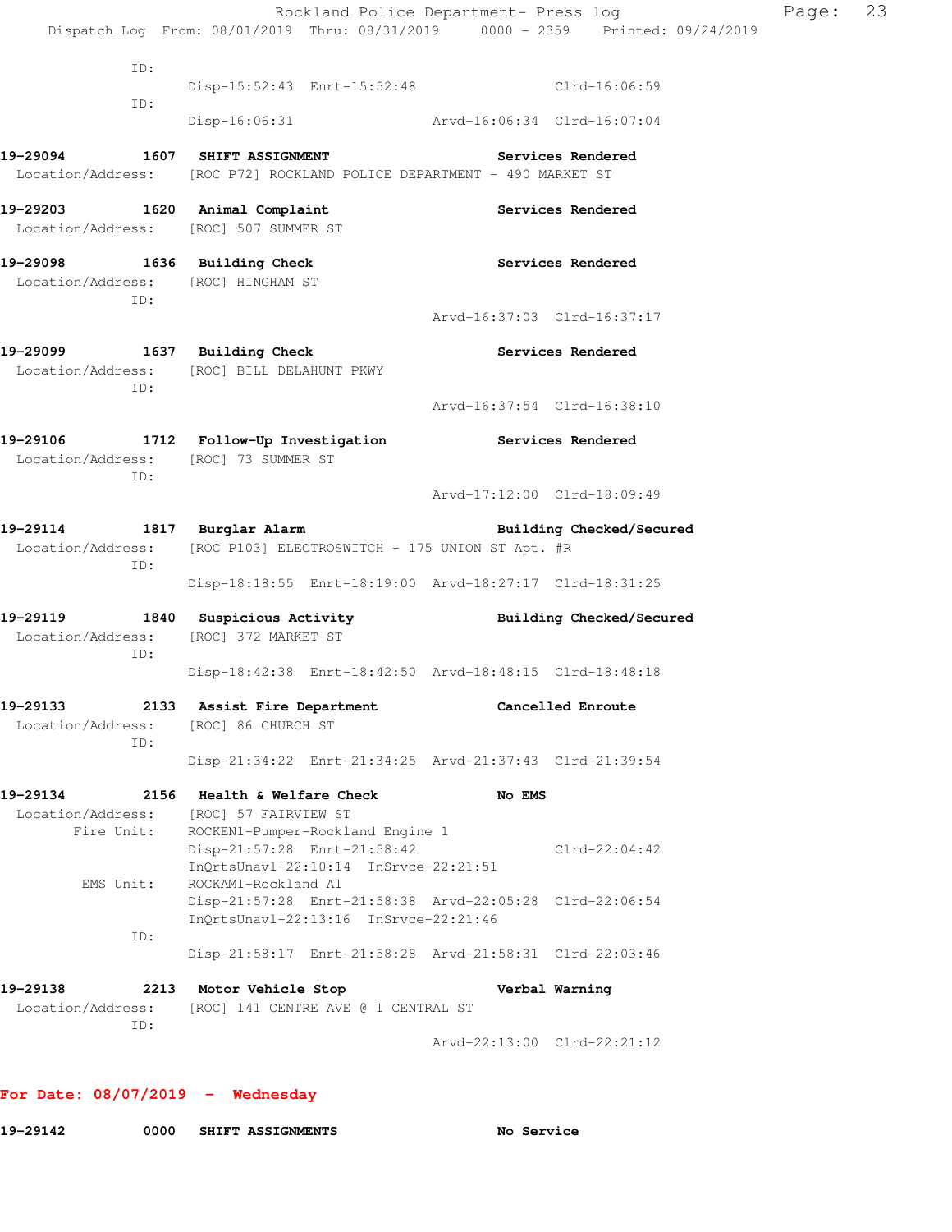|                                              |                                                                                                                                 | Rockland Police Department- Press log<br>Dispatch Log From: 08/01/2019 Thru: 08/31/2019 0000 - 2359 Printed: 09/24/2019 | Page: | 23 |
|----------------------------------------------|---------------------------------------------------------------------------------------------------------------------------------|-------------------------------------------------------------------------------------------------------------------------|-------|----|
| ID:                                          |                                                                                                                                 |                                                                                                                         |       |    |
| ID:                                          |                                                                                                                                 | Disp-15:52:43 Enrt-15:52:48 Clrd-16:06:59                                                                               |       |    |
|                                              | Disp-16:06:31 Arvd-16:06:34 Clrd-16:07:04                                                                                       |                                                                                                                         |       |    |
|                                              | 19-29094 1607 SHIFT ASSIGNMENT SHOW Services Rendered<br>Location/Address: [ROC P72] ROCKLAND POLICE DEPARTMENT - 490 MARKET ST |                                                                                                                         |       |    |
| Location/Address: [ROC] 507 SUMMER ST        | 19-29203 1620 Animal Complaint 19-29203 Services Rendered                                                                       |                                                                                                                         |       |    |
| Location/Address: [ROC] HINGHAM ST<br>ID:    | 19-29098 1636 Building Check                                                                                                    | Services Rendered                                                                                                       |       |    |
|                                              |                                                                                                                                 | Arvd-16:37:03 Clrd-16:37:17                                                                                             |       |    |
|                                              | 19-29099 1637 Building Check<br>Location/Address: [ROC] BILL DELAHUNT PKWY                                                      | <b>Services Rendered</b>                                                                                                |       |    |
| ID:                                          |                                                                                                                                 | Arvd-16:37:54 Clrd-16:38:10                                                                                             |       |    |
| Location/Address: [ROC] 73 SUMMER ST         | 19-29106 1712 Follow-Up Investigation Services Rendered                                                                         |                                                                                                                         |       |    |
| ID:                                          |                                                                                                                                 | Arvd-17:12:00 Clrd-18:09:49                                                                                             |       |    |
| ID:                                          | Location/Address: [ROC P103] ELECTROSWITCH - 175 UNION ST Apt. #R                                                               | 19-29114 1817 Burglar Alarm Building Checked/Secured                                                                    |       |    |
|                                              | Disp-18:18:55 Enrt-18:19:00 Arvd-18:27:17 Clrd-18:31:25                                                                         |                                                                                                                         |       |    |
| Location/Address: [ROC] 372 MARKET ST        |                                                                                                                                 | 19-29119 1840 Suspicious Activity <b>1840</b> Building Checked/Secured                                                  |       |    |
| ID:                                          | Disp-18:42:38 Enrt-18:42:50 Arvd-18:48:15 Clrd-18:48:18                                                                         |                                                                                                                         |       |    |
| 19-29133<br>2133<br>Location/Address:<br>ID: | Assist Fire Department<br>[ROC] 86 CHURCH ST                                                                                    | Cancelled Enroute                                                                                                       |       |    |
|                                              | Disp-21:34:22 Enrt-21:34:25 Arvd-21:37:43 Clrd-21:39:54                                                                         |                                                                                                                         |       |    |
| 19-29134<br>Location/Address:<br>Fire Unit:  | 2156 Health & Welfare Check<br>[ROC] 57 FAIRVIEW ST<br>ROCKEN1-Pumper-Rockland Engine 1                                         | No EMS                                                                                                                  |       |    |
| EMS Unit:                                    | Disp-21:57:28 Enrt-21:58:42<br>InQrtsUnavl-22:10:14 InSrvce-22:21:51<br>ROCKAM1-Rockland A1                                     | $Clrd-22:04:42$                                                                                                         |       |    |
|                                              | Disp-21:57:28 Enrt-21:58:38 Arvd-22:05:28 Clrd-22:06:54<br>InQrtsUnavl-22:13:16 InSrvce-22:21:46                                |                                                                                                                         |       |    |
| ID:                                          | Disp-21:58:17 Enrt-21:58:28 Arvd-21:58:31 Clrd-22:03:46                                                                         |                                                                                                                         |       |    |
| 19-29138<br>Location/Address:<br>ID:         | 2213 Motor Vehicle Stop<br>[ROC] 141 CENTRE AVE @ 1 CENTRAL ST                                                                  | Verbal Warning                                                                                                          |       |    |
|                                              |                                                                                                                                 | Arvd-22:13:00 Clrd-22:21:12                                                                                             |       |    |

**For Date: 08/07/2019 - Wednesday**

**19-29142 0000 SHIFT ASSIGNMENTS No Service**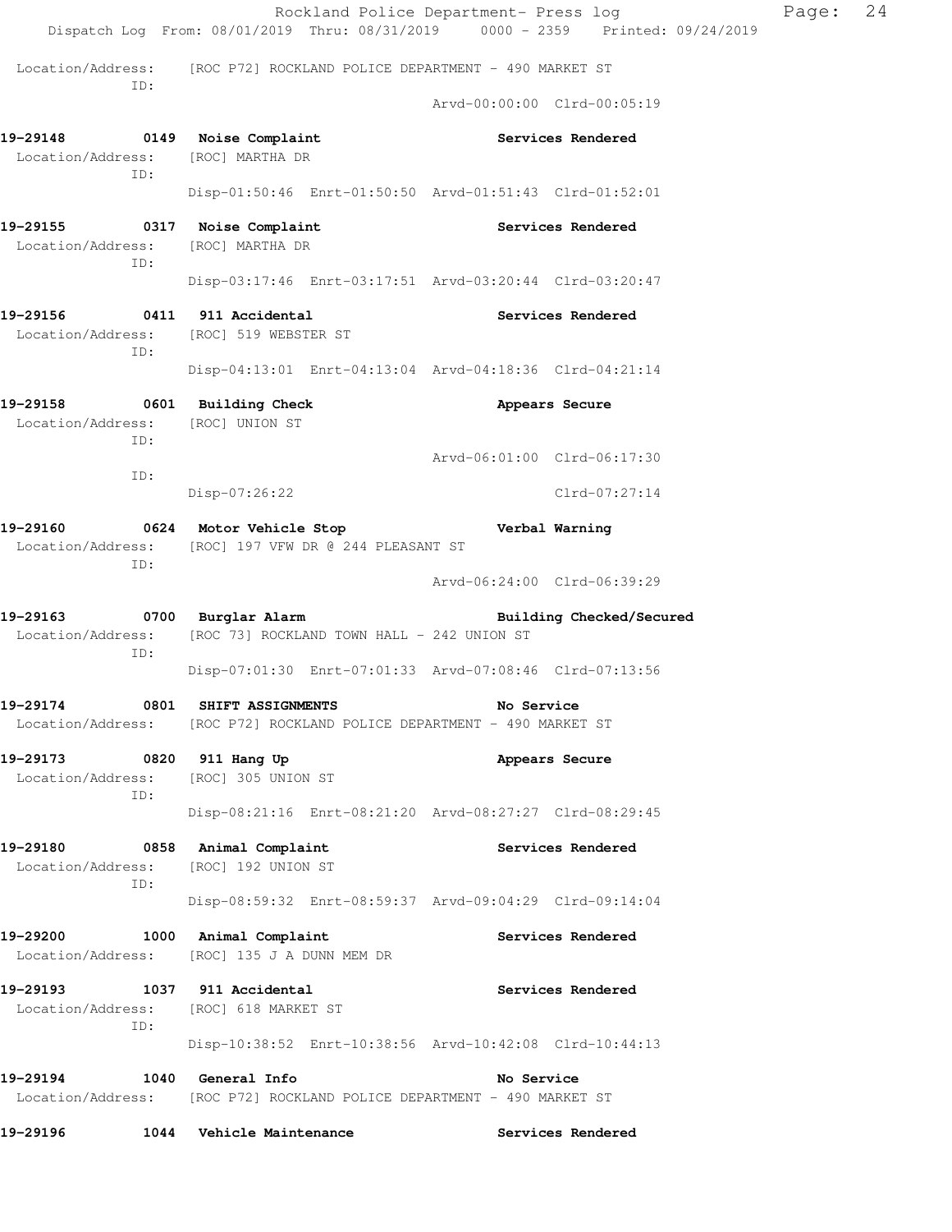Rockland Police Department- Press log Page: 24 Dispatch Log From: 08/01/2019 Thru: 08/31/2019 0000 - 2359 Printed: 09/24/2019 Location/Address: [ROC P72] ROCKLAND POLICE DEPARTMENT - 490 MARKET ST ID: Arvd-00:00:00 Clrd-00:05:19 **19-29148 0149 Noise Complaint Services Rendered**  Location/Address: [ROC] MARTHA DR ID: Disp-01:50:46 Enrt-01:50:50 Arvd-01:51:43 Clrd-01:52:01 **19-29155 0317 Noise Complaint Services Rendered**  Location/Address: [ROC] MARTHA DR ID: Disp-03:17:46 Enrt-03:17:51 Arvd-03:20:44 Clrd-03:20:47 **19-29156 0411 911 Accidental Services Rendered**  Location/Address: [ROC] 519 WEBSTER ST ID: Disp-04:13:01 Enrt-04:13:04 Arvd-04:18:36 Clrd-04:21:14 19-29158 0601 Building Check **Appears Secure** Location/Address: [ROC] UNION ST ID: Arvd-06:01:00 Clrd-06:17:30 ID: Disp-07:26:22 Clrd-07:27:14 **19-29160 0624 Motor Vehicle Stop Verbal Warning**  Location/Address: [ROC] 197 VFW DR @ 244 PLEASANT ST ID: Arvd-06:24:00 Clrd-06:39:29 **19-29163 0700 Burglar Alarm Building Checked/Secured**  Location/Address: [ROC 73] ROCKLAND TOWN HALL - 242 UNION ST ID: Disp-07:01:30 Enrt-07:01:33 Arvd-07:08:46 Clrd-07:13:56 **19-29174 0801 SHIFT ASSIGNMENTS No Service**  Location/Address: [ROC P72] ROCKLAND POLICE DEPARTMENT - 490 MARKET ST 19-29173 0820 911 Hang Up **Appears Secure**  Location/Address: [ROC] 305 UNION ST ID: Disp-08:21:16 Enrt-08:21:20 Arvd-08:27:27 Clrd-08:29:45 **19-29180 0858 Animal Complaint Services Rendered**  Location/Address: [ROC] 192 UNION ST ID: Disp-08:59:32 Enrt-08:59:37 Arvd-09:04:29 Clrd-09:14:04 **19-29200 1000 Animal Complaint Services Rendered**  Location/Address: [ROC] 135 J A DUNN MEM DR **19-29193 1037 911 Accidental Services Rendered**  Location/Address: [ROC] 618 MARKET ST ID: Disp-10:38:52 Enrt-10:38:56 Arvd-10:42:08 Clrd-10:44:13 **19-29194 1040 General Info No Service**  Location/Address: [ROC P72] ROCKLAND POLICE DEPARTMENT - 490 MARKET ST **19-29196 1044 Vehicle Maintenance Services Rendered**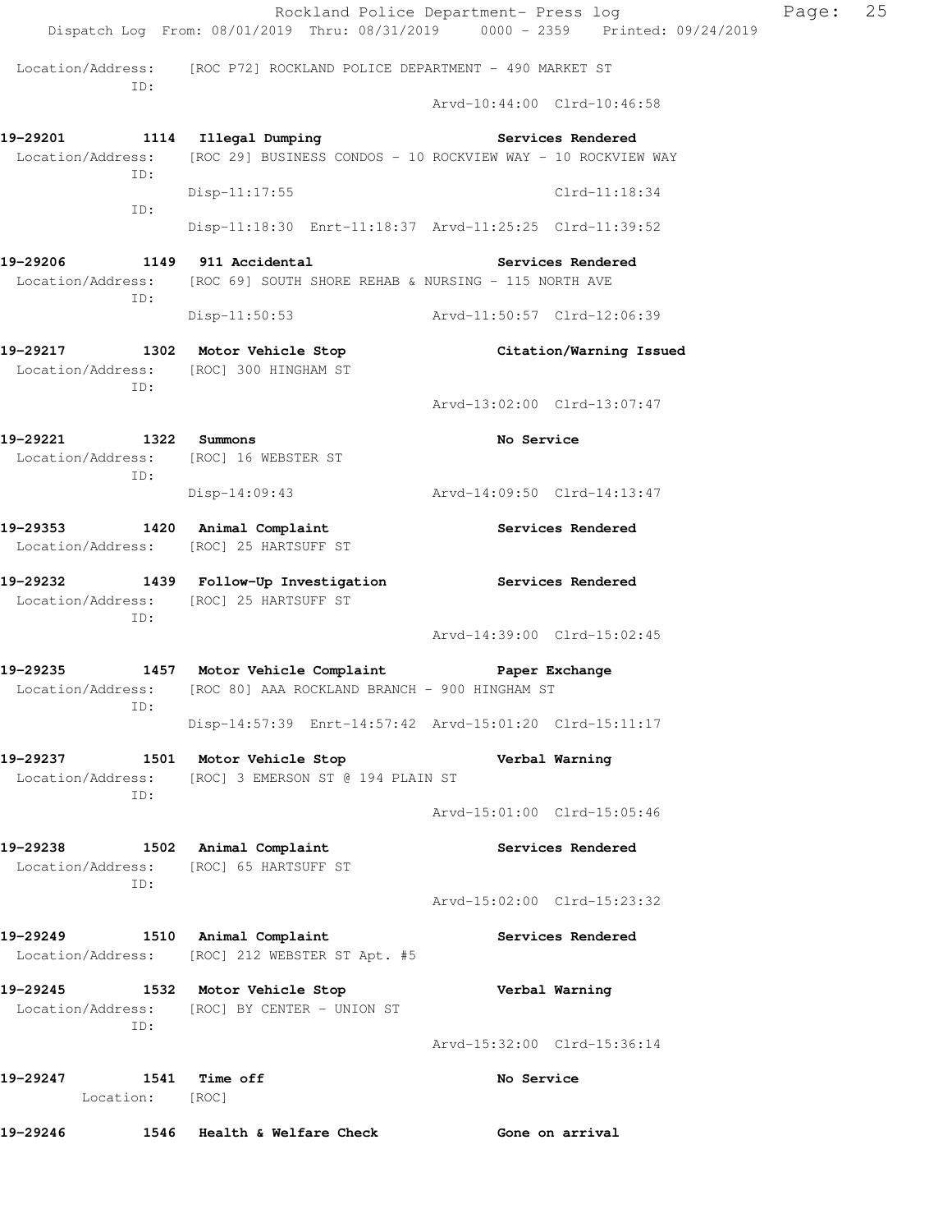| 19–29246                                                  | 1546 Health & Welfare Check                                                                                    | Gone on arrival                                                                                                         |       |    |
|-----------------------------------------------------------|----------------------------------------------------------------------------------------------------------------|-------------------------------------------------------------------------------------------------------------------------|-------|----|
| 19-29247<br>1541 Time off<br>Location: [ROC]              |                                                                                                                | No Service                                                                                                              |       |    |
|                                                           |                                                                                                                | Arvd-15:32:00 Clrd-15:36:14                                                                                             |       |    |
| 19-29245 1532 Motor Vehicle Stop<br>ID:                   | Location/Address: [ROC] BY CENTER - UNION ST                                                                   | Verbal Warning                                                                                                          |       |    |
| 19-29249                                                  | 1510 Animal Complaint<br>Location/Address: [ROC] 212 WEBSTER ST Apt. #5                                        | Services Rendered                                                                                                       |       |    |
|                                                           |                                                                                                                | Arvd-15:02:00 Clrd-15:23:32                                                                                             |       |    |
| 19-29238<br>Location/Address: [ROC] 65 HARTSUFF ST<br>ID: | 1502 Animal Complaint                                                                                          | Services Rendered                                                                                                       |       |    |
| ID:                                                       |                                                                                                                | Arvd-15:01:00 Clrd-15:05:46                                                                                             |       |    |
| 19-29237 1501 Motor Vehicle Stop                          | Location/Address: [ROC] 3 EMERSON ST @ 194 PLAIN ST                                                            | Verbal Warning                                                                                                          |       |    |
| ID:                                                       |                                                                                                                | Disp-14:57:39 Enrt-14:57:42 Arvd-15:01:20 Clrd-15:11:17                                                                 |       |    |
| 19-29235                                                  | 1457 Motor Vehicle Complaint Paper Exchange<br>Location/Address: [ROC 80] AAA ROCKLAND BRANCH - 900 HINGHAM ST |                                                                                                                         |       |    |
| ID:                                                       |                                                                                                                | Arvd-14:39:00 Clrd-15:02:45                                                                                             |       |    |
| Location/Address: [ROC] 25 HARTSUFF ST                    | 19-29232 1439 Follow-Up Investigation Services Rendered                                                        |                                                                                                                         |       |    |
|                                                           | 19-29353 1420 Animal Complaint<br>Location/Address: [ROC] 25 HARTSUFF ST                                       | Services Rendered                                                                                                       |       |    |
|                                                           | Disp-14:09:43 Arvd-14:09:50 Clrd-14:13:47                                                                      |                                                                                                                         |       |    |
| Location/Address: [ROC] 16 WEBSTER ST<br>ID:              |                                                                                                                |                                                                                                                         |       |    |
| 19-29221 1322 Summons                                     |                                                                                                                | No Service                                                                                                              |       |    |
| ID:                                                       | Location/Address: [ROC] 300 HINGHAM ST                                                                         | Arvd-13:02:00 Clrd-13:07:47                                                                                             |       |    |
|                                                           | $Disp-11:50:53$                                                                                                | Arvd-11:50:57 Clrd-12:06:39<br>19-29217 1302 Motor Vehicle Stop Citation/Warning Issued                                 |       |    |
| 19-29206<br>ID:                                           | 1149 911 Accidental<br>Location/Address: [ROC 69] SOUTH SHORE REHAB & NURSING - 115 NORTH AVE                  | <b>Services Rendered</b>                                                                                                |       |    |
| ID:                                                       |                                                                                                                | Disp-11:18:30 Enrt-11:18:37 Arvd-11:25:25 Clrd-11:39:52                                                                 |       |    |
| ID:                                                       | $Disp-11:17:55$                                                                                                | Location/Address: [ROC 29] BUSINESS CONDOS - 10 ROCKVIEW WAY - 10 ROCKVIEW WAY<br>$Clrd-11:18:34$                       |       |    |
| 19-29201                                                  | 1114 Illegal Dumping                                                                                           | Services Rendered                                                                                                       |       |    |
| ID:                                                       |                                                                                                                | Arvd-10:44:00 Clrd-10:46:58                                                                                             |       |    |
|                                                           | Location/Address: [ROC P72] ROCKLAND POLICE DEPARTMENT - 490 MARKET ST                                         |                                                                                                                         |       |    |
|                                                           |                                                                                                                | Rockland Police Department- Press log<br>Dispatch Log From: 08/01/2019 Thru: 08/31/2019 0000 - 2359 Printed: 09/24/2019 | Page: | 25 |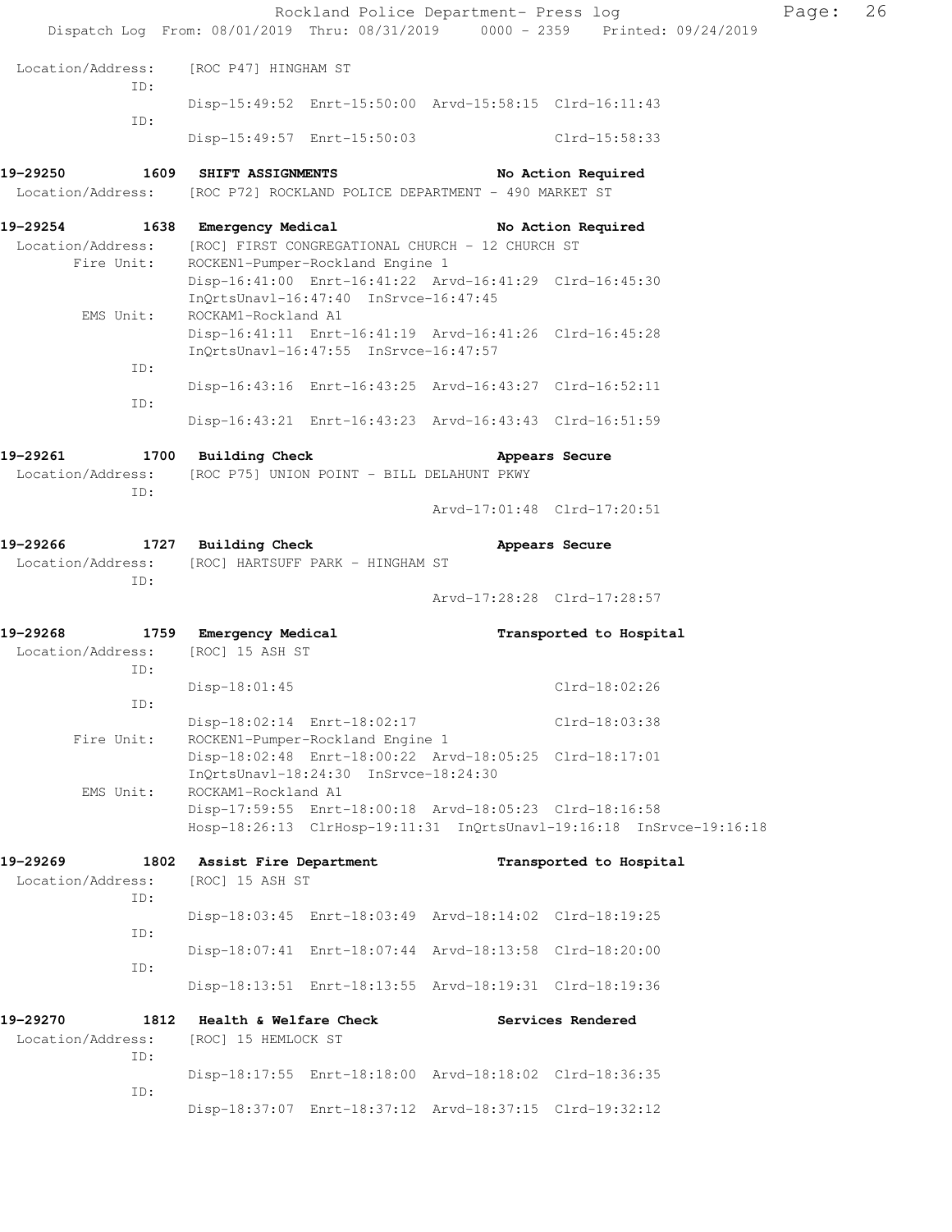|                               |            |                                                                                    |                                                                 | Rockland Police Department- Press log                   |                                                                                | Page: | 26 |
|-------------------------------|------------|------------------------------------------------------------------------------------|-----------------------------------------------------------------|---------------------------------------------------------|--------------------------------------------------------------------------------|-------|----|
|                               |            |                                                                                    |                                                                 |                                                         | Dispatch Log From: 08/01/2019 Thru: 08/31/2019 0000 - 2359 Printed: 09/24/2019 |       |    |
| Location/Address:             | ID:        | [ROC P47] HINGHAM ST                                                               |                                                                 |                                                         |                                                                                |       |    |
|                               | ID:        |                                                                                    |                                                                 | Disp-15:49:52 Enrt-15:50:00 Arvd-15:58:15 Clrd-16:11:43 |                                                                                |       |    |
|                               |            |                                                                                    | Disp-15:49:57 Enrt-15:50:03                                     |                                                         | $Clrd-15:58:33$                                                                |       |    |
| 19-29250                      |            | 1609 SHIFT ASSIGNMENTS                                                             |                                                                 |                                                         | No Action Required                                                             |       |    |
| Location/Address:             |            |                                                                                    |                                                                 | [ROC P72] ROCKLAND POLICE DEPARTMENT - 490 MARKET ST    |                                                                                |       |    |
| 19-29254<br>Location/Address: | Fire Unit: | 1638 Emergency Medical<br>[ROC] FIRST CONGREGATIONAL CHURCH - 12 CHURCH ST         | ROCKEN1-Pumper-Rockland Engine 1                                | Disp-16:41:00 Enrt-16:41:22 Arvd-16:41:29 Clrd-16:45:30 | No Action Required                                                             |       |    |
|                               | EMS Unit:  | ROCKAM1-Rockland A1                                                                | InQrtsUnavl-16:47:40 InSrvce-16:47:45                           |                                                         |                                                                                |       |    |
|                               |            |                                                                                    | InQrtsUnavl-16:47:55 InSrvce-16:47:57                           | Disp-16:41:11 Enrt-16:41:19 Arvd-16:41:26 Clrd-16:45:28 |                                                                                |       |    |
|                               | ID:<br>ID: |                                                                                    |                                                                 | Disp-16:43:16 Enrt-16:43:25 Arvd-16:43:27 Clrd-16:52:11 |                                                                                |       |    |
|                               |            |                                                                                    |                                                                 | Disp-16:43:21 Enrt-16:43:23 Arvd-16:43:43 Clrd-16:51:59 |                                                                                |       |    |
| 19-29261<br>Location/Address: |            | 1700 Building Check                                                                | [ROC P75] UNION POINT - BILL DELAHUNT PKWY                      |                                                         | Appears Secure                                                                 |       |    |
|                               | ID:        |                                                                                    |                                                                 |                                                         | Arvd-17:01:48 Clrd-17:20:51                                                    |       |    |
|                               |            | 19-29266 1727 Building Check<br>Location/Address: [ROC] HARTSUFF PARK - HINGHAM ST |                                                                 |                                                         | Appears Secure                                                                 |       |    |
|                               | ID:        |                                                                                    |                                                                 |                                                         | Arvd-17:28:28 Clrd-17:28:57                                                    |       |    |
| Location/Address:             |            | 19-29268 1759 Emergency Medical<br>[ROC] 15 ASH ST                                 |                                                                 |                                                         | Transported to Hospital                                                        |       |    |
|                               | ID:<br>ID: | $Disp-18:01:45$                                                                    |                                                                 |                                                         | Clrd-18:02:26                                                                  |       |    |
|                               | Fire Unit: |                                                                                    | Disp-18:02:14 Enrt-18:02:17<br>ROCKEN1-Pumper-Rockland Engine 1 |                                                         | Clrd-18:03:38                                                                  |       |    |
|                               | EMS Unit:  | ROCKAM1-Rockland A1                                                                | InQrtsUnavl-18:24:30 InSrvce-18:24:30                           | Disp-18:02:48 Enrt-18:00:22 Arvd-18:05:25 Clrd-18:17:01 |                                                                                |       |    |
|                               |            |                                                                                    |                                                                 | Disp-17:59:55 Enrt-18:00:18 Arvd-18:05:23 Clrd-18:16:58 | Hosp-18:26:13 ClrHosp-19:11:31 InQrtsUnavl-19:16:18 InSrvce-19:16:18           |       |    |
| 19-29269<br>Location/Address: |            | 1802 Assist Fire Department<br>[ROC] 15 ASH ST                                     |                                                                 |                                                         | Transported to Hospital                                                        |       |    |
|                               | ID:<br>ID: |                                                                                    |                                                                 | Disp-18:03:45 Enrt-18:03:49 Arvd-18:14:02 Clrd-18:19:25 |                                                                                |       |    |
|                               | ID:        |                                                                                    |                                                                 | Disp-18:07:41 Enrt-18:07:44 Arvd-18:13:58 Clrd-18:20:00 |                                                                                |       |    |
|                               |            |                                                                                    |                                                                 | Disp-18:13:51 Enrt-18:13:55 Arvd-18:19:31 Clrd-18:19:36 |                                                                                |       |    |
| 19-29270<br>Location/Address: | ID:        | 1812 Health & Welfare Check<br>[ROC] 15 HEMLOCK ST                                 |                                                                 |                                                         | Services Rendered                                                              |       |    |
|                               | ID:        |                                                                                    |                                                                 | Disp-18:17:55 Enrt-18:18:00 Arvd-18:18:02 Clrd-18:36:35 |                                                                                |       |    |
|                               |            |                                                                                    |                                                                 | Disp-18:37:07 Enrt-18:37:12 Arvd-18:37:15 Clrd-19:32:12 |                                                                                |       |    |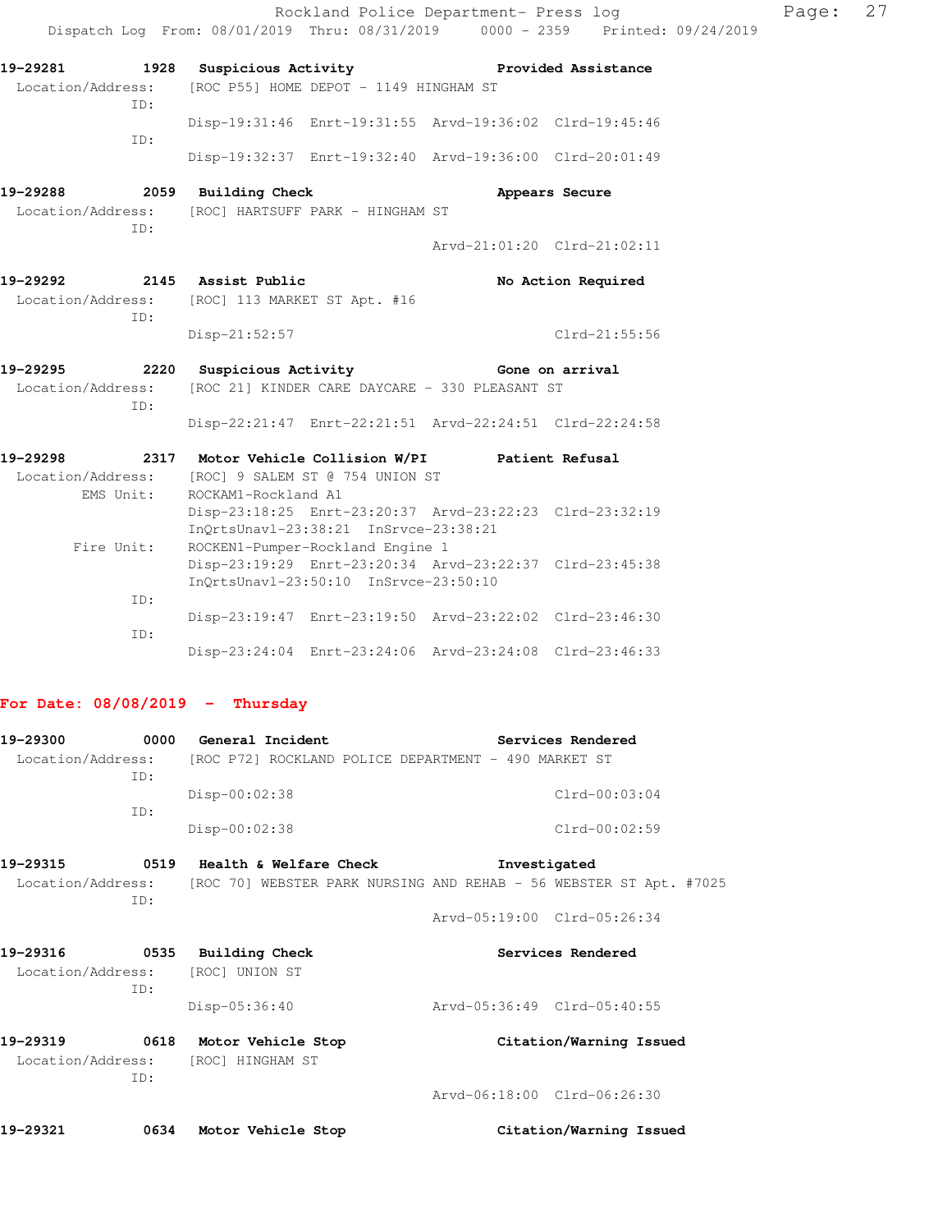|                                                       |            |                                                          | Rockland Police Department- Press log                                          |                             |  |
|-------------------------------------------------------|------------|----------------------------------------------------------|--------------------------------------------------------------------------------|-----------------------------|--|
|                                                       |            |                                                          | Dispatch Log From: 08/01/2019 Thru: 08/31/2019 0000 - 2359 Printed: 09/24/2019 |                             |  |
|                                                       |            |                                                          | 19-29281 1928 Suspicious Activity 19-29281 Provided Assistance                 |                             |  |
|                                                       | ID:        | Location/Address: [ROC P55] HOME DEPOT - 1149 HINGHAM ST |                                                                                |                             |  |
|                                                       |            |                                                          | Disp-19:31:46 Enrt-19:31:55 Arvd-19:36:02 Clrd-19:45:46                        |                             |  |
|                                                       | ID:        |                                                          | Disp-19:32:37 Enrt-19:32:40 Arvd-19:36:00 Clrd-20:01:49                        |                             |  |
|                                                       |            | 19-29288 2059 Building Check                             |                                                                                | Appears Secure              |  |
|                                                       | ID:        | Location/Address: [ROC] HARTSUFF PARK - HINGHAM ST       |                                                                                |                             |  |
|                                                       |            |                                                          |                                                                                | Arvd-21:01:20 Clrd-21:02:11 |  |
|                                                       |            | 19-29292 2145 Assist Public                              |                                                                                | No Action Required          |  |
| Location/Address: [ROC] 113 MARKET ST Apt. #16<br>TD: |            |                                                          |                                                                                |                             |  |
|                                                       |            | Disp-21:52:57                                            |                                                                                | Clrd-21:55:56               |  |
|                                                       |            |                                                          | 19-29295 2220 Suspicious Activity Cone on arrival                              |                             |  |
|                                                       | TD:        |                                                          | Location/Address: [ROC 21] KINDER CARE DAYCARE - 330 PLEASANT ST               |                             |  |
|                                                       |            |                                                          | Disp-22:21:47 Enrt-22:21:51 Arvd-22:24:51 Clrd-22:24:58                        |                             |  |
|                                                       |            |                                                          | 19-29298 2317 Motor Vehicle Collision W/PI Patient Refusal                     |                             |  |
|                                                       |            | Location/Address: [ROC] 9 SALEM ST @ 754 UNION ST        |                                                                                |                             |  |
|                                                       | EMS Unit:  | ROCKAM1-Rockland A1                                      |                                                                                |                             |  |
|                                                       |            |                                                          | Disp-23:18:25 Enrt-23:20:37 Arvd-23:22:23 Clrd-23:32:19                        |                             |  |
|                                                       |            | InOrtsUnavl-23:38:21 InSrvce-23:38:21                    |                                                                                |                             |  |
|                                                       | Fire Unit: | ROCKEN1-Pumper-Rockland Engine 1                         |                                                                                |                             |  |
|                                                       |            |                                                          | Disp-23:19:29 Enrt-23:20:34 Arvd-23:22:37 Clrd-23:45:38                        |                             |  |
|                                                       | TD:        | InQrtsUnavl-23:50:10 InSrvce-23:50:10                    |                                                                                |                             |  |
|                                                       |            |                                                          |                                                                                |                             |  |

 Disp-23:19:47 Enrt-23:19:50 Arvd-23:22:02 Clrd-23:46:30 ID: Disp-23:24:04 Enrt-23:24:06 Arvd-23:24:08 Clrd-23:46:33

## **For Date: 08/08/2019 - Thursday**

| 19-29300<br>Location/Address: | 0000        | General Incident<br>[ROC P72] ROCKLAND POLICE DEPARTMENT - 490 MARKET ST | Services Rendered                                                  |
|-------------------------------|-------------|--------------------------------------------------------------------------|--------------------------------------------------------------------|
|                               | ID:         | $Disp-00:02:38$                                                          | $Clrd-00:03:04$                                                    |
|                               | ID:         | Disp-00:02:38                                                            | $Clrd-00:02:59$                                                    |
| 19-29315                      |             | 0519 Health & Welfare Check                                              | Investigated                                                       |
| Location/Address:             | ID:         |                                                                          | [ROC 70] WEBSTER PARK NURSING AND REHAB - 56 WEBSTER ST Apt. #7025 |
|                               |             |                                                                          | Arvd-05:19:00 Clrd-05:26:34                                        |
| 19-29316<br>Location/Address: | 0535<br>TD: | <b>Building Check</b><br>[ROC] UNION ST                                  | Services Rendered                                                  |
|                               |             | $Disp-05:36:40$                                                          | Arvd-05:36:49 Clrd-05:40:55                                        |
| 19-29319<br>Location/Address: | 0618        | Motor Vehicle Stop<br>[ROC] HINGHAM ST                                   | Citation/Warning Issued                                            |

**19-29321 0634 Motor Vehicle Stop Citation/Warning Issued** 

ID:

Arvd-06:18:00 Clrd-06:26:30

Page: 27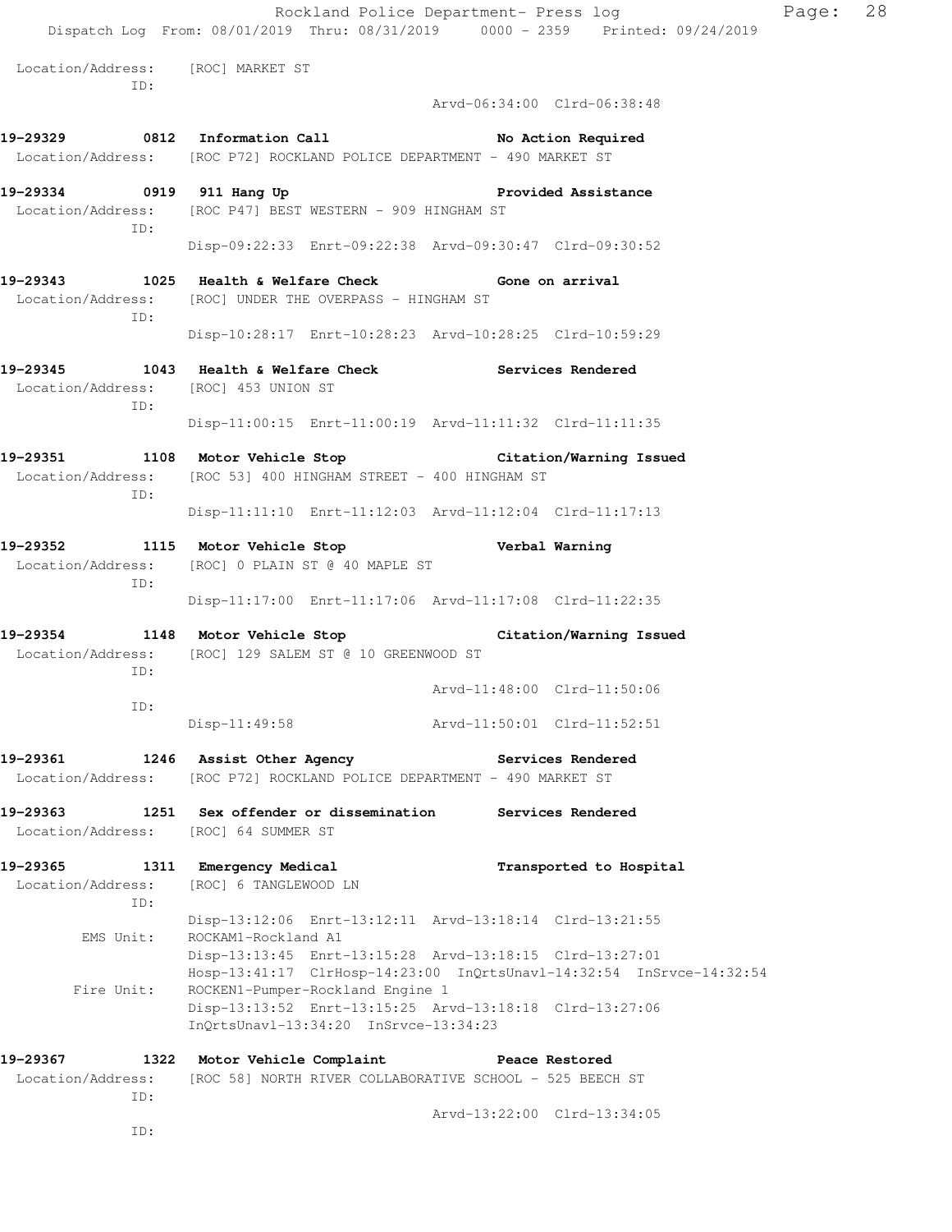|                                                                                                                 |                                                                                                      | Rockland Police Department- Press log |                             |                    | Dispatch Log From: 08/01/2019 Thru: 08/31/2019 0000 - 2359 Printed: 09/24/2019 | Page: | 28 |
|-----------------------------------------------------------------------------------------------------------------|------------------------------------------------------------------------------------------------------|---------------------------------------|-----------------------------|--------------------|--------------------------------------------------------------------------------|-------|----|
|                                                                                                                 |                                                                                                      |                                       |                             |                    |                                                                                |       |    |
| Location/Address: [ROC] MARKET ST<br>ID:                                                                        |                                                                                                      |                                       |                             |                    |                                                                                |       |    |
|                                                                                                                 |                                                                                                      |                                       | Arvd-06:34:00 Clrd-06:38:48 |                    |                                                                                |       |    |
| 19-29329 0812 Information Call                                                                                  |                                                                                                      |                                       |                             | No Action Required |                                                                                |       |    |
| Location/Address: [ROC P72] ROCKLAND POLICE DEPARTMENT - 490 MARKET ST                                          |                                                                                                      |                                       |                             |                    |                                                                                |       |    |
| 19-29334 0919 911 Hang Up<br>Location/Address: [ROC P47] BEST WESTERN - 909 HINGHAM ST<br>ID:                   |                                                                                                      |                                       |                             |                    | Provided Assistance                                                            |       |    |
|                                                                                                                 | Disp-09:22:33 Enrt-09:22:38 Arvd-09:30:47 Clrd-09:30:52                                              |                                       |                             |                    |                                                                                |       |    |
| 19-29343 1025 Health & Welfare Check 6one on arrival<br>Location/Address: [ROC] UNDER THE OVERPASS - HINGHAM ST |                                                                                                      |                                       |                             |                    |                                                                                |       |    |
| ID:                                                                                                             | Disp-10:28:17 Enrt-10:28:23 Arvd-10:28:25 Clrd-10:59:29                                              |                                       |                             |                    |                                                                                |       |    |
| 19-29345 1043 Health & Welfare Check Services Rendered                                                          |                                                                                                      |                                       |                             |                    |                                                                                |       |    |
| Location/Address: [ROC] 453 UNION ST<br>ID:                                                                     |                                                                                                      |                                       |                             |                    |                                                                                |       |    |
|                                                                                                                 | Disp-11:00:15 Enrt-11:00:19 Arvd-11:11:32 Clrd-11:11:35                                              |                                       |                             |                    |                                                                                |       |    |
| 19-29351 1108 Motor Vehicle Stop Citation/Warning Issued                                                        |                                                                                                      |                                       |                             |                    |                                                                                |       |    |
| Location/Address: [ROC 53] 400 HINGHAM STREET - 400 HINGHAM ST<br>ID:                                           |                                                                                                      |                                       |                             |                    |                                                                                |       |    |
|                                                                                                                 | Disp-11:11:10 Enrt-11:12:03 Arvd-11:12:04 Clrd-11:17:13                                              |                                       |                             |                    |                                                                                |       |    |
| 19-29352 1115 Motor Vehicle Stop 6 Verbal Warning                                                               |                                                                                                      |                                       |                             |                    |                                                                                |       |    |
| Location/Address:<br>ID:                                                                                        | [ROC] 0 PLAIN ST @ 40 MAPLE ST                                                                       |                                       |                             |                    |                                                                                |       |    |
|                                                                                                                 | Disp-11:17:00 Enrt-11:17:06 Arvd-11:17:08 Clrd-11:22:35                                              |                                       |                             |                    |                                                                                |       |    |
| 19-29354 1148 Motor Vehicle Stop Citation/Warning Issued                                                        |                                                                                                      |                                       |                             |                    |                                                                                |       |    |
| Location/Address: [ROC] 129 SALEM ST @ 10 GREENWOOD ST<br>ID:                                                   |                                                                                                      |                                       |                             |                    |                                                                                |       |    |
| ID:                                                                                                             |                                                                                                      |                                       | Arvd-11:48:00 Clrd-11:50:06 |                    |                                                                                |       |    |
|                                                                                                                 | Disp-11:49:58 Arvd-11:50:01 Clrd-11:52:51                                                            |                                       |                             |                    |                                                                                |       |    |
| 19-29361                                                                                                        | 1246 Assist Other Agency Services Rendered                                                           |                                       |                             |                    |                                                                                |       |    |
| Location/Address:                                                                                               | [ROC P72] ROCKLAND POLICE DEPARTMENT - 490 MARKET ST                                                 |                                       |                             |                    |                                                                                |       |    |
| 19-29363                                                                                                        | 1251 Sex offender or dissemination                                                                   |                                       |                             | Services Rendered  |                                                                                |       |    |
| Location/Address: [ROC] 64 SUMMER ST                                                                            |                                                                                                      |                                       |                             |                    |                                                                                |       |    |
| 19-29365 1311 Emergency Medical                                                                                 |                                                                                                      |                                       |                             |                    | Transported to Hospital                                                        |       |    |
| Location/Address:<br>ID:                                                                                        | [ROC] 6 TANGLEWOOD LN                                                                                |                                       |                             |                    |                                                                                |       |    |
| EMS Unit:                                                                                                       | Disp-13:12:06 Enrt-13:12:11 Arvd-13:18:14 Clrd-13:21:55<br>ROCKAM1-Rockland A1                       |                                       |                             |                    |                                                                                |       |    |
|                                                                                                                 | Disp-13:13:45 Enrt-13:15:28 Arvd-13:18:15 Clrd-13:27:01                                              |                                       |                             |                    |                                                                                |       |    |
| Fire Unit:                                                                                                      | ROCKEN1-Pumper-Rockland Engine 1                                                                     |                                       |                             |                    | Hosp-13:41:17 ClrHosp-14:23:00 InQrtsUnavl-14:32:54 InSrvce-14:32:54           |       |    |
|                                                                                                                 | Disp-13:13:52 Enrt-13:15:25 Arvd-13:18:18 Clrd-13:27:06<br>$InQrtsUnav1-13:34:20$ $InSrvce-13:34:23$ |                                       |                             |                    |                                                                                |       |    |
| 19-29367                                                                                                        | 1322 Motor Vehicle Complaint Peace Restored                                                          |                                       |                             |                    |                                                                                |       |    |
| Location/Address:                                                                                               | [ROC 58] NORTH RIVER COLLABORATIVE SCHOOL - 525 BEECH ST                                             |                                       |                             |                    |                                                                                |       |    |
| ID:                                                                                                             |                                                                                                      |                                       | Arvd-13:22:00 Clrd-13:34:05 |                    |                                                                                |       |    |

ID: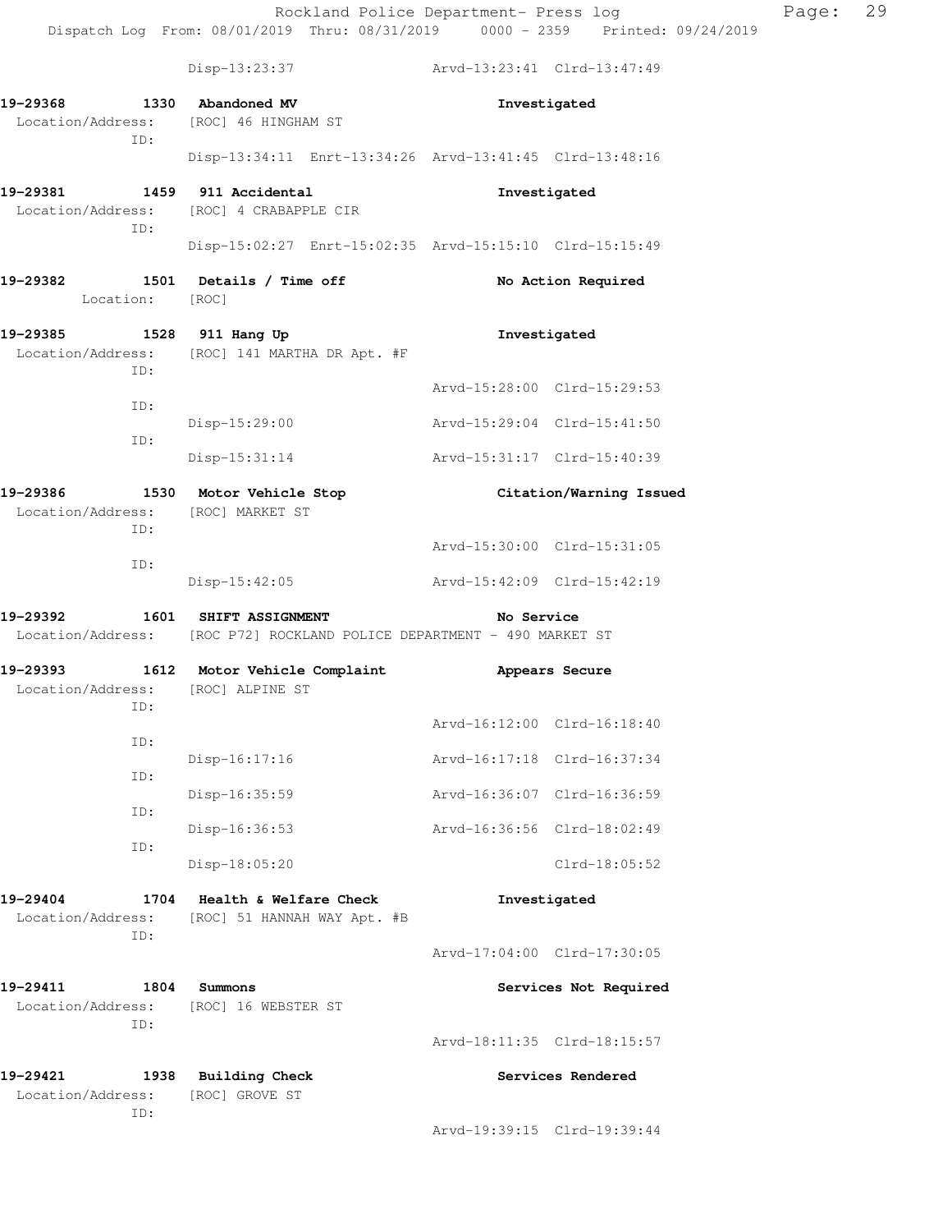|                                                      | Disp-13:23:37                                                          | Arvd-13:23:41 Clrd-13:47:49                             |
|------------------------------------------------------|------------------------------------------------------------------------|---------------------------------------------------------|
| 19-29368<br>Location/Address:<br>ID:                 | 1330 Abandoned MV<br>[ROC] 46 HINGHAM ST                               | Investigated                                            |
|                                                      |                                                                        | Disp-13:34:11 Enrt-13:34:26 Arvd-13:41:45 Clrd-13:48:16 |
| 19-29381               1459    911 Accidental<br>ID: | Location/Address: [ROC] 4 CRABAPPLE CIR                                | Investigated                                            |
|                                                      |                                                                        | Disp-15:02:27 Enrt-15:02:35 Arvd-15:15:10 Clrd-15:15:49 |
| 19-29382<br>Location: [ROC]                          | 1501 Details / Time off                                                | No Action Required                                      |
| 19-29385<br>ID:                                      | 1528 911 Hang Up<br>Location/Address: [ROC] 141 MARTHA DR Apt. #F      | Investigated                                            |
| ID:                                                  |                                                                        | Arvd-15:28:00 Clrd-15:29:53                             |
|                                                      | Disp-15:29:00                                                          | Arvd-15:29:04 Clrd-15:41:50                             |
| ID:                                                  | Disp-15:31:14                                                          | Arvd-15:31:17 Clrd-15:40:39                             |
| 19-29386<br>Location/Address:<br>ID:                 | 1530 Motor Vehicle Stop<br>[ROC] MARKET ST                             | Citation/Warning Issued                                 |
| ID:                                                  |                                                                        | Arvd-15:30:00 Clrd-15:31:05                             |
|                                                      | Disp-15:42:05                                                          | Arvd-15:42:09 Clrd-15:42:19                             |
| 19–29392                                             | <b>1601 SHIFT ASSIGNMENT</b>                                           | No Service                                              |
|                                                      | Location/Address: [ROC P72] ROCKLAND POLICE DEPARTMENT - 490 MARKET ST |                                                         |
| Location/Address: [ROC] ALPINE ST                    | 19-29393 1612 Motor Vehicle Complaint                                  | Appears Secure                                          |
| ID:                                                  |                                                                        | Arvd-16:12:00 Clrd-16:18:40                             |
| ID:                                                  | Disp-16:17:16                                                          | Arvd-16:17:18<br>Clrd-16:37:34                          |
| ID:                                                  | Disp-16:35:59                                                          | Arvd-16:36:07 Clrd-16:36:59                             |
| ID:                                                  | $Disp-16:36:53$                                                        | Arvd-16:36:56 Clrd-18:02:49                             |
| ID:                                                  | Disp-18:05:20                                                          | $Clrd-18:05:52$                                         |
| 19-29404<br>1704<br>Location/Address:                | Health & Welfare Check<br>[ROC] 51 HANNAH WAY Apt. #B                  | Investigated                                            |
| ID:                                                  |                                                                        | Arvd-17:04:00 Clrd-17:30:05                             |
| 19-29411<br>1804<br>Location/Address:                | Summons<br>[ROC] 16 WEBSTER ST                                         | Services Not Required                                   |
| ID:                                                  |                                                                        | Arvd-18:11:35 Clrd-18:15:57                             |
| 19-29421<br>1938<br>Location/Address:<br>ID:         | <b>Building Check</b><br>[ROC] GROVE ST                                | Services Rendered                                       |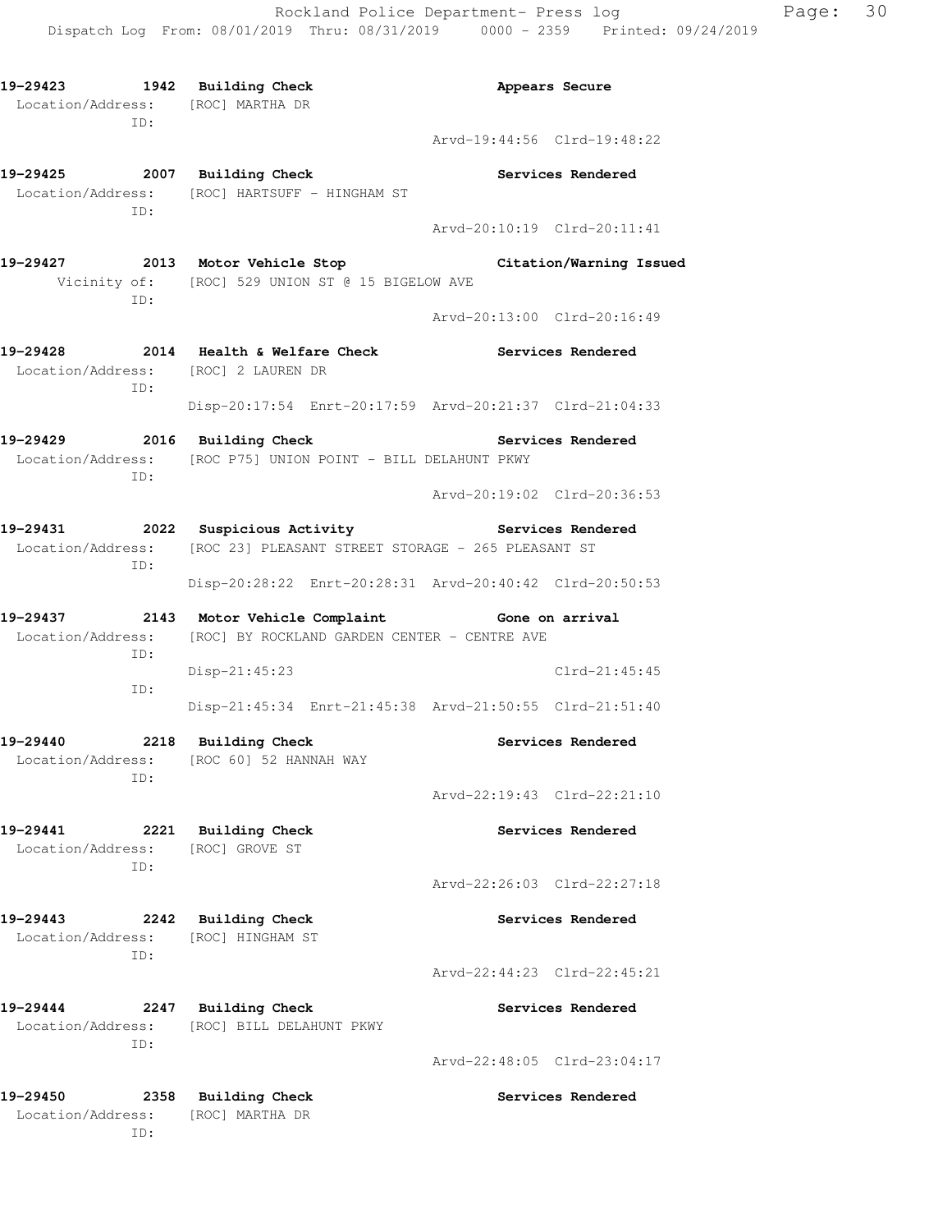| 19-29423 1942 Building Check<br>Location/Address: [ROC] MARTHA DR<br>ID: |                                                                                                                                | Appears Secure                                           |  |
|--------------------------------------------------------------------------|--------------------------------------------------------------------------------------------------------------------------------|----------------------------------------------------------|--|
|                                                                          |                                                                                                                                | Arvd-19:44:56 Clrd-19:48:22                              |  |
| 19-29425 2007 Building Check<br>ID:                                      | Location/Address: [ROC] HARTSUFF - HINGHAM ST                                                                                  | <b>Services Rendered</b>                                 |  |
|                                                                          |                                                                                                                                | Arvd-20:10:19 Clrd-20:11:41                              |  |
| ID:                                                                      | Vicinity of: [ROC] 529 UNION ST @ 15 BIGELOW AVE                                                                               | 19-29427 2013 Motor Vehicle Stop Citation/Warning Issued |  |
|                                                                          |                                                                                                                                | Arvd-20:13:00 Clrd-20:16:49                              |  |
| Location/Address: [ROC] 2 LAUREN DR<br>ID:                               | 19-29428 2014 Health & Welfare Check                                                                                           | Services Rendered                                        |  |
|                                                                          | Disp-20:17:54 Enrt-20:17:59 Arvd-20:21:37 Clrd-21:04:33                                                                        |                                                          |  |
| ID:                                                                      | 19-29429 2016 Building Check<br>Location/Address: [ROC P75] UNION POINT - BILL DELAHUNT PKWY                                   | Services Rendered                                        |  |
|                                                                          |                                                                                                                                | Arvd-20:19:02 Clrd-20:36:53                              |  |
| ID:                                                                      | Services Rendered<br>19-29431 2022 Suspicious Activity<br>Location/Address: [ROC 23] PLEASANT STREET STORAGE - 265 PLEASANT ST |                                                          |  |
|                                                                          | Disp-20:28:22 Enrt-20:28:31 Arvd-20:40:42 Clrd-20:50:53                                                                        |                                                          |  |
| ID:                                                                      | 19-29437 2143 Motor Vehicle Complaint Gone on arrival<br>Location/Address: [ROC] BY ROCKLAND GARDEN CENTER - CENTRE AVE        |                                                          |  |
| ID:                                                                      | $Disp-21:45:23$                                                                                                                | $Clrd-21:45:45$                                          |  |
|                                                                          | Disp-21:45:34 Enrt-21:45:38 Arvd-21:50:55 Clrd-21:51:40                                                                        |                                                          |  |
| ID:                                                                      | 19-29440 2218 Building Check<br>Location/Address: [ROC 60] 52 HANNAH WAY                                                       | Services Rendered                                        |  |
|                                                                          |                                                                                                                                | Arvd-22:19:43 Clrd-22:21:10                              |  |
| 19-29441<br>Location/Address: [ROC] GROVE ST<br>ID:                      | 2221 Building Check                                                                                                            | Services Rendered                                        |  |
|                                                                          |                                                                                                                                | Arvd-22:26:03 Clrd-22:27:18                              |  |
| 19-29443<br>Location/Address: [ROC] HINGHAM ST<br>ID:                    | 2242 Building Check                                                                                                            | Services Rendered                                        |  |
|                                                                          |                                                                                                                                | Arvd-22:44:23 Clrd-22:45:21                              |  |
| 19-29444 2247 Building Check                                             | Location/Address: [ROC] BILL DELAHUNT PKWY                                                                                     | Services Rendered                                        |  |
| ID:                                                                      |                                                                                                                                | Arvd-22:48:05 Clrd-23:04:17                              |  |
| 19-29450<br>Location/Address: [ROC] MARTHA DR<br>ID:                     | 2358 Building Check                                                                                                            | Services Rendered                                        |  |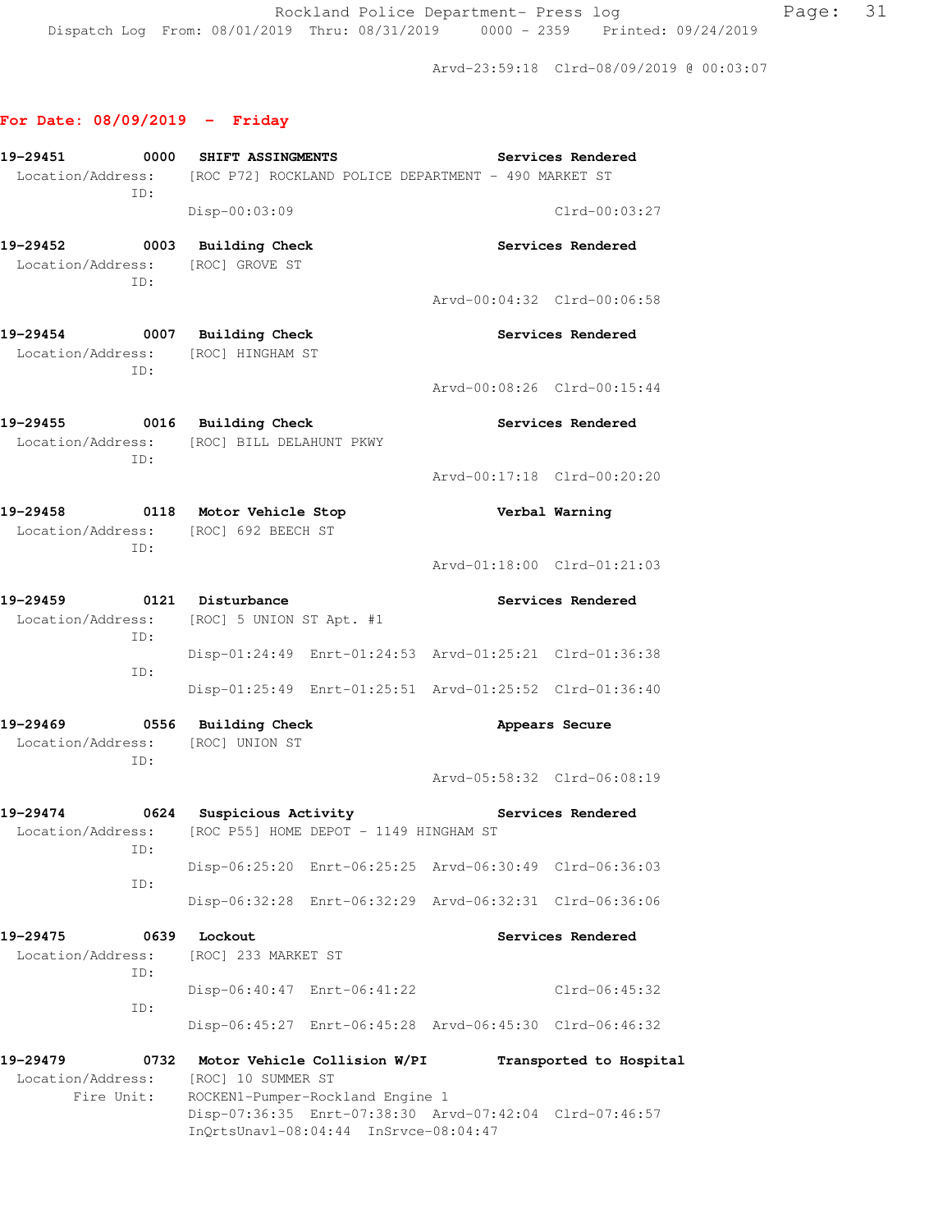Arvd-23:59:18 Clrd-08/09/2019 @ 00:03:07

# **For Date: 08/09/2019 - Friday**

| 19-29451                                                                          |      | 0000 SHIFT ASSINGMENTS                                                 |                                                          |                                                         | Services Rendered       |  |
|-----------------------------------------------------------------------------------|------|------------------------------------------------------------------------|----------------------------------------------------------|---------------------------------------------------------|-------------------------|--|
| ID:                                                                               |      | Location/Address: [ROC P72] ROCKLAND POLICE DEPARTMENT - 490 MARKET ST |                                                          |                                                         |                         |  |
|                                                                                   |      | Disp-00:03:09                                                          |                                                          |                                                         | $Clrd-00:03:27$         |  |
| 19-29452 0003 Building Check                                                      | ID:  | Location/Address: [ROC] GROVE ST                                       |                                                          |                                                         | Services Rendered       |  |
|                                                                                   |      |                                                                        |                                                          | Arvd-00:04:32 Clrd-00:06:58                             |                         |  |
| 19-29454 0007 Building Check                                                      | ID:  | Location/Address: [ROC] HINGHAM ST                                     |                                                          |                                                         | Services Rendered       |  |
|                                                                                   |      |                                                                        |                                                          | Arvd-00:08:26 Clrd-00:15:44                             |                         |  |
| 19-29455 0016 Building Check<br>Location/Address: [ROC] BILL DELAHUNT PKWY<br>ID: |      |                                                                        |                                                          |                                                         | Services Rendered       |  |
|                                                                                   |      |                                                                        |                                                          | Arvd-00:17:18 Clrd-00:20:20                             |                         |  |
| 19-29458 0118 Motor Vehicle Stop<br>Location/Address: [ROC] 692 BEECH ST<br>ID:   |      |                                                                        |                                                          |                                                         | Verbal Warning          |  |
|                                                                                   |      |                                                                        |                                                          | Arvd-01:18:00 Clrd-01:21:03                             |                         |  |
| 19-29459 0121 Disturbance<br>Location/Address: [ROC] 5 UNION ST Apt. #1           | ID:  |                                                                        |                                                          |                                                         | Services Rendered       |  |
|                                                                                   | ID:  |                                                                        |                                                          | Disp-01:24:49 Enrt-01:24:53 Arvd-01:25:21 Clrd-01:36:38 |                         |  |
|                                                                                   |      |                                                                        |                                                          | Disp-01:25:49 Enrt-01:25:51 Arvd-01:25:52 Clrd-01:36:40 |                         |  |
| 19-29469 0556 Building Check                                                      |      | Location/Address: [ROC] UNION ST                                       |                                                          |                                                         | Appears Secure          |  |
|                                                                                   | ID:  |                                                                        |                                                          | Arvd-05:58:32 Clrd-06:08:19                             |                         |  |
| 19-29474 0624 Suspicious Activity                                                 | ID:  |                                                                        | Location/Address: [ROC P55] HOME DEPOT - 1149 HINGHAM ST | <b>Services Rendered</b>                                |                         |  |
|                                                                                   |      |                                                                        |                                                          | Disp-06:25:20 Enrt-06:25:25 Arvd-06:30:49 Clrd-06:36:03 |                         |  |
|                                                                                   | ID:  |                                                                        |                                                          | Disp-06:32:28 Enrt-06:32:29 Arvd-06:32:31 Clrd-06:36:06 |                         |  |
| 19-29475<br>Location/Address:                                                     | ID:  | 0639 Lockout<br>[ROC] 233 MARKET ST                                    |                                                          |                                                         | Services Rendered       |  |
|                                                                                   | ID:  |                                                                        | Disp-06:40:47 Enrt-06:41:22                              |                                                         | $Clrd-06:45:32$         |  |
|                                                                                   |      |                                                                        |                                                          | Disp-06:45:27 Enrt-06:45:28 Arvd-06:45:30 Clrd-06:46:32 |                         |  |
| 19-29479                                                                          | 0732 |                                                                        | Motor Vehicle Collision W/PI                             |                                                         | Transported to Hospital |  |
| Location/Address:<br>Fire Unit:                                                   |      | [ROC] 10 SUMMER ST                                                     | ROCKEN1-Pumper-Rockland Engine 1                         |                                                         |                         |  |
|                                                                                   |      |                                                                        | InQrtsUnavl-08:04:44 InSrvce-08:04:47                    | Disp-07:36:35 Enrt-07:38:30 Arvd-07:42:04 Clrd-07:46:57 |                         |  |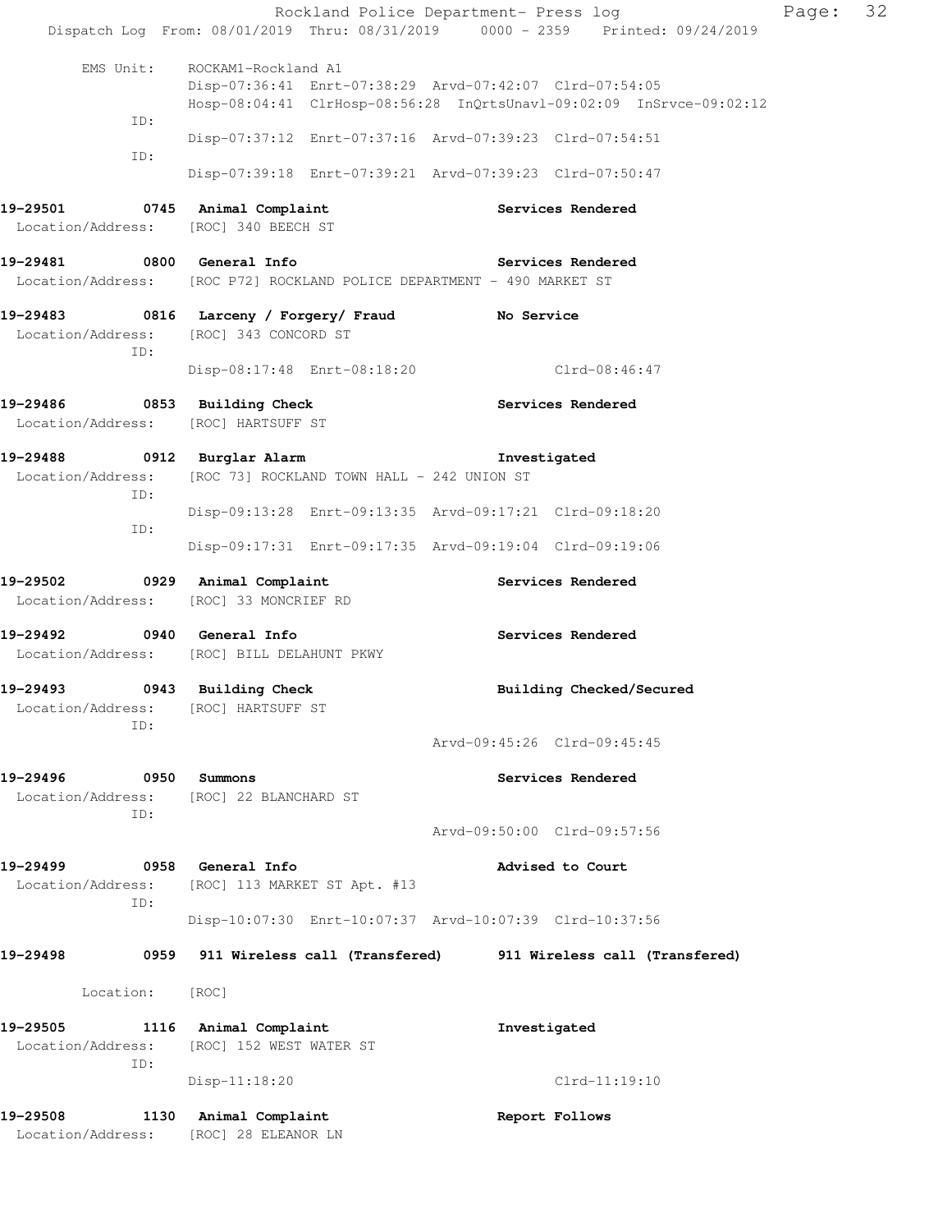|                                                                                                      |                                                                                | Rockland Police Department- Press log |                          |                                                                      | Page: | 32 |
|------------------------------------------------------------------------------------------------------|--------------------------------------------------------------------------------|---------------------------------------|--------------------------|----------------------------------------------------------------------|-------|----|
| Dispatch Log From: 08/01/2019 Thru: 08/31/2019   0000 - 2359   Printed: 09/24/2019                   |                                                                                |                                       |                          |                                                                      |       |    |
| EMS Unit:                                                                                            | ROCKAM1-Rockland A1<br>Disp-07:36:41 Enrt-07:38:29 Arvd-07:42:07 Clrd-07:54:05 |                                       |                          | Hosp-08:04:41 ClrHosp-08:56:28 InQrtsUnavl-09:02:09 InSrvce-09:02:12 |       |    |
| ID:                                                                                                  | Disp-07:37:12 Enrt-07:37:16 Arvd-07:39:23 Clrd-07:54:51                        |                                       |                          |                                                                      |       |    |
| ID:                                                                                                  | Disp-07:39:18 Enrt-07:39:21 Arvd-07:39:23 Clrd-07:50:47                        |                                       |                          |                                                                      |       |    |
| 19-29501 0745 Animal Complaint<br>Location/Address: [ROC] 340 BEECH ST                               |                                                                                |                                       | Services Rendered        |                                                                      |       |    |
| 19-29481 0800 General Info<br>Location/Address: [ROC P72] ROCKLAND POLICE DEPARTMENT - 490 MARKET ST |                                                                                |                                       | Services Rendered        |                                                                      |       |    |
| 19-29483 0816 Larceny / Forgery/ Fraud No Service<br>Location/Address: [ROC] 343 CONCORD ST<br>ID:   |                                                                                |                                       |                          |                                                                      |       |    |
|                                                                                                      | Disp-08:17:48 Enrt-08:18:20 Clrd-08:46:47                                      |                                       |                          |                                                                      |       |    |
| 19-29486 0853 Building Check<br>Location/Address: [ROC] HARTSUFF ST                                  |                                                                                |                                       | Services Rendered        |                                                                      |       |    |
| 19-29488 0912 Burglar Alarm                                                                          |                                                                                |                                       | Investigated             |                                                                      |       |    |
| Location/Address: [ROC 73] ROCKLAND TOWN HALL - 242 UNION ST<br>ID:                                  |                                                                                |                                       |                          |                                                                      |       |    |
| ID:                                                                                                  | Disp-09:13:28 Enrt-09:13:35 Arvd-09:17:21 Clrd-09:18:20                        |                                       |                          |                                                                      |       |    |
|                                                                                                      | Disp-09:17:31 Enrt-09:17:35 Arvd-09:19:04 Clrd-09:19:06                        |                                       |                          |                                                                      |       |    |
| 19-29502 0929 Animal Complaint<br>Location/Address: [ROC] 33 MONCRIEF RD                             |                                                                                |                                       | Services Rendered        |                                                                      |       |    |
| 19-29492 0940 General Info<br>Location/Address: [ROC] BILL DELAHUNT PKWY                             |                                                                                |                                       | Services Rendered        |                                                                      |       |    |
| 19–29493<br>Location/Address:<br>TD:                                                                 | 0943 Building Check<br>[ROC] HARTSUFF ST                                       |                                       | Building Checked/Secured |                                                                      |       |    |
|                                                                                                      |                                                                                | Arvd-09:45:26 Clrd-09:45:45           |                          |                                                                      |       |    |
| 19–29496<br>0950<br>Location/Address: [ROC] 22 BLANCHARD ST<br>ID:                                   | Summons                                                                        |                                       | Services Rendered        |                                                                      |       |    |
|                                                                                                      |                                                                                | Arvd-09:50:00 Clrd-09:57:56           |                          |                                                                      |       |    |
| 19–29499<br>Location/Address:<br>ID:                                                                 | 0958 General Info<br>[ROC] 113 MARKET ST Apt. #13                              |                                       | Advised to Court         |                                                                      |       |    |
|                                                                                                      | Disp-10:07:30 Enrt-10:07:37 Arvd-10:07:39 Clrd-10:37:56                        |                                       |                          |                                                                      |       |    |
| 19–29498                                                                                             | 0959 911 Wireless call (Transfered)                                            |                                       |                          | 911 Wireless call (Transfered)                                       |       |    |
| Location: [ROC]                                                                                      |                                                                                |                                       |                          |                                                                      |       |    |
| 19–29505<br>Location/Address:                                                                        | 1116 Animal Complaint<br>[ROC] 152 WEST WATER ST                               |                                       | Investigated             |                                                                      |       |    |
| ID:                                                                                                  | $Disp-11:18:20$                                                                |                                       | $Clrd-11:19:10$          |                                                                      |       |    |
| 19–29508<br>Location/Address:                                                                        | 1130 Animal Complaint<br>[ROC] 28 ELEANOR LN                                   |                                       | Report Follows           |                                                                      |       |    |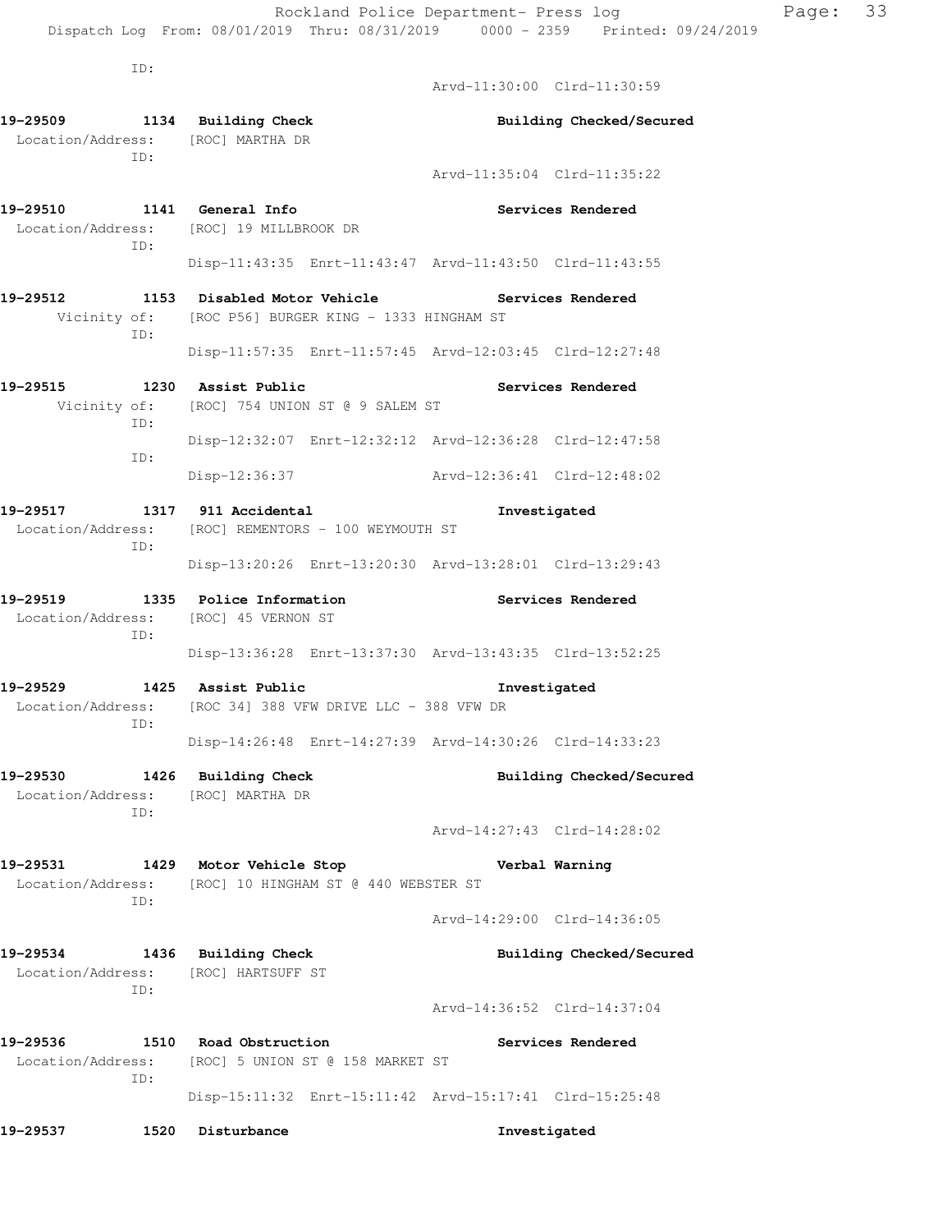ID:

ID:

ID:

ID:

ID:

 Arvd-11:30:00 Clrd-11:30:59 **19-29509 1134 Building Check Building Checked/Secured**  Location/Address: [ROC] MARTHA DR Arvd-11:35:04 Clrd-11:35:22 **19-29510 1141 General Info Services Rendered**  Location/Address: [ROC] 19 MILLBROOK DR Disp-11:43:35 Enrt-11:43:47 Arvd-11:43:50 Clrd-11:43:55 **19-29512 1153 Disabled Motor Vehicle Services Rendered**  Vicinity of: [ROC P56] BURGER KING - 1333 HINGHAM ST Disp-11:57:35 Enrt-11:57:45 Arvd-12:03:45 Clrd-12:27:48

- **19-29515 1230 Assist Public Services Rendered**  Vicinity of: [ROC] 754 UNION ST @ 9 SALEM ST ID: Disp-12:32:07 Enrt-12:32:12 Arvd-12:36:28 Clrd-12:47:58 ID: Disp-12:36:37 Arvd-12:36:41 Clrd-12:48:02
- **19-29517 1317 911 Accidental Investigated**  Location/Address: [ROC] REMENTORS - 100 WEYMOUTH ST ID: Disp-13:20:26 Enrt-13:20:30 Arvd-13:28:01 Clrd-13:29:43
- **19-29519 1335 Police Information Services Rendered**  Location/Address: [ROC] 45 VERNON ST ID: Disp-13:36:28 Enrt-13:37:30 Arvd-13:43:35 Clrd-13:52:25
- **19-29529 1425 Assist Public Investigated**  Location/Address: [ROC 34] 388 VFW DRIVE LLC - 388 VFW DR ID: Disp-14:26:48 Enrt-14:27:39 Arvd-14:30:26 Clrd-14:33:23
- **19-29530 1426 Building Check Building Checked/Secured**  Location/Address: [ROC] MARTHA DR ID:

Arvd-14:27:43 Clrd-14:28:02

**19-29531 1429 Motor Vehicle Stop Verbal Warning**  Location/Address: [ROC] 10 HINGHAM ST @ 440 WEBSTER ST ID: Arvd-14:29:00 Clrd-14:36:05

**19-29534 1436 Building Check Building Checked/Secured**  Location/Address: [ROC] HARTSUFF ST

Arvd-14:36:52 Clrd-14:37:04

- 19-29536 1510 Road Obstruction **19-29536** Services Rendered Location/Address: [ROC] 5 UNION ST @ 158 MARKET ST ID: Disp-15:11:32 Enrt-15:11:42 Arvd-15:17:41 Clrd-15:25:48
- **19-29537 1520 Disturbance Investigated**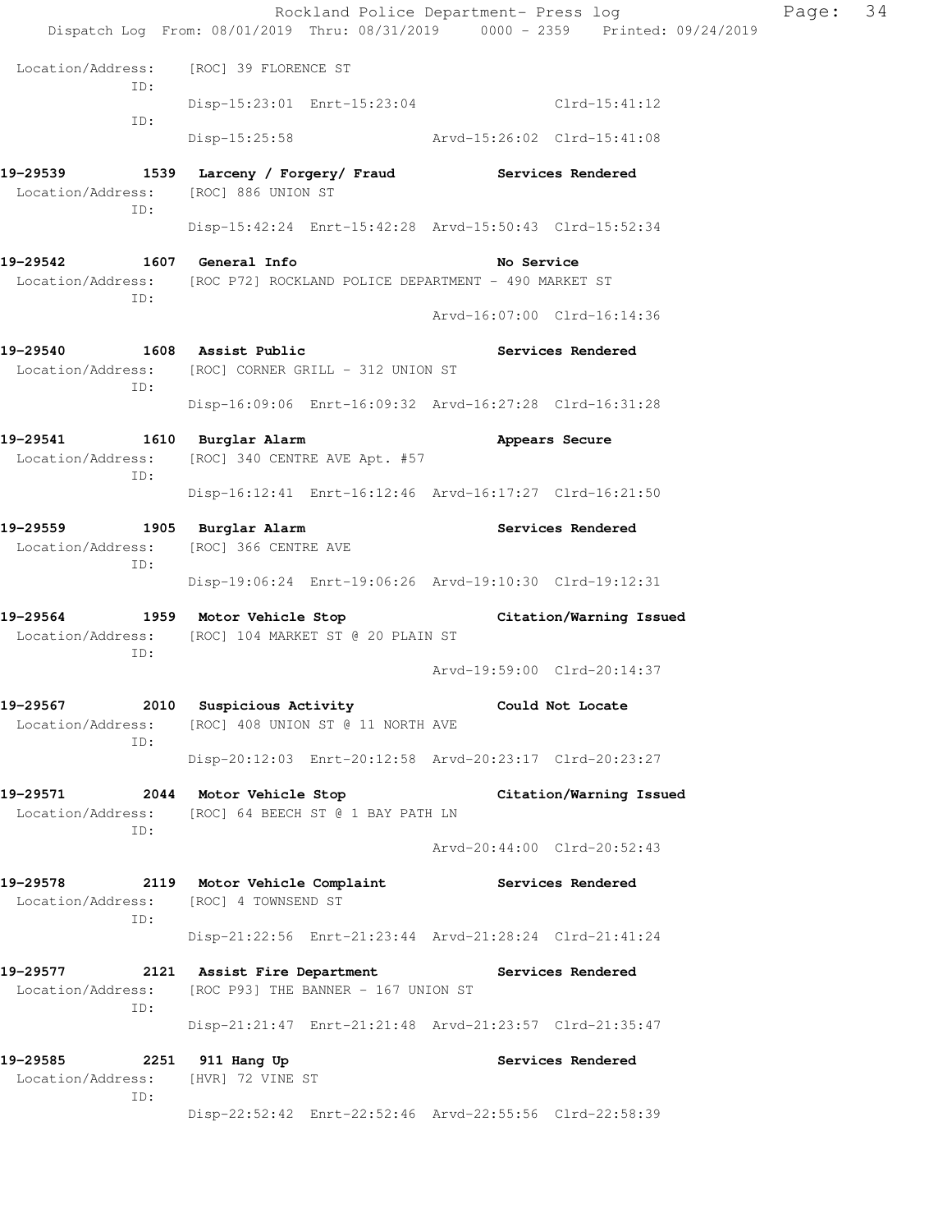|                                      |                                                                                                  | Rockland Police Department- Press log                                          | Page: 34 |
|--------------------------------------|--------------------------------------------------------------------------------------------------|--------------------------------------------------------------------------------|----------|
|                                      |                                                                                                  | Dispatch Log From: 08/01/2019 Thru: 08/31/2019 0000 - 2359 Printed: 09/24/2019 |          |
| ID:                                  | Location/Address: [ROC] 39 FLORENCE ST                                                           |                                                                                |          |
| ID:                                  |                                                                                                  | Disp-15:23:01 Enrt-15:23:04 Clrd-15:41:12                                      |          |
|                                      |                                                                                                  | Disp-15:25:58 Arvd-15:26:02 Clrd-15:41:08                                      |          |
| ID:                                  | 19-29539 1539 Larceny / Forgery/ Fraud Services Rendered<br>Location/Address: [ROC] 886 UNION ST |                                                                                |          |
|                                      |                                                                                                  | Disp-15:42:24 Enrt-15:42:28 Arvd-15:50:43 Clrd-15:52:34                        |          |
| 19-29542 1607 General Info<br>ID:    | Location/Address: [ROC P72] ROCKLAND POLICE DEPARTMENT - 490 MARKET ST                           | No Service                                                                     |          |
|                                      |                                                                                                  | Arvd-16:07:00 Clrd-16:14:36                                                    |          |
| 19-29540 1608 Assist Public<br>ID:   | Location/Address: [ROC] CORNER GRILL - 312 UNION ST                                              | Services Rendered                                                              |          |
|                                      |                                                                                                  | Disp-16:09:06 Enrt-16:09:32 Arvd-16:27:28 Clrd-16:31:28                        |          |
| 19-29541 1610 Burglar Alarm<br>ID:   | Location/Address: [ROC] 340 CENTRE AVE Apt. #57                                                  | Appears Secure                                                                 |          |
|                                      |                                                                                                  | Disp-16:12:41 Enrt-16:12:46 Arvd-16:17:27 Clrd-16:21:50                        |          |
| 19-29559 1905 Burglar Alarm<br>ID:   | Location/Address: [ROC] 366 CENTRE AVE                                                           | Services Rendered                                                              |          |
|                                      |                                                                                                  | Disp-19:06:24 Enrt-19:06:26 Arvd-19:10:30 Clrd-19:12:31                        |          |
| ID:                                  | Location/Address: [ROC] 104 MARKET ST @ 20 PLAIN ST                                              | 19-29564 1959 Motor Vehicle Stop Citation/Warning Issued                       |          |
|                                      |                                                                                                  | Arvd-19:59:00 Clrd-20:14:37                                                    |          |
| 19-29567<br>ID:                      | 2010 Suspicious Activity<br>Location/Address: [ROC] 408 UNION ST @ 11 NORTH AVE                  | Could Not Locate                                                               |          |
|                                      |                                                                                                  | Disp-20:12:03 Enrt-20:12:58 Arvd-20:23:17 Clrd-20:23:27                        |          |
| 19-29571<br>ID:                      | 2044 Motor Vehicle Stop<br>Location/Address: [ROC] 64 BEECH ST @ 1 BAY PATH LN                   | Citation/Warning Issued                                                        |          |
|                                      |                                                                                                  | Arvd-20:44:00 Clrd-20:52:43                                                    |          |
| 19-29578<br>ID:                      | 2119 Motor Vehicle Complaint<br>Location/Address: [ROC] 4 TOWNSEND ST                            | <b>Services Rendered</b>                                                       |          |
|                                      |                                                                                                  | Disp-21:22:56 Enrt-21:23:44 Arvd-21:28:24 Clrd-21:41:24                        |          |
| 19-29577<br>Location/Address:<br>ID: | 2121 Assist Fire Department The Services Rendered<br>[ROC P93] THE BANNER - 167 UNION ST         |                                                                                |          |
|                                      |                                                                                                  | Disp-21:21:47 Enrt-21:21:48 Arvd-21:23:57 Clrd-21:35:47                        |          |
| 19-29585<br>Location/Address:<br>ID: | 2251 911 Hang Up<br>[HVR] 72 VINE ST                                                             | Services Rendered                                                              |          |
|                                      |                                                                                                  | Disp-22:52:42 Enrt-22:52:46 Arvd-22:55:56 Clrd-22:58:39                        |          |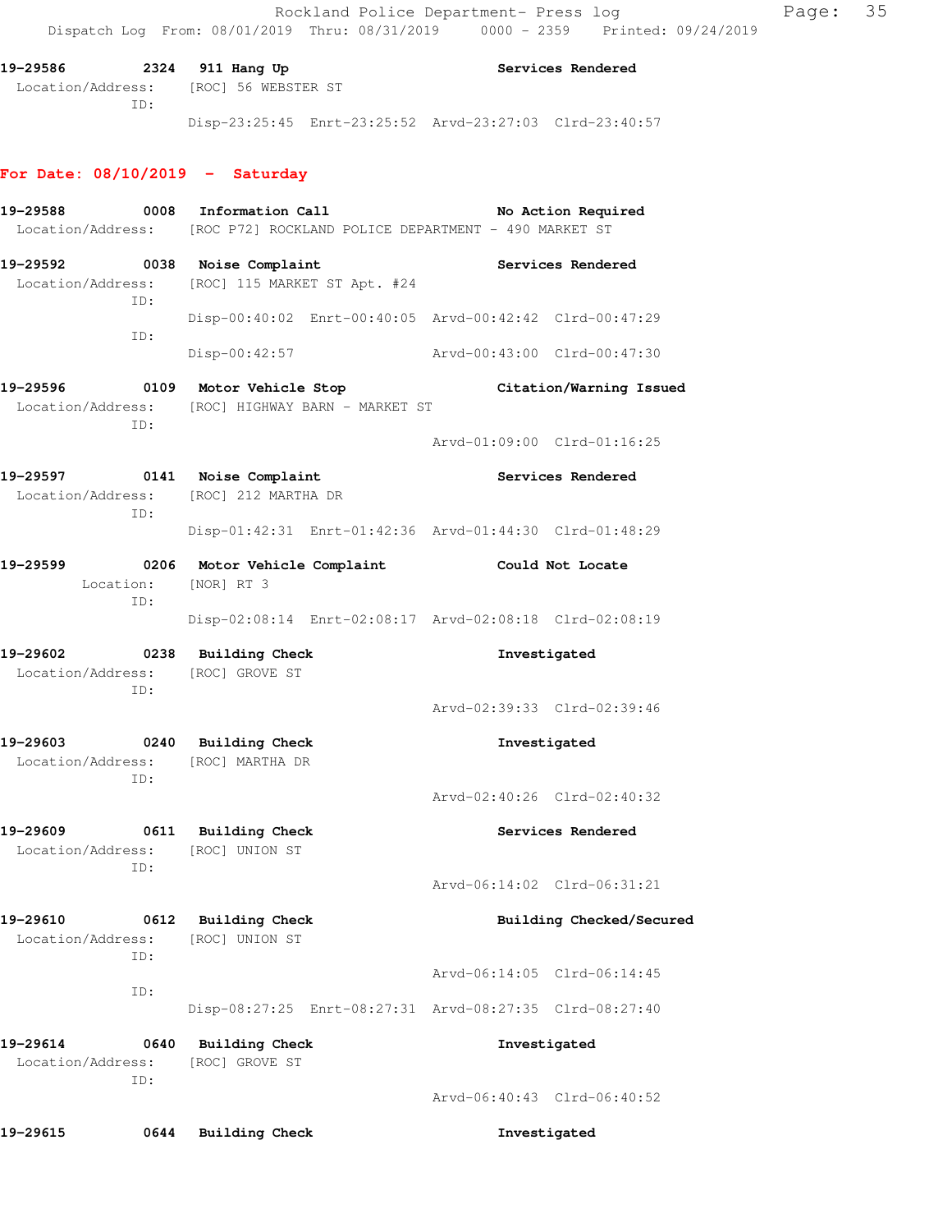### **For Date: 08/10/2019 - Saturday**

| 19-29588<br>Location/Address:         |             | 0008 Information Call<br>[ROC P72] ROCKLAND POLICE DEPARTMENT - 490 MARKET ST | No Action Required                                      |
|---------------------------------------|-------------|-------------------------------------------------------------------------------|---------------------------------------------------------|
| 0038<br>19-29592<br>Location/Address: | ID:         | Noise Complaint<br>[ROC] 115 MARKET ST Apt. #24                               | Services Rendered                                       |
|                                       | ID:         |                                                                               | Disp-00:40:02 Enrt-00:40:05 Arvd-00:42:42 Clrd-00:47:29 |
|                                       |             | Disp-00:42:57                                                                 | Arvd-00:43:00 Clrd-00:47:30                             |
| Location/Address:                     | ID:         | 19-29596 0109 Motor Vehicle Stop<br>[ROC] HIGHWAY BARN - MARKET ST            | Citation/Warning Issued                                 |
|                                       |             |                                                                               | Arvd-01:09:00 Clrd-01:16:25                             |
| 19-29597<br>Location/Address:         | ID:         | 0141 Noise Complaint<br>[ROC] 212 MARTHA DR                                   | Services Rendered                                       |
|                                       |             |                                                                               | Disp-01:42:31 Enrt-01:42:36 Arvd-01:44:30 Clrd-01:48:29 |
| 19-29599<br>Location:                 | ID:         | 0206 Motor Vehicle Complaint<br>[NOR] RT 3                                    | Could Not Locate                                        |
|                                       |             |                                                                               | Disp-02:08:14 Enrt-02:08:17 Arvd-02:08:18 Clrd-02:08:19 |
| 19-29602<br>Location/Address:         | 0238<br>ID: | <b>Building Check</b><br>[ROC] GROVE ST                                       | Investigated                                            |
|                                       |             |                                                                               | Arvd-02:39:33 Clrd-02:39:46                             |
| 19-29603 0240<br>Location/Address:    | ID:         | <b>Building Check</b><br>[ROC] MARTHA DR                                      | Investigated                                            |
|                                       |             |                                                                               | Arvd-02:40:26 Clrd-02:40:32                             |
| 19-29609 0611<br>Location/Address:    | ID:         | <b>Building Check</b><br>[ROC] UNION ST                                       | Services Rendered                                       |
|                                       |             |                                                                               | Arvd-06:14:02 Clrd-06:31:21                             |
| 19–29610<br>Location/Address:         | 0612<br>ID: | <b>Building Check</b><br>[ROC] UNION ST                                       | Building Checked/Secured                                |
|                                       | ID:         |                                                                               | Arvd-06:14:05 Clrd-06:14:45                             |
|                                       |             |                                                                               | Disp-08:27:25 Enrt-08:27:31 Arvd-08:27:35 Clrd-08:27:40 |
| 19-29614                              | 0640        | <b>Building Check</b>                                                         | Investigated                                            |
| Location/Address:                     | ID:         | [ROC] GROVE ST                                                                | Arvd-06:40:43 Clrd-06:40:52                             |
| 19–29615                              | 0644        | Building Check                                                                | Investigated                                            |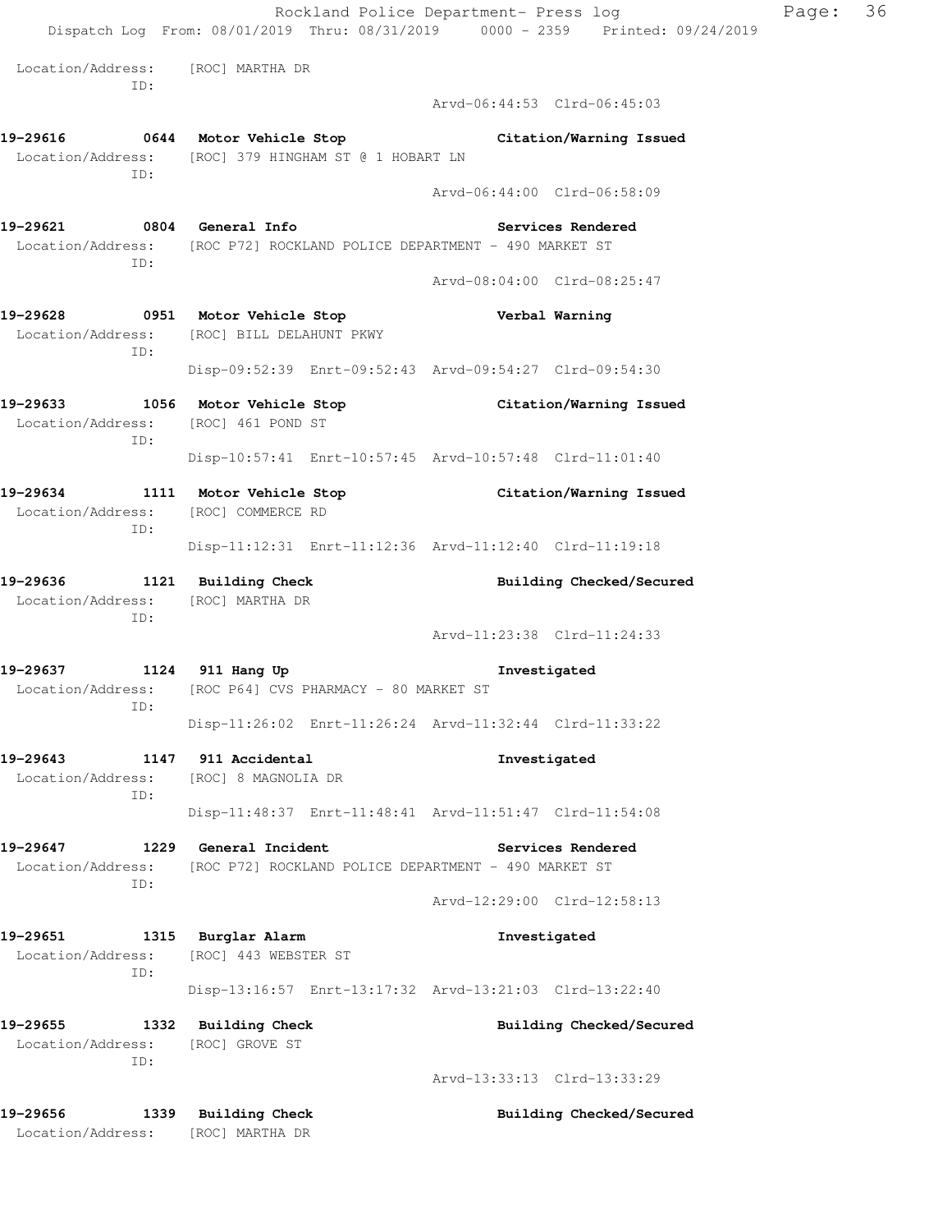Rockland Police Department- Press log Fage: 36 Dispatch Log From: 08/01/2019 Thru: 08/31/2019 0000 - 2359 Printed: 09/24/2019 Location/Address: [ROC] MARTHA DR ID: Arvd-06:44:53 Clrd-06:45:03 **19-29616 0644 Motor Vehicle Stop Citation/Warning Issued**  Location/Address: [ROC] 379 HINGHAM ST @ 1 HOBART LN ID: Arvd-06:44:00 Clrd-06:58:09 **19-29621 0804 General Info Services Rendered**  Location/Address: [ROC P72] ROCKLAND POLICE DEPARTMENT - 490 MARKET ST ID: Arvd-08:04:00 Clrd-08:25:47 **19-29628 0951 Motor Vehicle Stop Verbal Warning**  Location/Address: [ROC] BILL DELAHUNT PKWY ID: Disp-09:52:39 Enrt-09:52:43 Arvd-09:54:27 Clrd-09:54:30 **19-29633 1056 Motor Vehicle Stop Citation/Warning Issued**  Location/Address: [ROC] 461 POND ST ID: Disp-10:57:41 Enrt-10:57:45 Arvd-10:57:48 Clrd-11:01:40 **19-29634 1111 Motor Vehicle Stop Citation/Warning Issued**  Location/Address: [ROC] COMMERCE RD ID: Disp-11:12:31 Enrt-11:12:36 Arvd-11:12:40 Clrd-11:19:18 **19-29636 1121 Building Check Building Checked/Secured**  Location/Address: [ROC] MARTHA DR ID: Arvd-11:23:38 Clrd-11:24:33 **19-29637 1124 911 Hang Up Investigated**  Location/Address: [ROC P64] CVS PHARMACY - 80 MARKET ST ID: Disp-11:26:02 Enrt-11:26:24 Arvd-11:32:44 Clrd-11:33:22 **19-29643 1147 911 Accidental Investigated**  Location/Address: [ROC] 8 MAGNOLIA DR ID: Disp-11:48:37 Enrt-11:48:41 Arvd-11:51:47 Clrd-11:54:08 **19-29647 1229 General Incident Services Rendered**  Location/Address: [ROC P72] ROCKLAND POLICE DEPARTMENT - 490 MARKET ST ID: Arvd-12:29:00 Clrd-12:58:13 **19-29651 1315 Burglar Alarm Investigated**  Location/Address: [ROC] 443 WEBSTER ST ID: Disp-13:16:57 Enrt-13:17:32 Arvd-13:21:03 Clrd-13:22:40 **19-29655 1332 Building Check Building Checked/Secured**  Location/Address: [ROC] GROVE ST ID: Arvd-13:33:13 Clrd-13:33:29 **19-29656 1339 Building Check Building Checked/Secured**  Location/Address: [ROC] MARTHA DR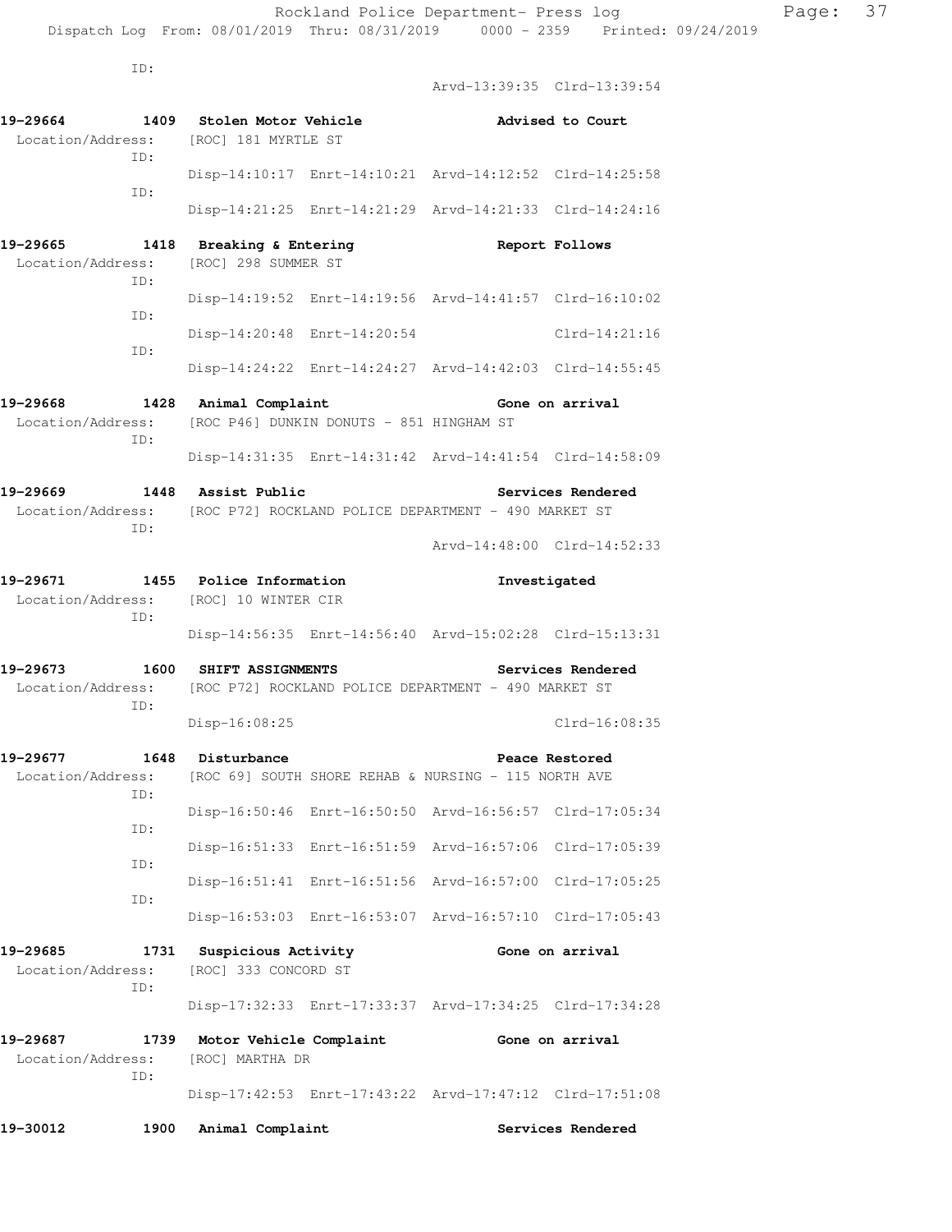Dispatch Log From: 08/01/2019 Thru: 08/31/2019 0000 - 2359 Printed: 09/24/2019

ID:

|                                                                                           |                                             |                                                                        | Arvd-13:39:35 Clrd-13:39:54                             |                   |  |
|-------------------------------------------------------------------------------------------|---------------------------------------------|------------------------------------------------------------------------|---------------------------------------------------------|-------------------|--|
| 19-29664<br>Location/Address: [ROC] 181 MYRTLE ST                                         | 1409 Stolen Motor Vehicle                   |                                                                        |                                                         | Advised to Court  |  |
| ID:                                                                                       |                                             |                                                                        | Disp-14:10:17 Enrt-14:10:21 Arvd-14:12:52 Clrd-14:25:58 |                   |  |
| ID:                                                                                       |                                             |                                                                        | Disp-14:21:25 Enrt-14:21:29 Arvd-14:21:33 Clrd-14:24:16 |                   |  |
| 19-29665<br>Location/Address: [ROC] 298 SUMMER ST<br>ID:                                  | 1418 Breaking & Entering                    |                                                                        |                                                         | Report Follows    |  |
| ID:                                                                                       |                                             |                                                                        | Disp-14:19:52 Enrt-14:19:56 Arvd-14:41:57 Clrd-16:10:02 |                   |  |
| ID:                                                                                       | Disp-14:20:48 Enrt-14:20:54                 |                                                                        |                                                         | Clrd-14:21:16     |  |
|                                                                                           |                                             |                                                                        | Disp-14:24:22 Enrt-14:24:27 Arvd-14:42:03 Clrd-14:55:45 |                   |  |
| 19-29668<br>Location/Address: [ROC P46] DUNKIN DONUTS - 851 HINGHAM ST<br>ID:             | 1428 Animal Complaint                       |                                                                        | Gone on arrival                                         |                   |  |
|                                                                                           |                                             |                                                                        | Disp-14:31:35 Enrt-14:31:42 Arvd-14:41:54 Clrd-14:58:09 |                   |  |
| 19-29669<br>Location/Address: [ROC P72] ROCKLAND POLICE DEPARTMENT - 490 MARKET ST<br>TD: | 1448 Assist Public                          |                                                                        |                                                         | Services Rendered |  |
|                                                                                           |                                             |                                                                        | Arvd-14:48:00 Clrd-14:52:33                             |                   |  |
| 19-29671<br>Location/Address: [ROC] 10 WINTER CIR<br>ID:                                  | 1455 Police Information                     |                                                                        |                                                         | Investigated      |  |
|                                                                                           |                                             |                                                                        | Disp-14:56:35 Enrt-14:56:40 Arvd-15:02:28 Clrd-15:13:31 |                   |  |
| 19-29673<br>Location/Address: [ROC P72] ROCKLAND POLICE DEPARTMENT - 490 MARKET ST<br>ID: | 1600 SHIFT ASSIGNMENTS                      |                                                                        |                                                         | Services Rendered |  |
|                                                                                           | Disp-16:08:25                               |                                                                        |                                                         | Clrd-16:08:35     |  |
| 19-29677<br>Location/Address:<br>ID:                                                      | 1648 Disturbance                            | Peace Restored<br>[ROC 69] SOUTH SHORE REHAB & NURSING - 115 NORTH AVE |                                                         |                   |  |
| ID:                                                                                       |                                             |                                                                        | Disp-16:50:46 Enrt-16:50:50 Arvd-16:56:57 Clrd-17:05:34 |                   |  |
| ID:                                                                                       |                                             |                                                                        | Disp-16:51:33 Enrt-16:51:59 Arvd-16:57:06 Clrd-17:05:39 |                   |  |
| ID:                                                                                       |                                             |                                                                        | Disp-16:51:41 Enrt-16:51:56 Arvd-16:57:00 Clrd-17:05:25 |                   |  |
|                                                                                           |                                             |                                                                        | Disp-16:53:03 Enrt-16:53:07 Arvd-16:57:10 Clrd-17:05:43 |                   |  |
| 19-29685<br>1731<br>Location/Address:<br>ID:                                              | Suspicious Activity<br>[ROC] 333 CONCORD ST |                                                                        |                                                         | Gone on arrival   |  |
|                                                                                           |                                             |                                                                        | Disp-17:32:33 Enrt-17:33:37 Arvd-17:34:25 Clrd-17:34:28 |                   |  |
| 19-29687<br>1739<br>Location/Address:<br>ID:                                              | Motor Vehicle Complaint<br>[ROC] MARTHA DR  |                                                                        |                                                         | Gone on arrival   |  |
|                                                                                           |                                             |                                                                        | Disp-17:42:53 Enrt-17:43:22 Arvd-17:47:12 Clrd-17:51:08 |                   |  |
| 19-30012<br>1900                                                                          | Animal Complaint                            |                                                                        |                                                         | Services Rendered |  |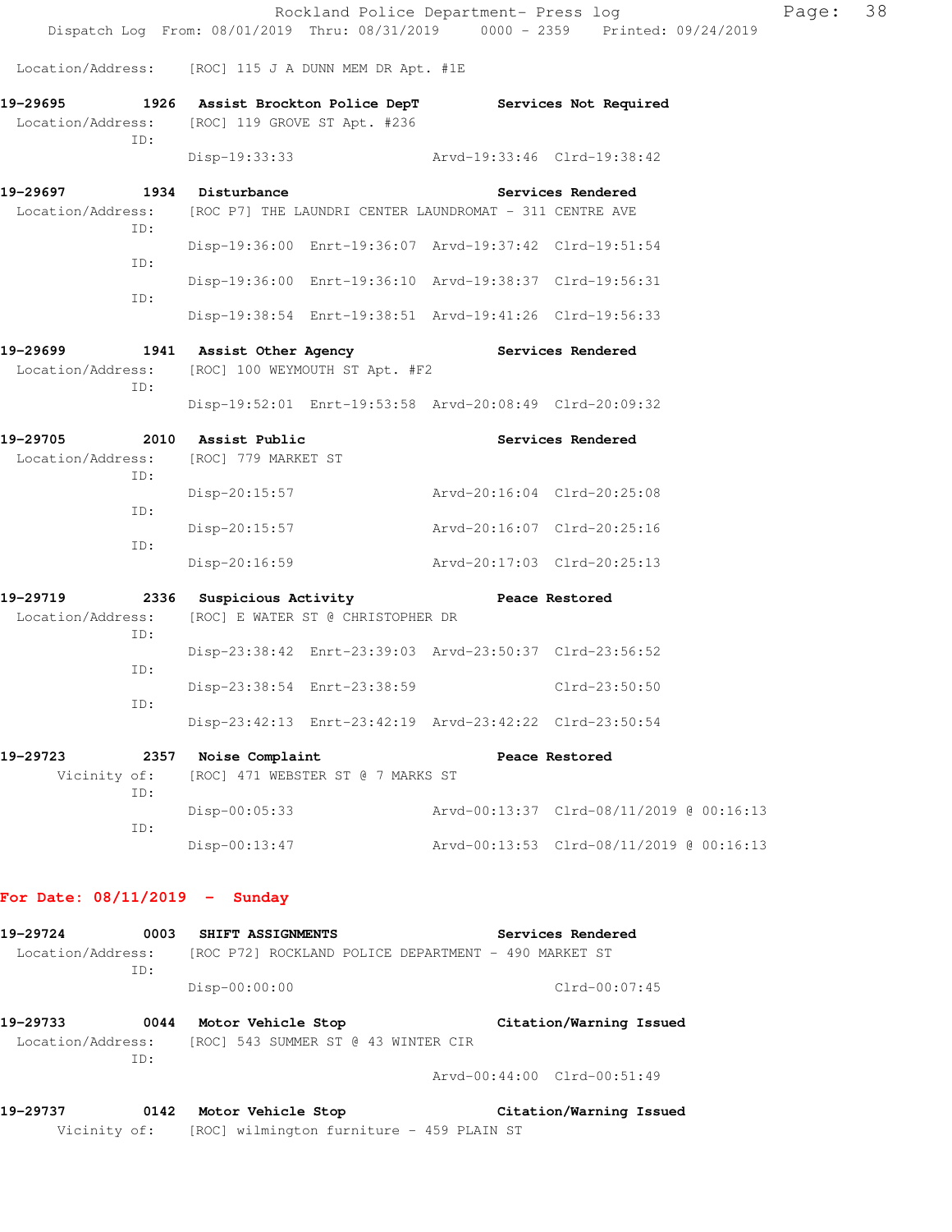|                                                                                                                          |                                                       |                                   | Rockland Police Department- Press log                   | Dispatch Log From: 08/01/2019 Thru: 08/31/2019 0000 - 2359 Printed: 09/24/2019 | Page: 38 |  |
|--------------------------------------------------------------------------------------------------------------------------|-------------------------------------------------------|-----------------------------------|---------------------------------------------------------|--------------------------------------------------------------------------------|----------|--|
| Location/Address: [ROC] 115 J A DUNN MEM DR Apt. #1E                                                                     |                                                       |                                   |                                                         |                                                                                |          |  |
| 19-29695 1926 Assist Brockton Police DepT Services Not Required<br>Location/Address: [ROC] 119 GROVE ST Apt. #236<br>ID: |                                                       |                                   |                                                         |                                                                                |          |  |
|                                                                                                                          |                                                       |                                   | Disp-19:33:33 Arvd-19:33:46 Clrd-19:38:42               |                                                                                |          |  |
| 19-29697 1934 Disturbance<br>Location/Address:<br>ID:                                                                    |                                                       |                                   | [ROC P7] THE LAUNDRI CENTER LAUNDROMAT - 311 CENTRE AVE | Services Rendered                                                              |          |  |
| ID:                                                                                                                      |                                                       |                                   | Disp-19:36:00 Enrt-19:36:07 Arvd-19:37:42 Clrd-19:51:54 |                                                                                |          |  |
| ID:                                                                                                                      |                                                       |                                   | Disp-19:36:00 Enrt-19:36:10 Arvd-19:38:37 Clrd-19:56:31 |                                                                                |          |  |
|                                                                                                                          |                                                       |                                   | Disp-19:38:54 Enrt-19:38:51 Arvd-19:41:26 Clrd-19:56:33 |                                                                                |          |  |
| 19-29699 1941 Assist Other Agency<br>Location/Address: [ROC] 100 WEYMOUTH ST Apt. #F2<br>ID:                             |                                                       |                                   |                                                         | <b>Services Rendered</b>                                                       |          |  |
|                                                                                                                          |                                                       |                                   | Disp-19:52:01 Enrt-19:53:58 Arvd-20:08:49 Clrd-20:09:32 |                                                                                |          |  |
| 19-29705 2010 Assist Public<br>Location/Address: [ROC] 779 MARKET ST<br>ID:                                              |                                                       |                                   |                                                         | Services Rendered                                                              |          |  |
| ID:                                                                                                                      | Disp-20:15:57                                         |                                   | Arvd-20:16:04 Clrd-20:25:08                             |                                                                                |          |  |
| ID:                                                                                                                      | Disp-20:15:57                                         |                                   | Arvd-20:16:07 Clrd-20:25:16                             |                                                                                |          |  |
|                                                                                                                          | $Disp-20:16:59$                                       |                                   | Arvd-20:17:03 Clrd-20:25:13                             |                                                                                |          |  |
| 19-29719<br>Location/Address:<br>ID:                                                                                     | 2336 Suspicious Activity <b>Seable Peace Restored</b> | [ROC] E WATER ST @ CHRISTOPHER DR |                                                         |                                                                                |          |  |
| ID:                                                                                                                      |                                                       |                                   | Disp-23:38:42 Enrt-23:39:03 Arvd-23:50:37 Clrd-23:56:52 |                                                                                |          |  |
| ID:                                                                                                                      |                                                       | Disp-23:38:54 Enrt-23:38:59       |                                                         | Clrd-23:50:50                                                                  |          |  |
|                                                                                                                          |                                                       |                                   | Disp-23:42:13 Enrt-23:42:19 Arvd-23:42:22 Clrd-23:50:54 |                                                                                |          |  |
| 19-29723                                                                                                                 | 2357 Noise Complaint                                  |                                   |                                                         | Peace Restored                                                                 |          |  |
| Vicinity of:<br>ID:                                                                                                      |                                                       | [ROC] 471 WEBSTER ST @ 7 MARKS ST |                                                         |                                                                                |          |  |
| ID:                                                                                                                      | $Disp-00:05:33$                                       |                                   |                                                         | Arvd-00:13:37 Clrd-08/11/2019 @ 00:16:13                                       |          |  |
|                                                                                                                          | Disp-00:13:47                                         |                                   |                                                         | Arvd-00:13:53 Clrd-08/11/2019 @ 00:16:13                                       |          |  |
| For Date: $08/11/2019$ - Sunday                                                                                          |                                                       |                                   |                                                         |                                                                                |          |  |
| 19-29724<br>Location/Address: [ROC P72] ROCKLAND POLICE DEPARTMENT - 490 MARKET ST<br>ID:                                | 0003 SHIFT ASSIGNMENTS                                |                                   |                                                         | Services Rendered                                                              |          |  |

**19-29733 0044 Motor Vehicle Stop Citation/Warning Issued**  Location/Address: [ROC] 543 SUMMER ST @ 43 WINTER CIR ID:

Disp-00:00:00 Clrd-00:07:45

Arvd-00:44:00 Clrd-00:51:49

| 19-29737     | 0142 | Motor Vehicle Stop                        | Citation/Warning Issued |
|--------------|------|-------------------------------------------|-------------------------|
| Vicinity of: |      | [ROC] wilmington furniture - 459 PLAIN ST |                         |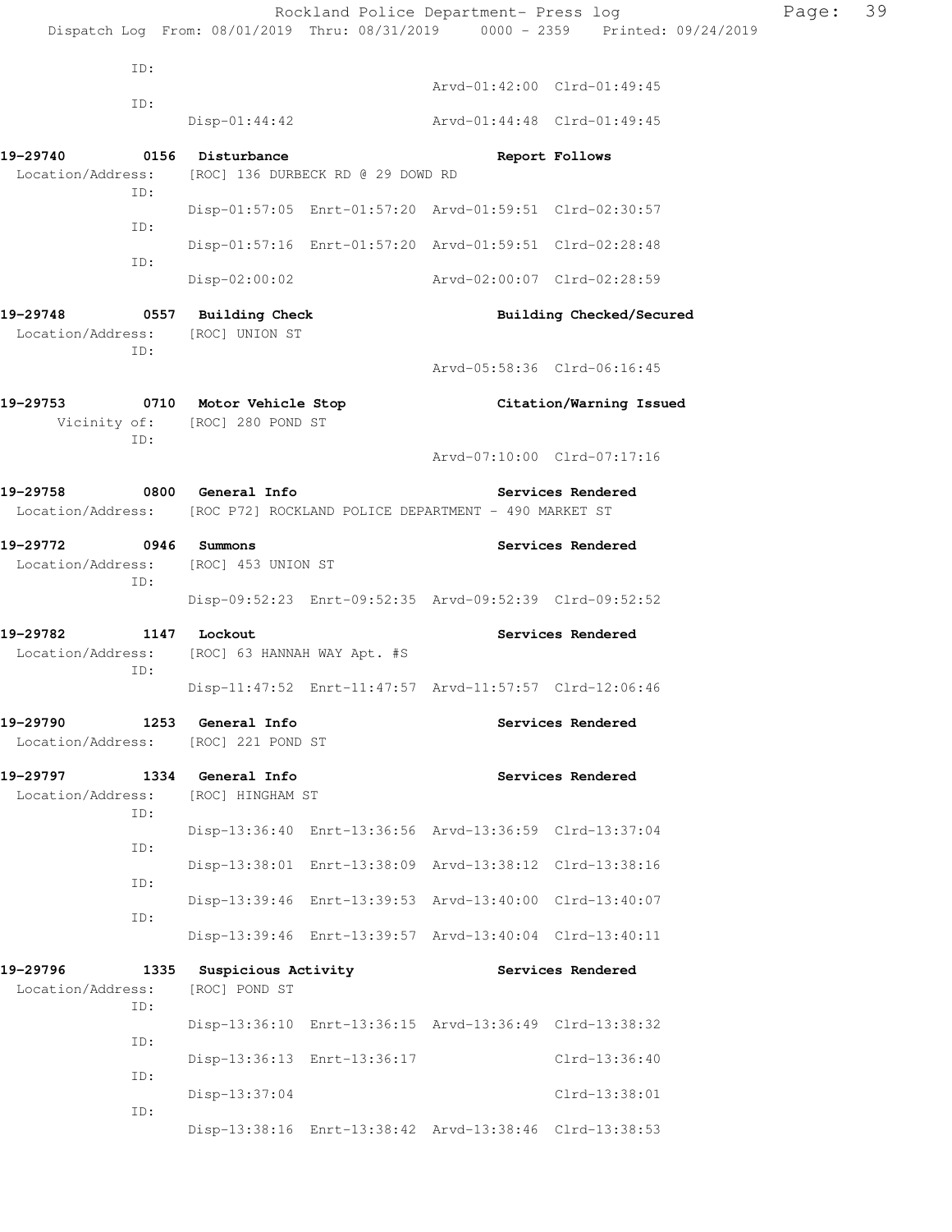|                                                                                    |                                                           |                                   | Rockland Police Department- Press log                   |                                                                                | Page: | 39 |
|------------------------------------------------------------------------------------|-----------------------------------------------------------|-----------------------------------|---------------------------------------------------------|--------------------------------------------------------------------------------|-------|----|
|                                                                                    |                                                           |                                   |                                                         | Dispatch Log From: 08/01/2019 Thru: 08/31/2019 0000 - 2359 Printed: 09/24/2019 |       |    |
| ID:                                                                                |                                                           |                                   |                                                         | Arvd-01:42:00 Clrd-01:49:45                                                    |       |    |
| ID:                                                                                |                                                           |                                   |                                                         |                                                                                |       |    |
|                                                                                    | Disp-01:44:42                                             |                                   | Arvd-01:44:48 Clrd-01:49:45                             |                                                                                |       |    |
| 19-29740<br>Location/Address:<br>ID:                                               | 0156 Disturbance                                          | [ROC] 136 DURBECK RD @ 29 DOWD RD |                                                         | Report Follows                                                                 |       |    |
| ID:                                                                                |                                                           |                                   | Disp-01:57:05 Enrt-01:57:20 Arvd-01:59:51 Clrd-02:30:57 |                                                                                |       |    |
| ID:                                                                                |                                                           |                                   | Disp-01:57:16 Enrt-01:57:20 Arvd-01:59:51 Clrd-02:28:48 |                                                                                |       |    |
|                                                                                    | $Disp-02:00:02$                                           |                                   | Arvd-02:00:07 Clrd-02:28:59                             |                                                                                |       |    |
| 19-29748<br>Location/Address:<br>ID:                                               | 0557 Building Check<br>[ROC] UNION ST                     |                                   |                                                         | Building Checked/Secured                                                       |       |    |
|                                                                                    |                                                           |                                   |                                                         | Arvd-05:58:36 Clrd-06:16:45                                                    |       |    |
| 19-29753<br>ID:                                                                    | 0710 Motor Vehicle Stop<br>Vicinity of: [ROC] 280 POND ST |                                   | Citation/Warning Issued                                 |                                                                                |       |    |
|                                                                                    |                                                           |                                   | Arvd-07:10:00 Clrd-07:17:16                             |                                                                                |       |    |
| 19-29758<br>Location/Address: [ROC P72] ROCKLAND POLICE DEPARTMENT - 490 MARKET ST | 0800 General Info                                         |                                   |                                                         | Services Rendered                                                              |       |    |
| 19-29772 0946 Summons<br>Location/Address:<br>ID:                                  | [ROC] 453 UNION ST                                        |                                   |                                                         | Services Rendered                                                              |       |    |
|                                                                                    |                                                           |                                   | Disp-09:52:23 Enrt-09:52:35 Arvd-09:52:39 Clrd-09:52:52 |                                                                                |       |    |
| 19-29782<br>Location/Address:<br>ID:                                               | 1147 Lockout<br>[ROC] 63 HANNAH WAY Apt. #S               |                                   |                                                         | Services Rendered                                                              |       |    |
|                                                                                    |                                                           |                                   | Disp-11:47:52 Enrt-11:47:57 Arvd-11:57:57 Clrd-12:06:46 |                                                                                |       |    |
| 19-29790<br>Location/Address:                                                      | 1253 General Info<br>[ROC] 221 POND ST                    |                                   |                                                         | Services Rendered                                                              |       |    |
| 19-29797<br>Location/Address:<br>ID:                                               | 1334 General Info<br>[ROC] HINGHAM ST                     |                                   |                                                         | Services Rendered                                                              |       |    |
| ID:                                                                                |                                                           |                                   | Disp-13:36:40 Enrt-13:36:56 Arvd-13:36:59 Clrd-13:37:04 |                                                                                |       |    |
| ID:                                                                                |                                                           |                                   | Disp-13:38:01 Enrt-13:38:09 Arvd-13:38:12 Clrd-13:38:16 |                                                                                |       |    |
| ID:                                                                                |                                                           |                                   | Disp-13:39:46 Enrt-13:39:53 Arvd-13:40:00 Clrd-13:40:07 |                                                                                |       |    |
|                                                                                    |                                                           |                                   | Disp-13:39:46 Enrt-13:39:57 Arvd-13:40:04 Clrd-13:40:11 |                                                                                |       |    |
| 19-29796<br>Location/Address:<br>ID:                                               | 1335 Suspicious Activity<br>[ROC] POND ST                 |                                   |                                                         | Services Rendered                                                              |       |    |
| ID:                                                                                |                                                           |                                   | Disp-13:36:10 Enrt-13:36:15 Arvd-13:36:49 Clrd-13:38:32 |                                                                                |       |    |
|                                                                                    |                                                           | Disp-13:36:13 Enrt-13:36:17       |                                                         | Clrd-13:36:40                                                                  |       |    |
| ID:<br>ID:                                                                         | Disp-13:37:04                                             |                                   |                                                         | Clrd-13:38:01                                                                  |       |    |
|                                                                                    |                                                           |                                   | Disp-13:38:16 Enrt-13:38:42 Arvd-13:38:46 Clrd-13:38:53 |                                                                                |       |    |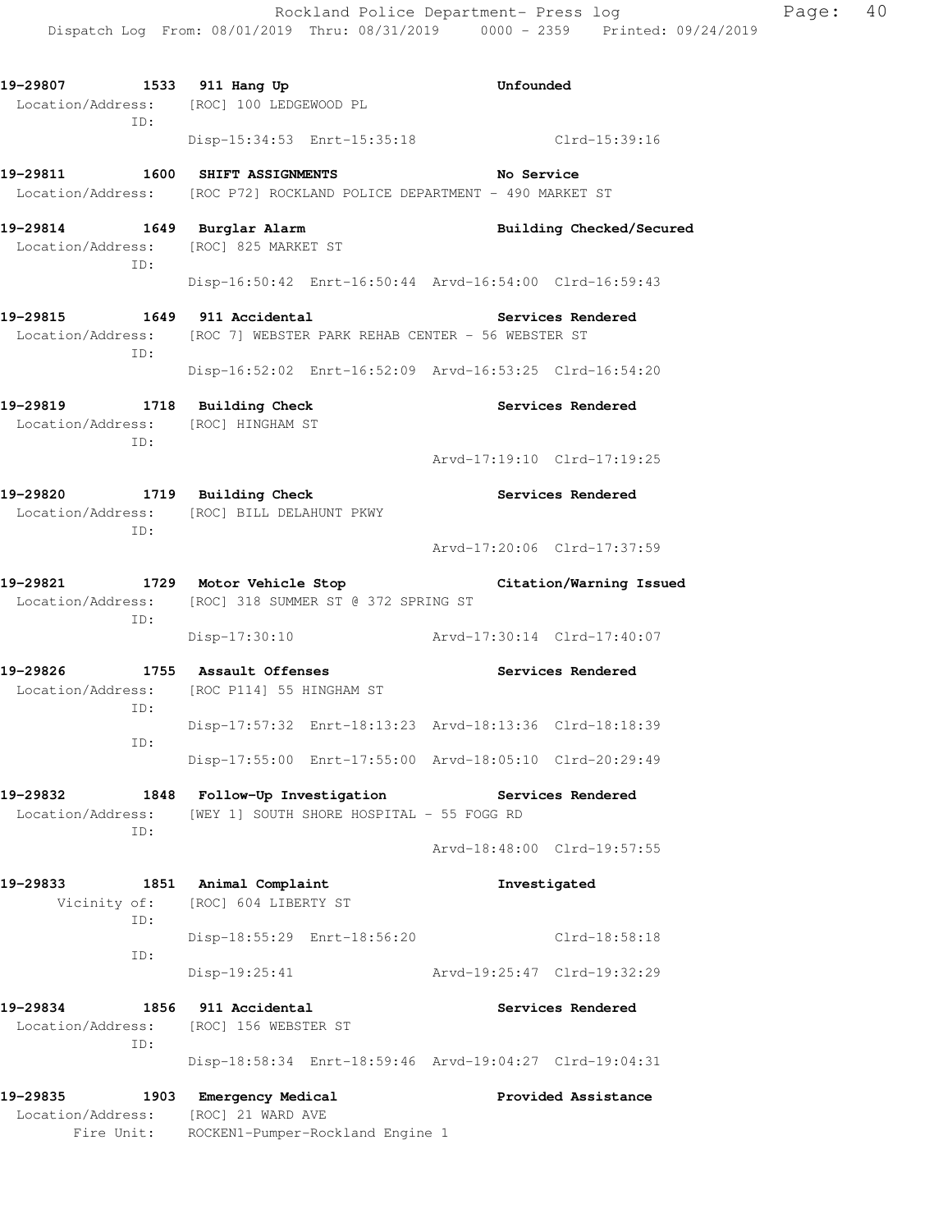| 19-29807<br>1533 911 Hang Up<br>ID:                                         | Location/Address: [ROC] 100 LEDGEWOOD PL                                                            | Unfounded                                               |
|-----------------------------------------------------------------------------|-----------------------------------------------------------------------------------------------------|---------------------------------------------------------|
|                                                                             |                                                                                                     | Disp-15:34:53 Enrt-15:35:18 Clrd-15:39:16               |
| 19-29811 1600 SHIFT ASSIGNMENTS                                             | Location/Address: [ROC P72] ROCKLAND POLICE DEPARTMENT - 490 MARKET ST                              | No Service                                              |
| 19-29814 1649 Burglar Alarm<br>Location/Address: [ROC] 825 MARKET ST<br>ID: |                                                                                                     | Building Checked/Secured                                |
|                                                                             |                                                                                                     | Disp-16:50:42 Enrt-16:50:44 Arvd-16:54:00 Clrd-16:59:43 |
| ID:                                                                         | 19-29815 1649 911 Accidental<br>Location/Address: [ROC 7] WEBSTER PARK REHAB CENTER - 56 WEBSTER ST | <b>Services Rendered</b>                                |
|                                                                             |                                                                                                     | Disp-16:52:02 Enrt-16:52:09 Arvd-16:53:25 Clrd-16:54:20 |
| 19-29819 1718 Building Check<br>Location/Address: [ROC] HINGHAM ST<br>ID:   |                                                                                                     | <b>Services Rendered</b>                                |
|                                                                             |                                                                                                     | Arvd-17:19:10 Clrd-17:19:25                             |
| 19-29820 1719 Building Check<br>ID:                                         | Location/Address: [ROC] BILL DELAHUNT PKWY                                                          | Services Rendered                                       |
|                                                                             |                                                                                                     | Arvd-17:20:06 Clrd-17:37:59                             |
| ID:                                                                         | 19-29821 1729 Motor Vehicle Stop<br>Location/Address: [ROC] 318 SUMMER ST @ 372 SPRING ST           | Citation/Warning Issued                                 |
|                                                                             | Disp-17:30:10                                                                                       | Arvd-17:30:14 Clrd-17:40:07                             |
| ID:                                                                         | 19-29826 1755 Assault Offenses<br>Location/Address: [ROC P114] 55 HINGHAM ST                        | <b>Services Rendered</b>                                |
| ID:                                                                         |                                                                                                     | Disp-17:57:32 Enrt-18:13:23 Arvd-18:13:36 Clrd-18:18:39 |
|                                                                             |                                                                                                     | Disp-17:55:00 Enrt-17:55:00 Arvd-18:05:10 Clrd-20:29:49 |
| 19-29832                                                                    | 1848 Follow-Up Investigation<br>Location/Address: [WEY 1] SOUTH SHORE HOSPITAL - 55 FOGG RD         | <b>Services Rendered</b>                                |
| ID:                                                                         |                                                                                                     | Arvd-18:48:00 Clrd-19:57:55                             |
| 19-29833<br>ID:                                                             | 1851 Animal Complaint<br>Vicinity of: [ROC] 604 LIBERTY ST                                          | Investigated                                            |
|                                                                             | Disp-18:55:29 Enrt-18:56:20                                                                         | Clrd-18:58:18                                           |
| ID:                                                                         | Disp-19:25:41                                                                                       | Arvd-19:25:47 Clrd-19:32:29                             |
| 19-29834<br>Location/Address:                                               | 1856 911 Accidental<br>[ROC] 156 WEBSTER ST                                                         | Services Rendered                                       |
| ID:                                                                         |                                                                                                     | Disp-18:58:34 Enrt-18:59:46 Arvd-19:04:27 Clrd-19:04:31 |
| 19-29835<br>Location/Address:<br>Fire Unit:                                 | 1903 Emergency Medical<br>[ROC] 21 WARD AVE<br>ROCKEN1-Pumper-Rockland Engine 1                     | Provided Assistance                                     |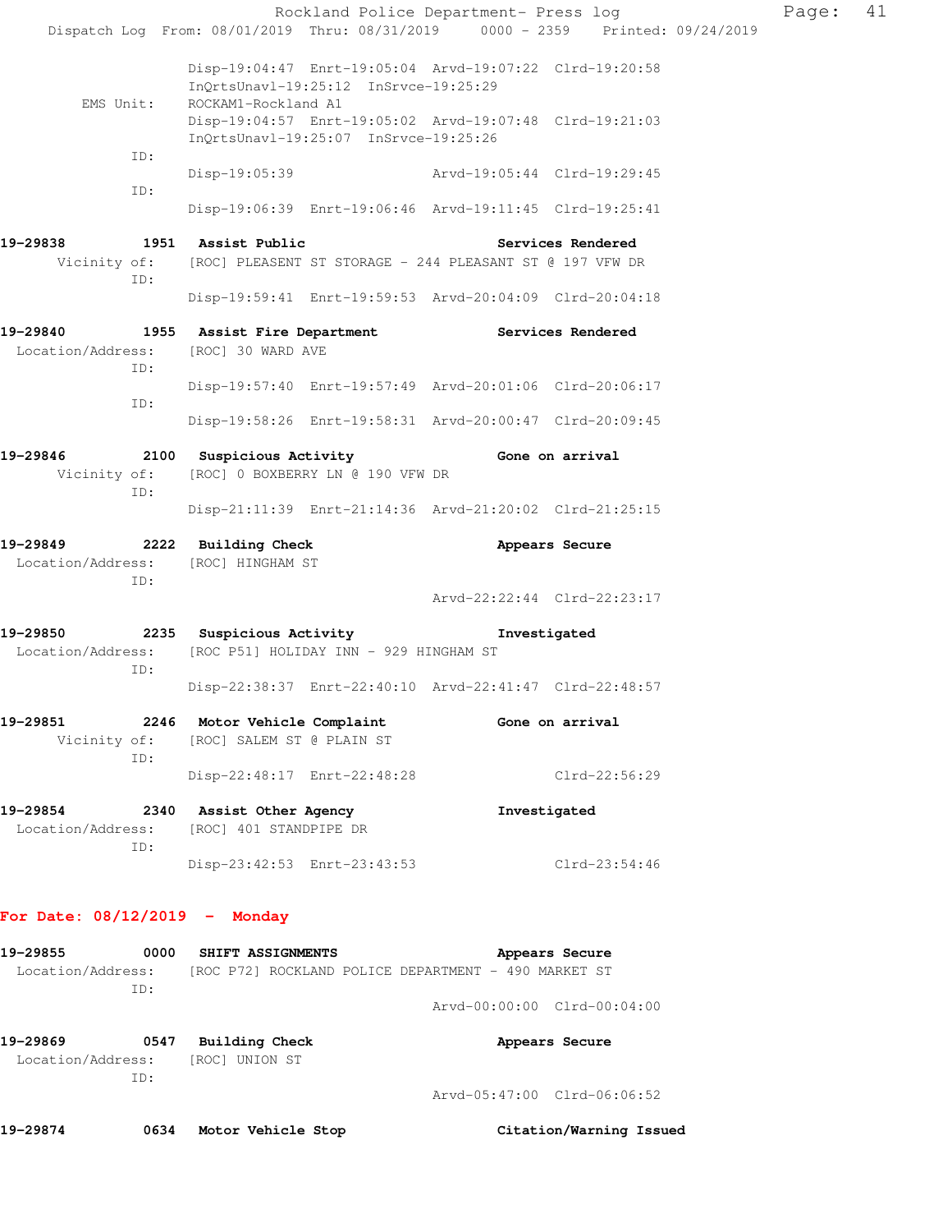|                                                                                |                             |                                       | Rockland Police Department- Press log                                                                              |                             |  |
|--------------------------------------------------------------------------------|-----------------------------|---------------------------------------|--------------------------------------------------------------------------------------------------------------------|-----------------------------|--|
| Dispatch Log From: 08/01/2019 Thru: 08/31/2019 0000 - 2359 Printed: 09/24/2019 |                             |                                       |                                                                                                                    |                             |  |
| EMS Unit:                                                                      | ROCKAM1-Rockland A1         | InQrtsUnavl-19:25:12 InSrvce-19:25:29 | Disp-19:04:47 Enrt-19:05:04 Arvd-19:07:22 Clrd-19:20:58<br>Disp-19:04:57 Enrt-19:05:02 Arvd-19:07:48 Clrd-19:21:03 |                             |  |
| ID:                                                                            |                             | InQrtsUnavl-19:25:07 InSrvce-19:25:26 |                                                                                                                    |                             |  |
| ID:                                                                            | Disp-19:05:39               |                                       | Arvd-19:05:44 Clrd-19:29:45                                                                                        |                             |  |
|                                                                                |                             |                                       | Disp-19:06:39 Enrt-19:06:46 Arvd-19:11:45 Clrd-19:25:41                                                            |                             |  |
| 19-29838                                                                       | 1951 Assist Public          |                                       |                                                                                                                    | Services Rendered           |  |
| Vicinity of: [ROC] PLEASENT ST STORAGE - 244 PLEASANT ST @ 197 VFW DR<br>ID:   |                             |                                       |                                                                                                                    |                             |  |
|                                                                                |                             |                                       | Disp-19:59:41 Enrt-19:59:53 Arvd-20:04:09 Clrd-20:04:18                                                            |                             |  |
| 19-29840                                                                       | 1955 Assist Fire Department |                                       | Services Rendered                                                                                                  |                             |  |
| Location/Address: [ROC] 30 WARD AVE<br>ID:                                     |                             |                                       |                                                                                                                    |                             |  |
| ID:                                                                            |                             |                                       | Disp-19:57:40 Enrt-19:57:49 Arvd-20:01:06 Clrd-20:06:17                                                            |                             |  |
|                                                                                |                             |                                       | Disp-19:58:26 Enrt-19:58:31 Arvd-20:00:47 Clrd-20:09:45                                                            |                             |  |
| 19-29846                                                                       | 2100 Suspicious Activity    |                                       |                                                                                                                    | Gone on arrival             |  |
| Vicinity of: [ROC] 0 BOXBERRY LN @ 190 VFW DR<br>ID:                           |                             |                                       |                                                                                                                    |                             |  |
|                                                                                |                             |                                       | Disp-21:11:39 Enrt-21:14:36 Arvd-21:20:02 Clrd-21:25:15                                                            |                             |  |
| 19–29849                                                                       | 2222 Building Check         |                                       |                                                                                                                    | Appears Secure              |  |
| Location/Address: [ROC] HINGHAM ST<br>ID:                                      |                             |                                       |                                                                                                                    |                             |  |
|                                                                                |                             |                                       |                                                                                                                    | Arvd-22:22:44 Clrd-22:23:17 |  |
| 19-29850                                                                       | 2235 Suspicious Activity    |                                       |                                                                                                                    | Investigated                |  |
| Location/Address: [ROC P51] HOLIDAY INN - 929 HINGHAM ST<br>ID:                |                             |                                       |                                                                                                                    |                             |  |
|                                                                                |                             |                                       | Disp-22:38:37 Enrt-22:40:10 Arvd-22:41:47 Clrd-22:48:57                                                            |                             |  |
| 19-29851<br>2246                                                               | Motor Vehicle Complaint     |                                       |                                                                                                                    | Gone on arrival             |  |
| Vicinity of:<br>ID:                                                            | [ROC] SALEM ST @ PLAIN ST   |                                       |                                                                                                                    |                             |  |
|                                                                                | Disp-22:48:17 Enrt-22:48:28 |                                       |                                                                                                                    | Clrd-22:56:29               |  |
| 19–29854<br>2340                                                               | Assist Other Agency         |                                       |                                                                                                                    | Investigated                |  |
| Location/Address:<br>ID:                                                       | [ROC] 401 STANDPIPE DR      |                                       |                                                                                                                    |                             |  |
|                                                                                | Disp-23:42:53 Enrt-23:43:53 |                                       |                                                                                                                    | $Clrd-23:54:46$             |  |
| For Date: $08/12/2019$ - Monday                                                |                             |                                       |                                                                                                                    |                             |  |
|                                                                                |                             |                                       |                                                                                                                    |                             |  |

# **19-29855 0000 SHIFT ASSIGNMENTS Appears Secure**  Location/Address: [ROC P72] ROCKLAND POLICE DEPARTMENT - 490 MARKET ST ID: Arvd-00:00:00 Clrd-00:04:00 19-29869 0547 Building Check **Appears Secure**  Location/Address: [ROC] UNION ST ID: Arvd-05:47:00 Clrd-06:06:52

**19-29874 0634 Motor Vehicle Stop Citation/Warning Issued** 

Page: 41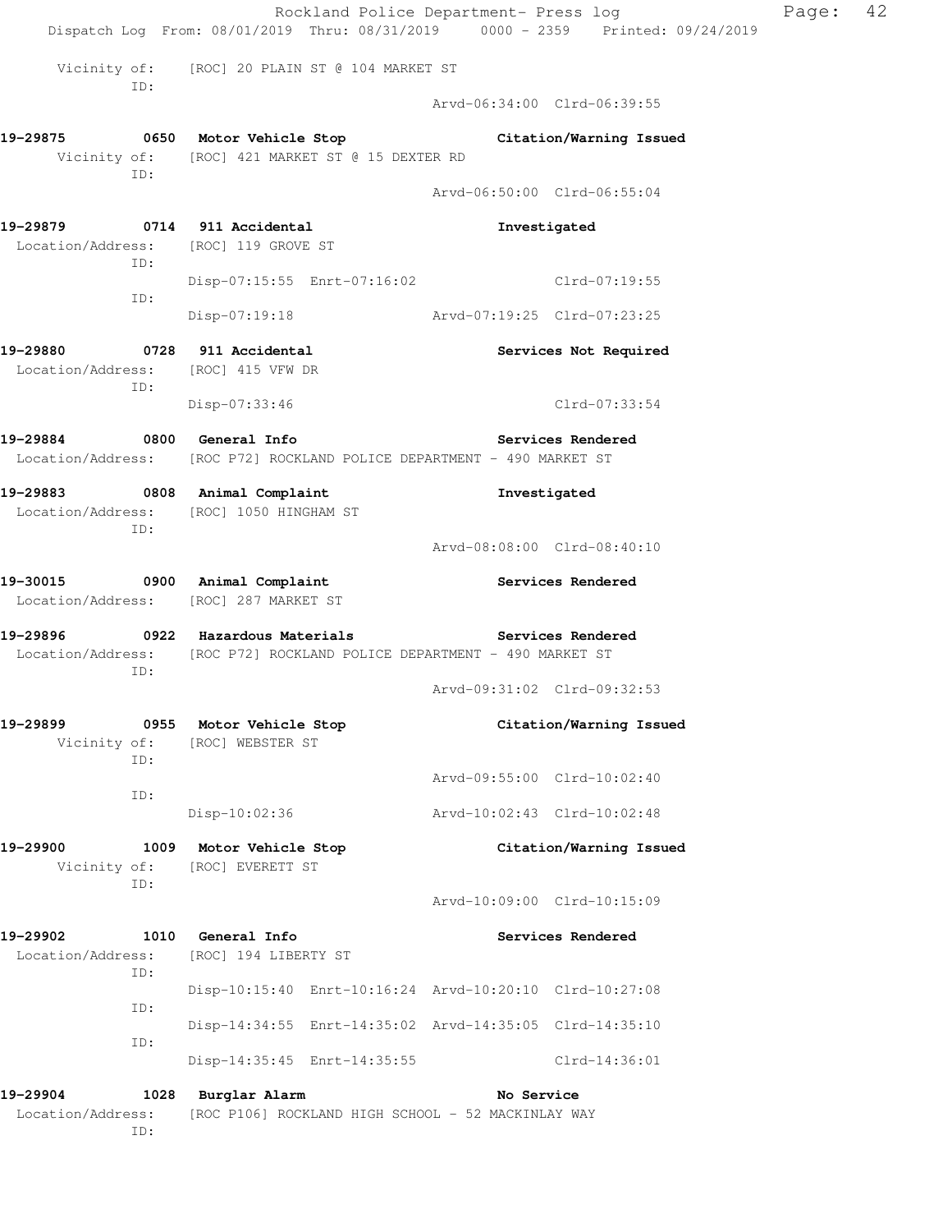Rockland Police Department- Press log Fage: 42 Dispatch Log From: 08/01/2019 Thru: 08/31/2019 0000 - 2359 Printed: 09/24/2019 Vicinity of: [ROC] 20 PLAIN ST @ 104 MARKET ST ID: Arvd-06:34:00 Clrd-06:39:55 **19-29875 0650 Motor Vehicle Stop Citation/Warning Issued**  Vicinity of: [ROC] 421 MARKET ST @ 15 DEXTER RD ID: Arvd-06:50:00 Clrd-06:55:04 **19-29879 0714 911 Accidental Investigated**  Location/Address: [ROC] 119 GROVE ST ID: Disp-07:15:55 Enrt-07:16:02 Clrd-07:19:55 ID: Disp-07:19:18 Arvd-07:19:25 Clrd-07:23:25 **19-29880 0728 911 Accidental Services Not Required**  Location/Address: [ROC] 415 VFW DR ID: Disp-07:33:46 Clrd-07:33:54 **19-29884 0800 General Info Services Rendered**  Location/Address: [ROC P72] ROCKLAND POLICE DEPARTMENT - 490 MARKET ST **19-29883 0808 Animal Complaint Investigated**  Location/Address: [ROC] 1050 HINGHAM ST ID: Arvd-08:08:00 Clrd-08:40:10 **19-30015 0900 Animal Complaint Services Rendered**  Location/Address: [ROC] 287 MARKET ST **19-29896 0922 Hazardous Materials Services Rendered**  Location/Address: [ROC P72] ROCKLAND POLICE DEPARTMENT - 490 MARKET ST ID: Arvd-09:31:02 Clrd-09:32:53 **19-29899 0955 Motor Vehicle Stop Citation/Warning Issued**  Vicinity of: [ROC] WEBSTER ST ID: Arvd-09:55:00 Clrd-10:02:40 ID: Disp-10:02:36 Arvd-10:02:43 Clrd-10:02:48 **19-29900 1009 Motor Vehicle Stop Citation/Warning Issued**  Vicinity of: [ROC] EVERETT ST ID: Arvd-10:09:00 Clrd-10:15:09 **19-29902 1010 General Info Services Rendered**  Location/Address: [ROC] 194 LIBERTY ST ID: Disp-10:15:40 Enrt-10:16:24 Arvd-10:20:10 Clrd-10:27:08 ID: Disp-14:34:55 Enrt-14:35:02 Arvd-14:35:05 Clrd-14:35:10 ID: Disp-14:35:45 Enrt-14:35:55 Clrd-14:36:01 19-29904 1028 Burglar Alarm **19-29904** No Service Location/Address: [ROC P106] ROCKLAND HIGH SCHOOL - 52 MACKINLAY WAY ID: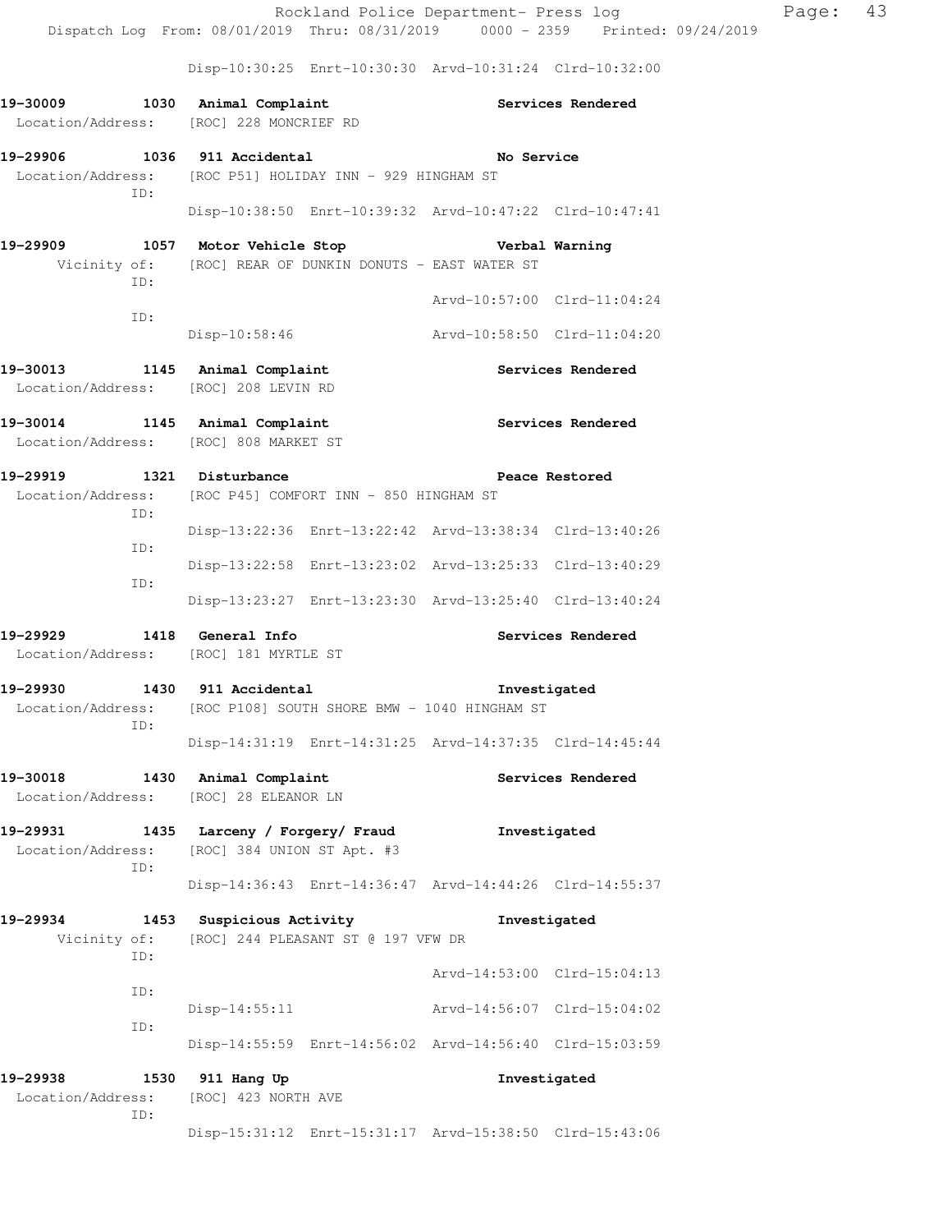Disp-10:30:25 Enrt-10:30:30 Arvd-10:31:24 Clrd-10:32:00

| 19-30009 1030 Animal Complaint                                          | Location/Address: [ROC] 228 MONCRIEF RD                                                      | Services Rendered                                       |
|-------------------------------------------------------------------------|----------------------------------------------------------------------------------------------|---------------------------------------------------------|
| 19-29906 1036 911 Accidental<br>ID:                                     | Location/Address: [ROC P51] HOLIDAY INN - 929 HINGHAM ST                                     | <b>No Service</b>                                       |
|                                                                         |                                                                                              | Disp-10:38:50 Enrt-10:39:32 Arvd-10:47:22 Clrd-10:47:41 |
| ID:                                                                     | 19-29909 1057 Motor Vehicle Stop<br>Vicinity of: [ROC] REAR OF DUNKIN DONUTS - EAST WATER ST | Verbal Warning                                          |
| ID:                                                                     |                                                                                              | Arvd-10:57:00 Clrd-11:04:24                             |
|                                                                         | Disp-10:58:46                                                                                | Arvd-10:58:50 Clrd-11:04:20                             |
| 19-30013 1145 Animal Complaint<br>Location/Address: [ROC] 208 LEVIN RD  |                                                                                              | Services Rendered                                       |
| 19-30014 1145 Animal Complaint<br>Location/Address: [ROC] 808 MARKET ST |                                                                                              | <b>Services Rendered</b>                                |
| 19-29919 1321 Disturbance                                               | Location/Address: [ROC P45] COMFORT INN - 850 HINGHAM ST                                     | <b>Example 28 Peace Restored</b>                        |
| ID:                                                                     |                                                                                              | Disp-13:22:36 Enrt-13:22:42 Arvd-13:38:34 Clrd-13:40:26 |
| ID:                                                                     |                                                                                              | Disp-13:22:58 Enrt-13:23:02 Arvd-13:25:33 Clrd-13:40:29 |
| ID:                                                                     |                                                                                              | Disp-13:23:27 Enrt-13:23:30 Arvd-13:25:40 Clrd-13:40:24 |
| 19-29929<br>Location/Address: [ROC] 181 MYRTLE ST                       | 1418 General Info                                                                            | Services Rendered                                       |
| 19-29930<br>ID:                                                         | 1430 911 Accidental<br>Location/Address: [ROC P108] SOUTH SHORE BMW - 1040 HINGHAM ST        | Investigated                                            |
|                                                                         |                                                                                              | Disp-14:31:19 Enrt-14:31:25 Arvd-14:37:35 Clrd-14:45:44 |
| 19-30018                                                                | 1430 Animal Complaint<br>Location/Address: [ROC] 28 ELEANOR LN                               | Services Rendered                                       |
| 19-29931<br>Location/Address:                                           | 1435 Larceny / Forgery/ Fraud<br>[ROC] 384 UNION ST Apt. #3                                  | Investigated                                            |
| ID:                                                                     |                                                                                              | Disp-14:36:43 Enrt-14:36:47 Arvd-14:44:26 Clrd-14:55:37 |
| 19-29934<br>Vicinity of:                                                | 1453 Suspicious Activity<br>[ROC] 244 PLEASANT ST @ 197 VFW DR                               | Investigated                                            |
| ID:                                                                     |                                                                                              | Arvd-14:53:00 Clrd-15:04:13                             |
| ID:                                                                     | Disp-14:55:11                                                                                | Arvd-14:56:07 Clrd-15:04:02                             |
| ID:                                                                     |                                                                                              | Disp-14:55:59 Enrt-14:56:02 Arvd-14:56:40 Clrd-15:03:59 |
| 19-29938<br>Location/Address:                                           | 1530 911 Hang Up<br>[ROC] 423 NORTH AVE                                                      | Investigated                                            |
| ID:                                                                     |                                                                                              |                                                         |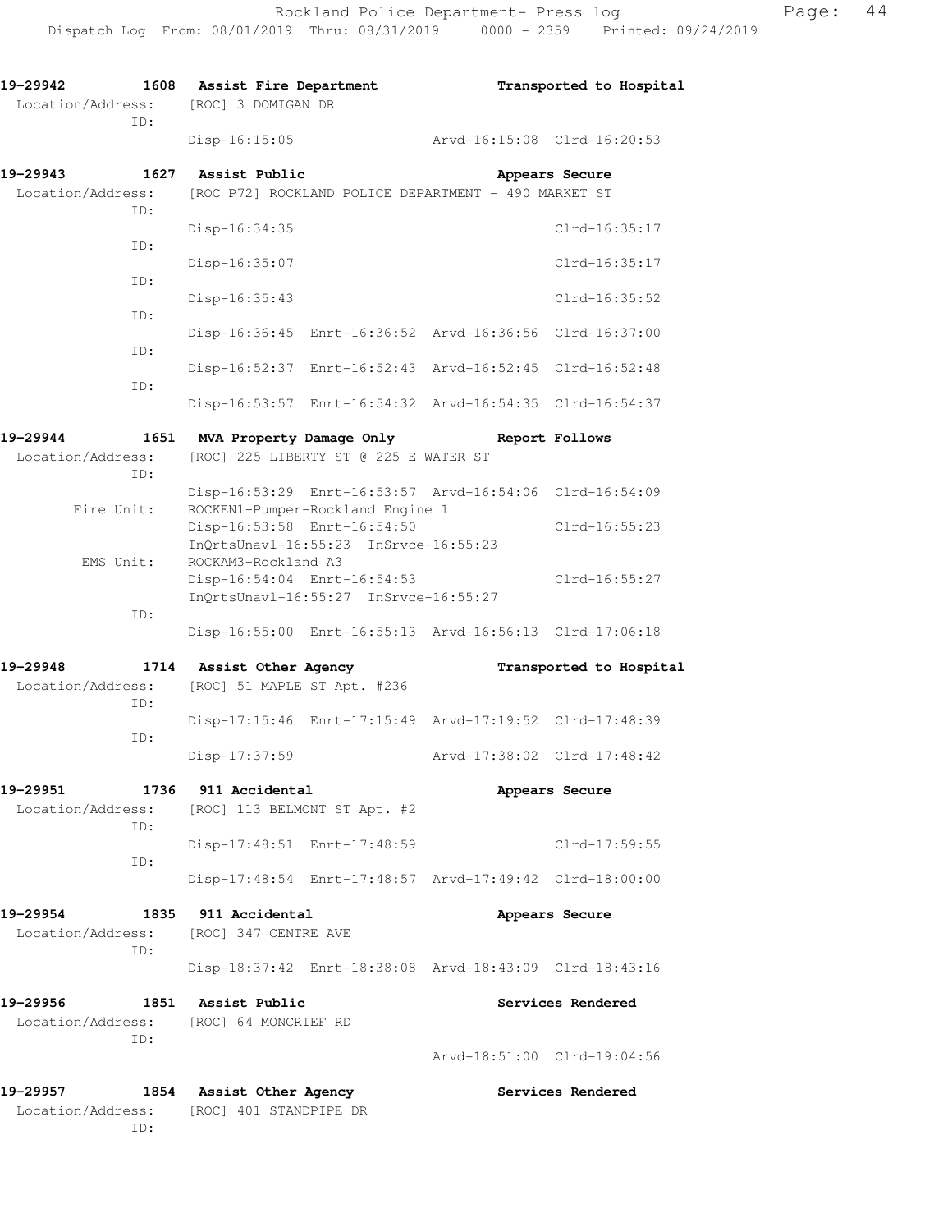| 19–29942          | 1608 Assist Fire Department  |                                       |                                                         | Transported to Hospital     |
|-------------------|------------------------------|---------------------------------------|---------------------------------------------------------|-----------------------------|
| Location/Address: | [ROC] 3 DOMIGAN DR           |                                       |                                                         |                             |
| ID:               |                              |                                       |                                                         |                             |
|                   | $Disp-16:15:05$              |                                       | Arvd-16:15:08 Clrd-16:20:53                             |                             |
| 19-29943          | 1627 Assist Public           |                                       |                                                         | Appears Secure              |
| Location/Address: |                              |                                       | [ROC P72] ROCKLAND POLICE DEPARTMENT - 490 MARKET ST    |                             |
| ID:               |                              |                                       |                                                         |                             |
|                   | Disp-16:34:35                |                                       |                                                         | Clrd-16:35:17               |
| ID:               |                              |                                       |                                                         |                             |
|                   | Disp-16:35:07                |                                       |                                                         | Clrd-16:35:17               |
| ID:               |                              |                                       |                                                         |                             |
| ID:               | Disp-16:35:43                |                                       |                                                         | Clrd-16:35:52               |
|                   |                              |                                       | Disp-16:36:45 Enrt-16:36:52 Arvd-16:36:56 Clrd-16:37:00 |                             |
| ID:               |                              |                                       |                                                         |                             |
|                   |                              |                                       | Disp-16:52:37 Enrt-16:52:43 Arvd-16:52:45 Clrd-16:52:48 |                             |
| ID:               |                              |                                       |                                                         |                             |
|                   |                              |                                       | Disp-16:53:57 Enrt-16:54:32 Arvd-16:54:35 Clrd-16:54:37 |                             |
| 19-29944          |                              | 1651 MVA Property Damage Only         |                                                         |                             |
| Location/Address: |                              | [ROC] 225 LIBERTY ST @ 225 E WATER ST |                                                         | Report Follows              |
| ID:               |                              |                                       |                                                         |                             |
|                   |                              |                                       | Disp-16:53:29 Enrt-16:53:57 Arvd-16:54:06 Clrd-16:54:09 |                             |
| Fire Unit:        |                              | ROCKEN1-Pumper-Rockland Engine 1      |                                                         |                             |
|                   | Disp-16:53:58 Enrt-16:54:50  |                                       |                                                         | Clrd-16:55:23               |
|                   |                              | InOrtsUnavl-16:55:23 InSrvce-16:55:23 |                                                         |                             |
| EMS Unit:         | ROCKAM3-Rockland A3          |                                       |                                                         |                             |
|                   | Disp-16:54:04 Enrt-16:54:53  | InQrtsUnavl-16:55:27 InSrvce-16:55:27 |                                                         | Clrd-16:55:27               |
| ID:               |                              |                                       |                                                         |                             |
|                   |                              |                                       | Disp-16:55:00 Enrt-16:55:13 Arvd-16:56:13 Clrd-17:06:18 |                             |
|                   |                              |                                       |                                                         |                             |
| 19–29948<br>1714  | Assist Other Agency          |                                       |                                                         | Transported to Hospital     |
| Location/Address: | [ROC] 51 MAPLE ST Apt. #236  |                                       |                                                         |                             |
| ID:               |                              |                                       | Disp-17:15:46 Enrt-17:15:49 Arvd-17:19:52 Clrd-17:48:39 |                             |
| ID:               |                              |                                       |                                                         |                             |
|                   | $Disp-17:37:59$              |                                       |                                                         | Arvd-17:38:02 Clrd-17:48:42 |
|                   |                              |                                       |                                                         |                             |
| 19-29951          | 1736 911 Accidental          |                                       |                                                         | Appears Secure              |
| Location/Address: | [ROC] 113 BELMONT ST Apt. #2 |                                       |                                                         |                             |
| ID:               |                              |                                       |                                                         |                             |
| ID:               | Disp-17:48:51 Enrt-17:48:59  |                                       |                                                         | Clrd-17:59:55               |
|                   |                              |                                       | Disp-17:48:54 Enrt-17:48:57 Arvd-17:49:42 Clrd-18:00:00 |                             |
|                   |                              |                                       |                                                         |                             |
| 1835<br>19–29954  | 911 Accidental               |                                       |                                                         | Appears Secure              |
| Location/Address: | [ROC] 347 CENTRE AVE         |                                       |                                                         |                             |
| ID:               |                              |                                       |                                                         |                             |
|                   |                              |                                       | Disp-18:37:42 Enrt-18:38:08 Arvd-18:43:09 Clrd-18:43:16 |                             |
| 19-29956          | 1851 Assist Public           |                                       |                                                         | Services Rendered           |
| Location/Address: | [ROC] 64 MONCRIEF RD         |                                       |                                                         |                             |
| ID:               |                              |                                       |                                                         |                             |
|                   |                              |                                       | Arvd-18:51:00 Clrd-19:04:56                             |                             |

**19-29957 1854 Assist Other Agency Services Rendered**  Location/Address: [ROC] 401 STANDPIPE DR ID: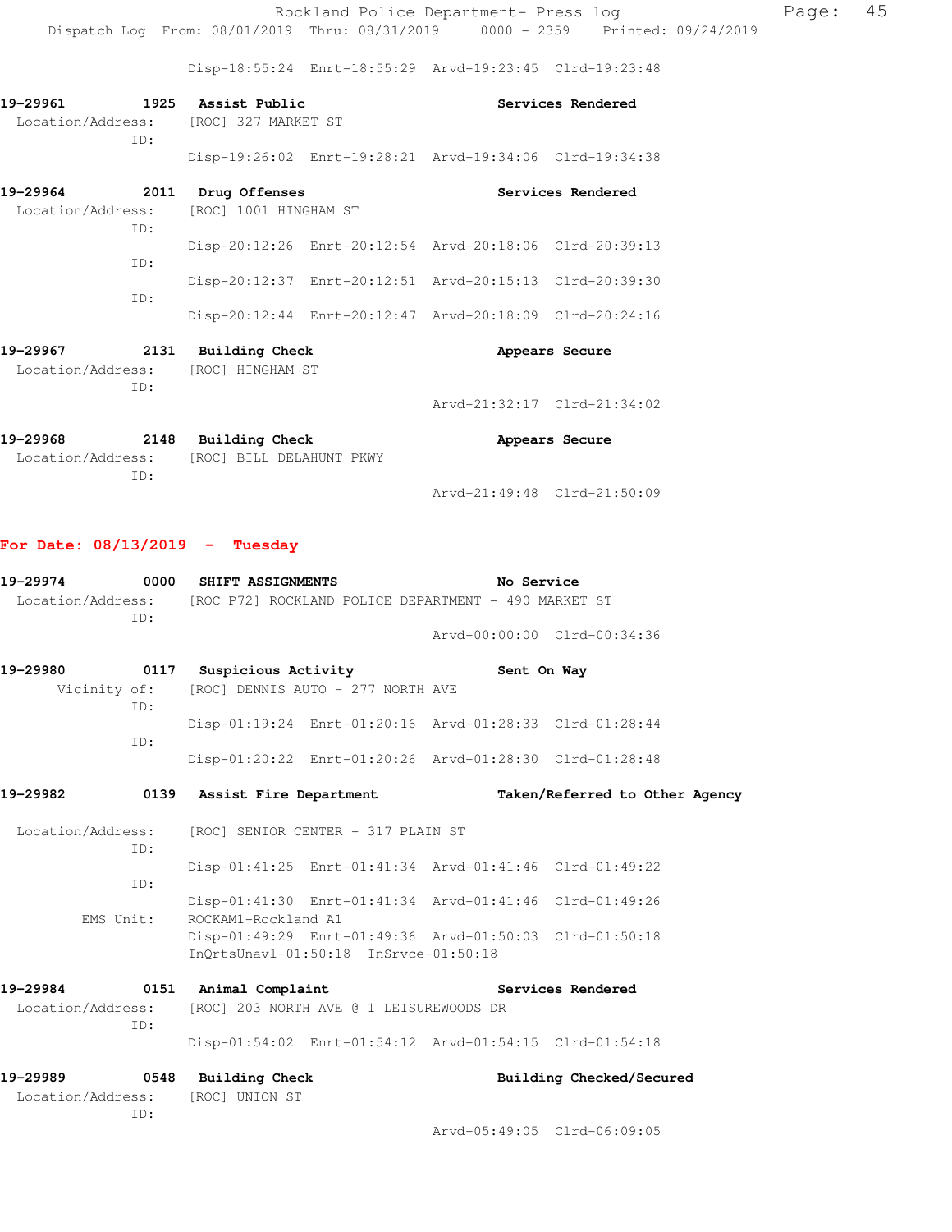Rockland Police Department- Press log Fage: 45 Dispatch Log From: 08/01/2019 Thru: 08/31/2019 0000 - 2359 Printed: 09/24/2019

Disp-18:55:24 Enrt-18:55:29 Arvd-19:23:45 Clrd-19:23:48

| 19-29961 1925 Assist Public<br>Location/Address: [ROC] 327 MARKET ST |     |                                                           |                                                         | Services Rendered           |                   |
|----------------------------------------------------------------------|-----|-----------------------------------------------------------|---------------------------------------------------------|-----------------------------|-------------------|
|                                                                      | ID: |                                                           | Disp-19:26:02 Enrt-19:28:21 Arvd-19:34:06 Clrd-19:34:38 |                             |                   |
| 19-29964 2011 Drug Offenses                                          | ID: | Location/Address: [ROC] 1001 HINGHAM ST                   |                                                         |                             | Services Rendered |
|                                                                      | ID: |                                                           | Disp-20:12:26 Enrt-20:12:54 Arvd-20:18:06 Clrd-20:39:13 |                             |                   |
|                                                                      | ID: |                                                           | Disp-20:12:37 Enrt-20:12:51 Arvd-20:15:13 Clrd-20:39:30 |                             |                   |
|                                                                      |     |                                                           | Disp-20:12:44 Enrt-20:12:47 Arvd-20:18:09 Clrd-20:24:16 |                             |                   |
| 19-29967                                                             | TD: | 2131 Building Check<br>Location/Address: [ROC] HINGHAM ST |                                                         |                             | Appears Secure    |
|                                                                      |     |                                                           |                                                         | Arvd-21:32:17 Clrd-21:34:02 |                   |
| 19-29968                                                             |     | 2148 Building Check                                       |                                                         |                             | Appears Secure    |

 Location/Address: [ROC] BILL DELAHUNT PKWY ID: Arvd-21:49:48 Clrd-21:50:09

### **For Date: 08/13/2019 - Tuesday**

| 19-29974                      | 0000                | SHIFT ASSIGNMENTS                                                      |                                       | No Service                                              |                                |
|-------------------------------|---------------------|------------------------------------------------------------------------|---------------------------------------|---------------------------------------------------------|--------------------------------|
|                               | ID:                 | Location/Address: [ROC P72] ROCKLAND POLICE DEPARTMENT - 490 MARKET ST |                                       |                                                         |                                |
|                               |                     |                                                                        |                                       |                                                         | Arvd-00:00:00 Clrd-00:34:36    |
| 19-29980                      |                     | 0117 Suspicious Activity                                               |                                       | Sent On Way                                             |                                |
|                               | Vicinity of:<br>ID: | [ROC] DENNIS AUTO - 277 NORTH AVE                                      |                                       |                                                         |                                |
|                               | ID:                 |                                                                        |                                       | Disp-01:19:24 Enrt-01:20:16 Arvd-01:28:33 Clrd-01:28:44 |                                |
|                               |                     |                                                                        |                                       | Disp-01:20:22 Enrt-01:20:26 Arvd-01:28:30 Clrd-01:28:48 |                                |
| 19-29982                      | 0139                |                                                                        | Assist Fire Department                |                                                         | Taken/Referred to Other Agency |
| Location/Address:             | ID:                 |                                                                        | [ROC] SENIOR CENTER - 317 PLAIN ST    |                                                         |                                |
|                               | ID:                 |                                                                        |                                       | Disp-01:41:25 Enrt-01:41:34 Arvd-01:41:46 Clrd-01:49:22 |                                |
|                               | EMS Unit:           | ROCKAM1-Rockland A1                                                    |                                       | Disp-01:41:30 Enrt-01:41:34 Arvd-01:41:46 Clrd-01:49:26 |                                |
|                               |                     |                                                                        | InQrtsUnavl-01:50:18 InSrvce-01:50:18 | Disp-01:49:29 Enrt-01:49:36 Arvd-01:50:03 Clrd-01:50:18 |                                |
| 19-29984                      |                     | 0151 Animal Complaint                                                  |                                       |                                                         | Services Rendered              |
|                               | ID:                 | Location/Address: [ROC] 203 NORTH AVE @ 1 LEISUREWOODS DR              |                                       |                                                         |                                |
|                               |                     |                                                                        |                                       | Disp-01:54:02 Enrt-01:54:12 Arvd-01:54:15 Clrd-01:54:18 |                                |
| 19-29989<br>Location/Address: | ID:                 | 0548 Building Check<br>[ROC] UNION ST                                  |                                       |                                                         | Building Checked/Secured       |
|                               |                     |                                                                        |                                       |                                                         | Arvd-05:49:05 Clrd-06:09:05    |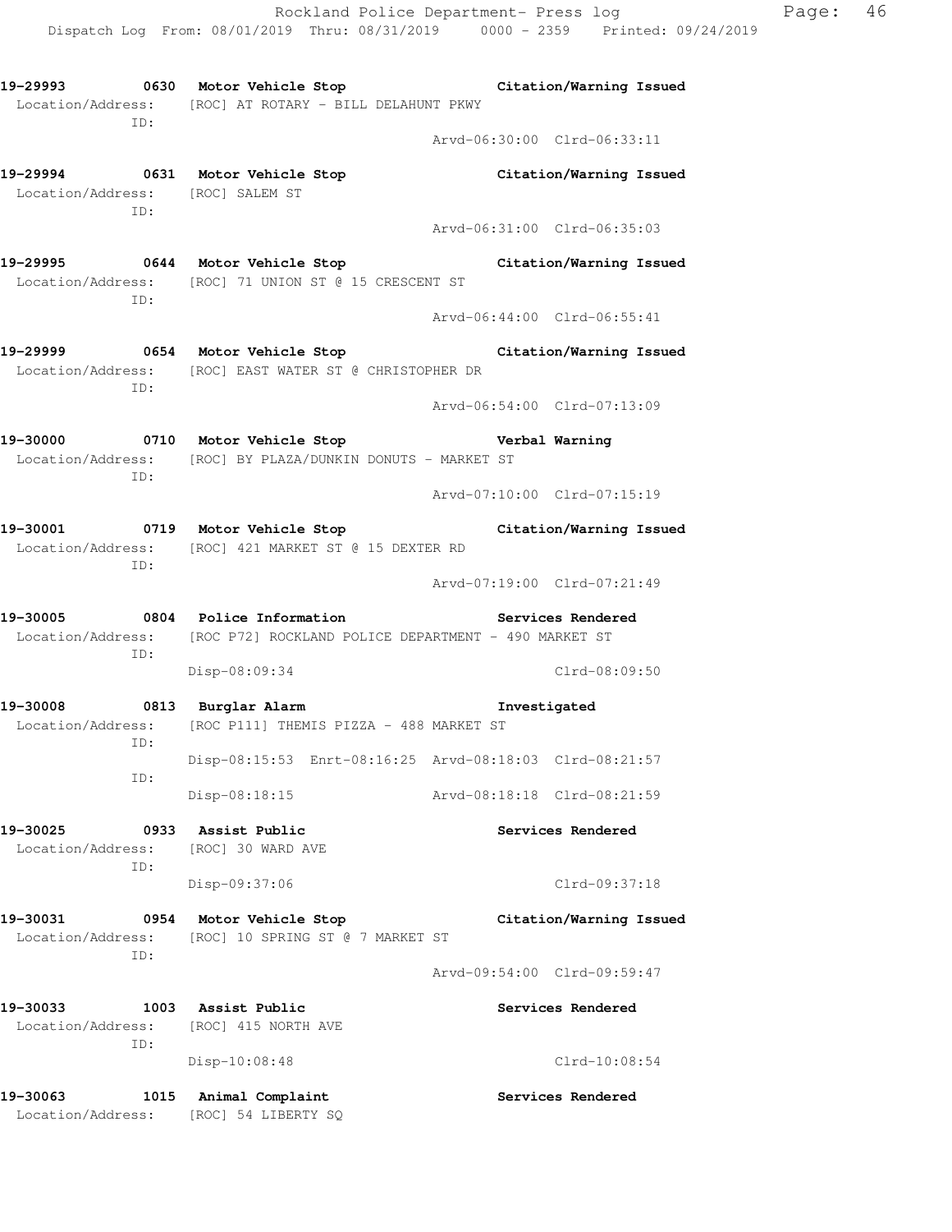**19-29995 0644 Motor Vehicle Stop Citation/Warning Issued**  Location/Address: [ROC] 71 UNION ST @ 15 CRESCENT ST ID: Arvd-06:44:00 Clrd-06:55:41 **19-29999 0654 Motor Vehicle Stop Citation/Warning Issued**  Location/Address: [ROC] EAST WATER ST @ CHRISTOPHER DR ID: Arvd-06:54:00 Clrd-07:13:09 **19-30000 0710 Motor Vehicle Stop Verbal Warning**  Location/Address: [ROC] BY PLAZA/DUNKIN DONUTS - MARKET ST ID: Arvd-07:10:00 Clrd-07:15:19 **19-30001 0719 Motor Vehicle Stop Citation/Warning Issued**  Location/Address: [ROC] 421 MARKET ST @ 15 DEXTER RD ID: Arvd-07:19:00 Clrd-07:21:49 **19-30005 0804 Police Information Services Rendered**  Location/Address: [ROC P72] ROCKLAND POLICE DEPARTMENT - 490 MARKET ST ID: Disp-08:09:34 Clrd-08:09:50 **19-30008 0813 Burglar Alarm Investigated**  Location/Address: [ROC P111] THEMIS PIZZA - 488 MARKET ST ID: Disp-08:15:53 Enrt-08:16:25 Arvd-08:18:03 Clrd-08:21:57 ID: Disp-08:18:15 Arvd-08:18:18 Clrd-08:21:59 **19-30025 0933 Assist Public Services Rendered**  Location/Address: [ROC] 30 WARD AVE ID: Disp-09:37:06 Clrd-09:37:18 **19-30031 0954 Motor Vehicle Stop Citation/Warning Issued**  Location/Address: [ROC] 10 SPRING ST @ 7 MARKET ST ID: Arvd-09:54:00 Clrd-09:59:47 **19-30033 1003 Assist Public Services Rendered**  Location/Address: [ROC] 415 NORTH AVE ID: Disp-10:08:48 Clrd-10:08:54

**19-30063 1015 Animal Complaint Services Rendered**  Location/Address: [ROC] 54 LIBERTY SO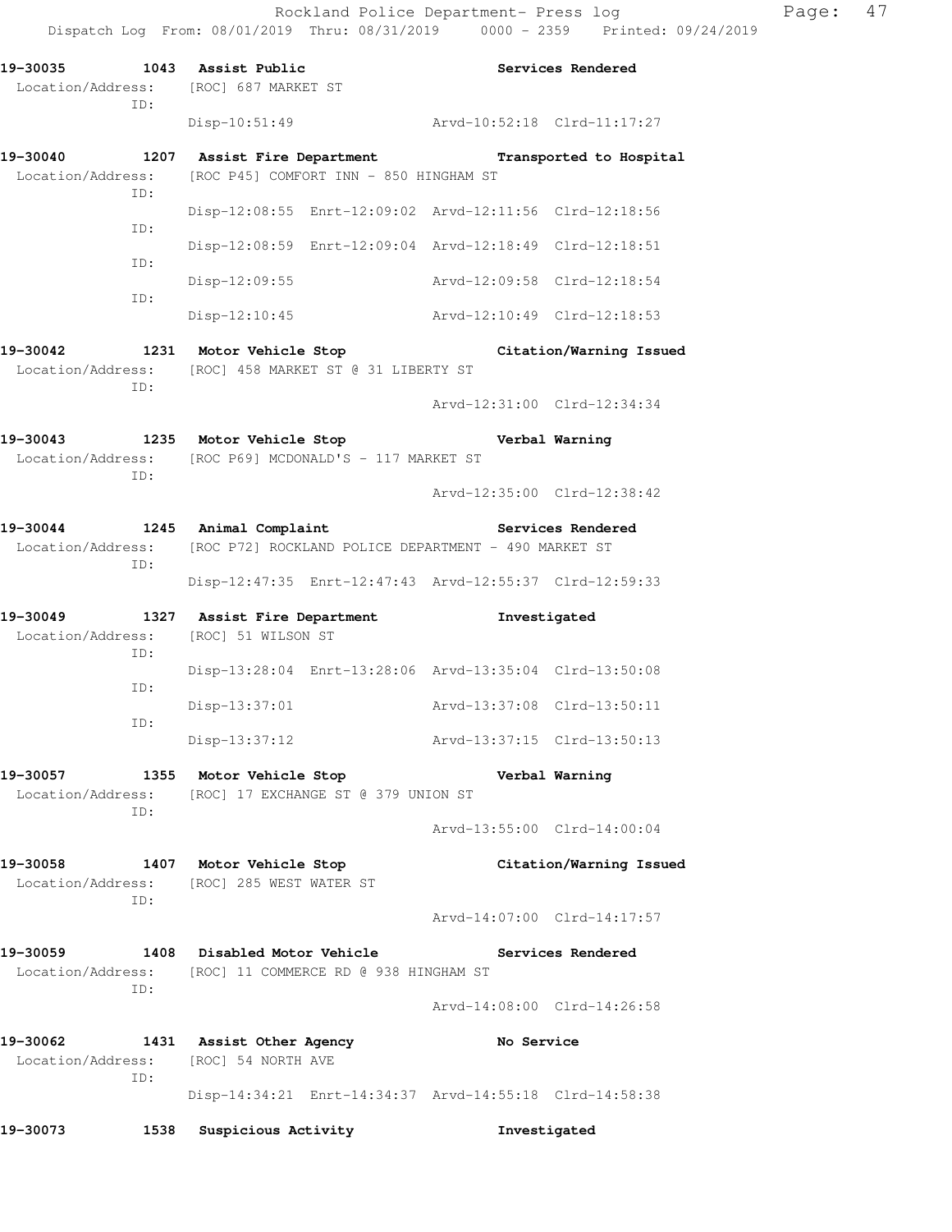**19-30035 1043 Assist Public Services Rendered**  Location/Address: [ROC] 687 MARKET ST ID: Disp-10:51:49 Arvd-10:52:18 Clrd-11:17:27 **19-30040 1207 Assist Fire Department Transported to Hospital**  Location/Address: [ROC P45] COMFORT INN - 850 HINGHAM ST ID: Disp-12:08:55 Enrt-12:09:02 Arvd-12:11:56 Clrd-12:18:56 ID: Disp-12:08:59 Enrt-12:09:04 Arvd-12:18:49 Clrd-12:18:51 ID: Disp-12:09:55 Arvd-12:09:58 Clrd-12:18:54 ID: Disp-12:10:45 Arvd-12:10:49 Clrd-12:18:53 **19-30042 1231 Motor Vehicle Stop Citation/Warning Issued**  Location/Address: [ROC] 458 MARKET ST @ 31 LIBERTY ST ID: Arvd-12:31:00 Clrd-12:34:34 **19-30043 1235 Motor Vehicle Stop Verbal Warning**  Location/Address: [ROC P69] MCDONALD'S - 117 MARKET ST ID: Arvd-12:35:00 Clrd-12:38:42 **19-30044 1245 Animal Complaint Services Rendered**  Location/Address: [ROC P72] ROCKLAND POLICE DEPARTMENT - 490 MARKET ST ID: Disp-12:47:35 Enrt-12:47:43 Arvd-12:55:37 Clrd-12:59:33 **19-30049 1327 Assist Fire Department Investigated**  Location/Address: [ROC] 51 WILSON ST ID: Disp-13:28:04 Enrt-13:28:06 Arvd-13:35:04 Clrd-13:50:08 ID: Disp-13:37:01 Arvd-13:37:08 Clrd-13:50:11 ID: Disp-13:37:12 Arvd-13:37:15 Clrd-13:50:13 **19-30057 1355 Motor Vehicle Stop Verbal Warning**  Location/Address: [ROC] 17 EXCHANGE ST @ 379 UNION ST ID: Arvd-13:55:00 Clrd-14:00:04 **19-30058 1407 Motor Vehicle Stop Citation/Warning Issued**  Location/Address: [ROC] 285 WEST WATER ST ID: Arvd-14:07:00 Clrd-14:17:57 **19-30059 1408 Disabled Motor Vehicle Services Rendered**  Location/Address: [ROC] 11 COMMERCE RD @ 938 HINGHAM ST ID: Arvd-14:08:00 Clrd-14:26:58 **19-30062 1431 Assist Other Agency No Service**  Location/Address: [ROC] 54 NORTH AVE ID: Disp-14:34:21 Enrt-14:34:37 Arvd-14:55:18 Clrd-14:58:38 **19-30073 1538 Suspicious Activity Investigated**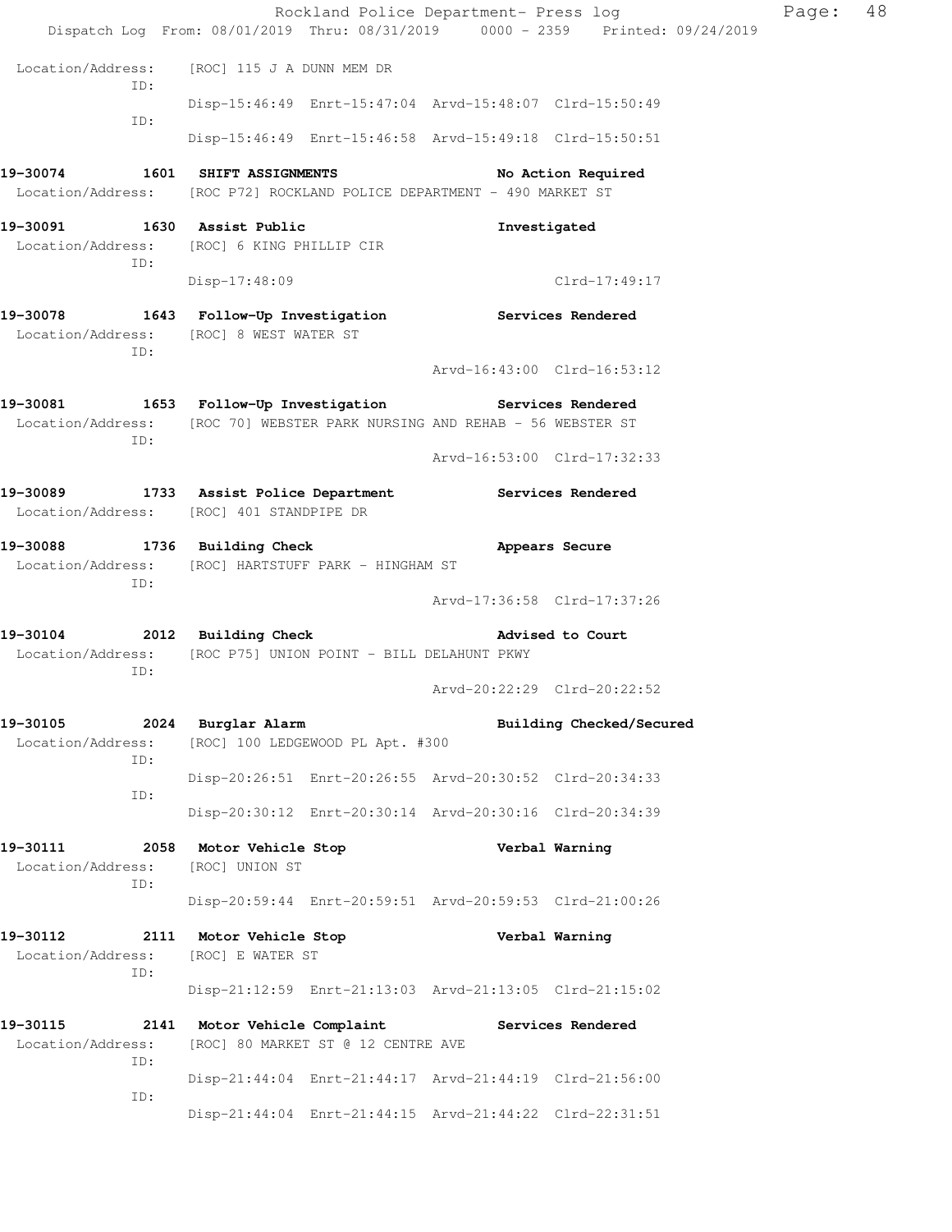|                                 |                                                                           | Rockland Police Department- Press log                                          | Page: | 48 |
|---------------------------------|---------------------------------------------------------------------------|--------------------------------------------------------------------------------|-------|----|
|                                 |                                                                           | Dispatch Log From: 08/01/2019 Thru: 08/31/2019 0000 - 2359 Printed: 09/24/2019 |       |    |
| ID:                             | Location/Address: [ROC] 115 J A DUNN MEM DR                               |                                                                                |       |    |
| ID:                             |                                                                           | Disp-15:46:49 Enrt-15:47:04 Arvd-15:48:07 Clrd-15:50:49                        |       |    |
|                                 |                                                                           | Disp-15:46:49 Enrt-15:46:58 Arvd-15:49:18 Clrd-15:50:51                        |       |    |
| 19-30074 1601 SHIFT ASSIGNMENTS |                                                                           | No Action Required                                                             |       |    |
|                                 | Location/Address: [ROC P72] ROCKLAND POLICE DEPARTMENT - 490 MARKET ST    |                                                                                |       |    |
| 19-30091 1630 Assist Public     |                                                                           | Investigated                                                                   |       |    |
| ID:                             | Location/Address: [ROC] 6 KING PHILLIP CIR                                |                                                                                |       |    |
|                                 | Disp-17:48:09                                                             | Clrd-17:49:17                                                                  |       |    |
|                                 | 19-30078 1643 Follow-Up Investigation Services Rendered                   |                                                                                |       |    |
|                                 | Location/Address: [ROC] 8 WEST WATER ST                                   |                                                                                |       |    |
| ID:                             |                                                                           | Arvd-16:43:00 Clrd-16:53:12                                                    |       |    |
|                                 | 19-30081 1653 Follow-Up Investigation Services Rendered                   |                                                                                |       |    |
|                                 | Location/Address: [ROC 70] WEBSTER PARK NURSING AND REHAB - 56 WEBSTER ST |                                                                                |       |    |
| ID:                             |                                                                           | Arvd-16:53:00 Clrd-17:32:33                                                    |       |    |
|                                 | 19-30089 1733 Assist Police Department Services Rendered                  |                                                                                |       |    |
|                                 | Location/Address: [ROC] 401 STANDPIPE DR                                  |                                                                                |       |    |
|                                 | 19-30088 1736 Building Check                                              | Appears Secure                                                                 |       |    |
| ID:                             | Location/Address: [ROC] HARTSTUFF PARK - HINGHAM ST                       |                                                                                |       |    |
|                                 |                                                                           | Arvd-17:36:58 Clrd-17:37:26                                                    |       |    |
|                                 | 19-30104 2012 Building Check                                              | Advised to Court                                                               |       |    |
| ID:                             | Location/Address: [ROC P75] UNION POINT - BILL DELAHUNT PKWY              |                                                                                |       |    |
|                                 |                                                                           | Arvd-20:22:29 Clrd-20:22:52                                                    |       |    |
| 19-30105                        | 2024 Burglar Alarm                                                        | Building Checked/Secured                                                       |       |    |
| Location/Address:<br>ID:        | [ROC] 100 LEDGEWOOD PL Apt. #300                                          |                                                                                |       |    |
|                                 |                                                                           | Disp-20:26:51 Enrt-20:26:55 Arvd-20:30:52 Clrd-20:34:33                        |       |    |
| ID:                             |                                                                           | Disp-20:30:12 Enrt-20:30:14 Arvd-20:30:16 Clrd-20:34:39                        |       |    |
| 19-30111                        |                                                                           |                                                                                |       |    |
| Location/Address:               | 2058 Motor Vehicle Stop<br>[ROC] UNION ST                                 | Verbal Warning                                                                 |       |    |
| ID:                             |                                                                           | Disp-20:59:44 Enrt-20:59:51 Arvd-20:59:53 Clrd-21:00:26                        |       |    |
|                                 |                                                                           |                                                                                |       |    |
| 19-30112<br>Location/Address:   | 2111 Motor Vehicle Stop<br>[ROC] E WATER ST                               | Verbal Warning                                                                 |       |    |
| ID:                             |                                                                           |                                                                                |       |    |
|                                 |                                                                           | Disp-21:12:59 Enrt-21:13:03 Arvd-21:13:05 Clrd-21:15:02                        |       |    |
| 19-30115                        | 2141 Motor Vehicle Complaint Services Rendered                            |                                                                                |       |    |
| Location/Address:<br>ID:        | [ROC] 80 MARKET ST @ 12 CENTRE AVE                                        |                                                                                |       |    |
|                                 |                                                                           | Disp-21:44:04 Enrt-21:44:17 Arvd-21:44:19 Clrd-21:56:00                        |       |    |
| ID:                             |                                                                           | Disp-21:44:04 Enrt-21:44:15 Arvd-21:44:22 Clrd-22:31:51                        |       |    |
|                                 |                                                                           |                                                                                |       |    |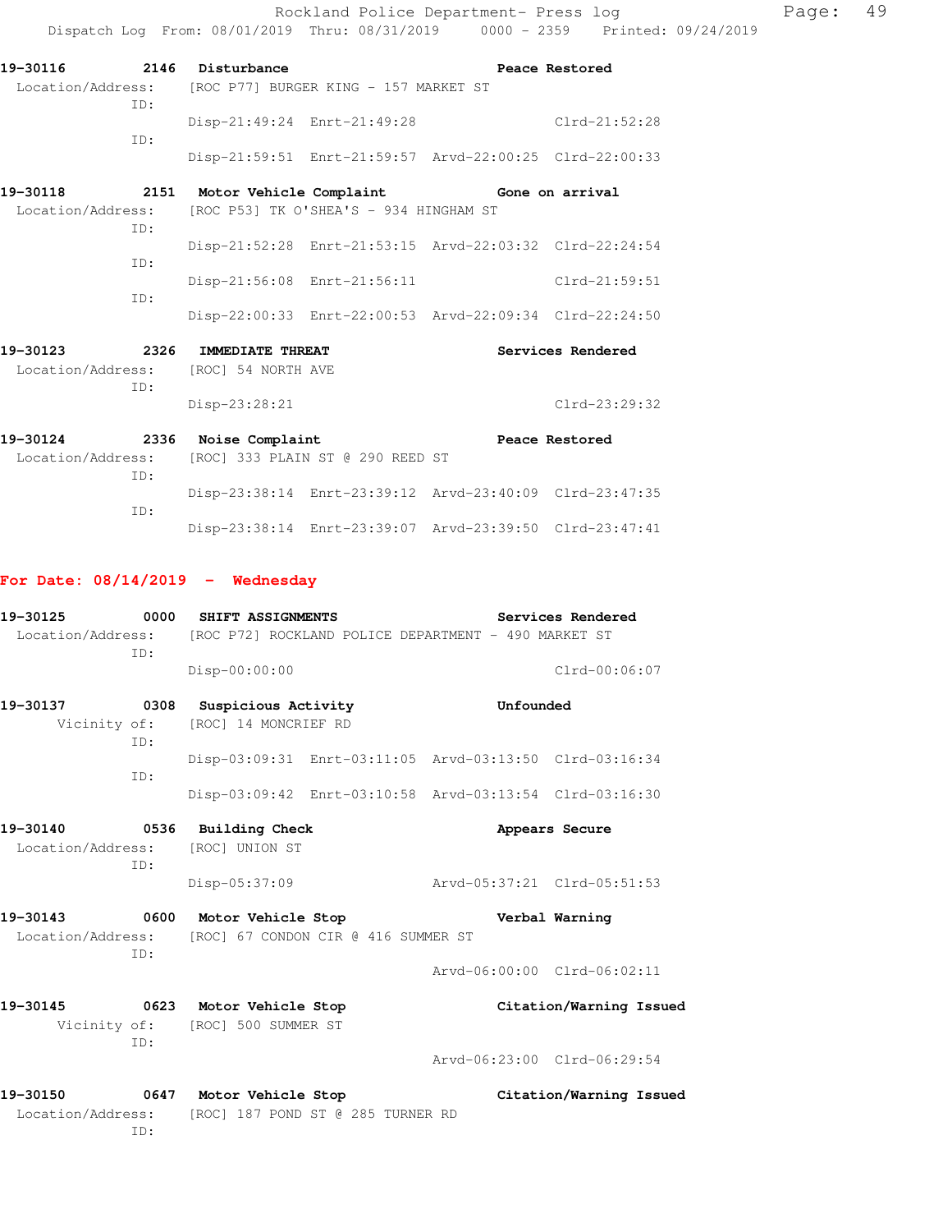| Location/Address: [ROC P53] TK O'SHEA'S - 934 HINGHAM ST<br>TD: |                             |                                                         |                 |
|-----------------------------------------------------------------|-----------------------------|---------------------------------------------------------|-----------------|
| TD:                                                             |                             | Disp-21:52:28 Enrt-21:53:15 Arvd-22:03:32 Clrd-22:24:54 |                 |
|                                                                 | Disp-21:56:08 Enrt-21:56:11 |                                                         | $Clrd-21:59:51$ |
| TD:                                                             |                             | Disp-22:00:33 Enrt-22:00:53 Arvd-22:09:34 Clrd-22:24:50 |                 |

**19-30118 2151 Motor Vehicle Complaint Gone on arrival** 

| 19-30123          | 2326 | IΜ         |
|-------------------|------|------------|
| Location/Address: |      | <b>FRO</b> |
|                   | TD:  |            |
|                   |      |            |

**19-30123 2326 IMMEDIATE THREAT Services Rendered**  C] 54 NORTH AVE Disp-23:28:21 Clrd-23:29:32 **19-30124 2336 Noise Complaint Peace Restored** 

| 19 JULA – 2000 NUISE COMPIGING |                                                         | reace wescored |
|--------------------------------|---------------------------------------------------------|----------------|
|                                | Location/Address: [ROC] 333 PLAIN ST @ 290 REED ST      |                |
| TD:                            |                                                         |                |
|                                | Disp-23:38:14 Enrt-23:39:12 Arvd-23:40:09 Clrd-23:47:35 |                |
| TD:                            |                                                         |                |
|                                | Disp-23:38:14 Enrt-23:39:07 Arvd-23:39:50 Clrd-23:47:41 |                |

#### **For Date: 08/14/2019 - Wednesday**

| 19-30125                                                                      |     | 0000 SHIFT ASSIGNMENTS                                  |                                                       | Services Rendered                                       |                         |  |
|-------------------------------------------------------------------------------|-----|---------------------------------------------------------|-------------------------------------------------------|---------------------------------------------------------|-------------------------|--|
| Location/Address: [ROC P72] ROCKLAND POLICE DEPARTMENT - 490 MARKET ST<br>TD: |     |                                                         |                                                       |                                                         |                         |  |
|                                                                               |     | $Disp-00:00:00$                                         |                                                       |                                                         | $Clrd-00:06:07$         |  |
| 19-30137 0308 Suspicious Activity                                             |     |                                                         |                                                       | Unfounded                                               |                         |  |
|                                                                               | TD: | Vicinity of: [ROC] 14 MONCRIEF RD                       |                                                       |                                                         |                         |  |
|                                                                               | TD: |                                                         |                                                       | Disp-03:09:31 Enrt-03:11:05 Arvd-03:13:50 Clrd-03:16:34 |                         |  |
|                                                                               |     |                                                         |                                                       | Disp-03:09:42 Enrt-03:10:58 Arvd-03:13:54 Clrd-03:16:30 |                         |  |
| 19-30140                                                                      |     | 0536 Building Check<br>Location/Address: [ROC] UNION ST |                                                       |                                                         | Appears Secure          |  |
|                                                                               | TD: | Disp-05:37:09                                           |                                                       | Arvd-05:37:21 Clrd-05:51:53                             |                         |  |
| 19-30143 0600 Motor Vehicle Stop                                              |     |                                                         |                                                       |                                                         | Verbal Warning          |  |
|                                                                               | TD: |                                                         | Location/Address: [ROC] 67 CONDON CIR @ 416 SUMMER ST |                                                         |                         |  |
|                                                                               |     |                                                         |                                                       | Arvd-06:00:00 Clrd-06:02:11                             |                         |  |
| 19-30145 0623 Motor Vehicle Stop                                              | TD: | Vicinity of: [ROC] 500 SUMMER ST                        |                                                       |                                                         | Citation/Warning Issued |  |
|                                                                               |     |                                                         |                                                       | Arvd-06:23:00 Clrd-06:29:54                             |                         |  |
| 19-30150 0647 Motor Vehicle Stop                                              |     |                                                         |                                                       |                                                         | Citation/Warning Issued |  |
|                                                                               | ID: |                                                         | Location/Address: [ROC] 187 POND ST @ 285 TURNER RD   |                                                         |                         |  |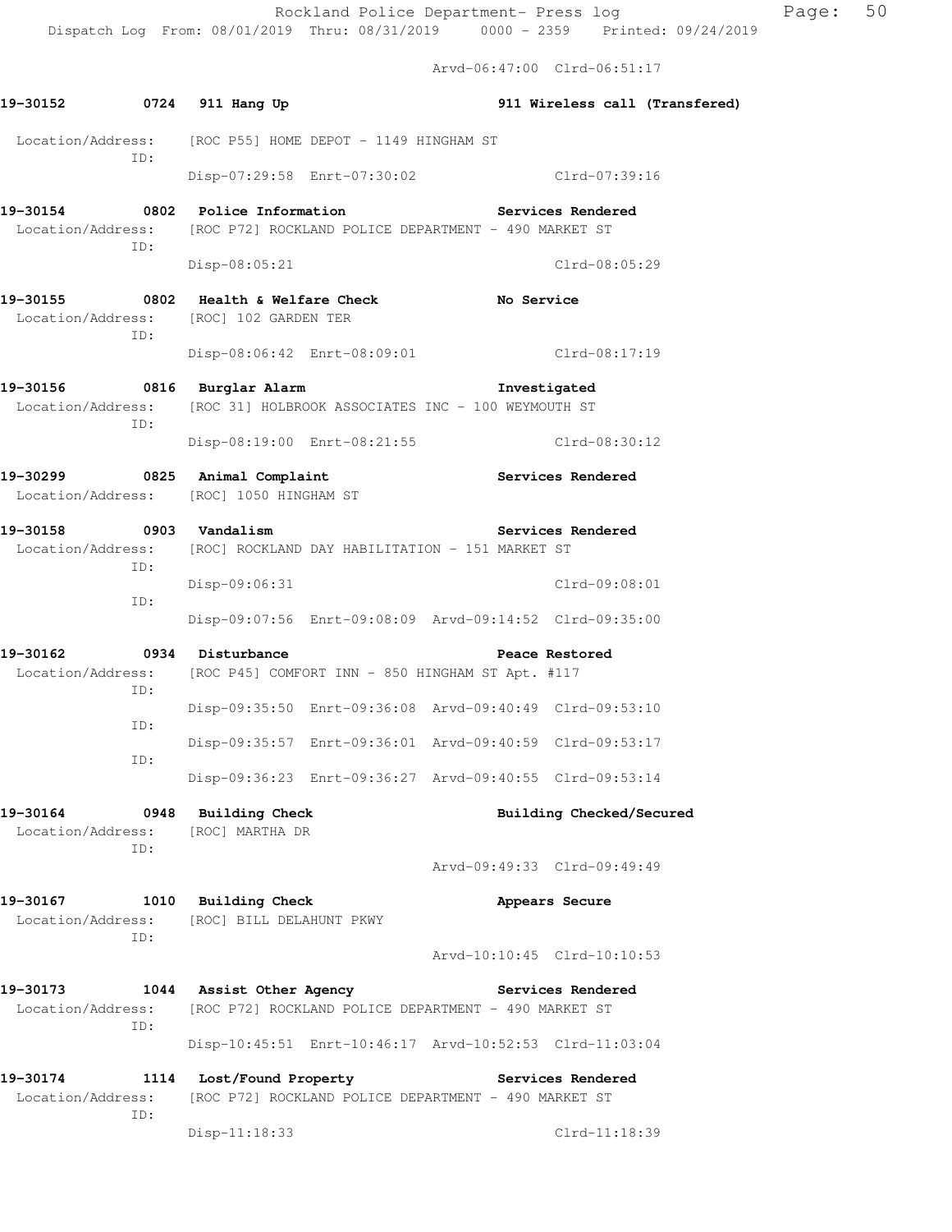Arvd-06:47:00 Clrd-06:51:17

| 19-30152 0724                                                                                                     |                                                                                       | 911 Hang Up                                                                            |                                                         |                             | 911 Wireless call (Transfered)  |  |
|-------------------------------------------------------------------------------------------------------------------|---------------------------------------------------------------------------------------|----------------------------------------------------------------------------------------|---------------------------------------------------------|-----------------------------|---------------------------------|--|
|                                                                                                                   | ID:                                                                                   | Location/Address: [ROC P55] HOME DEPOT - 1149 HINGHAM ST                               |                                                         |                             |                                 |  |
|                                                                                                                   |                                                                                       |                                                                                        | Disp-07:29:58 Enrt-07:30:02 Clrd-07:39:16               |                             |                                 |  |
| 19-30154 0802 Police Information<br>Location/Address: [ROC P72] ROCKLAND POLICE DEPARTMENT - 490 MARKET ST<br>ID: |                                                                                       |                                                                                        | Services Rendered                                       |                             |                                 |  |
|                                                                                                                   |                                                                                       | Disp-08:05:21                                                                          |                                                         |                             | Clrd-08:05:29                   |  |
|                                                                                                                   | 19-30155 0802 Health & Welfare Check<br>Location/Address: [ROC] 102 GARDEN TER<br>ID: |                                                                                        |                                                         | <b>No Service</b>           |                                 |  |
|                                                                                                                   |                                                                                       | Disp-08:06:42 Enrt-08:09:01 Clrd-08:17:19                                              |                                                         |                             |                                 |  |
| 19-30156 0816 Burglar Alarm<br>Location/Address:<br>ID:                                                           |                                                                                       | [ROC 31] HOLBROOK ASSOCIATES INC - 100 WEYMOUTH ST                                     | Disp-08:19:00 Enrt-08:21:55                             |                             | Investigated<br>$Clrd-08:30:12$ |  |
| 19-30299 0825 Animal Complaint                                                                                    |                                                                                       | Location/Address: [ROC] 1050 HINGHAM ST                                                |                                                         |                             | <b>Services Rendered</b>        |  |
| 19-30158 0903 Vandalism                                                                                           |                                                                                       |                                                                                        |                                                         |                             | Services Rendered               |  |
| Location/Address: [ROC] ROCKLAND DAY HABILITATION - 151 MARKET ST<br>ID:<br>ID:                                   |                                                                                       |                                                                                        |                                                         |                             |                                 |  |
|                                                                                                                   | Disp-09:06:31                                                                         |                                                                                        |                                                         | Clrd-09:08:01               |                                 |  |
|                                                                                                                   |                                                                                       |                                                                                        | Disp-09:07:56 Enrt-09:08:09 Arvd-09:14:52 Clrd-09:35:00 |                             |                                 |  |
| 19-30162                                                                                                          | ID:                                                                                   | 0934 Disturbance<br>Location/Address: [ROC P45] COMFORT INN - 850 HINGHAM ST Apt. #117 |                                                         |                             | Peace Restored                  |  |
|                                                                                                                   | ID:                                                                                   |                                                                                        | Disp-09:35:50 Enrt-09:36:08 Arvd-09:40:49 Clrd-09:53:10 |                             |                                 |  |
|                                                                                                                   | ID:                                                                                   |                                                                                        | Disp-09:35:57 Enrt-09:36:01 Arvd-09:40:59 Clrd-09:53:17 |                             |                                 |  |
|                                                                                                                   |                                                                                       |                                                                                        | Disp-09:36:23 Enrt-09:36:27 Arvd-09:40:55 Clrd-09:53:14 |                             |                                 |  |
| 19-30164                                                                                                          | ID:                                                                                   | 0948 Building Check<br>Location/Address: [ROC] MARTHA DR                               |                                                         |                             | Building Checked/Secured        |  |
|                                                                                                                   |                                                                                       |                                                                                        |                                                         | Arvd-09:49:33 Clrd-09:49:49 |                                 |  |
| 19-30167<br>Location/Address:                                                                                     | ID:                                                                                   | 1010 Building Check<br>[ROC] BILL DELAHUNT PKWY                                        |                                                         |                             | Appears Secure                  |  |
|                                                                                                                   |                                                                                       |                                                                                        |                                                         | Arvd-10:10:45 Clrd-10:10:53 |                                 |  |
| 19-30173<br>Location/Address:                                                                                     | ID:                                                                                   | 1044 Assist Other Agency<br>[ROC P72] ROCKLAND POLICE DEPARTMENT - 490 MARKET ST       |                                                         | <b>Services Rendered</b>    |                                 |  |
|                                                                                                                   |                                                                                       |                                                                                        | Disp-10:45:51 Enrt-10:46:17 Arvd-10:52:53 Clrd-11:03:04 |                             |                                 |  |
| 19-30174                                                                                                          |                                                                                       | 1114 Lost/Found Property The Services Rendered                                         |                                                         |                             |                                 |  |
| Location/Address:                                                                                                 | ID:                                                                                   | [ROC P72] ROCKLAND POLICE DEPARTMENT - 490 MARKET ST                                   |                                                         |                             |                                 |  |
|                                                                                                                   |                                                                                       | Disp-11:18:33                                                                          |                                                         |                             | Clrd-11:18:39                   |  |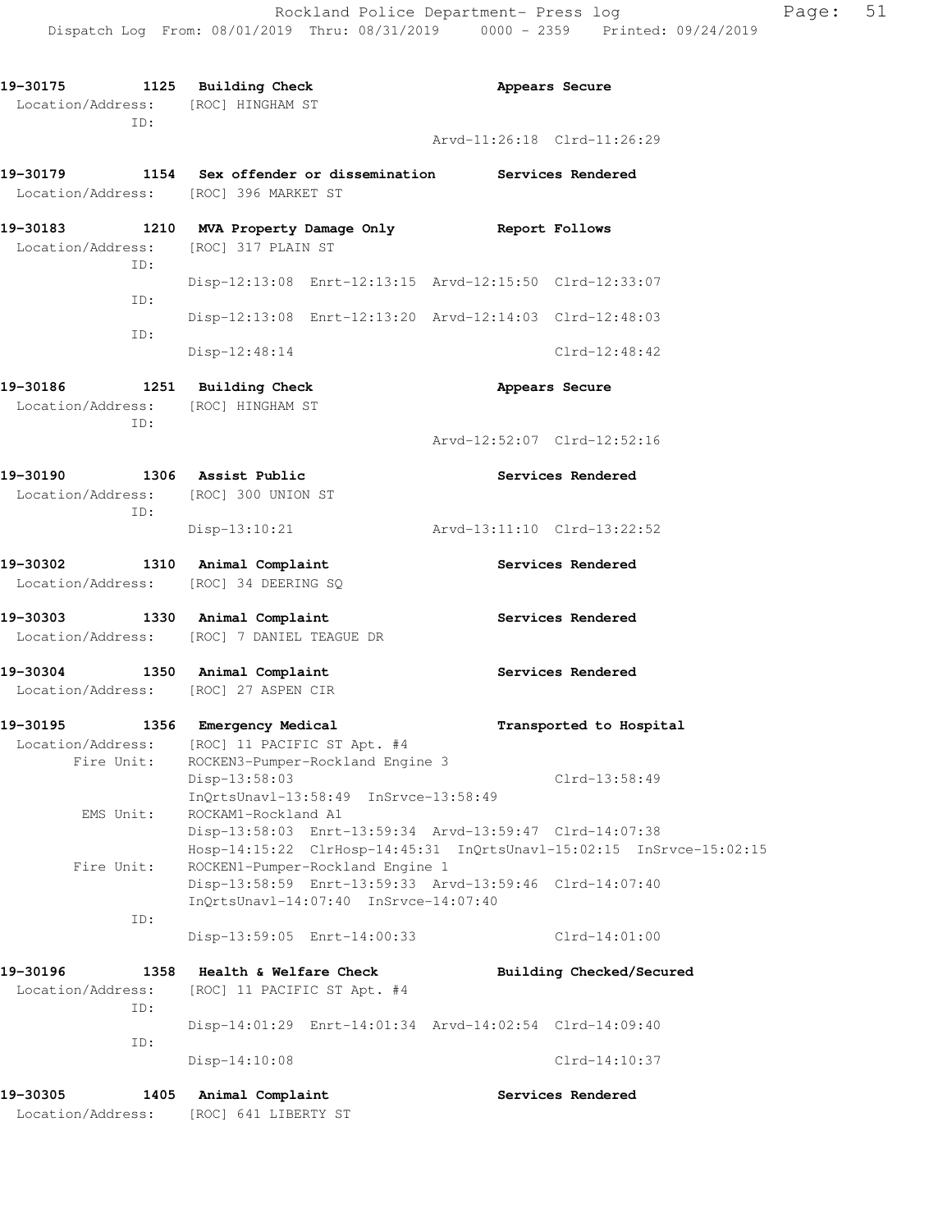| 19-30175 1125 Building Check<br>Location/Address: [ROC] HINGHAM ST<br>ID:  |                                                                                                                                      | Appears Secure                                                       |
|----------------------------------------------------------------------------|--------------------------------------------------------------------------------------------------------------------------------------|----------------------------------------------------------------------|
|                                                                            |                                                                                                                                      | Arvd-11:26:18 Clrd-11:26:29                                          |
| Location/Address: [ROC] 396 MARKET ST                                      | 19-30179 1154 Sex offender or dissemination Services Rendered                                                                        |                                                                      |
| Location/Address:<br>ID:                                                   | 19-30183 1210 MVA Property Damage Only Report Follows<br>[ROC] 317 PLAIN ST                                                          |                                                                      |
|                                                                            | Disp-12:13:08 Enrt-12:13:15 Arvd-12:15:50 Clrd-12:33:07                                                                              |                                                                      |
| ID:<br>ID:                                                                 | Disp-12:13:08 Enrt-12:13:20 Arvd-12:14:03 Clrd-12:48:03                                                                              |                                                                      |
|                                                                            | Disp-12:48:14                                                                                                                        | $Clrd-12:48:42$                                                      |
| 19-30186 1251 Building Check<br>Location/Address: [ROC] HINGHAM ST<br>ID:  |                                                                                                                                      | Appears Secure                                                       |
|                                                                            |                                                                                                                                      | Arvd-12:52:07 Clrd-12:52:16                                          |
| 19-30190 1306 Assist Public<br>Location/Address: [ROC] 300 UNION ST<br>ID: |                                                                                                                                      | Services Rendered                                                    |
|                                                                            | $Disp-13:10:21$                                                                                                                      | Arvd-13:11:10 Clrd-13:22:52                                          |
| 19-30302 1310 Animal Complaint<br>Location/Address: [ROC] 34 DEERING SQ    |                                                                                                                                      | Services Rendered                                                    |
| 19-30303 1330 Animal Complaint                                             | Location/Address: [ROC] 7 DANIEL TEAGUE DR                                                                                           | Services Rendered                                                    |
| 19-30304 1350 Animal Complaint<br>Location/Address: [ROC] 27 ASPEN CIR     |                                                                                                                                      | Services Rendered                                                    |
| 19-30195 1356 Emergency Medical                                            |                                                                                                                                      | Transported to Hospital                                              |
| Fire Unit:                                                                 | Location/Address: [ROC] 11 PACIFIC ST Apt. #4<br>ROCKEN3-Pumper-Rockland Engine 3<br>Disp-13:58:03                                   | $Clrd-13:58:49$                                                      |
| EMS Unit:                                                                  | InOrtsUnavl-13:58:49 InSrvce-13:58:49<br>ROCKAM1-Rockland A1<br>Disp-13:58:03 Enrt-13:59:34 Arvd-13:59:47 Clrd-14:07:38              | Hosp-14:15:22 ClrHosp-14:45:31 InQrtsUnavl-15:02:15 InSrvce-15:02:15 |
| Fire Unit:                                                                 | ROCKEN1-Pumper-Rockland Engine 1<br>Disp-13:58:59 Enrt-13:59:33 Arvd-13:59:46 Clrd-14:07:40<br>InQrtsUnavl-14:07:40 InSrvce-14:07:40 |                                                                      |
| ID:                                                                        | Disp-13:59:05 Enrt-14:00:33                                                                                                          | $Clrd-14:01:00$                                                      |
| 19-30196<br>1358                                                           | Health & Welfare Check                                                                                                               | Building Checked/Secured                                             |
| Location/Address:<br>ID:                                                   | [ROC] 11 PACIFIC ST Apt. #4                                                                                                          |                                                                      |
| ID:                                                                        | Disp-14:01:29 Enrt-14:01:34 Arvd-14:02:54 Clrd-14:09:40                                                                              |                                                                      |
|                                                                            | Disp-14:10:08                                                                                                                        | $Clrd-14:10:37$                                                      |
| 19-30305<br>1405<br>Location/Address:                                      | Animal Complaint<br>[ROC] 641 LIBERTY ST                                                                                             | Services Rendered                                                    |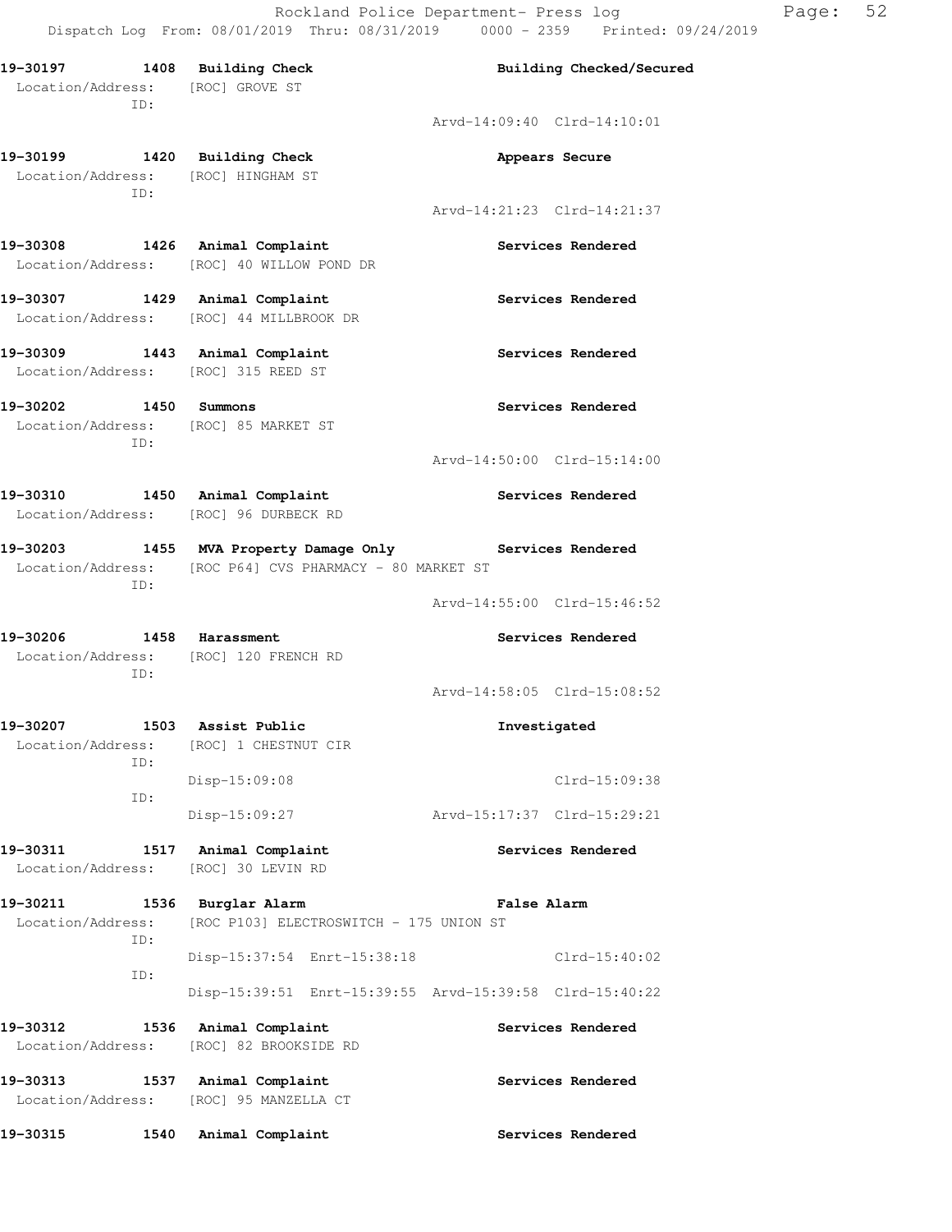| 19-30197 1408 Building Check<br>Location/Address: [ROC] GROVE ST<br>ID:   |                                                                                                                     | Building Checked/Secured                                |
|---------------------------------------------------------------------------|---------------------------------------------------------------------------------------------------------------------|---------------------------------------------------------|
|                                                                           |                                                                                                                     | Arvd-14:09:40 Clrd-14:10:01                             |
| 19-30199 1420 Building Check<br>Location/Address: [ROC] HINGHAM ST<br>ID: |                                                                                                                     | Appears Secure                                          |
|                                                                           |                                                                                                                     | Arvd-14:21:23 Clrd-14:21:37                             |
| 19-30308 1426 Animal Complaint                                            | Location/Address: [ROC] 40 WILLOW POND DR                                                                           | Services Rendered                                       |
| 19-30307 1429 Animal Complaint                                            | Location/Address: [ROC] 44 MILLBROOK DR                                                                             | Services Rendered                                       |
| 19-30309 1443 Animal Complaint                                            | Location/Address: [ROC] 315 REED ST                                                                                 | Services Rendered                                       |
| 19-30202 1450 Summons                                                     | Location/Address: [ROC] 85 MARKET ST                                                                                | Services Rendered                                       |
| ID:                                                                       |                                                                                                                     | Arvd-14:50:00 Clrd-15:14:00                             |
| 19-30310 1450 Animal Complaint                                            | Location/Address: [ROC] 96 DURBECK RD                                                                               | <b>Services Rendered</b>                                |
| ID:                                                                       | 19-30203 1455 MVA Property Damage Only Services Rendered<br>Location/Address: [ROC P64] CVS PHARMACY - 80 MARKET ST |                                                         |
|                                                                           |                                                                                                                     | Arvd-14:55:00 Clrd-15:46:52                             |
| ID:                                                                       | 19-30206 1458 Harassment<br>Location/Address: [ROC] 120 FRENCH RD                                                   | Services Rendered                                       |
|                                                                           |                                                                                                                     | Arvd-14:58:05 Clrd-15:08:52                             |
| 19-30207<br>Location/Address:<br>ID:                                      | 1503 Assist Public<br>[ROC] 1 CHESTNUT CIR                                                                          | Investigated                                            |
| ID:                                                                       | Disp-15:09:08                                                                                                       | Clrd-15:09:38                                           |
|                                                                           | Disp-15:09:27                                                                                                       | Arvd-15:17:37 Clrd-15:29:21                             |
| 19-30311                                                                  | 1517 Animal Complaint<br>Location/Address: [ROC] 30 LEVIN RD                                                        | Services Rendered                                       |
| 19-30211<br>Location/Address:                                             | 1536 Burglar Alarm<br>[ROC P103] ELECTROSWITCH - 175 UNION ST                                                       | <b>False Alarm</b>                                      |
| ID:                                                                       | Disp-15:37:54 Enrt-15:38:18                                                                                         | $Clrd-15:40:02$                                         |
| ID:                                                                       |                                                                                                                     | Disp-15:39:51 Enrt-15:39:55 Arvd-15:39:58 Clrd-15:40:22 |
| 19-30312<br>Location/Address:                                             | 1536 Animal Complaint<br>[ROC] 82 BROOKSIDE RD                                                                      | Services Rendered                                       |
| 19-30313<br>Location/Address:                                             | 1537 Animal Complaint<br>[ROC] 95 MANZELLA CT                                                                       | Services Rendered                                       |
| 19-30315<br>1540                                                          | Animal Complaint                                                                                                    | Services Rendered                                       |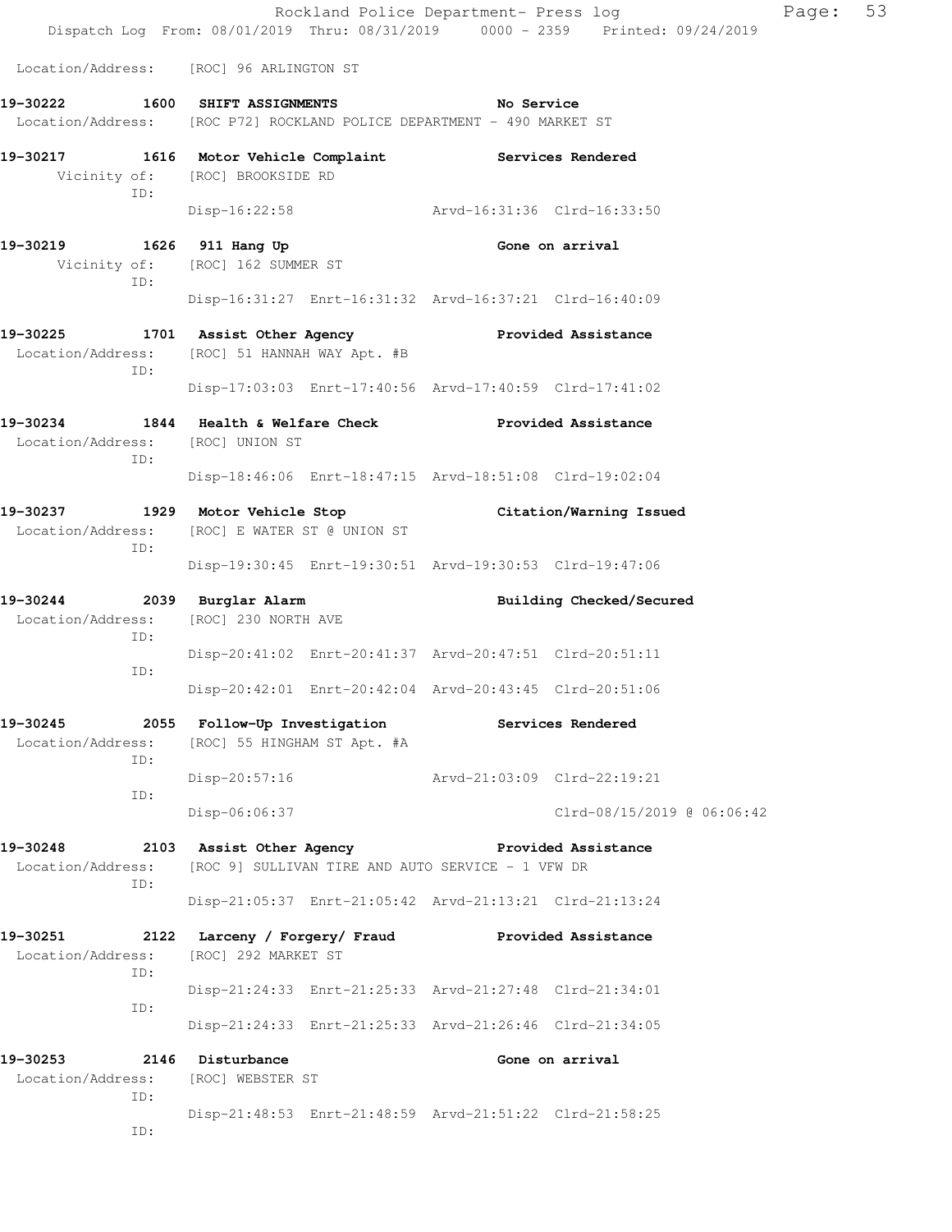Rockland Police Department- Press log Page: 53 Dispatch Log From: 08/01/2019 Thru: 08/31/2019 0000 - 2359 Printed: 09/24/2019 Location/Address: [ROC] 96 ARLINGTON ST **19-30222 1600 SHIFT ASSIGNMENTS No Service**  Location/Address: [ROC P72] ROCKLAND POLICE DEPARTMENT - 490 MARKET ST **19-30217 1616 Motor Vehicle Complaint Services Rendered**  Vicinity of: [ROC] BROOKSIDE RD ID: Disp-16:22:58 Arvd-16:31:36 Clrd-16:33:50 **19-30219 1626 911 Hang Up Gone on arrival**  Vicinity of: [ROC] 162 SUMMER ST ID: Disp-16:31:27 Enrt-16:31:32 Arvd-16:37:21 Clrd-16:40:09 **19-30225 1701 Assist Other Agency Provided Assistance**  Location/Address: [ROC] 51 HANNAH WAY Apt. #B ID: Disp-17:03:03 Enrt-17:40:56 Arvd-17:40:59 Clrd-17:41:02 **19-30234 1844 Health & Welfare Check Provided Assistance**  Location/Address: [ROC] UNION ST ID: Disp-18:46:06 Enrt-18:47:15 Arvd-18:51:08 Clrd-19:02:04 **19-30237 1929 Motor Vehicle Stop Citation/Warning Issued**  Location/Address: [ROC] E WATER ST @ UNION ST ID: Disp-19:30:45 Enrt-19:30:51 Arvd-19:30:53 Clrd-19:47:06 **19-30244 2039 Burglar Alarm Building Checked/Secured**  Location/Address: [ROC] 230 NORTH AVE ID: Disp-20:41:02 Enrt-20:41:37 Arvd-20:47:51 Clrd-20:51:11 ID: Disp-20:42:01 Enrt-20:42:04 Arvd-20:43:45 Clrd-20:51:06 **19-30245 2055 Follow-Up Investigation Services Rendered**  Location/Address: [ROC] 55 HINGHAM ST Apt. #A ID: Disp-20:57:16 Arvd-21:03:09 Clrd-22:19:21 ID: Disp-06:06:37 Clrd-08/15/2019 @ 06:06:42 **19-30248 2103 Assist Other Agency Provided Assistance**  Location/Address: [ROC 9] SULLIVAN TIRE AND AUTO SERVICE - 1 VFW DR ID: Disp-21:05:37 Enrt-21:05:42 Arvd-21:13:21 Clrd-21:13:24 **19-30251 2122 Larceny / Forgery/ Fraud Provided Assistance**  Location/Address: [ROC] 292 MARKET ST ID: Disp-21:24:33 Enrt-21:25:33 Arvd-21:27:48 Clrd-21:34:01 ID: Disp-21:24:33 Enrt-21:25:33 Arvd-21:26:46 Clrd-21:34:05 **19-30253 2146 Disturbance Gone on arrival**  Location/Address: [ROC] WEBSTER ST ID: Disp-21:48:53 Enrt-21:48:59 Arvd-21:51:22 Clrd-21:58:25

ID: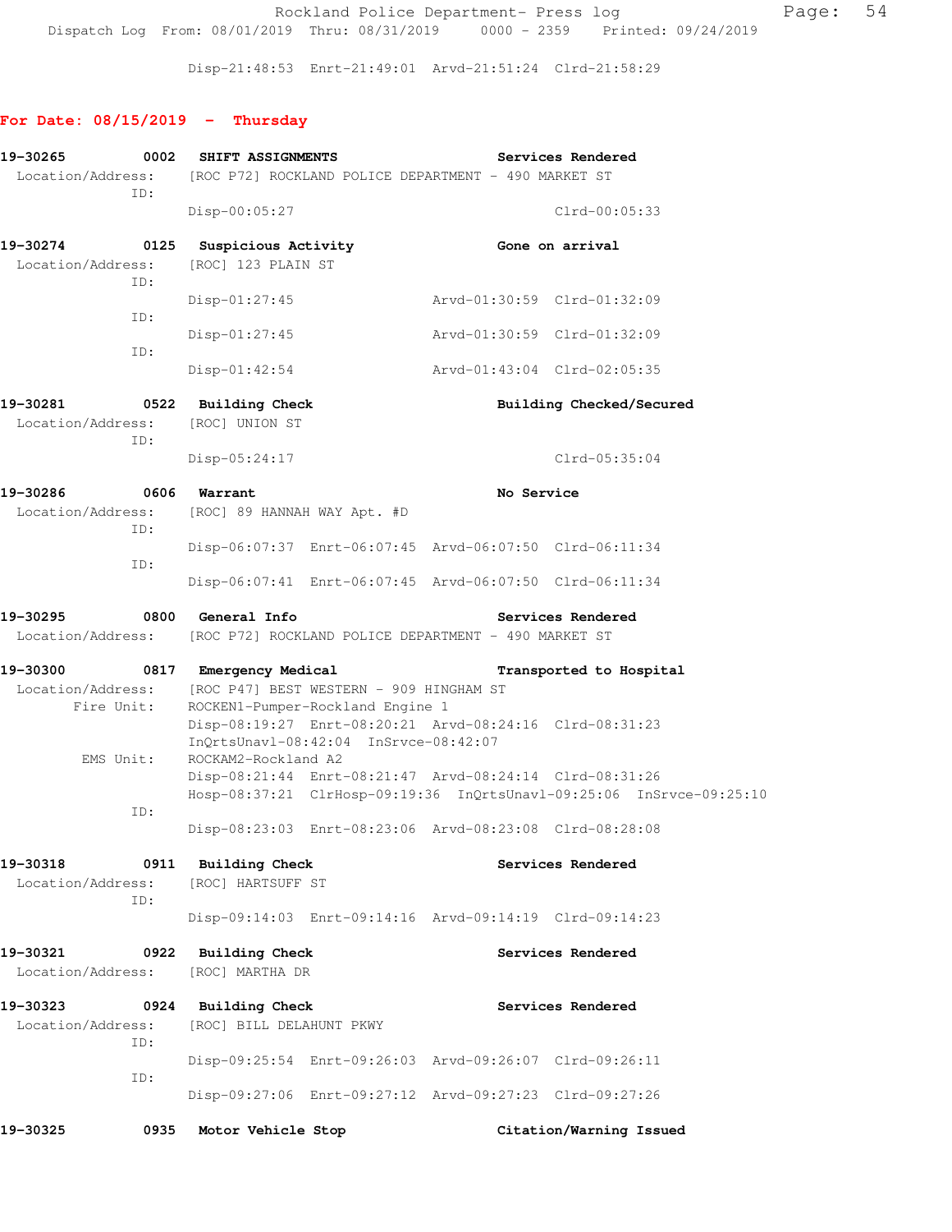Rockland Police Department- Press log Fage: 54 Dispatch Log From: 08/01/2019 Thru: 08/31/2019 0000 - 2359 Printed: 09/24/2019

Disp-21:48:53 Enrt-21:49:01 Arvd-21:51:24 Clrd-21:58:29

### **For Date: 08/15/2019 - Thursday**

| 19-30265                                                                            | 0002                                        | SHIFT ASSIGNMENTS                                                         |                          | Services Rendered                                                                                                               |
|-------------------------------------------------------------------------------------|---------------------------------------------|---------------------------------------------------------------------------|--------------------------|---------------------------------------------------------------------------------------------------------------------------------|
| Location/Address: [ROC P72] ROCKLAND POLICE DEPARTMENT - 490 MARKET ST<br>ID:       |                                             |                                                                           |                          |                                                                                                                                 |
|                                                                                     |                                             | Disp-00:05:27                                                             |                          | $Clrd-00:05:33$                                                                                                                 |
| 19-30274<br>0125<br>Location/Address:<br>ID:                                        |                                             | Suspicious Activity<br>[ROC] 123 PLAIN ST                                 |                          | Gone on arrival                                                                                                                 |
| ID:                                                                                 |                                             | $Disp-01:27:45$                                                           |                          | Arvd-01:30:59 Clrd-01:32:09                                                                                                     |
| ID:                                                                                 |                                             | $Disp-01:27:45$                                                           |                          | Arvd-01:30:59 Clrd-01:32:09                                                                                                     |
|                                                                                     |                                             | $Disp-01:42:54$                                                           |                          | Arvd-01:43:04 Clrd-02:05:35                                                                                                     |
| 19-30281<br>Location/Address:<br>ID:                                                | 0522 Building Check<br>[ROC] UNION ST       |                                                                           | Building Checked/Secured |                                                                                                                                 |
|                                                                                     |                                             | Disp-05:24:17                                                             |                          | $Clrd-05:35:04$                                                                                                                 |
| 19-30286<br>Location/Address:<br>ID:                                                | 0606 Warrant<br>[ROC] 89 HANNAH WAY Apt. #D |                                                                           | No Service               |                                                                                                                                 |
| ID:                                                                                 |                                             |                                                                           |                          | Disp-06:07:37 Enrt-06:07:45 Arvd-06:07:50 Clrd-06:11:34                                                                         |
|                                                                                     |                                             |                                                                           |                          | Disp-06:07:41 Enrt-06:07:45 Arvd-06:07:50 Clrd-06:11:34                                                                         |
| 19-30295<br>Location/Address:                                                       |                                             | 0800 General Info<br>[ROC P72] ROCKLAND POLICE DEPARTMENT - 490 MARKET ST |                          | Services Rendered                                                                                                               |
| 19-30300<br>Location/Address: [ROC P47] BEST WESTERN - 909 HINGHAM ST<br>Fire Unit: |                                             | 0817 Emergency Medical<br>ROCKEN1-Pumper-Rockland Engine 1                |                          | Transported to Hospital<br>Disp-08:19:27 Enrt-08:20:21 Arvd-08:24:16 Clrd-08:31:23                                              |
| EMS Unit:                                                                           |                                             | InQrtsUnavl-08:42:04 InSrvce-08:42:07<br>ROCKAM2-Rockland A2              |                          | Disp-08:21:44 Enrt-08:21:47 Arvd-08:24:14 Clrd-08:31:26<br>Hosp-08:37:21 ClrHosp-09:19:36 InQrtsUnavl-09:25:06 InSrvce-09:25:10 |
| ID:                                                                                 |                                             |                                                                           |                          | Disp-08:23:03 Enrt-08:23:06 Arvd-08:23:08 Clrd-08:28:08                                                                         |
| 19-30318<br>Location/Address:<br>ID:                                                |                                             | 0911 Building Check<br>[ROC] HARTSUFF ST                                  |                          | Services Rendered                                                                                                               |
|                                                                                     |                                             |                                                                           |                          | Disp-09:14:03 Enrt-09:14:16 Arvd-09:14:19 Clrd-09:14:23                                                                         |
| 19-30321<br>Location/Address:                                                       | 0922                                        | <b>Building Check</b><br>[ROC] MARTHA DR                                  |                          | Services Rendered                                                                                                               |
| 19-30323<br>Location/Address:<br>ID:                                                | 0924                                        | <b>Building Check</b><br>[ROC] BILL DELAHUNT PKWY                         |                          | Services Rendered                                                                                                               |
| ID:                                                                                 |                                             |                                                                           |                          | Disp-09:25:54 Enrt-09:26:03 Arvd-09:26:07 Clrd-09:26:11                                                                         |
|                                                                                     |                                             |                                                                           |                          | Disp-09:27:06 Enrt-09:27:12 Arvd-09:27:23 Clrd-09:27:26                                                                         |
| 19-30325                                                                            | 0935                                        | Motor Vehicle Stop                                                        |                          | Citation/Warning Issued                                                                                                         |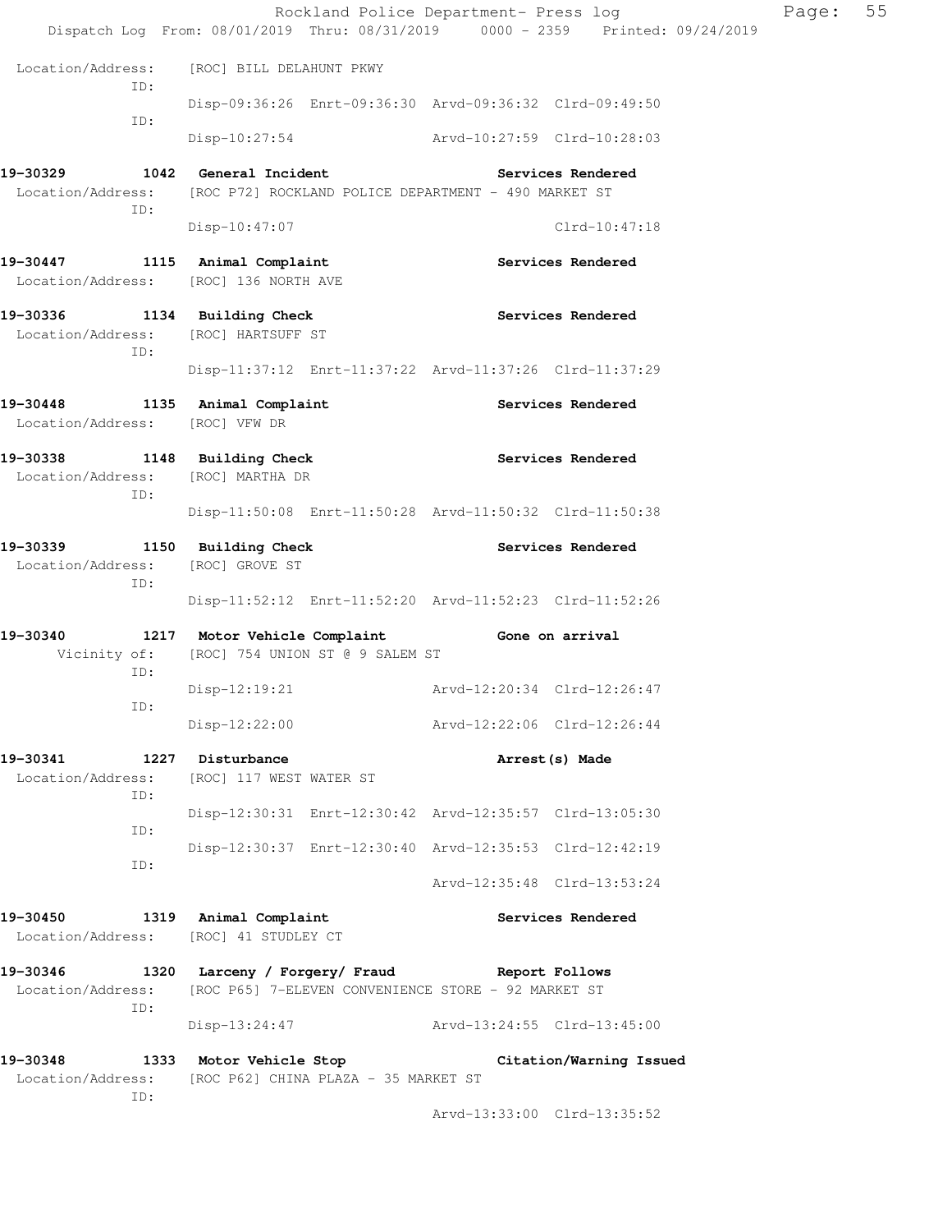|                               |                                   |                                                                         |                                                         | Rockland Police Department- Press log                   |                                                                                | Page: | 55 |  |  |
|-------------------------------|-----------------------------------|-------------------------------------------------------------------------|---------------------------------------------------------|---------------------------------------------------------|--------------------------------------------------------------------------------|-------|----|--|--|
|                               |                                   |                                                                         |                                                         |                                                         | Dispatch Log From: 08/01/2019 Thru: 08/31/2019 0000 - 2359 Printed: 09/24/2019 |       |    |  |  |
| Location/Address:             | ID:                               | [ROC] BILL DELAHUNT PKWY                                                |                                                         |                                                         |                                                                                |       |    |  |  |
|                               | ID:                               |                                                                         |                                                         | Disp-09:36:26 Enrt-09:36:30 Arvd-09:36:32 Clrd-09:49:50 |                                                                                |       |    |  |  |
|                               |                                   |                                                                         |                                                         | Disp-10:27:54 Arvd-10:27:59 Clrd-10:28:03               |                                                                                |       |    |  |  |
|                               |                                   |                                                                         |                                                         |                                                         | Services Rendered                                                              |       |    |  |  |
|                               | ID:                               | Location/Address: [ROC P72] ROCKLAND POLICE DEPARTMENT - 490 MARKET ST  |                                                         |                                                         |                                                                                |       |    |  |  |
|                               |                                   | Disp-10:47:07                                                           |                                                         |                                                         | Clrd-10:47:18                                                                  |       |    |  |  |
|                               |                                   | 19-30447 1115 Animal Complaint<br>Location/Address: [ROC] 136 NORTH AVE |                                                         |                                                         | Services Rendered                                                              |       |    |  |  |
|                               | TD:                               | 19-30336 1134 Building Check<br>Location/Address: [ROC] HARTSUFF ST     |                                                         |                                                         | Services Rendered                                                              |       |    |  |  |
|                               |                                   |                                                                         | Disp-11:37:12 Enrt-11:37:22 Arvd-11:37:26 Clrd-11:37:29 |                                                         |                                                                                |       |    |  |  |
| 19-30448                      |                                   | 1135 Animal Complaint<br>Location/Address: [ROC] VFW DR                 |                                                         |                                                         | Services Rendered                                                              |       |    |  |  |
|                               |                                   | 19-30338 1148 Building Check                                            |                                                         |                                                         | Services Rendered                                                              |       |    |  |  |
| TD:                           | Location/Address: [ROC] MARTHA DR |                                                                         |                                                         |                                                         |                                                                                |       |    |  |  |
|                               |                                   |                                                                         |                                                         | Disp-11:50:08 Enrt-11:50:28 Arvd-11:50:32 Clrd-11:50:38 |                                                                                |       |    |  |  |
| 19-30339<br>Location/Address: | ID:                               | 1150 Building Check<br>[ROC] GROVE ST                                   |                                                         |                                                         | Services Rendered                                                              |       |    |  |  |
|                               |                                   |                                                                         |                                                         | Disp-11:52:12 Enrt-11:52:20 Arvd-11:52:23 Clrd-11:52:26 |                                                                                |       |    |  |  |
| 19-30340                      |                                   | 1217 Motor Vehicle Complaint Gone on arrival                            |                                                         |                                                         |                                                                                |       |    |  |  |
|                               | ID:                               | Vicinity of: [ROC] 754 UNION ST @ 9 SALEM ST                            |                                                         |                                                         |                                                                                |       |    |  |  |
|                               | ID:                               | Disp-12:19:21                                                           |                                                         | Arvd-12:20:34 Clrd-12:26:47                             |                                                                                |       |    |  |  |
|                               |                                   | $Disp-12:22:00$                                                         |                                                         | Arvd-12:22:06 Clrd-12:26:44                             |                                                                                |       |    |  |  |
| 19-30341<br>Location/Address: | ID:                               | 1227 Disturbance<br>[ROC] 117 WEST WATER ST                             |                                                         |                                                         | Arrest (s) Made                                                                |       |    |  |  |
|                               | ID:                               |                                                                         |                                                         | Disp-12:30:31 Enrt-12:30:42 Arvd-12:35:57 Clrd-13:05:30 |                                                                                |       |    |  |  |
|                               | ID:                               |                                                                         |                                                         | Disp-12:30:37 Enrt-12:30:40 Arvd-12:35:53 Clrd-12:42:19 |                                                                                |       |    |  |  |
|                               |                                   |                                                                         |                                                         |                                                         | Arvd-12:35:48 Clrd-13:53:24                                                    |       |    |  |  |
| 19-30450                      |                                   | 1319 Animal Complaint<br>Location/Address: [ROC] 41 STUDLEY CT          |                                                         |                                                         | Services Rendered                                                              |       |    |  |  |
| 19-30346<br>Location/Address: |                                   | 1320 Larceny / Forgery/ Fraud                 Report Follows            |                                                         | [ROC P65] 7-ELEVEN CONVENIENCE STORE - 92 MARKET ST     |                                                                                |       |    |  |  |
|                               | ID:                               |                                                                         |                                                         | Disp-13:24:47 Arvd-13:24:55 Clrd-13:45:00               |                                                                                |       |    |  |  |
| 19-30348                      |                                   | 1333 Motor Vehicle Stop                                                 |                                                         |                                                         | Citation/Warning Issued                                                        |       |    |  |  |
| Location/Address:             | ID:                               |                                                                         | [ROC P62] CHINA PLAZA - 35 MARKET ST                    |                                                         |                                                                                |       |    |  |  |
|                               |                                   |                                                                         |                                                         |                                                         | Arvd-13:33:00 Clrd-13:35:52                                                    |       |    |  |  |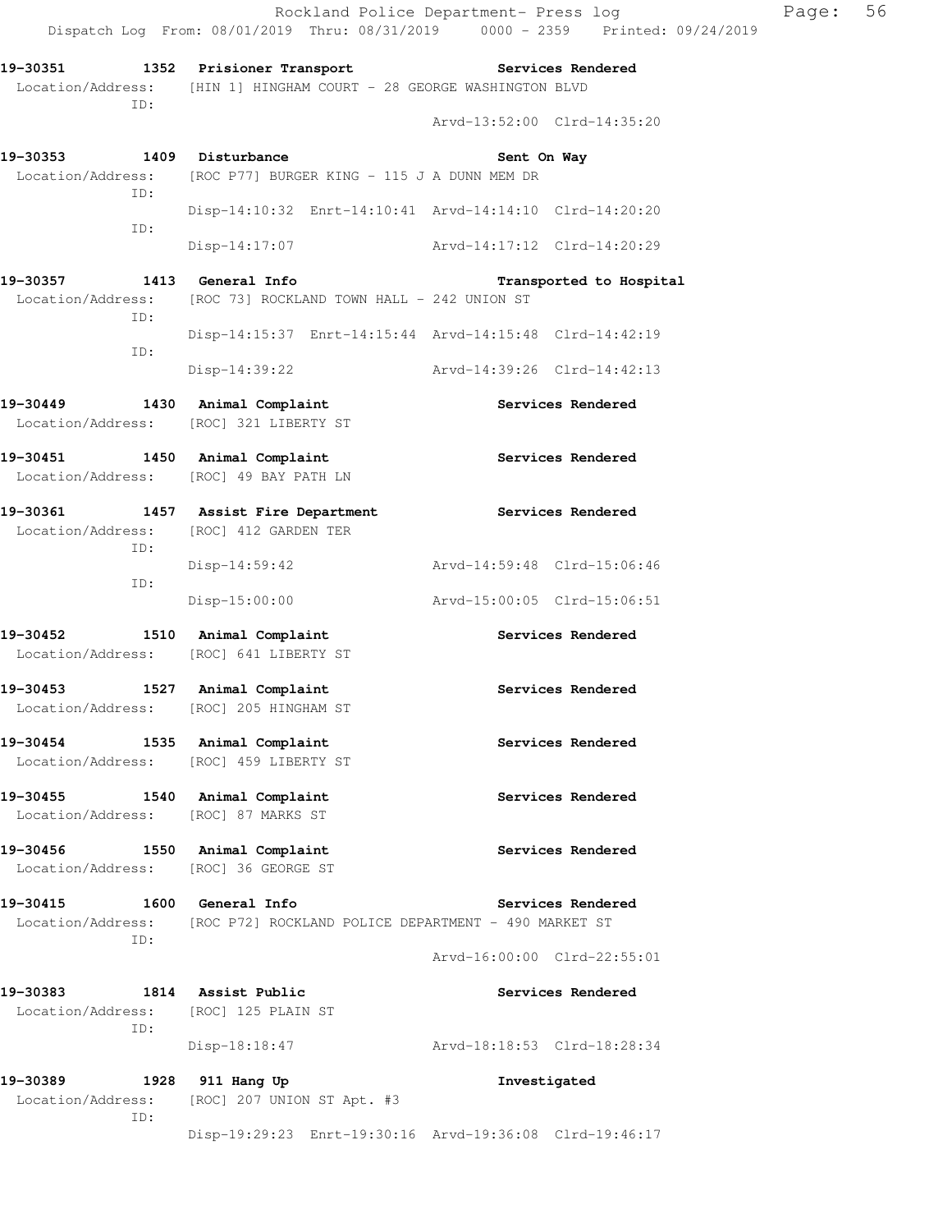Rockland Police Department- Press log Fage: 56 Dispatch Log From: 08/01/2019 Thru: 08/31/2019 0000 - 2359 Printed: 09/24/2019 **19-30351 1352 Prisioner Transport Services Rendered**  Location/Address: [HIN 1] HINGHAM COURT - 28 GEORGE WASHINGTON BLVD ID: Arvd-13:52:00 Clrd-14:35:20 19-30353 1409 Disturbance **Sent On Way**  Location/Address: [ROC P77] BURGER KING - 115 J A DUNN MEM DR ID: Disp-14:10:32 Enrt-14:10:41 Arvd-14:14:10 Clrd-14:20:20 ID: Disp-14:17:07 Arvd-14:17:12 Clrd-14:20:29 **19-30357 1413 General Info Transported to Hospital**  Location/Address: [ROC 73] ROCKLAND TOWN HALL - 242 UNION ST ID: Disp-14:15:37 Enrt-14:15:44 Arvd-14:15:48 Clrd-14:42:19 ID: Disp-14:39:22 Arvd-14:39:26 Clrd-14:42:13 **19-30449 1430 Animal Complaint Services Rendered**  Location/Address: [ROC] 321 LIBERTY ST **19-30451 1450 Animal Complaint Services Rendered**  Location/Address: [ROC] 49 BAY PATH LN **19-30361 1457 Assist Fire Department Services Rendered**  Location/Address: [ROC] 412 GARDEN TER ID: Disp-14:59:42 Arvd-14:59:48 Clrd-15:06:46 ID: Disp-15:00:00 Arvd-15:00:05 Clrd-15:06:51 19-30452 1510 Animal Complaint **19-30452** Services Rendered Location/Address: [ROC] 641 LIBERTY ST **19-30453 1527 Animal Complaint Services Rendered**  Location/Address: [ROC] 205 HINGHAM ST **19-30454 1535 Animal Complaint Services Rendered**  Location/Address: [ROC] 459 LIBERTY ST **19-30455 1540 Animal Complaint Services Rendered**  Location/Address: [ROC] 87 MARKS ST **19-30456 1550 Animal Complaint Services Rendered**  Location/Address: [ROC] 36 GEORGE ST **19-30415 1600 General Info Services Rendered**  Location/Address: [ROC P72] ROCKLAND POLICE DEPARTMENT - 490 MARKET ST ID: Arvd-16:00:00 Clrd-22:55:01 **19-30383 1814 Assist Public Services Rendered**  Location/Address: [ROC] 125 PLAIN ST ID: Disp-18:18:47 Arvd-18:18:53 Clrd-18:28:34 **19-30389 1928 911 Hang Up Investigated**  Location/Address: [ROC] 207 UNION ST Apt. #3 ID:

Disp-19:29:23 Enrt-19:30:16 Arvd-19:36:08 Clrd-19:46:17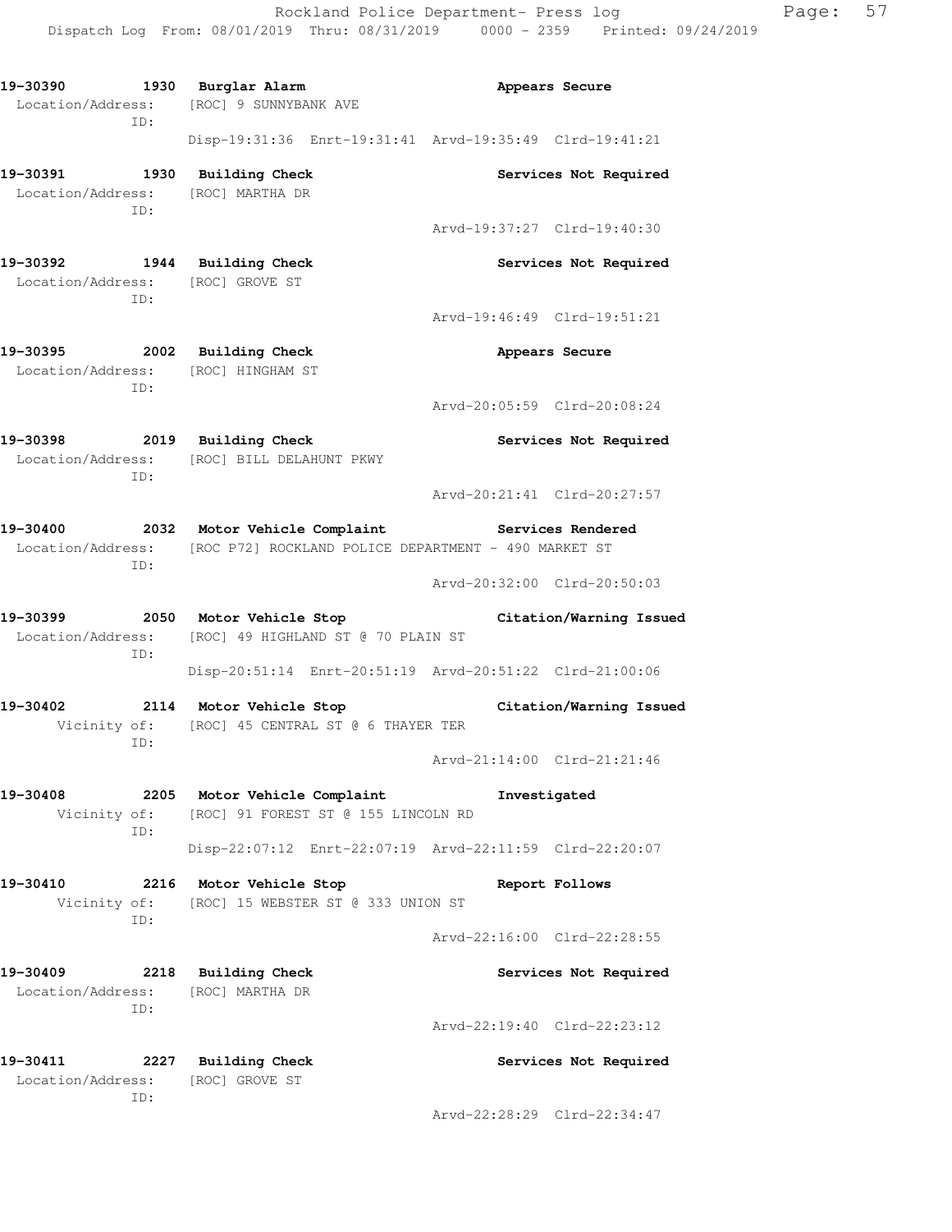**19-30390 1930 Burglar Alarm Appears Secure**  Location/Address: [ROC] 9 SUNNYBANK AVE ID: Disp-19:31:36 Enrt-19:31:41 Arvd-19:35:49 Clrd-19:41:21 **19-30391 1930 Building Check Services Not Required**  Location/Address: [ROC] MARTHA DR ID: Arvd-19:37:27 Clrd-19:40:30 **19-30392 1944 Building Check Services Not Required**  Location/Address: [ROC] GROVE ST ID: Arvd-19:46:49 Clrd-19:51:21 19-30395 2002 Building Check **Appears Secure**  Location/Address: [ROC] HINGHAM ST ID: Arvd-20:05:59 Clrd-20:08:24 **19-30398 2019 Building Check Services Not Required**  Location/Address: [ROC] BILL DELAHUNT PKWY ID: Arvd-20:21:41 Clrd-20:27:57 **19-30400 2032 Motor Vehicle Complaint Services Rendered**  Location/Address: [ROC P72] ROCKLAND POLICE DEPARTMENT - 490 MARKET ST ID: Arvd-20:32:00 Clrd-20:50:03 **19-30399 2050 Motor Vehicle Stop Citation/Warning Issued**  Location/Address: [ROC] 49 HIGHLAND ST @ 70 PLAIN ST ID: Disp-20:51:14 Enrt-20:51:19 Arvd-20:51:22 Clrd-21:00:06 **19-30402 2114 Motor Vehicle Stop Citation/Warning Issued**  Vicinity of: [ROC] 45 CENTRAL ST @ 6 THAYER TER ID: Arvd-21:14:00 Clrd-21:21:46 **19-30408 2205 Motor Vehicle Complaint Investigated**  Vicinity of: [ROC] 91 FOREST ST @ 155 LINCOLN RD ID: Disp-22:07:12 Enrt-22:07:19 Arvd-22:11:59 Clrd-22:20:07 **19-30410 2216 Motor Vehicle Stop Report Follows**  Vicinity of: [ROC] 15 WEBSTER ST @ 333 UNION ST ID: Arvd-22:16:00 Clrd-22:28:55 **19-30409 2218 Building Check Services Not Required**  Location/Address: [ROC] MARTHA DR ID: Arvd-22:19:40 Clrd-22:23:12 **19-30411 2227 Building Check Services Not Required**  Location/Address: [ROC] GROVE ST ID: Arvd-22:28:29 Clrd-22:34:47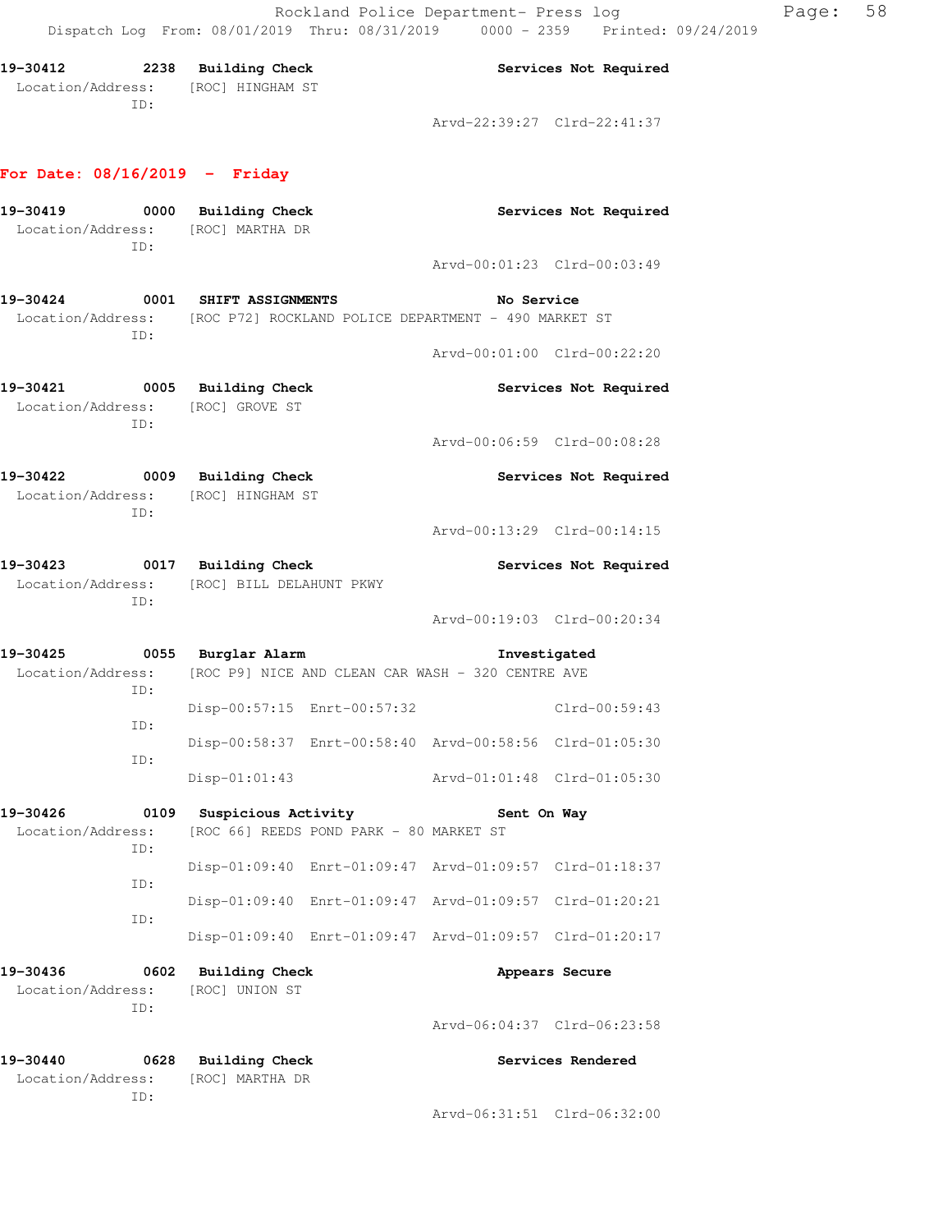| 19-30412          |     | 2238 Building Check |                             | Services Not Required |
|-------------------|-----|---------------------|-----------------------------|-----------------------|
| Location/Address: |     | [ROC] HINGHAM ST    |                             |                       |
|                   | TD: |                     |                             |                       |
|                   |     |                     | Arvd-22:39:27 Clrd-22:41:37 |                       |

### **For Date: 08/16/2019 - Friday**

| 19-30419<br>Location/Address: [ROC] MARTHA DR<br>ID: |             | 0000 Building Check                                                                                         |                                           | Services Not Required       |  |  |
|------------------------------------------------------|-------------|-------------------------------------------------------------------------------------------------------------|-------------------------------------------|-----------------------------|--|--|
|                                                      |             |                                                                                                             |                                           | Arvd-00:01:23 Clrd-00:03:49 |  |  |
|                                                      | TD:         | 19-30424 0001 SHIFT ASSIGNMENTS<br>Location/Address: [ROC P72] ROCKLAND POLICE DEPARTMENT - 490 MARKET ST   | No Service                                |                             |  |  |
|                                                      |             |                                                                                                             |                                           | Arvd-00:01:00 Clrd-00:22:20 |  |  |
|                                                      |             | 19-30421 0005 Building Check<br>Location/Address: [ROC] GROVE ST                                            |                                           | Services Not Required       |  |  |
|                                                      | ID:         |                                                                                                             |                                           | Arvd-00:06:59 Clrd-00:08:28 |  |  |
|                                                      | ID:         | 19-30422 0009 Building Check<br>Location/Address: [ROC] HINGHAM ST                                          |                                           | Services Not Required       |  |  |
|                                                      |             |                                                                                                             |                                           | Arvd-00:13:29 Clrd-00:14:15 |  |  |
| 19-30423 0017 Building Check                         |             | Location/Address: [ROC] BILL DELAHUNT PKWY                                                                  |                                           | Services Not Required       |  |  |
|                                                      | ID:         |                                                                                                             |                                           | Arvd-00:19:03 Clrd-00:20:34 |  |  |
| 19-30425                                             |             | 0055 Burglar Alarm<br>Location/Address: [ROC P9] NICE AND CLEAN CAR WASH - 320 CENTRE AVE                   |                                           | Investigated                |  |  |
|                                                      | ID:         | Disp-00:57:15 Enrt-00:57:32                                                                                 |                                           | $Clrd-00:59:43$             |  |  |
|                                                      | ID:         | Disp-00:58:37 Enrt-00:58:40 Arvd-00:58:56 Clrd-01:05:30                                                     |                                           |                             |  |  |
|                                                      | ID:         | $Disp-01:01:43$                                                                                             |                                           |                             |  |  |
| 19-30426                                             |             | 0109 Suspicious Activity Communist Sent On Way<br>Location/Address: [ROC 66] REEDS POND PARK - 80 MARKET ST |                                           |                             |  |  |
|                                                      | ID:         | Disp-01:09:40 Enrt-01:09:47 Arvd-01:09:57 Clrd-01:18:37                                                     |                                           |                             |  |  |
|                                                      | ID:         | $Disp-01:09:40$                                                                                             | Enrt-01:09:47 Arvd-01:09:57               | Clrd-01:20:21               |  |  |
|                                                      | ID:         | $Disp-01:09:40$                                                                                             | Enrt-01:09:47 Arvd-01:09:57 Clrd-01:20:17 |                             |  |  |
| 19-30436<br>Location/Address:                        | 0602<br>ID: | <b>Building Check</b><br>[ROC] UNION ST                                                                     |                                           | Appears Secure              |  |  |
|                                                      |             |                                                                                                             |                                           | Arvd-06:04:37 Clrd-06:23:58 |  |  |
| 19-30440<br>Location/Address:                        | 0628<br>ID: | <b>Building Check</b><br>[ROC] MARTHA DR                                                                    |                                           | Services Rendered           |  |  |
|                                                      |             |                                                                                                             |                                           | Arvd-06:31:51 Clrd-06:32:00 |  |  |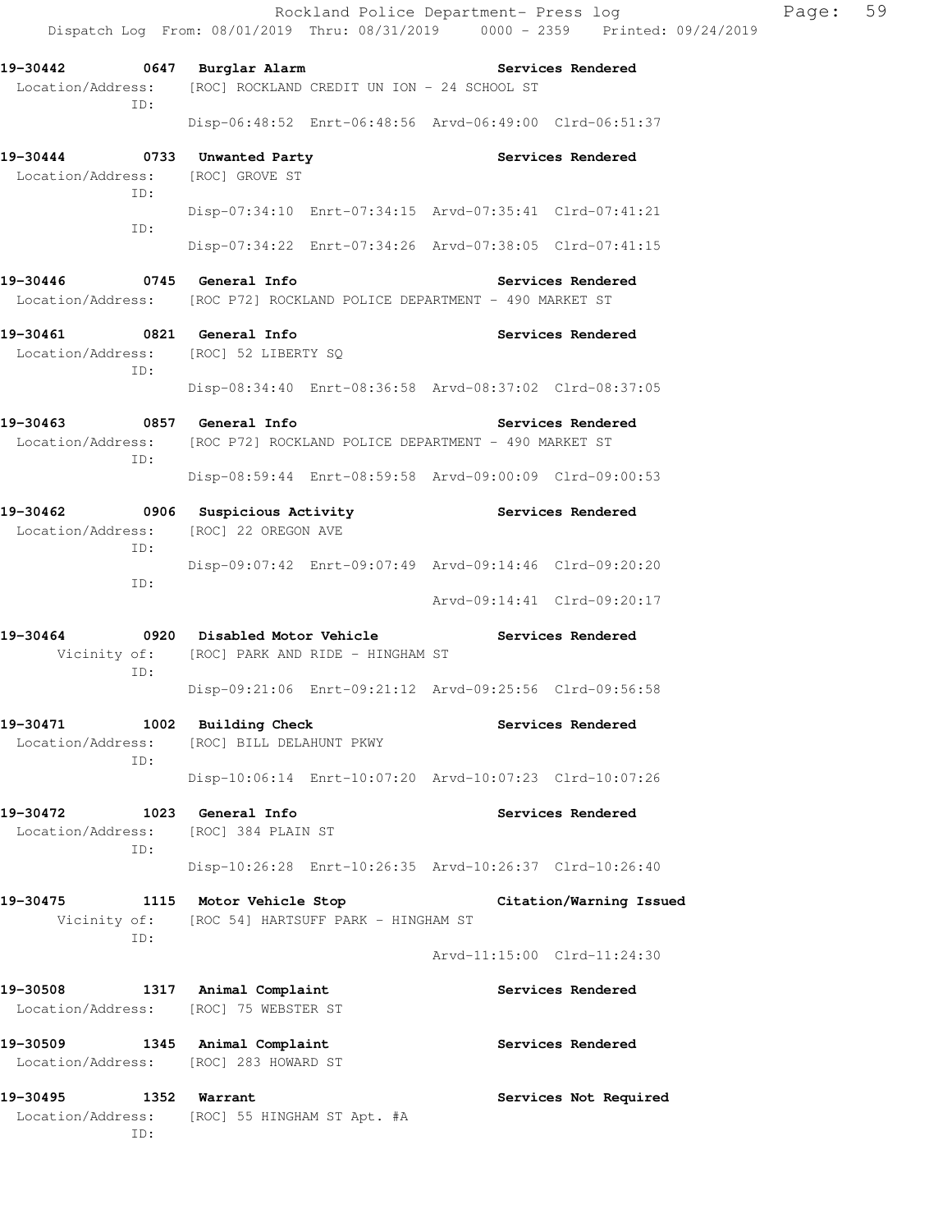**19-30444 0733 Unwanted Party Services Rendered**  Location/Address: [ROC] GROVE ST ID: Disp-07:34:10 Enrt-07:34:15 Arvd-07:35:41 Clrd-07:41:21 ID: Disp-07:34:22 Enrt-07:34:26 Arvd-07:38:05 Clrd-07:41:15

**19-30446 0745 General Info Services Rendered**  Location/Address: [ROC P72] ROCKLAND POLICE DEPARTMENT - 490 MARKET ST

**19-30461 0821 General Info Services Rendered**  Location/Address: [ROC] 52 LIBERTY SQ ID:

Disp-08:34:40 Enrt-08:36:58 Arvd-08:37:02 Clrd-08:37:05

**19-30463 0857 General Info Services Rendered**  Location/Address: [ROC P72] ROCKLAND POLICE DEPARTMENT - 490 MARKET ST ID: Disp-08:59:44 Enrt-08:59:58 Arvd-09:00:09 Clrd-09:00:53

**19-30462 0906 Suspicious Activity Services Rendered**  Location/Address: [ROC] 22 OREGON AVE ID: Disp-09:07:42 Enrt-09:07:49 Arvd-09:14:46 Clrd-09:20:20 ID: Arvd-09:14:41 Clrd-09:20:17

**19-30464 0920 Disabled Motor Vehicle Services Rendered**  Vicinity of: [ROC] PARK AND RIDE - HINGHAM ST ID: Disp-09:21:06 Enrt-09:21:12 Arvd-09:25:56 Clrd-09:56:58

**19-30471 1002 Building Check Services Rendered**  Location/Address: [ROC] BILL DELAHUNT PKWY ID: Disp-10:06:14 Enrt-10:07:20 Arvd-10:07:23 Clrd-10:07:26

**19-30472 1023 General Info Services Rendered**  Location/Address: [ROC] 384 PLAIN ST ID: Disp-10:26:28 Enrt-10:26:35 Arvd-10:26:37 Clrd-10:26:40

**19-30475 1115 Motor Vehicle Stop Citation/Warning Issued**  Vicinity of: [ROC 54] HARTSUFF PARK - HINGHAM ST ID:

Arvd-11:15:00 Clrd-11:24:30

**19-30508 1317 Animal Complaint Services Rendered**  Location/Address: [ROC] 75 WEBSTER ST 19-30509 1345 Animal Complaint **19-30500 Services Rendered** Location/Address: [ROC] 283 HOWARD ST

19-30495 1352 Warrant Services Not Required Location/Address: [ROC] 55 HINGHAM ST Apt. #A ID: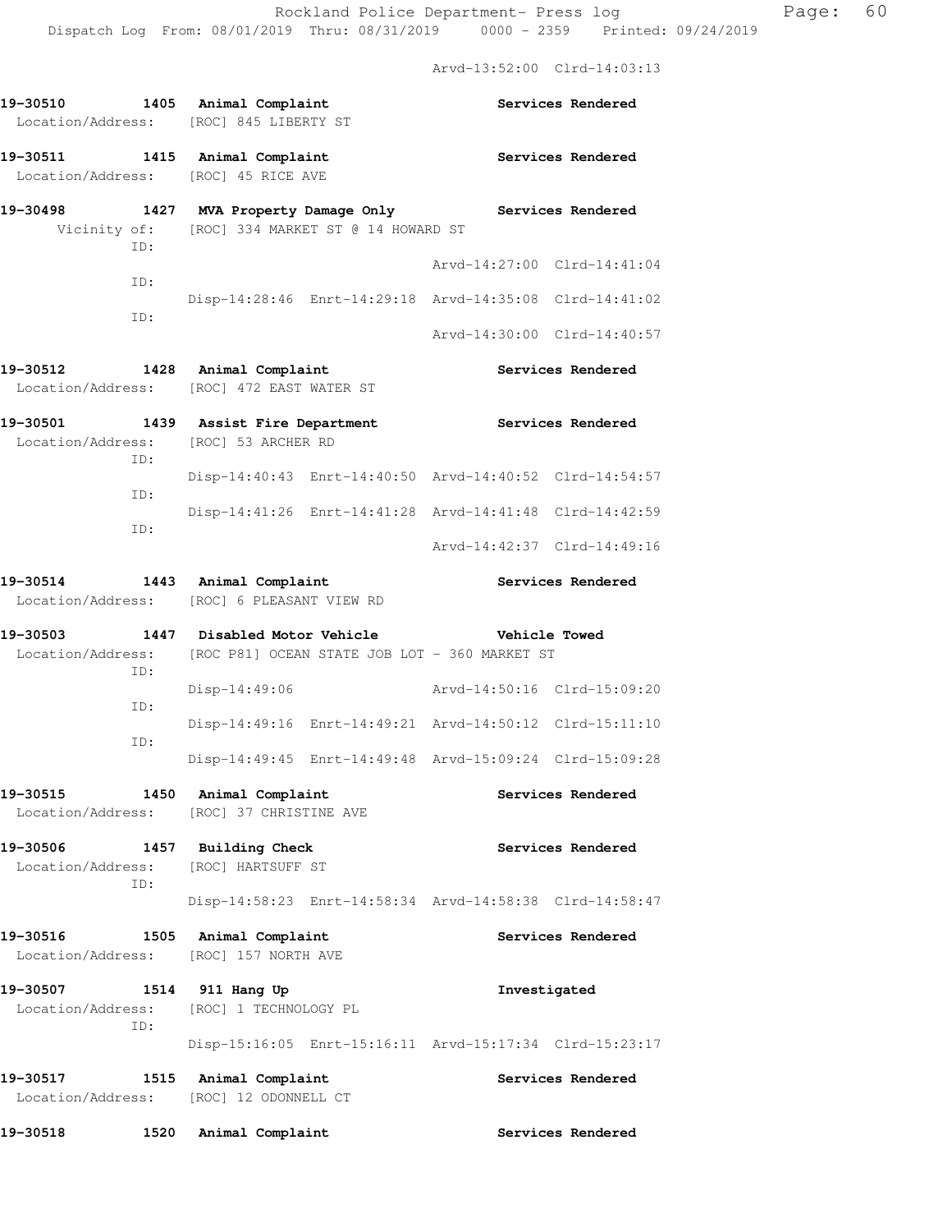Arvd-13:52:00 Clrd-14:03:13

| 19-30510 1405 Animal Complaint                                        |      | Location/Address: [ROC] 845 LIBERTY ST                                                                  |                                                         |                             | Services Rendered                                        |  |
|-----------------------------------------------------------------------|------|---------------------------------------------------------------------------------------------------------|---------------------------------------------------------|-----------------------------|----------------------------------------------------------|--|
| 19-30511 1415 Animal Complaint<br>Location/Address: [ROC] 45 RICE AVE |      |                                                                                                         |                                                         |                             | Services Rendered                                        |  |
|                                                                       | ID:  | Vicinity of: [ROC] 334 MARKET ST @ 14 HOWARD ST                                                         |                                                         |                             | 19-30498 1427 MVA Property Damage Only Services Rendered |  |
|                                                                       | ID:  |                                                                                                         |                                                         |                             | Arvd-14:27:00 Clrd-14:41:04                              |  |
|                                                                       |      |                                                                                                         | Disp-14:28:46 Enrt-14:29:18 Arvd-14:35:08 Clrd-14:41:02 |                             |                                                          |  |
|                                                                       | ID:  |                                                                                                         |                                                         |                             | Arvd-14:30:00 Clrd-14:40:57                              |  |
| 19–30512                                                              |      | 1428 Animal Complaint<br>Location/Address: [ROC] 472 EAST WATER ST                                      |                                                         |                             | Services Rendered                                        |  |
| 19-30501                                                              | ID:  | 1439 Assist Fire Department<br>Location/Address: [ROC] 53 ARCHER RD                                     |                                                         |                             | Services Rendered                                        |  |
|                                                                       | ID:  |                                                                                                         | Disp-14:40:43 Enrt-14:40:50 Arvd-14:40:52 Clrd-14:54:57 |                             |                                                          |  |
| ID:                                                                   |      |                                                                                                         | Disp-14:41:26 Enrt-14:41:28 Arvd-14:41:48 Clrd-14:42:59 |                             |                                                          |  |
|                                                                       |      |                                                                                                         |                                                         | Arvd-14:42:37 Clrd-14:49:16 |                                                          |  |
|                                                                       |      | 19-30514 1443 Animal Complaint<br>Location/Address: [ROC] 6 PLEASANT VIEW RD                            |                                                         |                             | <b>Services Rendered</b>                                 |  |
|                                                                       | ID:  | 19-30503 1447 Disabled Motor Vehicle<br>Location/Address: [ROC P81] OCEAN STATE JOB LOT - 360 MARKET ST |                                                         | <b>Vehicle Towed</b>        |                                                          |  |
|                                                                       |      | $Disp-14:49:06$                                                                                         |                                                         | Arvd-14:50:16 Clrd-15:09:20 |                                                          |  |
|                                                                       | ID:  |                                                                                                         | Disp-14:49:16 Enrt-14:49:21 Arvd-14:50:12 Clrd-15:11:10 |                             |                                                          |  |
|                                                                       | ID:  |                                                                                                         | Disp-14:49:45 Enrt-14:49:48 Arvd-15:09:24 Clrd-15:09:28 |                             |                                                          |  |
|                                                                       |      | 19-30515 1450 Animal Complaint<br>Location/Address: [ROC] 37 CHRISTINE AVE                              |                                                         |                             | Services Rendered                                        |  |
| 19–30506                                                              |      | 1457 Building Check<br>Location/Address: [ROC] HARTSUFF ST                                              |                                                         |                             | Services Rendered                                        |  |
|                                                                       | ID:  |                                                                                                         | Disp-14:58:23 Enrt-14:58:34 Arvd-14:58:38 Clrd-14:58:47 |                             |                                                          |  |
| 19-30516                                                              |      | 1505 Animal Complaint<br>Location/Address: [ROC] 157 NORTH AVE                                          |                                                         |                             | Services Rendered                                        |  |
| 19-30507                                                              | ID:  | 1514 911 Hang Up<br>Location/Address: [ROC] 1 TECHNOLOGY PL                                             |                                                         |                             | Investigated                                             |  |
|                                                                       |      |                                                                                                         | Disp-15:16:05 Enrt-15:16:11 Arvd-15:17:34 Clrd-15:23:17 |                             |                                                          |  |
|                                                                       |      | 19-30517 1515 Animal Complaint                                                                          |                                                         |                             | Services Rendered                                        |  |
|                                                                       |      | Location/Address: [ROC] 12 ODONNELL CT                                                                  |                                                         |                             |                                                          |  |
| 19-30518                                                              | 1520 | Animal Complaint                                                                                        |                                                         |                             | Services Rendered                                        |  |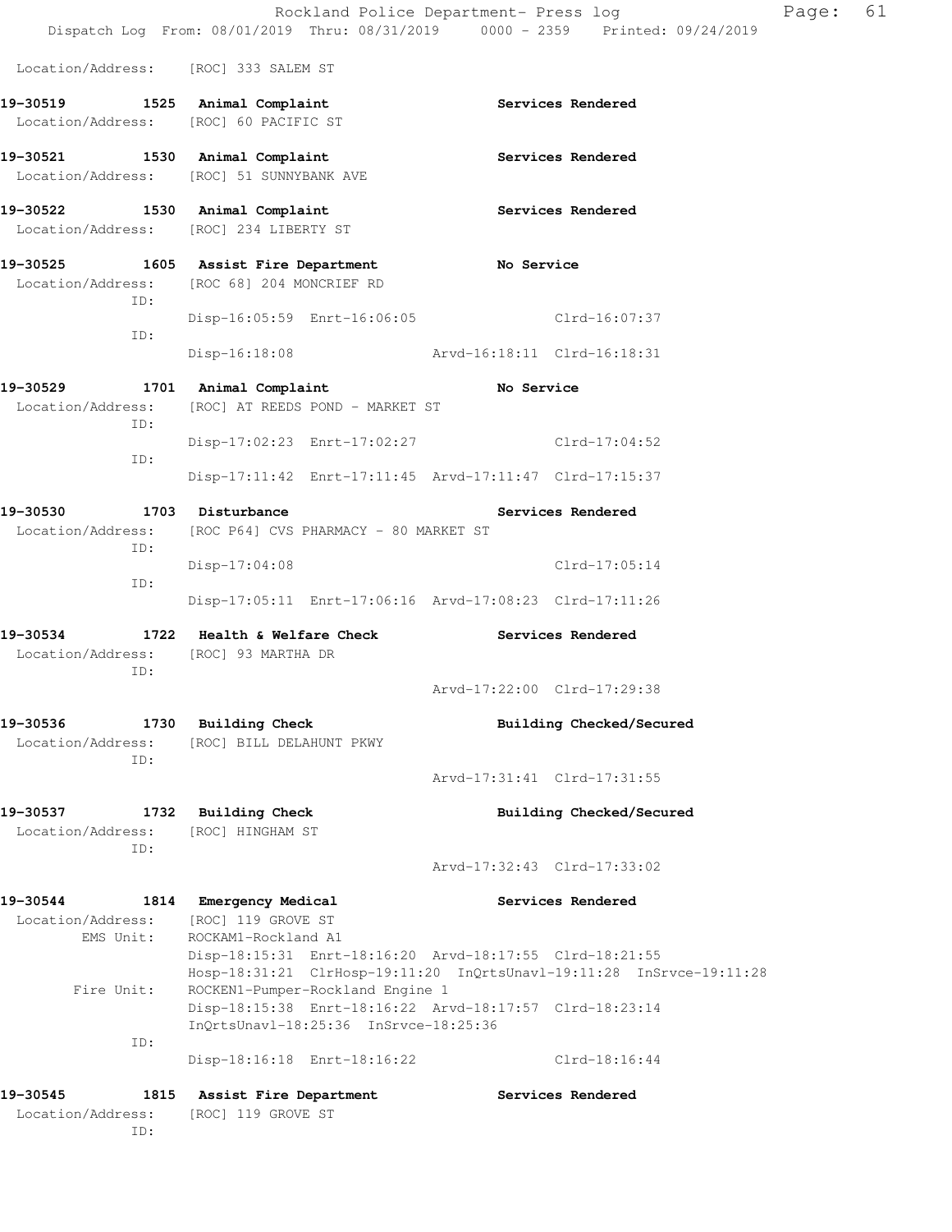|                                                                                                       |                                                                                                  |  |                             | Rockland Police Department- Press log<br>Dispatch Log From: 08/01/2019 Thru: 08/31/2019 0000 - 2359 Printed: 09/24/2019 | Page: | 61 |
|-------------------------------------------------------------------------------------------------------|--------------------------------------------------------------------------------------------------|--|-----------------------------|-------------------------------------------------------------------------------------------------------------------------|-------|----|
| Location/Address: [ROC] 333 SALEM ST                                                                  |                                                                                                  |  |                             |                                                                                                                         |       |    |
| 19-30519 1525 Animal Complaint<br>Location/Address: [ROC] 60 PACIFIC ST                               |                                                                                                  |  |                             | Services Rendered                                                                                                       |       |    |
| 19-30521 1530 Animal Complaint<br>Location/Address: [ROC] 51 SUNNYBANK AVE                            |                                                                                                  |  |                             | Services Rendered                                                                                                       |       |    |
| 19-30522<br>Location/Address: [ROC] 234 LIBERTY ST                                                    | 1530 Animal Complaint                                                                            |  |                             | Services Rendered                                                                                                       |       |    |
| 19-30525 1605 Assist Fire Department<br>Location/Address: [ROC 68] 204 MONCRIEF RD<br>ID:             |                                                                                                  |  | <b>No Service</b>           |                                                                                                                         |       |    |
| ID:                                                                                                   | Disp-16:05:59 Enrt-16:06:05 Clrd-16:07:37                                                        |  |                             |                                                                                                                         |       |    |
|                                                                                                       | Disp-16:18:08                                                                                    |  | Arvd-16:18:11 Clrd-16:18:31 |                                                                                                                         |       |    |
| 19–30529<br>Location/Address:<br>ID:                                                                  | 1701 Animal Complaint<br>[ROC] AT REEDS POND - MARKET ST                                         |  | No Service                  |                                                                                                                         |       |    |
|                                                                                                       | Disp-17:02:23 Enrt-17:02:27 Clrd-17:04:52                                                        |  |                             |                                                                                                                         |       |    |
| ID:                                                                                                   | Disp-17:11:42 Enrt-17:11:45 Arvd-17:11:47 Clrd-17:15:37                                          |  |                             |                                                                                                                         |       |    |
| 19–30530<br>Location/Address:<br>ID:                                                                  | 1703 Disturbance<br>Services Rendered<br>[ROC P64] CVS PHARMACY - 80 MARKET ST                   |  |                             |                                                                                                                         |       |    |
| ID:                                                                                                   | $Disp-17:04:08$                                                                                  |  |                             | Clrd-17:05:14                                                                                                           |       |    |
|                                                                                                       | Disp-17:05:11 Enrt-17:06:16 Arvd-17:08:23 Clrd-17:11:26                                          |  |                             |                                                                                                                         |       |    |
| 19-30534 1722 Health & Welfare Check Services Rendered<br>Location/Address: [ROC] 93 MARTHA DR<br>ID: |                                                                                                  |  |                             |                                                                                                                         |       |    |
|                                                                                                       |                                                                                                  |  | Arvd-17:22:00 Clrd-17:29:38 |                                                                                                                         |       |    |
| 19–30536<br>Location/Address:<br>ID:                                                                  | 1730 Building Check<br>[ROC] BILL DELAHUNT PKWY                                                  |  |                             | Building Checked/Secured                                                                                                |       |    |
|                                                                                                       |                                                                                                  |  |                             | Arvd-17:31:41 Clrd-17:31:55                                                                                             |       |    |
| 19–30537<br>Location/Address:<br>ID:                                                                  | 1732 Building Check<br>[ROC] HINGHAM ST                                                          |  |                             | Building Checked/Secured                                                                                                |       |    |
|                                                                                                       |                                                                                                  |  |                             | Arvd-17:32:43 Clrd-17:33:02                                                                                             |       |    |
| 19–30544<br>Location/Address:<br>EMS Unit:                                                            | 1814 Emergency Medical<br>[ROC] 119 GROVE ST<br>ROCKAM1-Rockland A1                              |  |                             | Services Rendered                                                                                                       |       |    |
| Fire Unit:                                                                                            | Disp-18:15:31 Enrt-18:16:20 Arvd-18:17:55 Clrd-18:21:55<br>ROCKEN1-Pumper-Rockland Engine 1      |  |                             | Hosp-18:31:21 ClrHosp-19:11:20 InQrtsUnavl-19:11:28 InSrvce-19:11:28                                                    |       |    |
|                                                                                                       | Disp-18:15:38 Enrt-18:16:22 Arvd-18:17:57 Clrd-18:23:14<br>InQrtsUnavl-18:25:36 InSrvce-18:25:36 |  |                             |                                                                                                                         |       |    |
| ID:                                                                                                   | Disp-18:16:18 Enrt-18:16:22                                                                      |  |                             | Clrd-18:16:44                                                                                                           |       |    |
| 19-30545<br>1815<br>Location/Address:                                                                 | <b>Assist Fire Department</b><br>[ROC] 119 GROVE ST                                              |  |                             | Services Rendered                                                                                                       |       |    |
| ID:                                                                                                   |                                                                                                  |  |                             |                                                                                                                         |       |    |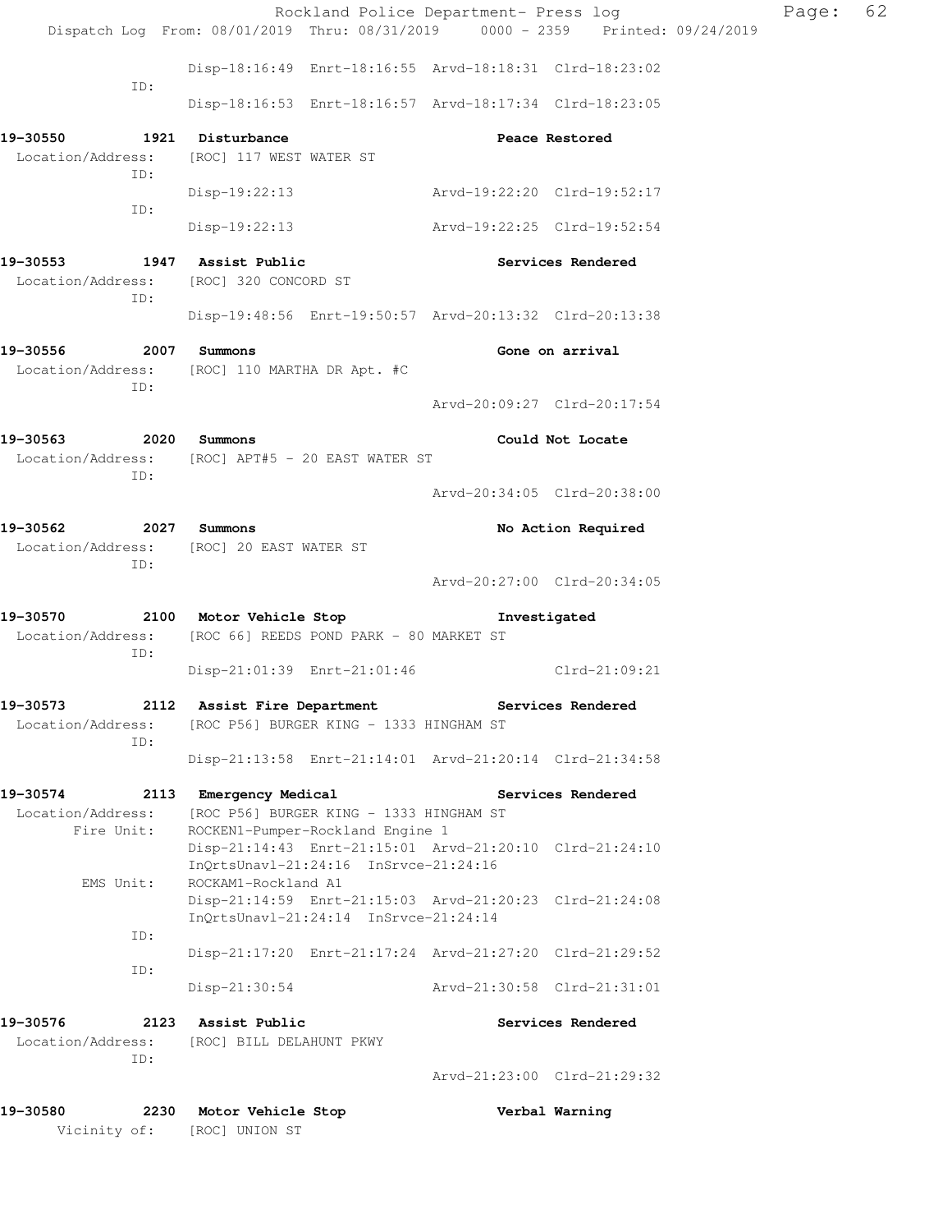|                                              | Rockland Police Department- Press log<br>Dispatch Log From: 08/01/2019 Thru: 08/31/2019   0000 - 2359   Printed: 09/24/2019          |                             |                             | Page: | 62 |
|----------------------------------------------|--------------------------------------------------------------------------------------------------------------------------------------|-----------------------------|-----------------------------|-------|----|
|                                              |                                                                                                                                      |                             |                             |       |    |
| ID:                                          | Disp-18:16:49 Enrt-18:16:55 Arvd-18:18:31 Clrd-18:23:02                                                                              |                             |                             |       |    |
|                                              | Disp-18:16:53 Enrt-18:16:57 Arvd-18:17:34 Clrd-18:23:05                                                                              |                             |                             |       |    |
| 19-30550 1921 Disturbance<br>ID:             | Location/Address: [ROC] 117 WEST WATER ST                                                                                            |                             | Peace Restored              |       |    |
| ID:                                          | Disp-19:22:13                                                                                                                        | Arvd-19:22:20 Clrd-19:52:17 |                             |       |    |
|                                              | Disp-19:22:13 Arvd-19:22:25 Clrd-19:52:54                                                                                            |                             |                             |       |    |
| 19-30553 1947 Assist Public<br>ID:           | Location/Address: [ROC] 320 CONCORD ST                                                                                               |                             | Services Rendered           |       |    |
|                                              | Disp-19:48:56 Enrt-19:50:57 Arvd-20:13:32 Clrd-20:13:38                                                                              |                             |                             |       |    |
| 19-30556 2007<br>Location/Address:<br>ID:    | Summons<br>[ROC] 110 MARTHA DR Apt. #C                                                                                               |                             | Gone on arrival             |       |    |
|                                              |                                                                                                                                      |                             | Arvd-20:09:27 Clrd-20:17:54 |       |    |
| 19-30563 2020 Summons                        | Location/Address: [ROC] APT#5 - 20 EAST WATER ST                                                                                     |                             | Could Not Locate            |       |    |
| ID:                                          |                                                                                                                                      | Arvd-20:34:05 Clrd-20:38:00 |                             |       |    |
| 19-30562 2027                                | Summons                                                                                                                              |                             | No Action Required          |       |    |
| ID:                                          | Location/Address: [ROC] 20 EAST WATER ST                                                                                             | Arvd-20:27:00 Clrd-20:34:05 |                             |       |    |
|                                              | 19-30570 2100 Motor Vehicle Stop North Municipaled<br>Location/Address: [ROC 66] REEDS POND PARK - 80 MARKET ST                      |                             |                             |       |    |
| ID:                                          | Disp-21:01:39 Enrt-21:01:46                                                                                                          |                             | Clrd-21:09:21               |       |    |
| 19-30573<br>2112<br>Location/Address:<br>ID: | Assist Fire Department<br>[ROC P56] BURGER KING - 1333 HINGHAM ST                                                                    |                             | Services Rendered           |       |    |
|                                              | Disp-21:13:58 Enrt-21:14:01 Arvd-21:20:14 Clrd-21:34:58                                                                              |                             |                             |       |    |
| 19-30574<br>Location/Address:                | 2113 Emergency Medical<br>[ROC P56] BURGER KING - 1333 HINGHAM ST                                                                    |                             | Services Rendered           |       |    |
| Fire Unit:                                   | ROCKEN1-Pumper-Rockland Engine 1<br>Disp-21:14:43 Enrt-21:15:01 Arvd-21:20:10 Clrd-21:24:10<br>InOrtsUnav1-21:24:16 InSrvce-21:24:16 |                             |                             |       |    |
| EMS Unit:                                    | ROCKAM1-Rockland A1<br>Disp-21:14:59 Enrt-21:15:03 Arvd-21:20:23 Clrd-21:24:08<br>InQrtsUnavl-21:24:14 InSrvce-21:24:14              |                             |                             |       |    |
| ID:                                          | Disp-21:17:20 Enrt-21:17:24 Arvd-21:27:20 Clrd-21:29:52                                                                              |                             |                             |       |    |
| ID:                                          | Disp-21:30:54                                                                                                                        | Arvd-21:30:58 Clrd-21:31:01 |                             |       |    |
| 19-30576<br>Location/Address:<br>ID:         | 2123 Assist Public<br>[ROC] BILL DELAHUNT PKWY                                                                                       |                             | Services Rendered           |       |    |
|                                              |                                                                                                                                      |                             | Arvd-21:23:00 Clrd-21:29:32 |       |    |
| 19-30580<br>Vicinity of:                     | 2230 Motor Vehicle Stop<br>[ROC] UNION ST                                                                                            |                             | Verbal Warning              |       |    |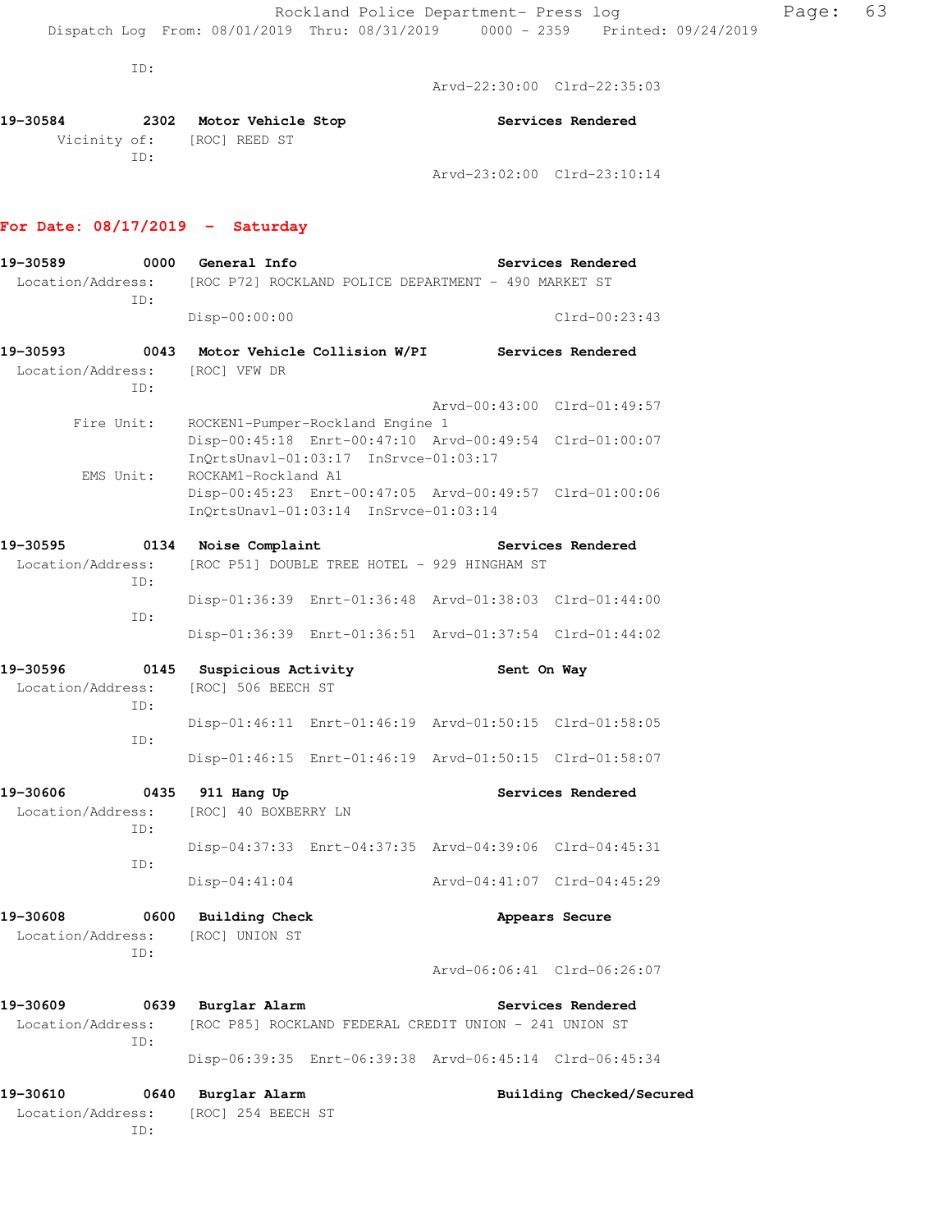ID:

Arvd-22:30:00 Clrd-22:35:03

| 19-30584 | 2302 | Motor Vehicle Stop         | Services Rendered |
|----------|------|----------------------------|-------------------|
|          |      | Vicinity of: [ROC] REED ST |                   |
|          | TD:  |                            |                   |

Arvd-23:02:00 Clrd-23:10:14

## **For Date: 08/17/2019 - Saturday**

| 19-30589                                                                      | 0000        | General Info                                   |                                                        | Services Rendered                                                                      |
|-------------------------------------------------------------------------------|-------------|------------------------------------------------|--------------------------------------------------------|----------------------------------------------------------------------------------------|
| Location/Address: [ROC P72] ROCKLAND POLICE DEPARTMENT - 490 MARKET ST<br>ID: |             |                                                |                                                        |                                                                                        |
|                                                                               |             | Disp-00:00:00                                  |                                                        | $Clrd-00:23:43$                                                                        |
| 19-30593                                                                      | 0043        |                                                |                                                        | Motor Vehicle Collision W/PI Services Rendered                                         |
| Location/Address:                                                             | ID:         | [ROC] VFW DR                                   |                                                        |                                                                                        |
|                                                                               | Fire Unit:  | ROCKEN1-Pumper-Rockland Engine 1               |                                                        | Arvd-00:43:00 Clrd-01:49:57<br>Disp-00:45:18 Enrt-00:47:10 Arvd-00:49:54 Clrd-01:00:07 |
|                                                                               | EMS Unit:   | ROCKAM1-Rockland A1                            | InQrtsUnavl-01:03:17 InSrvce-01:03:17                  |                                                                                        |
|                                                                               |             |                                                | InQrtsUnavl-01:03:14 InSrvce-01:03:14                  | Disp-00:45:23 Enrt-00:47:05 Arvd-00:49:57 Clrd-01:00:06                                |
| 19-30595                                                                      |             | 0134 Noise Complaint                           |                                                        | Services Rendered                                                                      |
| Location/Address:                                                             | ID:         |                                                | [ROC P51] DOUBLE TREE HOTEL - 929 HINGHAM ST           |                                                                                        |
|                                                                               | ID:         |                                                |                                                        | Disp-01:36:39 Enrt-01:36:48 Arvd-01:38:03 Clrd-01:44:00                                |
|                                                                               |             |                                                |                                                        | Disp-01:36:39 Enrt-01:36:51 Arvd-01:37:54 Clrd-01:44:02                                |
| 19-30596<br>Location/Address:                                                 | ID:         | 0145 Suspicious Activity<br>[ROC] 506 BEECH ST |                                                        | Sent On Way                                                                            |
|                                                                               | ID:         |                                                |                                                        | Disp-01:46:11 Enrt-01:46:19 Arvd-01:50:15 Clrd-01:58:05                                |
|                                                                               |             |                                                |                                                        | Disp-01:46:15 Enrt-01:46:19 Arvd-01:50:15 Clrd-01:58:07                                |
| 19-30606<br>Location/Address:                                                 | ID:         | 0435 911 Hang Up<br>[ROC] 40 BOXBERRY LN       |                                                        | Services Rendered                                                                      |
|                                                                               | ID:         |                                                |                                                        | Disp-04:37:33 Enrt-04:37:35 Arvd-04:39:06 Clrd-04:45:31                                |
|                                                                               |             | Disp-04:41:04                                  |                                                        | Arvd-04:41:07 Clrd-04:45:29                                                            |
| 19-30608<br>Location/Address:                                                 | 0600<br>ID: | <b>Building Check</b><br>[ROC] UNION ST        |                                                        | Appears Secure                                                                         |
|                                                                               |             |                                                |                                                        | Arvd-06:06:41 Clrd-06:26:07                                                            |
| 19-30609<br>Location/Address:                                                 | ID:         | 0639 Burglar Alarm                             | [ROC P85] ROCKLAND FEDERAL CREDIT UNION - 241 UNION ST | Services Rendered                                                                      |
|                                                                               |             |                                                |                                                        | Disp-06:39:35 Enrt-06:39:38 Arvd-06:45:14 Clrd-06:45:34                                |
| 19-30610<br>Location/Address:                                                 | ID:         | 0640 Burglar Alarm<br>[ROC] 254 BEECH ST       |                                                        | Building Checked/Secured                                                               |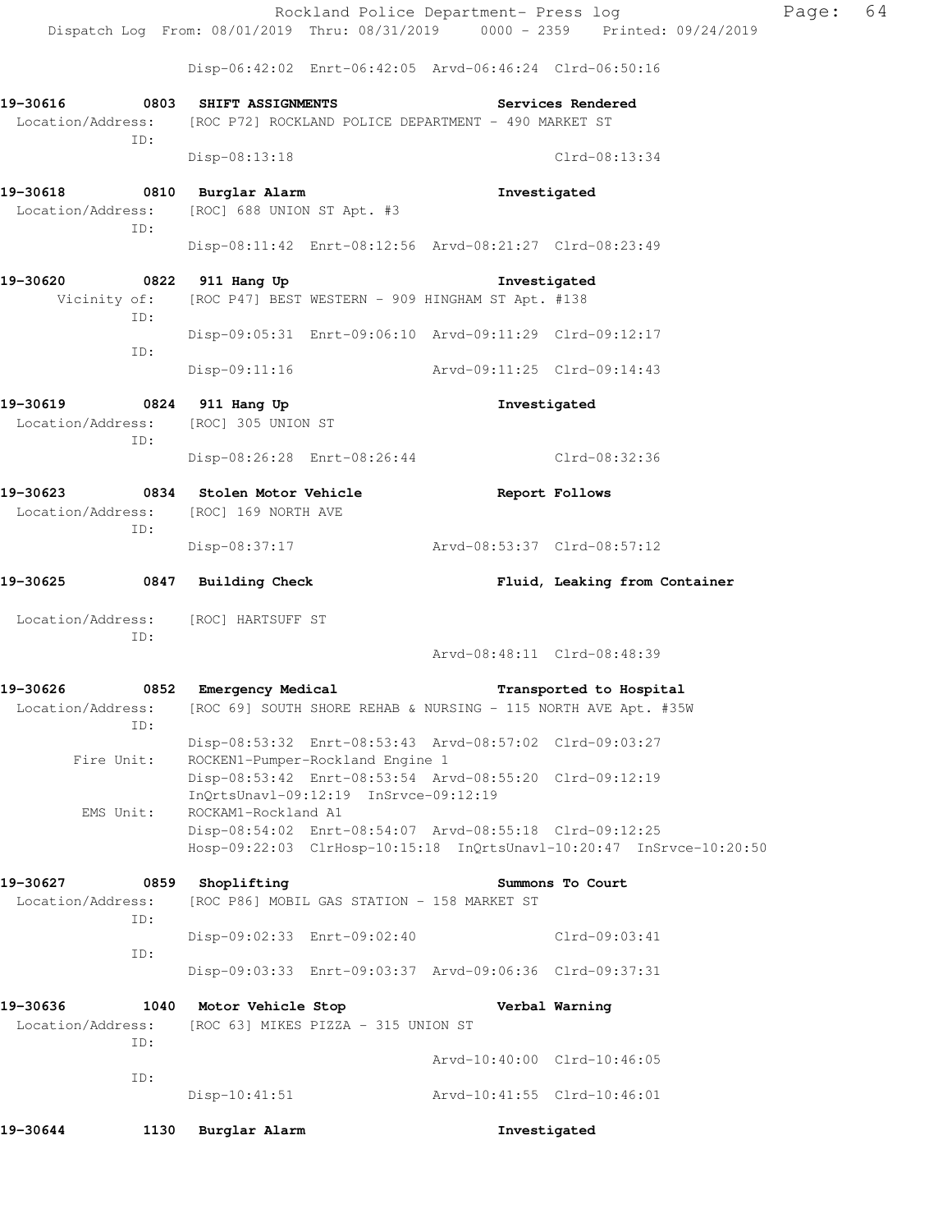Rockland Police Department- Press log Fage: 64 Dispatch Log From: 08/01/2019 Thru: 08/31/2019 0000 - 2359 Printed: 09/24/2019 Disp-06:42:02 Enrt-06:42:05 Arvd-06:46:24 Clrd-06:50:16 **19-30616 0803 SHIFT ASSIGNMENTS Services Rendered**  Location/Address: [ROC P72] ROCKLAND POLICE DEPARTMENT - 490 MARKET ST ID: Disp-08:13:18 Clrd-08:13:34 **19-30618 0810 Burglar Alarm Investigated**  Location/Address: [ROC] 688 UNION ST Apt. #3 ID: Disp-08:11:42 Enrt-08:12:56 Arvd-08:21:27 Clrd-08:23:49 **19-30620 0822 911 Hang Up Investigated**  Vicinity of: [ROC P47] BEST WESTERN - 909 HINGHAM ST Apt. #138 ID: Disp-09:05:31 Enrt-09:06:10 Arvd-09:11:29 Clrd-09:12:17 ID: Disp-09:11:16 Arvd-09:11:25 Clrd-09:14:43 **19-30619 0824 911 Hang Up Investigated**  Location/Address: [ROC] 305 UNION ST ID: Disp-08:26:28 Enrt-08:26:44 Clrd-08:32:36 **19-30623 0834 Stolen Motor Vehicle Report Follows**  Location/Address: [ROC] 169 NORTH AVE ID: Disp-08:37:17 Arvd-08:53:37 Clrd-08:57:12 **19-30625 0847 Building Check Fluid, Leaking from Container**  Location/Address: [ROC] HARTSUFF ST ID: Arvd-08:48:11 Clrd-08:48:39 **19-30626 0852 Emergency Medical Transported to Hospital**  Location/Address: [ROC 69] SOUTH SHORE REHAB & NURSING - 115 NORTH AVE Apt. #35W ID: Disp-08:53:32 Enrt-08:53:43 Arvd-08:57:02 Clrd-09:03:27 Fire Unit: ROCKEN1-Pumper-Rockland Engine 1 Disp-08:53:42 Enrt-08:53:54 Arvd-08:55:20 Clrd-09:12:19 InQrtsUnavl-09:12:19 InSrvce-09:12:19 EMS Unit: ROCKAM1-Rockland A1 Disp-08:54:02 Enrt-08:54:07 Arvd-08:55:18 Clrd-09:12:25 Hosp-09:22:03 ClrHosp-10:15:18 InQrtsUnavl-10:20:47 InSrvce-10:20:50 **19-30627 0859 Shoplifting Summons To Court**  Location/Address: [ROC P86] MOBIL GAS STATION - 158 MARKET ST ID: Disp-09:02:33 Enrt-09:02:40 Clrd-09:03:41 ID: Disp-09:03:33 Enrt-09:03:37 Arvd-09:06:36 Clrd-09:37:31 **19-30636 1040 Motor Vehicle Stop Verbal Warning**  Location/Address: [ROC 63] MIKES PIZZA - 315 UNION ST ID: Arvd-10:40:00 Clrd-10:46:05 ID: Disp-10:41:51 Arvd-10:41:55 Clrd-10:46:01

**19-30644 1130 Burglar Alarm Investigated**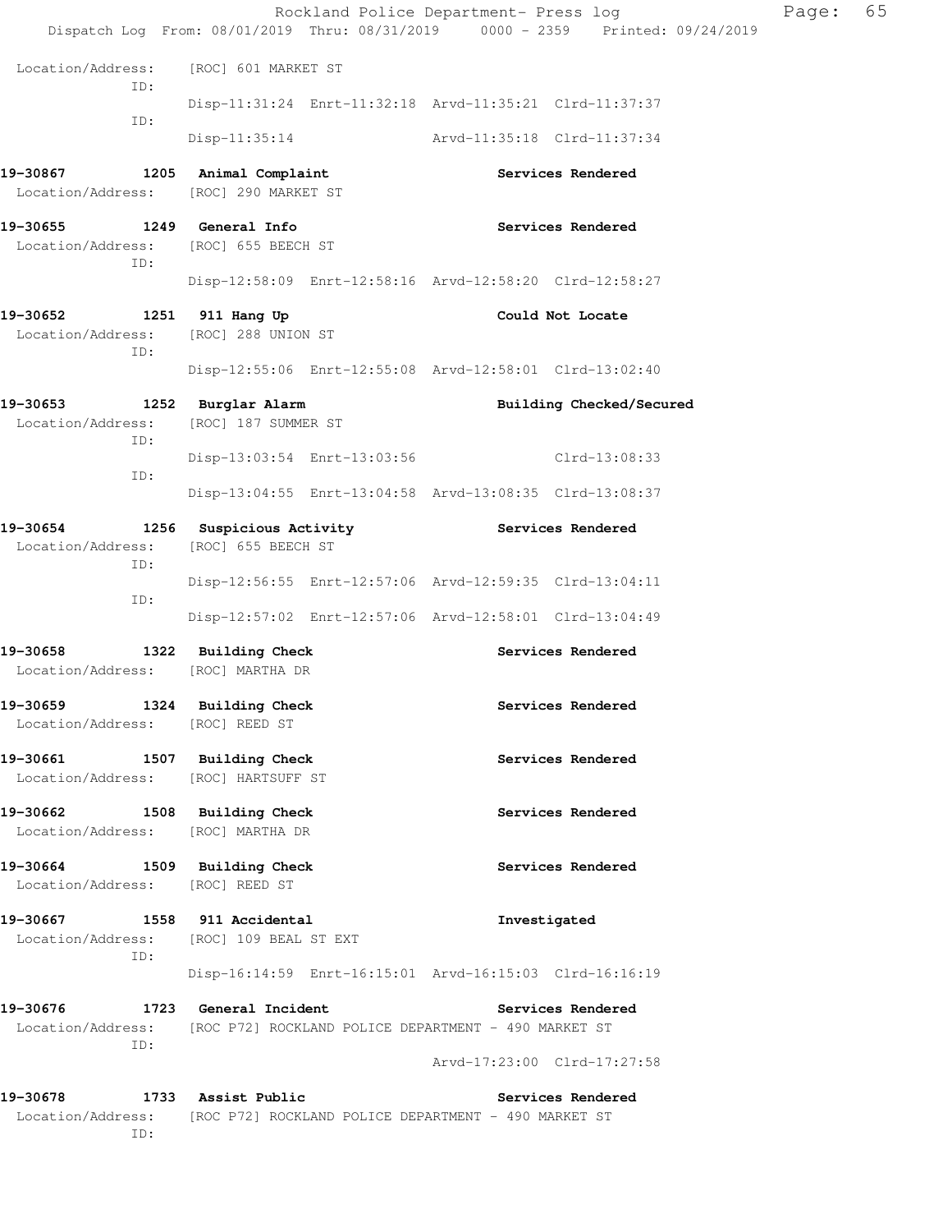|                                                                           |                                                                               |  | Rockland Police Department- Press log                                          | Page: | 65 |
|---------------------------------------------------------------------------|-------------------------------------------------------------------------------|--|--------------------------------------------------------------------------------|-------|----|
|                                                                           |                                                                               |  | Dispatch Log From: 08/01/2019 Thru: 08/31/2019 0000 - 2359 Printed: 09/24/2019 |       |    |
| Location/Address: [ROC] 601 MARKET ST<br>ID:                              |                                                                               |  |                                                                                |       |    |
| ID:                                                                       | Disp-11:31:24 Enrt-11:32:18 Arvd-11:35:21 Clrd-11:37:37                       |  |                                                                                |       |    |
|                                                                           | Disp-11:35:14 Arvd-11:35:18 Clrd-11:37:34                                     |  |                                                                                |       |    |
| 19-30867 1205 Animal Complaint<br>Location/Address: [ROC] 290 MARKET ST   |                                                                               |  | Services Rendered                                                              |       |    |
| 19-30655 1249 General Info<br>Location/Address: [ROC] 655 BEECH ST<br>ID: |                                                                               |  | Services Rendered                                                              |       |    |
|                                                                           | Disp-12:58:09 Enrt-12:58:16 Arvd-12:58:20 Clrd-12:58:27                       |  |                                                                                |       |    |
| 19-30652 1251 911 Hang Up<br>Location/Address: [ROC] 288 UNION ST<br>ID:  |                                                                               |  | Could Not Locate                                                               |       |    |
|                                                                           | Disp-12:55:06 Enrt-12:55:08 Arvd-12:58:01 Clrd-13:02:40                       |  |                                                                                |       |    |
| 19-30653<br>Location/Address:<br>ID:                                      | 1252 Burglar Alarm<br>[ROC] 187 SUMMER ST                                     |  | Building Checked/Secured                                                       |       |    |
| ID:                                                                       | Disp-13:03:54 Enrt-13:03:56 Clrd-13:08:33                                     |  |                                                                                |       |    |
|                                                                           | Disp-13:04:55 Enrt-13:04:58 Arvd-13:08:35 Clrd-13:08:37                       |  |                                                                                |       |    |
| 19-30654<br>Location/Address:<br>ID:                                      | 1256 Suspicious Activity The Services Rendered<br>[ROC] 655 BEECH ST          |  |                                                                                |       |    |
| ID:                                                                       | Disp-12:56:55 Enrt-12:57:06 Arvd-12:59:35 Clrd-13:04:11                       |  |                                                                                |       |    |
|                                                                           | Disp-12:57:02 Enrt-12:57:06 Arvd-12:58:01 Clrd-13:04:49                       |  |                                                                                |       |    |
| 19-30658 1322 Building Check<br>Location/Address: [ROC] MARTHA DR         |                                                                               |  | Services Rendered                                                              |       |    |
| 19-30659<br>Location/Address: [ROC] REED ST                               | 1324 Building Check                                                           |  | Services Rendered                                                              |       |    |
| 19-30661 1507 Building Check<br>Location/Address:                         | [ROC] HARTSUFF ST                                                             |  | Services Rendered                                                              |       |    |
| 19-30662<br>Location/Address: [ROC] MARTHA DR                             | 1508 Building Check                                                           |  | Services Rendered                                                              |       |    |
| 19-30664 1509 Building Check<br>Location/Address: [ROC] REED ST           |                                                                               |  | Services Rendered                                                              |       |    |
| 19-30667<br>Location/Address:<br>ID:                                      | 1558 911 Accidental<br>[ROC] 109 BEAL ST EXT                                  |  | Investigated                                                                   |       |    |
|                                                                           | Disp-16:14:59 Enrt-16:15:01 Arvd-16:15:03 Clrd-16:16:19                       |  |                                                                                |       |    |
| 19-30676<br>Location/Address:                                             | 1723 General Incident<br>[ROC P72] ROCKLAND POLICE DEPARTMENT - 490 MARKET ST |  | Services Rendered                                                              |       |    |
| ID:                                                                       |                                                                               |  | Arvd-17:23:00 Clrd-17:27:58                                                    |       |    |
| 19-30678<br>Location/Address:<br>ID:                                      | 1733 Assist Public<br>[ROC P72] ROCKLAND POLICE DEPARTMENT - 490 MARKET ST    |  | Services Rendered                                                              |       |    |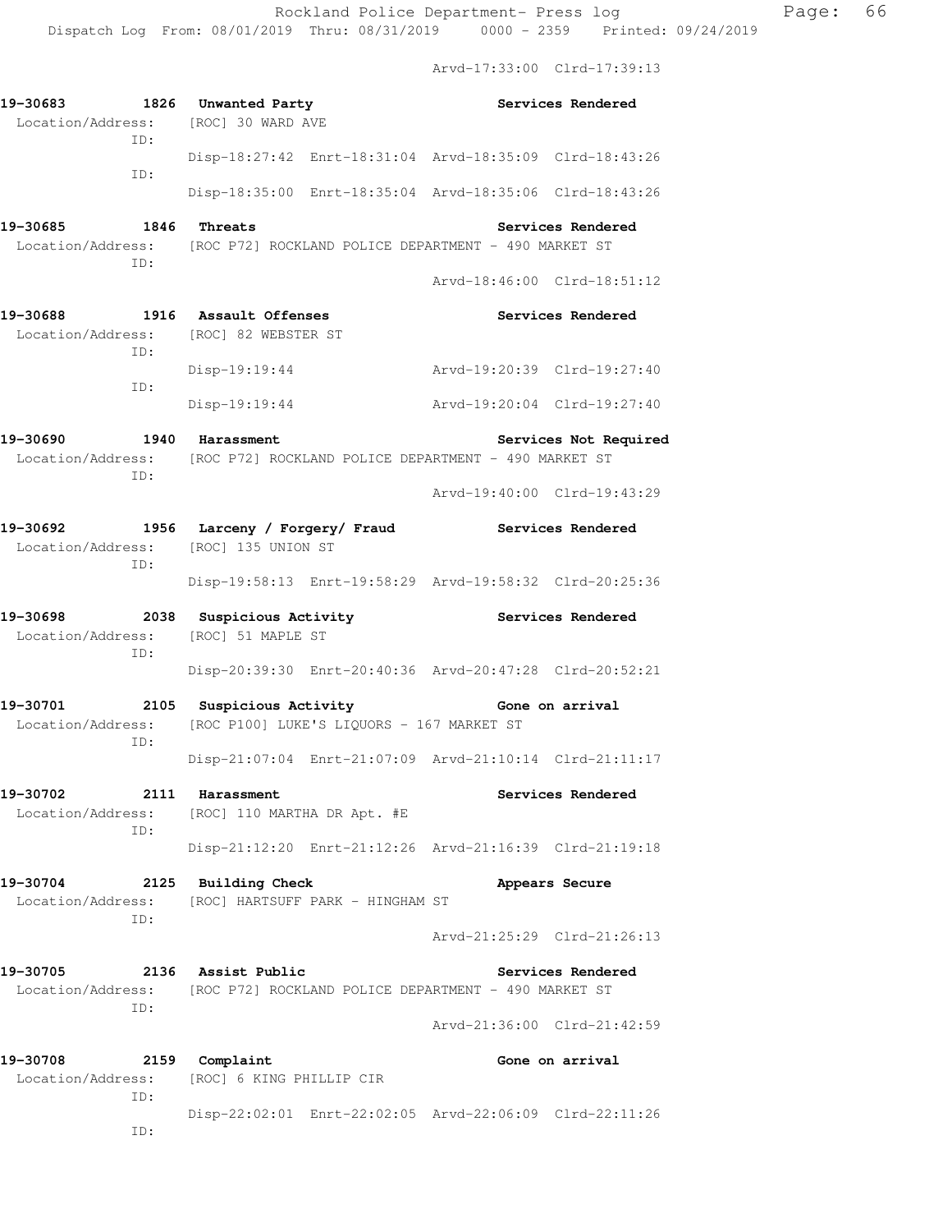Arvd-17:33:00 Clrd-17:39:13

| 19-30683 1826 Unwanted Party<br>Location/Address: [ROC] 30 WARD AVE<br>ID: |                                                                                              | Services Rendered                                       |
|----------------------------------------------------------------------------|----------------------------------------------------------------------------------------------|---------------------------------------------------------|
| ID:                                                                        | Disp-18:27:42 Enrt-18:31:04 Arvd-18:35:09 Clrd-18:43:26                                      |                                                         |
|                                                                            | Disp-18:35:00 Enrt-18:35:04 Arvd-18:35:06 Clrd-18:43:26                                      |                                                         |
| 1846 Threats<br>19-30685<br>ID:                                            | Location/Address: [ROC P72] ROCKLAND POLICE DEPARTMENT - 490 MARKET ST                       | Services Rendered                                       |
|                                                                            |                                                                                              | Arvd-18:46:00 Clrd-18:51:12                             |
| 19-30688 1916 Assault Offenses<br>ID:                                      | Location/Address: [ROC] 82 WEBSTER ST                                                        | Services Rendered                                       |
| ID:                                                                        | $Disp-19:19:44$                                                                              | Arvd-19:20:39 Clrd-19:27:40                             |
|                                                                            | $Disp-19:19:44$                                                                              | Arvd-19:20:04 Clrd-19:27:40                             |
| 19-30690                                                                   | 1940 Harassment<br>Location/Address: [ROC P72] ROCKLAND POLICE DEPARTMENT - 490 MARKET ST    | Services Not Required                                   |
| ID:                                                                        |                                                                                              | Arvd-19:40:00 Clrd-19:43:29                             |
| Location/Address: [ROC] 135 UNION ST                                       | 19-30692 1956 Larceny / Forgery/ Fraud                                                       | Services Rendered                                       |
| ID:                                                                        | Disp-19:58:13 Enrt-19:58:29 Arvd-19:58:32 Clrd-20:25:36                                      |                                                         |
| 19-30698<br>Location/Address: [ROC] 51 MAPLE ST<br>ID:                     | 2038 Suspicious Activity                                                                     | <b>Services Rendered</b>                                |
|                                                                            |                                                                                              | Disp-20:39:30 Enrt-20:40:36 Arvd-20:47:28 Clrd-20:52:21 |
| 19-30701<br>ID:                                                            | 2105 Suspicious Activity<br>Location/Address: [ROC P100] LUKE'S LIQUORS - 167 MARKET ST      | Gone on arrival                                         |
|                                                                            |                                                                                              | Disp-21:07:04 Enrt-21:07:09 Arvd-21:10:14 Clrd-21:11:17 |
| 19-30702<br>ID:                                                            | 2111 Harassment<br>Location/Address: [ROC] 110 MARTHA DR Apt. #E                             | Services Rendered                                       |
|                                                                            |                                                                                              | Disp-21:12:20 Enrt-21:12:26 Arvd-21:16:39 Clrd-21:19:18 |
| 19-30704<br>ID:                                                            | 2125 Building Check<br>Location/Address: [ROC] HARTSUFF PARK - HINGHAM ST                    | Appears Secure                                          |
|                                                                            |                                                                                              | Arvd-21:25:29 Clrd-21:26:13                             |
| 19-30705                                                                   | 2136 Assist Public<br>Location/Address: [ROC P72] ROCKLAND POLICE DEPARTMENT - 490 MARKET ST | Services Rendered                                       |
| ID:                                                                        |                                                                                              | Arvd-21:36:00 Clrd-21:42:59                             |
| 19-30708                                                                   | 2159 Complaint<br>Location/Address: [ROC] 6 KING PHILLIP CIR                                 | Gone on arrival                                         |
| ID:<br>ID:                                                                 |                                                                                              | Disp-22:02:01 Enrt-22:02:05 Arvd-22:06:09 Clrd-22:11:26 |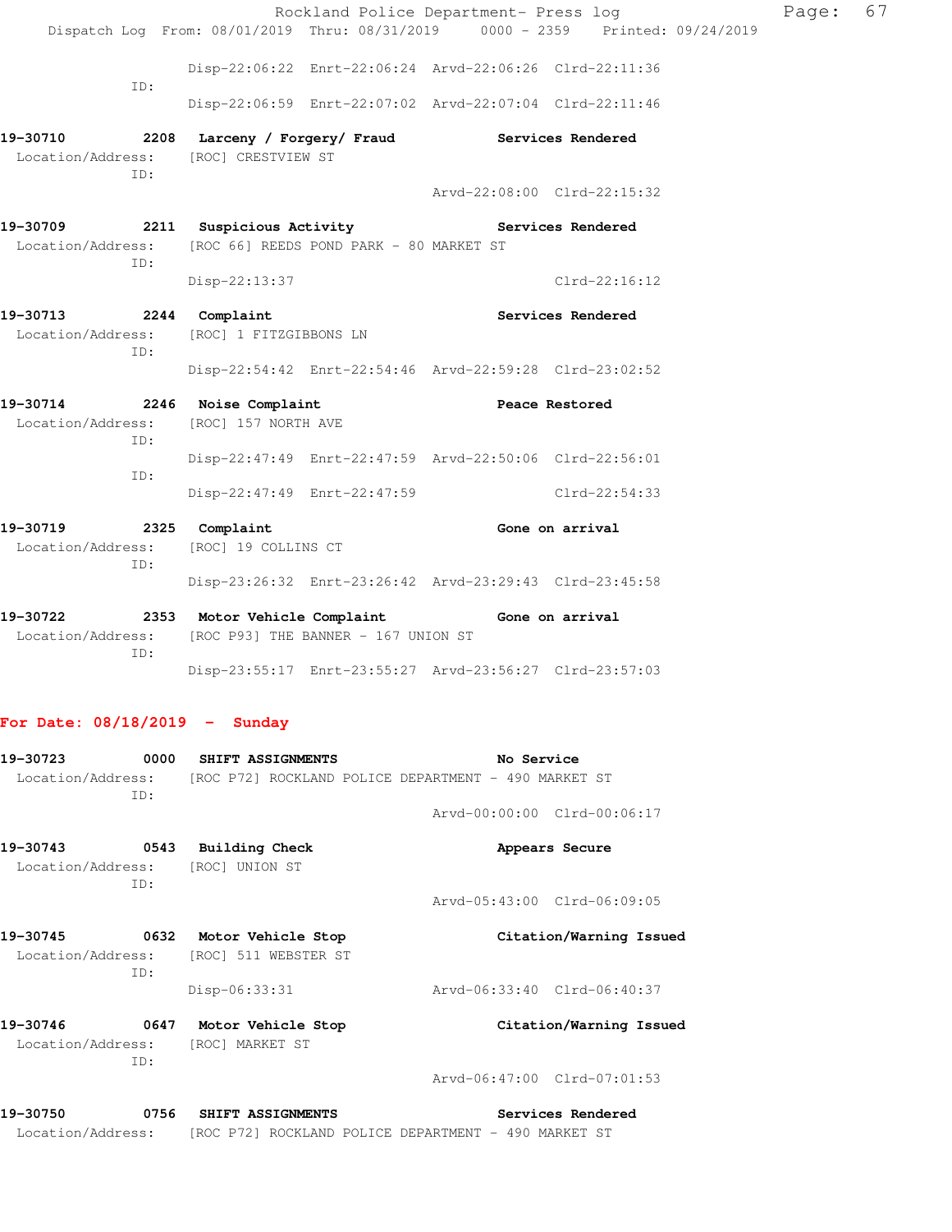|                                                                                                                                  |               | Rockland Police Department- Press log                   |                             |                   |  |
|----------------------------------------------------------------------------------------------------------------------------------|---------------|---------------------------------------------------------|-----------------------------|-------------------|--|
| Dispatch Log From: 08/01/2019 Thru: 08/31/2019 0000 - 2359 Printed: 09/24/2019                                                   |               |                                                         |                             |                   |  |
| ID:                                                                                                                              |               | Disp-22:06:22 Enrt-22:06:24 Arvd-22:06:26 Clrd-22:11:36 |                             |                   |  |
|                                                                                                                                  |               | Disp-22:06:59 Enrt-22:07:02 Arvd-22:07:04 Clrd-22:11:46 |                             |                   |  |
| 19-30710 2208 Larceny / Forgery/ Fraud Services Rendered                                                                         |               |                                                         |                             |                   |  |
| Location/Address: [ROC] CRESTVIEW ST<br>ID:                                                                                      |               |                                                         |                             |                   |  |
|                                                                                                                                  |               |                                                         | Arvd-22:08:00 Clrd-22:15:32 |                   |  |
| 19-30709 2211 Suspicious Activity Contract Services Rendered<br>Location/Address: [ROC 66] REEDS POND PARK - 80 MARKET ST<br>ID: |               |                                                         |                             |                   |  |
|                                                                                                                                  | Disp-22:13:37 |                                                         |                             | $Clrd-22:16:12$   |  |
| 19-30713 2244 Complaint                                                                                                          |               |                                                         |                             | Services Rendered |  |
| Location/Address: [ROC] 1 FITZGIBBONS LN<br>ID:                                                                                  |               |                                                         |                             |                   |  |
|                                                                                                                                  |               | Disp-22:54:42 Enrt-22:54:46 Arvd-22:59:28 Clrd-23:02:52 |                             |                   |  |
| 19-30714 2246 Noise Complaint                                                                                                    |               |                                                         | Peace Restored              |                   |  |
| Location/Address: [ROC] 157 NORTH AVE<br>ID:                                                                                     |               |                                                         |                             |                   |  |
| ID:                                                                                                                              |               | Disp-22:47:49 Enrt-22:47:59 Arvd-22:50:06 Clrd-22:56:01 |                             |                   |  |
|                                                                                                                                  |               | Disp-22:47:49 Enrt-22:47:59 Clrd-22:54:33               |                             |                   |  |
| 19-30719 2325 Complaint                                                                                                          |               |                                                         | Gone on arrival             |                   |  |
| Location/Address: [ROC] 19 COLLINS CT<br>ID:                                                                                     |               |                                                         |                             |                   |  |
|                                                                                                                                  |               | Disp-23:26:32 Enrt-23:26:42 Arvd-23:29:43 Clrd-23:45:58 |                             |                   |  |
| 19-30722 2353 Motor Vehicle Complaint Gone on arrival<br>Location/Address: [ROC P93] THE BANNER - 167 UNION ST<br>ID:            |               |                                                         |                             |                   |  |

Page: 67

Disp-23:55:17 Enrt-23:55:27 Arvd-23:56:27 Clrd-23:57:03

## **For Date: 08/18/2019 - Sunday**

| 0000<br>19-30723<br>TD:                      |             | SHIFT ASSIGNMENTS                                            | No Service<br>Location/Address: [ROC P72] ROCKLAND POLICE DEPARTMENT - 490 MARKET ST |                             |  |
|----------------------------------------------|-------------|--------------------------------------------------------------|--------------------------------------------------------------------------------------|-----------------------------|--|
|                                              |             |                                                              |                                                                                      | Arvd-00:00:00 Clrd-00:06:17 |  |
| 19-30743<br>Location/Address:                | 0543<br>TD: | <b>Building Check</b><br>[ROC] UNION ST                      |                                                                                      | Appears Secure              |  |
|                                              |             |                                                              |                                                                                      | Arvd-05:43:00 Clrd-06:09:05 |  |
| 0632<br>19-30745<br>Location/Address:<br>TD: |             | Motor Vehicle Stop<br>[ROC] 511 WEBSTER ST                   |                                                                                      | Citation/Warning Issued     |  |
|                                              |             | Disp-06:33:31                                                | Arvd-06:33:40 Clrd-06:40:37                                                          |                             |  |
| 19-30746                                     | TD:         | 0647 Motor Vehicle Stop<br>Location/Address: [ROC] MARKET ST |                                                                                      | Citation/Warning Issued     |  |
|                                              |             |                                                              | Arvd-06:47:00 Clrd-07:01:53                                                          |                             |  |
| 19–30750                                     | 0756        | SHIFT ASSIGNMENTS                                            |                                                                                      | Services Rendered           |  |

Location/Address: [ROC P72] ROCKLAND POLICE DEPARTMENT - 490 MARKET ST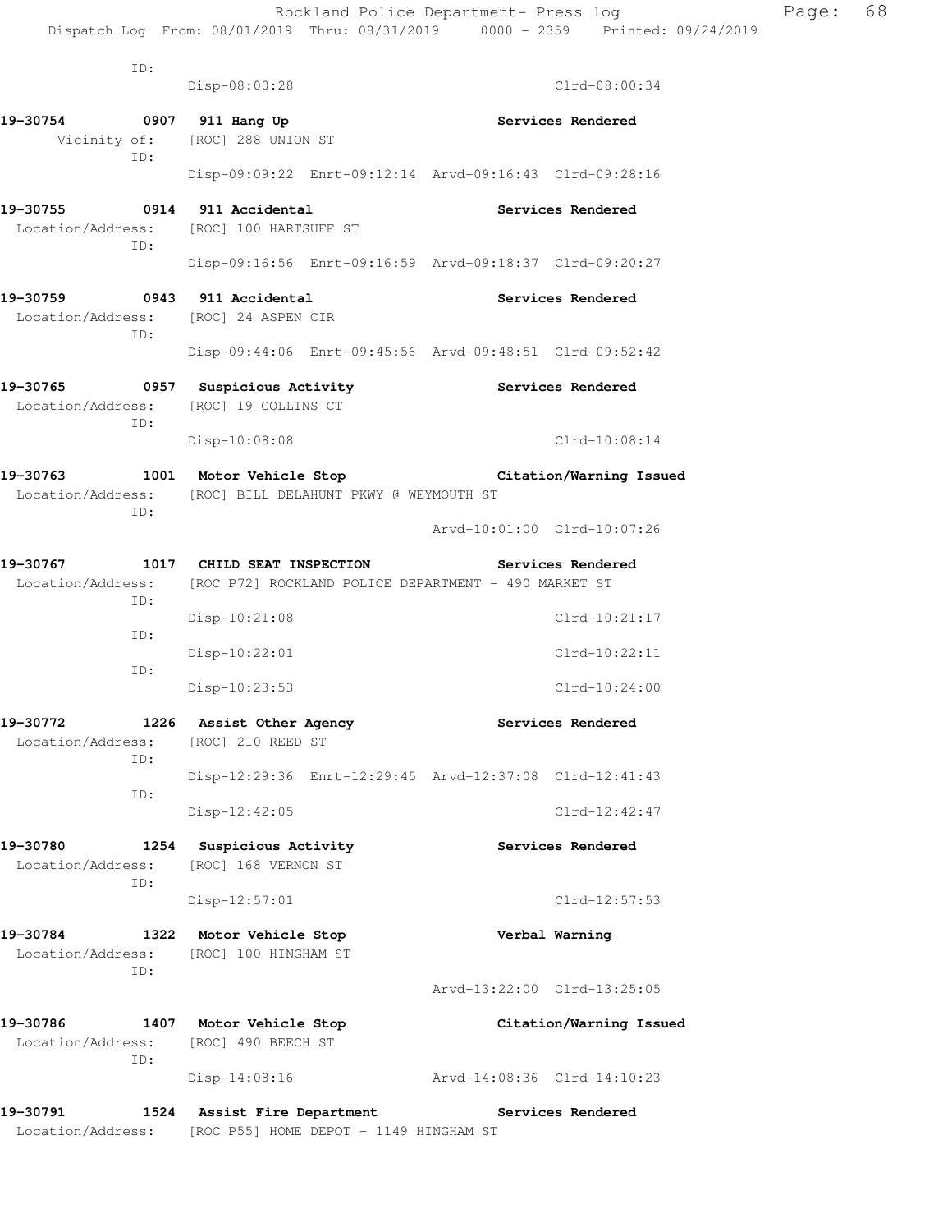| ID:                                                                         | Disp-08:00:28                                                                                                 | $Clrd-08:00:34$                                         |
|-----------------------------------------------------------------------------|---------------------------------------------------------------------------------------------------------------|---------------------------------------------------------|
| 19-30754 0907 911 Hang Up<br>Vicinity of:                                   | [ROC] 288 UNION ST                                                                                            | Services Rendered                                       |
| ID:                                                                         |                                                                                                               | Disp-09:09:22 Enrt-09:12:14 Arvd-09:16:43 Clrd-09:28:16 |
| 19-30755 0914 911 Accidental<br>ID:                                         | Location/Address: [ROC] 100 HARTSUFF ST                                                                       | Services Rendered                                       |
|                                                                             |                                                                                                               | Disp-09:16:56 Enrt-09:16:59 Arvd-09:18:37 Clrd-09:20:27 |
| 19-30759 0943 911 Accidental<br>Location/Address: [ROC] 24 ASPEN CIR<br>ID: |                                                                                                               | Services Rendered                                       |
|                                                                             |                                                                                                               | Disp-09:44:06 Enrt-09:45:56 Arvd-09:48:51 Clrd-09:52:42 |
| 19-30765<br>Location/Address:<br>ID:                                        | 0957 Suspicious Activity<br>[ROC] 19 COLLINS CT                                                               | Services Rendered                                       |
|                                                                             | $Disp-10:08:08$                                                                                               | $Clrd-10:08:14$                                         |
| ID:                                                                         | 19-30763 1001 Motor Vehicle Stop<br>Location/Address: [ROC] BILL DELAHUNT PKWY @ WEYMOUTH ST                  | Citation/Warning Issued                                 |
|                                                                             |                                                                                                               | Arvd-10:01:00 Clrd-10:07:26                             |
| ID:<br>ID:                                                                  | 19-30767 1017 CHILD SEAT INSPECTION<br>Location/Address: [ROC P72] ROCKLAND POLICE DEPARTMENT - 490 MARKET ST | Services Rendered                                       |
|                                                                             | $Disp-10:21:08$                                                                                               | $Clrd-10:21:17$                                         |
| ID:                                                                         | $Disp-10:22:01$                                                                                               | $Clrd-10:22:11$                                         |
|                                                                             | Disp-10:23:53                                                                                                 | $Clrd-10:24:00$                                         |
| 19-30772<br>Location/Address: [ROC] 210 REED ST<br>ID:                      | 1226 Assist Other Agency                                                                                      | Services Rendered                                       |
| ID:                                                                         |                                                                                                               | Disp-12:29:36 Enrt-12:29:45 Arvd-12:37:08 Clrd-12:41:43 |
|                                                                             | $Disp-12:42:05$                                                                                               | $Clrd-12:42:47$                                         |
| 19-30780<br>Location/Address:<br>ID:                                        | 1254 Suspicious Activity<br>[ROC] 168 VERNON ST                                                               | Services Rendered                                       |
|                                                                             | Disp-12:57:01                                                                                                 | Clrd-12:57:53                                           |
| 19-30784<br>1322<br>Location/Address:<br>ID:                                | Motor Vehicle Stop<br>[ROC] 100 HINGHAM ST                                                                    | Verbal Warning                                          |
|                                                                             |                                                                                                               | Arvd-13:22:00 Clrd-13:25:05                             |
| 19-30786<br>1407<br>Location/Address:<br>ID:                                | Motor Vehicle Stop<br>[ROC] 490 BEECH ST                                                                      | Citation/Warning Issued                                 |
|                                                                             | $Disp-14:08:16$                                                                                               | Arvd-14:08:36 Clrd-14:10:23                             |
| 19-30791                                                                    | 1524 Assist Fire Department<br>Location/Address: [ROC P55] HOME DEPOT - 1149 HINGHAM ST                       | Services Rendered                                       |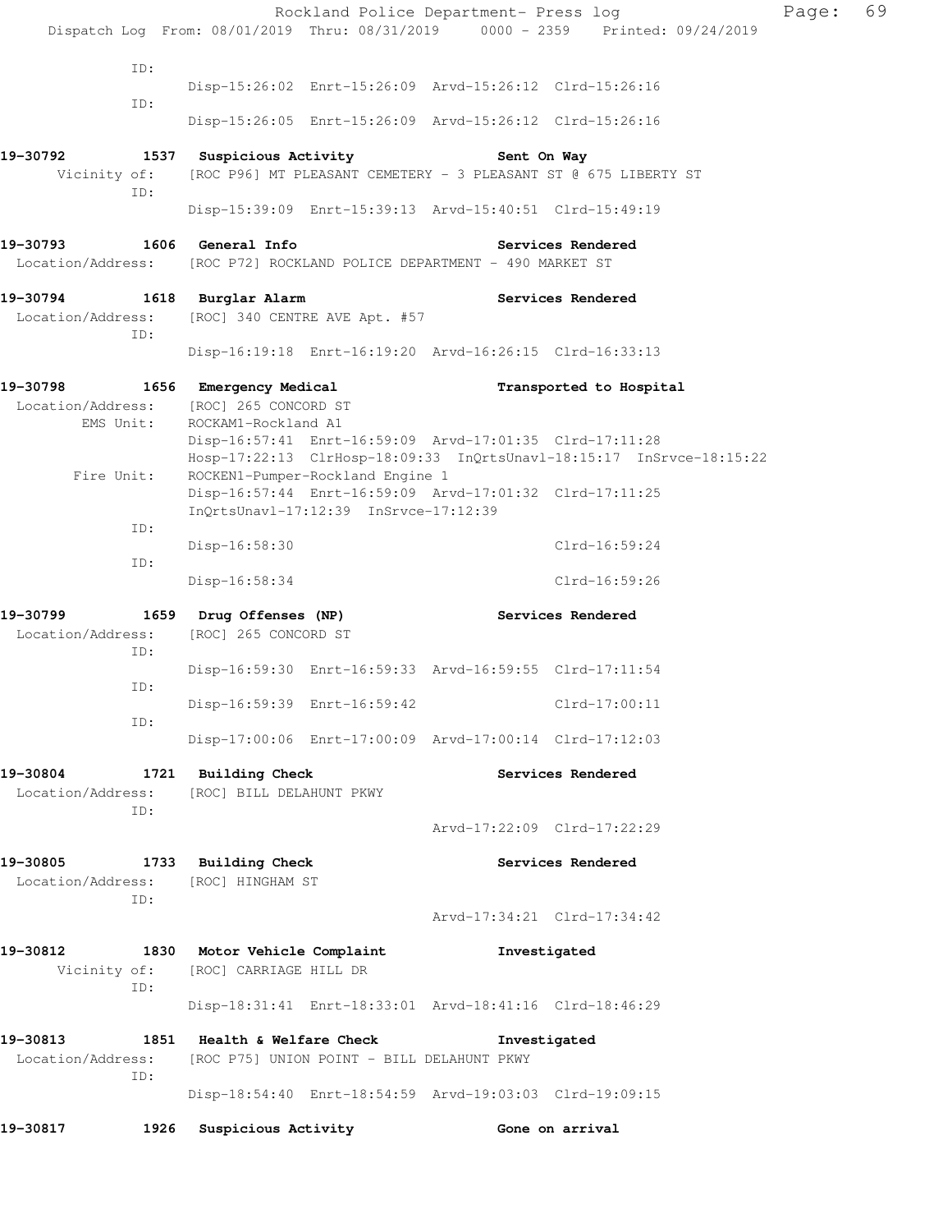|                                                                        |                                             |                                            | Rockland Police Department- Press log                   |                                                                                | Page: | 69 |
|------------------------------------------------------------------------|---------------------------------------------|--------------------------------------------|---------------------------------------------------------|--------------------------------------------------------------------------------|-------|----|
|                                                                        |                                             |                                            |                                                         | Dispatch Log From: 08/01/2019 Thru: 08/31/2019 0000 - 2359 Printed: 09/24/2019 |       |    |
| ID:                                                                    |                                             |                                            |                                                         |                                                                                |       |    |
| ID:                                                                    |                                             |                                            | Disp-15:26:02 Enrt-15:26:09 Arvd-15:26:12 Clrd-15:26:16 |                                                                                |       |    |
|                                                                        |                                             |                                            | Disp-15:26:05 Enrt-15:26:09 Arvd-15:26:12 Clrd-15:26:16 |                                                                                |       |    |
| 19-30792                                                               | 1537 Suspicious Activity 1537 Sent On Way   |                                            |                                                         |                                                                                |       |    |
| ID:                                                                    |                                             |                                            |                                                         | Vicinity of: [ROC P96] MT PLEASANT CEMETERY - 3 PLEASANT ST @ 675 LIBERTY ST   |       |    |
|                                                                        |                                             |                                            | Disp-15:39:09 Enrt-15:39:13 Arvd-15:40:51 Clrd-15:49:19 |                                                                                |       |    |
| 19-30793 1606 General Info                                             |                                             |                                            |                                                         | <b>Services Rendered</b>                                                       |       |    |
| Location/Address: [ROC P72] ROCKLAND POLICE DEPARTMENT - 490 MARKET ST |                                             |                                            |                                                         |                                                                                |       |    |
| 19-30794 1618 Burglar Alarm                                            |                                             |                                            |                                                         | Services Rendered                                                              |       |    |
| Location/Address: [ROC] 340 CENTRE AVE Apt. #57<br>ID:                 |                                             |                                            |                                                         |                                                                                |       |    |
|                                                                        |                                             |                                            | Disp-16:19:18 Enrt-16:19:20 Arvd-16:26:15 Clrd-16:33:13 |                                                                                |       |    |
| 19-30798                                                               | 1656 Emergency Medical                      |                                            |                                                         | Transported to Hospital                                                        |       |    |
| Location/Address:<br>EMS Unit:                                         | [ROC] 265 CONCORD ST<br>ROCKAM1-Rockland A1 |                                            |                                                         |                                                                                |       |    |
|                                                                        |                                             |                                            | Disp-16:57:41 Enrt-16:59:09 Arvd-17:01:35 Clrd-17:11:28 |                                                                                |       |    |
| Fire Unit:                                                             |                                             | ROCKEN1-Pumper-Rockland Engine 1           |                                                         | Hosp-17:22:13 ClrHosp-18:09:33 InQrtsUnavl-18:15:17 InSrvce-18:15:22           |       |    |
|                                                                        |                                             | InQrtsUnavl-17:12:39 InSrvce-17:12:39      | Disp-16:57:44 Enrt-16:59:09 Arvd-17:01:32 Clrd-17:11:25 |                                                                                |       |    |
| ID:                                                                    |                                             |                                            |                                                         |                                                                                |       |    |
| ID:                                                                    | Disp-16:58:30                               |                                            |                                                         | Clrd-16:59:24                                                                  |       |    |
|                                                                        | Disp-16:58:34                               |                                            |                                                         | Clrd-16:59:26                                                                  |       |    |
| 19–30799<br>Location/Address: [ROC] 265 CONCORD ST<br>ID:              | 1659 Drug Offenses (NP)                     |                                            |                                                         | <b>Services Rendered</b>                                                       |       |    |
|                                                                        |                                             |                                            | Disp-16:59:30 Enrt-16:59:33 Arvd-16:59:55 Clrd-17:11:54 |                                                                                |       |    |
| ID:                                                                    |                                             |                                            | Disp-16:59:39 Enrt-16:59:42 Clrd-17:00:11               |                                                                                |       |    |
| ID:                                                                    |                                             |                                            | Disp-17:00:06 Enrt-17:00:09 Arvd-17:00:14 Clrd-17:12:03 |                                                                                |       |    |
| 19-30804                                                               | 1721 Building Check                         |                                            |                                                         | Services Rendered                                                              |       |    |
| Location/Address: [ROC] BILL DELAHUNT PKWY<br>ID:                      |                                             |                                            |                                                         |                                                                                |       |    |
|                                                                        |                                             |                                            |                                                         | Arvd-17:22:09 Clrd-17:22:29                                                    |       |    |
| 19–30805                                                               | 1733 Building Check                         |                                            |                                                         | Services Rendered                                                              |       |    |
| Location/Address: [ROC] HINGHAM ST<br>ID:                              |                                             |                                            |                                                         |                                                                                |       |    |
|                                                                        |                                             |                                            |                                                         | Arvd-17:34:21 Clrd-17:34:42                                                    |       |    |
| 19-30812<br>Vicinity of: [ROC] CARRIAGE HILL DR<br>ID:                 | 1830 Motor Vehicle Complaint                |                                            |                                                         | Investigated                                                                   |       |    |
|                                                                        |                                             |                                            | Disp-18:31:41 Enrt-18:33:01 Arvd-18:41:16 Clrd-18:46:29 |                                                                                |       |    |
| 19–30813                                                               | 1851 Health & Welfare Check                 |                                            |                                                         | Investigated                                                                   |       |    |
| Location/Address:<br>ID:                                               |                                             | [ROC P75] UNION POINT - BILL DELAHUNT PKWY |                                                         |                                                                                |       |    |
|                                                                        |                                             |                                            | Disp-18:54:40 Enrt-18:54:59 Arvd-19:03:03 Clrd-19:09:15 |                                                                                |       |    |
| 19-30817<br>1926                                                       | Suspicious Activity                         |                                            |                                                         | Gone on arrival                                                                |       |    |
|                                                                        |                                             |                                            |                                                         |                                                                                |       |    |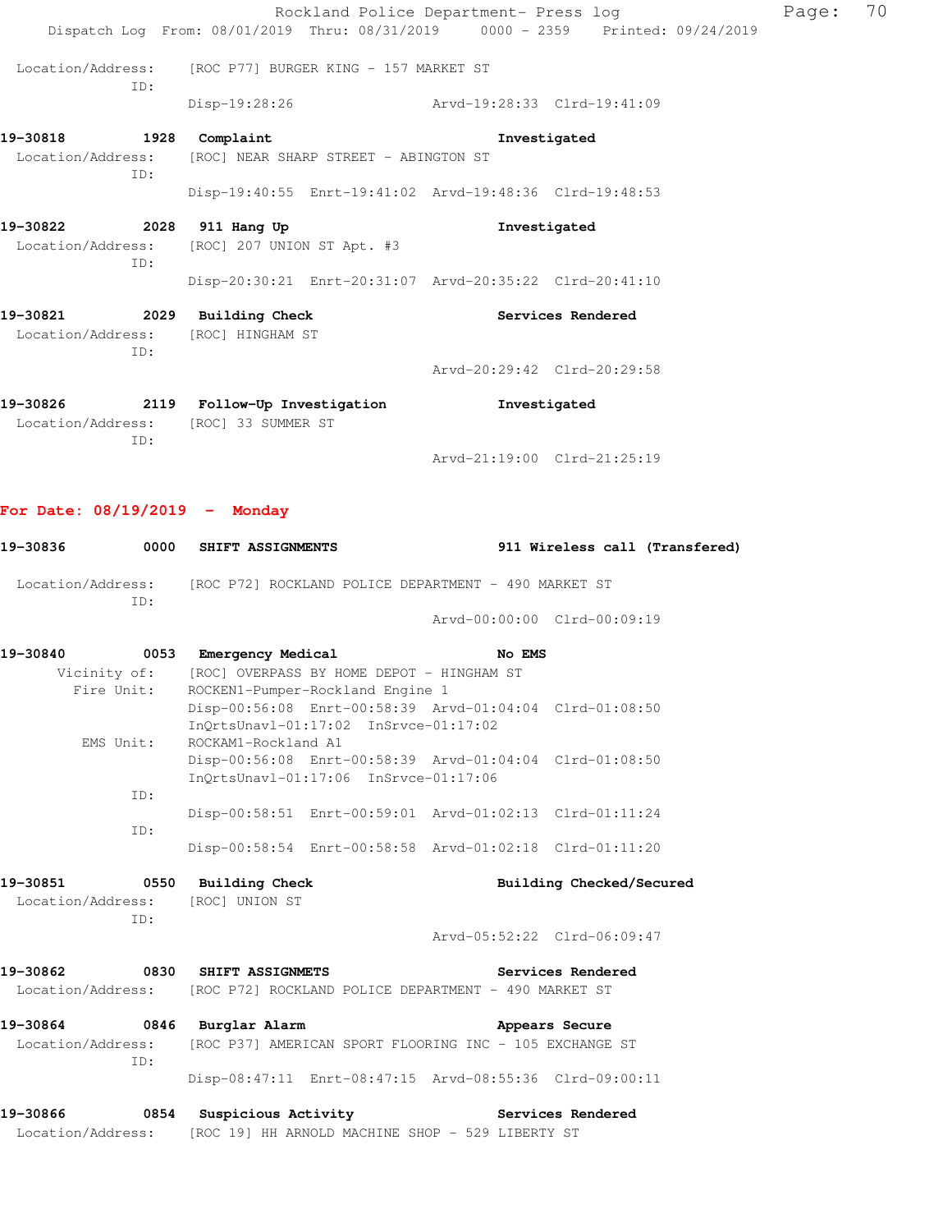|                                                                                      |               | Rockland Police Department- Press log                   |                             |  |
|--------------------------------------------------------------------------------------|---------------|---------------------------------------------------------|-----------------------------|--|
| Dispatch Log From: 08/01/2019 Thru: 08/31/2019 0000 - 2359 Printed: 09/24/2019       |               |                                                         |                             |  |
| Location/Address: [ROC P77] BURGER KING - 157 MARKET ST<br>ID:                       |               |                                                         |                             |  |
|                                                                                      | Disp-19:28:26 | Arvd-19:28:33 Clrd-19:41:09                             |                             |  |
| 19-30818 1928 Complaint                                                              |               | Investigated                                            |                             |  |
| Location/Address: [ROC] NEAR SHARP STREET - ABINGTON ST<br>ID:                       |               |                                                         |                             |  |
|                                                                                      |               | Disp-19:40:55 Enrt-19:41:02 Arvd-19:48:36 Clrd-19:48:53 |                             |  |
| 19-30822 2028 911 Hang Up<br>Location/Address: [ROC] 207 UNION ST Apt. #3<br>ID:     |               | Investigated                                            |                             |  |
|                                                                                      |               | Disp-20:30:21 Enrt-20:31:07 Arvd-20:35:22 Clrd-20:41:10 |                             |  |
| 19-30821 2029 Building Check<br>Location/Address: [ROC] HINGHAM ST<br>ID:            |               |                                                         | Services Rendered           |  |
|                                                                                      |               | Arvd-20:29:42 Clrd-20:29:58                             |                             |  |
| 19-30826 2119 Follow-Up Investigation<br>Location/Address: [ROC] 33 SUMMER ST<br>ID: |               | Investigated                                            |                             |  |
|                                                                                      |               |                                                         | Arvd-21:19:00 Clrd-21:25:19 |  |

Page: 70

# **For Date: 08/19/2019 - Monday**

| 19-30836          | 0000         | SHIFT ASSIGNMENTS                                                      |        | 911 Wireless call (Transfered) |
|-------------------|--------------|------------------------------------------------------------------------|--------|--------------------------------|
|                   | ID:          | Location/Address: [ROC P72] ROCKLAND POLICE DEPARTMENT - 490 MARKET ST |        |                                |
|                   |              |                                                                        |        | Arvd-00:00:00 Clrd-00:09:19    |
| 19-30840          | 0053         | Emergency Medical                                                      | No EMS |                                |
|                   | Vicinity of: | [ROC] OVERPASS BY HOME DEPOT - HINGHAM ST                              |        |                                |
|                   | Fire Unit:   | ROCKEN1-Pumper-Rockland Engine 1                                       |        |                                |
|                   |              | Disp-00:56:08 Enrt-00:58:39 Arvd-01:04:04 Clrd-01:08:50                |        |                                |
|                   |              | InQrtsUnavl-01:17:02 InSrvce-01:17:02                                  |        |                                |
|                   | EMS Unit:    | ROCKAM1-Rockland A1                                                    |        |                                |
|                   |              | Disp-00:56:08 Enrt-00:58:39 Arvd-01:04:04 Clrd-01:08:50                |        |                                |
|                   |              | InQrtsUnavl-01:17:06 InSrvce-01:17:06                                  |        |                                |
|                   | ID:          |                                                                        |        |                                |
|                   |              | Disp-00:58:51 Enrt-00:59:01 Arvd-01:02:13 Clrd-01:11:24                |        |                                |
|                   | ID:          |                                                                        |        |                                |
|                   |              | Disp-00:58:54 Enrt-00:58:58 Arvd-01:02:18 Clrd-01:11:20                |        |                                |
|                   |              | 19-30851 0550 Building Check                                           |        | Building Checked/Secured       |
| Location/Address: | ID:          | [ROC] UNION ST                                                         |        |                                |
|                   |              |                                                                        |        | Arvd-05:52:22 Clrd-06:09:47    |
|                   |              | 19-30862 0830 SHIFT ASSIGNMETS                                         |        | Services Rendered              |
|                   |              | Location/Address: [ROC P72] ROCKLAND POLICE DEPARTMENT - 490 MARKET ST |        |                                |
| 19-30864 0846     |              | Burglar Alarm                                                          |        | Appears Secure                 |
| Location/Address: | ID:          | [ROC P37] AMERICAN SPORT FLOORING INC - 105 EXCHANGE ST                |        |                                |
|                   |              | Disp-08:47:11 Enrt-08:47:15 Arvd-08:55:36 Clrd-09:00:11                |        |                                |
| 19-30866 2005     | 0854         | Suspicious Activity                                                    |        | Services Rendered              |
| Location/Address: |              | [ROC 19] HH ARNOLD MACHINE SHOP - 529 LIBERTY ST                       |        |                                |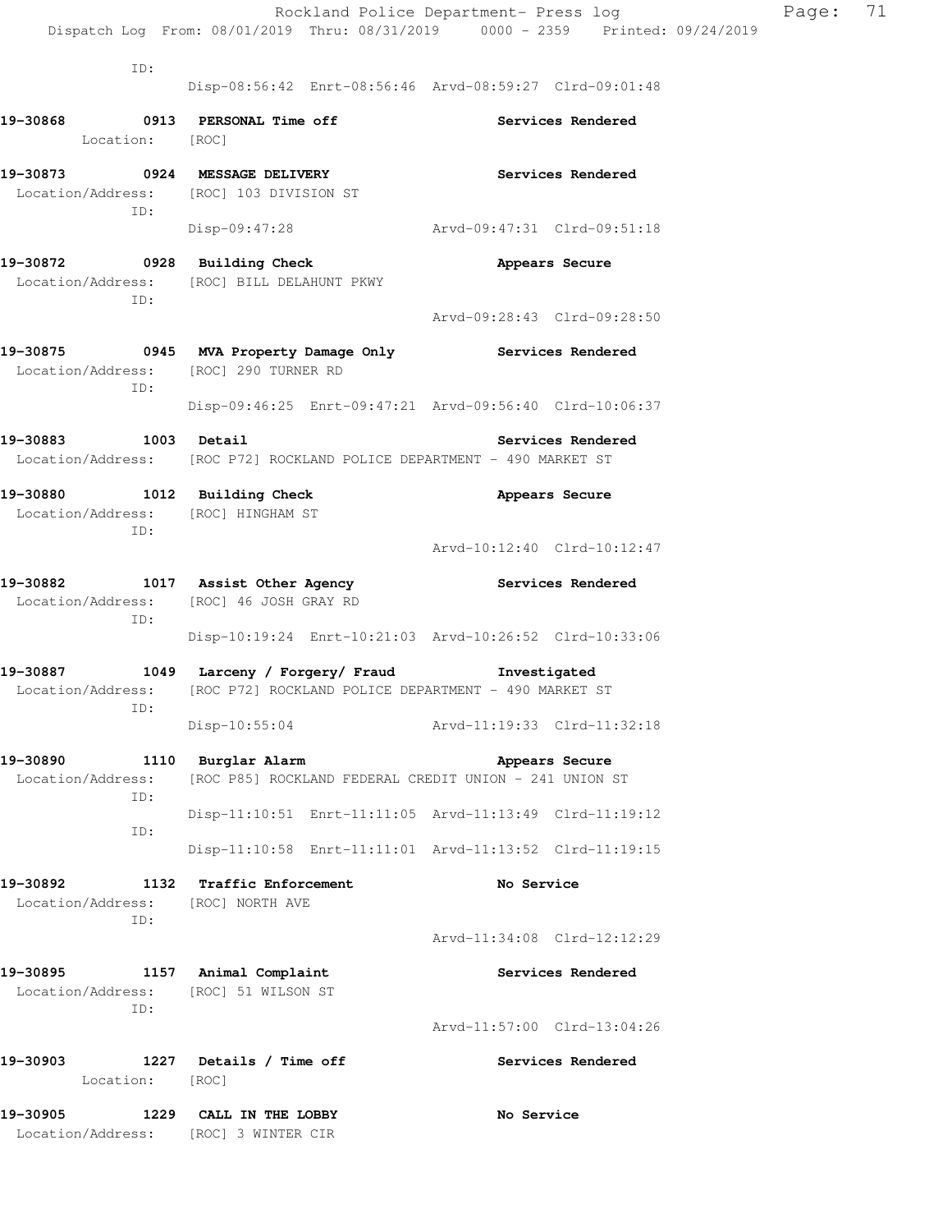|                                                                           |                                                                                                                | Rockland Police Department- Press log<br>Dispatch Log From: 08/01/2019 Thru: 08/31/2019 0000 - 2359 Printed: 09/24/2019 | Page: 71 |  |
|---------------------------------------------------------------------------|----------------------------------------------------------------------------------------------------------------|-------------------------------------------------------------------------------------------------------------------------|----------|--|
| ID:                                                                       |                                                                                                                |                                                                                                                         |          |  |
|                                                                           |                                                                                                                | Disp-08:56:42 Enrt-08:56:46 Arvd-08:59:27 Clrd-09:01:48                                                                 |          |  |
| Location: [ROC]                                                           | 19-30868 0913 PERSONAL Time off Services Rendered                                                              |                                                                                                                         |          |  |
|                                                                           | 19-30873 0924 MESSAGE DELIVERY                                                                                 | <b>Services Rendered</b>                                                                                                |          |  |
| ID:                                                                       | Location/Address: [ROC] 103 DIVISION ST                                                                        |                                                                                                                         |          |  |
|                                                                           |                                                                                                                | Disp-09:47:28 Arvd-09:47:31 Clrd-09:51:18                                                                               |          |  |
| ID:                                                                       | 19-30872 0928 Building Check <b>1998 Contains Appears</b> Secure<br>Location/Address: [ROC] BILL DELAHUNT PKWY |                                                                                                                         |          |  |
|                                                                           |                                                                                                                | Arvd-09:28:43 Clrd-09:28:50                                                                                             |          |  |
| Location/Address: [ROC] 290 TURNER RD<br>ID:                              | 19-30875 0945 MVA Property Damage Only Services Rendered                                                       |                                                                                                                         |          |  |
|                                                                           |                                                                                                                | Disp-09:46:25 Enrt-09:47:21 Arvd-09:56:40 Clrd-10:06:37                                                                 |          |  |
| 19-30883 1003 Detail                                                      |                                                                                                                | Services Rendered                                                                                                       |          |  |
|                                                                           | Location/Address: [ROC P72] ROCKLAND POLICE DEPARTMENT - 490 MARKET ST                                         |                                                                                                                         |          |  |
| 19-30880 1012 Building Check<br>Location/Address: [ROC] HINGHAM ST<br>ID: |                                                                                                                | Appears Secure                                                                                                          |          |  |
|                                                                           |                                                                                                                | Arvd-10:12:40 Clrd-10:12:47                                                                                             |          |  |
| ID:                                                                       | 19-30882 1017 Assist Other Agency <b>19-30882</b> Services Rendered<br>Location/Address: [ROC] 46 JOSH GRAY RD |                                                                                                                         |          |  |
|                                                                           |                                                                                                                | Disp-10:19:24 Enrt-10:21:03 Arvd-10:26:52 Clrd-10:33:06                                                                 |          |  |
|                                                                           | 19-30887 1049 Larceny / Forgery / Fraud Investigated                                                           |                                                                                                                         |          |  |
| ID:                                                                       | Location/Address: [ROC P72] ROCKLAND POLICE DEPARTMENT - 490 MARKET ST                                         |                                                                                                                         |          |  |
|                                                                           |                                                                                                                | Disp-10:55:04 Arvd-11:19:33 Clrd-11:32:18                                                                               |          |  |
| 19-30890<br>Location/Address:                                             | 1110 Burglar Alarm<br>[ROC P85] ROCKLAND FEDERAL CREDIT UNION - 241 UNION ST                                   | Appears Secure                                                                                                          |          |  |
| ID:                                                                       |                                                                                                                |                                                                                                                         |          |  |
| ID:                                                                       |                                                                                                                | Disp-11:10:51 Enrt-11:11:05 Arvd-11:13:49 Clrd-11:19:12                                                                 |          |  |
|                                                                           |                                                                                                                | Disp-11:10:58 Enrt-11:11:01 Arvd-11:13:52 Clrd-11:19:15                                                                 |          |  |
| 19-30892                                                                  | 1132 Traffic Enforcement                                                                                       | No Service                                                                                                              |          |  |
| Location/Address: [ROC] NORTH AVE<br>ID:                                  |                                                                                                                |                                                                                                                         |          |  |
|                                                                           |                                                                                                                | Arvd-11:34:08 Clrd-12:12:29                                                                                             |          |  |
| 19–30895<br>Location/Address: [ROC] 51 WILSON ST<br>ID:                   | 1157 Animal Complaint                                                                                          | Services Rendered                                                                                                       |          |  |
|                                                                           |                                                                                                                | Arvd-11:57:00 Clrd-13:04:26                                                                                             |          |  |
| 19–30903<br>Location:                                                     | 1227 Details / Time off<br>[ROC]                                                                               | Services Rendered                                                                                                       |          |  |
| 19–30905<br>Location/Address: [ROC] 3 WINTER CIR                          | 1229 CALL IN THE LOBBY                                                                                         | No Service                                                                                                              |          |  |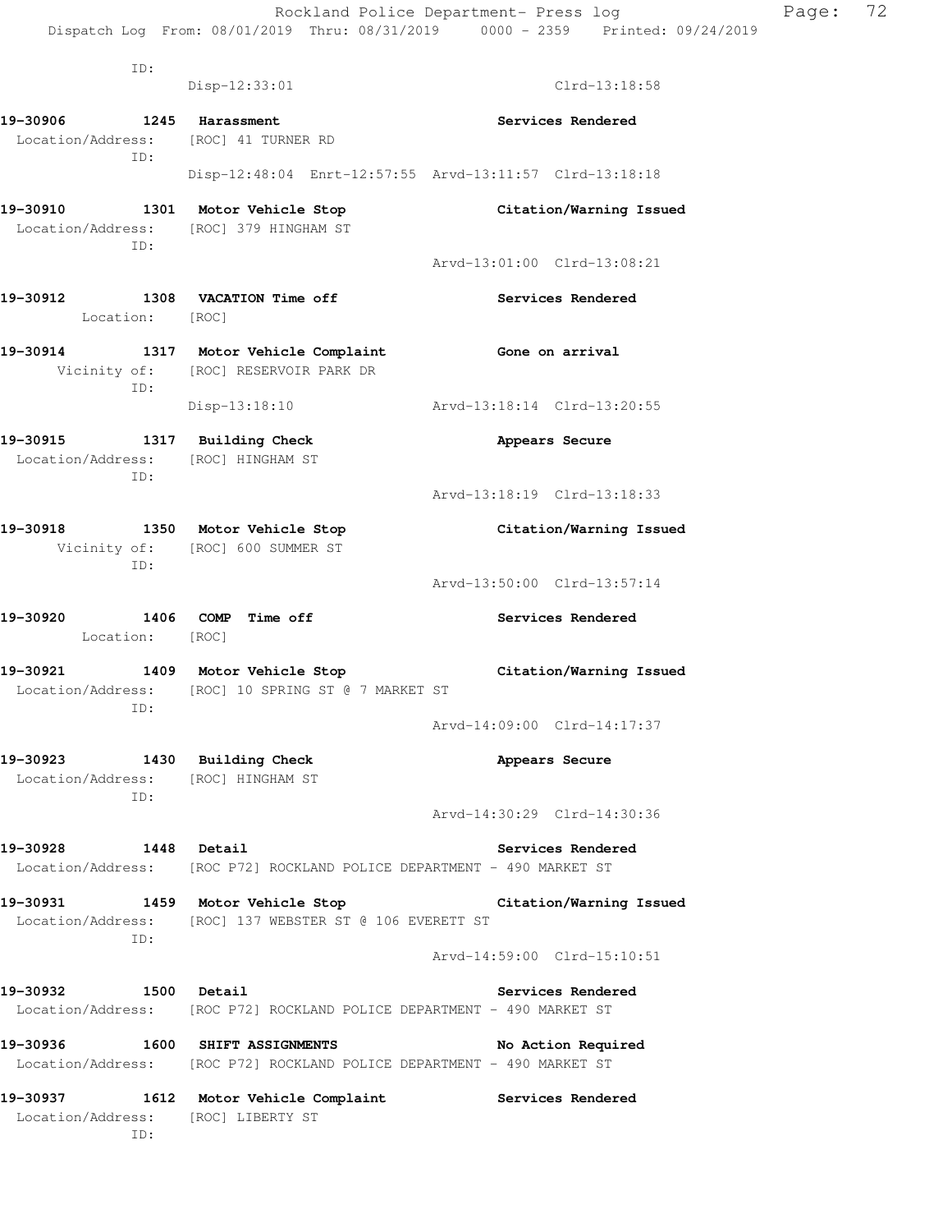ID:

ID:

**19-30906 1245 Harassment Services Rendered**  Location/Address: [ROC] 41 TURNER RD ID: Disp-12:48:04 Enrt-12:57:55 Arvd-13:11:57 Clrd-13:18:18 **19-30910 1301 Motor Vehicle Stop Citation/Warning Issued**  Location/Address: [ROC] 379 HINGHAM ST ID: Arvd-13:01:00 Clrd-13:08:21 **19-30912 1308 VACATION Time off Services Rendered**  Location: [ROC] **19-30914 1317 Motor Vehicle Complaint Gone on arrival**  Vicinity of: [ROC] RESERVOIR PARK DR ID: Disp-13:18:10 Arvd-13:18:14 Clrd-13:20:55 **19-30915 1317 Building Check Appears Secure**  Location/Address: [ROC] HINGHAM ST ID: Arvd-13:18:19 Clrd-13:18:33 **19-30918 1350 Motor Vehicle Stop Citation/Warning Issued**  Vicinity of: [ROC] 600 SUMMER ST ID: Arvd-13:50:00 Clrd-13:57:14 **19-30920 1406 COMP Time off Services Rendered**  Location: [ROC] **19-30921 1409 Motor Vehicle Stop Citation/Warning Issued**  Location/Address: [ROC] 10 SPRING ST @ 7 MARKET ST ID: Arvd-14:09:00 Clrd-14:17:37 19-30923 1430 Building Check **Appears Secure**  Location/Address: [ROC] HINGHAM ST ID: Arvd-14:30:29 Clrd-14:30:36 **19-30928** 1448 Detail **19-30928 1448** Detail Services Rendered Location/Address: [ROC P72] ROCKLAND POLICE DEPARTMENT - 490 MARKET ST **19-30931 1459 Motor Vehicle Stop Citation/Warning Issued**  Location/Address: [ROC] 137 WEBSTER ST @ 106 EVERETT ST ID: Arvd-14:59:00 Clrd-15:10:51 **19-30932 1500 Detail Services Rendered**  Location/Address: [ROC P72] ROCKLAND POLICE DEPARTMENT - 490 MARKET ST **19-30936 1600 SHIFT ASSIGNMENTS No Action Required**  Location/Address: [ROC P72] ROCKLAND POLICE DEPARTMENT - 490 MARKET ST **19-30937 1612 Motor Vehicle Complaint Services Rendered**  Location/Address: [ROC] LIBERTY ST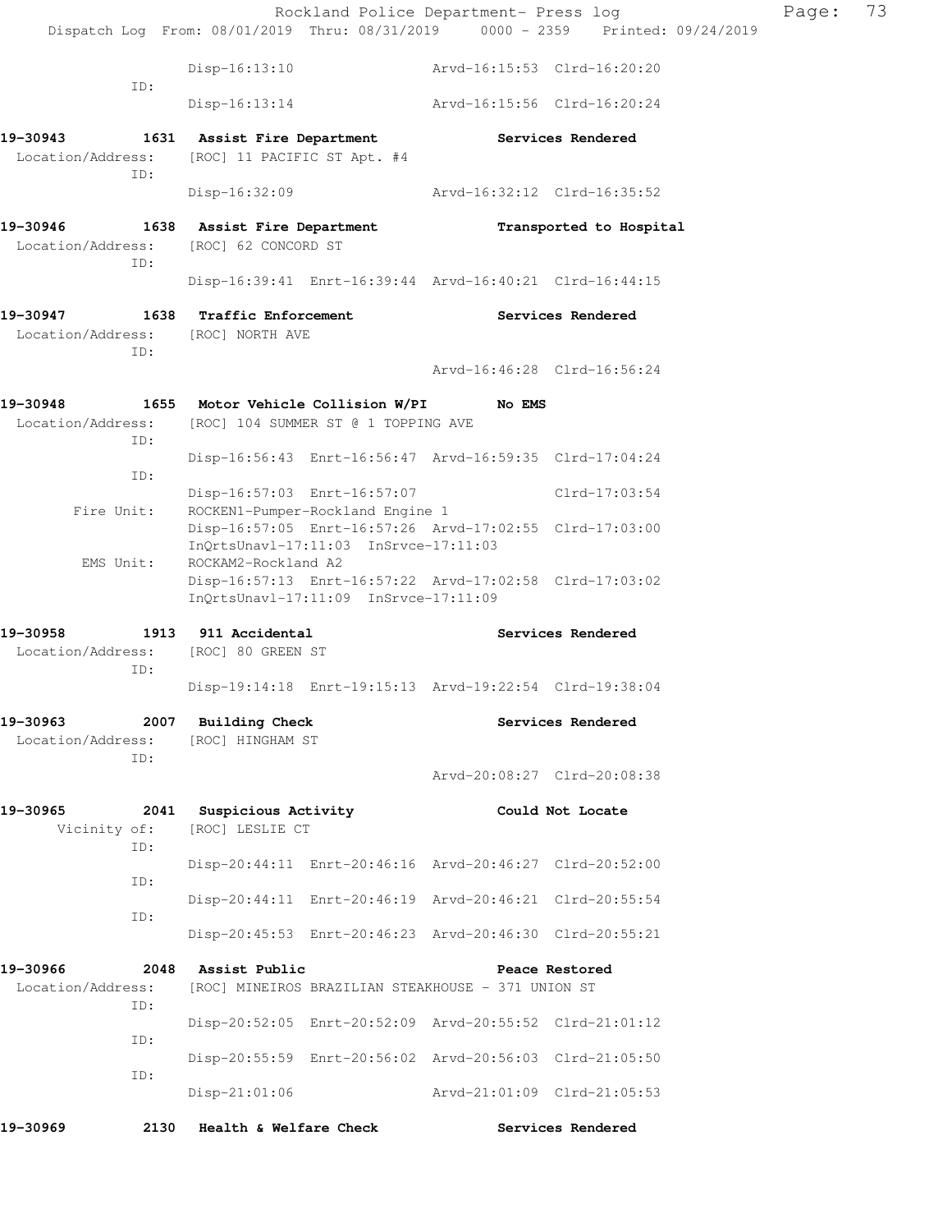|                                   |           |                                                                                            |                                       | Rockland Police Department- Press log                   | Dispatch Log From: 08/01/2019 Thru: 08/31/2019 0000 - 2359 Printed: 09/24/2019 | Page: | 73 |
|-----------------------------------|-----------|--------------------------------------------------------------------------------------------|---------------------------------------|---------------------------------------------------------|--------------------------------------------------------------------------------|-------|----|
|                                   |           |                                                                                            |                                       |                                                         |                                                                                |       |    |
|                                   | ID:       | $Disp-16:13:10$                                                                            |                                       | Arvd-16:15:53 Clrd-16:20:20                             |                                                                                |       |    |
|                                   |           | $Disp-16:13:14$                                                                            |                                       | Arvd-16:15:56 Clrd-16:20:24                             |                                                                                |       |    |
|                                   | ID:       | 1631 Assist Fire Department<br>Location/Address: [ROC] 11 PACIFIC ST Apt. #4               |                                       |                                                         | Services Rendered                                                              |       |    |
|                                   |           |                                                                                            |                                       | Disp-16:32:09 Arvd-16:32:12 Clrd-16:35:52               |                                                                                |       |    |
| 19-30946 2001                     | ID:       | 1638 Assist Fire Department<br>Location/Address: [ROC] 62 CONCORD ST                       |                                       |                                                         | Transported to Hospital                                                        |       |    |
|                                   |           |                                                                                            |                                       | Disp-16:39:41 Enrt-16:39:44 Arvd-16:40:21 Clrd-16:44:15 |                                                                                |       |    |
| 19-30947 1638 Traffic Enforcement | ID:       | Location/Address: [ROC] NORTH AVE                                                          |                                       |                                                         | Services Rendered                                                              |       |    |
|                                   |           |                                                                                            |                                       |                                                         | Arvd-16:46:28 Clrd-16:56:24                                                    |       |    |
| 19–30948                          |           | 1655 Motor Vehicle Collision W/PI<br>Location/Address: [ROC] 104 SUMMER ST @ 1 TOPPING AVE |                                       | No EMS                                                  |                                                                                |       |    |
|                                   | ID:       |                                                                                            |                                       |                                                         |                                                                                |       |    |
|                                   | ID:       |                                                                                            |                                       | Disp-16:56:43 Enrt-16:56:47 Arvd-16:59:35 Clrd-17:04:24 |                                                                                |       |    |
| Fire Unit:                        |           | Disp-16:57:03 Enrt-16:57:07<br>ROCKEN1-Pumper-Rockland Engine 1                            |                                       |                                                         | Clrd-17:03:54                                                                  |       |    |
|                                   |           |                                                                                            | InQrtsUnavl-17:11:03 InSrvce-17:11:03 | Disp-16:57:05 Enrt-16:57:26 Arvd-17:02:55 Clrd-17:03:00 |                                                                                |       |    |
|                                   | EMS Unit: | ROCKAM2-Rockland A2                                                                        | InQrtsUnavl-17:11:09 InSrvce-17:11:09 | Disp-16:57:13 Enrt-16:57:22 Arvd-17:02:58 Clrd-17:03:02 |                                                                                |       |    |
|                                   | ID:       | 19-30958                  1913     911 Accidental<br>Location/Address: [ROC] 80 GREEN ST   |                                       | Services Rendered                                       |                                                                                |       |    |
|                                   |           |                                                                                            |                                       | Disp-19:14:18 Enrt-19:15:13 Arvd-19:22:54 Clrd-19:38:04 |                                                                                |       |    |
| 19–30963<br>Location/Address:     | ID:       | 2007 Building Check<br>[ROC] HINGHAM ST                                                    |                                       | Services Rendered                                       |                                                                                |       |    |
|                                   |           |                                                                                            |                                       |                                                         | Arvd-20:08:27 Clrd-20:08:38                                                    |       |    |
| 19–30965<br>Vicinity of:          |           | 2041 Suspicious Activity<br>[ROC] LESLIE CT                                                |                                       |                                                         | Could Not Locate                                                               |       |    |
|                                   | ID:       |                                                                                            |                                       |                                                         |                                                                                |       |    |
|                                   | ID:       |                                                                                            |                                       | Disp-20:44:11 Enrt-20:46:16 Arvd-20:46:27 Clrd-20:52:00 |                                                                                |       |    |
|                                   | ID:       |                                                                                            |                                       | Disp-20:44:11 Enrt-20:46:19 Arvd-20:46:21 Clrd-20:55:54 |                                                                                |       |    |
|                                   |           |                                                                                            |                                       | Disp-20:45:53 Enrt-20:46:23 Arvd-20:46:30 Clrd-20:55:21 |                                                                                |       |    |
| 19–30966                          | 2048      | Assist Public                                                                              |                                       |                                                         | Peace Restored                                                                 |       |    |
| Location/Address:                 | ID:       |                                                                                            |                                       | [ROC] MINEIROS BRAZILIAN STEAKHOUSE - 371 UNION ST      |                                                                                |       |    |
|                                   | ID:       |                                                                                            |                                       | Disp-20:52:05 Enrt-20:52:09 Arvd-20:55:52 Clrd-21:01:12 |                                                                                |       |    |
|                                   | ID:       |                                                                                            |                                       | Disp-20:55:59 Enrt-20:56:02 Arvd-20:56:03 Clrd-21:05:50 |                                                                                |       |    |
|                                   |           | $Disp-21:01:06$                                                                            |                                       | Arvd-21:01:09 Clrd-21:05:53                             |                                                                                |       |    |
| 19–30969                          | 2130      | Health & Welfare Check                                                                     |                                       |                                                         | Services Rendered                                                              |       |    |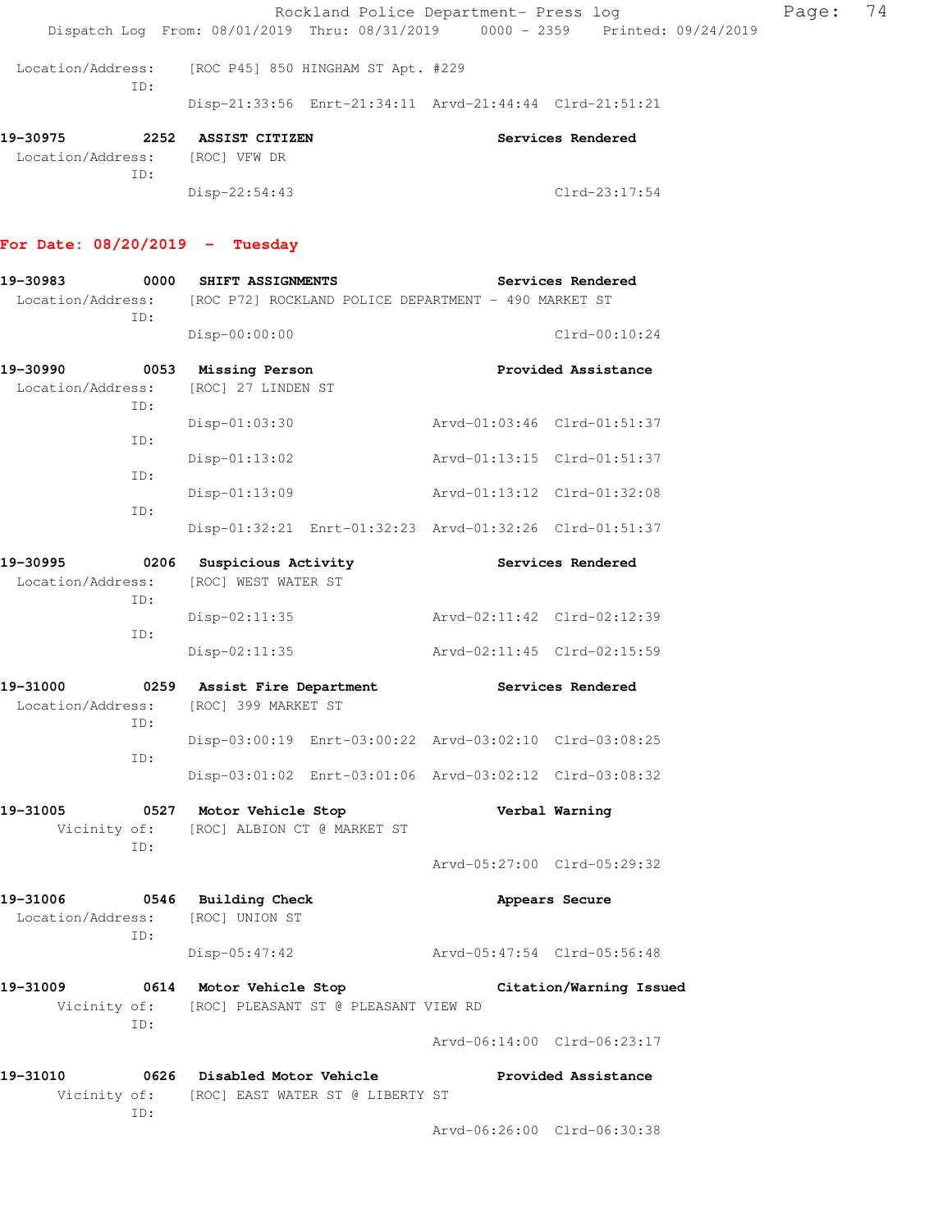|                          |                               | Rockland Police Department- Press log                   |                   |                                                                                | Page: 74 |  |
|--------------------------|-------------------------------|---------------------------------------------------------|-------------------|--------------------------------------------------------------------------------|----------|--|
|                          |                               |                                                         |                   | Dispatch Log From: 08/01/2019 Thru: 08/31/2019 0000 - 2359 Printed: 09/24/2019 |          |  |
| Location/Address:<br>ID: |                               | [ROC P45] 850 HINGHAM ST Apt. #229                      |                   |                                                                                |          |  |
|                          |                               | Disp-21:33:56 Enrt-21:34:11 Arvd-21:44:44 Clrd-21:51:21 |                   |                                                                                |          |  |
| 19–30975                 | 2252<br><b>ASSIST CITIZEN</b> |                                                         | Services Rendered |                                                                                |          |  |

| Location/Address: | [ROC] VFW DR  |               |
|-------------------|---------------|---------------|
| TD:               |               |               |
|                   | Disp-22:54:43 | Clrd-23:17:54 |

# **For Date: 08/20/2019 - Tuesday**

| 19-30983                      | 0000        | SHIFT ASSIGNMENTS                                                            |                             | Services Rendered           |
|-------------------------------|-------------|------------------------------------------------------------------------------|-----------------------------|-----------------------------|
| Location/Address:<br>ID:      |             | [ROC P72] ROCKLAND POLICE DEPARTMENT - 490 MARKET ST                         |                             |                             |
|                               |             | Disp-00:00:00                                                                |                             | $Clrd-00:10:24$             |
| 19-30990                      | 0053        | <b>Missing Person</b>                                                        |                             | Provided Assistance         |
| Location/Address:             | ID:         | [ROC] 27 LINDEN ST                                                           |                             |                             |
|                               | ID:         | Disp-01:03:30                                                                | Arvd-01:03:46 Clrd-01:51:37 |                             |
|                               | ID:         | $Disp-01:13:02$                                                              | Arvd-01:13:15 Clrd-01:51:37 |                             |
|                               | ID:         | $Disp-01:13:09$                                                              | Arvd-01:13:12 Clrd-01:32:08 |                             |
|                               |             | Disp-01:32:21 Enrt-01:32:23 Arvd-01:32:26 Clrd-01:51:37                      |                             |                             |
| 19-30995<br>Location/Address: | 0206<br>ID: | Suspicious Activity<br>[ROC] WEST WATER ST                                   |                             | Services Rendered           |
|                               | ID:         | Disp-02:11:35                                                                | Arvd-02:11:42 Clrd-02:12:39 |                             |
|                               |             | Disp-02:11:35                                                                | Arvd-02:11:45 Clrd-02:15:59 |                             |
| 19-31000<br>Location/Address: | ID:         | 0259 Assist Fire Department<br>[ROC] 399 MARKET ST                           |                             | Services Rendered           |
| ID:                           |             | Disp-03:00:19 Enrt-03:00:22 Arvd-03:02:10 Clrd-03:08:25                      |                             |                             |
|                               |             | Disp-03:01:02 Enrt-03:01:06 Arvd-03:02:12 Clrd-03:08:32                      |                             |                             |
| 19-31005<br>Vicinity of:      | ID:         | 0527 Motor Vehicle Stop<br>[ROC] ALBION CT @ MARKET ST                       |                             | Verbal Warning              |
|                               |             |                                                                              | Arvd-05:27:00 Clrd-05:29:32 |                             |
| 19-31006<br>Location/Address: | 0546<br>ID: | <b>Building Check</b><br>[ROC] UNION ST                                      |                             | Appears Secure              |
|                               |             | Disp-05:47:42                                                                | Arvd-05:47:54 Clrd-05:56:48 |                             |
| 19-31009<br>ID:               |             | 0614 Motor Vehicle Stop<br>Vicinity of: [ROC] PLEASANT ST @ PLEASANT VIEW RD |                             | Citation/Warning Issued     |
|                               |             |                                                                              |                             | Arvd-06:14:00 Clrd-06:23:17 |
| 19-31010                      | 0626<br>ID: | Disabled Motor Vehicle<br>Vicinity of: [ROC] EAST WATER ST @ LIBERTY ST      |                             | Provided Assistance         |
|                               |             |                                                                              | Arvd-06:26:00 Clrd-06:30:38 |                             |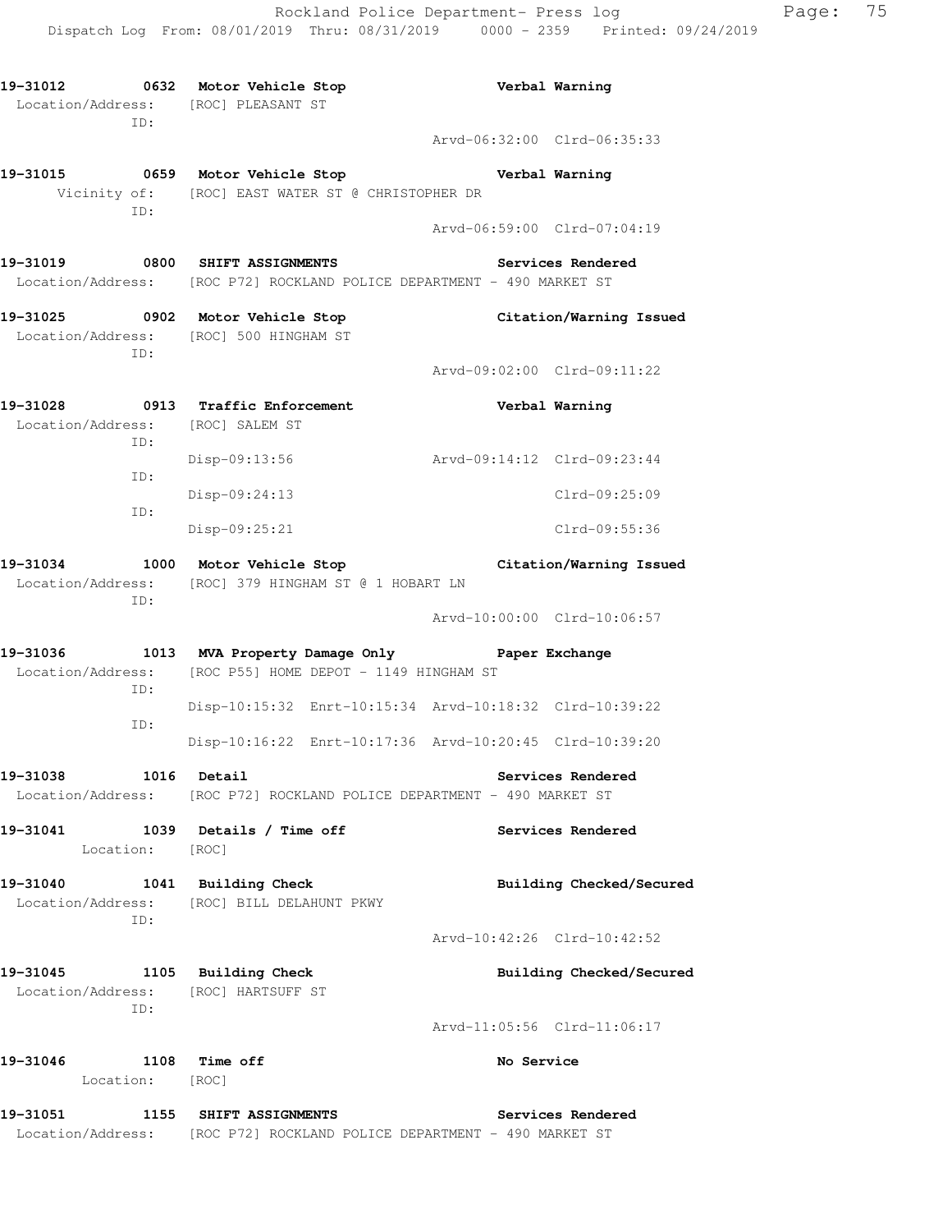| 19-31012 0632 Motor Vehicle Stop<br>Location/Address: [ROC] PLEASANT ST<br>ID: |                                                                                          | Verbal Warning                                          |
|--------------------------------------------------------------------------------|------------------------------------------------------------------------------------------|---------------------------------------------------------|
|                                                                                |                                                                                          | Arvd-06:32:00 Clrd-06:35:33                             |
| ID:                                                                            | 19-31015 0659 Motor Vehicle Stop<br>Vicinity of: [ROC] EAST WATER ST @ CHRISTOPHER DR    | Verbal Warning                                          |
|                                                                                |                                                                                          | Arvd-06:59:00 Clrd-07:04:19                             |
| 19-31019 0800 SHIFT ASSIGNMENTS                                                | Location/Address: [ROC P72] ROCKLAND POLICE DEPARTMENT - 490 MARKET ST                   | Services Rendered                                       |
| $\sim$ 0902<br>19-31025<br>Location/Address:<br>ID:                            | Motor Vehicle Stop<br>[ROC] 500 HINGHAM ST                                               | Citation/Warning Issued                                 |
|                                                                                |                                                                                          | Arvd-09:02:00 Clrd-09:11:22                             |
| 19-31028 0913 Traffic Enforcement<br>Location/Address: [ROC] SALEM ST          |                                                                                          | Verbal Warning                                          |
| ID:                                                                            | Disp-09:13:56                                                                            | Arvd-09:14:12 Clrd-09:23:44                             |
| ID:                                                                            | Disp-09:24:13                                                                            | Clrd-09:25:09                                           |
| ID:                                                                            | Disp-09:25:21                                                                            | Clrd-09:55:36                                           |
| ID:                                                                            | 19-31034 1000 Motor Vehicle Stop<br>Location/Address: [ROC] 379 HINGHAM ST @ 1 HOBART LN | Citation/Warning Issued                                 |
|                                                                                |                                                                                          | Arvd-10:00:00 Clrd-10:06:57                             |
| 19-31036<br>Location/Address:                                                  | 1013 MVA Property Damage Only Faper Exchange<br>[ROC P55] HOME DEPOT - 1149 HINGHAM ST   |                                                         |
| ID:                                                                            |                                                                                          | Disp-10:15:32 Enrt-10:15:34 Arvd-10:18:32 Clrd-10:39:22 |
| ID:                                                                            | Disp-10:16:22 Enrt-10:17:36 Arvd-10:20:45 Clrd-10:39:20                                  |                                                         |
| 19–31038<br>1016 Detail                                                        | Location/Address: [ROC P72] ROCKLAND POLICE DEPARTMENT - 490 MARKET ST                   | <b>Services Rendered</b>                                |
| 19-31041 1039 Details / Time off<br>Location: [ROC]                            |                                                                                          | Services Rendered                                       |
| 19-31040                                                                       | 1041 Building Check<br>Location/Address: [ROC] BILL DELAHUNT PKWY                        | Building Checked/Secured                                |
| ID:                                                                            |                                                                                          | Arvd-10:42:26 Clrd-10:42:52                             |
| 19-31045 1105 Building Check<br>Location/Address: [ROC] HARTSUFF ST            |                                                                                          | Building Checked/Secured                                |
| ID:                                                                            |                                                                                          | Arvd-11:05:56 Clrd-11:06:17                             |
| 19-31046 1108 Time off<br>Location: [ROC]                                      |                                                                                          | No Service                                              |
| 19-31051 1155 SHIFT ASSIGNMENTS                                                | Location/Address: [ROC P72] ROCKLAND POLICE DEPARTMENT - 490 MARKET ST                   | Services Rendered                                       |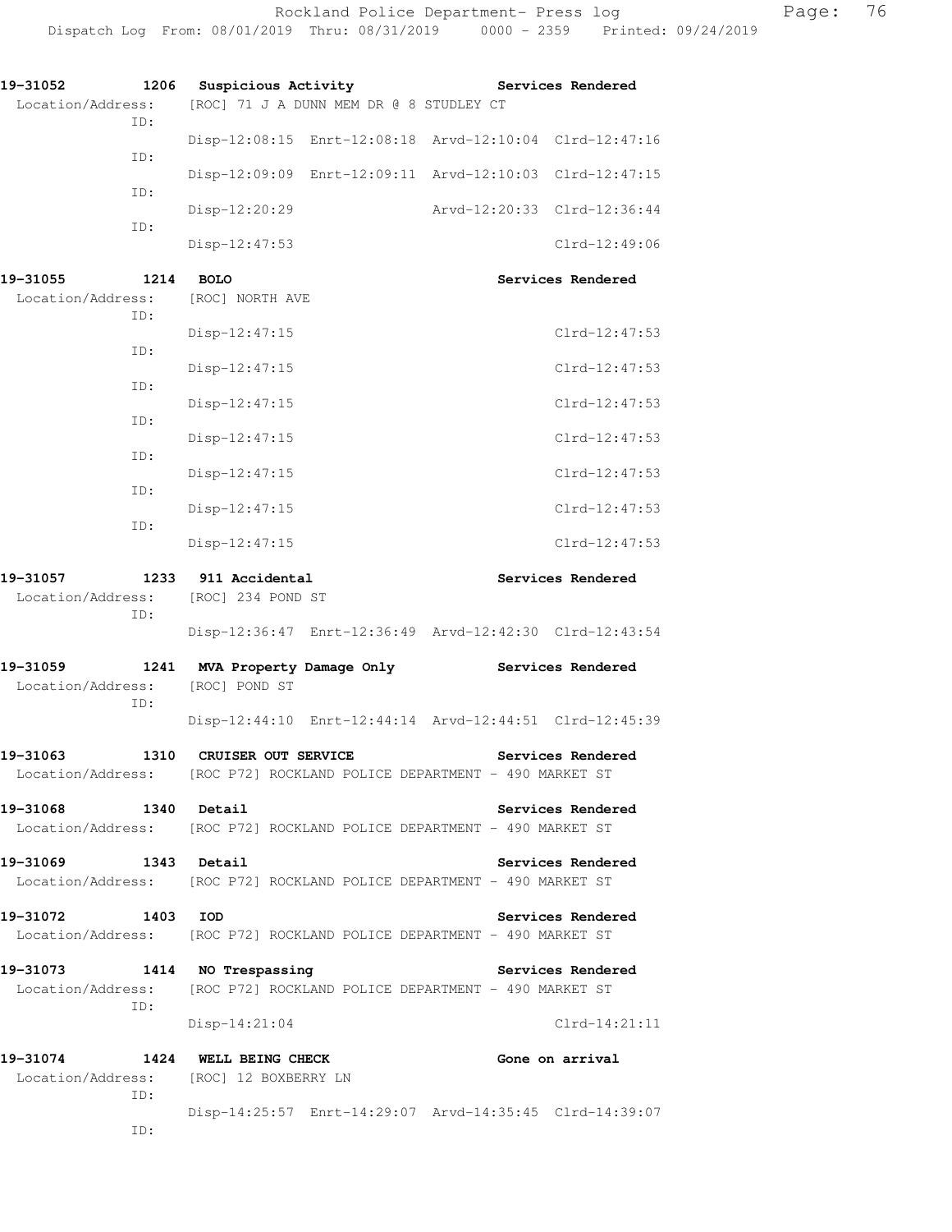| 19-31052                             | 1206 | Suspicious Activity                                                                           | Services Rendered           |
|--------------------------------------|------|-----------------------------------------------------------------------------------------------|-----------------------------|
| Location/Address:<br>ID:             |      | [ROC] 71 J A DUNN MEM DR @ 8 STUDLEY CT                                                       |                             |
| ID:                                  |      | Disp-12:08:15 Enrt-12:08:18 Arvd-12:10:04 Clrd-12:47:16                                       |                             |
| ID:                                  |      | Disp-12:09:09 Enrt-12:09:11 Arvd-12:10:03 Clrd-12:47:15                                       |                             |
| ID:                                  |      | Disp-12:20:29                                                                                 | Arvd-12:20:33 Clrd-12:36:44 |
|                                      |      | Disp-12:47:53                                                                                 | $Clrd-12:49:06$             |
| 19-31055                             |      | 1214 BOLO                                                                                     | Services Rendered           |
| Location/Address:<br>ID:             |      | [ROC] NORTH AVE                                                                               |                             |
| ID:                                  |      | $Disp-12:47:15$                                                                               | $Clrd-12:47:53$             |
| ID:                                  |      | Disp-12:47:15                                                                                 | Clrd-12:47:53               |
| ID:                                  |      | $Disp-12:47:15$                                                                               | $Clrd-12:47:53$             |
| ID:                                  |      | Disp-12:47:15                                                                                 | Clrd-12:47:53               |
| ID:                                  |      | $Disp-12:47:15$                                                                               | Clrd-12:47:53               |
| ID:                                  |      | $Disp-12:47:15$                                                                               | Clrd-12:47:53               |
|                                      |      | Disp-12:47:15                                                                                 | $Clrd-12:47:53$             |
| 19-31057<br>Location/Address:<br>ID: |      | 1233 911 Accidental<br>[ROC] 234 POND ST                                                      | Services Rendered           |
|                                      |      | Disp-12:36:47 Enrt-12:36:49 Arvd-12:42:30 Clrd-12:43:54                                       |                             |
| 19-31059<br>Location/Address:<br>ID: |      | 1241 MVA Property Damage Only<br>[ROC] POND ST                                                | <b>Services Rendered</b>    |
|                                      |      | Disp-12:44:10 Enrt-12:44:14 Arvd-12:44:51 Clrd-12:45:39                                       |                             |
| 19-31063                             | 1310 | CRUISER OUT SERVICE<br>Location/Address: [ROC P72] ROCKLAND POLICE DEPARTMENT - 490 MARKET ST | Services Rendered           |
| 19-31068                             |      | 1340 Detail<br>Location/Address: [ROC P72] ROCKLAND POLICE DEPARTMENT - 490 MARKET ST         | Services Rendered           |
| 19-31069 1343 Detail                 |      | Location/Address: [ROC P72] ROCKLAND POLICE DEPARTMENT - 490 MARKET ST                        | Services Rendered           |
| 19-31072 1403 IOD                    |      | Location/Address: [ROC P72] ROCKLAND POLICE DEPARTMENT - 490 MARKET ST                        | Services Rendered           |
| 19-31073 1414 NO Trespassing         |      |                                                                                               | <b>Services Rendered</b>    |
| ID:                                  |      | Location/Address: [ROC P72] ROCKLAND POLICE DEPARTMENT - 490 MARKET ST                        |                             |
|                                      |      | Disp-14:21:04                                                                                 | $Clrd-14:21:11$             |
|                                      |      | 19-31074 1424 WELL BEING CHECK<br>Location/Address: [ROC] 12 BOXBERRY LN                      | Gone on arrival             |
| ID:<br>ID:                           |      | Disp-14:25:57 Enrt-14:29:07 Arvd-14:35:45 Clrd-14:39:07                                       |                             |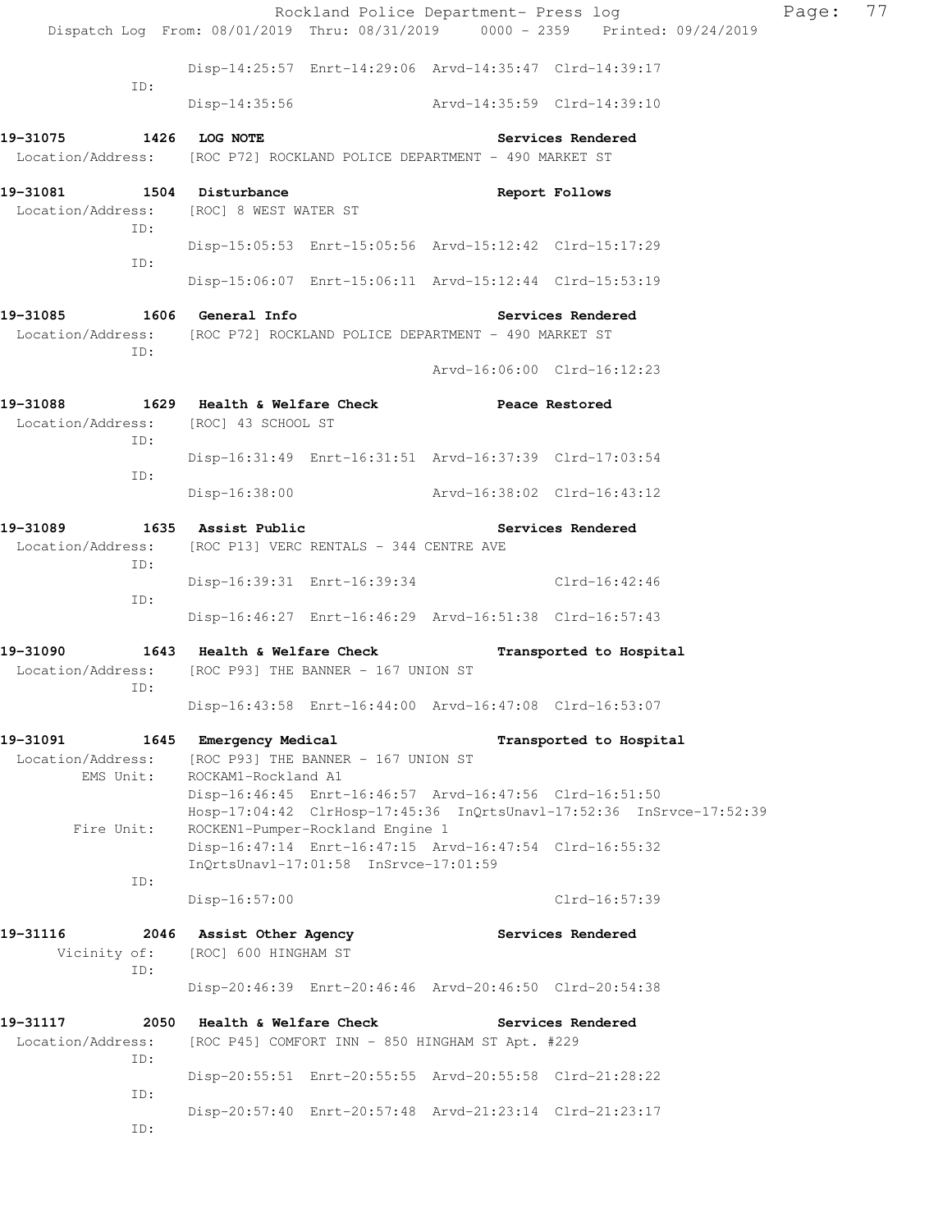|                                                                               |                          |                                         | Rockland Police Department- Press log                   |                                                                                | Page: | 77 |
|-------------------------------------------------------------------------------|--------------------------|-----------------------------------------|---------------------------------------------------------|--------------------------------------------------------------------------------|-------|----|
|                                                                               |                          |                                         |                                                         | Dispatch Log From: 08/01/2019 Thru: 08/31/2019 0000 - 2359 Printed: 09/24/2019 |       |    |
| ID:                                                                           |                          |                                         | Disp-14:25:57 Enrt-14:29:06 Arvd-14:35:47 Clrd-14:39:17 |                                                                                |       |    |
|                                                                               |                          |                                         | Disp-14:35:56 Arvd-14:35:59 Clrd-14:39:10               |                                                                                |       |    |
| 19-31075 1426 LOG NOTE                                                        |                          |                                         |                                                         | Services Rendered                                                              |       |    |
| Location/Address: [ROC P72] ROCKLAND POLICE DEPARTMENT - 490 MARKET ST        |                          |                                         |                                                         |                                                                                |       |    |
| 19-31081 1504 Disturbance                                                     |                          |                                         |                                                         | Report Follows                                                                 |       |    |
| Location/Address:<br>ID:                                                      | [ROC] 8 WEST WATER ST    |                                         |                                                         |                                                                                |       |    |
| ID:                                                                           |                          |                                         | Disp-15:05:53 Enrt-15:05:56 Arvd-15:12:42 Clrd-15:17:29 |                                                                                |       |    |
|                                                                               |                          |                                         | Disp-15:06:07 Enrt-15:06:11 Arvd-15:12:44 Clrd-15:53:19 |                                                                                |       |    |
| 19–31085                                                                      | 1606 General Info        |                                         |                                                         | Services Rendered                                                              |       |    |
| Location/Address: [ROC P72] ROCKLAND POLICE DEPARTMENT - 490 MARKET ST<br>ID: |                          |                                         |                                                         |                                                                                |       |    |
|                                                                               |                          |                                         |                                                         | Arvd-16:06:00 Clrd-16:12:23                                                    |       |    |
| 19-31088                                                                      |                          |                                         | 1629 Health & Welfare Check Nearly Peace Restored       |                                                                                |       |    |
| Location/Address: [ROC] 43 SCHOOL ST<br>ID:                                   |                          |                                         |                                                         |                                                                                |       |    |
| ID:                                                                           |                          |                                         | Disp-16:31:49 Enrt-16:31:51 Arvd-16:37:39 Clrd-17:03:54 |                                                                                |       |    |
|                                                                               |                          |                                         | Disp-16:38:00 Arvd-16:38:02 Clrd-16:43:12               |                                                                                |       |    |
| 19-31089                                                                      | 1635 Assist Public       |                                         |                                                         | Services Rendered                                                              |       |    |
| Location/Address:<br>ID:                                                      |                          | [ROC P13] VERC RENTALS - 344 CENTRE AVE |                                                         |                                                                                |       |    |
| ID:                                                                           |                          |                                         | Disp-16:39:31 Enrt-16:39:34 Clrd-16:42:46               |                                                                                |       |    |
|                                                                               |                          |                                         | Disp-16:46:27 Enrt-16:46:29 Arvd-16:51:38 Clrd-16:57:43 |                                                                                |       |    |
| 19-31090 1643 Health & Welfare Check                                          |                          |                                         |                                                         | Transported to Hospital                                                        |       |    |
| Location/Address: [ROC P93] THE BANNER - 167 UNION ST<br>ID:                  |                          |                                         |                                                         |                                                                                |       |    |
|                                                                               |                          |                                         | Disp-16:43:58 Enrt-16:44:00 Arvd-16:47:08 Clrd-16:53:07 |                                                                                |       |    |
| 19–31091<br>1645                                                              | Emergency Medical        |                                         |                                                         | Transported to Hospital                                                        |       |    |
| Location/Address:<br>EMS Unit:                                                | ROCKAM1-Rockland A1      | [ROC P93] THE BANNER - 167 UNION ST     |                                                         |                                                                                |       |    |
|                                                                               |                          |                                         | Disp-16:46:45 Enrt-16:46:57 Arvd-16:47:56 Clrd-16:51:50 |                                                                                |       |    |
| Fire Unit:                                                                    |                          | ROCKEN1-Pumper-Rockland Engine 1        |                                                         | Hosp-17:04:42 ClrHosp-17:45:36 InQrtsUnavl-17:52:36 InSrvce-17:52:39           |       |    |
|                                                                               |                          |                                         | Disp-16:47:14 Enrt-16:47:15 Arvd-16:47:54 Clrd-16:55:32 |                                                                                |       |    |
| ID:                                                                           |                          | InQrtsUnavl-17:01:58 InSrvce-17:01:59   |                                                         |                                                                                |       |    |
|                                                                               | $Disp-16:57:00$          |                                         |                                                         | Clrd-16:57:39                                                                  |       |    |
| 19-31116                                                                      | 2046 Assist Other Agency |                                         |                                                         | Services Rendered                                                              |       |    |
| Vicinity of:<br>ID:                                                           | [ROC] 600 HINGHAM ST     |                                         |                                                         |                                                                                |       |    |
|                                                                               |                          |                                         | Disp-20:46:39 Enrt-20:46:46 Arvd-20:46:50 Clrd-20:54:38 |                                                                                |       |    |
| 19–31117<br>2050                                                              | Health & Welfare Check   |                                         |                                                         | Services Rendered                                                              |       |    |
| Location/Address:<br>ID:                                                      |                          |                                         | [ROC P45] COMFORT INN - 850 HINGHAM ST Apt. #229        |                                                                                |       |    |
|                                                                               |                          |                                         | Disp-20:55:51 Enrt-20:55:55 Arvd-20:55:58 Clrd-21:28:22 |                                                                                |       |    |
| ID:                                                                           |                          |                                         | Disp-20:57:40 Enrt-20:57:48 Arvd-21:23:14 Clrd-21:23:17 |                                                                                |       |    |
| ID:                                                                           |                          |                                         |                                                         |                                                                                |       |    |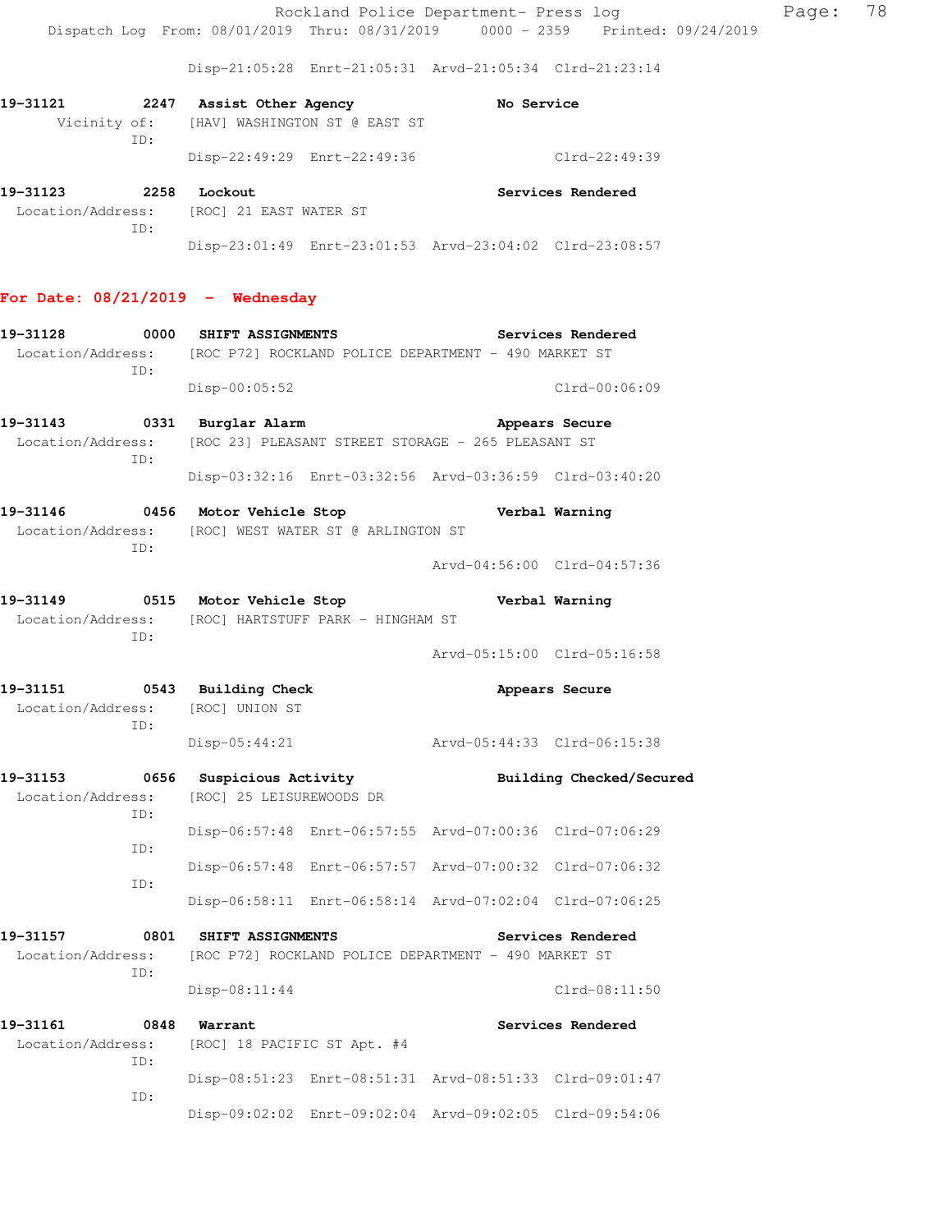Disp-21:05:28 Enrt-21:05:31 Arvd-21:05:34 Clrd-21:23:14

| 19-31121          | TD:  | 2247 Assist Other Agency                 | Vicinity of: [HAV] WASHINGTON ST @ EAST ST | No Service                                              |                   |
|-------------------|------|------------------------------------------|--------------------------------------------|---------------------------------------------------------|-------------------|
|                   |      |                                          | Disp-22:49:29 Enrt-22:49:36                |                                                         | $Clrd-22:49:39$   |
| 19–31123          | 2258 | Lockout                                  |                                            |                                                         | Services Rendered |
|                   | ID:  | Location/Address: [ROC] 21 EAST WATER ST |                                            |                                                         |                   |
|                   |      |                                          |                                            | Disp-23:01:49 Enrt-23:01:53 Arvd-23:04:02 Clrd-23:08:57 |                   |
|                   |      | For Date: $08/21/2019$ - Wednesday       |                                            |                                                         |                   |
| 19-31128          | 0000 | SHIFT ASSIGNMENTS                        |                                            |                                                         | Services Rendered |
| Location/Address: |      |                                          |                                            | [ROC P72] ROCKLAND POLICE DEPARTMENT - 490 MARKET ST    |                   |

 ID: Disp-00:05:52 Clrd-00:06:09

- **19-31143 0331 Burglar Alarm Appears Secure**  Location/Address: [ROC 23] PLEASANT STREET STORAGE - 265 PLEASANT ST ID: Disp-03:32:16 Enrt-03:32:56 Arvd-03:36:59 Clrd-03:40:20
- **19-31146 0456 Motor Vehicle Stop Verbal Warning**  Location/Address: [ROC] WEST WATER ST @ ARLINGTON ST

ID:

Arvd-04:56:00 Clrd-04:57:36

**19-31149 0515 Motor Vehicle Stop Verbal Warning**  Location/Address: [ROC] HARTSTUFF PARK - HINGHAM ST ID:

Arvd-05:15:00 Clrd-05:16:58

- **19-31151 0543 Building Check Appears Secure**  Location/Address: [ROC] UNION ST ID: Disp-05:44:21 Arvd-05:44:33 Clrd-06:15:38
- **19-31153 0656 Suspicious Activity Building Checked/Secured**  Location/Address: [ROC] 25 LEISUREWOODS DR ID: Disp-06:57:48 Enrt-06:57:55 Arvd-07:00:36 Clrd-07:06:29 ID: Disp-06:57:48 Enrt-06:57:57 Arvd-07:00:32 Clrd-07:06:32
- ID: Disp-06:58:11 Enrt-06:58:14 Arvd-07:02:04 Clrd-07:06:25 **19-31157 0801 SHIFT ASSIGNMENTS Services Rendered**
- Location/Address: [ROC P72] ROCKLAND POLICE DEPARTMENT 490 MARKET ST ID: Disp-08:11:44 Clrd-08:11:50
- **19-31161** 0848 Warrant Services Rendered Location/Address: [ROC] 18 PACIFIC ST Apt. #4 ID: Disp-08:51:23 Enrt-08:51:31 Arvd-08:51:33 Clrd-09:01:47 ID: Disp-09:02:02 Enrt-09:02:04 Arvd-09:02:05 Clrd-09:54:06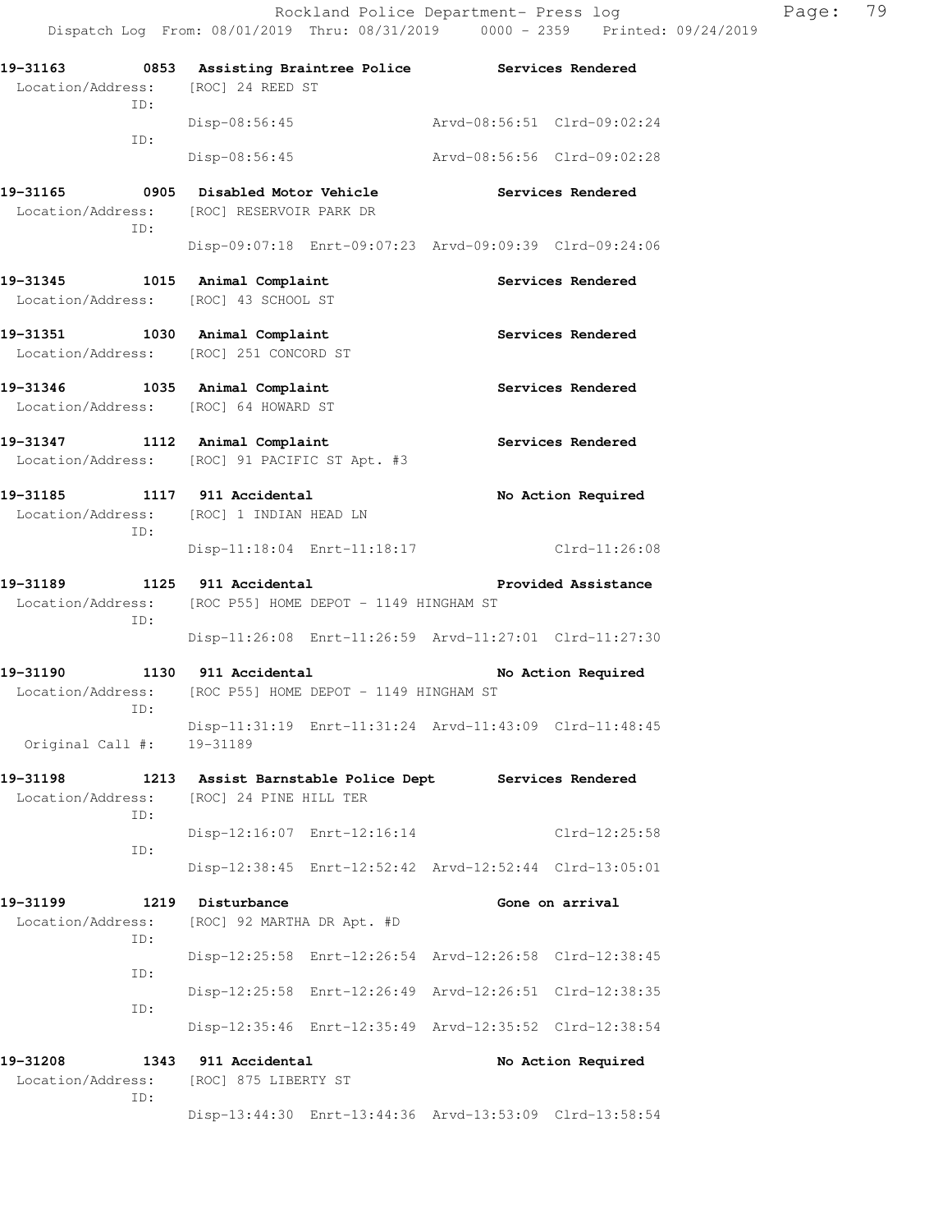| 19-31163                               |      |                                               | 0853 Assisting Braintree Police Services Rendered        |                             |                    |  |
|----------------------------------------|------|-----------------------------------------------|----------------------------------------------------------|-----------------------------|--------------------|--|
|                                        | ID:  | Location/Address: [ROC] 24 REED ST            |                                                          |                             |                    |  |
|                                        | ID:  | Disp-08:56:45                                 |                                                          |                             |                    |  |
|                                        |      | Disp-08:56:45                                 |                                                          | Arvd-08:56:56 Clrd-09:02:28 |                    |  |
| 19-31165 0905 Disabled Motor Vehicle   |      |                                               |                                                          | <b>Services Rendered</b>    |                    |  |
|                                        | ID:  | Location/Address: [ROC] RESERVOIR PARK DR     |                                                          |                             |                    |  |
|                                        |      |                                               | Disp-09:07:18 Enrt-09:07:23 Arvd-09:09:39 Clrd-09:24:06  |                             |                    |  |
| 19-31345 1015 Animal Complaint         |      |                                               |                                                          |                             | Services Rendered  |  |
|                                        |      | Location/Address: [ROC] 43 SCHOOL ST          |                                                          |                             |                    |  |
| 19-31351 1030 Animal Complaint         |      |                                               |                                                          |                             | Services Rendered  |  |
| Location/Address: [ROC] 251 CONCORD ST |      |                                               |                                                          |                             |                    |  |
| 19-31346 1035 Animal Complaint         |      | Location/Address: [ROC] 64 HOWARD ST          |                                                          |                             | Services Rendered  |  |
| 19-31347 1112 Animal Complaint         |      |                                               |                                                          |                             | Services Rendered  |  |
|                                        |      | Location/Address: [ROC] 91 PACIFIC ST Apt. #3 |                                                          |                             |                    |  |
| 19-31185 1117 911 Accidental           |      |                                               |                                                          |                             | No Action Required |  |
|                                        | ID:  | Location/Address: [ROC] 1 INDIAN HEAD LN      |                                                          |                             |                    |  |
|                                        |      |                                               | Disp-11:18:04 Enrt-11:18:17                              |                             | Clrd-11:26:08      |  |
| 19-31189 1125 911 Accidental           |      |                                               |                                                          | Provided Assistance         |                    |  |
|                                        | ID:  |                                               | Location/Address: [ROC P55] HOME DEPOT - 1149 HINGHAM ST |                             |                    |  |
|                                        |      |                                               | Disp-11:26:08 Enrt-11:26:59 Arvd-11:27:01 Clrd-11:27:30  |                             |                    |  |
| 19-31190 1130 911 Accidental           |      |                                               |                                                          |                             | No Action Required |  |
|                                        | ID:  |                                               | Location/Address: [ROC P55] HOME DEPOT - 1149 HINGHAM ST |                             |                    |  |
| Original Call #: 19-31189              |      |                                               | Disp-11:31:19 Enrt-11:31:24 Arvd-11:43:09 Clrd-11:48:45  |                             |                    |  |
|                                        |      |                                               |                                                          |                             |                    |  |
| 19–31198<br>Location/Address:          |      | [ROC] 24 PINE HILL TER                        | 1213 Assist Barnstable Police Dept                       | <b>Services Rendered</b>    |                    |  |
|                                        | ID:  |                                               | Disp-12:16:07 Enrt-12:16:14                              |                             | Clrd-12:25:58      |  |
|                                        | ID:  |                                               | Disp-12:38:45 Enrt-12:52:42 Arvd-12:52:44 Clrd-13:05:01  |                             |                    |  |
| 19–31199                               | 1219 | Disturbance                                   |                                                          |                             | Gone on arrival    |  |
| Location/Address:                      | ID:  | [ROC] 92 MARTHA DR Apt. #D                    |                                                          |                             |                    |  |
|                                        |      |                                               | Disp-12:25:58 Enrt-12:26:54 Arvd-12:26:58 Clrd-12:38:45  |                             |                    |  |
|                                        | ID:  |                                               | Disp-12:25:58 Enrt-12:26:49 Arvd-12:26:51 Clrd-12:38:35  |                             |                    |  |
|                                        | ID:  |                                               | Disp-12:35:46 Enrt-12:35:49 Arvd-12:35:52 Clrd-12:38:54  |                             |                    |  |
| 19-31208                               |      | 1343 911 Accidental                           |                                                          |                             | No Action Required |  |
| Location/Address:                      |      | [ROC] 875 LIBERTY ST                          |                                                          |                             |                    |  |
|                                        | ID:  |                                               | Disp-13:44:30 Enrt-13:44:36 Arvd-13:53:09 Clrd-13:58:54  |                             |                    |  |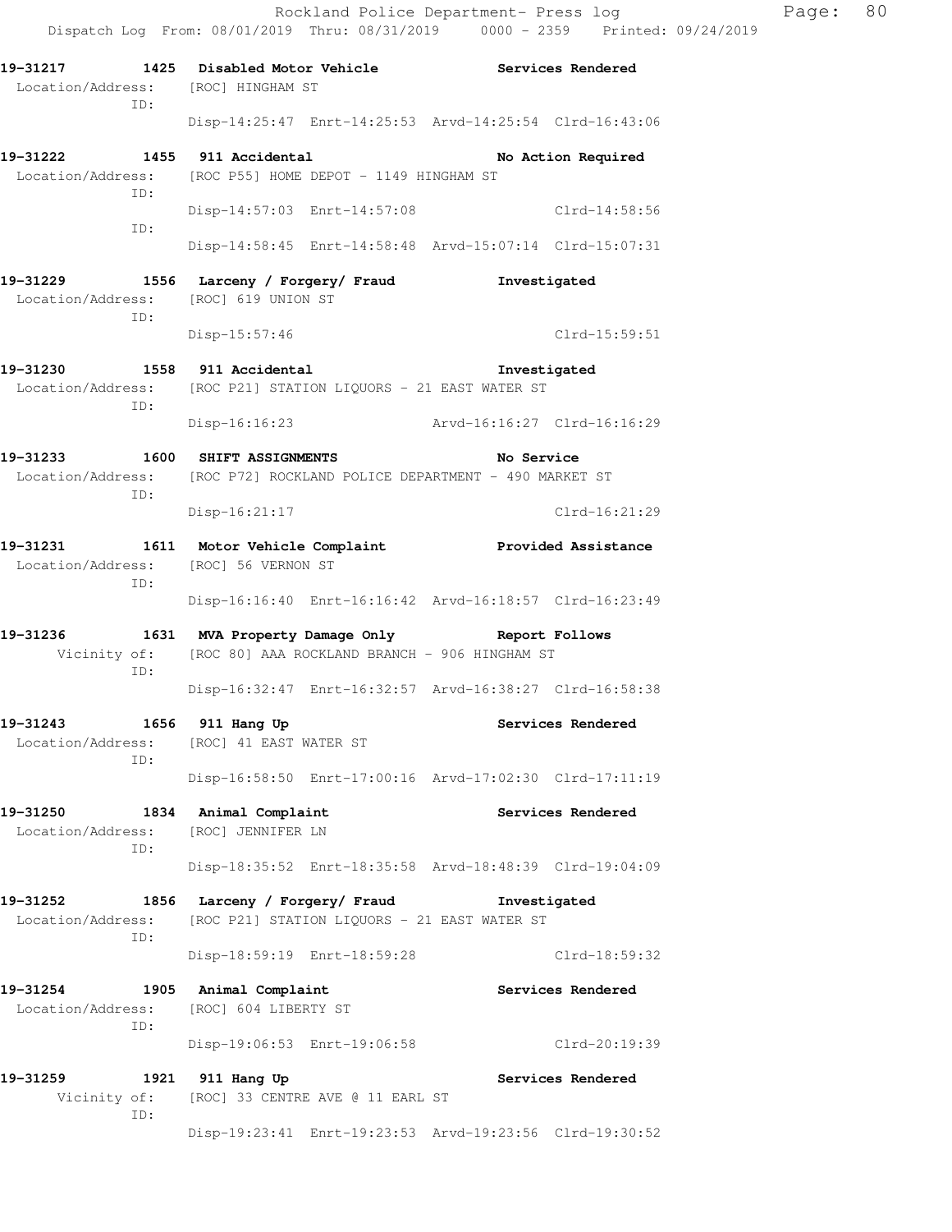| 19-31217 1425 Disabled Motor Vehicle<br>Location/Address: [ROC] HINGHAM ST<br>ID:                                |                                                                                             |                                                                                |                             | Services Rendered |  |  |
|------------------------------------------------------------------------------------------------------------------|---------------------------------------------------------------------------------------------|--------------------------------------------------------------------------------|-----------------------------|-------------------|--|--|
|                                                                                                                  | Disp-14:25:47 Enrt-14:25:53 Arvd-14:25:54 Clrd-16:43:06                                     |                                                                                |                             |                   |  |  |
| 19-31222<br>ID:                                                                                                  | 1455 911 Accidental                                                                         | No Action Required<br>Location/Address: [ROC P55] HOME DEPOT - 1149 HINGHAM ST |                             |                   |  |  |
|                                                                                                                  | Disp-14:57:03 Enrt-14:57:08                                                                 |                                                                                |                             | Clrd-14:58:56     |  |  |
| ID:                                                                                                              | Disp-14:58:45 Enrt-14:58:48 Arvd-15:07:14 Clrd-15:07:31                                     |                                                                                |                             |                   |  |  |
| 19-31229 1556 Larceny / Forgery/ Fraud<br>Location/Address: [ROC] 619 UNION ST                                   |                                                                                             |                                                                                | Investigated                |                   |  |  |
| ID:                                                                                                              | Disp-15:57:46                                                                               |                                                                                |                             | $Clrd-15:59:51$   |  |  |
| 19-31230<br>Location/Address: [ROC P21] STATION LIQUORS - 21 EAST WATER ST<br>ID:                                | 1558 911 Accidental                                                                         |                                                                                | Investigated                |                   |  |  |
|                                                                                                                  | Disp-16:16:23                                                                               |                                                                                | Arvd-16:16:27 Clrd-16:16:29 |                   |  |  |
| 19-31233 1600 SHIFT ASSIGNMENTS<br>Location/Address: [ROC P72] ROCKLAND POLICE DEPARTMENT - 490 MARKET ST<br>ID: |                                                                                             |                                                                                | No Service                  |                   |  |  |
|                                                                                                                  | Disp-16:21:17                                                                               |                                                                                |                             | Clrd-16:21:29     |  |  |
| 19-31231<br>Location/Address: [ROC] 56 VERNON ST<br>ID:                                                          | 1611 Motor Vehicle Complaint                                                                |                                                                                | Provided Assistance         |                   |  |  |
|                                                                                                                  | Disp-16:16:40 Enrt-16:16:42 Arvd-16:18:57 Clrd-16:23:49                                     |                                                                                |                             |                   |  |  |
| 19-31236<br>ID:                                                                                                  | 1631 MVA Property Damage Only<br>Vicinity of: [ROC 80] AAA ROCKLAND BRANCH - 906 HINGHAM ST |                                                                                |                             | Report Follows    |  |  |
|                                                                                                                  | Disp-16:32:47 Enrt-16:32:57 Arvd-16:38:27 Clrd-16:58:38                                     |                                                                                |                             |                   |  |  |
| 19-31243 1656 911 Hang Up<br>Location/Address: [ROC] 41 EAST WATER ST<br>ID:                                     |                                                                                             |                                                                                |                             | Services Rendered |  |  |
|                                                                                                                  | Disp-16:58:50 Enrt-17:00:16 Arvd-17:02:30 Clrd-17:11:19                                     |                                                                                |                             |                   |  |  |
| 19-31250<br>Location/Address: [ROC] JENNIFER LN<br>TD:                                                           | 1834 Animal Complaint                                                                       |                                                                                |                             | Services Rendered |  |  |
|                                                                                                                  | Disp-18:35:52 Enrt-18:35:58 Arvd-18:48:39 Clrd-19:04:09                                     |                                                                                |                             |                   |  |  |
| 19-31252<br>Location/Address:<br>ID:                                                                             | 1856 Larceny / Forgery/ Fraud<br>[ROC P21] STATION LIQUORS - 21 EAST WATER ST               |                                                                                | Investigated                |                   |  |  |
|                                                                                                                  | Disp-18:59:19 Enrt-18:59:28                                                                 |                                                                                |                             | Clrd-18:59:32     |  |  |
| 19-31254<br>Location/Address: [ROC] 604 LIBERTY ST<br>ID:                                                        | 1905 Animal Complaint                                                                       |                                                                                |                             | Services Rendered |  |  |
|                                                                                                                  | Disp-19:06:53 Enrt-19:06:58                                                                 |                                                                                |                             | Clrd-20:19:39     |  |  |
| 19-31259<br>Vicinity of:                                                                                         | 1921 911 Hang Up<br>[ROC] 33 CENTRE AVE @ 11 EARL ST                                        |                                                                                |                             | Services Rendered |  |  |
| ID:                                                                                                              | Disp-19:23:41 Enrt-19:23:53 Arvd-19:23:56 Clrd-19:30:52                                     |                                                                                |                             |                   |  |  |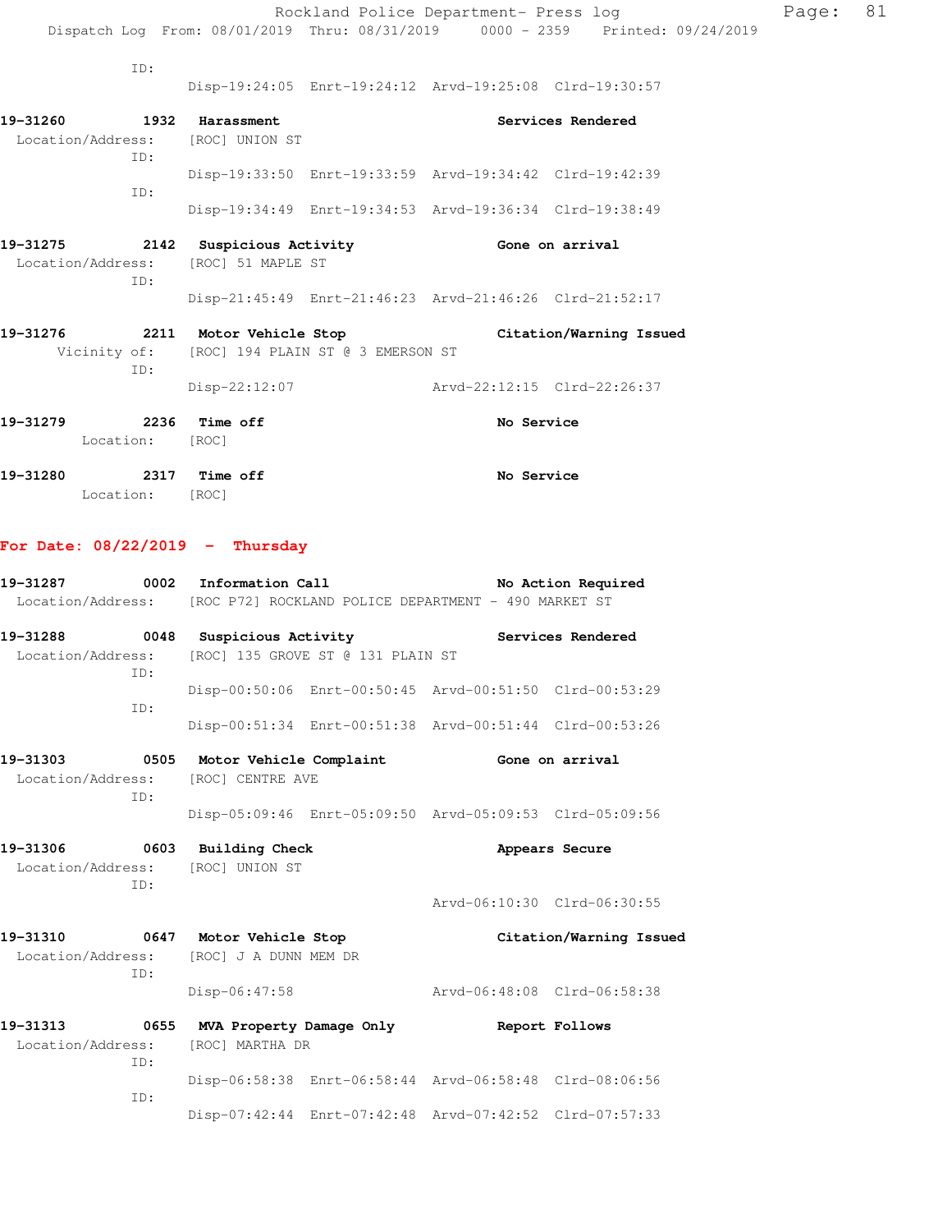| 19-31280                                   | 2317 Time off                                                             |                                                         | No Service                  |                                                                                |          |  |
|--------------------------------------------|---------------------------------------------------------------------------|---------------------------------------------------------|-----------------------------|--------------------------------------------------------------------------------|----------|--|
| Location: [ROC]                            |                                                                           |                                                         |                             |                                                                                |          |  |
| 19-31279                                   | 2236   Time off                                                           |                                                         | No Service                  |                                                                                |          |  |
|                                            | $Disp-22:12:07$                                                           |                                                         | Arvd-22:12:15 Clrd-22:26:37 |                                                                                |          |  |
| TD:                                        |                                                                           |                                                         |                             |                                                                                |          |  |
| 19-31276                                   | 2211 Motor Vehicle Stop<br>Vicinity of: [ROC] 194 PLAIN ST @ 3 EMERSON ST |                                                         |                             | Citation/Warning Issued                                                        |          |  |
|                                            |                                                                           |                                                         |                             |                                                                                |          |  |
|                                            |                                                                           | Disp-21:45:49 Enrt-21:46:23 Arvd-21:46:26 Clrd-21:52:17 |                             |                                                                                |          |  |
| Location/Address: [ROC] 51 MAPLE ST<br>TD: |                                                                           |                                                         |                             |                                                                                |          |  |
| 19-31275 2142 Suspicious Activity          |                                                                           |                                                         | Gone on arrival             |                                                                                |          |  |
|                                            |                                                                           |                                                         |                             |                                                                                |          |  |
| ID:                                        |                                                                           | Disp-19:34:49 Enrt-19:34:53 Arvd-19:36:34 Clrd-19:38:49 |                             |                                                                                |          |  |
|                                            |                                                                           | Disp-19:33:50 Enrt-19:33:59 Arvd-19:34:42 Clrd-19:42:39 |                             |                                                                                |          |  |
| Location/Address:<br>ID:                   | [ROC] UNION ST                                                            |                                                         |                             |                                                                                |          |  |
| 19-31260                                   | 1932 Harassment                                                           |                                                         |                             | Services Rendered                                                              |          |  |
|                                            |                                                                           | Disp-19:24:05 Enrt-19:24:12 Arvd-19:25:08 Clrd-19:30:57 |                             |                                                                                |          |  |
| TD:                                        |                                                                           |                                                         |                             |                                                                                |          |  |
|                                            |                                                                           |                                                         |                             |                                                                                |          |  |
|                                            |                                                                           |                                                         |                             | Dispatch Log From: 08/01/2019 Thru: 08/31/2019 0000 - 2359 Printed: 09/24/2019 |          |  |
|                                            |                                                                           |                                                         |                             | Rockland Police Department- Press log                                          | Page: 81 |  |

Location: [ROC]

## **For Date: 08/22/2019 - Thursday**

|          |                                                                         | 19-31287 0002 Information Call                                     |                                                     | No Action Required<br>Location/Address: [ROC P72] ROCKLAND POLICE DEPARTMENT - 490 MARKET ST |                         |  |
|----------|-------------------------------------------------------------------------|--------------------------------------------------------------------|-----------------------------------------------------|----------------------------------------------------------------------------------------------|-------------------------|--|
|          |                                                                         | 19-31288 0048 Suspicious Activity                                  |                                                     | <b>Services Rendered</b>                                                                     |                         |  |
|          | ID:                                                                     |                                                                    | Location/Address: [ROC] 135 GROVE ST @ 131 PLAIN ST |                                                                                              |                         |  |
|          | TD:                                                                     |                                                                    |                                                     | Disp-00:50:06 Enrt-00:50:45 Arvd-00:51:50 Clrd-00:53:29                                      |                         |  |
|          |                                                                         |                                                                    |                                                     | Disp-00:51:34 Enrt-00:51:38 Arvd-00:51:44 Clrd-00:53:26                                      |                         |  |
|          | ID:                                                                     | Location/Address: [ROC] CENTRE AVE                                 |                                                     | 19-31303 0505 Motor Vehicle Complaint 6one on arrival                                        |                         |  |
|          |                                                                         |                                                                    |                                                     | Disp-05:09:46 Enrt-05:09:50 Arvd-05:09:53 Clrd-05:09:56                                      |                         |  |
|          | 19-31306 0603 Building Check<br>Location/Address: [ROC] UNION ST<br>TD: |                                                                    |                                                     |                                                                                              | Appears Secure          |  |
|          |                                                                         |                                                                    |                                                     | Arvd-06:10:30 Clrd-06:30:55                                                                  |                         |  |
| 19-31310 | ID:                                                                     | 0647 Motor Vehicle Stop<br>Location/Address: [ROC] J A DUNN MEM DR |                                                     |                                                                                              | Citation/Warning Issued |  |
|          |                                                                         | Disp-06:47:58                                                      |                                                     | Arvd-06:48:08 Clrd-06:58:38                                                                  |                         |  |
|          |                                                                         |                                                                    | 19-31313 0655 MVA Property Damage Only              | Report Follows                                                                               |                         |  |
|          | TD:                                                                     | Location/Address: [ROC] MARTHA DR                                  |                                                     |                                                                                              |                         |  |
|          | TD:                                                                     |                                                                    |                                                     | Disp-06:58:38 Enrt-06:58:44 Arvd-06:58:48 Clrd-08:06:56                                      |                         |  |
|          |                                                                         |                                                                    |                                                     | Disp-07:42:44 Enrt-07:42:48 Arvd-07:42:52 Clrd-07:57:33                                      |                         |  |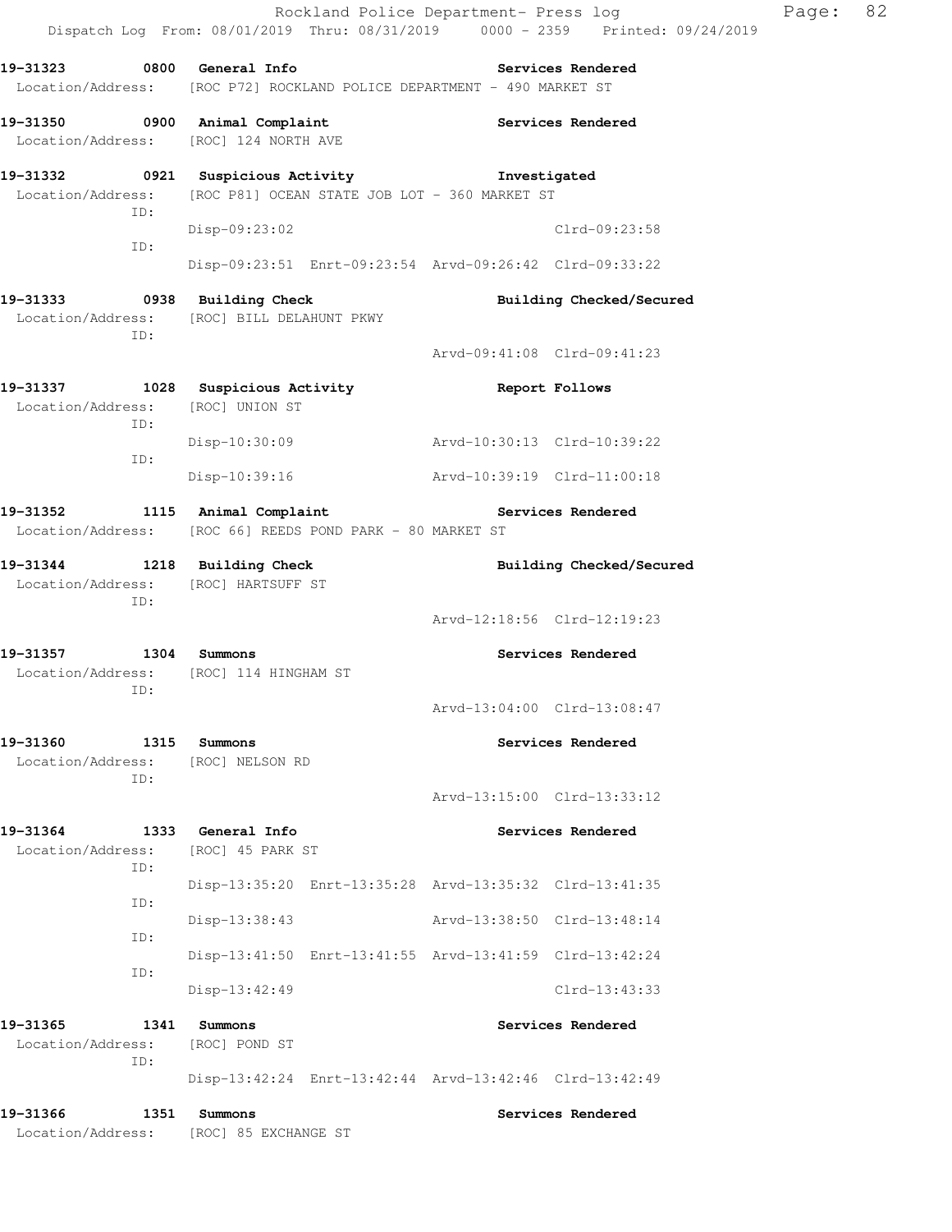|                                                                            |                                                                                                                   | Rockland Police Department- Press log<br>Dispatch Log From: 08/01/2019 Thru: 08/31/2019 0000 - 2359 Printed: 09/24/2019 | Page: | 82 |
|----------------------------------------------------------------------------|-------------------------------------------------------------------------------------------------------------------|-------------------------------------------------------------------------------------------------------------------------|-------|----|
| 19-31323 0800 General Info                                                 | Location/Address: [ROC P72] ROCKLAND POLICE DEPARTMENT - 490 MARKET ST                                            | Services Rendered                                                                                                       |       |    |
| Location/Address: [ROC] 124 NORTH AVE                                      | 19-31350 0900 Animal Complaint                                                                                    | Services Rendered                                                                                                       |       |    |
| ID:                                                                        | 19-31332 0921 Suspicious Activity 1nvestigated<br>Location/Address: [ROC P81] OCEAN STATE JOB LOT - 360 MARKET ST |                                                                                                                         |       |    |
| ID:                                                                        | Disp-09:23:02                                                                                                     | Clrd-09:23:58                                                                                                           |       |    |
|                                                                            | 19-31333 0938 Building Check                                                                                      | Disp-09:23:51 Enrt-09:23:54 Arvd-09:26:42 Clrd-09:33:22<br>Building Checked/Secured                                     |       |    |
| ID:                                                                        | Location/Address: [ROC] BILL DELAHUNT PKWY                                                                        | Arvd-09:41:08 Clrd-09:41:23                                                                                             |       |    |
| Location/Address: [ROC] UNION ST                                           | 19-31337 1028 Suspicious Activity                                                                                 | Report Follows                                                                                                          |       |    |
| ID:<br>ID:                                                                 | $Disp-10:30:09$                                                                                                   | Arvd-10:30:13 Clrd-10:39:22                                                                                             |       |    |
| 19-31352 1115 Animal Complaint                                             | Disp-10:39:16<br>Location/Address: [ROC 66] REEDS POND PARK - 80 MARKET ST                                        | Arvd-10:39:19 Clrd-11:00:18<br>Services Rendered                                                                        |       |    |
| 19-31344 1218 Building Check<br>Location/Address: [ROC] HARTSUFF ST<br>ID: |                                                                                                                   | Building Checked/Secured                                                                                                |       |    |
| 19-31357 1304 Summons                                                      | Location/Address: [ROC] 114 HINGHAM ST                                                                            | Arvd-12:18:56 Clrd-12:19:23<br>Services Rendered                                                                        |       |    |
| ID:                                                                        |                                                                                                                   | Arvd-13:04:00 Clrd-13:08:47                                                                                             |       |    |
| 19-31360<br>1315<br>Location/Address:<br>ID:                               | Summons<br>[ROC] NELSON RD                                                                                        | Services Rendered                                                                                                       |       |    |
|                                                                            |                                                                                                                   | Arvd-13:15:00 Clrd-13:33:12                                                                                             |       |    |
| 19-31364<br>Location/Address:<br>ID:                                       | 1333 General Info<br>[ROC] 45 PARK ST                                                                             | Services Rendered                                                                                                       |       |    |
| ID:                                                                        |                                                                                                                   | Disp-13:35:20 Enrt-13:35:28 Arvd-13:35:32 Clrd-13:41:35                                                                 |       |    |
| ID:                                                                        | $Disp-13:38:43$                                                                                                   | Arvd-13:38:50 Clrd-13:48:14                                                                                             |       |    |
| ID:                                                                        |                                                                                                                   | Disp-13:41:50 Enrt-13:41:55 Arvd-13:41:59 Clrd-13:42:24                                                                 |       |    |
|                                                                            | $Disp-13:42:49$                                                                                                   | $Clrd-13:43:33$                                                                                                         |       |    |
| 19-31365<br>1341<br>Location/Address:<br>ID:                               | Summons<br>[ROC] POND ST                                                                                          | Services Rendered                                                                                                       |       |    |
|                                                                            |                                                                                                                   | Disp-13:42:24 Enrt-13:42:44 Arvd-13:42:46 Clrd-13:42:49                                                                 |       |    |
| 19–31366<br>1351<br>Location/Address:                                      | Summons<br>[ROC] 85 EXCHANGE ST                                                                                   | Services Rendered                                                                                                       |       |    |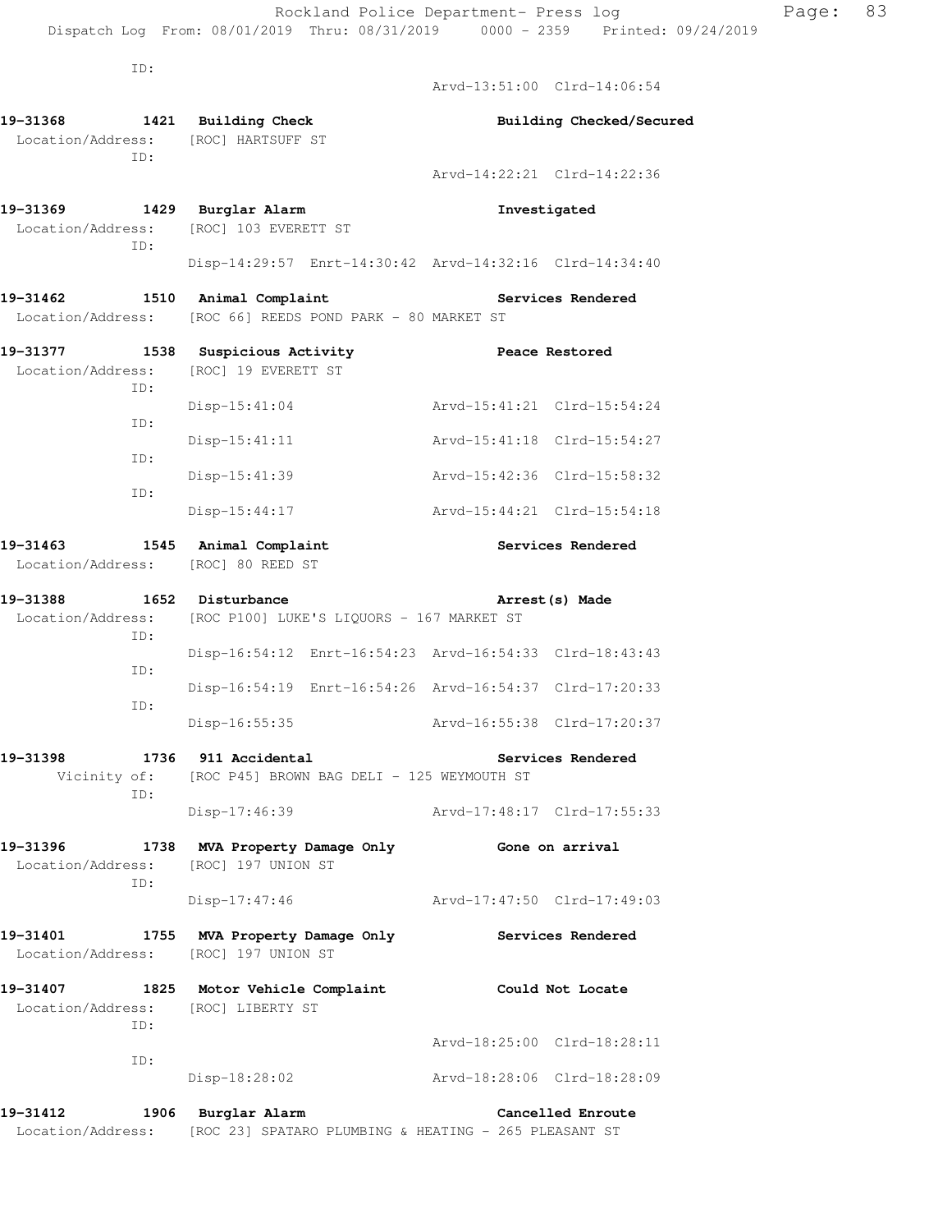Arvd-13:51:00 Clrd-14:06:54

ID:

19-31368 1421 Building Check **Building Checked/Secured**  Location/Address: [ROC] HARTSUFF ST ID: Arvd-14:22:21 Clrd-14:22:36 **19-31369 1429 Burglar Alarm Investigated**  Location/Address: [ROC] 103 EVERETT ST ID: Disp-14:29:57 Enrt-14:30:42 Arvd-14:32:16 Clrd-14:34:40 **19-31462 1510 Animal Complaint Services Rendered**  Location/Address: [ROC 66] REEDS POND PARK - 80 MARKET ST **19-31377 1538 Suspicious Activity Peace Restored**  Location/Address: [ROC] 19 EVERETT ST ID: Disp-15:41:04 Arvd-15:41:21 Clrd-15:54:24 ID: Disp-15:41:11 Arvd-15:41:18 Clrd-15:54:27 ID: Disp-15:41:39 Arvd-15:42:36 Clrd-15:58:32 ID: Disp-15:44:17 Arvd-15:44:21 Clrd-15:54:18 **19-31463 1545 Animal Complaint Services Rendered**  Location/Address: [ROC] 80 REED ST 19-31388 1652 Disturbance **19-31388** 1652 Disturbance Location/Address: [ROC P100] LUKE'S LIQUORS - 167 MARKET ST ID: Disp-16:54:12 Enrt-16:54:23 Arvd-16:54:33 Clrd-18:43:43 ID: Disp-16:54:19 Enrt-16:54:26 Arvd-16:54:37 Clrd-17:20:33 ID: Disp-16:55:35 Arvd-16:55:38 Clrd-17:20:37 19-31398 1736 911 Accidental **19-31398** Services Rendered Vicinity of: [ROC P45] BROWN BAG DELI - 125 WEYMOUTH ST ID: Disp-17:46:39 Arvd-17:48:17 Clrd-17:55:33 **19-31396 1738 MVA Property Damage Only Gone on arrival**  Location/Address: [ROC] 197 UNION ST ID: Disp-17:47:46 Arvd-17:47:50 Clrd-17:49:03 **19-31401 1755 MVA Property Damage Only Services Rendered**  Location/Address: [ROC] 197 UNION ST **19-31407 1825 Motor Vehicle Complaint Could Not Locate**  Location/Address: [ROC] LIBERTY ST ID: Arvd-18:25:00 Clrd-18:28:11 ID: Disp-18:28:02 Arvd-18:28:06 Clrd-18:28:09

**19-31412 1906 Burglar Alarm Cancelled Enroute**  Location/Address: [ROC 23] SPATARO PLUMBING & HEATING - 265 PLEASANT ST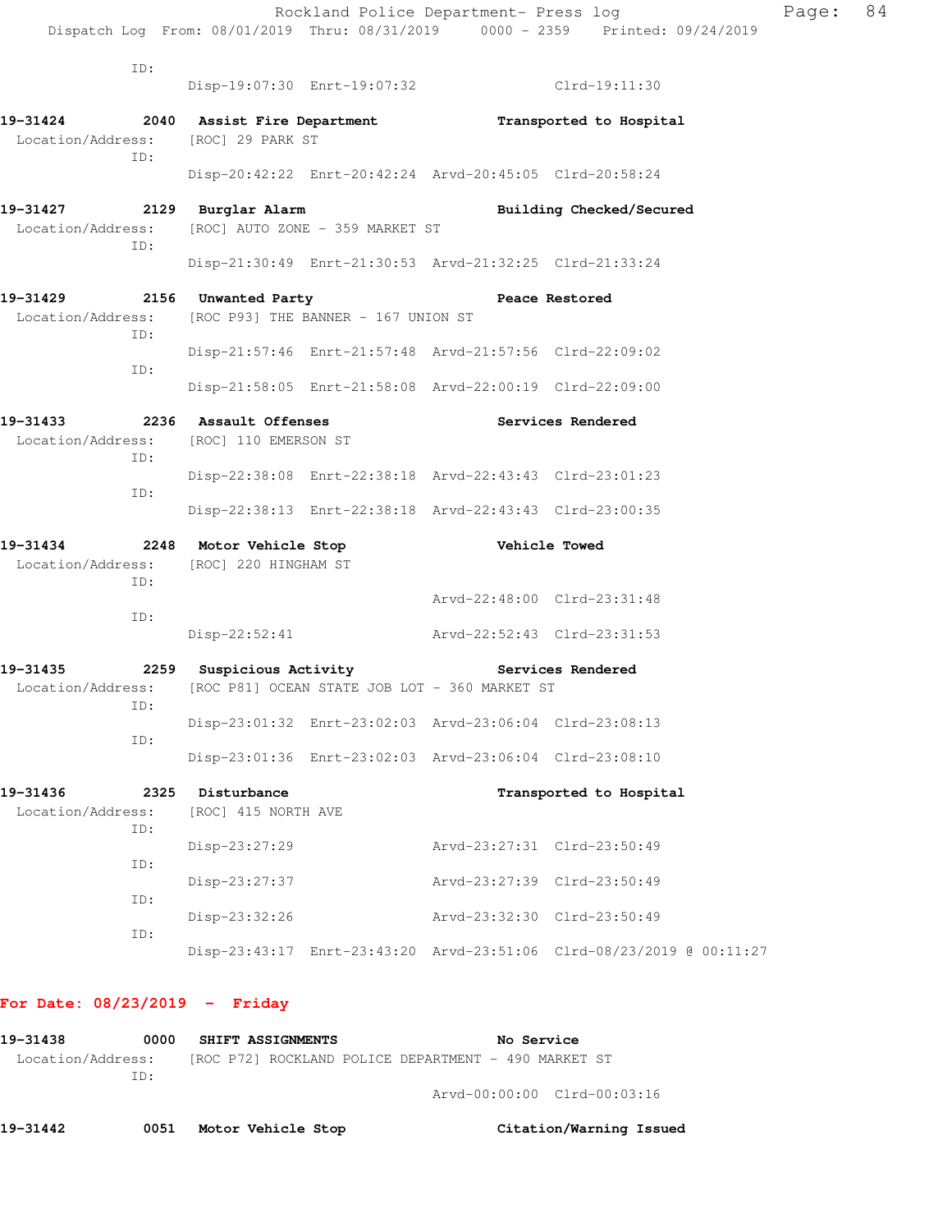| ID:                                                                                                                                    |                                    |                                                         |                             |                                                                      |
|----------------------------------------------------------------------------------------------------------------------------------------|------------------------------------|---------------------------------------------------------|-----------------------------|----------------------------------------------------------------------|
|                                                                                                                                        |                                    | Disp-19:07:30 Enrt-19:07:32 Clrd-19:11:30               |                             |                                                                      |
| 19-31424 2040 Assist Fire Department Transported to Hospital<br>Location/Address: [ROC] 29 PARK ST<br>TD:                              |                                    |                                                         |                             |                                                                      |
|                                                                                                                                        |                                    | Disp-20:42:22 Enrt-20:42:24 Arvd-20:45:05 Clrd-20:58:24 |                             |                                                                      |
| 19-31427 2129 Burglar Alarm<br>Location/Address:<br>ID:                                                                                |                                    | [ROC] AUTO ZONE - 359 MARKET ST                         |                             | Building Checked/Secured                                             |
|                                                                                                                                        |                                    | Disp-21:30:49 Enrt-21:30:53 Arvd-21:32:25 Clrd-21:33:24 |                             |                                                                      |
| 19-31429 2156 Unwanted Party<br>Location/Address: [ROC P93] THE BANNER - 167 UNION ST<br>ID:                                           |                                    |                                                         | Peace Restored              |                                                                      |
| ID:                                                                                                                                    |                                    | Disp-21:57:46 Enrt-21:57:48 Arvd-21:57:56 Clrd-22:09:02 |                             |                                                                      |
|                                                                                                                                        |                                    | Disp-21:58:05 Enrt-21:58:08 Arvd-22:00:19 Clrd-22:09:00 |                             |                                                                      |
| 19-31433 2236 Assault Offenses<br>Location/Address: [ROC] 110 EMERSON ST<br>ID:                                                        |                                    |                                                         |                             | <b>Services Rendered</b>                                             |
| ID:                                                                                                                                    |                                    | Disp-22:38:08 Enrt-22:38:18 Arvd-22:43:43 Clrd-23:01:23 |                             |                                                                      |
|                                                                                                                                        |                                    | Disp-22:38:13 Enrt-22:38:18 Arvd-22:43:43 Clrd-23:00:35 |                             |                                                                      |
| 19-31434 2248 Motor Vehicle Stop<br>Location/Address: [ROC] 220 HINGHAM ST<br>ID:                                                      |                                    |                                                         | <b>Vehicle Towed</b>        |                                                                      |
| ID:                                                                                                                                    |                                    |                                                         | Arvd-22:48:00 Clrd-23:31:48 |                                                                      |
|                                                                                                                                        | Disp-22:52:41                      |                                                         | Arvd-22:52:43 Clrd-23:31:53 |                                                                      |
| 19-31435 2259 Suspicious Activity Contract Services Rendered<br>Location/Address: [ROC P81] OCEAN STATE JOB LOT - 360 MARKET ST<br>ID: |                                    |                                                         |                             |                                                                      |
| ID:                                                                                                                                    |                                    | Disp-23:01:32 Enrt-23:02:03 Arvd-23:06:04 Clrd-23:08:13 |                             |                                                                      |
|                                                                                                                                        |                                    | Disp-23:01:36 Enrt-23:02:03 Arvd-23:06:04 Clrd-23:08:10 |                             |                                                                      |
| 19-31436<br>2325<br>Location/Address:<br>ID:                                                                                           | Disturbance<br>[ROC] 415 NORTH AVE |                                                         |                             | Transported to Hospital                                              |
| ID:                                                                                                                                    | Disp-23:27:29                      |                                                         |                             | Arvd-23:27:31 Clrd-23:50:49                                          |
| ID:                                                                                                                                    | Disp-23:27:37                      |                                                         |                             | Arvd-23:27:39 Clrd-23:50:49                                          |
| ID:                                                                                                                                    | Disp-23:32:26                      |                                                         |                             | Arvd-23:32:30 Clrd-23:50:49                                          |
|                                                                                                                                        |                                    |                                                         |                             | Disp-23:43:17 Enrt-23:43:20 Arvd-23:51:06 Clrd-08/23/2019 @ 00:11:27 |

## **For Date: 08/23/2019 - Friday**

| 19-31438          | 0000 | <b>SHIFT ASSIGNMENTS</b> | No Service                                           |
|-------------------|------|--------------------------|------------------------------------------------------|
| Location/Address: |      |                          | [ROC P72] ROCKLAND POLICE DEPARTMENT - 490 MARKET ST |
|                   | TD:  |                          | Arvd-00:00:00 Clrd-00:03:16                          |
| 19-31442          | 0051 | Motor Vehicle Stop       | Citation/Warning Issued                              |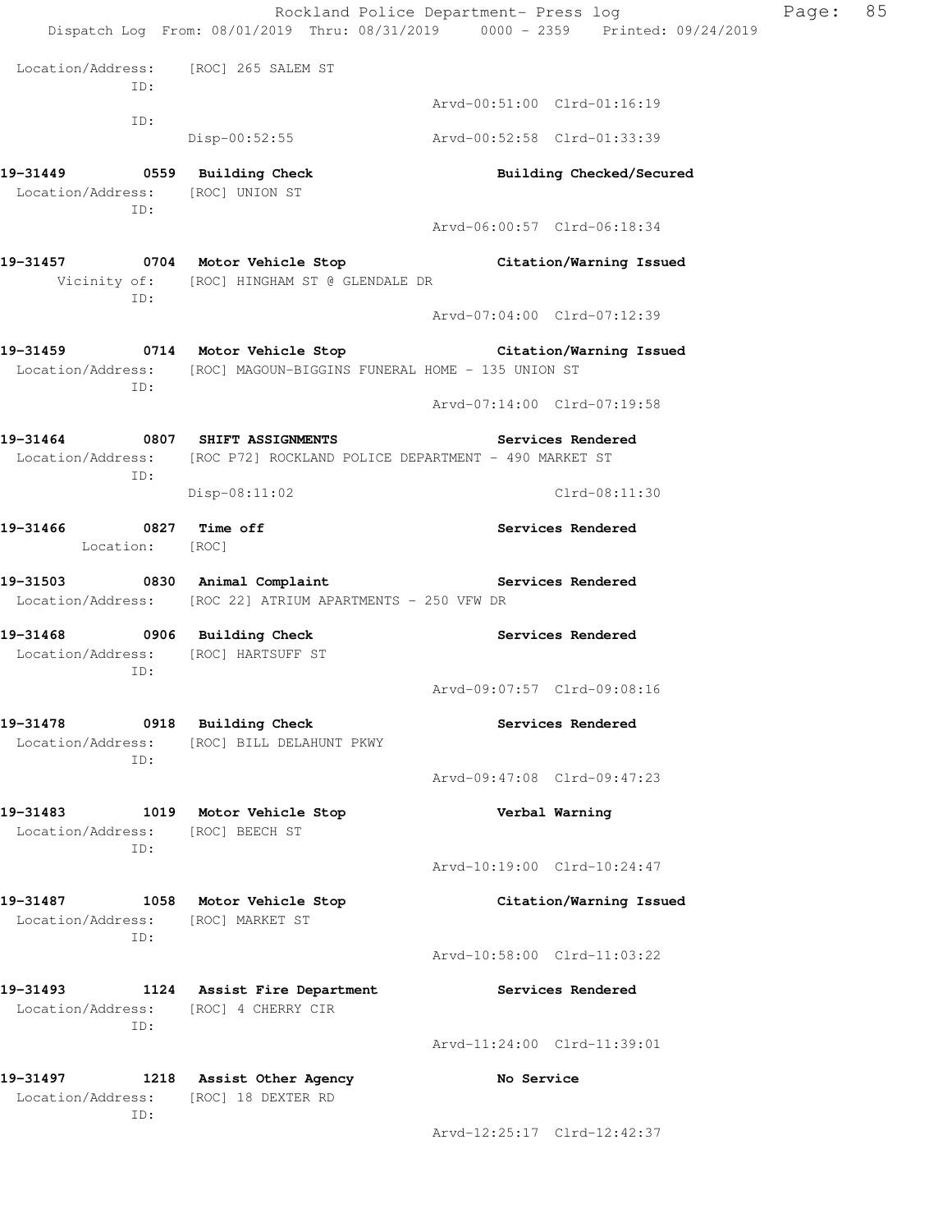|                                                  |                                                                   | Rockland Police Department- Press log<br>Dispatch Log From: 08/01/2019 Thru: 08/31/2019   0000 - 2359   Printed: 09/24/2019                   | Page: | 85 |
|--------------------------------------------------|-------------------------------------------------------------------|-----------------------------------------------------------------------------------------------------------------------------------------------|-------|----|
| Location/Address: [ROC] 265 SALEM ST             |                                                                   |                                                                                                                                               |       |    |
| ID:                                              |                                                                   | Arvd-00:51:00 Clrd-01:16:19                                                                                                                   |       |    |
| ID:                                              | Disp-00:52:55                                                     | Arvd-00:52:58 Clrd-01:33:39                                                                                                                   |       |    |
|                                                  |                                                                   | Building Checked/Secured                                                                                                                      |       |    |
| Location/Address: [ROC] UNION ST<br>ID:          |                                                                   |                                                                                                                                               |       |    |
|                                                  |                                                                   | Arvd-06:00:57 Clrd-06:18:34                                                                                                                   |       |    |
| ID:                                              | Vicinity of: [ROC] HINGHAM ST @ GLENDALE DR                       | Citation/Warning Issued                                                                                                                       |       |    |
|                                                  |                                                                   | Arvd-07:04:00 Clrd-07:12:39                                                                                                                   |       |    |
|                                                  |                                                                   | 19-31459      0714  Motor Vehicle Stop          Citation/Warning Issued<br>Location/Address: [ROC] MAGOUN-BIGGINS FUNERAL HOME - 135 UNION ST |       |    |
| ID:                                              |                                                                   | Arvd-07:14:00 Clrd-07:19:58                                                                                                                   |       |    |
| 19-31464 0807 SHIFT ASSIGNMENTS                  |                                                                   | Services Rendered<br>Location/Address: [ROC P72] ROCKLAND POLICE DEPARTMENT - 490 MARKET ST                                                   |       |    |
| ID:                                              | Disp-08:11:02                                                     | Clrd-08:11:30                                                                                                                                 |       |    |
| 19-31466 0827 Time off<br>Location:              | [ROC]                                                             | Services Rendered                                                                                                                             |       |    |
|                                                  | Location/Address: [ROC 22] ATRIUM APARTMENTS - 250 VFW DR         | 19-31503 0830 Animal Complaint 19-31503 Rendered                                                                                              |       |    |
| Location/Address: [ROC] HARTSUFF ST              | 19-31468 0906 Building Check                                      |                                                                                                                                               |       |    |
| ID:                                              |                                                                   | Arvd-09:07:57 Clrd-09:08:16                                                                                                                   |       |    |
| 19-31478                                         | 0918 Building Check<br>Location/Address: [ROC] BILL DELAHUNT PKWY | Services Rendered                                                                                                                             |       |    |
| ID:                                              |                                                                   | Arvd-09:47:08 Clrd-09:47:23                                                                                                                   |       |    |
| Location/Address: [ROC] BEECH ST                 |                                                                   | Verbal Warning                                                                                                                                |       |    |
| ID:                                              |                                                                   | Arvd-10:19:00 Clrd-10:24:47                                                                                                                   |       |    |
| 19-31487<br>Location/Address:                    | 1058 Motor Vehicle Stop<br>[ROC] MARKET ST                        | Citation/Warning Issued                                                                                                                       |       |    |
| ID:                                              |                                                                   | Arvd-10:58:00 Clrd-11:03:22                                                                                                                   |       |    |
| 19–31493<br>Location/Address: [ROC] 4 CHERRY CIR | 1124 Assist Fire Department                                       | Services Rendered                                                                                                                             |       |    |
| ID:                                              |                                                                   | Arvd-11:24:00 Clrd-11:39:01                                                                                                                   |       |    |
| 19-31497<br>Location/Address:                    | 1218 Assist Other Agency<br>[ROC] 18 DEXTER RD                    | No Service                                                                                                                                    |       |    |
| ID:                                              |                                                                   | Arvd-12:25:17 Clrd-12:42:37                                                                                                                   |       |    |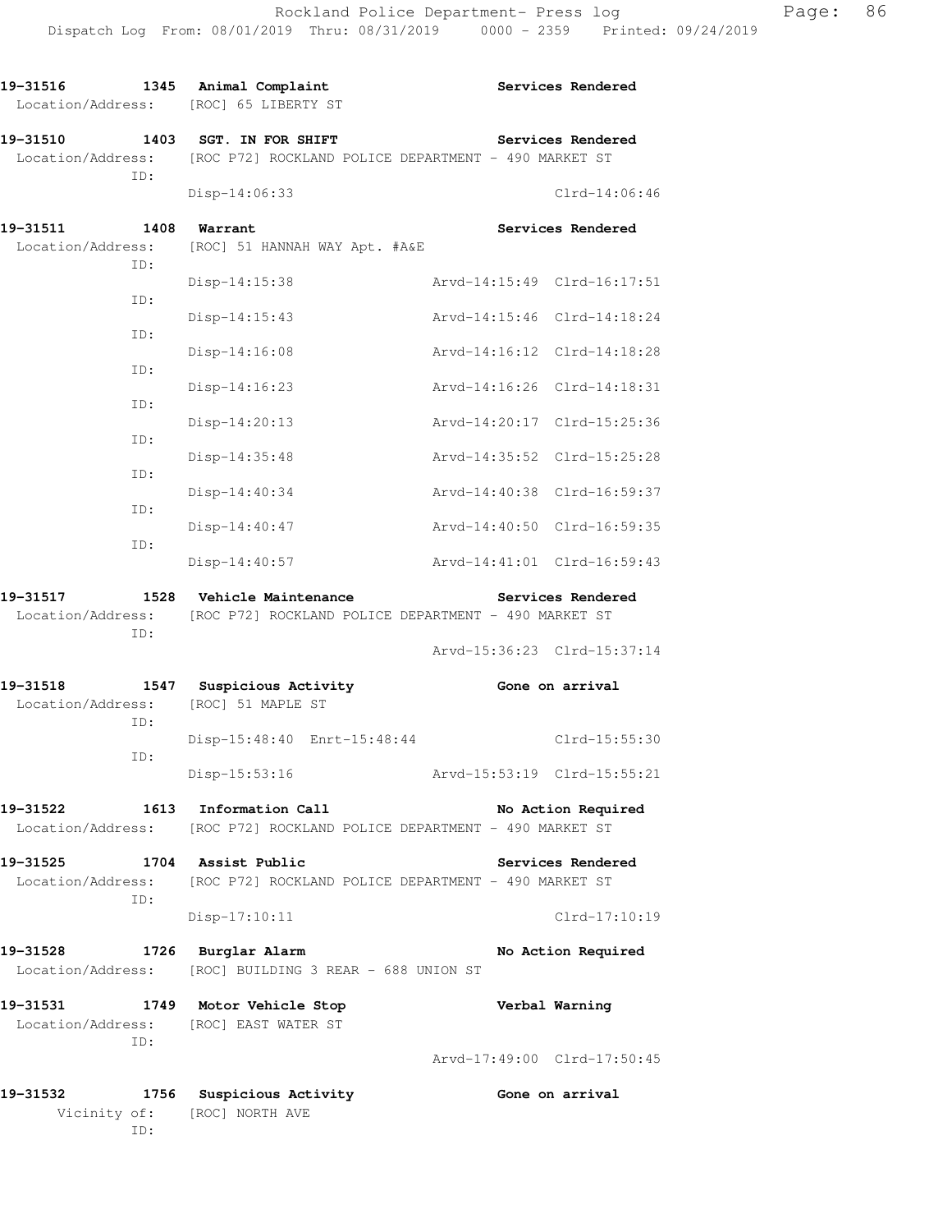| 19-31516                      |            | 1345 Animal Complaint<br>Location/Address: [ROC] 65 LIBERTY ST                                  | Services Rendered           |
|-------------------------------|------------|-------------------------------------------------------------------------------------------------|-----------------------------|
| 19-31510<br>Location/Address: |            | 1403 SGT. IN FOR SHIFT<br>[ROC P72] ROCKLAND POLICE DEPARTMENT - 490 MARKET ST                  | Services Rendered           |
|                               | ID:        | Disp-14:06:33                                                                                   | $Clrd-14:06:46$             |
| 19–31511<br>Location/Address: | 1408       | Warrant<br>[ROC] 51 HANNAH WAY Apt. #A&E                                                        | Services Rendered           |
|                               | ID:        | Disp-14:15:38                                                                                   | Arvd-14:15:49 Clrd-16:17:51 |
|                               | ID:        | $Disp-14:15:43$                                                                                 | Arvd-14:15:46 Clrd-14:18:24 |
|                               | ID:        | $Disp-14:16:08$                                                                                 | Arvd-14:16:12 Clrd-14:18:28 |
|                               | ID:        | Disp-14:16:23                                                                                   | Arvd-14:16:26 Clrd-14:18:31 |
|                               | ID:        | Disp-14:20:13                                                                                   | Arvd-14:20:17 Clrd-15:25:36 |
|                               | ID:<br>ID: | Disp-14:35:48                                                                                   | Arvd-14:35:52 Clrd-15:25:28 |
|                               | ID:        | Disp-14:40:34                                                                                   | Arvd-14:40:38 Clrd-16:59:37 |
|                               | ID:        | Disp-14:40:47                                                                                   | Arvd-14:40:50 Clrd-16:59:35 |
|                               |            | Disp-14:40:57                                                                                   | Arvd-14:41:01 Clrd-16:59:43 |
| 19–31517<br>Location/Address: | ID:        | 1528 Vehicle Maintenance<br>[ROC P72] ROCKLAND POLICE DEPARTMENT - 490 MARKET ST                | Services Rendered           |
|                               |            |                                                                                                 | Arvd-15:36:23 Clrd-15:37:14 |
| 19–31518<br>Location/Address: | ID:        | 1547 Suspicious Activity<br>[ROC] 51 MAPLE ST                                                   | Gone on arrival             |
|                               | ID:        | Disp-15:48:40 Enrt-15:48:44                                                                     | Clrd-15:55:30               |
|                               |            | $Disp-15:53:16$                                                                                 | Arvd-15:53:19 Clrd-15:55:21 |
| 19-31522                      |            | 1613 Information Call<br>Location/Address: [ROC P72] ROCKLAND POLICE DEPARTMENT - 490 MARKET ST | No Action Required          |
| 19-31525                      |            | 1704 Assist Public<br>Location/Address: [ROC P72] ROCKLAND POLICE DEPARTMENT - 490 MARKET ST    | Services Rendered           |
|                               | ID:        | Disp-17:10:11                                                                                   | Clrd-17:10:19               |
| 19-31528                      |            | 1726 Burglar Alarm<br>Location/Address: [ROC] BUILDING 3 REAR - 688 UNION ST                    | No Action Required          |
| 19–31531                      | ID:        | 1749 Motor Vehicle Stop<br>Location/Address: [ROC] EAST WATER ST                                | Verbal Warning              |
|                               |            |                                                                                                 | Arvd-17:49:00 Clrd-17:50:45 |
| 19–31532                      |            | 1756 Suspicious Activity<br>Vicinity of: [ROC] NORTH AVE                                        | Gone on arrival             |

ID: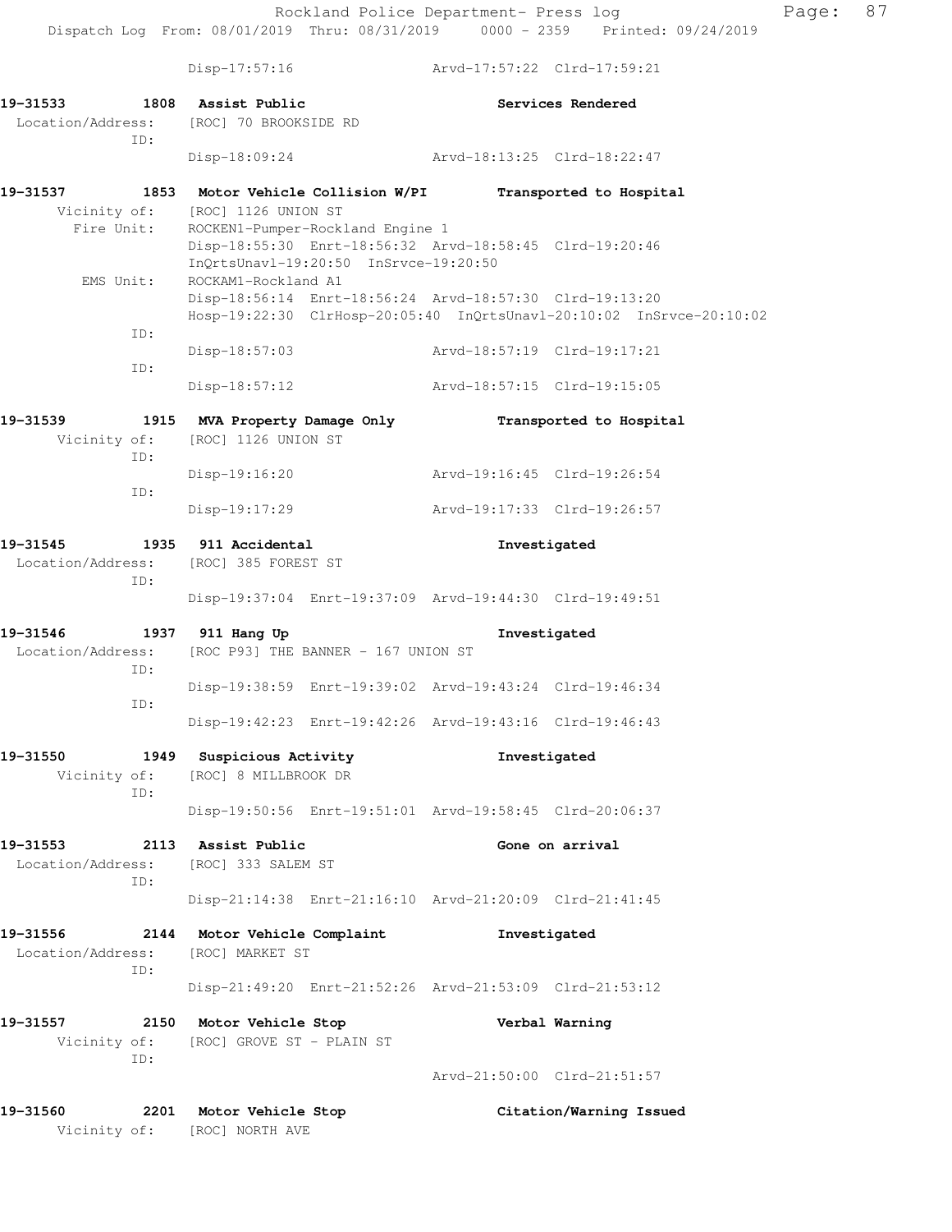Disp-17:57:16 Arvd-17:57:22 Clrd-17:59:21 **19-31533 1808 Assist Public Services Rendered**  Location/Address: [ROC] 70 BROOKSIDE RD ID: Disp-18:09:24 Arvd-18:13:25 Clrd-18:22:47 **19-31537 1853 Motor Vehicle Collision W/PI Transported to Hospital**  Vicinity of: [ROC] 1126 UNION ST Fire Unit: ROCKEN1-Pumper-Rockland Engine 1 Disp-18:55:30 Enrt-18:56:32 Arvd-18:58:45 Clrd-19:20:46 InQrtsUnavl-19:20:50 InSrvce-19:20:50 EMS Unit: ROCKAM1-Rockland A1 Disp-18:56:14 Enrt-18:56:24 Arvd-18:57:30 Clrd-19:13:20 Hosp-19:22:30 ClrHosp-20:05:40 InQrtsUnavl-20:10:02 InSrvce-20:10:02 ID: Disp-18:57:03 Arvd-18:57:19 Clrd-19:17:21 ID: Disp-18:57:12 Arvd-18:57:15 Clrd-19:15:05 **19-31539 1915 MVA Property Damage Only Transported to Hospital**  Vicinity of: [ROC] 1126 UNION ST ID: Disp-19:16:20 Arvd-19:16:45 Clrd-19:26:54 ID: Disp-19:17:29 Arvd-19:17:33 Clrd-19:26:57 **19-31545 1935 911 Accidental Investigated**  Location/Address: [ROC] 385 FOREST ST ID: Disp-19:37:04 Enrt-19:37:09 Arvd-19:44:30 Clrd-19:49:51 **19-31546 1937 911 Hang Up Investigated**  Location/Address: [ROC P93] THE BANNER - 167 UNION ST ID: Disp-19:38:59 Enrt-19:39:02 Arvd-19:43:24 Clrd-19:46:34 ID: Disp-19:42:23 Enrt-19:42:26 Arvd-19:43:16 Clrd-19:46:43 **19-31550 1949 Suspicious Activity Investigated**  Vicinity of: [ROC] 8 MILLBROOK DR ID: Disp-19:50:56 Enrt-19:51:01 Arvd-19:58:45 Clrd-20:06:37 **19-31553 2113 Assist Public Gone on arrival**  Location/Address: [ROC] 333 SALEM ST ID: Disp-21:14:38 Enrt-21:16:10 Arvd-21:20:09 Clrd-21:41:45 **19-31556 2144 Motor Vehicle Complaint Investigated**  Location/Address: [ROC] MARKET ST ID: Disp-21:49:20 Enrt-21:52:26 Arvd-21:53:09 Clrd-21:53:12 **19-31557 2150 Motor Vehicle Stop Verbal Warning**  Vicinity of: [ROC] GROVE ST - PLAIN ST ID: Arvd-21:50:00 Clrd-21:51:57 **19-31560 2201 Motor Vehicle Stop Citation/Warning Issued**  Vicinity of: [ROC] NORTH AVE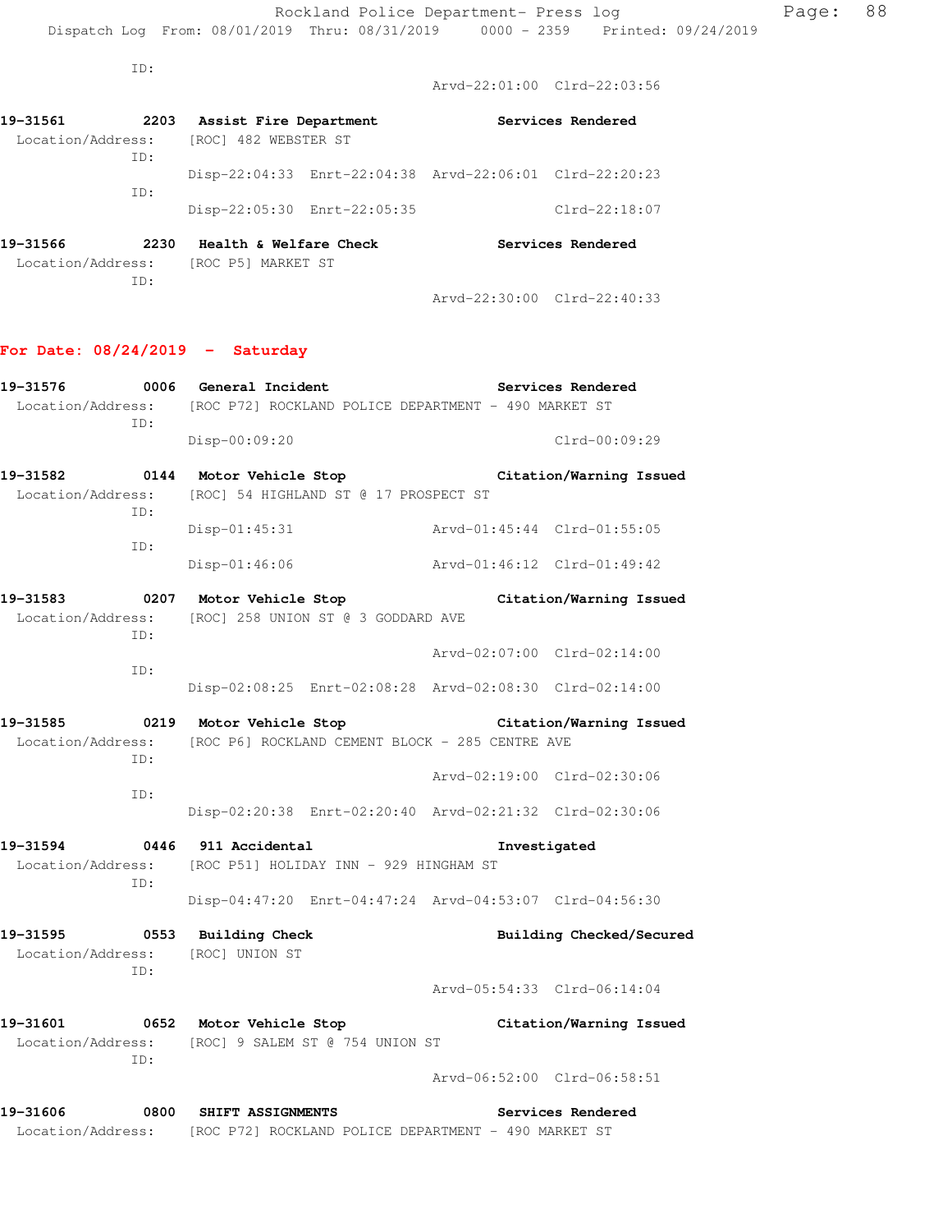ID:

Arvd-22:01:00 Clrd-22:03:56

| 19-31561                                      | 2203 | Assist Fire Department               |                                                         | Services Rendered |                   |  |  |
|-----------------------------------------------|------|--------------------------------------|---------------------------------------------------------|-------------------|-------------------|--|--|
| Location/Address: [ROC] 482 WEBSTER ST<br>TD: |      |                                      |                                                         |                   |                   |  |  |
|                                               | TD:  |                                      | Disp-22:04:33 Enrt-22:04:38 Arvd-22:06:01 Clrd-22:20:23 |                   |                   |  |  |
|                                               |      |                                      | Disp-22:05:30 Enrt-22:05:35                             |                   | $Clrd-22:18:07$   |  |  |
| 19–31566                                      | 2230 | Health & Welfare Check               |                                                         |                   | Services Rendered |  |  |
|                                               |      | Location/Address: [ROC P5] MARKET ST |                                                         |                   |                   |  |  |

Arvd-22:30:00 Clrd-22:40:33

#### **For Date: 08/24/2019 - Saturday**

ID:

| 19-31576          |     | 0006 General Incident                                                                                 |                             | Services Rendered           |
|-------------------|-----|-------------------------------------------------------------------------------------------------------|-----------------------------|-----------------------------|
|                   | ID: | Location/Address: [ROC P72] ROCKLAND POLICE DEPARTMENT - 490 MARKET ST                                |                             |                             |
|                   |     | Disp-00:09:20                                                                                         |                             | $Clrd-00:09:29$             |
|                   |     | 19-31582 0144 Motor Vehicle Stop                                                                      |                             | Citation/Warning Issued     |
|                   | ID: | Location/Address: [ROC] 54 HIGHLAND ST @ 17 PROSPECT ST                                               |                             |                             |
|                   | ID: | $Disp-01:45:31$                                                                                       | Arvd-01:45:44 Clrd-01:55:05 |                             |
|                   |     | $Disp-01:46:06$                                                                                       | Arvd-01:46:12 Clrd-01:49:42 |                             |
| ID:               |     | 19-31583 0207 Motor Vehicle Stop<br>Location/Address: [ROC] 258 UNION ST @ 3 GODDARD AVE              |                             | Citation/Warning Issued     |
|                   | ID: |                                                                                                       | Arvd-02:07:00 Clrd-02:14:00 |                             |
|                   |     | Disp-02:08:25 Enrt-02:08:28 Arvd-02:08:30 Clrd-02:14:00                                               |                             |                             |
| TD:               |     | 19-31585 0219 Motor Vehicle Stop<br>Location/Address: [ROC P6] ROCKLAND CEMENT BLOCK - 285 CENTRE AVE |                             | Citation/Warning Issued     |
|                   | ID: |                                                                                                       | Arvd-02:19:00 Clrd-02:30:06 |                             |
|                   |     | Disp-02:20:38 Enrt-02:20:40 Arvd-02:21:32 Clrd-02:30:06                                               |                             |                             |
|                   | ID: | 19-31594 0446 911 Accidental<br>Location/Address: [ROC P51] HOLIDAY INN - 929 HINGHAM ST              |                             | Investigated                |
|                   |     | Disp-04:47:20 Enrt-04:47:24 Arvd-04:53:07 Clrd-04:56:30                                               |                             |                             |
| 19-31595          | ID: | 0553 Building Check<br>Location/Address: [ROC] UNION ST                                               |                             | Building Checked/Secured    |
|                   |     |                                                                                                       |                             | Arvd-05:54:33 Clrd-06:14:04 |
|                   | ID: | 19-31601 0652 Motor Vehicle Stop<br>Location/Address: [ROC] 9 SALEM ST @ 754 UNION ST                 |                             | Citation/Warning Issued     |
|                   |     |                                                                                                       | Arvd-06:52:00 Clrd-06:58:51 |                             |
| 19-31606          |     | 0800 SHIFT ASSIGNMENTS                                                                                |                             | Services Rendered           |
| Location/Address: |     | [ROC P72] ROCKLAND POLICE DEPARTMENT - 490 MARKET ST                                                  |                             |                             |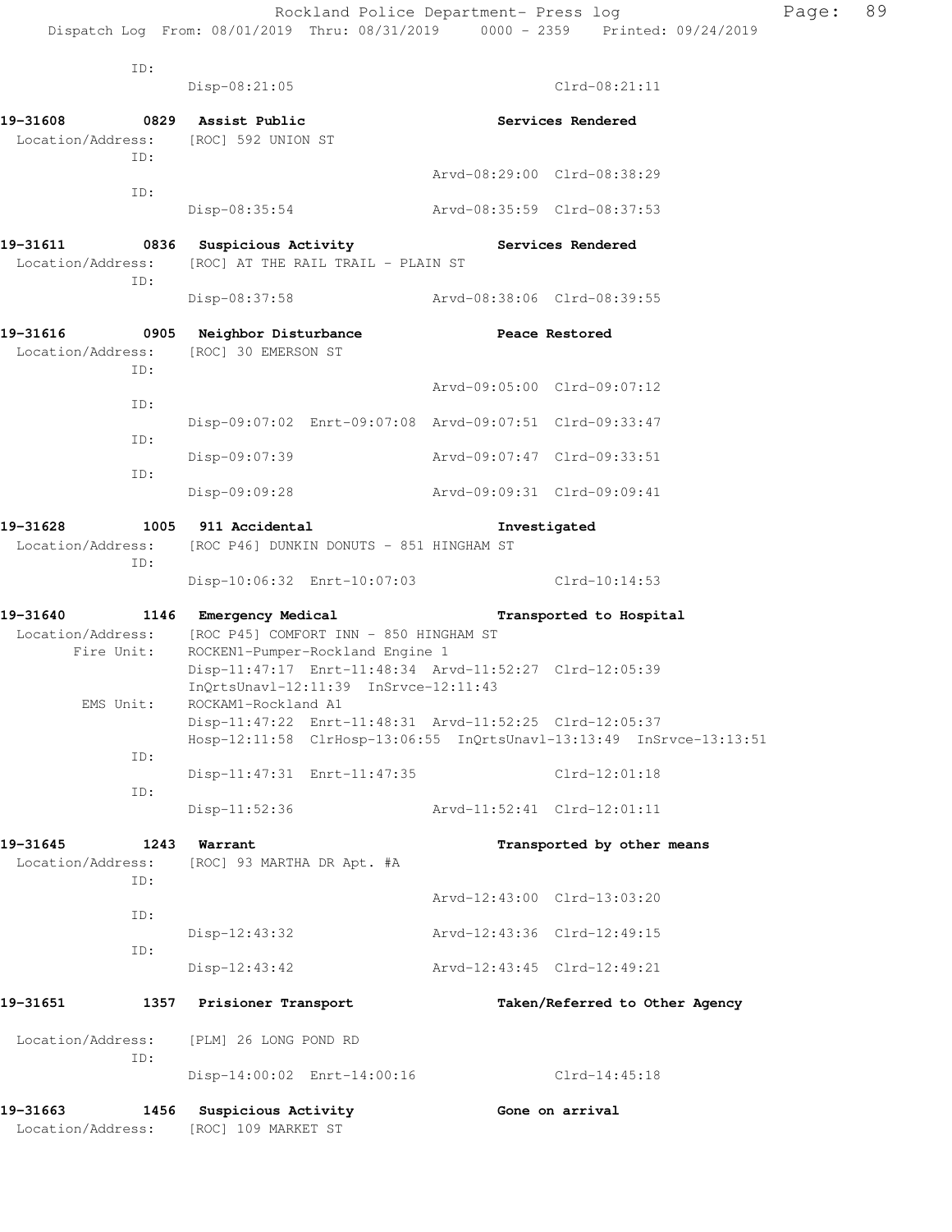ID: Disp-08:21:05 Clrd-08:21:11 **19-31608 0829 Assist Public Services Rendered**  Location/Address: [ROC] 592 UNION ST ID: Arvd-08:29:00 Clrd-08:38:29 ID: Disp-08:35:54 Arvd-08:35:59 Clrd-08:37:53 **19-31611 0836 Suspicious Activity Services Rendered**  Location/Address: [ROC] AT THE RAIL TRAIL - PLAIN ST ID: Disp-08:37:58 Arvd-08:38:06 Clrd-08:39:55 **19-31616 0905 Neighbor Disturbance Peace Restored**  Location/Address: [ROC] 30 EMERSON ST ID: Arvd-09:05:00 Clrd-09:07:12 ID: Disp-09:07:02 Enrt-09:07:08 Arvd-09:07:51 Clrd-09:33:47 ID: Disp-09:07:39 Arvd-09:07:47 Clrd-09:33:51 ID: Disp-09:09:28 Arvd-09:09:31 Clrd-09:09:41 **19-31628 1005 911 Accidental Investigated**  Location/Address: [ROC P46] DUNKIN DONUTS - 851 HINGHAM ST ID: Disp-10:06:32 Enrt-10:07:03 Clrd-10:14:53 **19-31640 1146 Emergency Medical Transported to Hospital**  Location/Address: [ROC P45] COMFORT INN - 850 HINGHAM ST Fire Unit: ROCKEN1-Pumper-Rockland Engine 1 Disp-11:47:17 Enrt-11:48:34 Arvd-11:52:27 Clrd-12:05:39 InQrtsUnavl-12:11:39 InSrvce-12:11:43 EMS Unit: ROCKAM1-Rockland A1 Disp-11:47:22 Enrt-11:48:31 Arvd-11:52:25 Clrd-12:05:37 Hosp-12:11:58 ClrHosp-13:06:55 InQrtsUnavl-13:13:49 InSrvce-13:13:51 ID: Disp-11:47:31 Enrt-11:47:35 Clrd-12:01:18 ID: Disp-11:52:36 Arvd-11:52:41 Clrd-12:01:11 **19-31645 1243 Warrant Transported by other means**  Location/Address: [ROC] 93 MARTHA DR Apt. #A ID: Arvd-12:43:00 Clrd-13:03:20 ID: Disp-12:43:32 Arvd-12:43:36 Clrd-12:49:15 ID: Disp-12:43:42 Arvd-12:43:45 Clrd-12:49:21 **19-31651 1357 Prisioner Transport Taken/Referred to Other Agency**  Location/Address: [PLM] 26 LONG POND RD ID: Disp-14:00:02 Enrt-14:00:16 Clrd-14:45:18 **19-31663 1456 Suspicious Activity Gone on arrival**  Location/Address: [ROC] 109 MARKET ST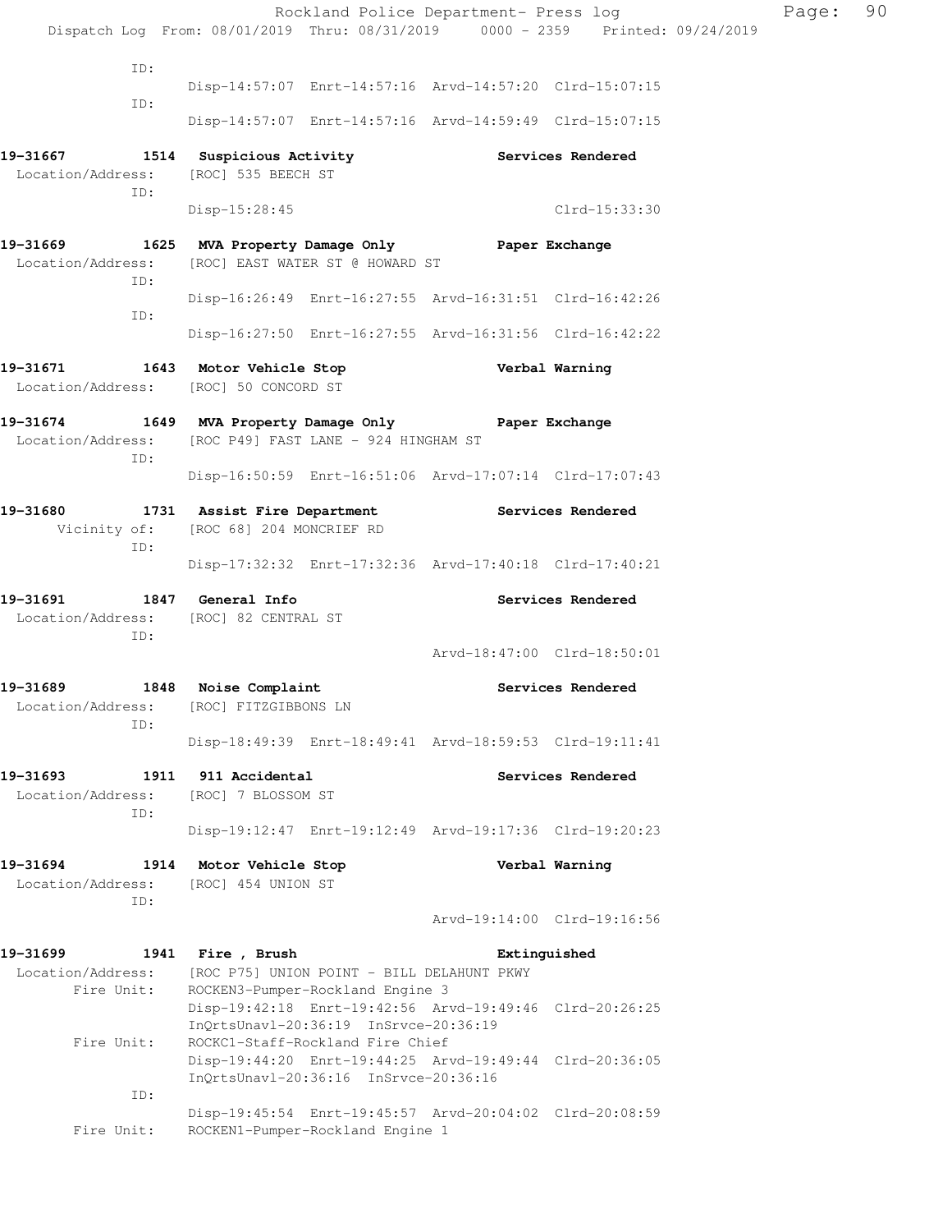|                                                                     |             | Dispatch Log From: 08/01/2019 Thru: 08/31/2019   0000 - 2359   Printed: 09/24/2019 |                                                                                | Rockland Police Department- Press log                   |                             | Page: | 90 |
|---------------------------------------------------------------------|-------------|------------------------------------------------------------------------------------|--------------------------------------------------------------------------------|---------------------------------------------------------|-----------------------------|-------|----|
|                                                                     |             |                                                                                    |                                                                                |                                                         |                             |       |    |
|                                                                     | ID:         |                                                                                    |                                                                                | Disp-14:57:07 Enrt-14:57:16 Arvd-14:57:20 Clrd-15:07:15 |                             |       |    |
|                                                                     | ID:         |                                                                                    |                                                                                | Disp-14:57:07 Enrt-14:57:16 Arvd-14:59:49 Clrd-15:07:15 |                             |       |    |
| 19-31667 1514 Suspicious Activity 19-31667 Services Rendered        | ID:         | Location/Address: [ROC] 535 BEECH ST                                               |                                                                                |                                                         |                             |       |    |
|                                                                     |             | Disp-15:28:45                                                                      |                                                                                |                                                         | Clrd-15:33:30               |       |    |
| 19-31669 1625 MVA Property Damage Only Paper Exchange               | ID:         | Location/Address: [ROC] EAST WATER ST @ HOWARD ST                                  |                                                                                |                                                         |                             |       |    |
|                                                                     | ID:         |                                                                                    |                                                                                | Disp-16:26:49 Enrt-16:27:55 Arvd-16:31:51 Clrd-16:42:26 |                             |       |    |
|                                                                     |             |                                                                                    |                                                                                | Disp-16:27:50 Enrt-16:27:55 Arvd-16:31:56 Clrd-16:42:22 |                             |       |    |
| 19-31671 1643 Motor Vehicle Stop Northern Verbal Warning            |             | Location/Address: [ROC] 50 CONCORD ST                                              |                                                                                |                                                         |                             |       |    |
| 19-31674 1649 MVA Property Damage Only Paper Exchange               | ID:         | Location/Address: [ROC P49] FAST LANE - 924 HINGHAM ST                             |                                                                                |                                                         |                             |       |    |
|                                                                     |             |                                                                                    |                                                                                | Disp-16:50:59 Enrt-16:51:06 Arvd-17:07:14 Clrd-17:07:43 |                             |       |    |
| 19-31680 1731 Assist Fire Department                                | ID:         | Vicinity of: [ROC 68] 204 MONCRIEF RD                                              |                                                                                |                                                         | Services Rendered           |       |    |
|                                                                     |             |                                                                                    |                                                                                | Disp-17:32:32 Enrt-17:32:36 Arvd-17:40:18 Clrd-17:40:21 |                             |       |    |
| 19-31691 1847 General Info<br>Location/Address: [ROC] 82 CENTRAL ST |             |                                                                                    |                                                                                |                                                         | Services Rendered           |       |    |
|                                                                     | ID:         |                                                                                    |                                                                                |                                                         | Arvd-18:47:00 Clrd-18:50:01 |       |    |
| 19-31689<br>Location/Address:                                       | ID:         | 1848 Noise Complaint<br>[ROC] FITZGIBBONS LN                                       |                                                                                |                                                         | Services Rendered           |       |    |
|                                                                     |             |                                                                                    |                                                                                | Disp-18:49:39 Enrt-18:49:41 Arvd-18:59:53 Clrd-19:11:41 |                             |       |    |
| 19-31693<br>Location/Address:                                       | 1911<br>ID: | 911 Accidental<br>[ROC] 7 BLOSSOM ST                                               |                                                                                |                                                         | Services Rendered           |       |    |
|                                                                     |             |                                                                                    |                                                                                | Disp-19:12:47 Enrt-19:12:49 Arvd-19:17:36 Clrd-19:20:23 |                             |       |    |
| 19-31694<br>Location/Address:                                       |             | 1914 Motor Vehicle Stop<br>[ROC] 454 UNION ST                                      |                                                                                |                                                         | Verbal Warning              |       |    |
|                                                                     | ID:         |                                                                                    |                                                                                |                                                         | Arvd-19:14:00 Clrd-19:16:56 |       |    |
| 19-31699                                                            |             | 1941 Fire, Brush                                                                   |                                                                                |                                                         | Extinguished                |       |    |
| Location/Address:<br>Fire Unit:                                     |             |                                                                                    | [ROC P75] UNION POINT - BILL DELAHUNT PKWY<br>ROCKEN3-Pumper-Rockland Engine 3 |                                                         |                             |       |    |
|                                                                     |             |                                                                                    | InOrtsUnavl-20:36:19 InSrvce-20:36:19                                          | Disp-19:42:18 Enrt-19:42:56 Arvd-19:49:46 Clrd-20:26:25 |                             |       |    |
| Fire Unit:                                                          |             |                                                                                    | ROCKC1-Staff-Rockland Fire Chief<br>InQrtsUnavl-20:36:16 InSrvce-20:36:16      | Disp-19:44:20 Enrt-19:44:25 Arvd-19:49:44 Clrd-20:36:05 |                             |       |    |
|                                                                     | ID:         |                                                                                    |                                                                                | Disp-19:45:54 Enrt-19:45:57 Arvd-20:04:02 Clrd-20:08:59 |                             |       |    |
| Fire Unit:                                                          |             |                                                                                    | ROCKEN1-Pumper-Rockland Engine 1                                               |                                                         |                             |       |    |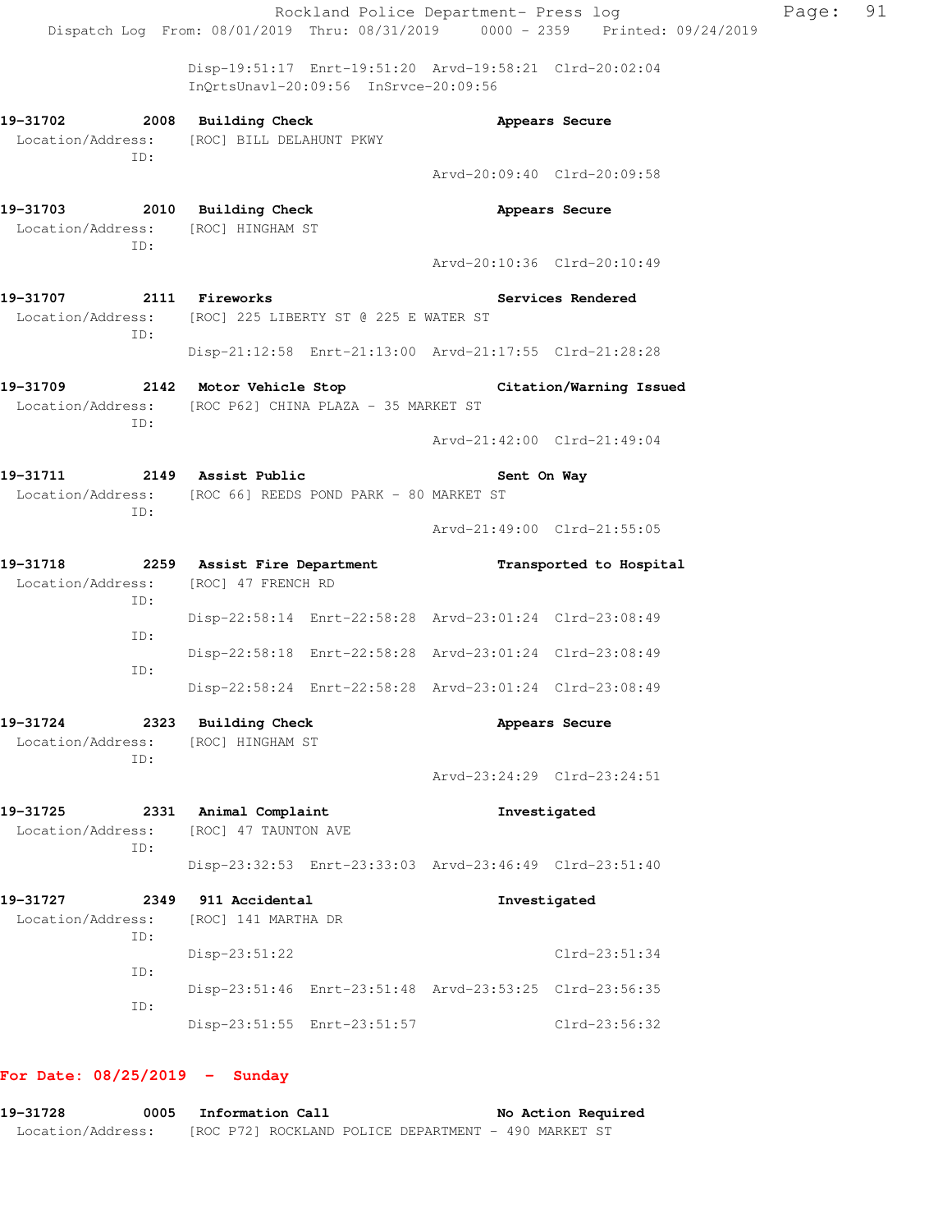Disp-19:51:17 Enrt-19:51:20 Arvd-19:58:21 Clrd-20:02:04 InQrtsUnavl-20:09:56 InSrvce-20:09:56

| 19-31702 | 2008 | Building Check                             |                             | Appears Secure |
|----------|------|--------------------------------------------|-----------------------------|----------------|
|          |      | Location/Address: [ROC] BILL DELAHUNT PKWY |                             |                |
|          | TD:  |                                            |                             |                |
|          |      |                                            | Arvd-20:09:40 Clrd-20:09:58 |                |
|          |      |                                            |                             |                |
| 19-31703 | 2010 | Building Check                             |                             | Appears Secure |

 Location/Address: [ROC] HINGHAM ST ID:

Arvd-20:10:36 Clrd-20:10:49

**19-31707 2111 Fireworks Services Rendered**  Location/Address: [ROC] 225 LIBERTY ST @ 225 E WATER ST ID: Disp-21:12:58 Enrt-21:13:00 Arvd-21:17:55 Clrd-21:28:28

**19-31709 2142 Motor Vehicle Stop Citation/Warning Issued**  Location/Address: [ROC P62] CHINA PLAZA - 35 MARKET ST ID:

Arvd-21:42:00 Clrd-21:49:04

19-31711 2149 Assist Public **19-31711** 2149 Assist Public Location/Address: [ROC 66] REEDS POND PARK - 80 MARKET ST ID:

Arvd-21:49:00 Clrd-21:55:05

**19-31718 2259 Assist Fire Department Transported to Hospital**  Location/Address: [ROC] 47 FRENCH RD ID: Disp-22:58:14 Enrt-22:58:28 Arvd-23:01:24 Clrd-23:08:49 ID: Disp-22:58:18 Enrt-22:58:28 Arvd-23:01:24 Clrd-23:08:49 ID: Disp-22:58:24 Enrt-22:58:28 Arvd-23:01:24 Clrd-23:08:49

**19-31724 2323 Building Check Appears Secure**  Location/Address: [ROC] HINGHAM ST ID: Arvd-23:24:29 Clrd-23:24:51

**19-31725 2331 Animal Complaint Investigated**  Location/Address: [ROC] 47 TAUNTON AVE ID: Disp-23:32:53 Enrt-23:33:03 Arvd-23:46:49 Clrd-23:51:40

**19-31727 2349 911 Accidental Investigated**  Location/Address: [ROC] 141 MARTHA DR ID: Disp-23:51:22 Clrd-23:51:34 ID: Disp-23:51:46 Enrt-23:51:48 Arvd-23:53:25 Clrd-23:56:35 ID: Disp-23:51:55 Enrt-23:51:57 Clrd-23:56:32

#### **For Date: 08/25/2019 - Sunday**

| 19-31728          | 0005 Information Call |  |                                                      |  | No Action Required |  |
|-------------------|-----------------------|--|------------------------------------------------------|--|--------------------|--|
| Location/Address: |                       |  | [ROC P72] ROCKLAND POLICE DEPARTMENT - 490 MARKET ST |  |                    |  |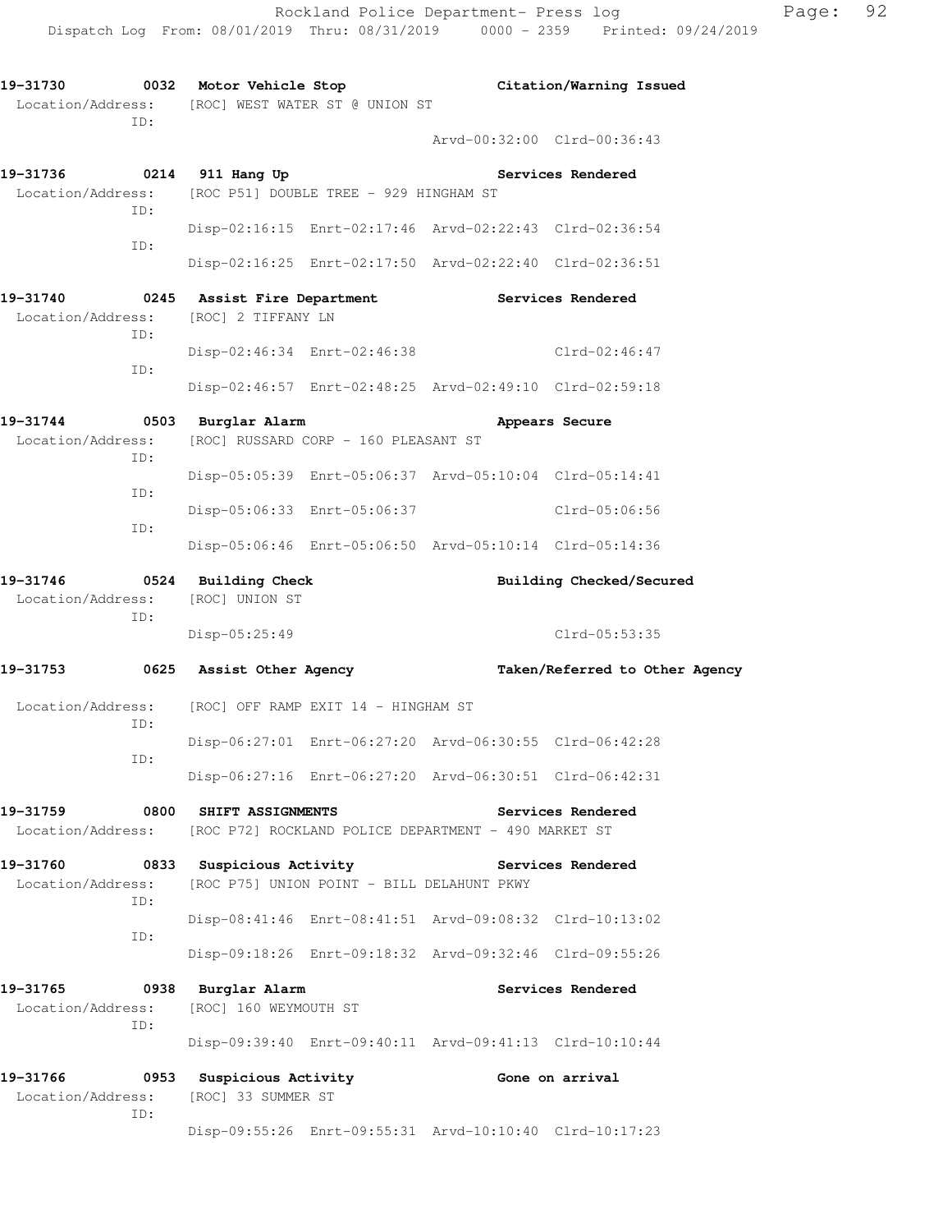**19-31730 0032 Motor Vehicle Stop Citation/Warning Issued**  Location/Address: [ROC] WEST WATER ST @ UNION ST ID: Arvd-00:32:00 Clrd-00:36:43 **19-31736 0214 911 Hang Up Services Rendered**  Location/Address: [ROC P51] DOUBLE TREE - 929 HINGHAM ST ID: Disp-02:16:15 Enrt-02:17:46 Arvd-02:22:43 Clrd-02:36:54 ID: Disp-02:16:25 Enrt-02:17:50 Arvd-02:22:40 Clrd-02:36:51 **19-31740 0245 Assist Fire Department Services Rendered**  Location/Address: [ROC] 2 TIFFANY LN ID: Disp-02:46:34 Enrt-02:46:38 Clrd-02:46:47 ID: Disp-02:46:57 Enrt-02:48:25 Arvd-02:49:10 Clrd-02:59:18 **19-31744 0503 Burglar Alarm Appears Secure**  Location/Address: [ROC] RUSSARD CORP - 160 PLEASANT ST ID: Disp-05:05:39 Enrt-05:06:37 Arvd-05:10:04 Clrd-05:14:41 ID: Disp-05:06:33 Enrt-05:06:37 Clrd-05:06:56 ID: Disp-05:06:46 Enrt-05:06:50 Arvd-05:10:14 Clrd-05:14:36 **19-31746 0524 Building Check Building Checked/Secured**  Location/Address: [ROC] UNION ST ID: Disp-05:25:49 Clrd-05:53:35 **19-31753 0625 Assist Other Agency Taken/Referred to Other Agency**  Location/Address: [ROC] OFF RAMP EXIT 14 - HINGHAM ST ID: Disp-06:27:01 Enrt-06:27:20 Arvd-06:30:55 Clrd-06:42:28 ID: Disp-06:27:16 Enrt-06:27:20 Arvd-06:30:51 Clrd-06:42:31 **19-31759 0800 SHIFT ASSIGNMENTS Services Rendered**  Location/Address: [ROC P72] ROCKLAND POLICE DEPARTMENT - 490 MARKET ST 19-31760 **0833** Suspicious Activity **Services Rendered**  Location/Address: [ROC P75] UNION POINT - BILL DELAHUNT PKWY ID: Disp-08:41:46 Enrt-08:41:51 Arvd-09:08:32 Clrd-10:13:02 ID: Disp-09:18:26 Enrt-09:18:32 Arvd-09:32:46 Clrd-09:55:26 **19-31765 0938 Burglar Alarm Services Rendered**  Location/Address: [ROC] 160 WEYMOUTH ST ID: Disp-09:39:40 Enrt-09:40:11 Arvd-09:41:13 Clrd-10:10:44 **19-31766 0953 Suspicious Activity Gone on arrival**  Location/Address: [ROC] 33 SUMMER ST ID:

Disp-09:55:26 Enrt-09:55:31 Arvd-10:10:40 Clrd-10:17:23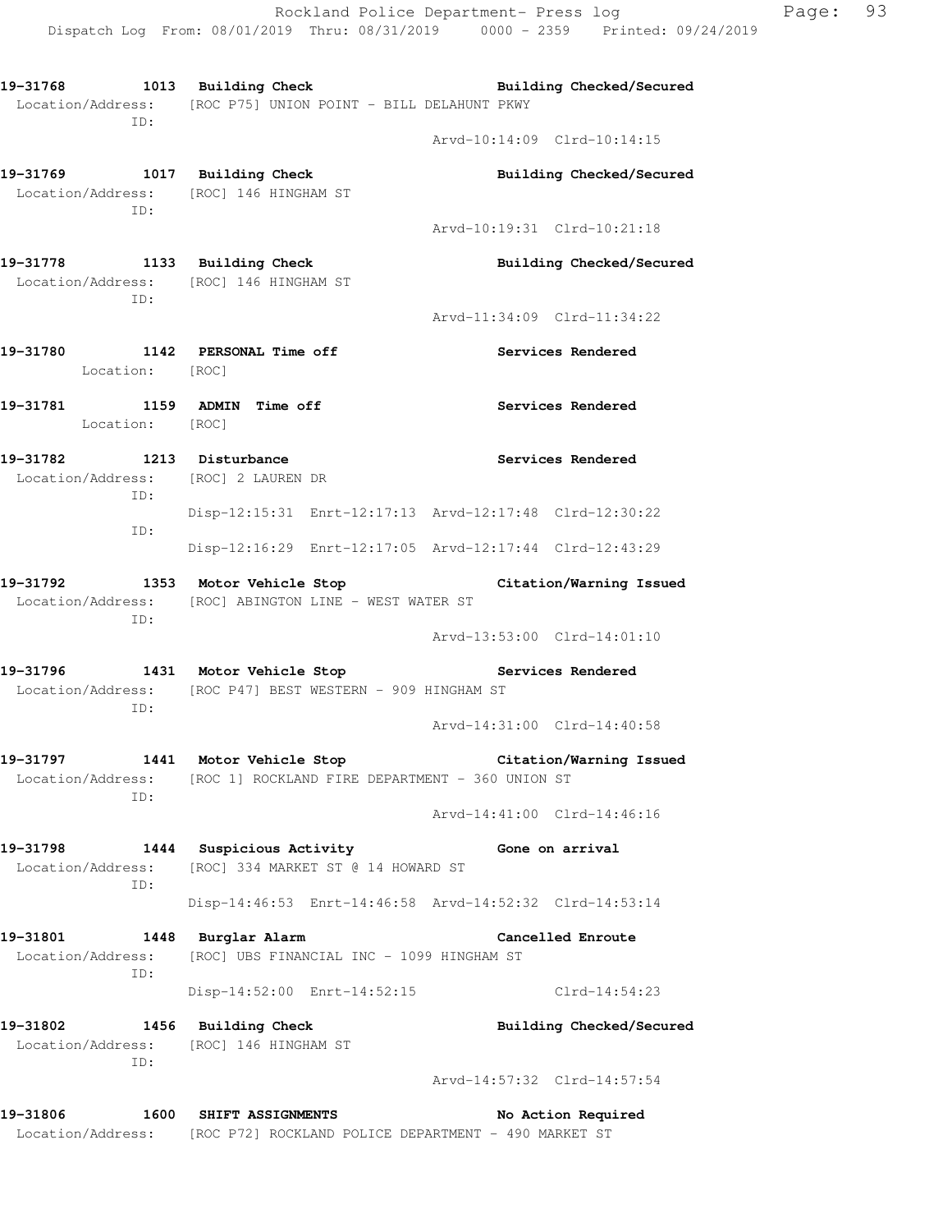**19-31768 1013 Building Check Building Checked/Secured**  Location/Address: [ROC P75] UNION POINT - BILL DELAHUNT PKWY ID: Arvd-10:14:09 Clrd-10:14:15 19-31769 1017 Building Check **Building Checked/Secured** Location/Address: [ROC] 146 HINGHAM ST ID: Arvd-10:19:31 Clrd-10:21:18 **19-31778 1133 Building Check Building Checked/Secured**  Location/Address: [ROC] 146 HINGHAM ST ID: Arvd-11:34:09 Clrd-11:34:22 **19-31780 1142 PERSONAL Time off Services Rendered**  Location: [ROC] **19-31781 1159 ADMIN Time off Services Rendered**  Location: [ROC] 19-31782 1213 Disturbance **19-31782** Services Rendered Location/Address: [ROC] 2 LAUREN DR ID: Disp-12:15:31 Enrt-12:17:13 Arvd-12:17:48 Clrd-12:30:22 ID: Disp-12:16:29 Enrt-12:17:05 Arvd-12:17:44 Clrd-12:43:29 **19-31792 1353 Motor Vehicle Stop Citation/Warning Issued**  Location/Address: [ROC] ABINGTON LINE - WEST WATER ST ID: Arvd-13:53:00 Clrd-14:01:10 **19-31796 1431 Motor Vehicle Stop Services Rendered**  Location/Address: [ROC P47] BEST WESTERN - 909 HINGHAM ST ID: Arvd-14:31:00 Clrd-14:40:58 **19-31797 1441 Motor Vehicle Stop Citation/Warning Issued**  Location/Address: [ROC 1] ROCKLAND FIRE DEPARTMENT - 360 UNION ST ID: Arvd-14:41:00 Clrd-14:46:16 **19-31798 1444 Suspicious Activity Gone on arrival**  Location/Address: [ROC] 334 MARKET ST @ 14 HOWARD ST ID: Disp-14:46:53 Enrt-14:46:58 Arvd-14:52:32 Clrd-14:53:14 **19-31801 1448 Burglar Alarm Cancelled Enroute**  Location/Address: [ROC] UBS FINANCIAL INC - 1099 HINGHAM ST ID: Disp-14:52:00 Enrt-14:52:15 Clrd-14:54:23 **19-31802 1456 Building Check Building Checked/Secured**  Location/Address: [ROC] 146 HINGHAM ST ID: Arvd-14:57:32 Clrd-14:57:54 **19-31806 1600 SHIFT ASSIGNMENTS No Action Required**  Location/Address: [ROC P72] ROCKLAND POLICE DEPARTMENT - 490 MARKET ST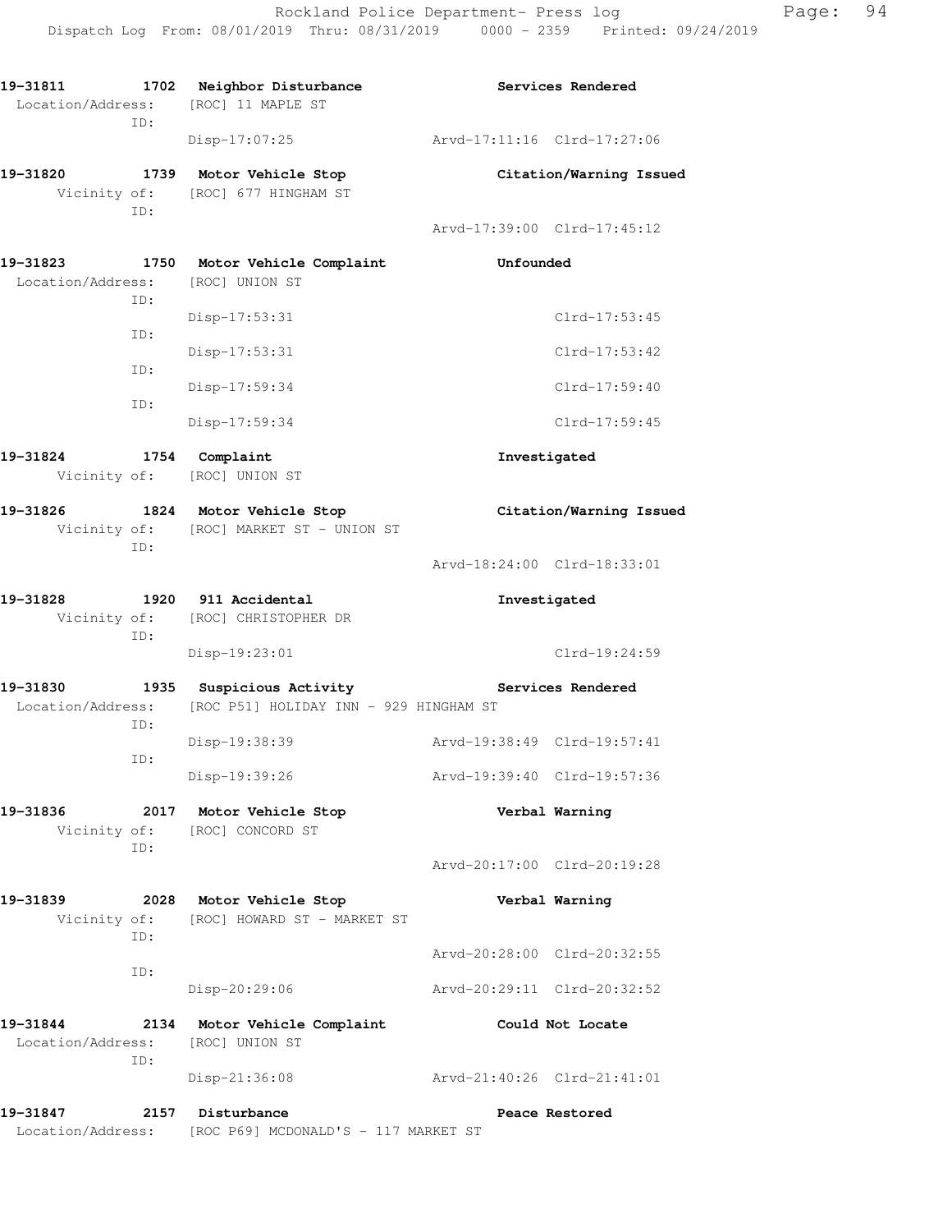|                               | ID: | 19-31811 1702 Neighbor Disturbance<br>Location/Address: [ROC] 11 MAPLE ST  |                             | Services Rendered       |
|-------------------------------|-----|----------------------------------------------------------------------------|-----------------------------|-------------------------|
|                               |     | $Disp-17:07:25$                                                            | Arvd-17:11:16 Clrd-17:27:06 |                         |
|                               | ID: | 19-31820 1739 Motor Vehicle Stop<br>Vicinity of: [ROC] 677 HINGHAM ST      |                             | Citation/Warning Issued |
|                               |     |                                                                            | Arvd-17:39:00 Clrd-17:45:12 |                         |
|                               | ID: | 19-31823 1750 Motor Vehicle Complaint<br>Location/Address: [ROC] UNION ST  | Unfounded                   |                         |
|                               | ID: | Disp-17:53:31                                                              |                             | Clrd-17:53:45           |
|                               |     | Disp-17:53:31                                                              |                             | $Clrd-17:53:42$         |
|                               | ID: | Disp-17:59:34                                                              |                             | Clrd-17:59:40           |
|                               | ID: | Disp-17:59:34                                                              |                             | Clrd-17:59:45           |
| 19-31824 1754 Complaint       |     | Vicinity of: [ROC] UNION ST                                                | Investigated                |                         |
|                               |     | 19-31826 1824 Motor Vehicle Stop                                           |                             | Citation/Warning Issued |
|                               | ID: | Vicinity of: [ROC] MARKET ST - UNION ST                                    |                             |                         |
|                               |     |                                                                            | Arvd-18:24:00 Clrd-18:33:01 |                         |
| 19-31828                      |     | 1920 911 Accidental<br>Vicinity of: [ROC] CHRISTOPHER DR                   | Investigated                |                         |
|                               | ID: | Disp-19:23:01                                                              |                             | Clrd-19:24:59           |
| 19-31830                      |     | 1935 Suspicious Activity                                                   |                             | Services Rendered       |
|                               | ID: | Location/Address: [ROC P51] HOLIDAY INN - 929 HINGHAM ST                   |                             |                         |
|                               | ID: | Disp-19:38:39                                                              | Arvd-19:38:49 Clrd-19:57:41 |                         |
|                               |     | Disp-19:39:26                                                              | Arvd-19:39:40 Clrd-19:57:36 |                         |
| 19-31836                      | ID: | 2017 Motor Vehicle Stop<br>Vicinity of: [ROC] CONCORD ST                   |                             | Verbal Warning          |
|                               |     |                                                                            | Arvd-20:17:00 Clrd-20:19:28 |                         |
| 19-31839                      |     | 2028 Motor Vehicle Stop<br>Vicinity of: [ROC] HOWARD ST - MARKET ST        |                             | Verbal Warning          |
|                               | ID: |                                                                            | Arvd-20:28:00 Clrd-20:32:55 |                         |
|                               | ID: | Disp-20:29:06                                                              | Arvd-20:29:11 Clrd-20:32:52 |                         |
| 19-31844<br>Location/Address: | ID: | 2134 Motor Vehicle Complaint<br>[ROC] UNION ST                             |                             | Could Not Locate        |
|                               |     | Disp-21:36:08                                                              | Arvd-21:40:26 Clrd-21:41:01 |                         |
| 19-31847                      |     | 2157 Disturbance<br>Location/Address: [ROC P69] MCDONALD'S - 117 MARKET ST |                             | Peace Restored          |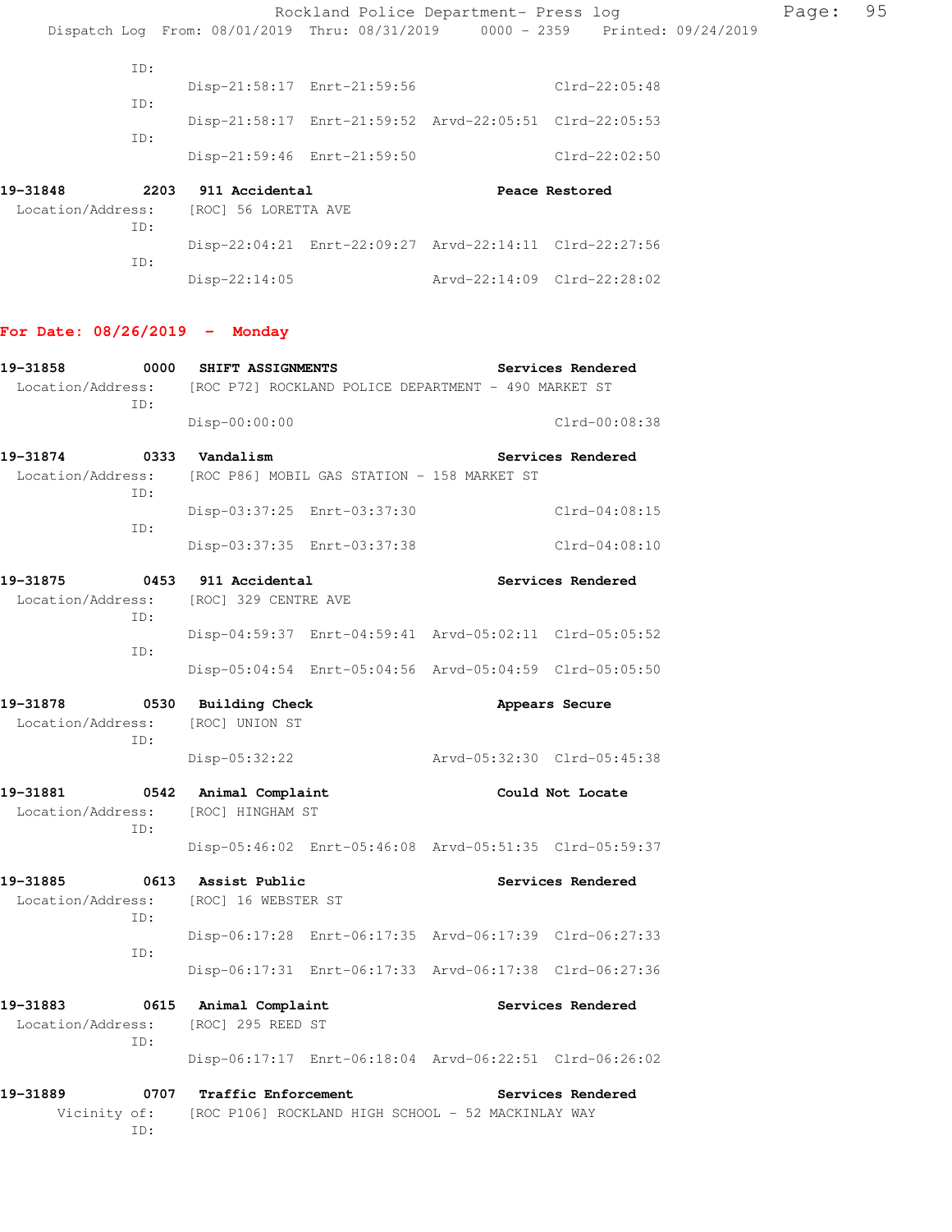Disp-22:14:05 Arvd-22:14:09 Clrd-22:28:02

|                                        |      |                | Disp-22:04:21 Enrt-22:09:27 Arvd-22:14:11 Clrd-22:27:56 |                |                 |  |
|----------------------------------------|------|----------------|---------------------------------------------------------|----------------|-----------------|--|
|                                        | ID:  |                |                                                         |                |                 |  |
| Location/Address: [ROC] 56 LORETTA AVE |      |                |                                                         |                |                 |  |
| 19-31848                               | 2203 | 911 Accidental |                                                         | Peace Restored |                 |  |
|                                        |      |                | Disp-21:59:46 Enrt-21:59:50                             |                | $Clrd-22:02:50$ |  |
|                                        | TD:  |                | Disp-21:58:17 Enrt-21:59:52 Arvd-22:05:51 Clrd-22:05:53 |                |                 |  |
|                                        | TD:  |                | Disp-21:58:17 Enrt-21:59:56                             |                | $Clrd-22:05:48$ |  |
|                                        | TD:  |                |                                                         |                |                 |  |

### **For Date: 08/26/2019 - Monday**

ID:

| 19-31858          | 0000 | SHIFT ASSIGNMENTS                   |                                                         |                             | Services Rendered |
|-------------------|------|-------------------------------------|---------------------------------------------------------|-----------------------------|-------------------|
| Location/Address: | ID:  |                                     | [ROC P72] ROCKLAND POLICE DEPARTMENT - 490 MARKET ST    |                             |                   |
|                   |      | $Disp-00:00:00$                     |                                                         |                             | Clrd-00:08:38     |
| 19-31874          |      | 0333 Vandalism                      |                                                         |                             | Services Rendered |
| Location/Address: | ID:  |                                     | [ROC P86] MOBIL GAS STATION - 158 MARKET ST             |                             |                   |
|                   | ID:  |                                     | Disp-03:37:25 Enrt-03:37:30                             |                             | $Clrd-04:08:15$   |
|                   |      |                                     | Disp-03:37:35 Enrt-03:37:38                             |                             | $Clrd-04:08:10$   |
| 19-31875          |      | 0453 911 Accidental                 |                                                         |                             | Services Rendered |
| Location/Address: | ID:  | [ROC] 329 CENTRE AVE                |                                                         |                             |                   |
|                   | ID:  |                                     | Disp-04:59:37 Enrt-04:59:41 Arvd-05:02:11 Clrd-05:05:52 |                             |                   |
|                   |      |                                     | Disp-05:04:54 Enrt-05:04:56 Arvd-05:04:59 Clrd-05:05:50 |                             |                   |
| 19-31878          |      | 0530 Building Check                 |                                                         |                             | Appears Secure    |
| Location/Address: | ID:  | [ROC] UNION ST                      |                                                         |                             |                   |
|                   |      | Disp-05:32:22                       |                                                         | Arvd-05:32:30 Clrd-05:45:38 |                   |
| 19-31881          |      | 0542 Animal Complaint               |                                                         |                             | Could Not Locate  |
|                   | ID:  | Location/Address: [ROC] HINGHAM ST  |                                                         |                             |                   |
|                   |      |                                     | Disp-05:46:02 Enrt-05:46:08 Arvd-05:51:35 Clrd-05:59:37 |                             |                   |
| 19-31885          |      | 0613 Assist Public                  |                                                         |                             | Services Rendered |
| Location/Address: | TD:  | [ROC] 16 WEBSTER ST                 |                                                         |                             |                   |
|                   | ID:  |                                     | Disp-06:17:28 Enrt-06:17:35 Arvd-06:17:39 Clrd-06:27:33 |                             |                   |
|                   |      |                                     | Disp-06:17:31 Enrt-06:17:33 Arvd-06:17:38 Clrd-06:27:36 |                             |                   |
| 19-31883          |      | 0615 Animal Complaint               |                                                         |                             | Services Rendered |
|                   | ID:  | Location/Address: [ROC] 295 REED ST |                                                         |                             |                   |
|                   |      |                                     | Disp-06:17:17 Enrt-06:18:04 Arvd-06:22:51 Clrd-06:26:02 |                             |                   |
| 19-31889          |      | 0707 Traffic Enforcement            |                                                         |                             | Services Rendered |
| Vicinity of:      | ID:  |                                     | [ROC P106] ROCKLAND HIGH SCHOOL - 52 MACKINLAY WAY      |                             |                   |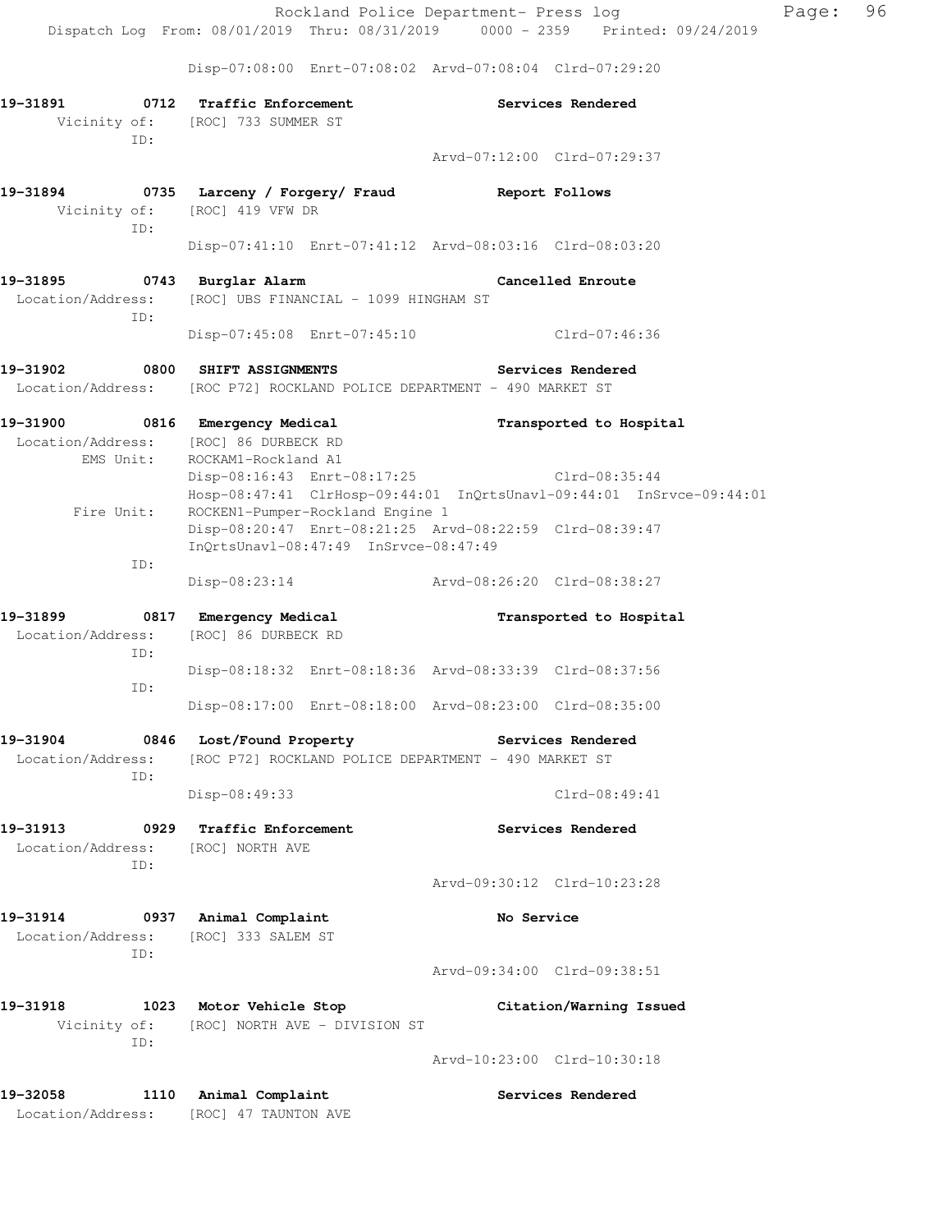Rockland Police Department- Press log Fage: 96 Dispatch Log From: 08/01/2019 Thru: 08/31/2019 0000 - 2359 Printed: 09/24/2019 Disp-07:08:00 Enrt-07:08:02 Arvd-07:08:04 Clrd-07:29:20 **19-31891 0712 Traffic Enforcement Services Rendered**  Vicinity of: [ROC] 733 SUMMER ST ID: Arvd-07:12:00 Clrd-07:29:37 **19-31894 0735 Larceny / Forgery/ Fraud Report Follows**  Vicinity of: [ROC] 419 VFW DR ID: Disp-07:41:10 Enrt-07:41:12 Arvd-08:03:16 Clrd-08:03:20 **19-31895 0743 Burglar Alarm Cancelled Enroute**  Location/Address: [ROC] UBS FINANCIAL - 1099 HINGHAM ST ID: Disp-07:45:08 Enrt-07:45:10 Clrd-07:46:36 **19-31902 0800 SHIFT ASSIGNMENTS Services Rendered**  Location/Address: [ROC P72] ROCKLAND POLICE DEPARTMENT - 490 MARKET ST **19-31900 0816 Emergency Medical Transported to Hospital**  Location/Address: [ROC] 86 DURBECK RD EMS Unit: ROCKAM1-Rockland A1 Disp-08:16:43 Enrt-08:17:25 Clrd-08:35:44 Hosp-08:47:41 ClrHosp-09:44:01 InQrtsUnavl-09:44:01 InSrvce-09:44:01 Fire Unit: ROCKEN1-Pumper-Rockland Engine 1 Disp-08:20:47 Enrt-08:21:25 Arvd-08:22:59 Clrd-08:39:47 InQrtsUnavl-08:47:49 InSrvce-08:47:49 ID: Disp-08:23:14 Arvd-08:26:20 Clrd-08:38:27 **19-31899 0817 Emergency Medical Transported to Hospital**  Location/Address: [ROC] 86 DURBECK RD ID: Disp-08:18:32 Enrt-08:18:36 Arvd-08:33:39 Clrd-08:37:56 ID: Disp-08:17:00 Enrt-08:18:00 Arvd-08:23:00 Clrd-08:35:00 **19-31904 0846 Lost/Found Property Services Rendered**  Location/Address: [ROC P72] ROCKLAND POLICE DEPARTMENT - 490 MARKET ST ID: Disp-08:49:33 Clrd-08:49:41 **19-31913 0929 Traffic Enforcement Services Rendered**  Location/Address: [ROC] NORTH AVE ID: Arvd-09:30:12 Clrd-10:23:28 19-31914 0937 Animal Complaint **No Service** Location/Address: [ROC] 333 SALEM ST ID: Arvd-09:34:00 Clrd-09:38:51 **19-31918 1023 Motor Vehicle Stop Citation/Warning Issued**  Vicinity of: [ROC] NORTH AVE - DIVISION ST ID: Arvd-10:23:00 Clrd-10:30:18

**19-32058 1110 Animal Complaint Services Rendered**  Location/Address: [ROC] 47 TAUNTON AVE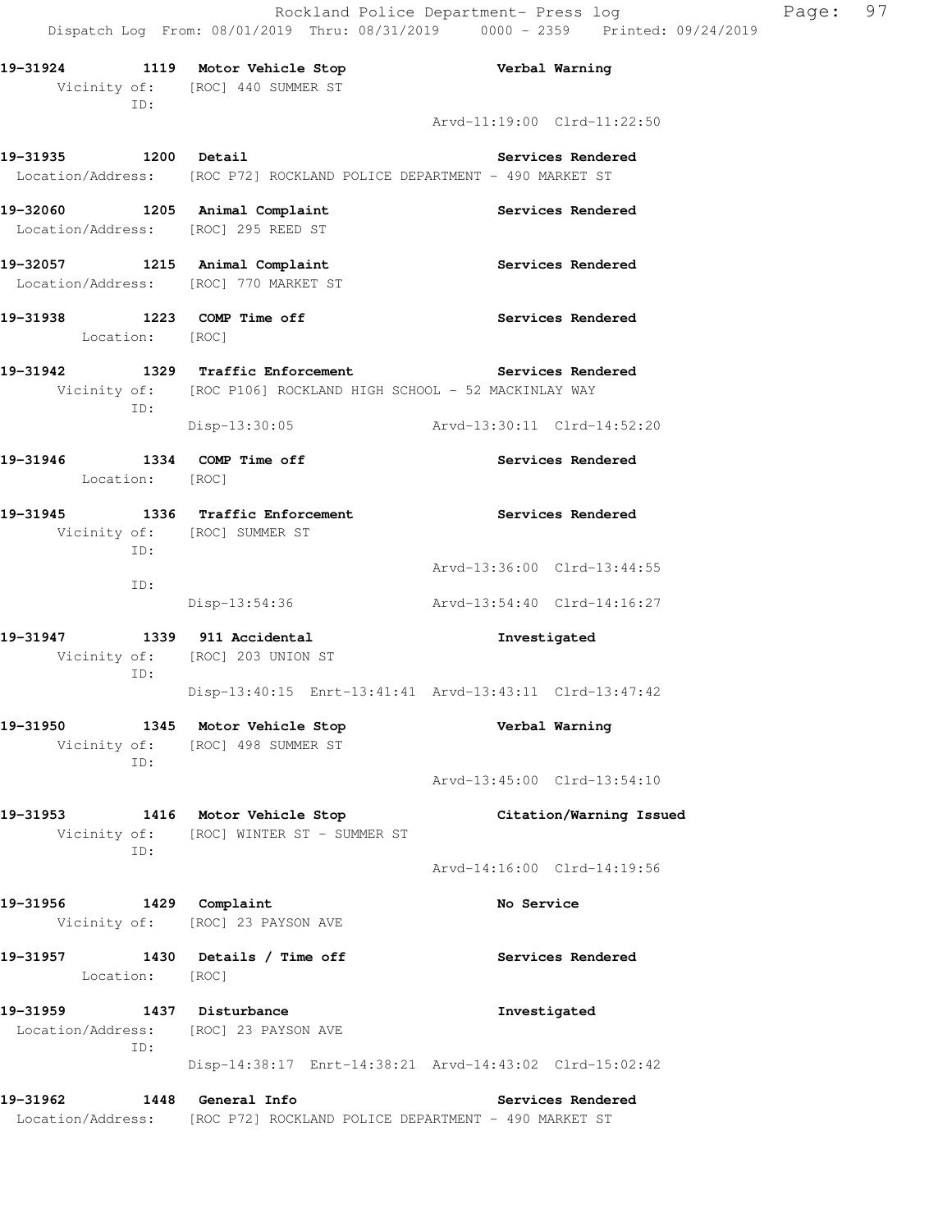**19-31924 1119 Motor Vehicle Stop Verbal Warning**  Vicinity of: [ROC] 440 SUMMER ST ID: Arvd-11:19:00 Clrd-11:22:50 **19-31935 1200 Detail Services Rendered**  Location/Address: [ROC P72] ROCKLAND POLICE DEPARTMENT - 490 MARKET ST **19-32060 1205 Animal Complaint Services Rendered**  Location/Address: [ROC] 295 REED ST **19-32057 1215 Animal Complaint Services Rendered**  Location/Address: [ROC] 770 MARKET ST **19-31938 1223 COMP Time off Services Rendered**  Location: [ROC] **19-31942 1329 Traffic Enforcement Services Rendered**  Vicinity of: [ROC P106] ROCKLAND HIGH SCHOOL - 52 MACKINLAY WAY ID: Disp-13:30:05 Arvd-13:30:11 Clrd-14:52:20 **19-31946 1334 COMP Time off Services Rendered**  Location: [ROC] **19-31945 1336 Traffic Enforcement Services Rendered**  Vicinity of: [ROC] SUMMER ST ID: Arvd-13:36:00 Clrd-13:44:55 ID: Disp-13:54:36 Arvd-13:54:40 Clrd-14:16:27 **19-31947 1339 911 Accidental Investigated**  Vicinity of: [ROC] 203 UNION ST ID: Disp-13:40:15 Enrt-13:41:41 Arvd-13:43:11 Clrd-13:47:42 **19-31950 1345 Motor Vehicle Stop Verbal Warning**  Vicinity of: [ROC] 498 SUMMER ST ID: Arvd-13:45:00 Clrd-13:54:10 **19-31953 1416 Motor Vehicle Stop Citation/Warning Issued**  Vicinity of: [ROC] WINTER ST - SUMMER ST ID: Arvd-14:16:00 Clrd-14:19:56 19-31956 1429 Complaint **19-31956** No Service Vicinity of: [ROC] 23 PAYSON AVE 19-31957 **1430** Details / Time off **Services Rendered**  Location: [ROC] **19-31959 1437 Disturbance Investigated**  Location/Address: [ROC] 23 PAYSON AVE ID: Disp-14:38:17 Enrt-14:38:21 Arvd-14:43:02 Clrd-15:02:42 **19-31962 1448 General Info Services Rendered**  Location/Address: [ROC P72] ROCKLAND POLICE DEPARTMENT - 490 MARKET ST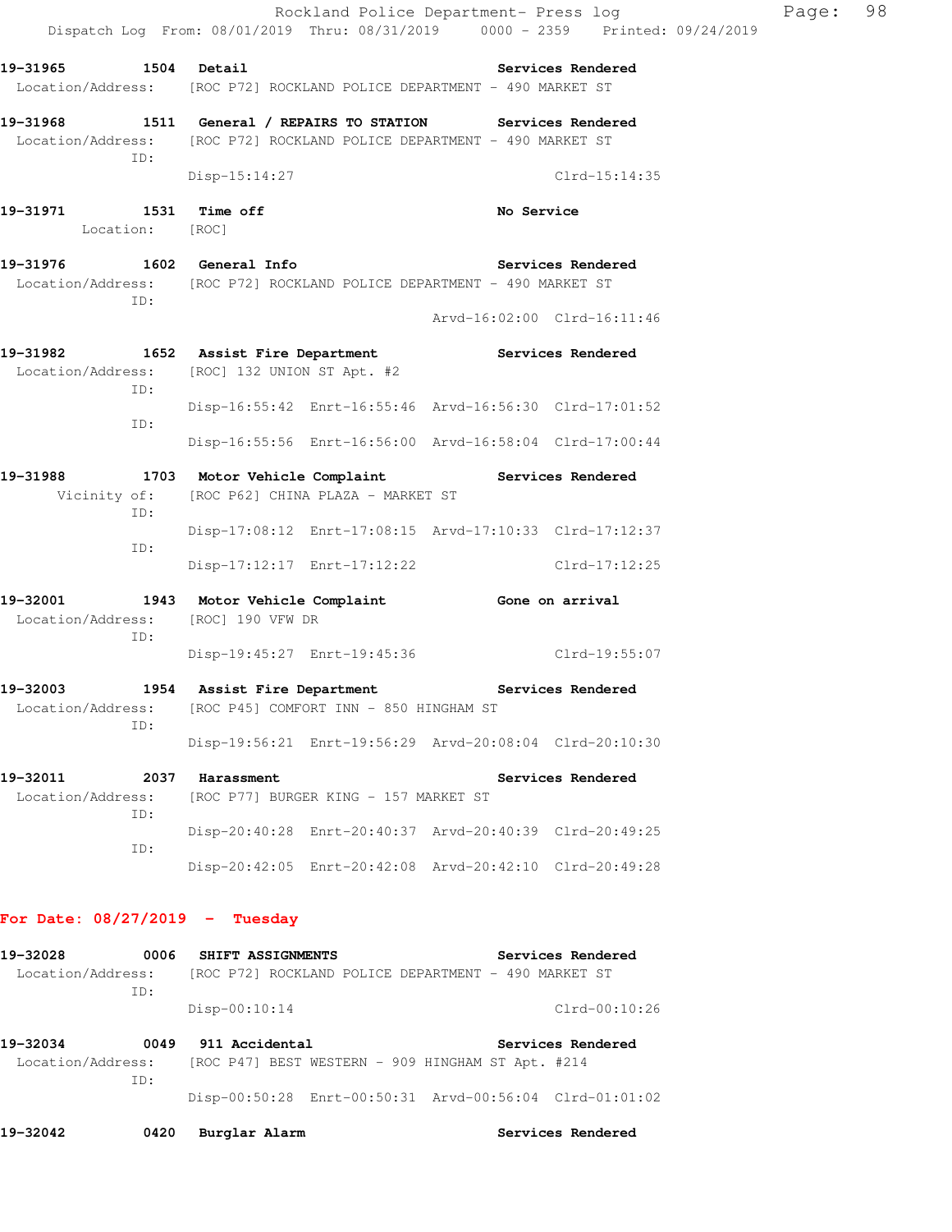|                                                                        |     |                                                                                | Rockland Police Department- Press log                   |                   |                             | Page: 98 |  |
|------------------------------------------------------------------------|-----|--------------------------------------------------------------------------------|---------------------------------------------------------|-------------------|-----------------------------|----------|--|
|                                                                        |     | Dispatch Log From: 08/01/2019 Thru: 08/31/2019 0000 - 2359 Printed: 09/24/2019 |                                                         |                   |                             |          |  |
| 19-31965 1504 Detail                                                   |     |                                                                                |                                                         |                   | Services Rendered           |          |  |
| Location/Address: [ROC P72] ROCKLAND POLICE DEPARTMENT - 490 MARKET ST |     |                                                                                |                                                         |                   |                             |          |  |
| 19-31968 1511 General / REPAIRS TO STATION Services Rendered           |     |                                                                                |                                                         |                   |                             |          |  |
|                                                                        | TD: | Location/Address: [ROC P72] ROCKLAND POLICE DEPARTMENT - 490 MARKET ST         |                                                         |                   |                             |          |  |
|                                                                        |     | $Disp-15:14:27$                                                                |                                                         |                   | $Clrd-15:14:35$             |          |  |
| 19-31971 1531 Time off<br>Location: [ROC]                              |     |                                                                                |                                                         | <b>No Service</b> |                             |          |  |
| 19-31976 1602 General Info 2011 Services Rendered                      |     |                                                                                |                                                         |                   |                             |          |  |
| Location/Address: [ROC P72] ROCKLAND POLICE DEPARTMENT - 490 MARKET ST | TD: |                                                                                |                                                         |                   |                             |          |  |
|                                                                        |     |                                                                                |                                                         |                   | Arvd-16:02:00 Clrd-16:11:46 |          |  |
| 19-31982 1652 Assist Fire Department 2008 Services Rendered            | ID: | Location/Address: [ROC] 132 UNION ST Apt. #2                                   |                                                         |                   |                             |          |  |
|                                                                        |     |                                                                                | Disp-16:55:42 Enrt-16:55:46 Arvd-16:56:30 Clrd-17:01:52 |                   |                             |          |  |
|                                                                        | ID: |                                                                                | Disp-16:55:56 Enrt-16:56:00 Arvd-16:58:04 Clrd-17:00:44 |                   |                             |          |  |
| 19-31988 1703 Motor Vehicle Complaint Services Rendered                |     |                                                                                |                                                         |                   |                             |          |  |
|                                                                        | TD: | Vicinity of: [ROC P62] CHINA PLAZA - MARKET ST                                 |                                                         |                   |                             |          |  |
|                                                                        |     |                                                                                | Disp-17:08:12 Enrt-17:08:15 Arvd-17:10:33 Clrd-17:12:37 |                   |                             |          |  |
|                                                                        | TD: |                                                                                | Disp-17:12:17 Enrt-17:12:22 Clrd-17:12:25               |                   |                             |          |  |
| 19-32001 1943 Motor Vehicle Complaint Gone on arrival                  |     |                                                                                |                                                         |                   |                             |          |  |
| Location/Address: [ROC] 190 VFW DR                                     | ID: |                                                                                |                                                         |                   |                             |          |  |
|                                                                        |     |                                                                                | Disp-19:45:27 Enrt-19:45:36 Clrd-19:55:07               |                   |                             |          |  |

**19-32003 1954 Assist Fire Department Services Rendered**  Location/Address: [ROC P45] COMFORT INN - 850 HINGHAM ST ID: Disp-19:56:21 Enrt-19:56:29 Arvd-20:08:04 Clrd-20:10:30

| 19-32011 | 2037 | Harassment |                                                         |                                                         | Services Rendered |
|----------|------|------------|---------------------------------------------------------|---------------------------------------------------------|-------------------|
|          |      |            | Location/Address: [ROC P77] BURGER KING - 157 MARKET ST |                                                         |                   |
|          | TD:  |            |                                                         |                                                         |                   |
|          |      |            |                                                         | Disp-20:40:28 Enrt-20:40:37 Arvd-20:40:39 Clrd-20:49:25 |                   |
|          | TD:  |            |                                                         |                                                         |                   |
|          |      |            |                                                         | Disp-20:42:05 Enrt-20:42:08 Arvd-20:42:10 Clrd-20:49:28 |                   |

### **For Date: 08/27/2019 - Tuesday**

| 19-32028          | 0006 | SHIFT ASSIGNMENTS |                                                         | Services Rendered |
|-------------------|------|-------------------|---------------------------------------------------------|-------------------|
| Location/Address: | TD:  |                   | [ROC P72] ROCKLAND POLICE DEPARTMENT - 490 MARKET ST    |                   |
|                   |      | $Disp-00:10:14$   |                                                         | $Clrd-00:10:26$   |
| 19-32034          | 0049 | 911 Accidental    |                                                         | Services Rendered |
| Location/Address: | ID:  |                   | [ROC P47] BEST WESTERN - 909 HINGHAM ST Apt. #214       |                   |
|                   |      |                   | Disp-00:50:28 Enrt-00:50:31 Arvd-00:56:04 Clrd-01:01:02 |                   |
| 19-32042          | 0420 | Burglar Alarm     |                                                         | Services Rendered |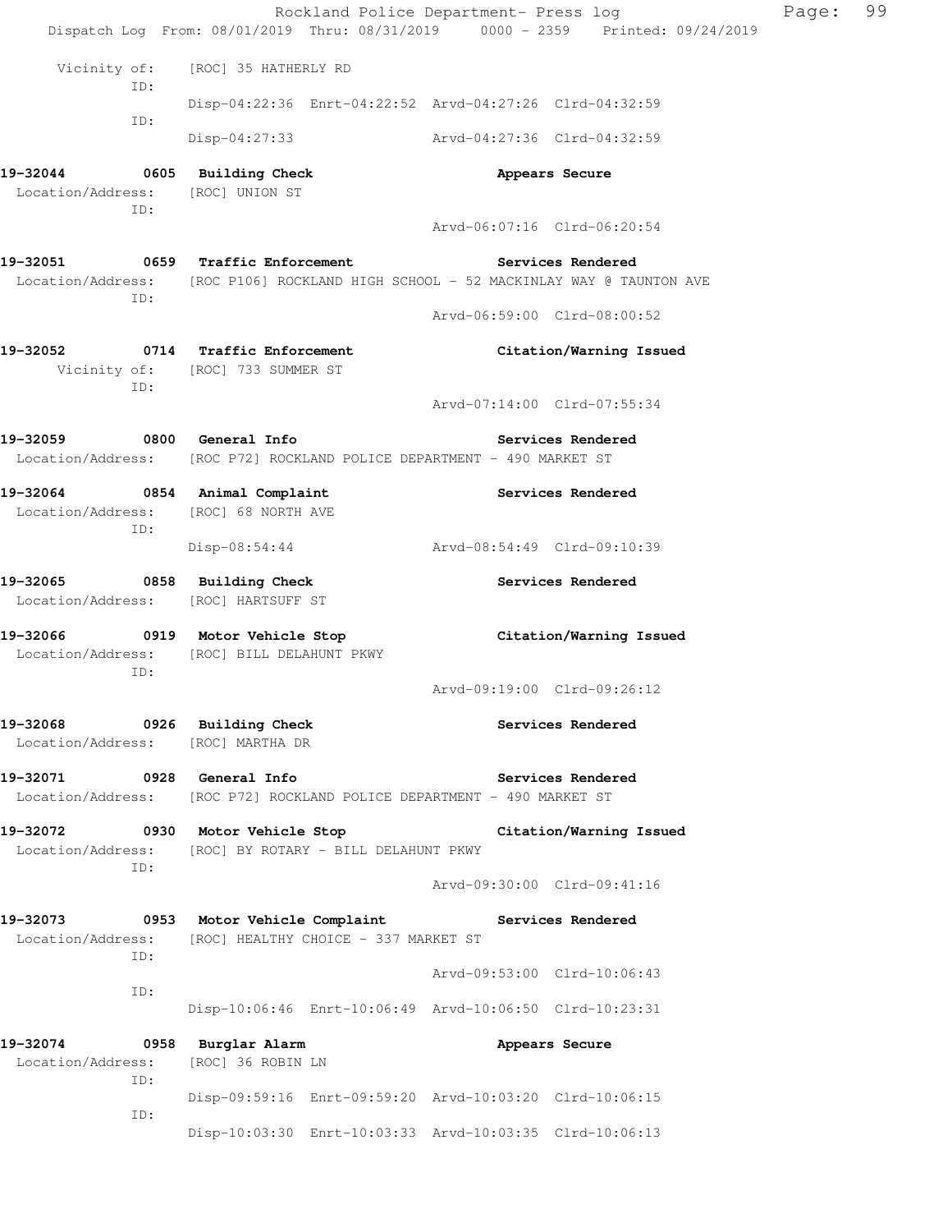|                                                                               |     |                                         |                                                         |                             | Rockland Police Department- Press log                                              | Page: | 99 |
|-------------------------------------------------------------------------------|-----|-----------------------------------------|---------------------------------------------------------|-----------------------------|------------------------------------------------------------------------------------|-------|----|
|                                                                               |     |                                         |                                                         |                             | Dispatch Log From: 08/01/2019 Thru: 08/31/2019   0000 - 2359   Printed: 09/24/2019 |       |    |
|                                                                               | ID: | Vicinity of: [ROC] 35 HATHERLY RD       |                                                         |                             |                                                                                    |       |    |
|                                                                               | ID: |                                         | Disp-04:22:36 Enrt-04:22:52 Arvd-04:27:26 Clrd-04:32:59 |                             |                                                                                    |       |    |
|                                                                               |     |                                         | Disp-04:27:33 Arvd-04:27:36 Clrd-04:32:59               |                             |                                                                                    |       |    |
| 19-32044 0605 Building Check<br>Location/Address:                             | ID: | [ROC] UNION ST                          |                                                         |                             | Appears Secure                                                                     |       |    |
|                                                                               |     |                                         |                                                         |                             | Arvd-06:07:16 Clrd-06:20:54                                                        |       |    |
| 19-32051 659 Traffic Enforcement Services Rendered                            | ID: |                                         |                                                         |                             | Location/Address: [ROC P106] ROCKLAND HIGH SCHOOL - 52 MACKINLAY WAY @ TAUNTON AVE |       |    |
|                                                                               |     |                                         |                                                         | Arvd-06:59:00 Clrd-08:00:52 |                                                                                    |       |    |
| 19-32052 0714 Traffic Enforcement                                             | ID: | Vicinity of: [ROC] 733 SUMMER ST        |                                                         |                             | Citation/Warning Issued                                                            |       |    |
|                                                                               |     |                                         |                                                         | Arvd-07:14:00 Clrd-07:55:34 |                                                                                    |       |    |
| 19-32059 0800 General Info                                                    |     |                                         |                                                         |                             | Services Rendered                                                                  |       |    |
| Location/Address: [ROC P72] ROCKLAND POLICE DEPARTMENT - 490 MARKET ST        |     |                                         |                                                         |                             |                                                                                    |       |    |
| 19-32064 0854 Animal Complaint<br>Location/Address: [ROC] 68 NORTH AVE<br>ID: |     |                                         |                                                         | Services Rendered           |                                                                                    |       |    |
|                                                                               |     |                                         | Disp-08:54:44 Arvd-08:54:49 Clrd-09:10:39               |                             |                                                                                    |       |    |
| 19-32065 0858 Building Check<br>Location/Address:                             |     | [ROC] HARTSUFF ST                       |                                                         |                             | Services Rendered                                                                  |       |    |
| Location/Address: [ROC] BILL DELAHUNT PKWY                                    |     |                                         |                                                         |                             | Citation/Warning Issued                                                            |       |    |
|                                                                               | ID: |                                         |                                                         | Arvd-09:19:00 Clrd-09:26:12 |                                                                                    |       |    |
| 19-32068<br>Location/Address:                                                 |     | 0926 Building Check<br>[ROC] MARTHA DR  |                                                         |                             | Services Rendered                                                                  |       |    |
| 19-32071<br>Location/Address:                                                 |     | 0928 General Info                       | [ROC P72] ROCKLAND POLICE DEPARTMENT - 490 MARKET ST    |                             | Services Rendered                                                                  |       |    |
| 19-32072<br>Location/Address:                                                 |     | 0930 Motor Vehicle Stop                 | [ROC] BY ROTARY - BILL DELAHUNT PKWY                    |                             | Citation/Warning Issued                                                            |       |    |
|                                                                               | ID: |                                         |                                                         | Arvd-09:30:00 Clrd-09:41:16 |                                                                                    |       |    |
| 19-32073                                                                      |     | 0953 Motor Vehicle Complaint            |                                                         |                             | Services Rendered                                                                  |       |    |
| Location/Address:                                                             | ID: |                                         | [ROC] HEALTHY CHOICE - 337 MARKET ST                    |                             |                                                                                    |       |    |
|                                                                               | ID: |                                         |                                                         | Arvd-09:53:00 Clrd-10:06:43 |                                                                                    |       |    |
|                                                                               |     |                                         | Disp-10:06:46 Enrt-10:06:49 Arvd-10:06:50 Clrd-10:23:31 |                             |                                                                                    |       |    |
| 19-32074<br>Location/Address:                                                 |     | 0958 Burglar Alarm<br>[ROC] 36 ROBIN LN |                                                         |                             | Appears Secure                                                                     |       |    |
|                                                                               | ID: |                                         | Disp-09:59:16 Enrt-09:59:20 Arvd-10:03:20 Clrd-10:06:15 |                             |                                                                                    |       |    |
|                                                                               | ID: |                                         | Disp-10:03:30 Enrt-10:03:33 Arvd-10:03:35 Clrd-10:06:13 |                             |                                                                                    |       |    |
|                                                                               |     |                                         |                                                         |                             |                                                                                    |       |    |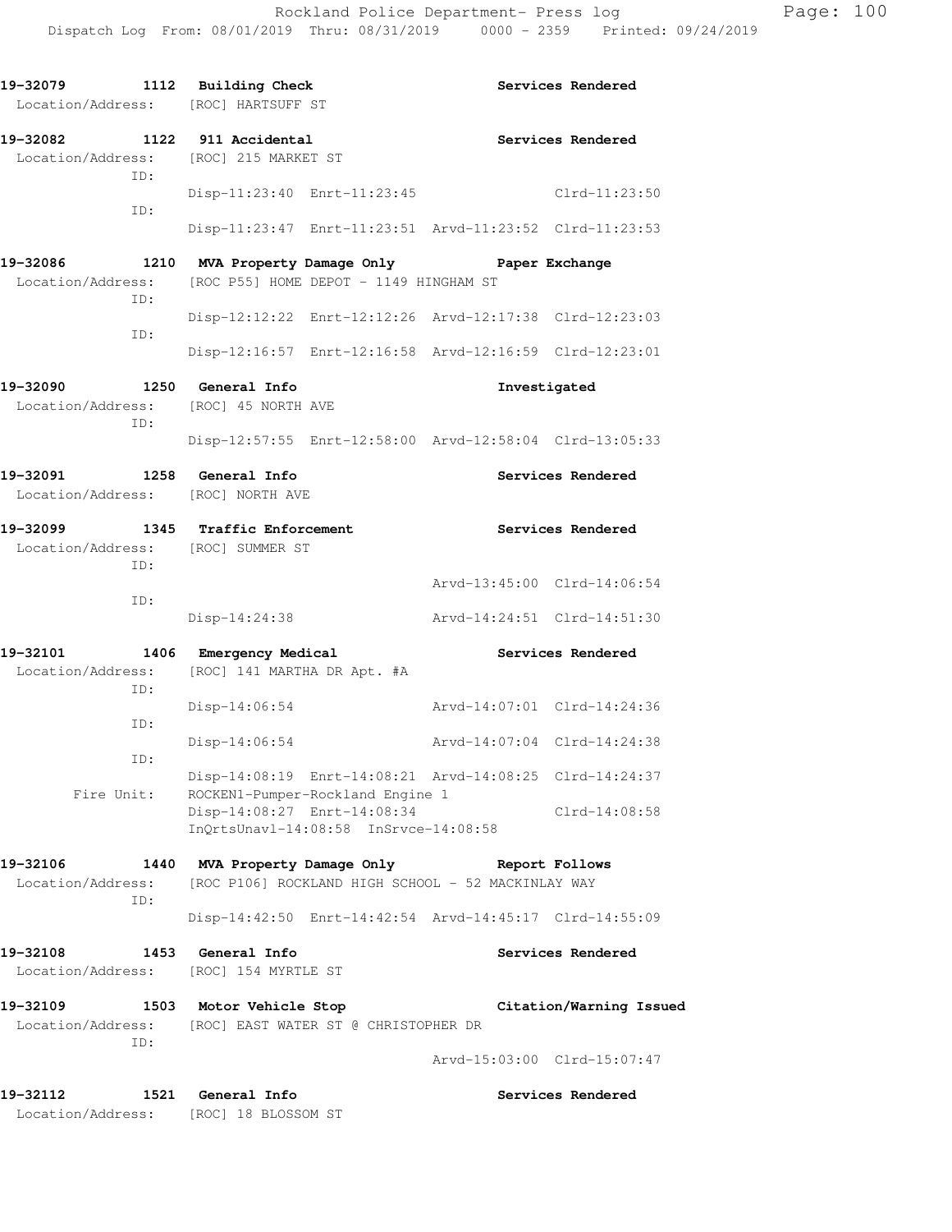| 19-32079                                             |            | 1112 Building Check<br>Location/Address: [ROC] HARTSUFF ST |                                                                                                    |                             | Services Rendered           |
|------------------------------------------------------|------------|------------------------------------------------------------|----------------------------------------------------------------------------------------------------|-----------------------------|-----------------------------|
| 19-32082                                             |            | 1122 911 Accidental                                        |                                                                                                    |                             | Services Rendered           |
|                                                      | ID:        | Location/Address: [ROC] 215 MARKET ST                      |                                                                                                    |                             | Clrd-11:23:50               |
|                                                      | TD:        |                                                            | Disp-11:23:40 Enrt-11:23:45                                                                        |                             |                             |
|                                                      |            |                                                            | Disp-11:23:47 Enrt-11:23:51 Arvd-11:23:52 Clrd-11:23:53                                            |                             |                             |
| 19-32086<br>Location/Address:                        | ID:        |                                                            | 1210 MVA Property Damage Only<br>[ROC P55] HOME DEPOT - 1149 HINGHAM ST                            |                             | Paper Exchange              |
|                                                      | TD:        |                                                            | Disp-12:12:22 Enrt-12:12:26 Arvd-12:17:38 Clrd-12:23:03                                            |                             |                             |
|                                                      |            |                                                            | Disp-12:16:57 Enrt-12:16:58 Arvd-12:16:59 Clrd-12:23:01                                            |                             |                             |
| 19-32090                                             | ID:        | 1250 General Info<br>Location/Address: [ROC] 45 NORTH AVE  |                                                                                                    |                             | Investigated                |
|                                                      |            |                                                            | Disp-12:57:55 Enrt-12:58:00 Arvd-12:58:04 Clrd-13:05:33                                            |                             |                             |
| 19-32091                                             |            | 1258 General Info<br>Location/Address: [ROC] NORTH AVE     |                                                                                                    |                             | Services Rendered           |
| 19-32099<br>Location/Address: [ROC] SUMMER ST<br>ID: |            | 1345 Traffic Enforcement                                   |                                                                                                    |                             | Services Rendered           |
|                                                      | ID:        |                                                            |                                                                                                    |                             | Arvd-13:45:00 Clrd-14:06:54 |
|                                                      |            | Disp-14:24:38                                              |                                                                                                    | Arvd-14:24:51 Clrd-14:51:30 |                             |
| 19-32101                                             |            | 1406 Emergency Medical                                     |                                                                                                    |                             | Services Rendered           |
|                                                      | ID:        | Location/Address: [ROC] 141 MARTHA DR Apt. #A              |                                                                                                    |                             |                             |
|                                                      | ID:        | Disp-14:06:54                                              |                                                                                                    | Arvd-14:07:01 Clrd-14:24:36 |                             |
|                                                      | ID:        | Disp-14:06:54                                              |                                                                                                    | Arvd-14:07:04 Clrd-14:24:38 |                             |
|                                                      | Fire Unit: |                                                            | Disp-14:08:19 Enrt-14:08:21 Arvd-14:08:25 Clrd-14:24:37<br>ROCKEN1-Pumper-Rockland Engine 1        |                             |                             |
|                                                      |            | Disp-14:08:27 Enrt-14:08:34                                | InQrtsUnavl-14:08:58 InSrvce-14:08:58                                                              |                             | Clrd-14:08:58               |
| 19-32106<br>Location/Address:                        | ID:        |                                                            | 1440 MVA Property Damage Only Report Follows<br>[ROC P106] ROCKLAND HIGH SCHOOL - 52 MACKINLAY WAY |                             |                             |
|                                                      |            |                                                            | Disp-14:42:50 Enrt-14:42:54 Arvd-14:45:17 Clrd-14:55:09                                            |                             |                             |
| 19-32108                                             |            | 1453 General Info<br>Location/Address: [ROC] 154 MYRTLE ST |                                                                                                    |                             | Services Rendered           |
| 19-32109                                             |            | 1503 Motor Vehicle Stop                                    |                                                                                                    |                             | Citation/Warning Issued     |
|                                                      | ID:        |                                                            | Location/Address: [ROC] EAST WATER ST @ CHRISTOPHER DR                                             |                             |                             |
|                                                      |            |                                                            |                                                                                                    |                             | Arvd-15:03:00 Clrd-15:07:47 |
| 19–32112                                             | 1521       | General Info                                               |                                                                                                    |                             | Services Rendered           |

Location/Address: [ROC] 18 BLOSSOM ST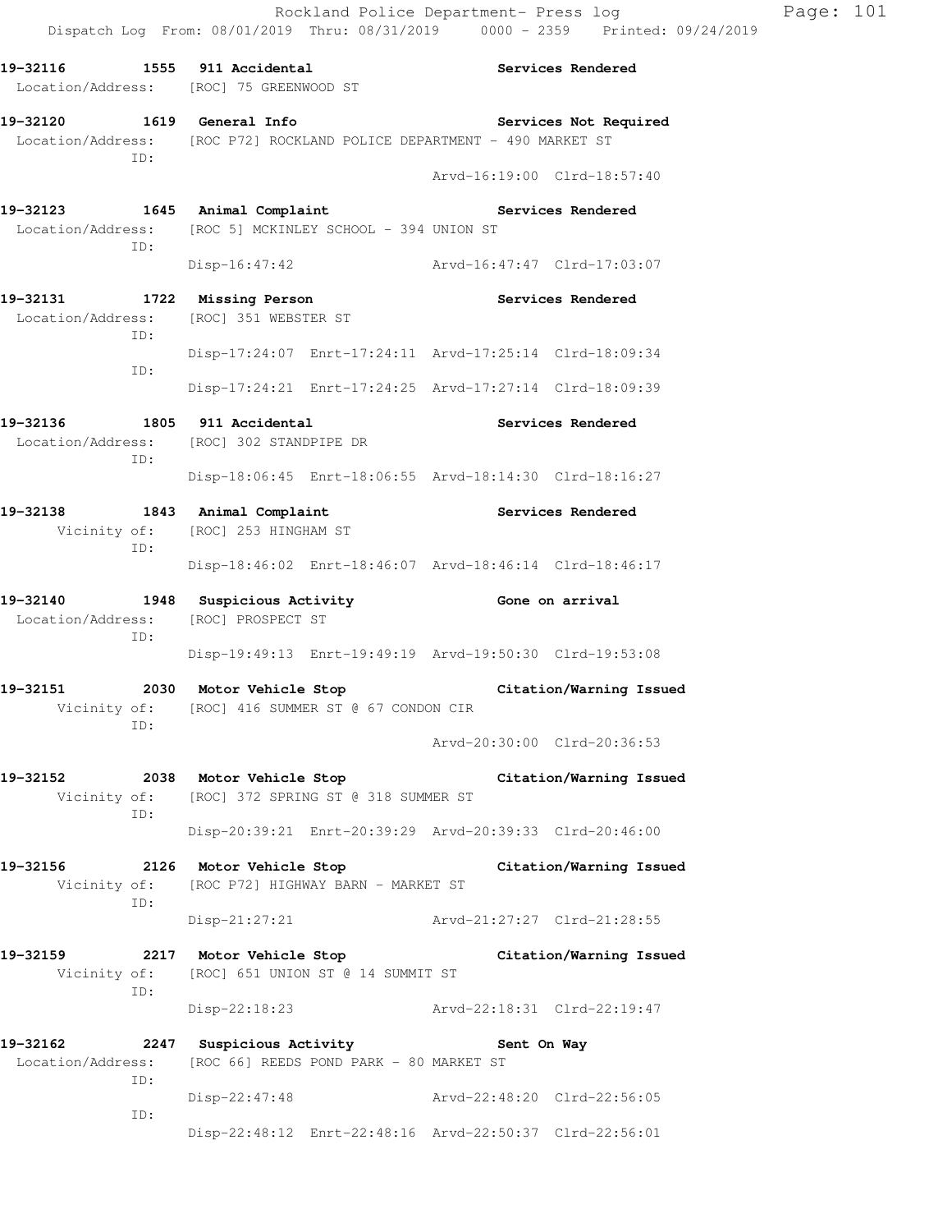**19-32116 1555 911 Accidental Services Rendered**  Location/Address: [ROC] 75 GREENWOOD ST **19-32120 1619 General Info Services Not Required**  Location/Address: [ROC P72] ROCKLAND POLICE DEPARTMENT - 490 MARKET ST ID: Arvd-16:19:00 Clrd-18:57:40 **19-32123 1645 Animal Complaint Services Rendered**  Location/Address: [ROC 5] MCKINLEY SCHOOL - 394 UNION ST ID: Disp-16:47:42 Arvd-16:47:47 Clrd-17:03:07 **19-32131 1722 Missing Person Services Rendered**  Location/Address: [ROC] 351 WEBSTER ST ID: Disp-17:24:07 Enrt-17:24:11 Arvd-17:25:14 Clrd-18:09:34 ID: Disp-17:24:21 Enrt-17:24:25 Arvd-17:27:14 Clrd-18:09:39 **19-32136 1805 911 Accidental Services Rendered**  Location/Address: [ROC] 302 STANDPIPE DR ID: Disp-18:06:45 Enrt-18:06:55 Arvd-18:14:30 Clrd-18:16:27 19-32138 1843 Animal Complaint **19-32138** Services Rendered Vicinity of: [ROC] 253 HINGHAM ST ID: Disp-18:46:02 Enrt-18:46:07 Arvd-18:46:14 Clrd-18:46:17 **19-32140 1948 Suspicious Activity Gone on arrival**  Location/Address: [ROC] PROSPECT ST ID: Disp-19:49:13 Enrt-19:49:19 Arvd-19:50:30 Clrd-19:53:08 **19-32151 2030 Motor Vehicle Stop Citation/Warning Issued**  Vicinity of: [ROC] 416 SUMMER ST @ 67 CONDON CIR ID: Arvd-20:30:00 Clrd-20:36:53 **19-32152 2038 Motor Vehicle Stop Citation/Warning Issued**  Vicinity of: [ROC] 372 SPRING ST @ 318 SUMMER ST ID: Disp-20:39:21 Enrt-20:39:29 Arvd-20:39:33 Clrd-20:46:00 **19-32156 2126 Motor Vehicle Stop Citation/Warning Issued**  Vicinity of: [ROC P72] HIGHWAY BARN - MARKET ST ID: Disp-21:27:21 Arvd-21:27:27 Clrd-21:28:55 **19-32159 2217 Motor Vehicle Stop Citation/Warning Issued**  Vicinity of: [ROC] 651 UNION ST @ 14 SUMMIT ST ID: Disp-22:18:23 Arvd-22:18:31 Clrd-22:19:47 **19-32162 2247 Suspicious Activity Sent On Way**  Location/Address: [ROC 66] REEDS POND PARK - 80 MARKET ST ID: Disp-22:47:48 Arvd-22:48:20 Clrd-22:56:05 ID: Disp-22:48:12 Enrt-22:48:16 Arvd-22:50:37 Clrd-22:56:01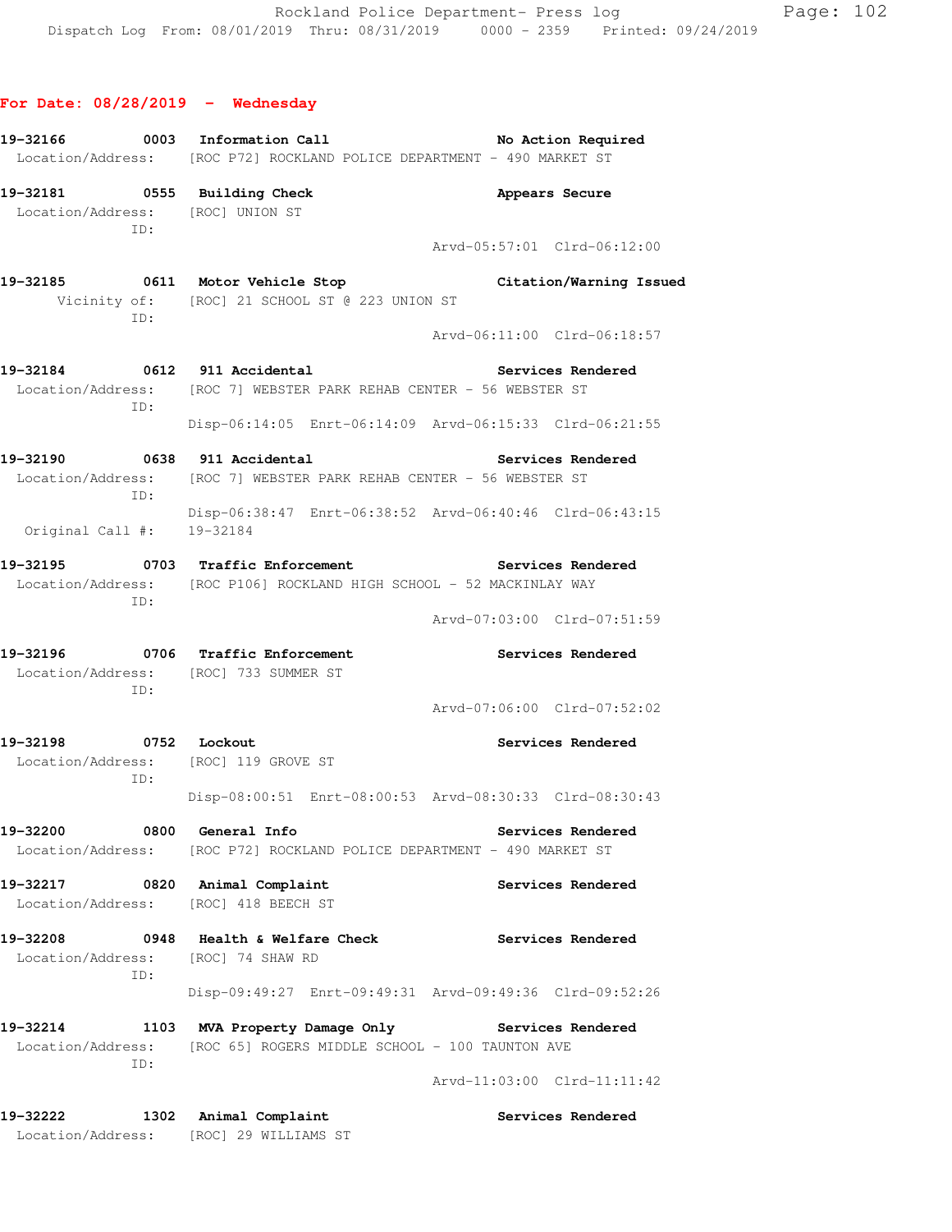## **For Date: 08/28/2019 - Wednesday**

|                                  |     | 19-32166 0003 Information Call                                                                                                   | <b>No Action Required</b>                                |
|----------------------------------|-----|----------------------------------------------------------------------------------------------------------------------------------|----------------------------------------------------------|
|                                  |     | Location/Address: [ROC P72] ROCKLAND POLICE DEPARTMENT - 490 MARKET ST                                                           |                                                          |
| Location/Address: [ROC] UNION ST | ID: | 19-32181 0555 Building Check                                                                                                     | Appears Secure                                           |
|                                  |     |                                                                                                                                  | Arvd-05:57:01 Clrd-06:12:00                              |
|                                  | ID: | Vicinity of: [ROC] 21 SCHOOL ST @ 223 UNION ST                                                                                   | 19-32185 0611 Motor Vehicle Stop Citation/Warning Issued |
|                                  |     |                                                                                                                                  | Arvd-06:11:00 Clrd-06:18:57                              |
|                                  | ID: | 19-32184 0612 911 Accidental<br>Location/Address: [ROC 7] WEBSTER PARK REHAB CENTER - 56 WEBSTER ST                              | <b>Services Rendered</b>                                 |
|                                  |     | Disp-06:14:05 Enrt-06:14:09 Arvd-06:15:33 Clrd-06:21:55                                                                          |                                                          |
|                                  | ID: | 19-32190 0638 911 Accidental<br>Location/Address: [ROC 7] WEBSTER PARK REHAB CENTER - 56 WEBSTER ST                              | <b>Services Rendered</b>                                 |
| Original Call #: 19-32184        |     | Disp-06:38:47 Enrt-06:38:52 Arvd-06:40:46 Clrd-06:43:15                                                                          |                                                          |
|                                  | ID: | 19-32195 0703 Traffic Enforcement 2008 Services Rendered<br>Location/Address: [ROC P106] ROCKLAND HIGH SCHOOL - 52 MACKINLAY WAY |                                                          |
|                                  |     |                                                                                                                                  | Arvd-07:03:00 Clrd-07:51:59                              |
|                                  | ID: | 19-32196 0706 Traffic Enforcement<br>Location/Address: [ROC] 733 SUMMER ST                                                       | Services Rendered                                        |
|                                  |     |                                                                                                                                  | Arvd-07:06:00 Clrd-07:52:02                              |
| 19-32198 0752 Lockout            | ID: | Location/Address: [ROC] 119 GROVE ST                                                                                             | Services Rendered                                        |
|                                  |     | Disp-08:00:51 Enrt-08:00:53 Arvd-08:30:33 Clrd-08:30:43                                                                          |                                                          |
| 19-32200                         |     | 0800 General Info<br>Location/Address: [ROC P72] ROCKLAND POLICE DEPARTMENT - 490 MARKET ST                                      | Services Rendered                                        |
|                                  |     | 19-32217 0820 Animal Complaint<br>Location/Address: [ROC] 418 BEECH ST                                                           | Services Rendered                                        |
|                                  | ID: | 19-32208 0948 Health & Welfare Check<br>Location/Address: [ROC] 74 SHAW RD                                                       | Services Rendered                                        |
|                                  |     | Disp-09:49:27 Enrt-09:49:31 Arvd-09:49:36 Clrd-09:52:26                                                                          |                                                          |
|                                  | ID: | 19-32214 1103 MVA Property Damage Only Services Rendered<br>Location/Address: [ROC 65] ROGERS MIDDLE SCHOOL - 100 TAUNTON AVE    |                                                          |
|                                  |     |                                                                                                                                  | Arvd-11:03:00 Clrd-11:11:42                              |
| 19-32222                         |     | 1302 Animal Complaint<br>Location/Address: [ROC] 29 WILLIAMS ST                                                                  | Services Rendered                                        |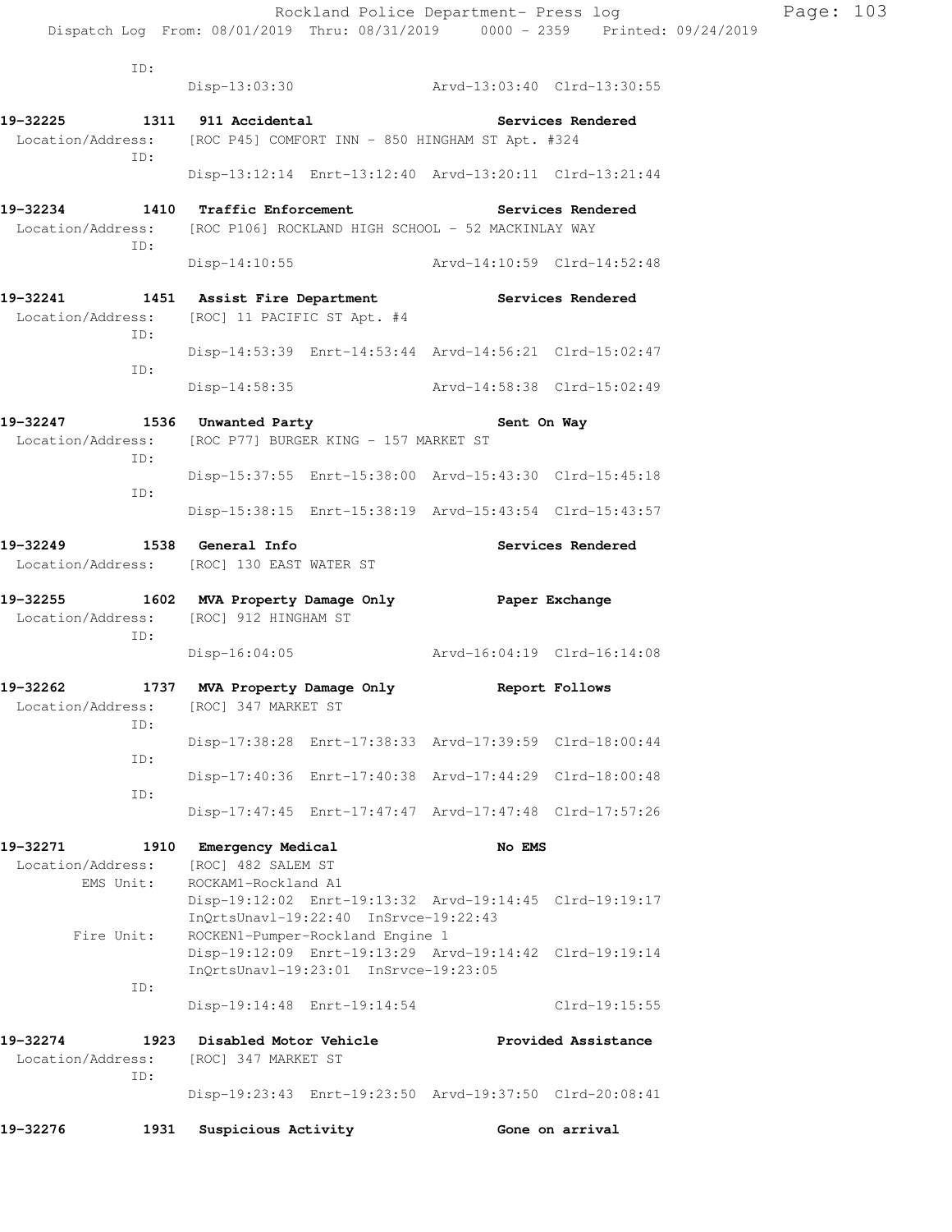|                                                    | Rockland Police Department- Press log<br>Dispatch Log From: 08/01/2019 Thru: 08/31/2019 0000 - 2359 Printed: 09/24/2019                     |                             |                            |  |
|----------------------------------------------------|---------------------------------------------------------------------------------------------------------------------------------------------|-----------------------------|----------------------------|--|
| ID:                                                | Disp-13:03:30 Arvd-13:03:40 Clrd-13:30:55                                                                                                   |                             |                            |  |
| 19-32225 1311 911 Accidental                       | Location/Address: [ROC P45] COMFORT INN - 850 HINGHAM ST Apt. #324                                                                          |                             | Services Rendered          |  |
| ID:                                                | Disp-13:12:14 Enrt-13:12:40 Arvd-13:20:11 Clrd-13:21:44                                                                                     |                             |                            |  |
| ID:                                                | 19-32234 1410 Traffic Enforcement <b>19-82234</b> Services Rendered<br>Location/Address: [ROC P106] ROCKLAND HIGH SCHOOL - 52 MACKINLAY WAY |                             |                            |  |
|                                                    | Disp-14:10:55 Arvd-14:10:59 Clrd-14:52:48                                                                                                   |                             |                            |  |
|                                                    | 19-32241 1451 Assist Fire Department 19-32241 Services Rendered<br>Location/Address: [ROC] 11 PACIFIC ST Apt. #4                            |                             |                            |  |
| ID:                                                | Disp-14:53:39 Enrt-14:53:44 Arvd-14:56:21 Clrd-15:02:47                                                                                     |                             |                            |  |
| ID:                                                | Disp-14:58:35                                                                                                                               | Arvd-14:58:38 Clrd-15:02:49 |                            |  |
|                                                    | 19-32247 1536 Unwanted Party<br>Location/Address: [ROC P77] BURGER KING - 157 MARKET ST                                                     | Sent On Way                 |                            |  |
| ID:                                                | Disp-15:37:55 Enrt-15:38:00 Arvd-15:43:30 Clrd-15:45:18                                                                                     |                             |                            |  |
| ID:                                                | Disp-15:38:15 Enrt-15:38:19 Arvd-15:43:54 Clrd-15:43:57                                                                                     |                             |                            |  |
| 19-32249 1538 General Info                         | Location/Address: [ROC] 130 EAST WATER ST                                                                                                   |                             | Services Rendered          |  |
| Location/Address: [ROC] 912 HINGHAM ST             | 19-32255 1602 MVA Property Damage Only Paper Exchange                                                                                       |                             |                            |  |
| ID:                                                | Disp-16:04:05 Arvd-16:04:19 Clrd-16:14:08                                                                                                   |                             |                            |  |
| Location/Address:<br>ID:                           | MVA Property Damage Only<br>[ROC] 347 MARKET ST                                                                                             |                             | Report Follows             |  |
| ID:                                                | Disp-17:38:28 Enrt-17:38:33 Arvd-17:39:59 Clrd-18:00:44                                                                                     |                             |                            |  |
| ID:                                                | Disp-17:40:36 Enrt-17:40:38 Arvd-17:44:29 Clrd-18:00:48                                                                                     |                             |                            |  |
|                                                    | Disp-17:47:45 Enrt-17:47:47 Arvd-17:47:48 Clrd-17:57:26                                                                                     |                             |                            |  |
| 19-32271<br>1910<br>Location/Address:<br>EMS Unit: | Emergency Medical<br>[ROC] 482 SALEM ST<br>ROCKAM1-Rockland A1                                                                              | No EMS                      |                            |  |
| Fire Unit:                                         | Disp-19:12:02 Enrt-19:13:32 Arvd-19:14:45 Clrd-19:19:17<br>InQrtsUnavl-19:22:40 InSrvce-19:22:43<br>ROCKEN1-Pumper-Rockland Engine 1        |                             |                            |  |
|                                                    | Disp-19:12:09 Enrt-19:13:29 Arvd-19:14:42 Clrd-19:19:14<br>InQrtsUnavl-19:23:01 InSrvce-19:23:05                                            |                             |                            |  |
| ID:                                                | Disp-19:14:48 Enrt-19:14:54                                                                                                                 |                             | $Clrd-19:15:55$            |  |
| 19-32274<br>1923                                   | Disabled Motor Vehicle                                                                                                                      |                             | <b>Provided Assistance</b> |  |
| Location/Address:<br>ID:                           | [ROC] 347 MARKET ST                                                                                                                         |                             |                            |  |
|                                                    | Disp-19:23:43 Enrt-19:23:50 Arvd-19:37:50 Clrd-20:08:41                                                                                     |                             |                            |  |

**19-32276 1931 Suspicious Activity Gone on arrival** 

Page: 103<br>019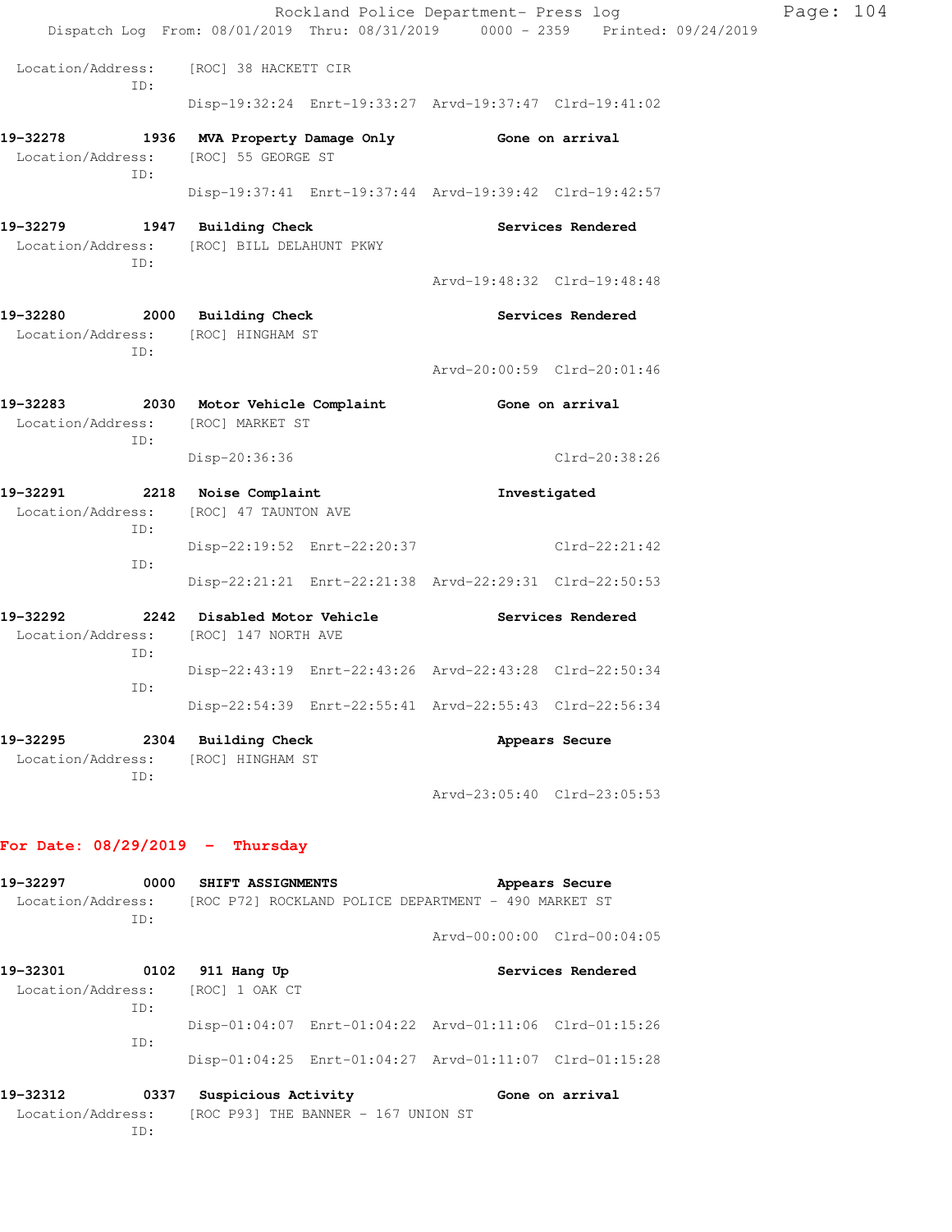|                                                           |                                                        | Rockland Police Department- Press log                                          | Page: 104 |
|-----------------------------------------------------------|--------------------------------------------------------|--------------------------------------------------------------------------------|-----------|
|                                                           |                                                        | Dispatch Log From: 08/01/2019 Thru: 08/31/2019 0000 - 2359 Printed: 09/24/2019 |           |
| ID:                                                       | Location/Address: [ROC] 38 HACKETT CIR                 |                                                                                |           |
|                                                           |                                                        | Disp-19:32:24 Enrt-19:33:27 Arvd-19:37:47 Clrd-19:41:02                        |           |
| Location/Address: [ROC] 55 GEORGE ST<br>ID:               | 19-32278 1936 MVA Property Damage Only Gone on arrival |                                                                                |           |
|                                                           |                                                        | Disp-19:37:41 Enrt-19:37:44 Arvd-19:39:42 Clrd-19:42:57                        |           |
| 19-32279 1947 Building Check<br>ID:                       | Location/Address: [ROC] BILL DELAHUNT PKWY             | Services Rendered                                                              |           |
|                                                           |                                                        | Arvd-19:48:32 Clrd-19:48:48                                                    |           |
| 19-32280<br>Location/Address: [ROC] HINGHAM ST<br>ID:     | 2000 Building Check                                    | Services Rendered                                                              |           |
|                                                           |                                                        | Arvd-20:00:59 Clrd-20:01:46                                                    |           |
| 19-32283<br>Location/Address: [ROC] MARKET ST<br>ID:      | 2030 Motor Vehicle Complaint                           | Gone on arrival                                                                |           |
|                                                           | Disp-20:36:36                                          | Clrd-20:38:26                                                                  |           |
| 19-32291 2218 Noise Complaint<br>Location/Address:<br>ID: | [ROC] 47 TAUNTON AVE                                   | Investigated                                                                   |           |
| ID:                                                       |                                                        | Disp-22:19:52 Enrt-22:20:37 Clrd-22:21:42                                      |           |
|                                                           |                                                        | Disp-22:21:21 Enrt-22:21:38 Arvd-22:29:31 Clrd-22:50:53                        |           |
| 19-32292<br>Location/Address: [ROC] 147 NORTH AVE<br>ID:  | 2242 Disabled Motor Vehicle                            | Services Rendered                                                              |           |
|                                                           |                                                        | Disp-22:43:19 Enrt-22:43:26 Arvd-22:43:28 Clrd-22:50:34                        |           |
| ID:                                                       |                                                        | Disp-22:54:39 Enrt-22:55:41 Arvd-22:55:43 Clrd-22:56:34                        |           |
| 19-32295<br>Location/Address:                             | 2304 Building Check<br>[ROC] HINGHAM ST                | Appears Secure                                                                 |           |
| ID:                                                       |                                                        | Arvd-23:05:40 Clrd-23:05:53                                                    |           |
|                                                           |                                                        |                                                                                |           |

# **For Date: 08/29/2019 - Thursday**

| 19-32297          | 0000 | SHIFT ASSIGNMENTS   |                                     |                                                         | Appears Secure    |
|-------------------|------|---------------------|-------------------------------------|---------------------------------------------------------|-------------------|
| Location/Address: |      |                     |                                     | [ROC P72] ROCKLAND POLICE DEPARTMENT - 490 MARKET ST    |                   |
|                   | ID:  |                     |                                     | Arvd-00:00:00 Clrd-00:04:05                             |                   |
| 19–32301          | 0102 | 911 Hang Up         |                                     |                                                         | Services Rendered |
| Location/Address: | ID:  | [ROC] 1 OAK CT      |                                     |                                                         |                   |
|                   | TD:  |                     |                                     | Disp-01:04:07 Enrt-01:04:22 Arvd-01:11:06 Clrd-01:15:26 |                   |
|                   |      |                     |                                     | Disp-01:04:25 Enrt-01:04:27 Arvd-01:11:07 Clrd-01:15:28 |                   |
| 19–32312          | 0337 | Suspicious Activity |                                     |                                                         | Gone on arrival   |
| Location/Address: |      |                     | [ROC P93] THE BANNER - 167 UNION ST |                                                         |                   |
|                   | ID:  |                     |                                     |                                                         |                   |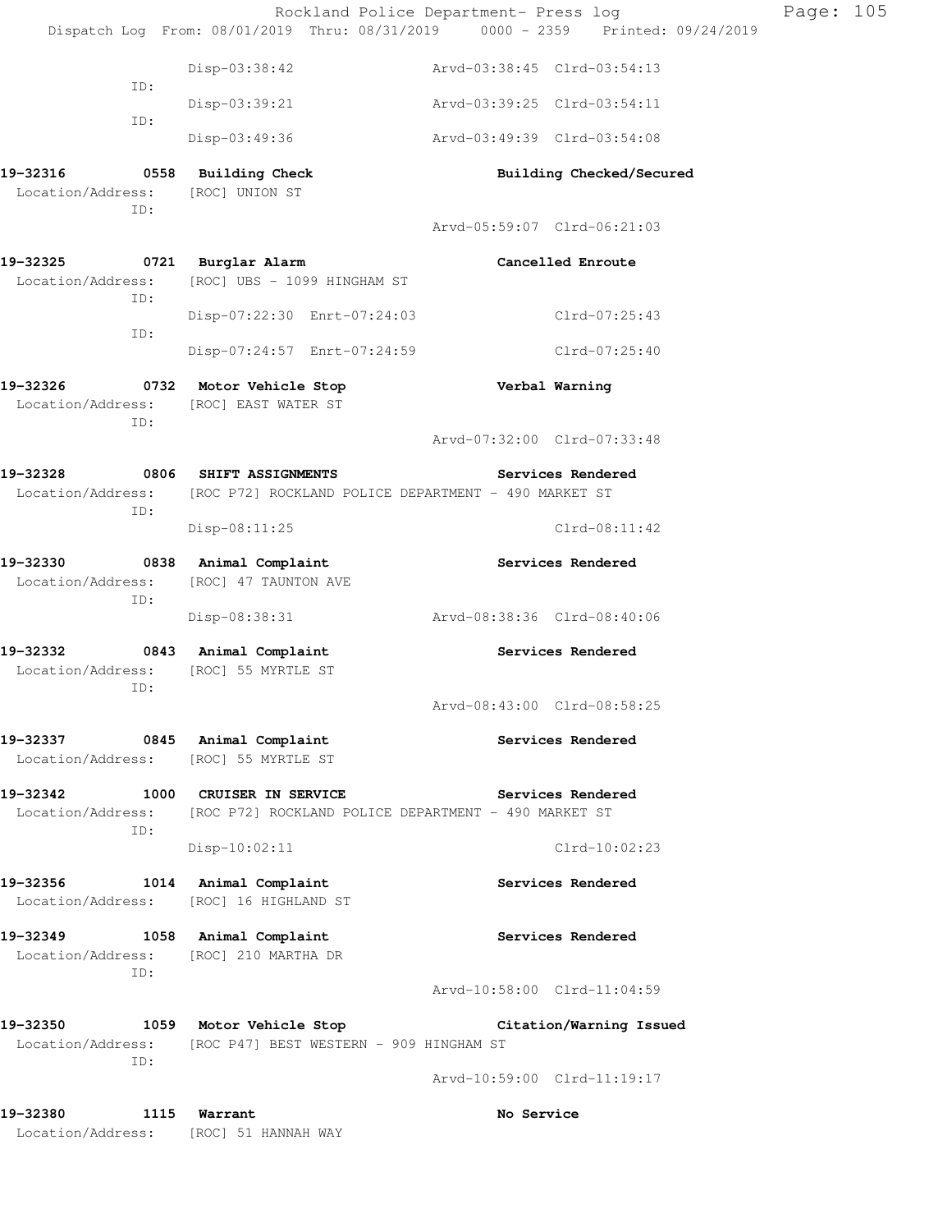|                                                                               |                                                                                                   | Rockland Police Department- Press log                                          | Page: 105 |  |
|-------------------------------------------------------------------------------|---------------------------------------------------------------------------------------------------|--------------------------------------------------------------------------------|-----------|--|
|                                                                               |                                                                                                   | Dispatch Log From: 08/01/2019 Thru: 08/31/2019 0000 - 2359 Printed: 09/24/2019 |           |  |
| ID:                                                                           | Disp-03:38:42                                                                                     | Arvd-03:38:45 Clrd-03:54:13                                                    |           |  |
| ID:                                                                           | Disp-03:39:21                                                                                     | Arvd-03:39:25 Clrd-03:54:11                                                    |           |  |
|                                                                               | Disp-03:49:36                                                                                     | Arvd-03:49:39 Clrd-03:54:08                                                    |           |  |
| 19-32316 0558 Building Check                                                  |                                                                                                   | Building Checked/Secured                                                       |           |  |
| Location/Address: [ROC] UNION ST<br>ID:                                       |                                                                                                   |                                                                                |           |  |
|                                                                               |                                                                                                   | Arvd-05:59:07 Clrd-06:21:03                                                    |           |  |
| 19-32325 0721 Burglar Alarm<br>ID:                                            | Location/Address: [ROC] UBS - 1099 HINGHAM ST                                                     | Cancelled Enroute                                                              |           |  |
| ID:                                                                           | Disp-07:22:30 Enrt-07:24:03                                                                       | Clrd-07:25:43                                                                  |           |  |
|                                                                               | Disp-07:24:57 Enrt-07:24:59                                                                       | Clrd-07:25:40                                                                  |           |  |
| 19-32326<br>Location/Address:<br>ID:                                          | 0732 Motor Vehicle Stop<br>[ROC] EAST WATER ST                                                    | Verbal Warning                                                                 |           |  |
|                                                                               |                                                                                                   | Arvd-07:32:00 Clrd-07:33:48                                                    |           |  |
| 19-32328<br>ID:                                                               | 0806 SHIFT ASSIGNMENTS<br>Location/Address: [ROC P72] ROCKLAND POLICE DEPARTMENT - 490 MARKET ST  | Services Rendered                                                              |           |  |
|                                                                               | Disp-08:11:25                                                                                     | $Clrd-08:11:42$                                                                |           |  |
| 19-32330 0838 Animal Complaint<br>ID:                                         | Location/Address: [ROC] 47 TAUNTON AVE                                                            | Services Rendered                                                              |           |  |
|                                                                               | Disp-08:38:31                                                                                     | Arvd-08:38:36 Clrd-08:40:06                                                    |           |  |
| 19-32332 0843 Animal Complaint<br>Location/Address: [ROC] 55 MYRTLE ST<br>ID: |                                                                                                   | Services Rendered                                                              |           |  |
|                                                                               |                                                                                                   | Arvd-08:43:00 Clrd-08:58:25                                                    |           |  |
| 19-32337 0845 Animal Complaint<br>Location/Address: [ROC] 55 MYRTLE ST        |                                                                                                   | Services Rendered                                                              |           |  |
| 19-32342<br>ID:                                                               | 1000 CRUISER IN SERVICE<br>Location/Address: [ROC P72] ROCKLAND POLICE DEPARTMENT - 490 MARKET ST | Services Rendered                                                              |           |  |
|                                                                               | Disp-10:02:11                                                                                     | $Clrd-10:02:23$                                                                |           |  |
| 19-32356                                                                      | 1014 Animal Complaint<br>Location/Address: [ROC] 16 HIGHLAND ST                                   | Services Rendered                                                              |           |  |
| 19-32349 1058 Animal Complaint<br>Location/Address:<br>ID:                    | [ROC] 210 MARTHA DR                                                                               | Services Rendered                                                              |           |  |
|                                                                               |                                                                                                   | Arvd-10:58:00 Clrd-11:04:59                                                    |           |  |
| 19-32350                                                                      | 1059 Motor Vehicle Stop                                                                           | Citation/Warning Issued                                                        |           |  |
| ID:                                                                           | Location/Address: [ROC P47] BEST WESTERN - 909 HINGHAM ST                                         |                                                                                |           |  |
|                                                                               |                                                                                                   | Arvd-10:59:00 Clrd-11:19:17                                                    |           |  |
| 19-32380<br>1115 Warrant<br>Location/Address: [ROC] 51 HANNAH WAY             |                                                                                                   | No Service                                                                     |           |  |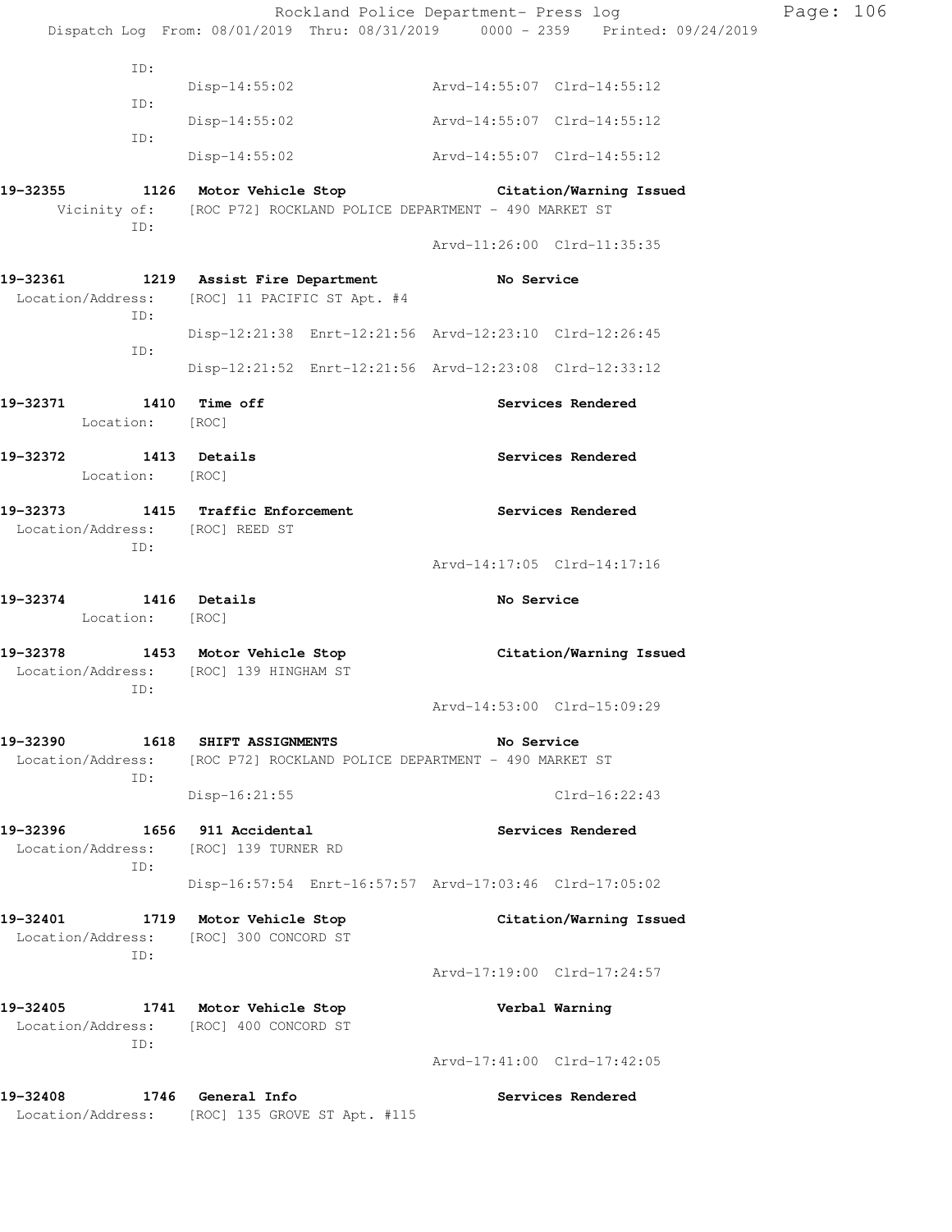|                                               |                                                                                                  | Rockland Police Department- Press log<br>Dispatch Log From: 08/01/2019 Thru: 08/31/2019   0000 - 2359   Printed: 09/24/2019 | Page: 106 |
|-----------------------------------------------|--------------------------------------------------------------------------------------------------|-----------------------------------------------------------------------------------------------------------------------------|-----------|
| ID:                                           |                                                                                                  |                                                                                                                             |           |
|                                               |                                                                                                  | Disp-14:55:02 Arvd-14:55:07 Clrd-14:55:12                                                                                   |           |
| ID:                                           | Disp-14:55:02                                                                                    | Arvd-14:55:07 Clrd-14:55:12                                                                                                 |           |
| ID:                                           |                                                                                                  | Disp-14:55:02 Arvd-14:55:07 Clrd-14:55:12                                                                                   |           |
| ID:                                           | Vicinity of: [ROC P72] ROCKLAND POLICE DEPARTMENT - 490 MARKET ST                                | 19-32355 1126 Motor Vehicle Stop Citation/Warning Issued                                                                    |           |
|                                               |                                                                                                  | Arvd-11:26:00 Clrd-11:35:35                                                                                                 |           |
| ID:                                           | 19-32361 1219 Assist Fire Department<br>Location/Address: [ROC] 11 PACIFIC ST Apt. #4            | <b>No Service</b>                                                                                                           |           |
| ID:                                           |                                                                                                  | Disp-12:21:38 Enrt-12:21:56 Arvd-12:23:10 Clrd-12:26:45                                                                     |           |
|                                               |                                                                                                  | Disp-12:21:52 Enrt-12:21:56 Arvd-12:23:08 Clrd-12:33:12                                                                     |           |
| 19-32371<br>Location: [ROC]                   | 1410 Time off                                                                                    | Services Rendered                                                                                                           |           |
| 19-32372 1413 Details<br>Location: [ROC]      |                                                                                                  | Services Rendered                                                                                                           |           |
| Location/Address: [ROC] REED ST<br>ID:        | 19-32373 1415 Traffic Enforcement                                                                | <b>Services Rendered</b>                                                                                                    |           |
|                                               |                                                                                                  | Arvd-14:17:05 Clrd-14:17:16                                                                                                 |           |
| 19-32374 1416 Details<br>Location: [ROC]      |                                                                                                  | No Service                                                                                                                  |           |
| Location/Address: [ROC] 139 HINGHAM ST<br>ID: | 19-32378 1453 Motor Vehicle Stop                                                                 | Citation/Warning Issued                                                                                                     |           |
|                                               |                                                                                                  | Arvd-14:53:00 Clrd-15:09:29                                                                                                 |           |
| 19-32390                                      | 1618 SHIFT ASSIGNMENTS<br>Location/Address: [ROC P72] ROCKLAND POLICE DEPARTMENT - 490 MARKET ST | No Service                                                                                                                  |           |
| ID:                                           | Disp-16:21:55                                                                                    | $Clrd-16:22:43$                                                                                                             |           |
| 19-32396 1656 911 Accidental                  | Location/Address: [ROC] 139 TURNER RD                                                            | Services Rendered                                                                                                           |           |
| ID:                                           |                                                                                                  | Disp-16:57:54 Enrt-16:57:57 Arvd-17:03:46 Clrd-17:05:02                                                                     |           |
| 19-32401<br>ID:                               | 1719 Motor Vehicle Stop<br>Location/Address: [ROC] 300 CONCORD ST                                | Citation/Warning Issued                                                                                                     |           |
|                                               |                                                                                                  | Arvd-17:19:00 Clrd-17:24:57                                                                                                 |           |
| 19-32405 1741 Motor Vehicle Stop<br>ID:       | Location/Address: [ROC] 400 CONCORD ST                                                           | Verbal Warning                                                                                                              |           |
|                                               |                                                                                                  | Arvd-17:41:00 Clrd-17:42:05                                                                                                 |           |
| 19-32408                                      | 1746 General Info<br>Location/Address: [ROC] 135 GROVE ST Apt. #115                              | Services Rendered                                                                                                           |           |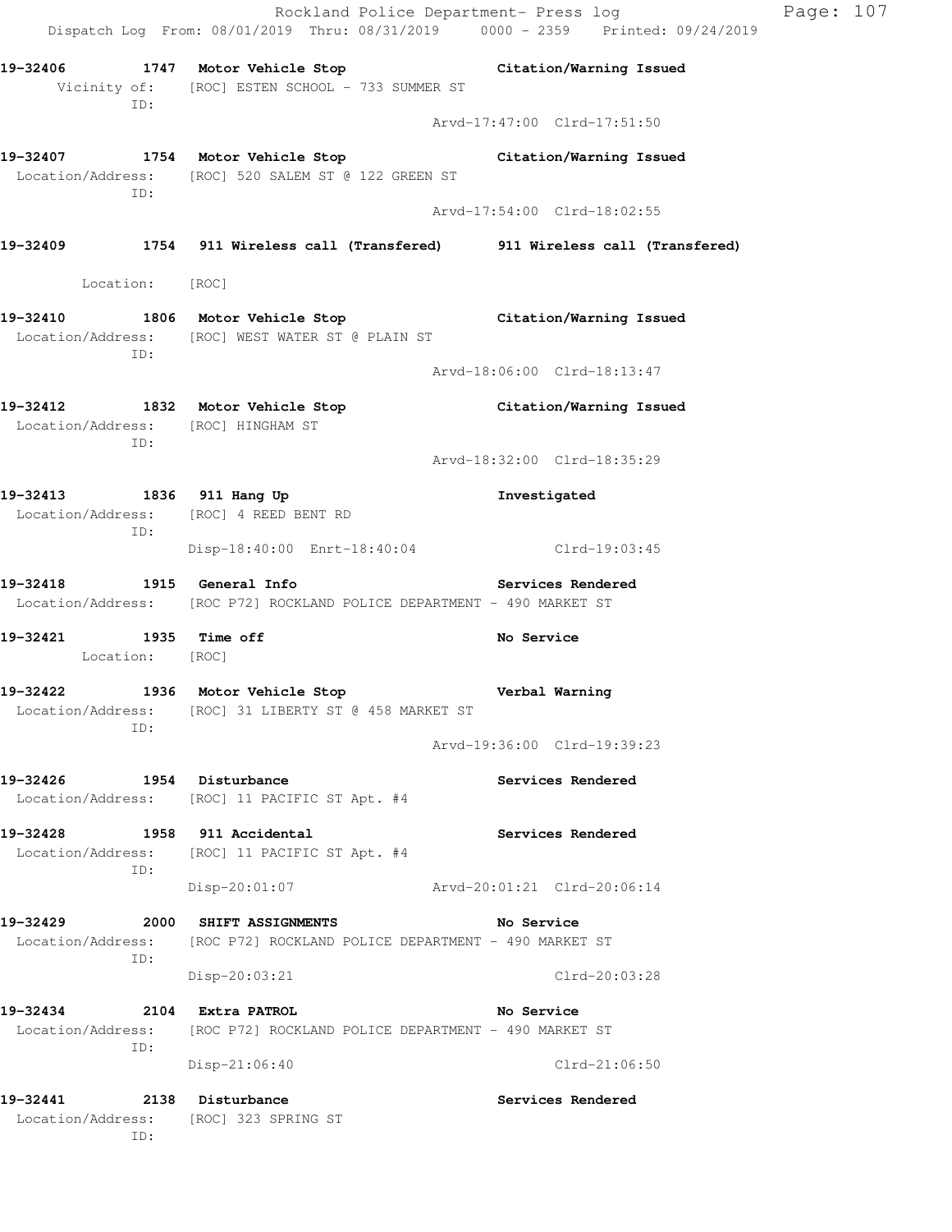Rockland Police Department- Press log Fage: 107 Dispatch Log From: 08/01/2019 Thru: 08/31/2019 0000 - 2359 Printed: 09/24/2019 **19-32406 1747 Motor Vehicle Stop Citation/Warning Issued**  Vicinity of: [ROC] ESTEN SCHOOL - 733 SUMMER ST ID: Arvd-17:47:00 Clrd-17:51:50 **19-32407 1754 Motor Vehicle Stop Citation/Warning Issued**  Location/Address: [ROC] 520 SALEM ST @ 122 GREEN ST ID: Arvd-17:54:00 Clrd-18:02:55 **19-32409 1754 911 Wireless call (Transfered) 911 Wireless call (Transfered)**  Location: [ROC] **19-32410 1806 Motor Vehicle Stop Citation/Warning Issued**  Location/Address: [ROC] WEST WATER ST @ PLAIN ST ID: Arvd-18:06:00 Clrd-18:13:47 **19-32412 1832 Motor Vehicle Stop Citation/Warning Issued**  Location/Address: [ROC] HINGHAM ST ID: Arvd-18:32:00 Clrd-18:35:29 **19-32413 1836 911 Hang Up Investigated**  Location/Address: [ROC] 4 REED BENT RD ID: Disp-18:40:00 Enrt-18:40:04 Clrd-19:03:45 **19-32418 1915 General Info Services Rendered**  Location/Address: [ROC P72] ROCKLAND POLICE DEPARTMENT - 490 MARKET ST **19-32421 1935 Time off No Service**  Location: [ROC] **19-32422 1936 Motor Vehicle Stop Verbal Warning**  Location/Address: [ROC] 31 LIBERTY ST @ 458 MARKET ST ID: Arvd-19:36:00 Clrd-19:39:23 **19-32426 1954 Disturbance Services Rendered**  Location/Address: [ROC] 11 PACIFIC ST Apt. #4 **19-32428 1958 911 Accidental Services Rendered**  Location/Address: [ROC] 11 PACIFIC ST Apt. #4 ID: Disp-20:01:07 Arvd-20:01:21 Clrd-20:06:14 **19-32429 2000 SHIFT ASSIGNMENTS No Service**  Location/Address: [ROC P72] ROCKLAND POLICE DEPARTMENT - 490 MARKET ST ID: Disp-20:03:21 Clrd-20:03:28 **19-32434 2104 Extra PATROL No Service**  Location/Address: [ROC P72] ROCKLAND POLICE DEPARTMENT - 490 MARKET ST ID: Disp-21:06:40 Clrd-21:06:50 19-32441 2138 Disturbance **Services Rendered**  Location/Address: [ROC] 323 SPRING ST ID: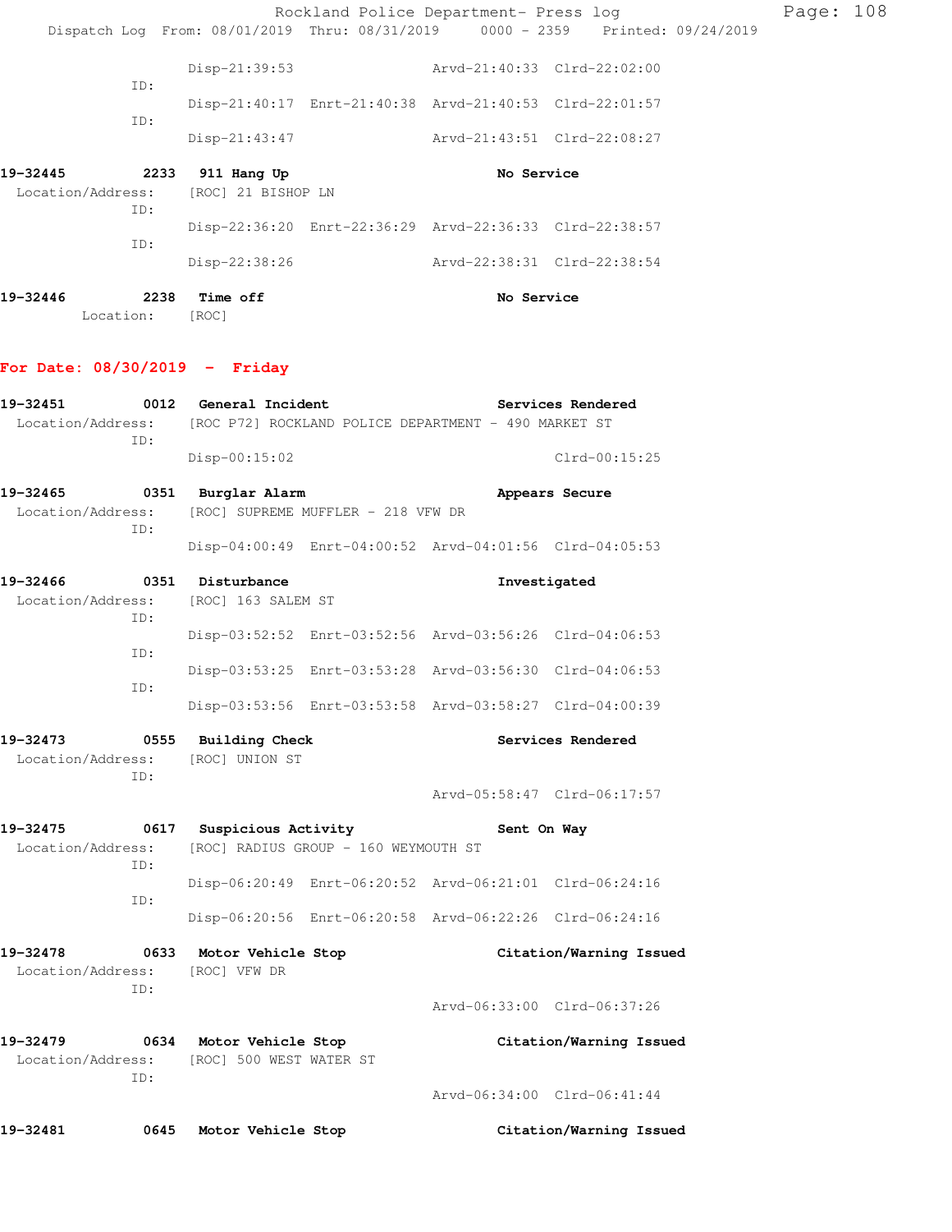|                                       |     | Dispatch Log From: 08/01/2019 Thru: 08/31/2019 0000 - 2359 Printed: 09/24/2019 |  | Rockland Police Department- Press log                   |  |  | Page: 108 |  |
|---------------------------------------|-----|--------------------------------------------------------------------------------|--|---------------------------------------------------------|--|--|-----------|--|
|                                       | ID: | $Disp-21:39:53$                                                                |  | Arvd-21:40:33 Clrd-22:02:00                             |  |  |           |  |
|                                       |     |                                                                                |  | Disp-21:40:17 Enrt-21:40:38 Arvd-21:40:53 Clrd-22:01:57 |  |  |           |  |
|                                       | ID: | $Disp-21:43:47$                                                                |  | Arvd-21:43:51 Clrd-22:08:27                             |  |  |           |  |
| 19-32445<br>2233<br>Location/Address: |     | 911 Hang Up<br>No Service                                                      |  |                                                         |  |  |           |  |
|                                       |     |                                                                                |  |                                                         |  |  |           |  |
|                                       | ID: | [ROC] 21 BISHOP LN                                                             |  |                                                         |  |  |           |  |
|                                       | ID: |                                                                                |  | Disp-22:36:20 Enrt-22:36:29 Arvd-22:36:33 Clrd-22:38:57 |  |  |           |  |
|                                       |     | Disp-22:38:26                                                                  |  | Arvd-22:38:31 Clrd-22:38:54                             |  |  |           |  |

## **For Date: 08/30/2019 - Friday**

| 19-32451                                                                  |      | 0012 General Incident<br>Services Rendered<br>Location/Address: [ROC P72] ROCKLAND POLICE DEPARTMENT - 490 MARKET ST |              |                                                         |                             |  |  |
|---------------------------------------------------------------------------|------|----------------------------------------------------------------------------------------------------------------------|--------------|---------------------------------------------------------|-----------------------------|--|--|
|                                                                           | ID:  | $Disp-00:15:02$                                                                                                      |              |                                                         | Clrd-00:15:25               |  |  |
| 19-32465<br>TD:                                                           |      | 0351 Burglar Alarm<br>Appears Secure<br>Location/Address: [ROC] SUPREME MUFFLER - 218 VFW DR                         |              |                                                         |                             |  |  |
|                                                                           |      |                                                                                                                      |              | Disp-04:00:49 Enrt-04:00:52 Arvd-04:01:56 Clrd-04:05:53 |                             |  |  |
| 19-32466                                                                  | ID:  | 0351 Disturbance<br>Location/Address: [ROC] 163 SALEM ST                                                             | Investigated |                                                         |                             |  |  |
|                                                                           | TD:  |                                                                                                                      |              | Disp-03:52:52 Enrt-03:52:56 Arvd-03:56:26 Clrd-04:06:53 |                             |  |  |
|                                                                           |      |                                                                                                                      |              | Disp-03:53:25 Enrt-03:53:28 Arvd-03:56:30 Clrd-04:06:53 |                             |  |  |
|                                                                           | ID:  |                                                                                                                      |              | Disp-03:53:56 Enrt-03:53:58 Arvd-03:58:27 Clrd-04:00:39 |                             |  |  |
| 19-32473<br>Location/Address: [ROC] UNION ST<br>TD:                       |      | 0555 Building Check                                                                                                  |              | Services Rendered                                       |                             |  |  |
|                                                                           |      |                                                                                                                      |              | Arvd-05:58:47 Clrd-06:17:57                             |                             |  |  |
| 19-32475<br>Location/Address: [ROC] RADIUS GROUP - 160 WEYMOUTH ST<br>TD: |      | 0617 Suspicious Activity                                                                                             |              | Sent On Way                                             |                             |  |  |
|                                                                           | TD:  |                                                                                                                      |              | Disp-06:20:49 Enrt-06:20:52 Arvd-06:21:01 Clrd-06:24:16 |                             |  |  |
|                                                                           |      |                                                                                                                      |              | Disp-06:20:56 Enrt-06:20:58 Arvd-06:22:26 Clrd-06:24:16 |                             |  |  |
| 19-32478                                                                  | ID:  | 0633 Motor Vehicle Stop<br>Location/Address: [ROC] VFW DR                                                            |              | Citation/Warning Issued                                 |                             |  |  |
|                                                                           |      |                                                                                                                      |              |                                                         | Arvd-06:33:00 Clrd-06:37:26 |  |  |
| 19-32479<br>Location/Address: [ROC] 500 WEST WATER ST<br>ID:              |      | 0634 Motor Vehicle Stop                                                                                              |              | Citation/Warning Issued                                 |                             |  |  |
|                                                                           |      |                                                                                                                      |              | Arvd-06:34:00 Clrd-06:41:44                             |                             |  |  |
| 19-32481                                                                  | 0645 | Motor Vehicle Stop                                                                                                   |              | Citation/Warning Issued                                 |                             |  |  |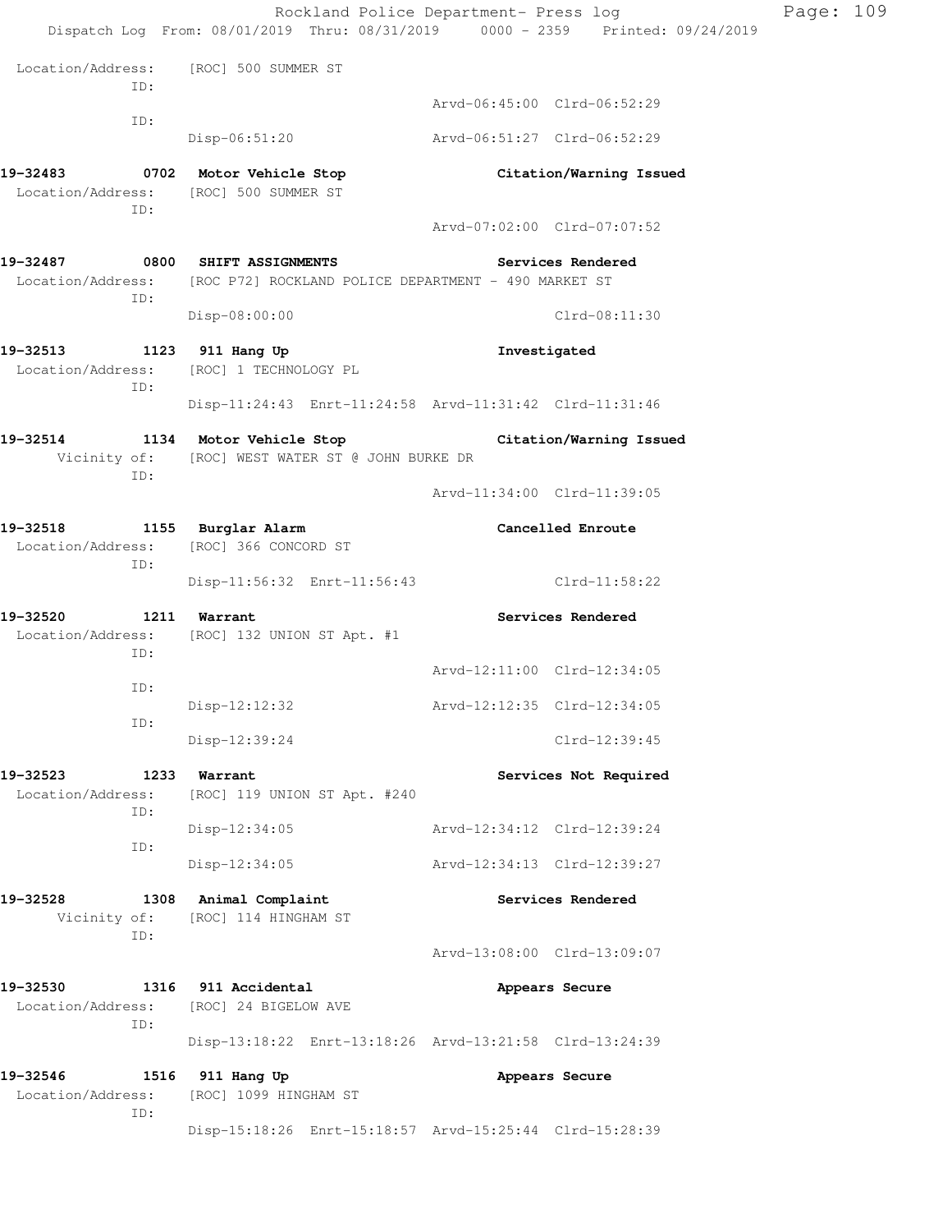|                                                       |                                                                           | Rockland Police Department- Press log<br>Dispatch Log From: 08/01/2019 Thru: 08/31/2019 0000 - 2359 Printed: 09/24/2019 | Page: 109 |
|-------------------------------------------------------|---------------------------------------------------------------------------|-------------------------------------------------------------------------------------------------------------------------|-----------|
|                                                       | Location/Address: [ROC] 500 SUMMER ST                                     |                                                                                                                         |           |
| ID:                                                   |                                                                           | Arvd-06:45:00 Clrd-06:52:29                                                                                             |           |
| ID:                                                   |                                                                           |                                                                                                                         |           |
|                                                       |                                                                           | Disp-06:51:20 Arvd-06:51:27 Clrd-06:52:29                                                                               |           |
| ID:                                                   | 19-32483 0702 Motor Vehicle Stop<br>Location/Address: [ROC] 500 SUMMER ST | Citation/Warning Issued                                                                                                 |           |
|                                                       |                                                                           | Arvd-07:02:00 Clrd-07:07:52                                                                                             |           |
|                                                       | 19-32487 0800 SHIFT ASSIGNMENTS                                           | Services Rendered                                                                                                       |           |
| ID:                                                   | Location/Address: [ROC P72] ROCKLAND POLICE DEPARTMENT - 490 MARKET ST    |                                                                                                                         |           |
|                                                       | Disp-08:00:00                                                             | Clrd-08:11:30                                                                                                           |           |
| 19-32513 1123 911 Hang Up<br>Location/Address:<br>ID: | [ROC] 1 TECHNOLOGY PL                                                     | Investigated                                                                                                            |           |
|                                                       |                                                                           | Disp-11:24:43 Enrt-11:24:58 Arvd-11:31:42 Clrd-11:31:46                                                                 |           |
|                                                       |                                                                           | 19-32514 1134 Motor Vehicle Stop Citation/Warning Issued                                                                |           |
| ID:                                                   | Vicinity of: [ROC] WEST WATER ST @ JOHN BURKE DR                          |                                                                                                                         |           |
|                                                       |                                                                           | Arvd-11:34:00 Clrd-11:39:05                                                                                             |           |
| 19-32518 1155 Burglar Alarm                           | Location/Address: [ROC] 366 CONCORD ST                                    | Cancelled Enroute                                                                                                       |           |
| ID:                                                   |                                                                           |                                                                                                                         |           |
|                                                       |                                                                           | Disp-11:56:32 Enrt-11:56:43 Clrd-11:58:22                                                                               |           |
| 19-32520 1211 Warrant<br>ID:                          | Location/Address: [ROC] 132 UNION ST Apt. #1                              | Services Rendered                                                                                                       |           |
| ID:                                                   |                                                                           | Arvd-12:11:00 Clrd-12:34:05                                                                                             |           |
|                                                       | Disp-12:12:32                                                             | Arvd-12:12:35 Clrd-12:34:05                                                                                             |           |
| ID:                                                   | Disp-12:39:24                                                             | Clrd-12:39:45                                                                                                           |           |
| 19-32523<br>Location/Address:                         | 1233 Warrant<br>[ROC] 119 UNION ST Apt. #240                              | Services Not Required                                                                                                   |           |
| ID:                                                   | Disp-12:34:05                                                             | Arvd-12:34:12 Clrd-12:39:24                                                                                             |           |
| ID:                                                   | Disp-12:34:05                                                             | Arvd-12:34:13 Clrd-12:39:27                                                                                             |           |
| 19-32528<br>Vicinity of:<br>ID:                       | 1308 Animal Complaint<br>[ROC] 114 HINGHAM ST                             | Services Rendered                                                                                                       |           |
|                                                       |                                                                           | Arvd-13:08:00 Clrd-13:09:07                                                                                             |           |
| 19-32530<br>Location/Address:                         | 1316 911 Accidental<br>[ROC] 24 BIGELOW AVE                               | Appears Secure                                                                                                          |           |
| ID:                                                   |                                                                           | Disp-13:18:22 Enrt-13:18:26 Arvd-13:21:58 Clrd-13:24:39                                                                 |           |
| 19-32546                                              | 1516 911 Hang Up                                                          | Appears Secure                                                                                                          |           |
| Location/Address:<br>ID:                              | [ROC] 1099 HINGHAM ST                                                     |                                                                                                                         |           |
|                                                       |                                                                           | Disp-15:18:26 Enrt-15:18:57 Arvd-15:25:44 Clrd-15:28:39                                                                 |           |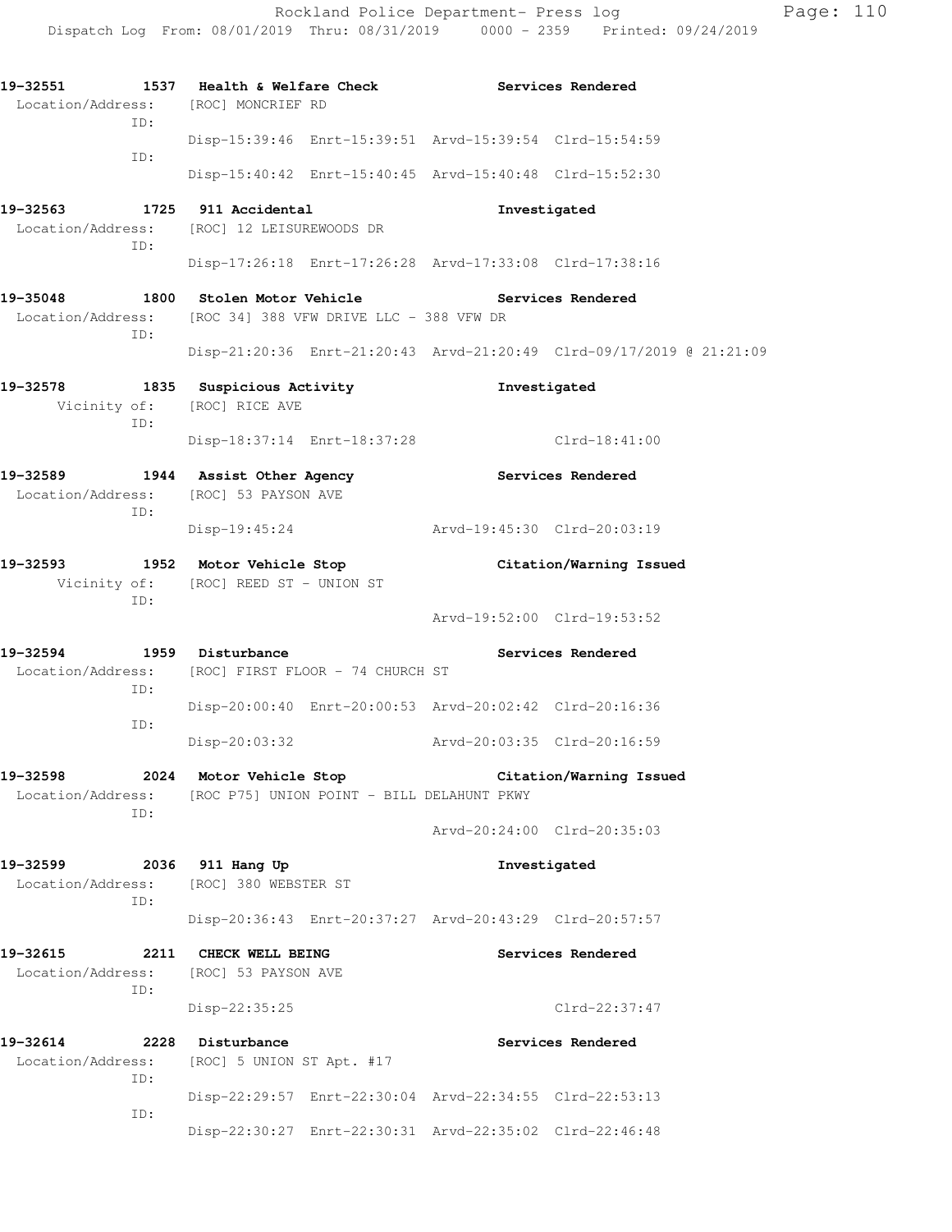**19-32551 1537 Health & Welfare Check Services Rendered**  Location/Address: [ROC] MONCRIEF RD ID: Disp-15:39:46 Enrt-15:39:51 Arvd-15:39:54 Clrd-15:54:59 ID: Disp-15:40:42 Enrt-15:40:45 Arvd-15:40:48 Clrd-15:52:30 **19-32563 1725 911 Accidental Investigated**  Location/Address: [ROC] 12 LEISUREWOODS DR ID: Disp-17:26:18 Enrt-17:26:28 Arvd-17:33:08 Clrd-17:38:16 **19-35048 1800 Stolen Motor Vehicle Services Rendered**  Location/Address: [ROC 34] 388 VFW DRIVE LLC - 388 VFW DR ID: Disp-21:20:36 Enrt-21:20:43 Arvd-21:20:49 Clrd-09/17/2019 @ 21:21:09 **19-32578 1835 Suspicious Activity Investigated**  Vicinity of: [ROC] RICE AVE ID: Disp-18:37:14 Enrt-18:37:28 Clrd-18:41:00 **19-32589 1944 Assist Other Agency Services Rendered**  Location/Address: [ROC] 53 PAYSON AVE ID: Disp-19:45:24 Arvd-19:45:30 Clrd-20:03:19 **19-32593 1952 Motor Vehicle Stop Citation/Warning Issued**  Vicinity of: [ROC] REED ST - UNION ST ID: Arvd-19:52:00 Clrd-19:53:52 19-32594 1959 Disturbance **19-32594** Services Rendered Location/Address: [ROC] FIRST FLOOR - 74 CHURCH ST ID: Disp-20:00:40 Enrt-20:00:53 Arvd-20:02:42 Clrd-20:16:36 ID: Disp-20:03:32 Arvd-20:03:35 Clrd-20:16:59 **19-32598 2024 Motor Vehicle Stop Citation/Warning Issued**  Location/Address: [ROC P75] UNION POINT - BILL DELAHUNT PKWY ID: Arvd-20:24:00 Clrd-20:35:03 **19-32599 2036 911 Hang Up Investigated**  Location/Address: [ROC] 380 WEBSTER ST ID: Disp-20:36:43 Enrt-20:37:27 Arvd-20:43:29 Clrd-20:57:57 **19-32615 2211 CHECK WELL BEING Services Rendered**  Location/Address: [ROC] 53 PAYSON AVE ID: Disp-22:35:25 Clrd-22:37:47 **19-32614 2228 Disturbance Services Rendered**  Location/Address: [ROC] 5 UNION ST Apt. #17 ID: Disp-22:29:57 Enrt-22:30:04 Arvd-22:34:55 Clrd-22:53:13 ID: Disp-22:30:27 Enrt-22:30:31 Arvd-22:35:02 Clrd-22:46:48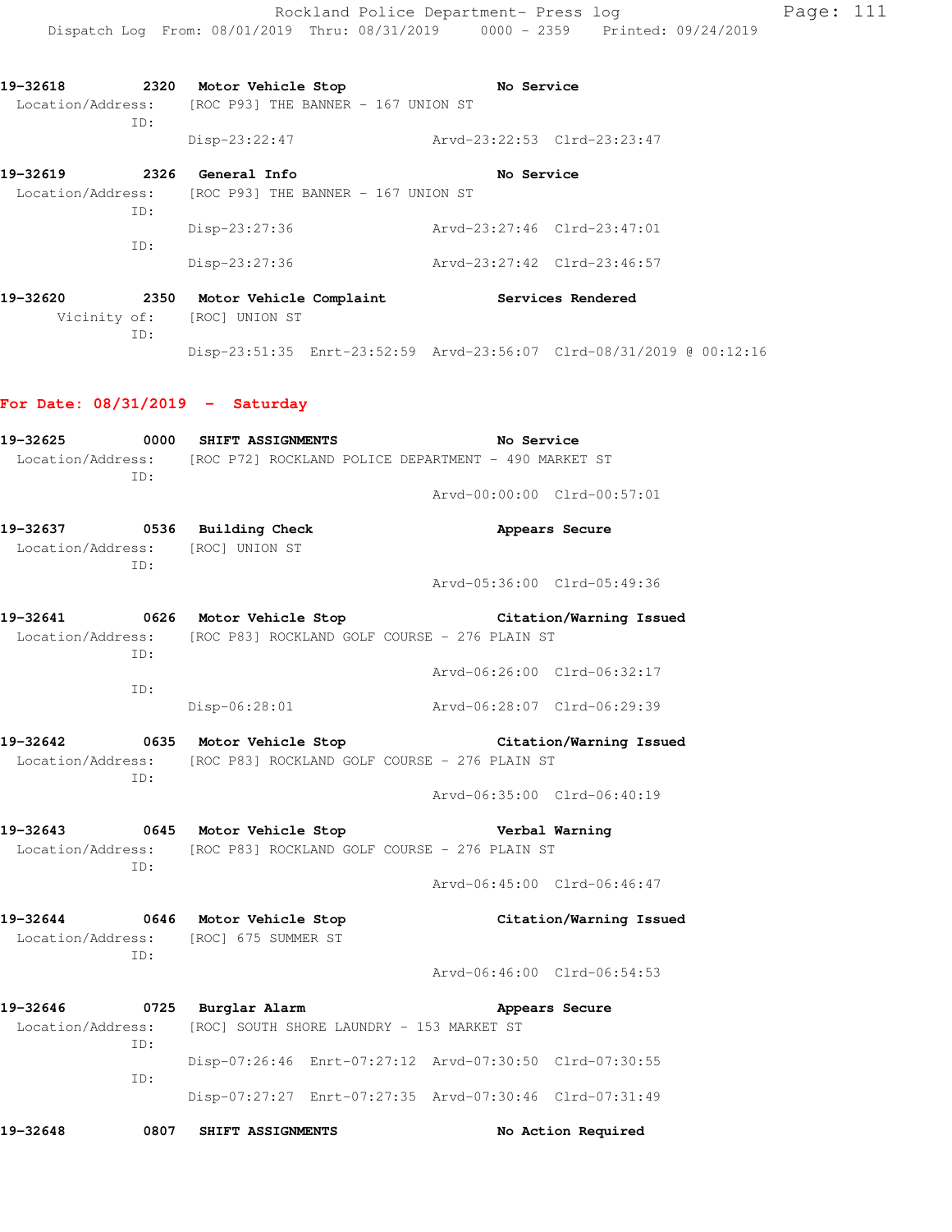Disp-23:51:35 Enrt-23:52:59 Arvd-23:56:07 Clrd-08/31/2019 @ 00:12:16

**19-32618 2320 Motor Vehicle Stop No Service**  Location/Address: [ROC P93] THE BANNER - 167 UNION ST ID: Disp-23:22:47 Arvd-23:22:53 Clrd-23:23:47 **19-32619 2326 General Info No Service**  Location/Address: [ROC P93] THE BANNER - 167 UNION ST ID: Disp-23:27:36 Arvd-23:27:46 Clrd-23:47:01 ID: Disp-23:27:36 Arvd-23:27:42 Clrd-23:46:57 **19-32620 2350 Motor Vehicle Complaint Services Rendered**  Vicinity of: [ROC] UNION ST

## **For Date: 08/31/2019 - Saturday**

ID:

| 19-32625                                                                                                   |      | 0000 SHIFT ASSIGNMENTS                                           |                                                         | No Service                                      |                             |  |  |
|------------------------------------------------------------------------------------------------------------|------|------------------------------------------------------------------|---------------------------------------------------------|-------------------------------------------------|-----------------------------|--|--|
| Location/Address: [ROC P72] ROCKLAND POLICE DEPARTMENT - 490 MARKET ST<br>TD:                              |      |                                                                  |                                                         |                                                 |                             |  |  |
|                                                                                                            |      |                                                                  |                                                         | Arvd-00:00:00 Clrd-00:57:01                     |                             |  |  |
|                                                                                                            | ID:  | 19-32637 0536 Building Check<br>Location/Address: [ROC] UNION ST |                                                         |                                                 | Appears Secure              |  |  |
|                                                                                                            |      |                                                                  |                                                         | Arvd-05:36:00 Clrd-05:49:36                     |                             |  |  |
| 19-32641 0626 Motor Vehicle Stop<br>Location/Address: [ROC P83] ROCKLAND GOLF COURSE - 276 PLAIN ST<br>TD: |      |                                                                  |                                                         | Citation/Warning Issued                         |                             |  |  |
|                                                                                                            | ID:  |                                                                  |                                                         |                                                 | Arvd-06:26:00 Clrd-06:32:17 |  |  |
|                                                                                                            |      | Disp-06:28:01                                                    |                                                         | Arvd-06:28:07 Clrd-06:29:39                     |                             |  |  |
| 19-32642<br>Location/Address: [ROC P83] ROCKLAND GOLF COURSE - 276 PLAIN ST<br>TD:                         |      |                                                                  | 0635 Motor Vehicle Stop                                 | Citation/Warning Issued                         |                             |  |  |
|                                                                                                            |      |                                                                  |                                                         | Arvd-06:35:00 Clrd-06:40:19                     |                             |  |  |
| Location/Address: [ROC P83] ROCKLAND GOLF COURSE - 276 PLAIN ST<br>ID:                                     |      |                                                                  |                                                         | 19-32643 0645 Motor Vehicle Stop Nerbal Warning |                             |  |  |
|                                                                                                            |      |                                                                  |                                                         |                                                 | Arvd-06:45:00 Clrd-06:46:47 |  |  |
| 19-32644 0646 Motor Vehicle Stop<br>Location/Address: [ROC] 675 SUMMER ST<br>TD:                           |      |                                                                  |                                                         |                                                 | Citation/Warning Issued     |  |  |
|                                                                                                            |      |                                                                  |                                                         | Arvd-06:46:00 Clrd-06:54:53                     |                             |  |  |
| 19-32646<br>Location/Address: [ROC] SOUTH SHORE LAUNDRY - 153 MARKET ST                                    | ID:  | 0725 Burglar Alarm                                               |                                                         |                                                 | Appears Secure              |  |  |
|                                                                                                            | ID:  |                                                                  | Disp-07:26:46 Enrt-07:27:12 Arvd-07:30:50 Clrd-07:30:55 |                                                 |                             |  |  |
|                                                                                                            |      |                                                                  | Disp-07:27:27 Enrt-07:27:35 Arvd-07:30:46 Clrd-07:31:49 |                                                 |                             |  |  |
| 19-32648                                                                                                   | 0807 | SHIFT ASSIGNMENTS                                                |                                                         |                                                 | No Action Required          |  |  |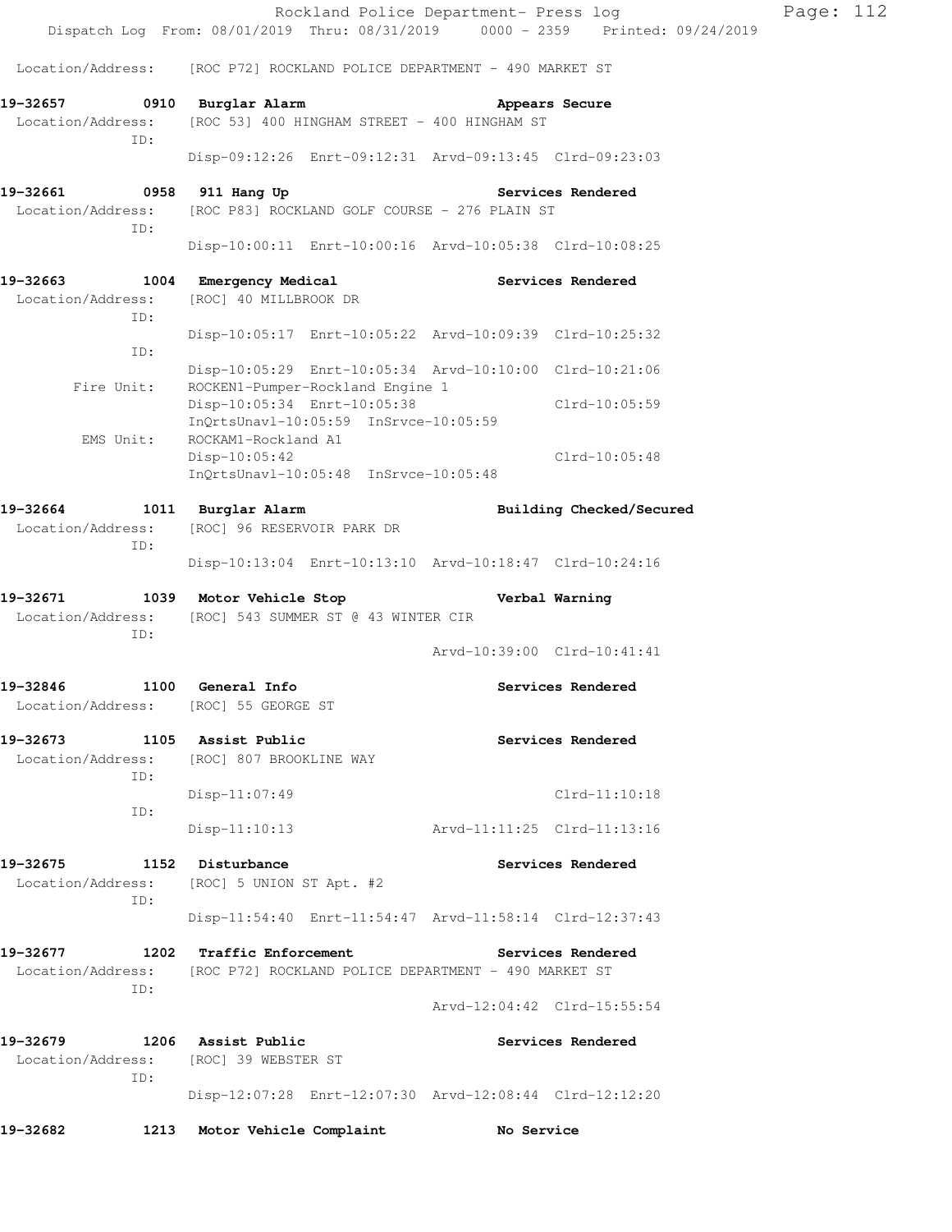| 19-32682<br>1213                                      | Motor Vehicle Complaint                                                                     |                                       | No Service |                                                                                |           |  |
|-------------------------------------------------------|---------------------------------------------------------------------------------------------|---------------------------------------|------------|--------------------------------------------------------------------------------|-----------|--|
|                                                       | Disp-12:07:28 Enrt-12:07:30 Arvd-12:08:44 Clrd-12:12:20                                     |                                       |            |                                                                                |           |  |
| 19-32679<br>Location/Address:<br>ID:                  | 1206 Assist Public<br>[ROC] 39 WEBSTER ST                                                   |                                       |            | Services Rendered                                                              |           |  |
| ID:                                                   |                                                                                             |                                       |            | Arvd-12:04:42 Clrd-15:55:54                                                    |           |  |
| 19-32677<br>1202<br>Location/Address:                 | Traffic Enforcement<br>[ROC P72] ROCKLAND POLICE DEPARTMENT - 490 MARKET ST                 |                                       |            | Services Rendered                                                              |           |  |
|                                                       |                                                                                             |                                       |            | Disp-11:54:40 Enrt-11:54:47 Arvd-11:58:14 Clrd-12:37:43                        |           |  |
| 19-32675<br>Location/Address:<br>ID:                  | 1152 Disturbance<br>[ROC] 5 UNION ST Apt. #2                                                |                                       |            | Services Rendered                                                              |           |  |
|                                                       | $Disp-11:10:13$                                                                             |                                       |            |                                                                                |           |  |
| ID:                                                   | Disp-11:07:49                                                                               |                                       |            | $Clrd-11:10:18$                                                                |           |  |
| Location/Address:<br>ID:                              | [ROC] 807 BROOKLINE WAY                                                                     |                                       |            |                                                                                |           |  |
| 19-32673                                              | 1105 Assist Public                                                                          |                                       |            | Services Rendered                                                              |           |  |
| 19-32846<br>Location/Address:                         | 1100 General Info<br>[ROC] 55 GEORGE ST                                                     |                                       |            | Services Rendered                                                              |           |  |
| ID:                                                   |                                                                                             |                                       |            | Arvd-10:39:00 Clrd-10:41:41                                                    |           |  |
| 19-32671 1039 Motor Vehicle Stop<br>Location/Address: | [ROC] 543 SUMMER ST @ 43 WINTER CIR                                                         |                                       |            | Verbal Warning                                                                 |           |  |
| ID:                                                   |                                                                                             |                                       |            | Disp-10:13:04 Enrt-10:13:10 Arvd-10:18:47 Clrd-10:24:16                        |           |  |
| Location/Address:                                     | [ROC] 96 RESERVOIR PARK DR                                                                  |                                       |            |                                                                                |           |  |
| 19-32664                                              | 1011 Burglar Alarm                                                                          |                                       |            | Building Checked/Secured                                                       |           |  |
|                                                       | $Disp-10:05:42$<br>InQrtsUnavl-10:05:48 InSrvce-10:05:48                                    |                                       |            | $Clrd-10:05:48$                                                                |           |  |
| EMS Unit:                                             | Disp-10:05:34 Enrt-10:05:38<br>InQrtsUnavl-10:05:59 InSrvce-10:05:59<br>ROCKAM1-Rockland A1 |                                       |            | Clrd-10:05:59                                                                  |           |  |
| Fire Unit:                                            | ROCKEN1-Pumper-Rockland Engine 1                                                            |                                       |            | Disp-10:05:29 Enrt-10:05:34 Arvd-10:10:00 Clrd-10:21:06                        |           |  |
| ID:                                                   |                                                                                             |                                       |            | Disp-10:05:17 Enrt-10:05:22 Arvd-10:09:39 Clrd-10:25:32                        |           |  |
| Location/Address:<br>ID:                              | [ROC] 40 MILLBROOK DR                                                                       |                                       |            |                                                                                |           |  |
| 19-32663                                              | 1004 Emergency Medical                                                                      |                                       |            | Services Rendered                                                              |           |  |
| ID:                                                   |                                                                                             |                                       |            |                                                                                |           |  |
| 19-32661 0958 911 Hang Up<br>Location/Address:        | [ROC P83] ROCKLAND GOLF COURSE - 276 PLAIN ST                                               |                                       |            | Services Rendered                                                              |           |  |
|                                                       |                                                                                             |                                       |            | Disp-09:12:26 Enrt-09:12:31 Arvd-09:13:45 Clrd-09:23:03                        |           |  |
| Location/Address:<br>ID:                              | [ROC 53] 400 HINGHAM STREET - 400 HINGHAM ST                                                |                                       |            |                                                                                |           |  |
| 19-32657                                              | 0910 Burglar Alarm                                                                          |                                       |            | Appears Secure                                                                 |           |  |
| Location/Address:                                     | [ROC P72] ROCKLAND POLICE DEPARTMENT - 490 MARKET ST                                        |                                       |            |                                                                                |           |  |
|                                                       |                                                                                             | Rockland Police Department- Press log |            | Dispatch Log From: 08/01/2019 Thru: 08/31/2019 0000 - 2359 Printed: 09/24/2019 | Page: 112 |  |
|                                                       |                                                                                             |                                       |            |                                                                                |           |  |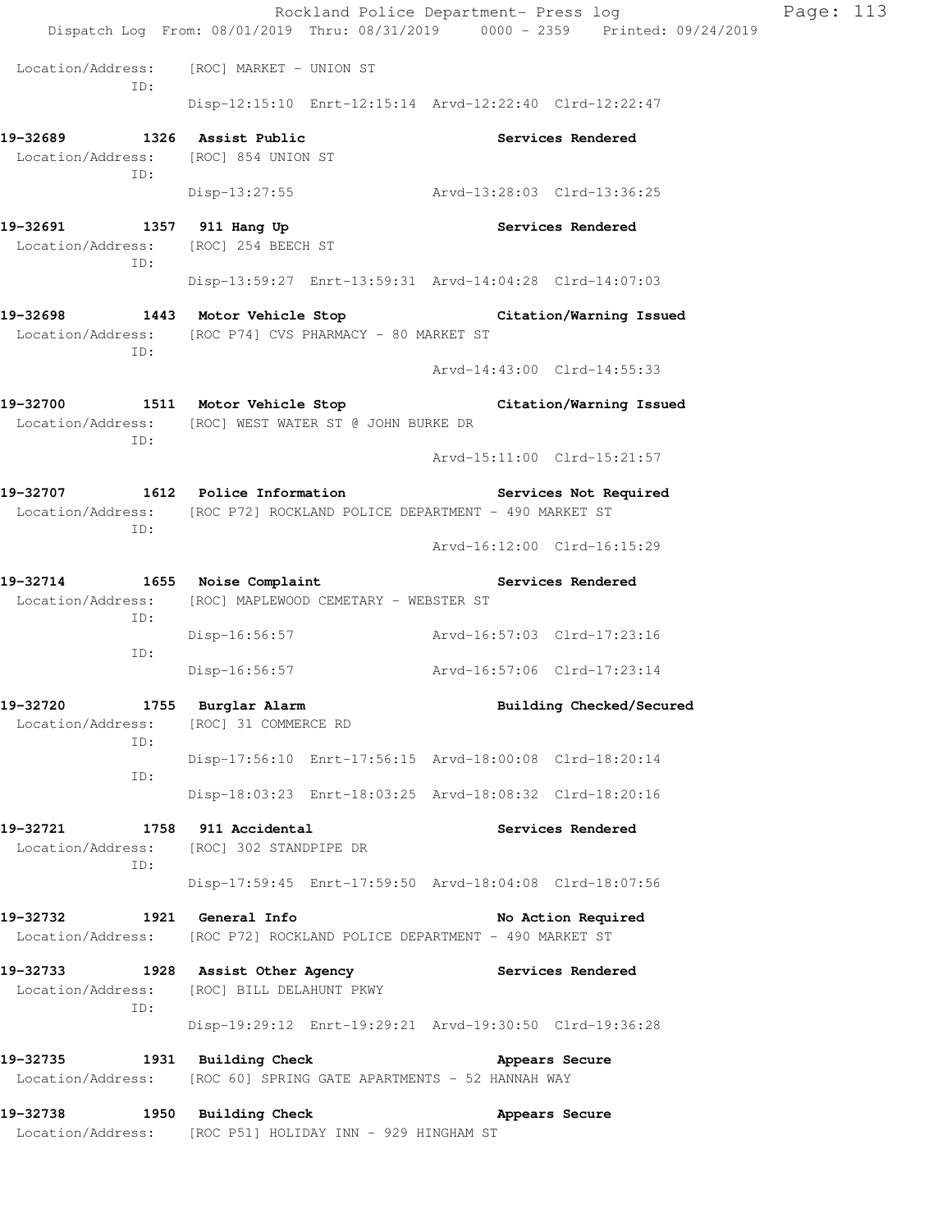|                                                                            |                                                                                                            | Rockland Police Department- Press log                                          | Page: 113 |  |
|----------------------------------------------------------------------------|------------------------------------------------------------------------------------------------------------|--------------------------------------------------------------------------------|-----------|--|
|                                                                            |                                                                                                            | Dispatch Log From: 08/01/2019 Thru: 08/31/2019 0000 - 2359 Printed: 09/24/2019 |           |  |
| ID:                                                                        | Location/Address: [ROC] MARKET - UNION ST                                                                  |                                                                                |           |  |
|                                                                            |                                                                                                            | Disp-12:15:10 Enrt-12:15:14 Arvd-12:22:40 Clrd-12:22:47                        |           |  |
| 19-32689 1326 Assist Public<br>Location/Address: [ROC] 854 UNION ST<br>ID: |                                                                                                            | Services Rendered                                                              |           |  |
|                                                                            |                                                                                                            | Disp-13:27:55 Arvd-13:28:03 Clrd-13:36:25                                      |           |  |
| 19-32691 1357 911 Hang Up<br>Location/Address: [ROC] 254 BEECH ST<br>ID:   |                                                                                                            | <b>Services Rendered</b>                                                       |           |  |
|                                                                            |                                                                                                            | Disp-13:59:27 Enrt-13:59:31 Arvd-14:04:28 Clrd-14:07:03                        |           |  |
| ID:                                                                        | Location/Address: [ROC P74] CVS PHARMACY - 80 MARKET ST                                                    | 19-32698 1443 Motor Vehicle Stop Citation/Warning Issued                       |           |  |
|                                                                            |                                                                                                            | Arvd-14:43:00 Clrd-14:55:33                                                    |           |  |
| ID:                                                                        | Location/Address: [ROC] WEST WATER ST @ JOHN BURKE DR                                                      | 19-32700 1511 Motor Vehicle Stop Citation/Warning Issued                       |           |  |
|                                                                            |                                                                                                            | Arvd-15:11:00 Clrd-15:21:57                                                    |           |  |
| ID:                                                                        | 19-32707 1612 Police Information<br>Location/Address: [ROC P72] ROCKLAND POLICE DEPARTMENT - 490 MARKET ST | Services Not Required                                                          |           |  |
|                                                                            |                                                                                                            | Arvd-16:12:00 Clrd-16:15:29                                                    |           |  |
| Location/Address:<br>ID:                                                   | 19-32714 1655 Noise Complaint 19-32714 Services Rendered<br>[ROC] MAPLEWOOD CEMETARY - WEBSTER ST          |                                                                                |           |  |
| ID:                                                                        |                                                                                                            | Disp-16:56:57 Arvd-16:57:03 Clrd-17:23:16                                      |           |  |
|                                                                            |                                                                                                            | Disp-16:56:57 Arvd-16:57:06 Clrd-17:23:14                                      |           |  |
| 19-32720<br>Location/Address:<br>ID:                                       | 1755 Burglar Alarm<br>[ROC] 31 COMMERCE RD                                                                 | Building Checked/Secured                                                       |           |  |
| ID:                                                                        |                                                                                                            | Disp-17:56:10 Enrt-17:56:15 Arvd-18:00:08 Clrd-18:20:14                        |           |  |
|                                                                            |                                                                                                            | Disp-18:03:23 Enrt-18:03:25 Arvd-18:08:32 Clrd-18:20:16                        |           |  |
| 19-32721 1758 911 Accidental<br>ID:                                        | Location/Address: [ROC] 302 STANDPIPE DR                                                                   | Services Rendered                                                              |           |  |
|                                                                            |                                                                                                            | Disp-17:59:45 Enrt-17:59:50 Arvd-18:04:08 Clrd-18:07:56                        |           |  |
| 19–32732                                                                   | 1921 General Info<br>Location/Address: [ROC P72] ROCKLAND POLICE DEPARTMENT - 490 MARKET ST                | No Action Required                                                             |           |  |
| Location/Address:<br>ID:                                                   | 19-32733 1928 Assist Other Agency<br>[ROC] BILL DELAHUNT PKWY                                              | <b>Services Rendered</b>                                                       |           |  |
|                                                                            |                                                                                                            | Disp-19:29:12 Enrt-19:29:21 Arvd-19:30:50 Clrd-19:36:28                        |           |  |
| 19-32735<br>Location/Address:                                              | 1931 Building Check<br>[ROC 60] SPRING GATE APARTMENTS - 52 HANNAH WAY                                     | Appears Secure                                                                 |           |  |
| 19-32738 1950 Building Check<br>Location/Address:                          | [ROC P51] HOLIDAY INN - 929 HINGHAM ST                                                                     | Appears Secure                                                                 |           |  |